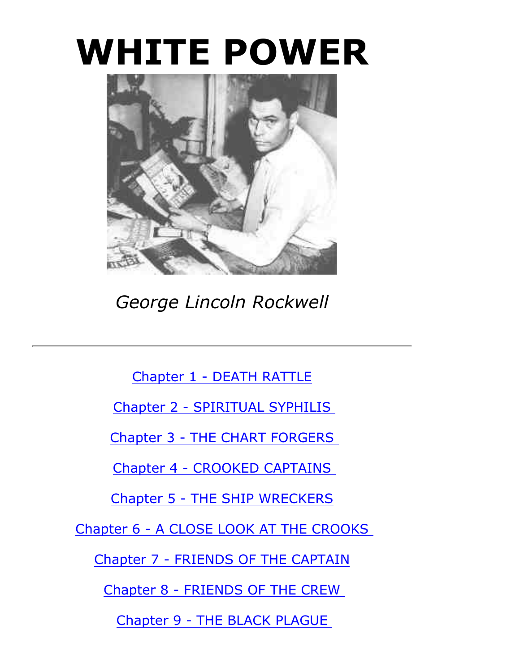# **WHITE POWER**



*George Lincoln Rockwell*

[Chapter 1 - DEATH RATTLE](#page-2-0)

[Chapter 2 - SPIRITUAL SYPHILIS](#page-16-0) 

[Chapter 3 - THE CHART FORGERS](#page-22-0)

[Chapter 4 - CROOKED CAPTAINS](#page-50-0)

[Chapter 5 - THE SHIP WRECKERS](#page-63-0)

[Chapter 6 - A CLOSE LOOK AT THE CROOKS](#page-88-0)

[Chapter 7 - FRIENDS OF THE CAPTAIN](#page-108-0)

[Chapter 8 - FRIENDS OF THE CREW](#page-121-0) 

[Chapter 9 - THE BLACK PLAGUE](#page-137-0)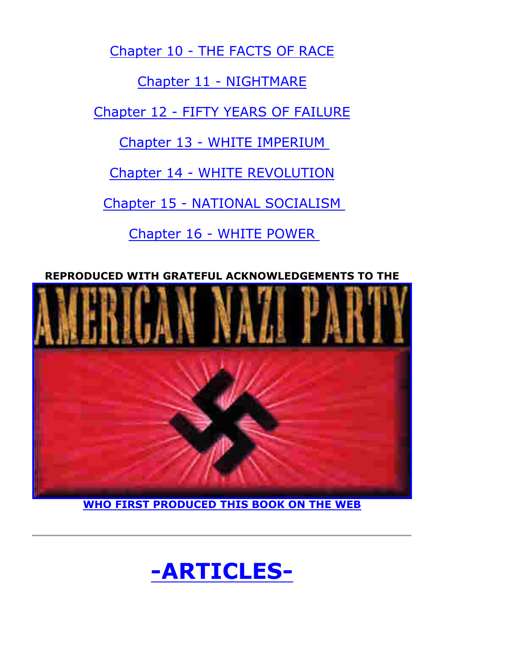[Chapter 10 - THE FACTS OF RACE](#page-158-0)

[Chapter 11 - NIGHTMARE](#page-181-0)

[Chapter 12 - FIFTY YEARS OF FAILURE](#page-202-0)

[Chapter 13 - WHITE IMPERIUM](#page-232-0) 

[Chapter 14 - WHITE REVOLUTION](#page-246-0)

[Chapter 15 - NATIONAL SOCIALISM](#page-255-0)

[Chapter 16 - WHITE POWER](#page-268-0)

**REPRODUCED WITH GRATEFUL ACKNOWLEDGEMENTS TO THE**



**[WHO FIRST PRODUCED THIS BOOK ON THE WEB](http://www.americannaziparty.com/)**

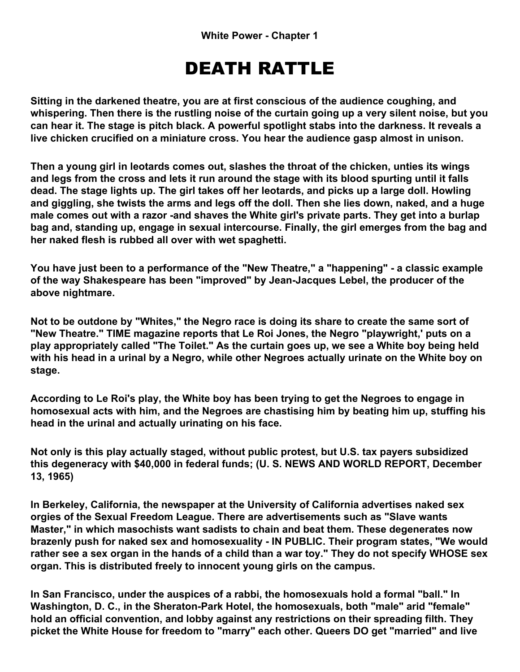## DEATH RATTLE

<span id="page-2-0"></span>**Sitting in the darkened theatre, you are at first conscious of the audience coughing, and whispering. Then there is the rustling noise of the curtain going up a very silent noise, but you can hear it. The stage is pitch black. A powerful spotlight stabs into the darkness. It reveals a live chicken crucified on a miniature cross. You hear the audience gasp almost in unison.**

**Then a young girl in leotards comes out, slashes the throat of the chicken, unties its wings and legs from the cross and lets it run around the stage with its blood spurting until it falls dead. The stage lights up. The girl takes off her leotards, and picks up a large doll. Howling and giggling, she twists the arms and legs off the doll. Then she lies down, naked, and a huge male comes out with a razor -and shaves the White girl's private parts. They get into a burlap bag and, standing up, engage in sexual intercourse. Finally, the girl emerges from the bag and her naked flesh is rubbed all over with wet spaghetti.**

**You have just been to a performance of the "New Theatre," a "happening" - a classic example of the way Shakespeare has been "improved" by Jean-Jacques Lebel, the producer of the above nightmare.**

**Not to be outdone by "Whites," the Negro race is doing its share to create the same sort of "New Theatre." TIME magazine reports that Le Roi Jones, the Negro "playwright,' puts on a play appropriately called "The Toilet." As the curtain goes up, we see a White boy being held with his head in a urinal by a Negro, while other Negroes actually urinate on the White boy on stage.**

**According to Le Roi's play, the White boy has been trying to get the Negroes to engage in homosexual acts with him, and the Negroes are chastising him by beating him up, stuffing his head in the urinal and actually urinating on his face.**

**Not only is this play actually staged, without public protest, but U.S. tax payers subsidized this degeneracy with \$40,000 in federal funds; (U. S. NEWS AND WORLD REPORT, December 13, 1965)**

**In Berkeley, California, the newspaper at the University of California advertises naked sex orgies of the Sexual Freedom League. There are advertisements such as "Slave wants Master," in which masochists want sadists to chain and beat them. These degenerates now brazenly push for naked sex and homosexuality - IN PUBLIC. Their program states, "We would rather see a sex organ in the hands of a child than a war toy." They do not specify WHOSE sex organ. This is distributed freely to innocent young girls on the campus.**

**In San Francisco, under the auspices of a rabbi, the homosexuals hold a formal "ball." In Washington, D. C., in the Sheraton-Park Hotel, the homosexuals, both "male" arid "female" hold an official convention, and lobby against any restrictions on their spreading filth. They picket the White House for freedom to "marry" each other. Queers DO get "married" and live**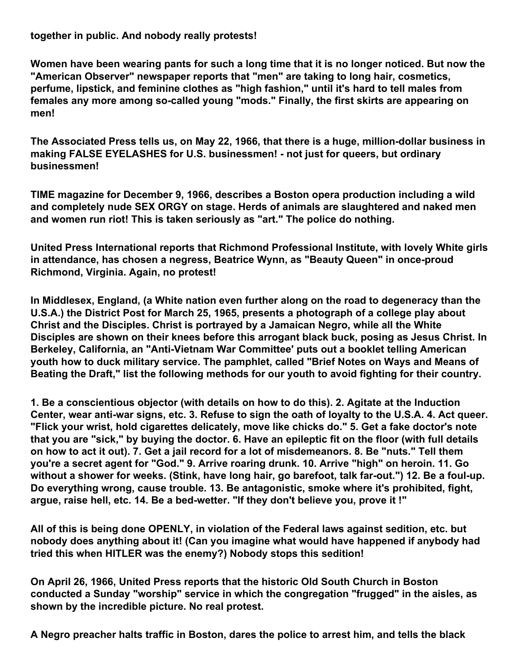#### **together in public. And nobody really protests!**

**Women have been wearing pants for such a long time that it is no longer noticed. But now the "American Observer" newspaper reports that "men" are taking to long hair, cosmetics, perfume, lipstick, and feminine clothes as "high fashion," until it's hard to tell males from females any more among so-called young "mods." Finally, the first skirts are appearing on men!**

**The Associated Press tells us, on May 22, 1966, that there is a huge, million-dollar business in making FALSE EYELASHES for U.S. businessmen! - not just for queers, but ordinary businessmen!**

**TIME magazine for December 9, 1966, describes a Boston opera production including a wild and completely nude SEX ORGY on stage. Herds of animals are slaughtered and naked men and women run riot! This is taken seriously as "art." The police do nothing.**

**United Press International reports that Richmond Professional Institute, with lovely White girls in attendance, has chosen a negress, Beatrice Wynn, as "Beauty Queen" in once-proud Richmond, Virginia. Again, no protest!**

**In Middlesex, England, (a White nation even further along on the road to degeneracy than the U.S.A.) the District Post for March 25, 1965, presents a photograph of a college play about Christ and the Disciples. Christ is portrayed by a Jamaican Negro, while all the White Disciples are shown on their knees before this arrogant black buck, posing as Jesus Christ. In Berkeley, California, an "Anti-Vietnam War Committee' puts out a booklet telling American youth how to duck military service. The pamphlet, called "Brief Notes on Ways and Means of Beating the Draft," list the following methods for our youth to avoid fighting for their country.**

**1. Be a conscientious objector (with details on how to do this). 2. Agitate at the Induction Center, wear anti-war signs, etc. 3. Refuse to sign the oath of loyalty to the U.S.A. 4. Act queer. "Flick your wrist, hold cigarettes delicately, move like chicks do." 5. Get a fake doctor's note that you are "sick," by buying the doctor. 6. Have an epileptic fit on the floor (with full details on how to act it out). 7. Get a jail record for a lot of misdemeanors. 8. Be "nuts." Tell them you're a secret agent for "God." 9. Arrive roaring drunk. 10. Arrive "high" on heroin. 11. Go without a shower for weeks. (Stink, have long hair, go barefoot, talk far-out.") 12. Be a foul-up. Do everything wrong, cause trouble. 13. Be antagonistic, smoke where it's prohibited, fight, argue, raise hell, etc. 14. Be a bed-wetter. "If they don't believe you, prove it !"**

**All of this is being done OPENLY, in violation of the Federal laws against sedition, etc. but nobody does anything about it! (Can you imagine what would have happened if anybody had tried this when HITLER was the enemy?) Nobody stops this sedition!**

**On April 26, 1966, United Press reports that the historic Old South Church in Boston conducted a Sunday "worship" service in which the congregation "frugged" in the aisles, as shown by the incredible picture. No real protest.**

**A Negro preacher halts traffic in Boston, dares the police to arrest him, and tells the black**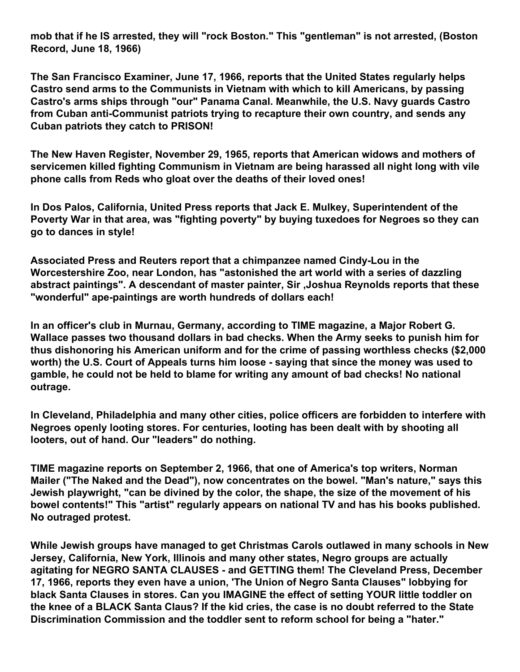**mob that if he IS arrested, they will "rock Boston." This "gentleman" is not arrested, (Boston Record, June 18, 1966)**

**The San Francisco Examiner, June 17, 1966, reports that the United States regularly helps Castro send arms to the Communists in Vietnam with which to kill Americans, by passing Castro's arms ships through "our" Panama Canal. Meanwhile, the U.S. Navy guards Castro from Cuban anti-Communist patriots trying to recapture their own country, and sends any Cuban patriots they catch to PRISON!**

**The New Haven Register, November 29, 1965, reports that American widows and mothers of servicemen killed fighting Communism in Vietnam are being harassed all night long with vile phone calls from Reds who gloat over the deaths of their loved ones!**

**In Dos Palos, California, United Press reports that Jack E. Mulkey, Superintendent of the Poverty War in that area, was "fighting poverty" by buying tuxedoes for Negroes so they can go to dances in style!**

**Associated Press and Reuters report that a chimpanzee named Cindy-Lou in the Worcestershire Zoo, near London, has "astonished the art world with a series of dazzling abstract paintings". A descendant of master painter, Sir ,Joshua Reynolds reports that these "wonderful" ape-paintings are worth hundreds of dollars each!**

**In an officer's club in Murnau, Germany, according to TIME magazine, a Major Robert G. Wallace passes two thousand dollars in bad checks. When the Army seeks to punish him for thus dishonoring his American uniform and for the crime of passing worthless checks (\$2,000 worth) the U.S. Court of Appeals turns him loose - saying that since the money was used to gamble, he could not be held to blame for writing any amount of bad checks! No national outrage.**

**In Cleveland, Philadelphia and many other cities, police officers are forbidden to interfere with Negroes openly looting stores. For centuries, looting has been dealt with by shooting all looters, out of hand. Our "leaders" do nothing.**

**TIME magazine reports on September 2, 1966, that one of America's top writers, Norman Mailer ("The Naked and the Dead"), now concentrates on the bowel. "Man's nature," says this Jewish playwright, "can be divined by the color, the shape, the size of the movement of his bowel contents!" This "artist" regularly appears on national TV and has his books published. No outraged protest.**

**While Jewish groups have managed to get Christmas Carols outlawed in many schools in New Jersey, California, New York, Illinois and many other states, Negro groups are actually agitating for NEGRO SANTA CLAUSES - and GETTING them! The Cleveland Press, December 17, 1966, reports they even have a union, 'The Union of Negro Santa Clauses" lobbying for black Santa Clauses in stores. Can you IMAGINE the effect of setting YOUR little toddler on the knee of a BLACK Santa Claus? If the kid cries, the case is no doubt referred to the State Discrimination Commission and the toddler sent to reform school for being a "hater."**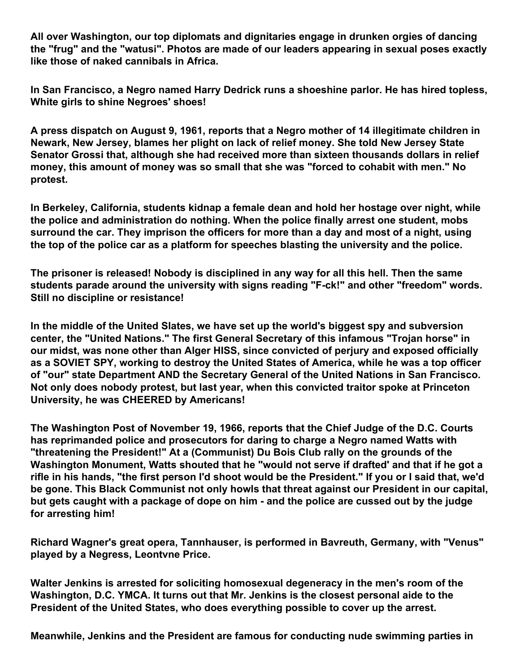**All over Washington, our top diplomats and dignitaries engage in drunken orgies of dancing the "frug" and the "watusi". Photos are made of our leaders appearing in sexual poses exactly like those of naked cannibals in Africa.**

**In San Francisco, a Negro named Harry Dedrick runs a shoeshine parlor. He has hired topless, White girls to shine Negroes' shoes!**

**A press dispatch on August 9, 1961, reports that a Negro mother of 14 illegitimate children in Newark, New Jersey, blames her plight on lack of relief money. She told New Jersey State Senator Grossi that, although she had received more than sixteen thousands dollars in relief money, this amount of money was so small that she was "forced to cohabit with men." No protest.**

**In Berkeley, California, students kidnap a female dean and hold her hostage over night, while the police and administration do nothing. When the police finally arrest one student, mobs surround the car. They imprison the officers for more than a day and most of a night, using the top of the police car as a platform for speeches blasting the university and the police.**

**The prisoner is released! Nobody is disciplined in any way for all this hell. Then the same students parade around the university with signs reading "F-ck!" and other "freedom" words. Still no discipline or resistance!**

**In the middle of the United Slates, we have set up the world's biggest spy and subversion center, the "United Nations." The first General Secretary of this infamous "Trojan horse" in our midst, was none other than Alger HISS, since convicted of perjury and exposed officially as a SOVIET SPY, working to destroy the United States of America, while he was a top officer of "our" state Department AND the Secretary General of the United Nations in San Francisco. Not only does nobody protest, but last year, when this convicted traitor spoke at Princeton University, he was CHEERED by Americans!**

**The Washington Post of November 19, 1966, reports that the Chief Judge of the D.C. Courts has reprimanded police and prosecutors for daring to charge a Negro named Watts with "threatening the President!" At a (Communist) Du Bois Club rally on the grounds of the Washington Monument, Watts shouted that he "would not serve if drafted' and that if he got a rifle in his hands, "the first person I'd shoot would be the President." If you or I said that, we'd be gone. This Black Communist not only howls that threat against our President in our capital, but gets caught with a package of dope on him - and the police are cussed out by the judge for arresting him!**

**Richard Wagner's great opera, Tannhauser, is performed in Bavreuth, Germany, with "Venus" played by a Negress, Leontvne Price.**

**Walter Jenkins is arrested for soliciting homosexual degeneracy in the men's room of the Washington, D.C. YMCA. It turns out that Mr. Jenkins is the closest personal aide to the President of the United States, who does everything possible to cover up the arrest.**

**Meanwhile, Jenkins and the President are famous for conducting nude swimming parties in**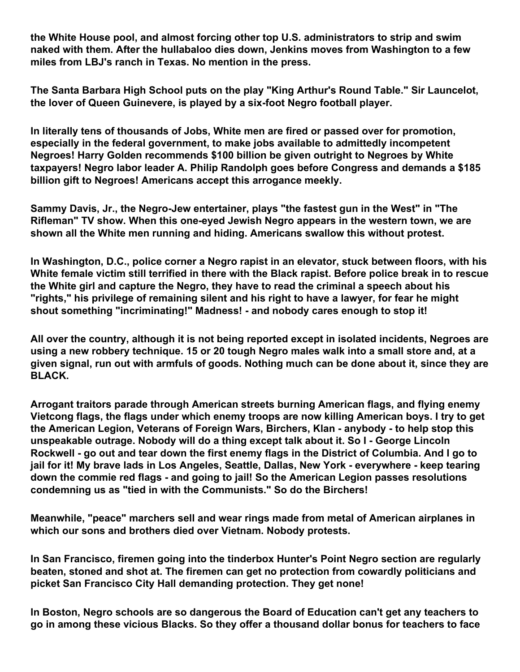**the White House pool, and almost forcing other top U.S. administrators to strip and swim naked with them. After the hullabaloo dies down, Jenkins moves from Washington to a few miles from LBJ's ranch in Texas. No mention in the press.**

**The Santa Barbara High School puts on the play "King Arthur's Round Table." Sir Launcelot, the lover of Queen Guinevere, is played by a six-foot Negro football player.**

**In literally tens of thousands of Jobs, White men are fired or passed over for promotion, especially in the federal government, to make jobs available to admittedly incompetent Negroes! Harry Golden recommends \$100 billion be given outright to Negroes by White taxpayers! Negro labor leader A. Philip Randolph goes before Congress and demands a \$185 billion gift to Negroes! Americans accept this arrogance meekly.**

**Sammy Davis, Jr., the Negro-Jew entertainer, plays "the fastest gun in the West" in "The Rifleman" TV show. When this one-eyed Jewish Negro appears in the western town, we are shown all the White men running and hiding. Americans swallow this without protest.**

**In Washington, D.C., police corner a Negro rapist in an elevator, stuck between floors, with his White female victim still terrified in there with the Black rapist. Before police break in to rescue the White girl and capture the Negro, they have to read the criminal a speech about his "rights," his privilege of remaining silent and his right to have a lawyer, for fear he might shout something "incriminating!" Madness! - and nobody cares enough to stop it!**

**All over the country, although it is not being reported except in isolated incidents, Negroes are using a new robbery technique. 15 or 20 tough Negro males walk into a small store and, at a given signal, run out with armfuls of goods. Nothing much can be done about it, since they are BLACK.**

**Arrogant traitors parade through American streets burning American flags, and flying enemy Vietcong flags, the flags under which enemy troops are now killing American boys. I try to get the American Legion, Veterans of Foreign Wars, Birchers, Klan - anybody - to help stop this unspeakable outrage. Nobody will do a thing except talk about it. So I - George Lincoln Rockwell - go out and tear down the first enemy flags in the District of Columbia. And I go to jail for it! My brave lads in Los Angeles, Seattle, Dallas, New York - everywhere - keep tearing down the commie red flags - and going to jail! So the American Legion passes resolutions condemning us as "tied in with the Communists." So do the Birchers!**

**Meanwhile, "peace" marchers sell and wear rings made from metal of American airplanes in which our sons and brothers died over Vietnam. Nobody protests.**

**In San Francisco, firemen going into the tinderbox Hunter's Point Negro section are regularly beaten, stoned and shot at. The firemen can get no protection from cowardly politicians and picket San Francisco City Hall demanding protection. They get none!**

**In Boston, Negro schools are so dangerous the Board of Education can't get any teachers to go in among these vicious Blacks. So they offer a thousand dollar bonus for teachers to face**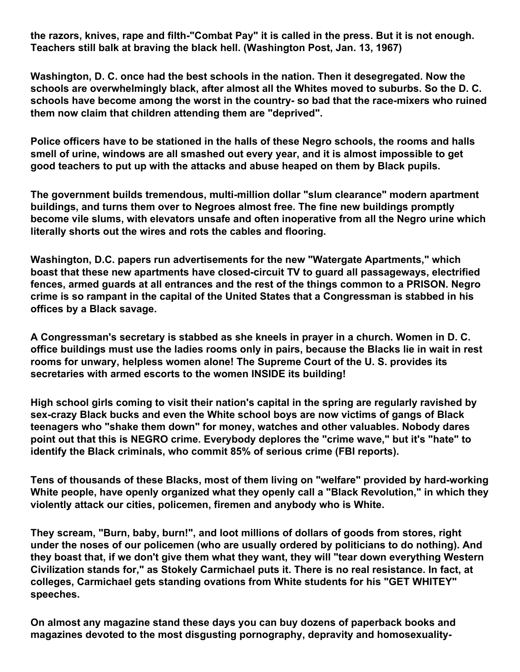**the razors, knives, rape and filth-"Combat Pay" it is called in the press. But it is not enough. Teachers still balk at braving the black hell. (Washington Post, Jan. 13, 1967)**

**Washington, D. C. once had the best schools in the nation. Then it desegregated. Now the schools are overwhelmingly black, after almost all the Whites moved to suburbs. So the D. C. schools have become among the worst in the country- so bad that the race-mixers who ruined them now claim that children attending them are "deprived".**

**Police officers have to be stationed in the halls of these Negro schools, the rooms and halls smell of urine, windows are all smashed out every year, and it is almost impossible to get good teachers to put up with the attacks and abuse heaped on them by Black pupils.**

**The government builds tremendous, multi-million dollar "slum clearance" modern apartment buildings, and turns them over to Negroes almost free. The fine new buildings promptly become vile slums, with elevators unsafe and often inoperative from all the Negro urine which literally shorts out the wires and rots the cables and flooring.**

**Washington, D.C. papers run advertisements for the new "Watergate Apartments," which boast that these new apartments have closed-circuit TV to guard all passageways, electrified fences, armed guards at all entrances and the rest of the things common to a PRISON. Negro crime is so rampant in the capital of the United States that a Congressman is stabbed in his offices by a Black savage.**

**A Congressman's secretary is stabbed as she kneels in prayer in a church. Women in D. C. office buildings must use the ladies rooms only in pairs, because the Blacks lie in wait in rest rooms for unwary, helpless women alone! The Supreme Court of the U. S. provides its secretaries with armed escorts to the women INSIDE its building!**

**High school girls coming to visit their nation's capital in the spring are regularly ravished by sex-crazy Black bucks and even the White school boys are now victims of gangs of Black teenagers who "shake them down" for money, watches and other valuables. Nobody dares point out that this is NEGRO crime. Everybody deplores the "crime wave," but it's "hate" to identify the Black criminals, who commit 85% of serious crime (FBI reports).**

**Tens of thousands of these Blacks, most of them living on "welfare" provided by hard-working White people, have openly organized what they openly call a "Black Revolution," in which they violently attack our cities, policemen, firemen and anybody who is White.**

**They scream, "Burn, baby, burn!", and loot millions of dollars of goods from stores, right under the noses of our policemen (who are usually ordered by politicians to do nothing). And they boast that, if we don't give them what they want, they will "tear down everything Western Civilization stands for," as Stokely Carmichael puts it. There is no real resistance. In fact, at colleges, Carmichael gets standing ovations from White students for his "GET WHITEY" speeches.**

**On almost any magazine stand these days you can buy dozens of paperback books and magazines devoted to the most disgusting pornography, depravity and homosexuality-**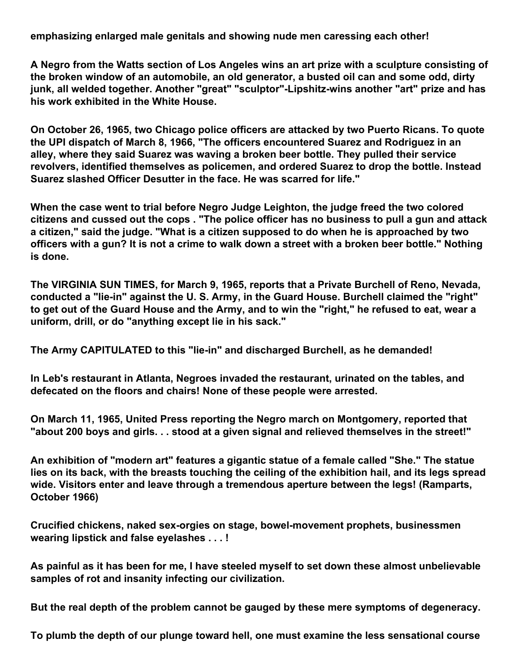**emphasizing enlarged male genitals and showing nude men caressing each other!**

**A Negro from the Watts section of Los Angeles wins an art prize with a sculpture consisting of the broken window of an automobile, an old generator, a busted oil can and some odd, dirty junk, all welded together. Another "great" "sculptor"-Lipshitz-wins another "art" prize and has his work exhibited in the White House.**

**On October 26, 1965, two Chicago police officers are attacked by two Puerto Ricans. To quote the UPI dispatch of March 8, 1966, "The officers encountered Suarez and Rodriguez in an alley, where they said Suarez was waving a broken beer bottle. They pulled their service revolvers, identified themselves as policemen, and ordered Suarez to drop the bottle. Instead Suarez slashed Officer Desutter in the face. He was scarred for life."**

**When the case went to trial before Negro Judge Leighton, the judge freed the two colored citizens and cussed out the cops . "The police officer has no business to pull a gun and attack a citizen," said the judge. "What is a citizen supposed to do when he is approached by two officers with a gun? It is not a crime to walk down a street with a broken beer bottle." Nothing is done.**

**The VIRGINIA SUN TIMES, for March 9, 1965, reports that a Private Burchell of Reno, Nevada, conducted a "lie-in" against the U. S. Army, in the Guard House. Burchell claimed the "right" to get out of the Guard House and the Army, and to win the "right," he refused to eat, wear a uniform, drill, or do "anything except lie in his sack."**

**The Army CAPITULATED to this "lie-in" and discharged Burchell, as he demanded!**

**In Leb's restaurant in Atlanta, Negroes invaded the restaurant, urinated on the tables, and defecated on the floors and chairs! None of these people were arrested.**

**On March 11, 1965, United Press reporting the Negro march on Montgomery, reported that "about 200 boys and girls. . . stood at a given signal and relieved themselves in the street!"**

**An exhibition of "modern art" features a gigantic statue of a female called "She." The statue lies on its back, with the breasts touching the ceiling of the exhibition hail, and its legs spread wide. Visitors enter and leave through a tremendous aperture between the legs! (Ramparts, October 1966)**

**Crucified chickens, naked sex-orgies on stage, bowel-movement prophets, businessmen wearing lipstick and false eyelashes . . . !**

**As painful as it has been for me, I have steeled myself to set down these almost unbelievable samples of rot and insanity infecting our civilization.**

**But the real depth of the problem cannot be gauged by these mere symptoms of degeneracy.**

**To plumb the depth of our plunge toward hell, one must examine the less sensational course**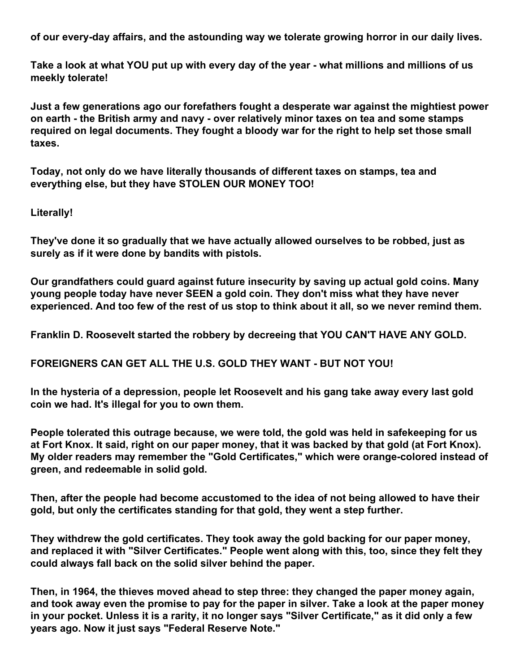**of our every-day affairs, and the astounding way we tolerate growing horror in our daily lives.**

**Take a look at what YOU put up with every day of the year - what millions and millions of us meekly tolerate!**

**Just a few generations ago our forefathers fought a desperate war against the mightiest power on earth - the British army and navy - over relatively minor taxes on tea and some stamps required on legal documents. They fought a bloody war for the right to help set those small taxes.**

**Today, not only do we have literally thousands of different taxes on stamps, tea and everything else, but they have STOLEN OUR MONEY TOO!**

**Literally!**

**They've done it so gradually that we have actually allowed ourselves to be robbed, just as surely as if it were done by bandits with pistols.**

**Our grandfathers could guard against future insecurity by saving up actual gold coins. Many young people today have never SEEN a gold coin. They don't miss what they have never experienced. And too few of the rest of us stop to think about it all, so we never remind them.**

**Franklin D. Roosevelt started the robbery by decreeing that YOU CAN'T HAVE ANY GOLD.**

**FOREIGNERS CAN GET ALL THE U.S. GOLD THEY WANT - BUT NOT YOU!**

**In the hysteria of a depression, people let Roosevelt and his gang take away every last gold coin we had. It's illegal for you to own them.**

**People tolerated this outrage because, we were told, the gold was held in safekeeping for us at Fort Knox. It said, right on our paper money, that it was backed by that gold (at Fort Knox). My older readers may remember the "Gold Certificates," which were orange-colored instead of green, and redeemable in solid gold.**

**Then, after the people had become accustomed to the idea of not being allowed to have their gold, but only the certificates standing for that gold, they went a step further.**

**They withdrew the gold certificates. They took away the gold backing for our paper money, and replaced it with "Silver Certificates." People went along with this, too, since they felt they could always fall back on the solid silver behind the paper.**

**Then, in 1964, the thieves moved ahead to step three: they changed the paper money again, and took away even the promise to pay for the paper in silver. Take a look at the paper money in your pocket. Unless it is a rarity, it no longer says "Silver Certificate," as it did only a few years ago. Now it just says "Federal Reserve Note."**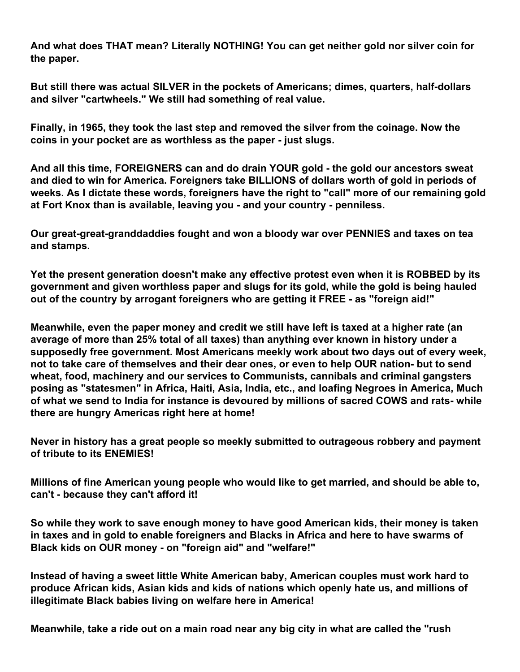**And what does THAT mean? Literally NOTHING! You can get neither gold nor silver coin for the paper.**

**But still there was actual SILVER in the pockets of Americans; dimes, quarters, half-dollars and silver "cartwheels." We still had something of real value.**

**Finally, in 1965, they took the last step and removed the silver from the coinage. Now the coins in your pocket are as worthless as the paper - just slugs.**

**And all this time, FOREIGNERS can and do drain YOUR gold - the gold our ancestors sweat and died to win for America. Foreigners take BILLIONS of dollars worth of gold in periods of weeks. As I dictate these words, foreigners have the right to "call" more of our remaining gold at Fort Knox than is available, leaving you - and your country - penniless.**

**Our great-great-granddaddies fought and won a bloody war over PENNIES and taxes on tea and stamps.**

**Yet the present generation doesn't make any effective protest even when it is ROBBED by its government and given worthless paper and slugs for its gold, while the gold is being hauled out of the country by arrogant foreigners who are getting it FREE - as "foreign aid!"**

**Meanwhile, even the paper money and credit we still have left is taxed at a higher rate (an average of more than 25% total of all taxes) than anything ever known in history under a supposedly free government. Most Americans meekly work about two days out of every week, not to take care of themselves and their dear ones, or even to help OUR nation- but to send wheat, food, machinery and our services to Communists, cannibals and criminal gangsters posing as "statesmen" in Africa, Haiti, Asia, India, etc., and loafing Negroes in America, Much of what we send to India for instance is devoured by millions of sacred COWS and rats- while there are hungry Americas right here at home!**

**Never in history has a great people so meekly submitted to outrageous robbery and payment of tribute to its ENEMIES!**

**Millions of fine American young people who would like to get married, and should be able to, can't - because they can't afford it!**

**So while they work to save enough money to have good American kids, their money is taken in taxes and in gold to enable foreigners and Blacks in Africa and here to have swarms of Black kids on OUR money - on "foreign aid" and "welfare!"**

**Instead of having a sweet little White American baby, American couples must work hard to produce African kids, Asian kids and kids of nations which openly hate us, and millions of illegitimate Black babies living on welfare here in America!**

**Meanwhile, take a ride out on a main road near any big city in what are called the "rush**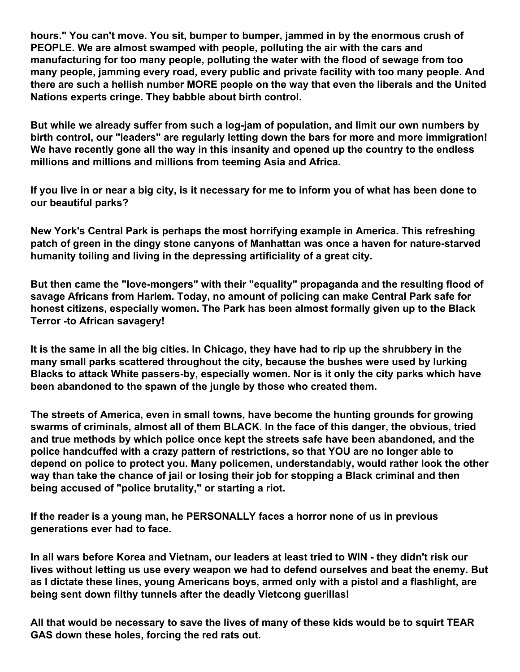**hours." You can't move. You sit, bumper to bumper, jammed in by the enormous crush of PEOPLE. We are almost swamped with people, polluting the air with the cars and manufacturing for too many people, polluting the water with the flood of sewage from too many people, jamming every road, every public and private facility with too many people. And there are such a hellish number MORE people on the way that even the liberals and the United Nations experts cringe. They babble about birth control.**

**But while we already suffer from such a log-jam of population, and limit our own numbers by birth control, our "leaders" are regularly letting down the bars for more and more immigration! We have recently gone all the way in this insanity and opened up the country to the endless millions and millions and millions from teeming Asia and Africa.**

**If you live in or near a big city, is it necessary for me to inform you of what has been done to our beautiful parks?**

**New York's Central Park is perhaps the most horrifying example in America. This refreshing patch of green in the dingy stone canyons of Manhattan was once a haven for nature-starved humanity toiling and living in the depressing artificiality of a great city.**

**But then came the "love-mongers" with their "equality" propaganda and the resulting flood of savage Africans from Harlem. Today, no amount of policing can make Central Park safe for honest citizens, especially women. The Park has been almost formally given up to the Black Terror -to African savagery!**

**It is the same in all the big cities. In Chicago, they have had to rip up the shrubbery in the many small parks scattered throughout the city, because the bushes were used by lurking Blacks to attack White passers-by, especially women. Nor is it only the city parks which have been abandoned to the spawn of the jungle by those who created them.**

**The streets of America, even in small towns, have become the hunting grounds for growing swarms of criminals, almost all of them BLACK. In the face of this danger, the obvious, tried and true methods by which police once kept the streets safe have been abandoned, and the police handcuffed with a crazy pattern of restrictions, so that YOU are no longer able to depend on police to protect you. Many policemen, understandably, would rather look the other way than take the chance of jail or losing their job for stopping a Black criminal and then being accused of "police brutality," or starting a riot.**

**If the reader is a young man, he PERSONALLY faces a horror none of us in previous generations ever had to face.**

**In all wars before Korea and Vietnam, our leaders at least tried to WIN - they didn't risk our lives without letting us use every weapon we had to defend ourselves and beat the enemy. But as I dictate these lines, young Americans boys, armed only with a pistol and a flashlight, are being sent down filthy tunnels after the deadly Vietcong guerillas!**

**All that would be necessary to save the lives of many of these kids would be to squirt TEAR GAS down these holes, forcing the red rats out.**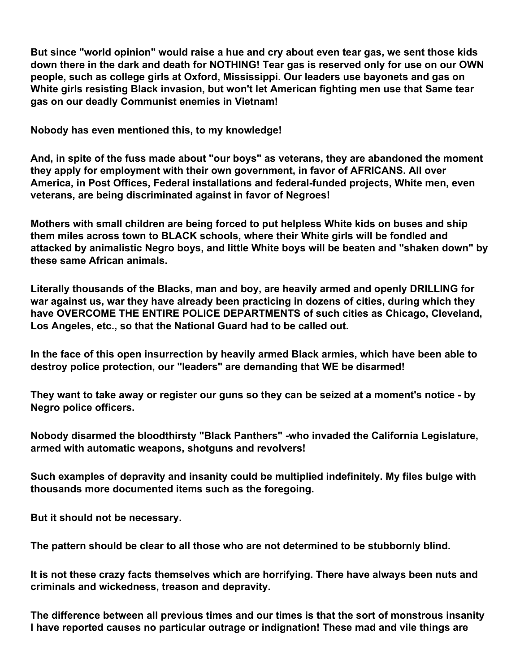**But since "world opinion" would raise a hue and cry about even tear gas, we sent those kids down there in the dark and death for NOTHING! Tear gas is reserved only for use on our OWN people, such as college girls at Oxford, Mississippi. Our leaders use bayonets and gas on White girls resisting Black invasion, but won't let American fighting men use that Same tear gas on our deadly Communist enemies in Vietnam!**

**Nobody has even mentioned this, to my knowledge!**

**And, in spite of the fuss made about "our boys" as veterans, they are abandoned the moment they apply for employment with their own government, in favor of AFRICANS. All over America, in Post Offices, Federal installations and federal-funded projects, White men, even veterans, are being discriminated against in favor of Negroes!**

**Mothers with small children are being forced to put helpless White kids on buses and ship them miles across town to BLACK schools, where their White girls will be fondled and attacked by animalistic Negro boys, and little White boys will be beaten and "shaken down" by these same African animals.**

**Literally thousands of the Blacks, man and boy, are heavily armed and openly DRILLING for war against us, war they have already been practicing in dozens of cities, during which they have OVERCOME THE ENTIRE POLICE DEPARTMENTS of such cities as Chicago, Cleveland, Los Angeles, etc., so that the National Guard had to be called out.**

**In the face of this open insurrection by heavily armed Black armies, which have been able to destroy police protection, our "leaders" are demanding that WE be disarmed!**

**They want to take away or register our guns so they can be seized at a moment's notice - by Negro police officers.**

**Nobody disarmed the bloodthirsty "Black Panthers" -who invaded the California Legislature, armed with automatic weapons, shotguns and revolvers!**

**Such examples of depravity and insanity could be multiplied indefinitely. My files bulge with thousands more documented items such as the foregoing.**

**But it should not be necessary.**

**The pattern should be clear to all those who are not determined to be stubbornly blind.**

**It is not these crazy facts themselves which are horrifying. There have always been nuts and criminals and wickedness, treason and depravity.**

**The difference between all previous times and our times is that the sort of monstrous insanity I have reported causes no particular outrage or indignation! These mad and vile things are**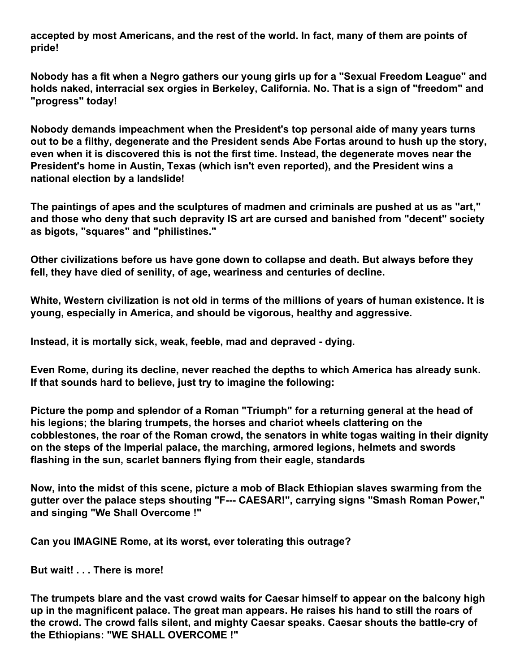**accepted by most Americans, and the rest of the world. In fact, many of them are points of pride!**

**Nobody has a fit when a Negro gathers our young girls up for a "Sexual Freedom League" and holds naked, interracial sex orgies in Berkeley, California. No. That is a sign of "freedom" and "progress" today!**

**Nobody demands impeachment when the President's top personal aide of many years turns out to be a filthy, degenerate and the President sends Abe Fortas around to hush up the story, even when it is discovered this is not the first time. Instead, the degenerate moves near the President's home in Austin, Texas (which isn't even reported), and the President wins a national election by a landslide!**

**The paintings of apes and the sculptures of madmen and criminals are pushed at us as "art," and those who deny that such depravity IS art are cursed and banished from "decent" society as bigots, "squares" and "philistines."**

**Other civilizations before us have gone down to collapse and death. But always before they fell, they have died of senility, of age, weariness and centuries of decline.**

**White, Western civilization is not old in terms of the millions of years of human existence. It is young, especially in America, and should be vigorous, healthy and aggressive.**

**Instead, it is mortally sick, weak, feeble, mad and depraved - dying.**

**Even Rome, during its decline, never reached the depths to which America has already sunk. If that sounds hard to believe, just try to imagine the following:**

**Picture the pomp and splendor of a Roman "Triumph" for a returning general at the head of his legions; the blaring trumpets, the horses and chariot wheels clattering on the cobblestones, the roar of the Roman crowd, the senators in white togas waiting in their dignity on the steps of the Imperial palace, the marching, armored legions, helmets and swords flashing in the sun, scarlet banners flying from their eagle, standards**

**Now, into the midst of this scene, picture a mob of Black Ethiopian slaves swarming from the gutter over the palace steps shouting "F--- CAESAR!", carrying signs "Smash Roman Power," and singing "We Shall Overcome !"**

**Can you IMAGINE Rome, at its worst, ever tolerating this outrage?**

**But wait! . . . There is more!**

**The trumpets blare and the vast crowd waits for Caesar himself to appear on the balcony high up in the magnificent palace. The great man appears. He raises his hand to still the roars of the crowd. The crowd falls silent, and mighty Caesar speaks. Caesar shouts the battle-cry of the Ethiopians: "WE SHALL OVERCOME !"**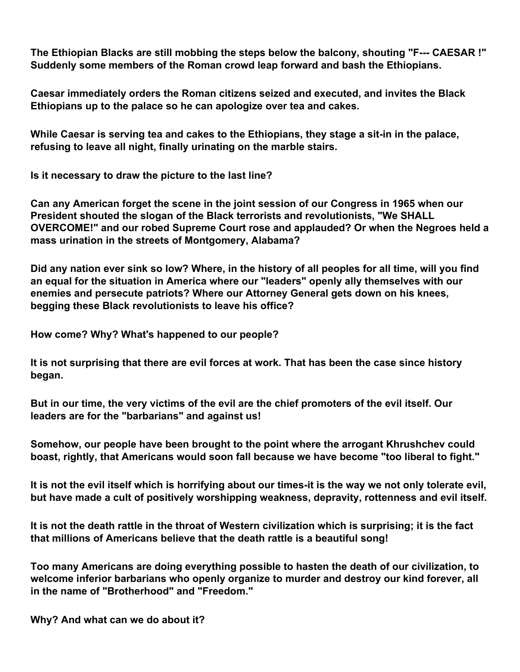**The Ethiopian Blacks are still mobbing the steps below the balcony, shouting "F--- CAESAR !" Suddenly some members of the Roman crowd leap forward and bash the Ethiopians.**

**Caesar immediately orders the Roman citizens seized and executed, and invites the Black Ethiopians up to the palace so he can apologize over tea and cakes.**

**While Caesar is serving tea and cakes to the Ethiopians, they stage a sit-in in the palace, refusing to leave all night, finally urinating on the marble stairs.**

**Is it necessary to draw the picture to the last line?**

**Can any American forget the scene in the joint session of our Congress in 1965 when our President shouted the slogan of the Black terrorists and revolutionists, "We SHALL OVERCOME!" and our robed Supreme Court rose and applauded? Or when the Negroes held a mass urination in the streets of Montgomery, Alabama?**

**Did any nation ever sink so low? Where, in the history of all peoples for all time, will you find an equal for the situation in America where our "leaders" openly ally themselves with our enemies and persecute patriots? Where our Attorney General gets down on his knees, begging these Black revolutionists to leave his office?**

**How come? Why? What's happened to our people?**

**It is not surprising that there are evil forces at work. That has been the case since history began.**

**But in our time, the very victims of the evil are the chief promoters of the evil itself. Our leaders are for the "barbarians" and against us!**

**Somehow, our people have been brought to the point where the arrogant Khrushchev could boast, rightly, that Americans would soon fall because we have become "too liberal to fight."**

**It is not the evil itself which is horrifying about our times-it is the way we not only tolerate evil, but have made a cult of positively worshipping weakness, depravity, rottenness and evil itself.**

**It is not the death rattle in the throat of Western civilization which is surprising; it is the fact that millions of Americans believe that the death rattle is a beautiful song!**

**Too many Americans are doing everything possible to hasten the death of our civilization, to welcome inferior barbarians who openly organize to murder and destroy our kind forever, all in the name of "Brotherhood" and "Freedom."**

**Why? And what can we do about it?**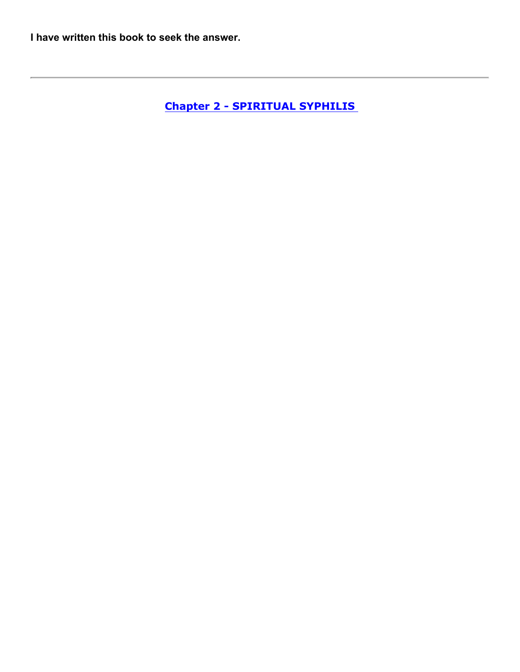**I have written this book to seek the answer.**

**[Chapter 2 - SPIRITUAL SYPHILIS](#page-16-0)**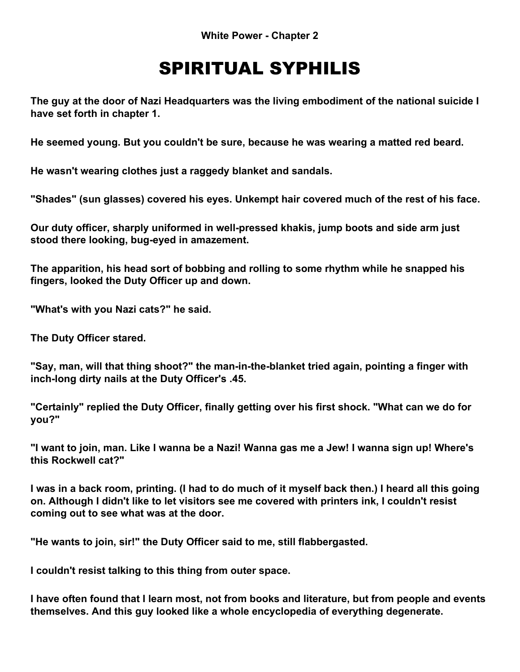## SPIRITUAL SYPHILIS

<span id="page-16-0"></span>**The guy at the door of Nazi Headquarters was the living embodiment of the national suicide I have set forth in chapter 1.**

**He seemed young. But you couldn't be sure, because he was wearing a matted red beard.**

**He wasn't wearing clothes just a raggedy blanket and sandals.**

**"Shades" (sun glasses) covered his eyes. Unkempt hair covered much of the rest of his face.**

**Our duty officer, sharply uniformed in well-pressed khakis, jump boots and side arm just stood there looking, bug-eyed in amazement.**

**The apparition, his head sort of bobbing and rolling to some rhythm while he snapped his fingers, looked the Duty Officer up and down.**

**"What's with you Nazi cats?" he said.**

**The Duty Officer stared.**

**"Say, man, will that thing shoot?" the man-in-the-blanket tried again, pointing a finger with inch-long dirty nails at the Duty Officer's .45.**

**"Certainly" replied the Duty Officer, finally getting over his first shock. "What can we do for you?"**

**"I want to join, man. Like I wanna be a Nazi! Wanna gas me a Jew! I wanna sign up! Where's this Rockwell cat?"**

**I was in a back room, printing. (I had to do much of it myself back then.) I heard all this going on. Although I didn't like to let visitors see me covered with printers ink, I couldn't resist coming out to see what was at the door.**

**"He wants to join, sir!" the Duty Officer said to me, still flabbergasted.**

**I couldn't resist talking to this thing from outer space.**

**I have often found that I learn most, not from books and literature, but from people and events themselves. And this guy looked like a whole encyclopedia of everything degenerate.**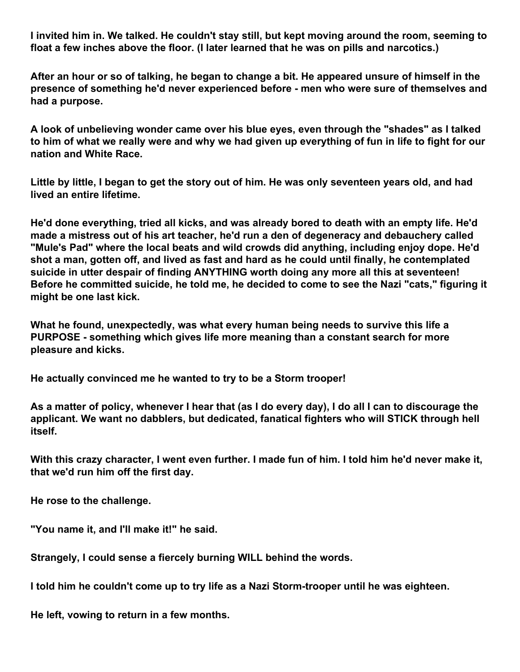**I invited him in. We talked. He couldn't stay still, but kept moving around the room, seeming to float a few inches above the floor. (I later learned that he was on pills and narcotics.)**

**After an hour or so of talking, he began to change a bit. He appeared unsure of himself in the presence of something he'd never experienced before - men who were sure of themselves and had a purpose.**

**A look of unbelieving wonder came over his blue eyes, even through the "shades" as I talked to him of what we really were and why we had given up everything of fun in life to fight for our nation and White Race.**

**Little by little, I began to get the story out of him. He was only seventeen years old, and had lived an entire lifetime.**

**He'd done everything, tried all kicks, and was already bored to death with an empty life. He'd made a mistress out of his art teacher, he'd run a den of degeneracy and debauchery called "Mule's Pad" where the local beats and wild crowds did anything, including enjoy dope. He'd shot a man, gotten off, and lived as fast and hard as he could until finally, he contemplated suicide in utter despair of finding ANYTHING worth doing any more all this at seventeen! Before he committed suicide, he told me, he decided to come to see the Nazi "cats," figuring it might be one last kick.**

**What he found, unexpectedly, was what every human being needs to survive this life a PURPOSE - something which gives life more meaning than a constant search for more pleasure and kicks.**

**He actually convinced me he wanted to try to be a Storm trooper!**

**As a matter of policy, whenever I hear that (as I do every day), I do all I can to discourage the applicant. We want no dabblers, but dedicated, fanatical fighters who will STICK through hell itself.**

**With this crazy character, I went even further. I made fun of him. I told him he'd never make it, that we'd run him off the first day.**

**He rose to the challenge.**

**"You name it, and I'll make it!" he said.**

**Strangely, I could sense a fiercely burning WILL behind the words.**

**I told him he couldn't come up to try life as a Nazi Storm-trooper until he was eighteen.**

**He left, vowing to return in a few months.**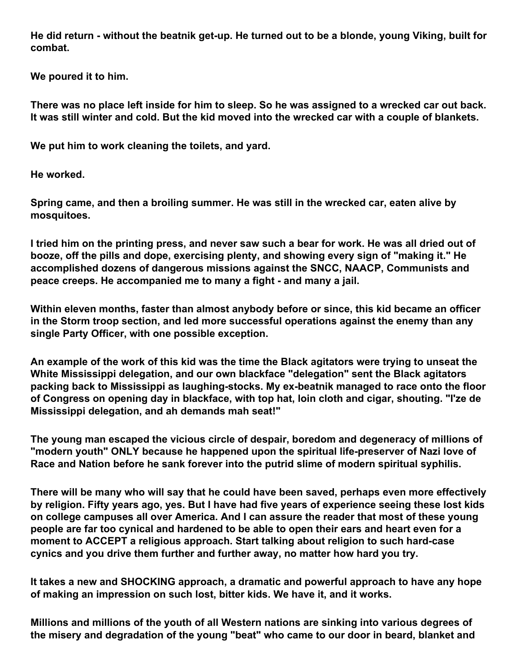**He did return - without the beatnik get-up. He turned out to be a blonde, young Viking, built for combat.**

**We poured it to him.**

**There was no place left inside for him to sleep. So he was assigned to a wrecked car out back. It was still winter and cold. But the kid moved into the wrecked car with a couple of blankets.**

**We put him to work cleaning the toilets, and yard.**

**He worked.**

**Spring came, and then a broiling summer. He was still in the wrecked car, eaten alive by mosquitoes.**

**I tried him on the printing press, and never saw such a bear for work. He was all dried out of booze, off the pills and dope, exercising plenty, and showing every sign of "making it." He accomplished dozens of dangerous missions against the SNCC, NAACP, Communists and peace creeps. He accompanied me to many a fight - and many a jail.**

**Within eleven months, faster than almost anybody before or since, this kid became an officer in the Storm troop section, and led more successful operations against the enemy than any single Party Officer, with one possible exception.**

**An example of the work of this kid was the time the Black agitators were trying to unseat the White Mississippi delegation, and our own blackface "delegation" sent the Black agitators packing back to Mississippi as laughing-stocks. My ex-beatnik managed to race onto the floor of Congress on opening day in blackface, with top hat, loin cloth and cigar, shouting. "I'ze de Mississippi delegation, and ah demands mah seat!"**

**The young man escaped the vicious circle of despair, boredom and degeneracy of millions of "modern youth" ONLY because he happened upon the spiritual life-preserver of Nazi love of Race and Nation before he sank forever into the putrid slime of modern spiritual syphilis.**

**There will be many who will say that he could have been saved, perhaps even more effectively by religion. Fifty years ago, yes. But I have had five years of experience seeing these lost kids on college campuses all over America. And I can assure the reader that most of these young people are far too cynical and hardened to be able to open their ears and heart even for a moment to ACCEPT a religious approach. Start talking about religion to such hard-case cynics and you drive them further and further away, no matter how hard you try.**

**It takes a new and SHOCKING approach, a dramatic and powerful approach to have any hope of making an impression on such lost, bitter kids. We have it, and it works.**

**Millions and millions of the youth of all Western nations are sinking into various degrees of the misery and degradation of the young "beat" who came to our door in beard, blanket and**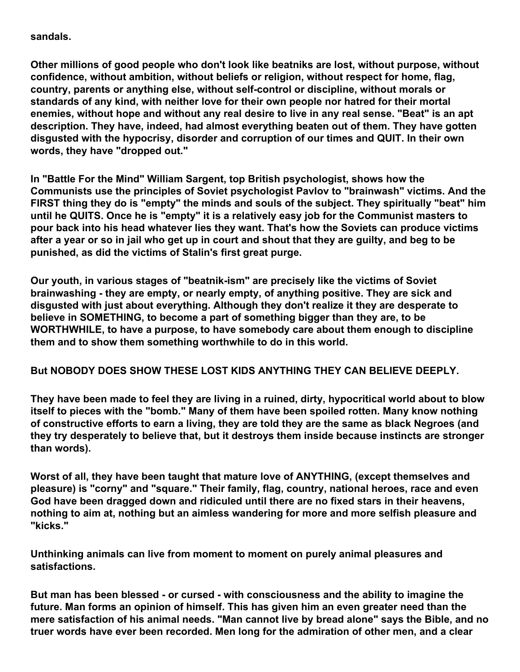#### **sandals.**

**Other millions of good people who don't look like beatniks are lost, without purpose, without confidence, without ambition, without beliefs or religion, without respect for home, flag, country, parents or anything else, without self-control or discipline, without morals or standards of any kind, with neither love for their own people nor hatred for their mortal enemies, without hope and without any real desire to live in any real sense. "Beat" is an apt description. They have, indeed, had almost everything beaten out of them. They have gotten disgusted with the hypocrisy, disorder and corruption of our times and QUIT. In their own words, they have "dropped out."**

**In "Battle For the Mind" William Sargent, top British psychologist, shows how the Communists use the principles of Soviet psychologist Pavlov to "brainwash" victims. And the FIRST thing they do is "empty" the minds and souls of the subject. They spiritually "beat" him until he QUITS. Once he is "empty" it is a relatively easy job for the Communist masters to pour back into his head whatever lies they want. That's how the Soviets can produce victims after a year or so in jail who get up in court and shout that they are guilty, and beg to be punished, as did the victims of Stalin's first great purge.**

**Our youth, in various stages of "beatnik-ism" are precisely like the victims of Soviet brainwashing - they are empty, or nearly empty, of anything positive. They are sick and disgusted with just about everything. Although they don't realize it they are desperate to believe in SOMETHING, to become a part of something bigger than they are, to be WORTHWHILE, to have a purpose, to have somebody care about them enough to discipline them and to show them something worthwhile to do in this world.**

### **But NOBODY DOES SHOW THESE LOST KIDS ANYTHING THEY CAN BELIEVE DEEPLY.**

**They have been made to feel they are living in a ruined, dirty, hypocritical world about to blow itself to pieces with the "bomb." Many of them have been spoiled rotten. Many know nothing of constructive efforts to earn a living, they are told they are the same as black Negroes (and they try desperately to believe that, but it destroys them inside because instincts are stronger than words).**

**Worst of all, they have been taught that mature love of ANYTHING, (except themselves and pleasure) is "corny" and "square." Their family, flag, country, national heroes, race and even God have been dragged down and ridiculed until there are no fixed stars in their heavens, nothing to aim at, nothing but an aimless wandering for more and more selfish pleasure and "kicks."**

**Unthinking animals can live from moment to moment on purely animal pleasures and satisfactions.**

**But man has been blessed - or cursed - with consciousness and the ability to imagine the future. Man forms an opinion of himself. This has given him an even greater need than the mere satisfaction of his animal needs. "Man cannot live by bread alone" says the Bible, and no truer words have ever been recorded. Men long for the admiration of other men, and a clear**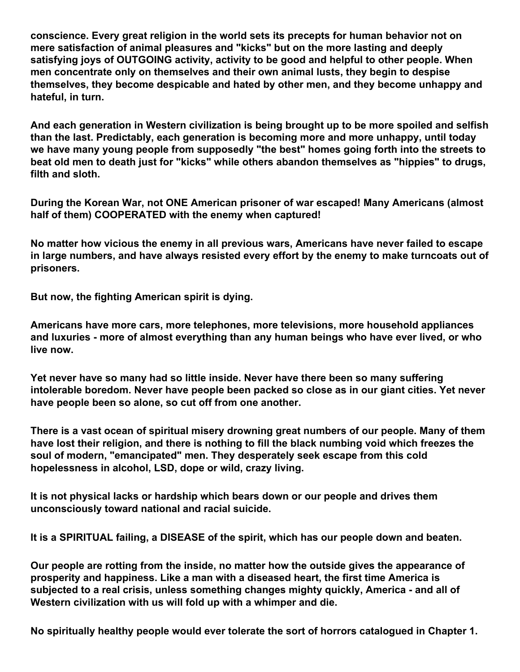**conscience. Every great religion in the world sets its precepts for human behavior not on mere satisfaction of animal pleasures and "kicks" but on the more lasting and deeply satisfying joys of OUTGOING activity, activity to be good and helpful to other people. When men concentrate only on themselves and their own animal lusts, they begin to despise themselves, they become despicable and hated by other men, and they become unhappy and hateful, in turn.**

**And each generation in Western civilization is being brought up to be more spoiled and selfish than the last. Predictably, each generation is becoming more and more unhappy, until today we have many young people from supposedly "the best" homes going forth into the streets to beat old men to death just for "kicks" while others abandon themselves as "hippies" to drugs, filth and sloth.**

**During the Korean War, not ONE American prisoner of war escaped! Many Americans (almost half of them) COOPERATED with the enemy when captured!**

**No matter how vicious the enemy in all previous wars, Americans have never failed to escape in large numbers, and have always resisted every effort by the enemy to make turncoats out of prisoners.**

**But now, the fighting American spirit is dying.**

**Americans have more cars, more telephones, more televisions, more household appliances and luxuries - more of almost everything than any human beings who have ever lived, or who live now.**

**Yet never have so many had so little inside. Never have there been so many suffering intolerable boredom. Never have people been packed so close as in our giant cities. Yet never have people been so alone, so cut off from one another.**

**There is a vast ocean of spiritual misery drowning great numbers of our people. Many of them have lost their religion, and there is nothing to fill the black numbing void which freezes the soul of modern, "emancipated" men. They desperately seek escape from this cold hopelessness in alcohol, LSD, dope or wild, crazy living.**

**It is not physical lacks or hardship which bears down or our people and drives them unconsciously toward national and racial suicide.**

**It is a SPIRITUAL failing, a DISEASE of the spirit, which has our people down and beaten.**

**Our people are rotting from the inside, no matter how the outside gives the appearance of prosperity and happiness. Like a man with a diseased heart, the first time America is subjected to a real crisis, unless something changes mighty quickly, America - and all of Western civilization with us will fold up with a whimper and die.**

**No spiritually healthy people would ever tolerate the sort of horrors catalogued in Chapter 1.**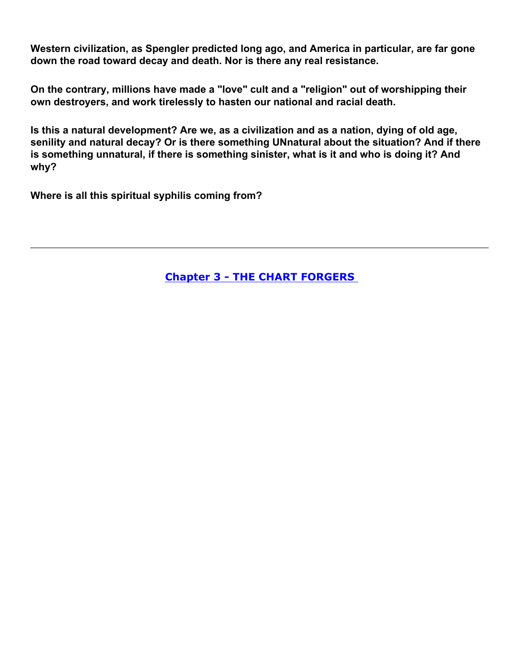**Western civilization, as Spengler predicted long ago, and America in particular, are far gone down the road toward decay and death. Nor is there any real resistance.**

**On the contrary, millions have made a "love" cult and a "religion" out of worshipping their own destroyers, and work tirelessly to hasten our national and racial death.**

**Is this a natural development? Are we, as a civilization and as a nation, dying of old age, senility and natural decay? Or is there something UNnatural about the situation? And if there is something unnatural, if there is something sinister, what is it and who is doing it? And why?**

**Where is all this spiritual syphilis coming from?**

**[Chapter 3 - THE CHART FORGERS](#page-22-0)**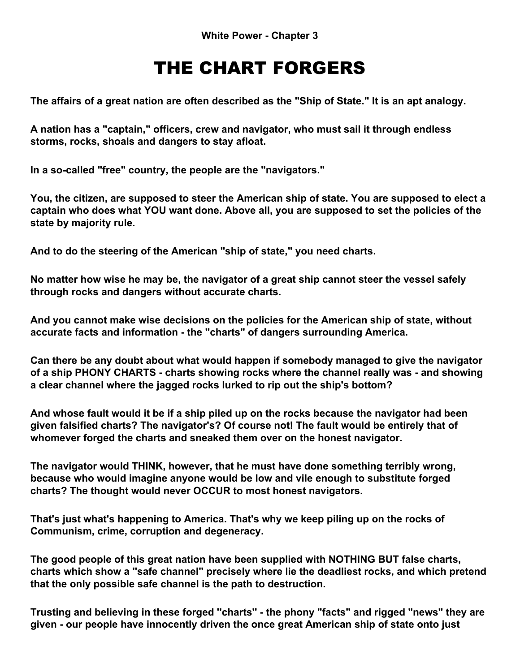## THE CHART FORGERS

<span id="page-22-0"></span>**The affairs of a great nation are often described as the "Ship of State." It is an apt analogy.**

**A nation has a "captain," officers, crew and navigator, who must sail it through endless storms, rocks, shoals and dangers to stay afloat.**

**In a so-called "free" country, the people are the "navigators."**

**You, the citizen, are supposed to steer the American ship of state. You are supposed to elect a captain who does what YOU want done. Above all, you are supposed to set the policies of the state by majority rule.**

**And to do the steering of the American "ship of state," you need charts.**

**No matter how wise he may be, the navigator of a great ship cannot steer the vessel safely through rocks and dangers without accurate charts.**

**And you cannot make wise decisions on the policies for the American ship of state, without accurate facts and information - the "charts" of dangers surrounding America.**

**Can there be any doubt about what would happen if somebody managed to give the navigator of a ship PHONY CHARTS - charts showing rocks where the channel really was - and showing a clear channel where the jagged rocks lurked to rip out the ship's bottom?**

**And whose fault would it be if a ship piled up on the rocks because the navigator had been given falsified charts? The navigator's? Of course not! The fault would be entirely that of whomever forged the charts and sneaked them over on the honest navigator.**

**The navigator would THINK, however, that he must have done something terribly wrong, because who would imagine anyone would be low and vile enough to substitute forged charts? The thought would never OCCUR to most honest navigators.**

**That's just what's happening to America. That's why we keep piling up on the rocks of Communism, crime, corruption and degeneracy.**

**The good people of this great nation have been supplied with NOTHING BUT false charts, charts which show a ''safe channel'' precisely where lie the deadliest rocks, and which pretend that the only possible safe channel is the path to destruction.**

**Trusting and believing in these forged ''charts'' - the phony "facts" and rigged "news" they are given - our people have innocently driven the once great American ship of state onto just**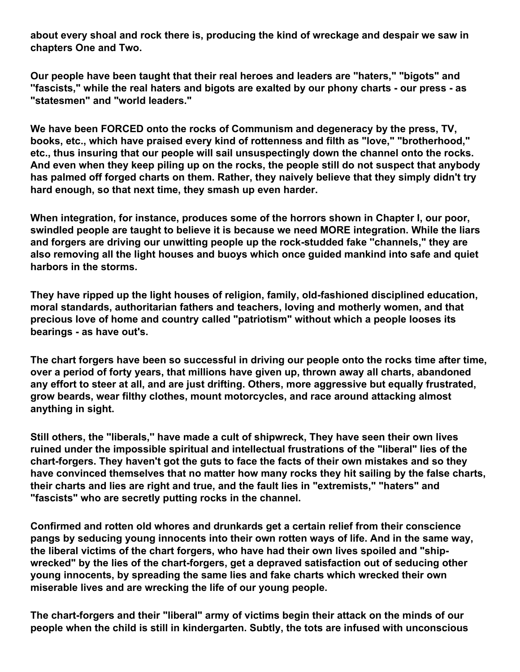**about every shoal and rock there is, producing the kind of wreckage and despair we saw in chapters One and Two.**

**Our people have been taught that their real heroes and leaders are ''haters," "bigots" and ''fascists," while the real haters and bigots are exalted by our phony charts - our press - as "statesmen" and "world leaders."**

**We have been FORCED onto the rocks of Communism and degeneracy by the press, TV, books, etc., which have praised every kind of rottenness and filth as "love," "brotherhood," etc., thus insuring that our people will sail unsuspectingly down the channel onto the rocks. And even when they keep piling up on the rocks, the people still do not suspect that anybody has palmed off forged charts on them. Rather, they naively believe that they simply didn't try hard enough, so that next time, they smash up even harder.**

**When integration, for instance, produces some of the horrors shown in Chapter I, our poor, swindled people are taught to believe it is because we need MORE integration. While the liars and forgers are driving our unwitting people up the rock-studded fake ''channels," they are also removing all the light houses and buoys which once guided mankind into safe and quiet harbors in the storms.**

**They have ripped up the light houses of religion, family, old-fashioned disciplined education, moral standards, authoritarian fathers and teachers, loving and motherly women, and that precious love of home and country called "patriotism" without which a people looses its bearings - as have out's.**

**The chart forgers have been so successful in driving our people onto the rocks time after time, over a period of forty years, that millions have given up, thrown away all charts, abandoned any effort to steer at all, and are just drifting. Others, more aggressive but equally frustrated, grow beards, wear filthy clothes, mount motorcycles, and race around attacking almost anything in sight.**

**Still others, the ''liberals,'' have made a cult of shipwreck, They have seen their own lives ruined under the impossible spiritual and intellectual frustrations of the "liberal" lies of the chart-forgers. They haven't got the guts to face the facts of their own mistakes and so they have convinced themselves that no matter how many rocks they hit sailing by the false charts, their charts and lies are right and true, and the fault lies in "extremists," "haters" and "fascists" who are secretly putting rocks in the channel.**

**Confirmed and rotten old whores and drunkards get a certain relief from their conscience pangs by seducing young innocents into their own rotten ways of life. And in the same way, the liberal victims of the chart forgers, who have had their own lives spoiled and "shipwrecked" by the lies of the chart-forgers, get a depraved satisfaction out of seducing other young innocents, by spreading the same lies and fake charts which wrecked their own miserable lives and are wrecking the life of our young people.**

**The chart-forgers and their "liberal" army of victims begin their attack on the minds of our people when the child is still in kindergarten. Subtly, the tots are infused with unconscious**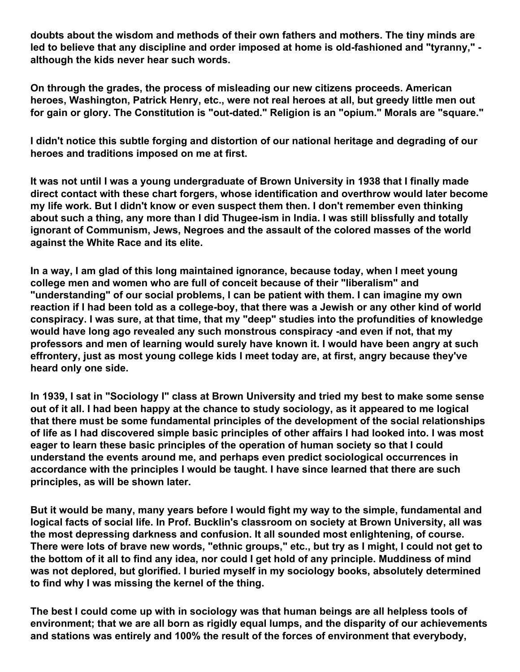**doubts about the wisdom and methods of their own fathers and mothers. The tiny minds are led to believe that any discipline and order imposed at home is old-fashioned and "tyranny," although the kids never hear such words.**

**On through the grades, the process of misleading our new citizens proceeds. American heroes, Washington, Patrick Henry, etc., were not real heroes at all, but greedy little men out for gain or glory. The Constitution is "out-dated." Religion is an "opium." Morals are "square."**

**I didn't notice this subtle forging and distortion of our national heritage and degrading of our heroes and traditions imposed on me at first.**

**It was not until I was a young undergraduate of Brown University in 1938 that I finally made direct contact with these chart forgers, whose identification and overthrow would later become my life work. But I didn't know or even suspect them then. I don't remember even thinking about such a thing, any more than I did Thugee-ism in India. I was still blissfully and totally ignorant of Communism, Jews, Negroes and the assault of the colored masses of the world against the White Race and its elite.**

**In a way, I am glad of this long maintained ignorance, because today, when I meet young college men and women who are full of conceit because of their "liberalism" and "understanding" of our social problems, I can be patient with them. I can imagine my own reaction if I had been told as a college-boy, that there was a Jewish or any other kind of world conspiracy. I was sure, at that time, that my "deep" studies into the profundities of knowledge would have long ago revealed any such monstrous conspiracy -and even if not, that my professors and men of learning would surely have known it. I would have been angry at such effrontery, just as most young college kids I meet today are, at first, angry because they've heard only one side.**

**In 1939, I sat in "Sociology I" class at Brown University and tried my best to make some sense out of it all. I had been happy at the chance to study sociology, as it appeared to me logical that there must be some fundamental principles of the development of the social relationships of life as I had discovered simple basic principles of other affairs I had looked into. I was most eager to learn these basic principles of the operation of human society so that I could understand the events around me, and perhaps even predict sociological occurrences in accordance with the principles I would be taught. I have since learned that there are such principles, as will be shown later.**

**But it would be many, many years before I would fight my way to the simple, fundamental and logical facts of social life. In Prof. Bucklin's classroom on society at Brown University, all was the most depressing darkness and confusion. It all sounded most enlightening, of course. There were lots of brave new words, "ethnic groups," etc., but try as I might, I could not get to the bottom of it all to find any idea, nor could I get hold of any principle. Muddiness of mind was not deplored, but glorified. I buried myself in my sociology books, absolutely determined to find why I was missing the kernel of the thing.**

**The best I could come up with in sociology was that human beings are all helpless tools of environment; that we are all born as rigidly equal lumps, and the disparity of our achievements and stations was entirely and 100% the result of the forces of environment that everybody,**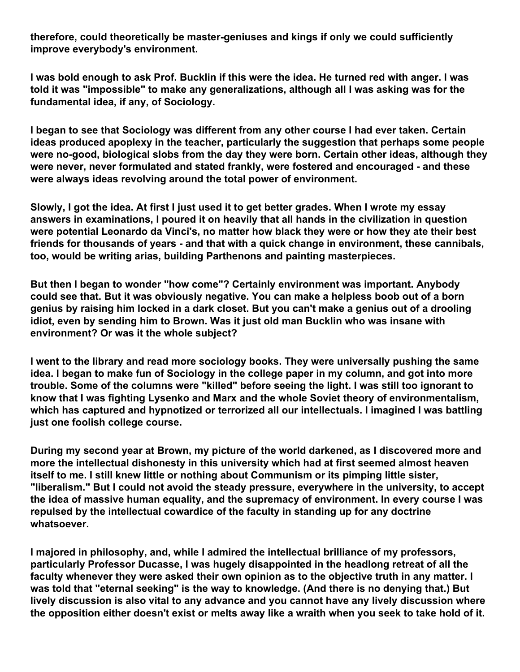**therefore, could theoretically be master-geniuses and kings if only we could sufficiently improve everybody's environment.**

**I was bold enough to ask Prof. Bucklin if this were the idea. He turned red with anger. I was told it was "impossible" to make any generalizations, although all I was asking was for the fundamental idea, if any, of Sociology.**

**I began to see that Sociology was different from any other course I had ever taken. Certain ideas produced apoplexy in the teacher, particularly the suggestion that perhaps some people were no-good, biological slobs from the day they were born. Certain other ideas, although they were never, never formulated and stated frankly, were fostered and encouraged - and these were always ideas revolving around the total power of environment.**

**Slowly, I got the idea. At first I just used it to get better grades. When I wrote my essay answers in examinations, I poured it on heavily that all hands in the civilization in question were potential Leonardo da Vinci's, no matter how black they were or how they ate their best friends for thousands of years - and that with a quick change in environment, these cannibals, too, would be writing arias, building Parthenons and painting masterpieces.**

**But then I began to wonder "how come"? Certainly environment was important. Anybody could see that. But it was obviously negative. You can make a helpless boob out of a born genius by raising him locked in a dark closet. But you can't make a genius out of a drooling idiot, even by sending him to Brown. Was it just old man Bucklin who was insane with environment? Or was it the whole subject?**

**I went to the library and read more sociology books. They were universally pushing the same idea. I began to make fun of Sociology in the college paper in my column, and got into more trouble. Some of the columns were "killed" before seeing the light. I was still too ignorant to know that I was fighting Lysenko and Marx and the whole Soviet theory of environmentalism, which has captured and hypnotized or terrorized all our intellectuals. I imagined I was battling just one foolish college course.**

**During my second year at Brown, my picture of the world darkened, as I discovered more and more the intellectual dishonesty in this university which had at first seemed almost heaven itself to me. I still knew little or nothing about Communism or its pimping little sister, "liberalism." But I could not avoid the steady pressure, everywhere in the university, to accept the idea of massive human equality, and the supremacy of environment. In every course I was repulsed by the intellectual cowardice of the faculty in standing up for any doctrine whatsoever.**

**I majored in philosophy, and, while I admired the intellectual brilliance of my professors, particularly Professor Ducasse, I was hugely disappointed in the headlong retreat of all the faculty whenever they were asked their own opinion as to the objective truth in any matter. I was told that "eternal seeking" is the way to knowledge. (And there is no denying that.) But lively discussion is also vital to any advance and you cannot have any lively discussion where the opposition either doesn't exist or melts away like a wraith when you seek to take hold of it.**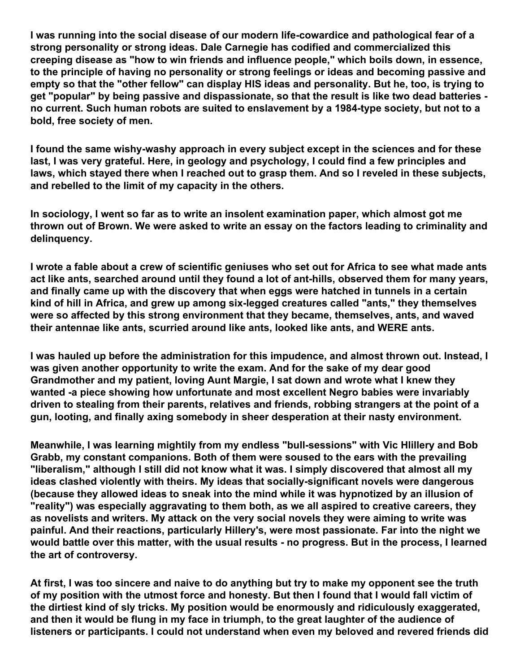**I was running into the social disease of our modern life-cowardice and pathological fear of a strong personality or strong ideas. Dale Carnegie has codified and commercialized this creeping disease as "how to win friends and influence people," which boils down, in essence, to the principle of having no personality or strong feelings or ideas and becoming passive and empty so that the "other fellow" can display HIS ideas and personality. But he, too, is trying to get "popular" by being passive and dispassionate, so that the result is like two dead batteries no current. Such human robots are suited to enslavement by a 1984-type society, but not to a bold, free society of men.**

**I found the same wishy-washy approach in every subject except in the sciences and for these last, I was very grateful. Here, in geology and psychology, I could find a few principles and laws, which stayed there when I reached out to grasp them. And so I reveled in these subjects, and rebelled to the limit of my capacity in the others.**

**In sociology, I went so far as to write an insolent examination paper, which almost got me thrown out of Brown. We were asked to write an essay on the factors leading to criminality and delinquency.**

**I wrote a fable about a crew of scientific geniuses who set out for Africa to see what made ants act like ants, searched around until they found a lot of ant-hills, observed them for many years, and finally came up with the discovery that when eggs were hatched in tunnels in a certain kind of hill in Africa, and grew up among six-legged creatures called "ants," they themselves were so affected by this strong environment that they became, themselves, ants, and waved their antennae like ants, scurried around like ants, looked like ants, and WERE ants.**

**I was hauled up before the administration for this impudence, and almost thrown out. Instead, I was given another opportunity to write the exam. And for the sake of my dear good Grandmother and my patient, loving Aunt Margie, I sat down and wrote what I knew they wanted -a piece showing how unfortunate and most excellent Negro babies were invariably driven to stealing from their parents, relatives and friends, robbing strangers at the point of a gun, looting, and finally axing somebody in sheer desperation at their nasty environment.**

**Meanwhile, I was learning mightily from my endless "bull-sessions" with Vic Hlillery and Bob Grabb, my constant companions. Both of them were soused to the ears with the prevailing "liberalism," although I still did not know what it was. I simply discovered that almost all my ideas clashed violently with theirs. My ideas that socially-significant novels were dangerous (because they allowed ideas to sneak into the mind while it was hypnotized by an illusion of "reality") was especially aggravating to them both, as we all aspired to creative careers, they as novelists and writers. My attack on the very social novels they were aiming to write was painful. And their reactions, particularly Hillery's, were most passionate. Far into the night we would battle over this matter, with the usual results - no progress. But in the process, I learned the art of controversy.**

**At first, I was too sincere and naive to do anything but try to make my opponent see the truth of my position with the utmost force and honesty. But then I found that I would fall victim of the dirtiest kind of sly tricks. My position would be enormously and ridiculously exaggerated, and then it would be flung in my face in triumph, to the great laughter of the audience of listeners or participants. I could not understand when even my beloved and revered friends did**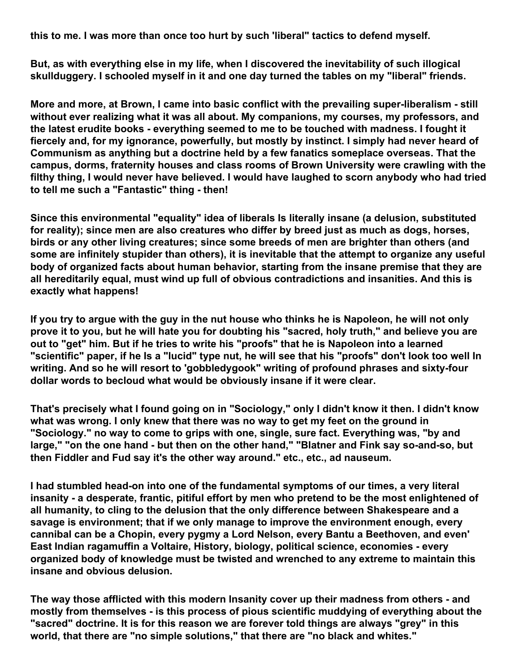**this to me. I was more than once too hurt by such 'liberal" tactics to defend myself.**

**But, as with everything else in my life, when I discovered the inevitability of such illogical skullduggery. I schooled myself in it and one day turned the tables on my "liberal" friends.**

**More and more, at Brown, I came into basic conflict with the prevailing super-liberalism - still without ever realizing what it was all about. My companions, my courses, my professors, and the latest erudite books - everything seemed to me to be touched with madness. I fought it fiercely and, for my ignorance, powerfully, but mostly by instinct. I simply had never heard of Communism as anything but a doctrine held by a few fanatics someplace overseas. That the campus, dorms, fraternity houses and class rooms of Brown University were crawling with the filthy thing, I would never have believed. I would have laughed to scorn anybody who had tried to tell me such a "Fantastic" thing - then!**

**Since this environmental "equality" idea of liberals Is literally insane (a delusion, substituted for reality); since men are also creatures who differ by breed just as much as dogs, horses, birds or any other living creatures; since some breeds of men are brighter than others (and some are infinitely stupider than others), it is inevitable that the attempt to organize any useful body of organized facts about human behavior, starting from the insane premise that they are all hereditarily equal, must wind up full of obvious contradictions and insanities. And this is exactly what happens!**

**If you try to argue with the guy in the nut house who thinks he is Napoleon, he will not only prove it to you, but he will hate you for doubting his "sacred, holy truth," and believe you are out to "get" him. But if he tries to write his "proofs" that he is Napoleon into a learned "scientific" paper, if he Is a "lucid" type nut, he will see that his "proofs" don't look too well In writing. And so he will resort to 'gobbledygook" writing of profound phrases and sixty-four dollar words to becloud what would be obviously insane if it were clear.**

**That's precisely what I found going on in "Sociology," only I didn't know it then. I didn't know what was wrong. I only knew that there was no way to get my feet on the ground in "Sociology." no way to come to grips with one, single, sure fact. Everything was, "by and large," "on the one hand - but then on the other hand," "Blatner and Fink say so-and-so, but then Fiddler and Fud say it's the other way around." etc., etc., ad nauseum.**

**I had stumbled head-on into one of the fundamental symptoms of our times, a very literal insanity - a desperate, frantic, pitiful effort by men who pretend to be the most enlightened of all humanity, to cling to the delusion that the only difference between Shakespeare and a savage is environment; that if we only manage to improve the environment enough, every cannibal can be a Chopin, every pygmy a Lord Nelson, every Bantu a Beethoven, and even' East Indian ragamuffin a Voltaire, History, biology, political science, economies - every organized body of knowledge must be twisted and wrenched to any extreme to maintain this insane and obvious delusion.**

**The way those afflicted with this modern Insanity cover up their madness from others - and mostly from themselves - is this process of pious scientific muddying of everything about the "sacred" doctrine. It is for this reason we are forever told things are always "grey" in this world, that there are "no simple solutions," that there are "no black and whites."**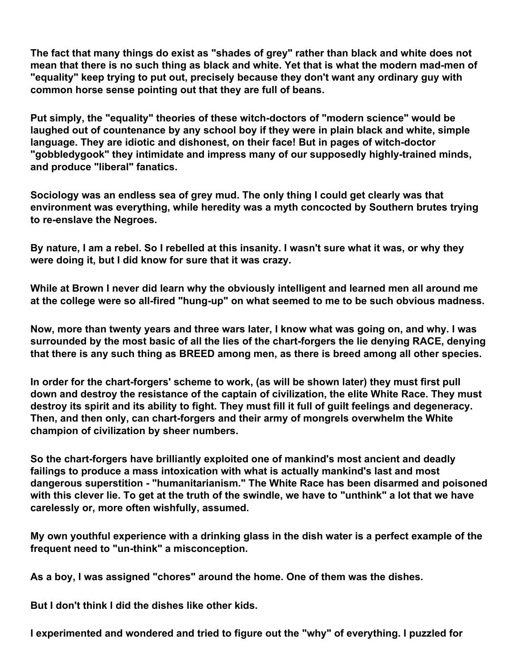**The fact that many things do exist as "shades of grey" rather than black and white does not mean that there is no such thing as black and white. Yet that is what the modern mad-men of "equality" keep trying to put out, precisely because they don't want any ordinary guy with common horse sense pointing out that they are full of beans.**

**Put simply, the "equality" theories of these witch-doctors of "modern science" would be laughed out of countenance by any school boy if they were in plain black and white, simple language. They are idiotic and dishonest, on their face! But in pages of witch-doctor "gobbledygook" they intimidate and impress many of our supposedly highly-trained minds, and produce "liberal" fanatics.**

**Sociology was an endless sea of grey mud. The only thing I could get clearly was that environment was everything, while heredity was a myth concocted by Southern brutes trying to re-enslave the Negroes.**

**By nature, I am a rebel. So I rebelled at this insanity. I wasn't sure what it was, or why they were doing it, but I did know for sure that it was crazy.**

**While at Brown I never did learn why the obviously intelligent and learned men all around me at the college were so all-fired "hung-up" on what seemed to me to be such obvious madness.**

**Now, more than twenty years and three wars later, I know what was going on, and why. I was surrounded by the most basic of all the lies of the chart-forgers the lie denying RACE, denying that there is any such thing as BREED among men, as there is breed among all other species.**

**In order for the chart-forgers' scheme to work, (as will be shown later) they must first pull down and destroy the resistance of the captain of civilization, the elite White Race. They must destroy its spirit and its ability to fight. They must fill it full of guilt feelings and degeneracy. Then, and then only, can chart-forgers and their army of mongrels overwhelm the White champion of civilization by sheer numbers.**

**So the chart-forgers have brilliantly exploited one of mankind's most ancient and deadly failings to produce a mass intoxication with what is actually mankind's last and most dangerous superstition - "humanitarianism." The White Race has been disarmed and poisoned with this clever lie. To get at the truth of the swindle, we have to "unthink" a lot that we have carelessly or, more often wishfully, assumed.**

**My own youthful experience with a drinking glass in the dish water is a perfect example of the frequent need to "un-think" a misconception.**

**As a boy, I was assigned "chores" around the home. One of them was the dishes.**

**But I don't think I did the dishes like other kids.**

**I experimented and wondered and tried to figure out the "why" of everything. I puzzled for**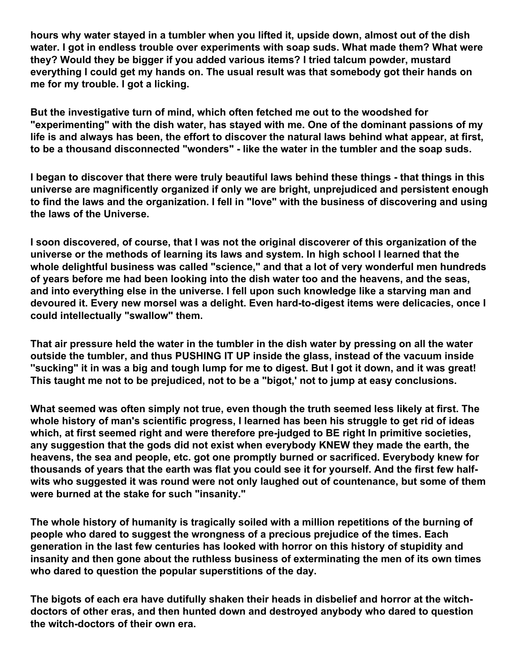**hours why water stayed in a tumbler when you lifted it, upside down, almost out of the dish water. I got in endless trouble over experiments with soap suds. What made them? What were they? Would they be bigger if you added various items? I tried talcum powder, mustard everything I could get my hands on. The usual result was that somebody got their hands on me for my trouble. I got a licking.**

**But the investigative turn of mind, which often fetched me out to the woodshed for "experimenting" with the dish water, has stayed with me. One of the dominant passions of my life is and always has been, the effort to discover the natural laws behind what appear, at first, to be a thousand disconnected "wonders" - like the water in the tumbler and the soap suds.**

**I began to discover that there were truly beautiful laws behind these things - that things in this universe are magnificently organized if only we are bright, unprejudiced and persistent enough to find the laws and the organization. I fell in "love" with the business of discovering and using the laws of the Universe.**

**I soon discovered, of course, that I was not the original discoverer of this organization of the universe or the methods of learning its laws and system. In high school I learned that the whole delightful business was called "science," and that a lot of very wonderful men hundreds of years before me had been looking into the dish water too and the heavens, and the seas, and into everything else in the universe. I fell upon such knowledge like a starving man and devoured it. Every new morsel was a delight. Even hard-to-digest items were delicacies, once I could intellectually "swallow'' them.**

**That air pressure held the water in the tumbler in the dish water by pressing on all the water outside the tumbler, and thus PUSHING IT UP inside the glass, instead of the vacuum inside ''sucking" it in was a big and tough lump for me to digest. But I got it down, and it was great! This taught me not to be prejudiced, not to be a "bigot,' not to jump at easy conclusions.**

**What seemed was often simply not true, even though the truth seemed less likely at first. The whole history of man's scientific progress, I learned has been his struggle to get rid of ideas which, at first seemed right and were therefore pre-judged to BE right In primitive societies, any suggestion that the gods did not exist when everybody KNEW they made the earth, the heavens, the sea and people, etc. got one promptly burned or sacrificed. Everybody knew for thousands of years that the earth was flat you could see it for yourself. And the first few halfwits who suggested it was round were not only laughed out of countenance, but some of them were burned at the stake for such "insanity."**

**The whole history of humanity is tragically soiled with a million repetitions of the burning of people who dared to suggest the wrongness of a precious prejudice of the times. Each generation in the last few centuries has looked with horror on this history of stupidity and insanity and then gone about the ruthless business of exterminating the men of its own times who dared to question the popular superstitions of the day.**

**The bigots of each era have dutifully shaken their heads in disbelief and horror at the witchdoctors of other eras, and then hunted down and destroyed anybody who dared to question the witch-doctors of their own era.**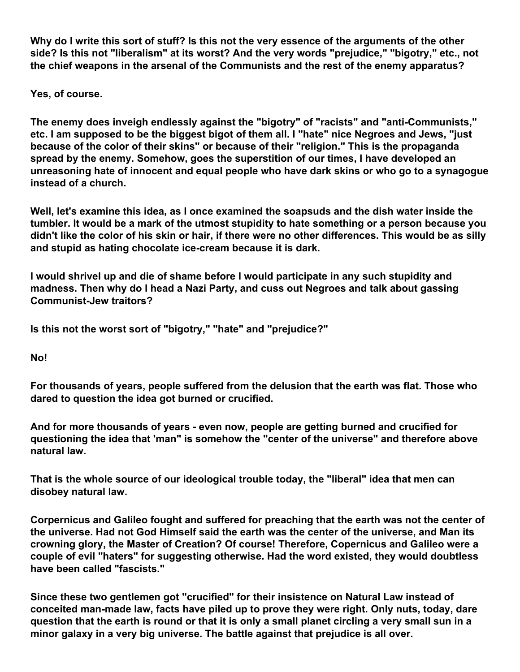**Why do I write this sort of stuff? Is this not the very essence of the arguments of the other side? Is this not "liberalism" at its worst? And the very words "prejudice," "bigotry," etc., not the chief weapons in the arsenal of the Communists and the rest of the enemy apparatus?**

**Yes, of course.**

**The enemy does inveigh endlessly against the "bigotry" of "racists" and "anti-Communists," etc. I am supposed to be the biggest bigot of them all. I "hate" nice Negroes and Jews, "just because of the color of their skins" or because of their "religion." This is the propaganda spread by the enemy. Somehow, goes the superstition of our times, I have developed an unreasoning hate of innocent and equal people who have dark skins or who go to a synagogue instead of a church.**

**Well, let's examine this idea, as I once examined the soapsuds and the dish water inside the tumbler. It would be a mark of the utmost stupidity to hate something or a person because you didn't like the color of his skin or hair, if there were no other differences. This would be as silly and stupid as hating chocolate ice-cream because it is dark.**

**I would shrivel up and die of shame before I would participate in any such stupidity and madness. Then why do I head a Nazi Party, and cuss out Negroes and talk about gassing Communist-Jew traitors?**

**Is this not the worst sort of "bigotry," "hate" and "prejudice?"**

**No!**

**For thousands of years, people suffered from the delusion that the earth was flat. Those who dared to question the idea got burned or crucified.**

**And for more thousands of years - even now, people are getting burned and crucified for questioning the idea that 'man" is somehow the "center of the universe" and therefore above natural law.**

**That is the whole source of our ideological trouble today, the "liberal" idea that men can disobey natural law.**

**Corpernicus and Galileo fought and suffered for preaching that the earth was not the center of the universe. Had not God Himself said the earth was the center of the universe, and Man its crowning glory, the Master of Creation? Of course! Therefore, Copernicus and Galileo were a couple of evil "haters" for suggesting otherwise. Had the word existed, they would doubtless have been called "fascists."**

**Since these two gentlemen got "crucified" for their insistence on Natural Law instead of conceited man-made law, facts have piled up to prove they were right. Only nuts, today, dare question that the earth is round or that it is only a small planet circling a very small sun in a minor galaxy in a very big universe. The battle against that prejudice is all over.**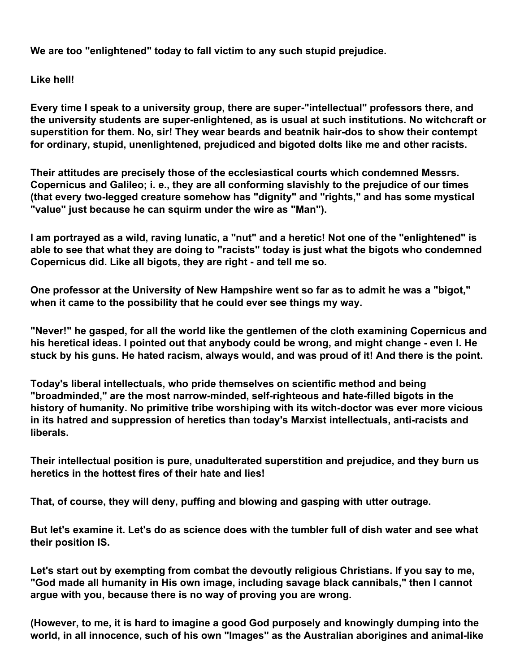**We are too "enlightened" today to fall victim to any such stupid prejudice.**

**Like hell!**

**Every time I speak to a university group, there are super-"intellectual" professors there, and the university students are super-enlightened, as is usual at such institutions. No witchcraft or superstition for them. No, sir! They wear beards and beatnik hair-dos to show their contempt for ordinary, stupid, unenlightened, prejudiced and bigoted dolts like me and other racists.**

**Their attitudes are precisely those of the ecclesiastical courts which condemned Messrs. Copernicus and Galileo; i. e., they are all conforming slavishly to the prejudice of our times (that every two-legged creature somehow has "dignity" and "rights," and has some mystical "value" just because he can squirm under the wire as "Man").**

**I am portrayed as a wild, raving lunatic, a "nut" and a heretic! Not one of the "enlightened" is able to see that what they are doing to "racists" today is just what the bigots who condemned Copernicus did. Like all bigots, they are right - and tell me so.**

**One professor at the University of New Hampshire went so far as to admit he was a "bigot," when it came to the possibility that he could ever see things my way.**

**"Never!" he gasped, for all the world like the gentlemen of the cloth examining Copernicus and his heretical ideas. I pointed out that anybody could be wrong, and might change - even I. He stuck by his guns. He hated racism, always would, and was proud of it! And there is the point.**

**Today's liberal intellectuals, who pride themselves on scientific method and being "broadminded," are the most narrow-minded, self-righteous and hate-filled bigots in the history of humanity. No primitive tribe worshiping with its witch-doctor was ever more vicious in its hatred and suppression of heretics than today's Marxist intellectuals, anti-racists and liberals.**

**Their intellectual position is pure, unadulterated superstition and prejudice, and they burn us heretics in the hottest fires of their hate and lies!**

**That, of course, they will deny, puffing and blowing and gasping with utter outrage.**

**But let's examine it. Let's do as science does with the tumbler full of dish water and see what their position IS.**

**Let's start out by exempting from combat the devoutly religious Christians. If you say to me, "God made all humanity in His own image, including savage black cannibals," then I cannot argue with you, because there is no way of proving you are wrong.**

**(However, to me, it is hard to imagine a good God purposely and knowingly dumping into the world, in all innocence, such of his own "Images" as the Australian aborigines and animal-like**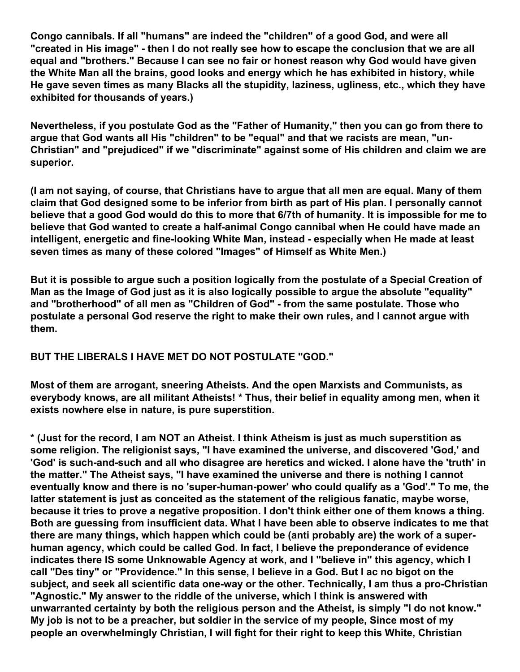**Congo cannibals. If all "humans" are indeed the "children" of a good God, and were all "created in His image" - then I do not really see how to escape the conclusion that we are all equal and "brothers." Because I can see no fair or honest reason why God would have given the White Man all the brains, good looks and energy which he has exhibited in history, while He gave seven times as many Blacks all the stupidity, laziness, ugliness, etc., which they have exhibited for thousands of years.)**

**Nevertheless, if you postulate God as the "Father of Humanity," then you can go from there to argue that God wants all His "children" to be "equal" and that we racists are mean, "un-Christian" and "prejudiced" if we "discriminate" against some of His children and claim we are superior.**

**(I am not saying, of course, that Christians have to argue that all men are equal. Many of them claim that God designed some to be inferior from birth as part of His plan. I personally cannot believe that a good God would do this to more that 6/7th of humanity. It is impossible for me to believe that God wanted to create a half-animal Congo cannibal when He could have made an intelligent, energetic and fine-looking White Man, instead - especially when He made at least seven times as many of these colored "Images" of Himself as White Men.)**

**But it is possible to argue such a position logically from the postulate of a Special Creation of Man as the Image of God just as it is also logically possible to argue the absolute "equality" and "brotherhood" of all men as "Children of God" - from the same postulate. Those who postulate a personal God reserve the right to make their own rules, and I cannot argue with them.**

**BUT THE LIBERALS I HAVE MET DO NOT POSTULATE "GOD."**

**Most of them are arrogant, sneering Atheists. And the open Marxists and Communists, as everybody knows, are all militant Atheists! \* Thus, their belief in equality among men, when it exists nowhere else in nature, is pure superstition.**

**\* (Just for the record, I am NOT an Atheist. I think Atheism is just as much superstition as some religion. The religionist says, "I have examined the universe, and discovered 'God,' and 'God' is such-and-such and all who disagree are heretics and wicked. I alone have the 'truth' in the matter." The Atheist says, "I have examined the universe and there is nothing I cannot eventually know and there is no 'super-human-power' who could qualify as a 'God'." To me, the latter statement is just as conceited as the statement of the religious fanatic, maybe worse, because it tries to prove a negative proposition. I don't think either one of them knows a thing. Both are guessing from insufficient data. What I have been able to observe indicates to me that there are many things, which happen which could be (anti probably are) the work of a superhuman agency, which could be called God. In fact, I believe the preponderance of evidence indicates there IS some Unknowable Agency at work, and I "believe in" this agency, which I call "Des tiny" or "Providence." In this sense, I believe in a God. But I ac no bigot on the subject, and seek all scientific data one-way or the other. Technically, I am thus a pro-Christian "Agnostic." My answer to the riddle of the universe, which I think is answered with unwarranted certainty by both the religious person and the Atheist, is simply "I do not know." My job is not to be a preacher, but soldier in the service of my people, Since most of my people an overwhelmingly Christian, I will fight for their right to keep this White, Christian**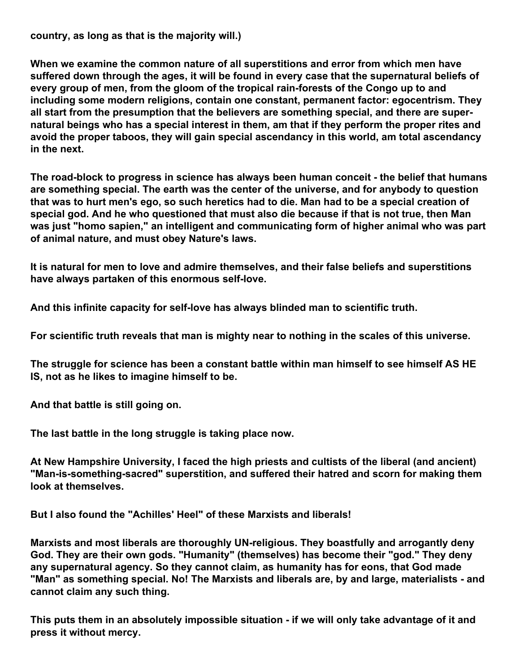**country, as long as that is the majority will.)**

**When we examine the common nature of all superstitions and error from which men have suffered down through the ages, it will be found in every case that the supernatural beliefs of every group of men, from the gloom of the tropical rain-forests of the Congo up to and including some modern religions, contain one constant, permanent factor: egocentrism. They all start from the presumption that the believers are something special, and there are supernatural beings who has a special interest in them, am that if they perform the proper rites and avoid the proper taboos, they will gain special ascendancy in this world, am total ascendancy in the next.**

**The road-block to progress in science has always been human conceit - the belief that humans are something special. The earth was the center of the universe, and for anybody to question that was to hurt men's ego, so such heretics had to die. Man had to be a special creation of special god. And he who questioned that must also die because if that is not true, then Man was just "homo sapien," an intelligent and communicating form of higher animal who was part of animal nature, and must obey Nature's laws.**

**It is natural for men to love and admire themselves, and their false beliefs and superstitions have always partaken of this enormous self-love.**

**And this infinite capacity for self-love has always blinded man to scientific truth.**

**For scientific truth reveals that man is mighty near to nothing in the scales of this universe.**

**The struggle for science has been a constant battle within man himself to see himself AS HE IS, not as he likes to imagine himself to be.**

**And that battle is still going on.**

**The last battle in the long struggle is taking place now.**

**At New Hampshire University, I faced the high priests and cultists of the liberal (and ancient) "Man-is-something-sacred" superstition, and suffered their hatred and scorn for making them look at themselves.**

**But I also found the "Achilles' Heel" of these Marxists and liberals!**

**Marxists and most liberals are thoroughly UN-religious. They boastfully and arrogantly deny God. They are their own gods. "Humanity" (themselves) has become their "god." They deny any supernatural agency. So they cannot claim, as humanity has for eons, that God made "Man" as something special. No! The Marxists and liberals are, by and large, materialists - and cannot claim any such thing.**

**This puts them in an absolutely impossible situation - if we will only take advantage of it and press it without mercy.**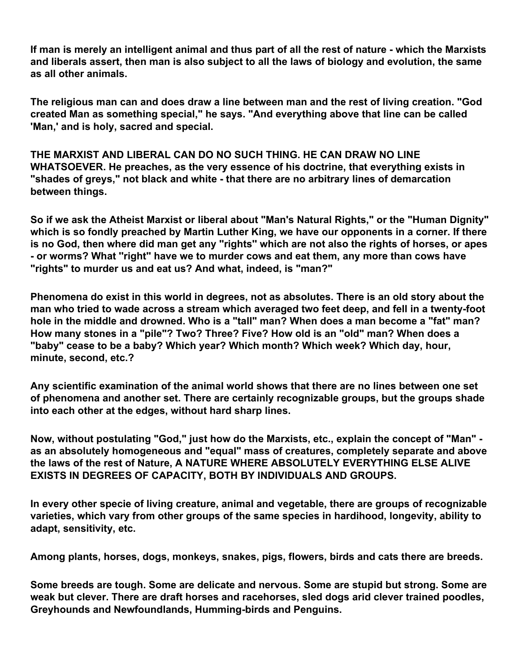**If man is merely an intelligent animal and thus part of all the rest of nature - which the Marxists and liberals assert, then man is also subject to all the laws of biology and evolution, the same as all other animals.**

**The religious man can and does draw a line between man and the rest of living creation. "God created Man as something special," he says. "And everything above that line can be called 'Man,' and is holy, sacred and special.**

**THE MARXIST AND LIBERAL CAN DO NO SUCH THING. HE CAN DRAW NO LINE WHATSOEVER. He preaches, as the very essence of his doctrine, that everything exists in "shades of greys," not black and white - that there are no arbitrary lines of demarcation between things.**

**So if we ask the Atheist Marxist or liberal about "Man's Natural Rights," or the "Human Dignity" which is so fondly preached by Martin Luther King, we have our opponents in a corner. If there is no God, then where did man get any ''rights'' which are not also the rights of horses, or apes - or worms? What ''right'' have we to murder cows and eat them, any more than cows have "rights" to murder us and eat us? And what, indeed, is "man?"**

**Phenomena do exist in this world in degrees, not as absolutes. There is an old story about the man who tried to wade across a stream which averaged two feet deep, and fell in a twenty-foot hole in the middle and drowned. Who is a "tall" man? When does a man become a "fat" man? How many stones in a "pile"? Two? Three? Five? How old is an "old" man? When does a "baby" cease to be a baby? Which year? Which month? Which week? Which day, hour, minute, second, etc.?**

**Any scientific examination of the animal world shows that there are no lines between one set of phenomena and another set. There are certainly recognizable groups, but the groups shade into each other at the edges, without hard sharp lines.**

**Now, without postulating "God," just how do the Marxists, etc., explain the concept of "Man" as an absolutely homogeneous and "equal" mass of creatures, completely separate and above the laws of the rest of Nature, A NATURE WHERE ABSOLUTELY EVERYTHING ELSE ALIVE EXISTS IN DEGREES OF CAPACITY, BOTH BY INDIVIDUALS AND GROUPS.**

**In every other specie of living creature, animal and vegetable, there are groups of recognizable varieties, which vary from other groups of the same species in hardihood, longevity, ability to adapt, sensitivity, etc.**

**Among plants, horses, dogs, monkeys, snakes, pigs, flowers, birds and cats there are breeds.**

**Some breeds are tough. Some are delicate and nervous. Some are stupid but strong. Some are weak but clever. There are draft horses and racehorses, sled dogs arid clever trained poodles, Greyhounds and Newfoundlands, Humming-birds and Penguins.**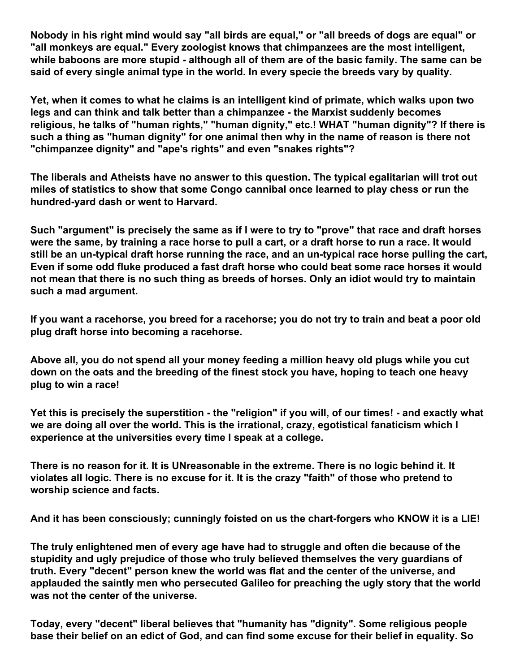**Nobody in his right mind would say "all birds are equal," or "all breeds of dogs are equal" or "all monkeys are equal." Every zoologist knows that chimpanzees are the most intelligent, while baboons are more stupid - although all of them are of the basic family. The same can be said of every single animal type in the world. In every specie the breeds vary by quality.**

**Yet, when it comes to what he claims is an intelligent kind of primate, which walks upon two legs and can think and talk better than a chimpanzee - the Marxist suddenly becomes religious, he talks of "human rights," "human dignity," etc.! WHAT "human dignity"? If there is such a thing as "human dignity" for one animal then why in the name of reason is there not "chimpanzee dignity" and "ape's rights" and even "snakes rights"?**

**The liberals and Atheists have no answer to this question. The typical egalitarian will trot out miles of statistics to show that some Congo cannibal once learned to play chess or run the hundred-yard dash or went to Harvard.**

**Such "argument" is precisely the same as if I were to try to "prove" that race and draft horses were the same, by training a race horse to pull a cart, or a draft horse to run a race. It would still be an un-typical draft horse running the race, and an un-typical race horse pulling the cart, Even if some odd fluke produced a fast draft horse who could beat some race horses it would not mean that there is no such thing as breeds of horses. Only an idiot would try to maintain such a mad argument.**

**If you want a racehorse, you breed for a racehorse; you do not try to train and beat a poor old plug draft horse into becoming a racehorse.**

**Above all, you do not spend all your money feeding a million heavy old plugs while you cut down on the oats and the breeding of the finest stock you have, hoping to teach one heavy plug to win a race!**

**Yet this is precisely the superstition - the "religion" if you will, of our times! - and exactly what we are doing all over the world. This is the irrational, crazy, egotistical fanaticism which I experience at the universities every time I speak at a college.**

**There is no reason for it. It is UNreasonable in the extreme. There is no logic behind it. It violates all logic. There is no excuse for it. It is the crazy "faith" of those who pretend to worship science and facts.**

**And it has been consciously; cunningly foisted on us the chart-forgers who KNOW it is a LIE!**

**The truly enlightened men of every age have had to struggle and often die because of the stupidity and ugly prejudice of those who truly believed themselves the very guardians of truth. Every "decent" person knew the world was flat and the center of the universe, and applauded the saintly men who persecuted Galileo for preaching the ugly story that the world was not the center of the universe.**

**Today, every "decent" liberal believes that "humanity has "dignity". Some religious people base their belief on an edict of God, and can find some excuse for their belief in equality. So**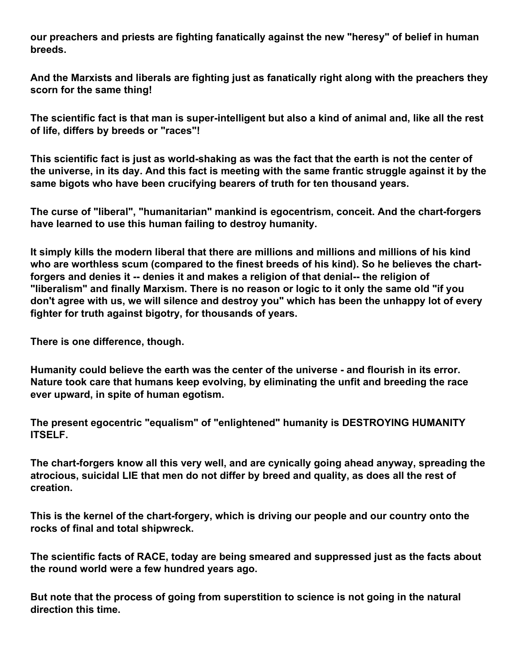**our preachers and priests are fighting fanatically against the new "heresy" of belief in human breeds.**

**And the Marxists and liberals are fighting just as fanatically right along with the preachers they scorn for the same thing!**

**The scientific fact is that man is super-intelligent but also a kind of animal and, like all the rest of life, differs by breeds or "races"!**

**This scientific fact is just as world-shaking as was the fact that the earth is not the center of the universe, in its day. And this fact is meeting with the same frantic struggle against it by the same bigots who have been crucifying bearers of truth for ten thousand years.**

**The curse of "liberal", "humanitarian" mankind is egocentrism, conceit. And the chart-forgers have learned to use this human failing to destroy humanity.**

**It simply kills the modern liberal that there are millions and millions and millions of his kind who are worthless scum (compared to the finest breeds of his kind). So he believes the chartforgers and denies it -- denies it and makes a religion of that denial-- the religion of "liberalism" and finally Marxism. There is no reason or logic to it only the same old "if you don't agree with us, we will silence and destroy you" which has been the unhappy lot of every fighter for truth against bigotry, for thousands of years.**

**There is one difference, though.**

**Humanity could believe the earth was the center of the universe - and flourish in its error. Nature took care that humans keep evolving, by eliminating the unfit and breeding the race ever upward, in spite of human egotism.**

**The present egocentric "equalism" of "enlightened" humanity is DESTROYING HUMANITY ITSELF.**

**The chart-forgers know all this very well, and are cynically going ahead anyway, spreading the atrocious, suicidal LIE that men do not differ by breed and quality, as does all the rest of creation.**

**This is the kernel of the chart-forgery, which is driving our people and our country onto the rocks of final and total shipwreck.**

**The scientific facts of RACE, today are being smeared and suppressed just as the facts about the round world were a few hundred years ago.**

**But note that the process of going from superstition to science is not going in the natural direction this time.**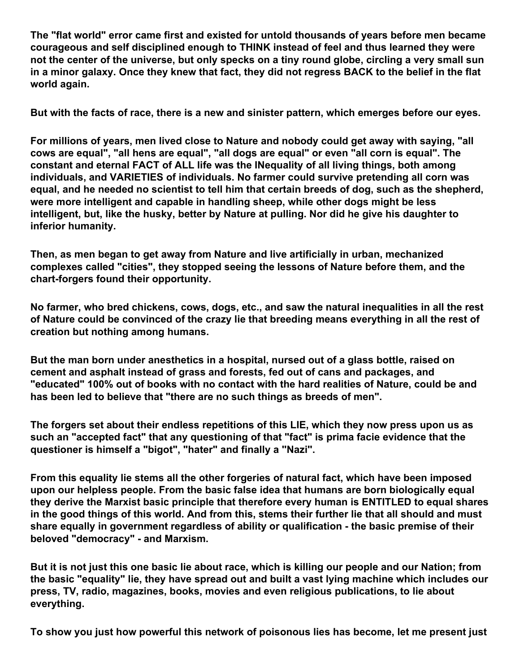**The "flat world" error came first and existed for untold thousands of years before men became courageous and self disciplined enough to THINK instead of feel and thus learned they were not the center of the universe, but only specks on a tiny round globe, circling a very small sun in a minor galaxy. Once they knew that fact, they did not regress BACK to the belief in the flat world again.**

**But with the facts of race, there is a new and sinister pattern, which emerges before our eyes.**

**For millions of years, men lived close to Nature and nobody could get away with saying, "all cows are equal", "all hens are equal", "all dogs are equal" or even "all corn is equal". The constant and eternal FACT of ALL life was the INequality of all living things, both among individuals, and VARIETIES of individuals. No farmer could survive pretending all corn was equal, and he needed no scientist to tell him that certain breeds of dog, such as the shepherd, were more intelligent and capable in handling sheep, while other dogs might be less intelligent, but, like the husky, better by Nature at pulling. Nor did he give his daughter to inferior humanity.**

**Then, as men began to get away from Nature and live artificially in urban, mechanized complexes called "cities", they stopped seeing the lessons of Nature before them, and the chart-forgers found their opportunity.**

**No farmer, who bred chickens, cows, dogs, etc., and saw the natural inequalities in all the rest of Nature could be convinced of the crazy lie that breeding means everything in all the rest of creation but nothing among humans.**

**But the man born under anesthetics in a hospital, nursed out of a glass bottle, raised on cement and asphalt instead of grass and forests, fed out of cans and packages, and "educated" 100% out of books with no contact with the hard realities of Nature, could be and has been led to believe that "there are no such things as breeds of men".**

**The forgers set about their endless repetitions of this LIE, which they now press upon us as such an "accepted fact" that any questioning of that "fact" is prima facie evidence that the questioner is himself a "bigot", "hater" and finally a ''Nazi''.**

**From this equality lie stems all the other forgeries of natural fact, which have been imposed upon our helpless people. From the basic false idea that humans are born biologically equal they derive the Marxist basic principle that therefore every human is ENTITLED to equal shares in the good things of this world. And from this, stems their further lie that all should and must share equally in government regardless of ability or qualification - the basic premise of their beloved "democracy" - and Marxism.**

**But it is not just this one basic lie about race, which is killing our people and our Nation; from the basic "equality" lie, they have spread out and built a vast lying machine which includes our press, TV, radio, magazines, books, movies and even religious publications, to lie about everything.**

**To show you just how powerful this network of poisonous lies has become, let me present just**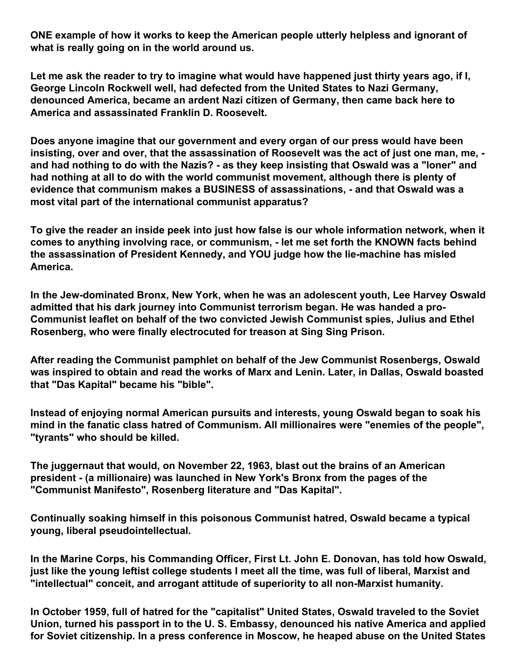**ONE example of how it works to keep the American people utterly helpless and ignorant of what is really going on in the world around us.**

**Let me ask the reader to try to imagine what would have happened just thirty years ago, if I, George Lincoln Rockwell well, had defected from the United States to Nazi Germany, denounced America, became an ardent Nazi citizen of Germany, then came back here to America and assassinated Franklin D. Roosevelt.**

**Does anyone imagine that our government and every organ of our press would have been insisting, over and over, that the assassination of Roosevelt was the act of just one man, me, and had nothing to do with the Nazis? - as they keep insisting that Oswald was a "loner" and had nothing at all to do with the world communist movement, although there is plenty of evidence that communism makes a BUSINESS of assassinations, - and that Oswald was a most vital part of the international communist apparatus?**

**To give the reader an inside peek into just how false is our whole information network, when it comes to anything involving race, or communism, - let me set forth the KNOWN facts behind the assassination of President Kennedy, and YOU judge how the lie-machine has misled America.**

**In the Jew-dominated Bronx, New York, when he was an adolescent youth, Lee Harvey Oswald admitted that his dark journey into Communist terrorism began. He was handed a pro-Communist leaflet on behalf of the two convicted Jewish Communist spies, Julius and Ethel Rosenberg, who were finally electrocuted for treason at Sing Sing Prison.**

**After reading the Communist pamphlet on behalf of the Jew Communist Rosenbergs, Oswald was inspired to obtain and read the works of Marx and Lenin. Later, in Dallas, Oswald boasted that "Das Kapital" became his "bible".**

**Instead of enjoying normal American pursuits and interests, young Oswald began to soak his mind in the fanatic class hatred of Communism. All millionaires were "enemies of the people", "tyrants" who should be killed.**

**The juggernaut that would, on November 22, 1963, blast out the brains of an American president - (a millionaire) was launched in New York's Bronx from the pages of the "Communist Manifesto", Rosenberg literature and "Das Kapital".**

**Continually soaking himself in this poisonous Communist hatred, Oswald became a typical young, liberal pseudointellectual.**

**In the Marine Corps, his Commanding Officer, First Lt. John E. Donovan, has told how Oswald, just like the young leftist college students I meet all the time, was full of liberal, Marxist and "intellectual" conceit, and arrogant attitude of superiority to all non-Marxist humanity.**

**In October 1959, full of hatred for the "capitalist" United States, Oswald traveled to the Soviet Union, turned his passport in to the U. S. Embassy, denounced his native America and applied for Soviet citizenship. In a press conference in Moscow, he heaped abuse on the United States**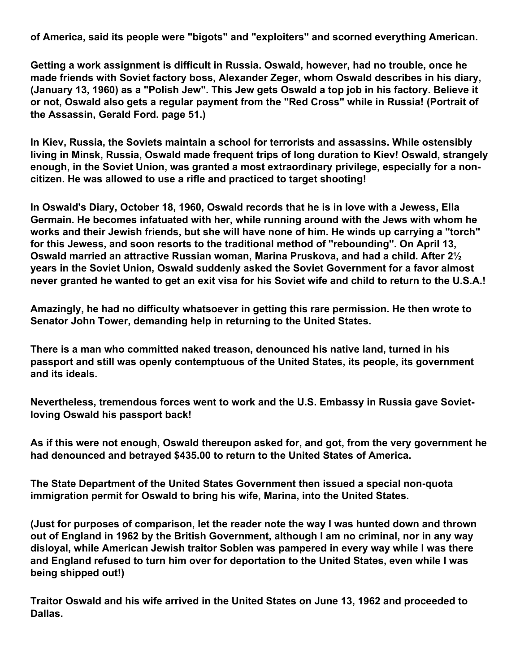**of America, said its people were "bigots" and "exploiters" and scorned everything American.**

**Getting a work assignment is difficult in Russia. Oswald, however, had no trouble, once he made friends with Soviet factory boss, Alexander Zeger, whom Oswald describes in his diary, (January 13, 1960) as a "Polish Jew". This Jew gets Oswald a top job in his factory. Believe it or not, Oswald also gets a regular payment from the "Red Cross" while in Russia! (Portrait of the Assassin, Gerald Ford. page 51.)**

**In Kiev, Russia, the Soviets maintain a school for terrorists and assassins. While ostensibly living in Minsk, Russia, Oswald made frequent trips of long duration to Kiev! Oswald, strangely enough, in the Soviet Union, was granted a most extraordinary privilege, especially for a noncitizen. He was allowed to use a rifle and practiced to target shooting!**

**In Oswald's Diary, October 18, 1960, Oswald records that he is in love with a Jewess, Ella Germain. He becomes infatuated with her, while running around with the Jews with whom he works and their Jewish friends, but she will have none of him. He winds up carrying a "torch" for this Jewess, and soon resorts to the traditional method of ''rebounding''. On April 13, Oswald married an attractive Russian woman, Marina Pruskova, and had a child. After 2½ years in the Soviet Union, Oswald suddenly asked the Soviet Government for a favor almost never granted he wanted to get an exit visa for his Soviet wife and child to return to the U.S.A.!**

**Amazingly, he had no difficulty whatsoever in getting this rare permission. He then wrote to Senator John Tower, demanding help in returning to the United States.**

**There is a man who committed naked treason, denounced his native land, turned in his passport and still was openly contemptuous of the United States, its people, its government and its ideals.**

**Nevertheless, tremendous forces went to work and the U.S. Embassy in Russia gave Sovietloving Oswald his passport back!**

**As if this were not enough, Oswald thereupon asked for, and got, from the very government he had denounced and betrayed \$435.00 to return to the United States of America.**

**The State Department of the United States Government then issued a special non-quota immigration permit for Oswald to bring his wife, Marina, into the United States.**

**(Just for purposes of comparison, let the reader note the way I was hunted down and thrown out of England in 1962 by the British Government, although I am no criminal, nor in any way disloyal, while American Jewish traitor Soblen was pampered in every way while I was there and England refused to turn him over for deportation to the United States, even while I was being shipped out!)**

**Traitor Oswald and his wife arrived in the United States on June 13, 1962 and proceeded to Dallas.**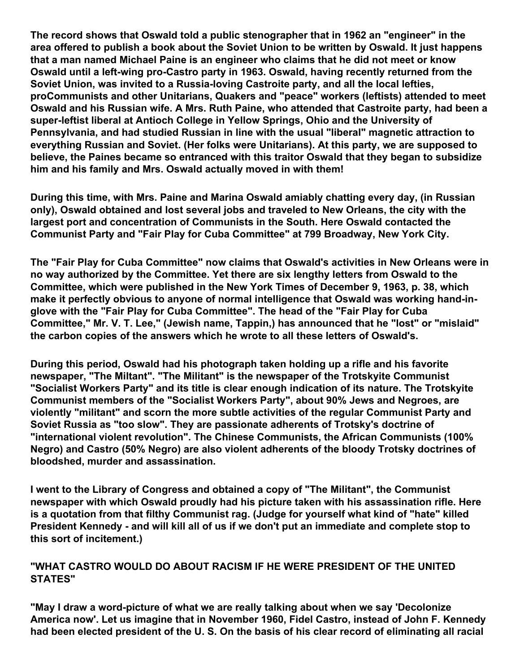**The record shows that Oswald told a public stenographer that in 1962 an "engineer" in the area offered to publish a book about the Soviet Union to be written by Oswald. It just happens that a man named Michael Paine is an engineer who claims that he did not meet or know Oswald until a left-wing pro-Castro party in 1963. Oswald, having recently returned from the Soviet Union, was invited to a Russia-loving Castroite party, and all the local lefties, proCommunists and other Unitarians, Quakers and "peace" workers (leftists) attended to meet Oswald and his Russian wife. A Mrs. Ruth Paine, who attended that Castroite party, had been a super-leftist liberal at Antioch College in Yellow Springs, Ohio and the University of Pennsylvania, and had studied Russian in line with the usual "liberal" magnetic attraction to everything Russian and Soviet. (Her folks were Unitarians). At this party, we are supposed to believe, the Paines became so entranced with this traitor Oswald that they began to subsidize him and his family and Mrs. Oswald actually moved in with them!**

**During this time, with Mrs. Paine and Marina Oswald amiably chatting every day, (in Russian only), Oswald obtained and lost several jobs and traveled to New Orleans, the city with the largest port and concentration of Communists in the South. Here Oswald contacted the Communist Party and "Fair Play for Cuba Committee" at 799 Broadway, New York City.**

**The "Fair Play for Cuba Committee" now claims that Oswald's activities in New Orleans were in no way authorized by the Committee. Yet there are six lengthy letters from Oswald to the Committee, which were published in the New York Times of December 9, 1963, p. 38, which make it perfectly obvious to anyone of normal intelligence that Oswald was working hand-inglove with the "Fair Play for Cuba Committee". The head of the "Fair Play for Cuba Committee," Mr. V. T. Lee," (Jewish name, Tappin,) has announced that he "lost" or "mislaid" the carbon copies of the answers which he wrote to all these letters of Oswald's.**

**During this period, Oswald had his photograph taken holding up a rifle and his favorite newspaper, "The Miltant". "The Militant" is the newspaper of the Trotskyite Communist "Socialist Workers Party" and its title is clear enough indication of its nature. The Trotskyite Communist members of the "Socialist Workers Party", about 90% Jews and Negroes, are violently "militant" and scorn the more subtle activities of the regular Communist Party and Soviet Russia as "too slow". They are passionate adherents of Trotsky's doctrine of "international violent revolution". The Chinese Communists, the African Communists (100% Negro) and Castro (50% Negro) are also violent adherents of the bloody Trotsky doctrines of bloodshed, murder and assassination.**

**I went to the Library of Congress and obtained a copy of "The Militant", the Communist newspaper with which Oswald proudly had his picture taken with his assassination rifle. Here is a quotation from that filthy Communist rag. (Judge for yourself what kind of "hate" killed President Kennedy - and will kill all of us if we don't put an immediate and complete stop to this sort of incitement.)**

## **"WHAT CASTRO WOULD DO ABOUT RACISM IF HE WERE PRESIDENT OF THE UNITED STATES"**

**"May I draw a word-picture of what we are really talking about when we say 'Decolonize America now'. Let us imagine that in November 1960, Fidel Castro, instead of John F. Kennedy had been elected president of the U. S. On the basis of his clear record of eliminating all racial**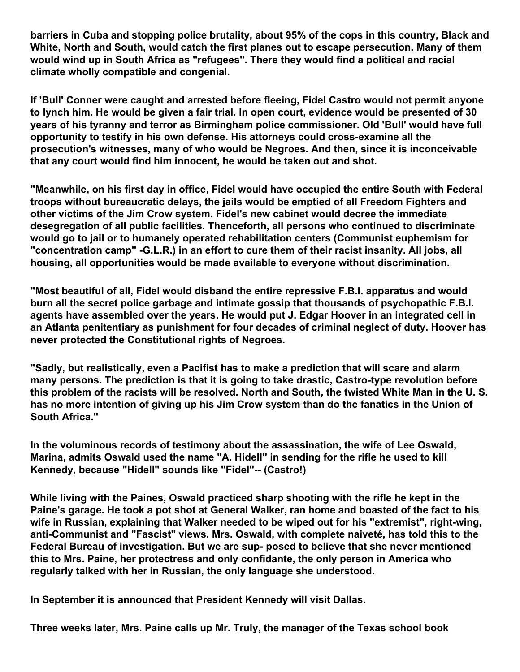**barriers in Cuba and stopping police brutality, about 95% of the cops in this country, Black and White, North and South, would catch the first planes out to escape persecution. Many of them would wind up in South Africa as "refugees". There they would find a political and racial climate wholly compatible and congenial.**

**If 'Bull' Conner were caught and arrested before fleeing, Fidel Castro would not permit anyone to lynch him. He would be given a fair trial. In open court, evidence would be presented of 30 years of his tyranny and terror as Birmingham police commissioner. Old 'Bull' would have full opportunity to testify in his own defense. His attorneys could cross-examine all the prosecution's witnesses, many of who would be Negroes. And then, since it is inconceivable that any court would find him innocent, he would be taken out and shot.**

**"Meanwhile, on his first day in office, Fidel would have occupied the entire South with Federal troops without bureaucratic delays, the jails would be emptied of all Freedom Fighters and other victims of the Jim Crow system. Fidel's new cabinet would decree the immediate desegregation of all public facilities. Thenceforth, all persons who continued to discriminate would go to jail or to humanely operated rehabilitation centers (Communist euphemism for "concentration camp" -G.L.R.) in an effort to cure them of their racist insanity. All jobs, all housing, all opportunities would be made available to everyone without discrimination.**

**"Most beautiful of all, Fidel would disband the entire repressive F.B.I. apparatus and would burn all the secret police garbage and intimate gossip that thousands of psychopathic F.B.I. agents have assembled over the years. He would put J. Edgar Hoover in an integrated cell in an Atlanta penitentiary as punishment for four decades of criminal neglect of duty. Hoover has never protected the Constitutional rights of Negroes.**

**"Sadly, but realistically, even a Pacifist has to make a prediction that will scare and alarm many persons. The prediction is that it is going to take drastic, Castro-type revolution before this problem of the racists will be resolved. North and South, the twisted White Man in the U. S. has no more intention of giving up his Jim Crow system than do the fanatics in the Union of South Africa."**

**In the voluminous records of testimony about the assassination, the wife of Lee Oswald, Marina, admits Oswald used the name "A. Hidell" in sending for the rifle he used to kill Kennedy, because "Hidell" sounds like "Fidel"-- (Castro!)**

**While living with the Paines, Oswald practiced sharp shooting with the rifle he kept in the Paine's garage. He took a pot shot at General Walker, ran home and boasted of the fact to his wife in Russian, explaining that Walker needed to be wiped out for his "extremist", right-wing, anti-Communist and "Fascist" views. Mrs. Oswald, with complete naiveté, has told this to the Federal Bureau of investigation. But we are sup- posed to believe that she never mentioned this to Mrs. Paine, her protectress and only confidante, the only person in America who regularly talked with her in Russian, the only language she understood.**

**In September it is announced that President Kennedy will visit Dallas.**

**Three weeks later, Mrs. Paine calls up Mr. Truly, the manager of the Texas school book**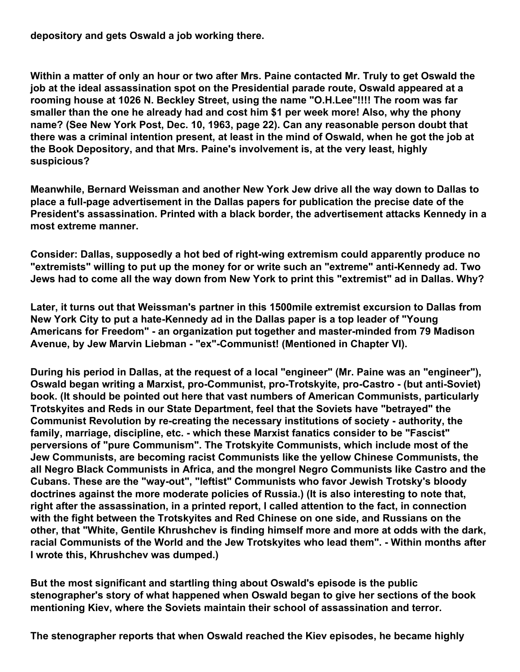**depository and gets Oswald a job working there.**

**Within a matter of only an hour or two after Mrs. Paine contacted Mr. Truly to get Oswald the job at the ideal assassination spot on the Presidential parade route, Oswald appeared at a rooming house at 1026 N. Beckley Street, using the name "O.H.Lee"!!!! The room was far smaller than the one he already had and cost him \$1 per week more! Also, why the phony name? (See New York Post, Dec. 10, 1963, page 22). Can any reasonable person doubt that there was a criminal intention present, at least in the mind of Oswald, when he got the job at the Book Depository, and that Mrs. Paine's involvement is, at the very least, highly suspicious?**

**Meanwhile, Bernard Weissman and another New York Jew drive all the way down to Dallas to place a full-page advertisement in the Dallas papers for publication the precise date of the President's assassination. Printed with a black border, the advertisement attacks Kennedy in a most extreme manner.**

**Consider: Dallas, supposedly a hot bed of right-wing extremism could apparently produce no "extremists" willing to put up the money for or write such an "extreme" anti-Kennedy ad. Two Jews had to come all the way down from New York to print this "extremist" ad in Dallas. Why?**

**Later, it turns out that Weissman's partner in this 1500mile extremist excursion to Dallas from New York City to put a hate-Kennedy ad in the Dallas paper is a top leader of "Young Americans for Freedom" - an organization put together and master-minded from 79 Madison Avenue, by Jew Marvin Liebman - "ex"-Communist! (Mentioned in Chapter VI).**

**During his period in Dallas, at the request of a local "engineer" (Mr. Paine was an "engineer"), Oswald began writing a Marxist, pro-Communist, pro-Trotskyite, pro-Castro - (but anti-Soviet) book. (It should be pointed out here that vast numbers of American Communists, particularly Trotskyites and Reds in our State Department, feel that the Soviets have "betrayed" the Communist Revolution by re-creating the necessary institutions of society - authority, the family, marriage, discipline, etc. - which these Marxist fanatics consider to be "Fascist" perversions of "pure Communism". The Trotskyite Communists, which include most of the Jew Communists, are becoming racist Communists like the yellow Chinese Communists, the all Negro Black Communists in Africa, and the mongrel Negro Communists like Castro and the Cubans. These are the "way-out", "leftist" Communists who favor Jewish Trotsky's bloody doctrines against the more moderate policies of Russia.) (It is also interesting to note that, right after the assassination, in a printed report, I called attention to the fact, in connection with the fight between the Trotskyites and Red Chinese on one side, and Russians on the other, that "White, Gentile Khrushchev is finding himself more and more at odds with the dark, racial Communists of the World and the Jew Trotskyites who lead them". - Within months after I wrote this, Khrushchev was dumped.)**

**But the most significant and startling thing about Oswald's episode is the public stenographer's story of what happened when Oswald began to give her sections of the book mentioning Kiev, where the Soviets maintain their school of assassination and terror.**

**The stenographer reports that when Oswald reached the Kiev episodes, he became highly**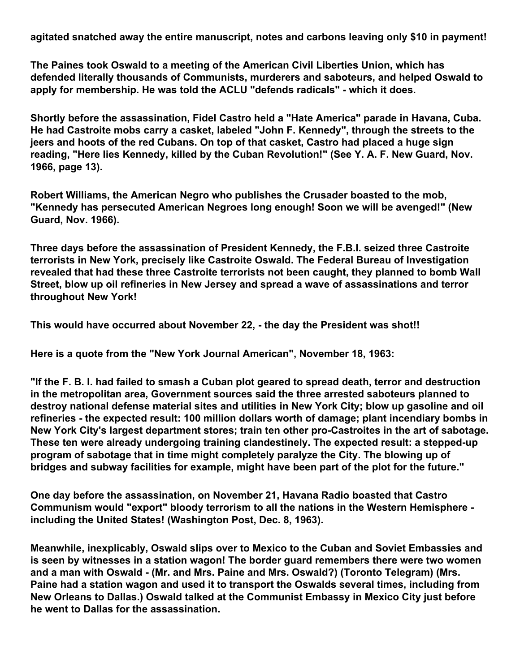**agitated snatched away the entire manuscript, notes and carbons leaving only \$10 in payment!**

**The Paines took Oswald to a meeting of the American Civil Liberties Union, which has defended literally thousands of Communists, murderers and saboteurs, and helped Oswald to apply for membership. He was told the ACLU "defends radicals" - which it does.**

**Shortly before the assassination, Fidel Castro held a "Hate America" parade in Havana, Cuba. He had Castroite mobs carry a casket, labeled "John F. Kennedy", through the streets to the jeers and hoots of the red Cubans. On top of that casket, Castro had placed a huge sign reading, "Here lies Kennedy, killed by the Cuban Revolution!" (See Y. A. F. New Guard, Nov. 1966, page 13).**

**Robert Williams, the American Negro who publishes the Crusader boasted to the mob, "Kennedy has persecuted American Negroes long enough! Soon we will be avenged!" (New Guard, Nov. 1966).**

**Three days before the assassination of President Kennedy, the F.B.I. seized three Castroite terrorists in New York, precisely like Castroite Oswald. The Federal Bureau of Investigation revealed that had these three Castroite terrorists not been caught, they planned to bomb Wall Street, blow up oil refineries in New Jersey and spread a wave of assassinations and terror throughout New York!**

**This would have occurred about November 22, - the day the President was shot!!**

**Here is a quote from the "New York Journal American", November 18, 1963:**

**"If the F. B. I. had failed to smash a Cuban plot geared to spread death, terror and destruction in the metropolitan area, Government sources said the three arrested saboteurs planned to destroy national defense material sites and utilities in New York City; blow up gasoline and oil refineries - the expected result: 100 million dollars worth of damage; plant incendiary bombs in New York City's largest department stores; train ten other pro-Castroites in the art of sabotage. These ten were already undergoing training clandestinely. The expected result: a stepped-up program of sabotage that in time might completely paralyze the City. The blowing up of bridges and subway facilities for example, might have been part of the plot for the future."**

**One day before the assassination, on November 21, Havana Radio boasted that Castro Communism would "export" bloody terrorism to all the nations in the Western Hemisphere including the United States! (Washington Post, Dec. 8, 1963).**

**Meanwhile, inexplicably, Oswald slips over to Mexico to the Cuban and Soviet Embassies and is seen by witnesses in a station wagon! The border guard remembers there were two women and a man with Oswald - (Mr. and Mrs. Paine and Mrs. Oswald?) (Toronto Telegram) (Mrs. Paine had a station wagon and used it to transport the Oswalds several times, including from New Orleans to Dallas.) Oswald talked at the Communist Embassy in Mexico City just before he went to Dallas for the assassination.**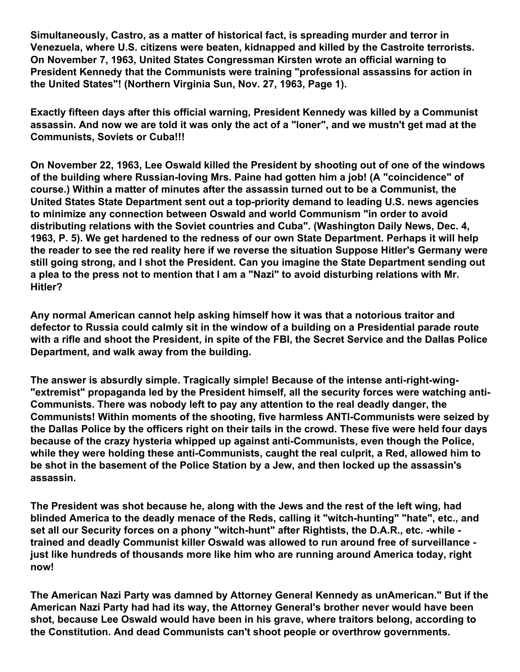**Simultaneously, Castro, as a matter of historical fact, is spreading murder and terror in Venezuela, where U.S. citizens were beaten, kidnapped and killed by the Castroite terrorists. On November 7, 1963, United States Congressman Kirsten wrote an official warning to President Kennedy that the Communists were training "professional assassins for action in the United States"! (Northern Virginia Sun, Nov. 27, 1963, Page 1).**

**Exactly fifteen days after this official warning, President Kennedy was killed by a Communist assassin. And now we are told it was only the act of a "loner", and we mustn't get mad at the Communists, Soviets or Cuba!!!**

**On November 22, 1963, Lee Oswald killed the President by shooting out of one of the windows of the building where Russian-loving Mrs. Paine had gotten him a job! (A "coincidence" of course.) Within a matter of minutes after the assassin turned out to be a Communist, the United States State Department sent out a top-priority demand to leading U.S. news agencies to minimize any connection between Oswald and world Communism "in order to avoid distributing relations with the Soviet countries and Cuba". (Washington Daily News, Dec. 4, 1963, P. 5). We get hardened to the redness of our own State Department. Perhaps it will help the reader to see the red reality here if we reverse the situation Suppose Hitler's Germany were still going strong, and I shot the President. Can you imagine the State Department sending out a plea to the press not to mention that I am a "Nazi" to avoid disturbing relations with Mr. Hitler?**

**Any normal American cannot help asking himself how it was that a notorious traitor and defector to Russia could calmly sit in the window of a building on a Presidential parade route with a rifle and shoot the President, in spite of the FBI, the Secret Service and the Dallas Police Department, and walk away from the building.**

**The answer is absurdly simple. Tragically simple! Because of the intense anti-right-wing- "extremist" propaganda led by the President himself, all the security forces were watching anti-Communists. There was nobody left to pay any attention to the real deadly danger, the Communists! Within moments of the shooting, five harmless ANTI-Communists were seized by the Dallas Police by the officers right on their tails in the crowd. These five were held four days because of the crazy hysteria whipped up against anti-Communists, even though the Police, while they were holding these anti-Communists, caught the real culprit, a Red, allowed him to be shot in the basement of the Police Station by a Jew, and then locked up the assassin's assassin.**

**The President was shot because he, along with the Jews and the rest of the left wing, had blinded America to the deadly menace of the Reds, calling it "witch-hunting" "hate", etc., and set all our Security forces on a phony "witch-hunt" after Rightists, the D.A.R., etc. -while trained and deadly Communist killer Oswald was allowed to run around free of surveillance just like hundreds of thousands more like him who are running around America today, right now!**

**The American Nazi Party was damned by Attorney General Kennedy as unAmerican." But if the American Nazi Party had had its way, the Attorney General's brother never would have been shot, because Lee Oswald would have been in his grave, where traitors belong, according to the Constitution. And dead Communists can't shoot people or overthrow governments.**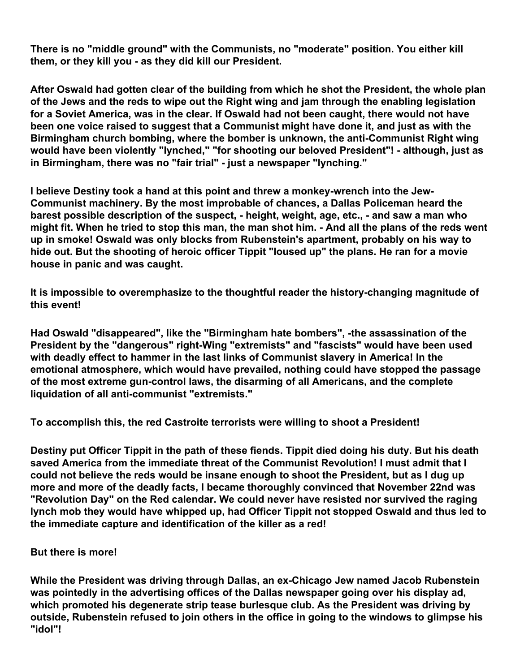**There is no "middle ground" with the Communists, no "moderate" position. You either kill them, or they kill you - as they did kill our President.**

**After Oswald had gotten clear of the building from which he shot the President, the whole plan of the Jews and the reds to wipe out the Right wing and jam through the enabling legislation for a Soviet America, was in the clear. If Oswald had not been caught, there would not have been one voice raised to suggest that a Communist might have done it, and just as with the Birmingham church bombing, where the bomber is unknown, the anti-Communist Right wing would have been violently "lynched," "for shooting our beloved President"! - although, just as in Birmingham, there was no "fair trial" - just a newspaper "lynching."**

**I believe Destiny took a hand at this point and threw a monkey-wrench into the Jew-Communist machinery. By the most improbable of chances, a Dallas Policeman heard the barest possible description of the suspect, - height, weight, age, etc., - and saw a man who might fit. When he tried to stop this man, the man shot him. - And all the plans of the reds went up in smoke! Oswald was only blocks from Rubenstein's apartment, probably on his way to hide out. But the shooting of heroic officer Tippit "loused up" the plans. He ran for a movie house in panic and was caught.**

**It is impossible to overemphasize to the thoughtful reader the history-changing magnitude of this event!**

**Had Oswald "disappeared", like the "Birmingham hate bombers", -the assassination of the President by the "dangerous" right-Wing "extremists" and "fascists" would have been used with deadly effect to hammer in the last links of Communist slavery in America! In the emotional atmosphere, which would have prevailed, nothing could have stopped the passage of the most extreme gun-control laws, the disarming of all Americans, and the complete liquidation of all anti-communist "extremists."**

**To accomplish this, the red Castroite terrorists were willing to shoot a President!**

**Destiny put Officer Tippit in the path of these fiends. Tippit died doing his duty. But his death saved America from the immediate threat of the Communist Revolution! I must admit that I could not believe the reds would be insane enough to shoot the President, but as I dug up more and more of the deadly facts, I became thoroughly convinced that November 22nd was "Revolution Day" on the Red calendar. We could never have resisted nor survived the raging lynch mob they would have whipped up, had Officer Tippit not stopped Oswald and thus led to the immediate capture and identification of the killer as a red!**

**But there is more!**

**While the President was driving through Dallas, an ex-Chicago Jew named Jacob Rubenstein was pointedly in the advertising offices of the Dallas newspaper going over his display ad, which promoted his degenerate strip tease burlesque club. As the President was driving by outside, Rubenstein refused to join others in the office in going to the windows to glimpse his "idol"!**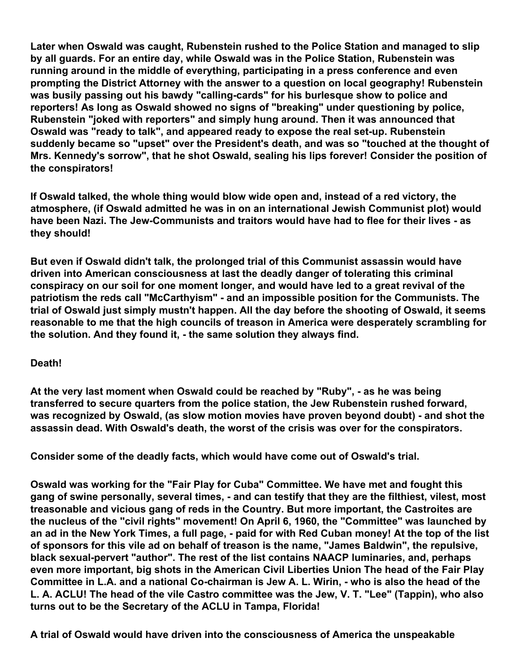**Later when Oswald was caught, Rubenstein rushed to the Police Station and managed to slip by all guards. For an entire day, while Oswald was in the Police Station, Rubenstein was running around in the middle of everything, participating in a press conference and even prompting the District Attorney with the answer to a question on local geography! Rubenstein was busily passing out his bawdy "calling-cards" for his burlesque show to police and reporters! As long as Oswald showed no signs of "breaking" under questioning by police, Rubenstein "joked with reporters" and simply hung around. Then it was announced that Oswald was "ready to talk", and appeared ready to expose the real set-up. Rubenstein suddenly became so "upset" over the President's death, and was so "touched at the thought of Mrs. Kennedy's sorrow", that he shot Oswald, sealing his lips forever! Consider the position of the conspirators!**

**If Oswald talked, the whole thing would blow wide open and, instead of a red victory, the atmosphere, (if Oswald admitted he was in on an international Jewish Communist plot) would have been Nazi. The Jew-Communists and traitors would have had to flee for their lives - as they should!**

**But even if Oswald didn't talk, the prolonged trial of this Communist assassin would have driven into American consciousness at last the deadly danger of tolerating this criminal conspiracy on our soil for one moment longer, and would have led to a great revival of the patriotism the reds call "McCarthyism" - and an impossible position for the Communists. The trial of Oswald just simply mustn't happen. All the day before the shooting of Oswald, it seems reasonable to me that the high councils of treason in America were desperately scrambling for the solution. And they found it, - the same solution they always find.**

## **Death!**

**At the very last moment when Oswald could be reached by "Ruby", - as he was being transferred to secure quarters from the police station, the Jew Rubenstein rushed forward, was recognized by Oswald, (as slow motion movies have proven beyond doubt) - and shot the assassin dead. With Oswald's death, the worst of the crisis was over for the conspirators.**

**Consider some of the deadly facts, which would have come out of Oswald's trial.**

**Oswald was working for the "Fair Play for Cuba" Committee. We have met and fought this gang of swine personally, several times, - and can testify that they are the filthiest, vilest, most treasonable and vicious gang of reds in the Country. But more important, the Castroites are the nucleus of the ''civil rights" movement! On April 6, 1960, the "Committee" was launched by an ad in the New York Times, a full page, - paid for with Red Cuban money! At the top of the list of sponsors for this vile ad on behalf of treason is the name, "James Baldwin", the repulsive, black sexual-pervert "author". The rest of the list contains NAACP luminaries, and, perhaps even more important, big shots in the American Civil Liberties Union The head of the Fair Play Committee in L.A. and a national Co-chairman is Jew A. L. Wirin, - who is also the head of the L. A. ACLU! The head of the vile Castro committee was the Jew, V. T. "Lee" (Tappin), who also turns out to be the Secretary of the ACLU in Tampa, Florida!**

**A trial of Oswald would have driven into the consciousness of America the unspeakable**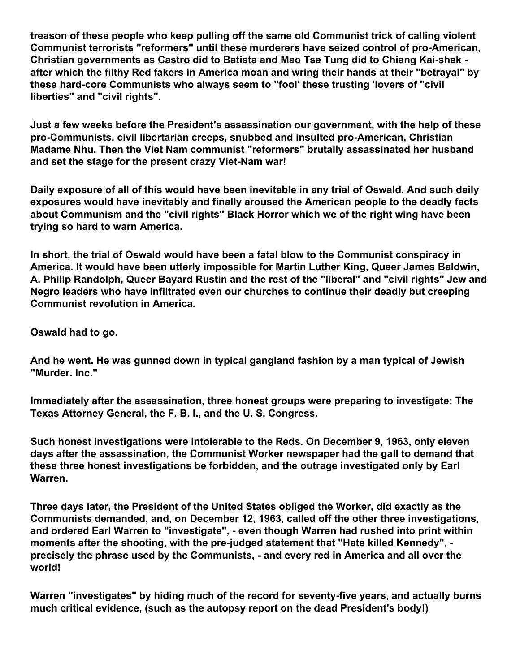**treason of these people who keep pulling off the same old Communist trick of calling violent Communist terrorists "reformers" until these murderers have seized control of pro-American, Christian governments as Castro did to Batista and Mao Tse Tung did to Chiang Kai-shek after which the filthy Red fakers in America moan and wring their hands at their "betrayal" by these hard-core Communists who always seem to "fool' these trusting 'lovers of "civil liberties" and "civil rights".**

**Just a few weeks before the President's assassination our government, with the help of these pro-Communists, civil libertarian creeps, snubbed and insulted pro-American, Christian Madame Nhu. Then the Viet Nam communist "reformers" brutally assassinated her husband and set the stage for the present crazy Viet-Nam war!**

**Daily exposure of all of this would have been inevitable in any trial of Oswald. And such daily exposures would have inevitably and finally aroused the American people to the deadly facts about Communism and the "civil rights" Black Horror which we of the right wing have been trying so hard to warn America.**

**In short, the trial of Oswald would have been a fatal blow to the Communist conspiracy in America. It would have been utterly impossible for Martin Luther King, Queer James Baldwin, A. Philip Randolph, Queer Bayard Rustin and the rest of the "liberal" and "civil rights" Jew and Negro leaders who have infiltrated even our churches to continue their deadly but creeping Communist revolution in America.**

**Oswald had to go.**

**And he went. He was gunned down in typical gangland fashion by a man typical of Jewish "Murder. Inc."**

**Immediately after the assassination, three honest groups were preparing to investigate: The Texas Attorney General, the F. B. I., and the U. S. Congress.**

**Such honest investigations were intolerable to the Reds. On December 9, 1963, only eleven days after the assassination, the Communist Worker newspaper had the gall to demand that these three honest investigations be forbidden, and the outrage investigated only by Earl Warren.**

**Three days later, the President of the United States obliged the Worker, did exactly as the Communists demanded, and, on December 12, 1963, called off the other three investigations, and ordered Earl Warren to "investigate", - even though Warren had rushed into print within moments after the shooting, with the pre-judged statement that "Hate killed Kennedy", precisely the phrase used by the Communists, - and every red in America and all over the world!**

**Warren "investigates" by hiding much of the record for seventy-five years, and actually burns much critical evidence, (such as the autopsy report on the dead President's body!)**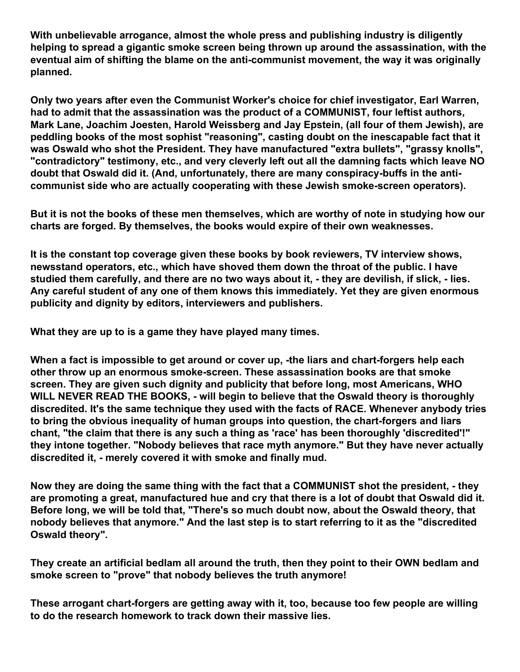**With unbelievable arrogance, almost the whole press and publishing industry is diligently helping to spread a gigantic smoke screen being thrown up around the assassination, with the eventual aim of shifting the blame on the anti-communist movement, the way it was originally planned.**

**Only two years after even the Communist Worker's choice for chief investigator, Earl Warren, had to admit that the assassination was the product of a COMMUNIST, four leftist authors, Mark Lane, Joachim Joesten, Harold Weissberg and Jay Epstein, (all four of them Jewish), are peddling books of the most sophist "reasoning", casting doubt on the inescapable fact that it was Oswald who shot the President. They have manufactured "extra bullets", "grassy knolls", "contradictory" testimony, etc., and very cleverly left out all the damning facts which leave NO doubt that Oswald did it. (And, unfortunately, there are many conspiracy-buffs in the anticommunist side who are actually cooperating with these Jewish smoke-screen operators).**

**But it is not the books of these men themselves, which are worthy of note in studying how our charts are forged. By themselves, the books would expire of their own weaknesses.**

**It is the constant top coverage given these books by book reviewers, TV interview shows, newsstand operators, etc., which have shoved them down the throat of the public. I have studied them carefully, and there are no two ways about it, - they are devilish, if slick, - lies. Any careful student of any one of them knows this immediately. Yet they are given enormous publicity and dignity by editors, interviewers and publishers.**

**What they are up to is a game they have played many times.**

**When a fact is impossible to get around or cover up, -the liars and chart-forgers help each other throw up an enormous smoke-screen. These assassination books are that smoke screen. They are given such dignity and publicity that before long, most Americans, WHO WILL NEVER READ THE BOOKS, - will begin to believe that the Oswald theory is thoroughly discredited. It's the same technique they used with the facts of RACE. Whenever anybody tries to bring the obvious inequality of human groups into question, the chart-forgers and liars chant, "the claim that there is any such a thing as 'race' has been thoroughly 'discredited'!" they intone together. "Nobody believes that race myth anymore." But they have never actually discredited it, - merely covered it with smoke and finally mud.**

**Now they are doing the same thing with the fact that a COMMUNIST shot the president, - they are promoting a great, manufactured hue and cry that there is a lot of doubt that Oswald did it. Before long, we will be told that, "There's so much doubt now, about the Oswald theory, that nobody believes that anymore." And the last step is to start referring to it as the "discredited Oswald theory".**

**They create an artificial bedlam all around the truth, then they point to their OWN bedlam and smoke screen to "prove" that nobody believes the truth anymore!**

**These arrogant chart-forgers are getting away with it, too, because too few people are willing to do the research homework to track down their massive lies.**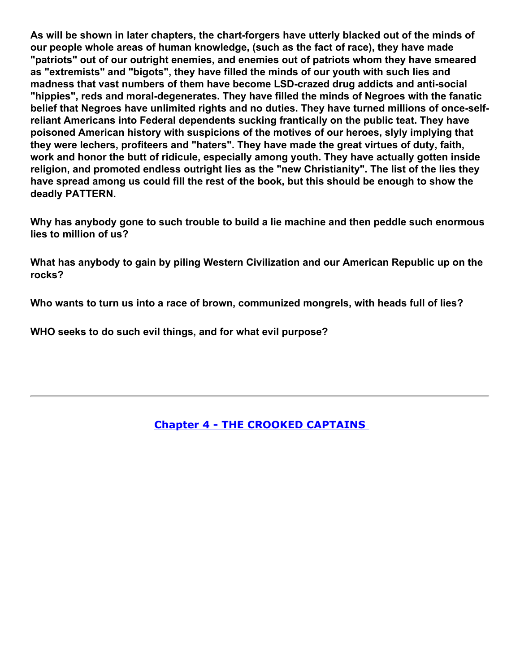**As will be shown in later chapters, the chart-forgers have utterly blacked out of the minds of our people whole areas of human knowledge, (such as the fact of race), they have made "patriots" out of our outright enemies, and enemies out of patriots whom they have smeared as "extremists" and "bigots", they have filled the minds of our youth with such lies and madness that vast numbers of them have become LSD-crazed drug addicts and anti-social "hippies", reds and moral-degenerates. They have filled the minds of Negroes with the fanatic belief that Negroes have unlimited rights and no duties. They have turned millions of once-selfreliant Americans into Federal dependents sucking frantically on the public teat. They have poisoned American history with suspicions of the motives of our heroes, slyly implying that they were lechers, profiteers and "haters". They have made the great virtues of duty, faith, work and honor the butt of ridicule, especially among youth. They have actually gotten inside religion, and promoted endless outright lies as the "new Christianity". The list of the lies they have spread among us could fill the rest of the book, but this should be enough to show the deadly PATTERN.**

**Why has anybody gone to such trouble to build a lie machine and then peddle such enormous lies to million of us?**

**What has anybody to gain by piling Western Civilization and our American Republic up on the rocks?**

**Who wants to turn us into a race of brown, communized mongrels, with heads full of lies?**

**WHO seeks to do such evil things, and for what evil purpose?**

**[Chapter 4 - THE CROOKED CAPTAINS](#page-50-0)**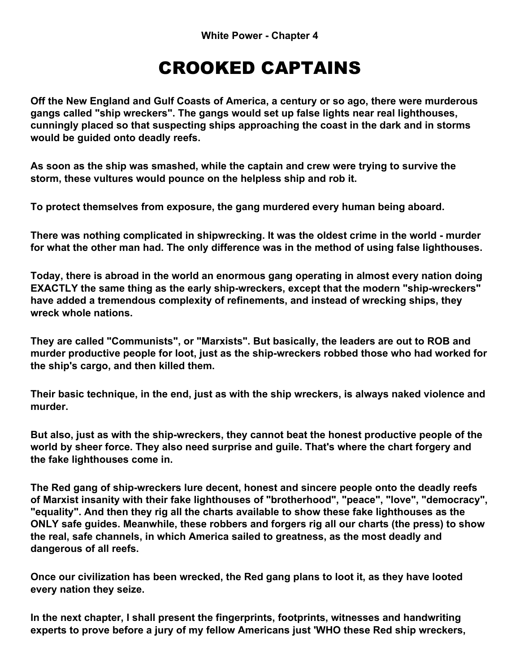## CROOKED CAPTAINS

<span id="page-50-0"></span>**Off the New England and Gulf Coasts of America, a century or so ago, there were murderous gangs called "ship wreckers". The gangs would set up false lights near real lighthouses, cunningly placed so that suspecting ships approaching the coast in the dark and in storms would be guided onto deadly reefs.**

**As soon as the ship was smashed, while the captain and crew were trying to survive the storm, these vultures would pounce on the helpless ship and rob it.**

**To protect themselves from exposure, the gang murdered every human being aboard.**

**There was nothing complicated in shipwrecking. It was the oldest crime in the world - murder for what the other man had. The only difference was in the method of using false lighthouses.**

**Today, there is abroad in the world an enormous gang operating in almost every nation doing EXACTLY the same thing as the early ship-wreckers, except that the modern "ship-wreckers" have added a tremendous complexity of refinements, and instead of wrecking ships, they wreck whole nations.**

**They are called "Communists", or "Marxists". But basically, the leaders are out to ROB and murder productive people for loot, just as the ship-wreckers robbed those who had worked for the ship's cargo, and then killed them.**

**Their basic technique, in the end, just as with the ship wreckers, is always naked violence and murder.**

**But also, just as with the ship-wreckers, they cannot beat the honest productive people of the world by sheer force. They also need surprise and guile. That's where the chart forgery and the fake lighthouses come in.**

**The Red gang of ship-wreckers lure decent, honest and sincere people onto the deadly reefs of Marxist insanity with their fake lighthouses of "brotherhood", "peace", "love", "democracy", "equality". And then they rig all the charts available to show these fake lighthouses as the ONLY safe guides. Meanwhile, these robbers and forgers rig all our charts (the press) to show the real, safe channels, in which America sailed to greatness, as the most deadly and dangerous of all reefs.**

**Once our civilization has been wrecked, the Red gang plans to loot it, as they have looted every nation they seize.**

**In the next chapter, I shall present the fingerprints, footprints, witnesses and handwriting experts to prove before a jury of my fellow Americans just 'WHO these Red ship wreckers,**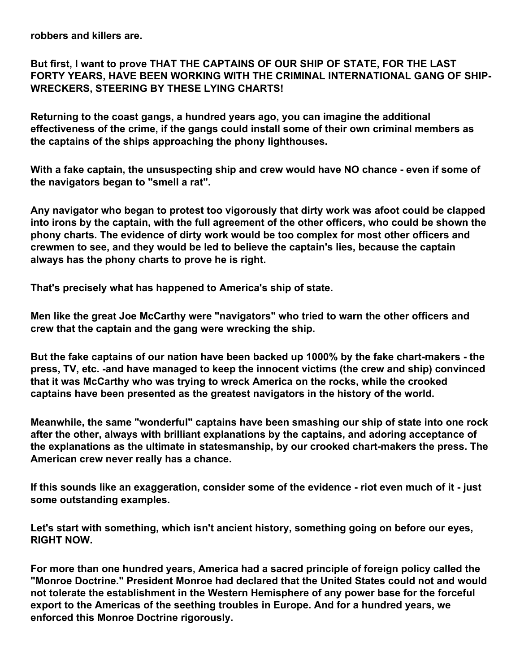**robbers and killers are.**

**But first, I want to prove THAT THE CAPTAINS OF OUR SHIP OF STATE, FOR THE LAST FORTY YEARS, HAVE BEEN WORKING WITH THE CRIMINAL INTERNATIONAL GANG OF SHIP-WRECKERS, STEERING BY THESE LYING CHARTS!**

**Returning to the coast gangs, a hundred years ago, you can imagine the additional effectiveness of the crime, if the gangs could install some of their own criminal members as the captains of the ships approaching the phony lighthouses.**

**With a fake captain, the unsuspecting ship and crew would have NO chance - even if some of the navigators began to "smell a rat".**

**Any navigator who began to protest too vigorously that dirty work was afoot could be clapped into irons by the captain, with the full agreement of the other officers, who could be shown the phony charts. The evidence of dirty work would be too complex for most other officers and crewmen to see, and they would be led to believe the captain's lies, because the captain always has the phony charts to prove he is right.**

**That's precisely what has happened to America's ship of state.**

**Men like the great Joe McCarthy were "navigators" who tried to warn the other officers and crew that the captain and the gang were wrecking the ship.**

**But the fake captains of our nation have been backed up 1000% by the fake chart-makers - the press, TV, etc. -and have managed to keep the innocent victims (the crew and ship) convinced that it was McCarthy who was trying to wreck America on the rocks, while the crooked captains have been presented as the greatest navigators in the history of the world.**

**Meanwhile, the same "wonderful" captains have been smashing our ship of state into one rock after the other, always with brilliant explanations by the captains, and adoring acceptance of the explanations as the ultimate in statesmanship, by our crooked chart-makers the press. The American crew never really has a chance.**

**If this sounds like an exaggeration, consider some of the evidence - riot even much of it - just some outstanding examples.**

**Let's start with something, which isn't ancient history, something going on before our eyes, RIGHT NOW.**

**For more than one hundred years, America had a sacred principle of foreign policy called the "Monroe Doctrine." President Monroe had declared that the United States could not and would not tolerate the establishment in the Western Hemisphere of any power base for the forceful export to the Americas of the seething troubles in Europe. And for a hundred years, we enforced this Monroe Doctrine rigorously.**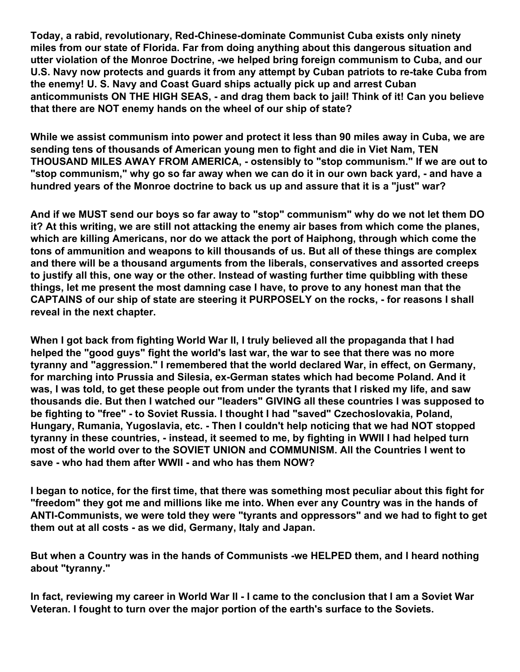**Today, a rabid, revolutionary, Red-Chinese-dominate Communist Cuba exists only ninety miles from our state of Florida. Far from doing anything about this dangerous situation and utter violation of the Monroe Doctrine, -we helped bring foreign communism to Cuba, and our U.S. Navy now protects and guards it from any attempt by Cuban patriots to re-take Cuba from the enemy! U. S. Navy and Coast Guard ships actually pick up and arrest Cuban anticommunists ON THE HIGH SEAS, - and drag them back to jail! Think of it! Can you believe that there are NOT enemy hands on the wheel of our ship of state?**

**While we assist communism into power and protect it less than 90 miles away in Cuba, we are sending tens of thousands of American young men to fight and die in Viet Nam, TEN THOUSAND MILES AWAY FROM AMERICA, - ostensibly to "stop communism." If we are out to "stop communism," why go so far away when we can do it in our own back yard, - and have a hundred years of the Monroe doctrine to back us up and assure that it is a "just" war?**

**And if we MUST send our boys so far away to "stop" communism" why do we not let them DO it? At this writing, we are still not attacking the enemy air bases from which come the planes, which are killing Americans, nor do we attack the port of Haiphong, through which come the tons of ammunition and weapons to kill thousands of us. But all of these things are complex and there will be a thousand arguments from the liberals, conservatives and assorted creeps to justify all this, one way or the other. Instead of wasting further time quibbling with these things, let me present the most damning case I have, to prove to any honest man that the CAPTAINS of our ship of state are steering it PURPOSELY on the rocks, - for reasons I shall reveal in the next chapter.**

**When I got back from fighting World War II, I truly believed all the propaganda that I had helped the "good guys" fight the world's last war, the war to see that there was no more tyranny and "aggression." I remembered that the world declared War, in effect, on Germany, for marching into Prussia and Silesia, ex-German states which had become Poland. And it was, I was told, to get these people out from under the tyrants that I risked my life, and saw thousands die. But then I watched our "leaders" GIVING all these countries I was supposed to be fighting to "free" - to Soviet Russia. I thought I had "saved" Czechoslovakia, Poland, Hungary, Rumania, Yugoslavia, etc. - Then I couldn't help noticing that we had NOT stopped tyranny in these countries, - instead, it seemed to me, by fighting in WWII I had helped turn most of the world over to the SOVIET UNION and COMMUNISM. All the Countries I went to save - who had them after WWII - and who has them NOW?**

**I began to notice, for the first time, that there was something most peculiar about this fight for "freedom" they got me and millions like me into. When ever any Country was in the hands of ANTI-Communists, we were told they were "tyrants and oppressors" and we had to fight to get them out at all costs - as we did, Germany, Italy and Japan.**

**But when a Country was in the hands of Communists -we HELPED them, and I heard nothing about "tyranny."**

**In fact, reviewing my career in World War II - I came to the conclusion that I am a Soviet War Veteran. I fought to turn over the major portion of the earth's surface to the Soviets.**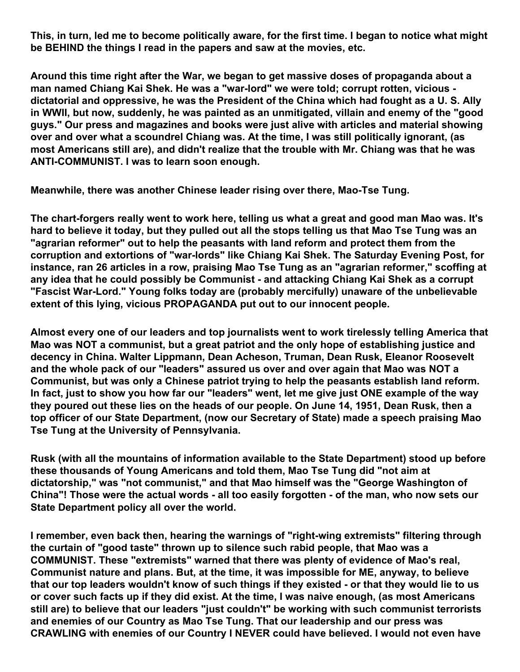**This, in turn, led me to become politically aware, for the first time. I began to notice what might be BEHIND the things I read in the papers and saw at the movies, etc.**

**Around this time right after the War, we began to get massive doses of propaganda about a man named Chiang Kai Shek. He was a "war-lord" we were told; corrupt rotten, vicious dictatorial and oppressive, he was the President of the China which had fought as a U. S. Ally in WWII, but now, suddenly, he was painted as an unmitigated, villain and enemy of the "good guys." Our press and magazines and books were just alive with articles and material showing over and over what a scoundrel Chiang was. At the time, I was still politically ignorant, (as most Americans still are), and didn't realize that the trouble with Mr. Chiang was that he was ANTI-COMMUNIST. I was to learn soon enough.**

**Meanwhile, there was another Chinese leader rising over there, Mao-Tse Tung.**

**The chart-forgers really went to work here, telling us what a great and good man Mao was. It's hard to believe it today, but they pulled out all the stops telling us that Mao Tse Tung was an "agrarian reformer" out to help the peasants with land reform and protect them from the corruption and extortions of "war-lords" like Chiang Kai Shek. The Saturday Evening Post, for instance, ran 26 articles in a row, praising Mao Tse Tung as an "agrarian reformer," scoffing at any idea that he could possibly be Communist - and attacking Chiang Kai Shek as a corrupt "Fascist War-Lord." Young folks today are (probably mercifully) unaware of the unbelievable extent of this lying, vicious PROPAGANDA put out to our innocent people.**

**Almost every one of our leaders and top journalists went to work tirelessly telling America that Mao was NOT a communist, but a great patriot and the only hope of establishing justice and decency in China. Walter Lippmann, Dean Acheson, Truman, Dean Rusk, Eleanor Roosevelt and the whole pack of our "leaders" assured us over and over again that Mao was NOT a Communist, but was only a Chinese patriot trying to help the peasants establish land reform. In fact, just to show you how far our "leaders" went, let me give just ONE example of the way they poured out these lies on the heads of our people. On June 14, 1951, Dean Rusk, then a top officer of our State Department, (now our Secretary of State) made a speech praising Mao Tse Tung at the University of Pennsylvania.**

**Rusk (with all the mountains of information available to the State Department) stood up before these thousands of Young Americans and told them, Mao Tse Tung did "not aim at dictatorship," was "not communist," and that Mao himself was the "George Washington of China"! Those were the actual words - all too easily forgotten - of the man, who now sets our State Department policy all over the world.**

**I remember, even back then, hearing the warnings of "right-wing extremists" filtering through the curtain of "good taste" thrown up to silence such rabid people, that Mao was a COMMUNIST. These "extremists" warned that there was plenty of evidence of Mao's real, Communist nature and plans. But, at the time, it was impossible for ME, anyway, to believe that our top leaders wouldn't know of such things if they existed - or that they would lie to us or cover such facts up if they did exist. At the time, I was naive enough, (as most Americans still are) to believe that our leaders "just couldn't" be working with such communist terrorists and enemies of our Country as Mao Tse Tung. That our leadership and our press was CRAWLING with enemies of our Country I NEVER could have believed. I would not even have**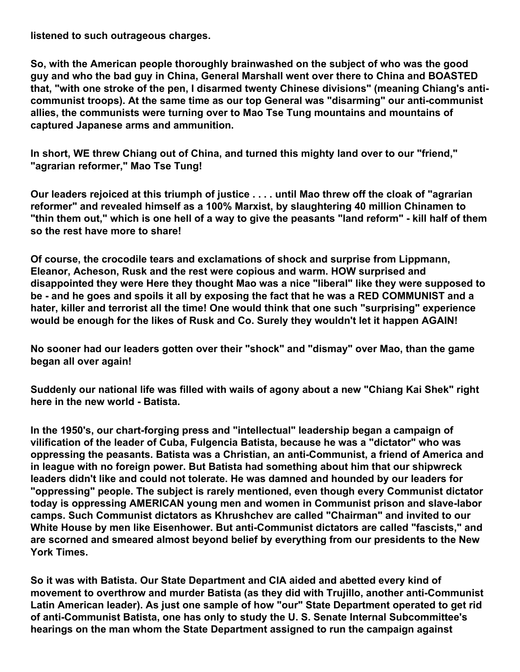**listened to such outrageous charges.**

**So, with the American people thoroughly brainwashed on the subject of who was the good guy and who the bad guy in China, General Marshall went over there to China and BOASTED that, "with one stroke of the pen, I disarmed twenty Chinese divisions" (meaning Chiang's anticommunist troops). At the same time as our top General was "disarming" our anti-communist allies, the communists were turning over to Mao Tse Tung mountains and mountains of captured Japanese arms and ammunition.**

**In short, WE threw Chiang out of China, and turned this mighty land over to our "friend," "agrarian reformer," Mao Tse Tung!**

**Our leaders rejoiced at this triumph of justice . . . . until Mao threw off the cloak of "agrarian reformer" and revealed himself as a 100% Marxist, by slaughtering 40 million Chinamen to "thin them out," which is one hell of a way to give the peasants "land reform" - kill half of them so the rest have more to share!**

**Of course, the crocodile tears and exclamations of shock and surprise from Lippmann, Eleanor, Acheson, Rusk and the rest were copious and warm. HOW surprised and disappointed they were Here they thought Mao was a nice "liberal" like they were supposed to be - and he goes and spoils it all by exposing the fact that he was a RED COMMUNIST and a hater, killer and terrorist all the time! One would think that one such "surprising" experience would be enough for the likes of Rusk and Co. Surely they wouldn't let it happen AGAIN!**

**No sooner had our leaders gotten over their "shock" and "dismay" over Mao, than the game began all over again!**

**Suddenly our national life was filled with wails of agony about a new "Chiang Kai Shek" right here in the new world - Batista.**

**In the 1950's, our chart-forging press and "intellectual" leadership began a campaign of vilification of the leader of Cuba, Fulgencia Batista, because he was a "dictator" who was oppressing the peasants. Batista was a Christian, an anti-Communist, a friend of America and in league with no foreign power. But Batista had something about him that our shipwreck leaders didn't like and could not tolerate. He was damned and hounded by our leaders for "oppressing" people. The subject is rarely mentioned, even though every Communist dictator today is oppressing AMERICAN young men and women in Communist prison and slave-labor camps. Such Communist dictators as Khrushchev are called "Chairman" and invited to our White House by men like Eisenhower. But anti-Communist dictators are called "fascists," and are scorned and smeared almost beyond belief by everything from our presidents to the New York Times.**

**So it was with Batista. Our State Department and CIA aided and abetted every kind of movement to overthrow and murder Batista (as they did with Trujillo, another anti-Communist Latin American leader). As just one sample of how "our" State Department operated to get rid of anti-Communist Batista, one has only to study the U. S. Senate Internal Subcommittee's hearings on the man whom the State Department assigned to run the campaign against**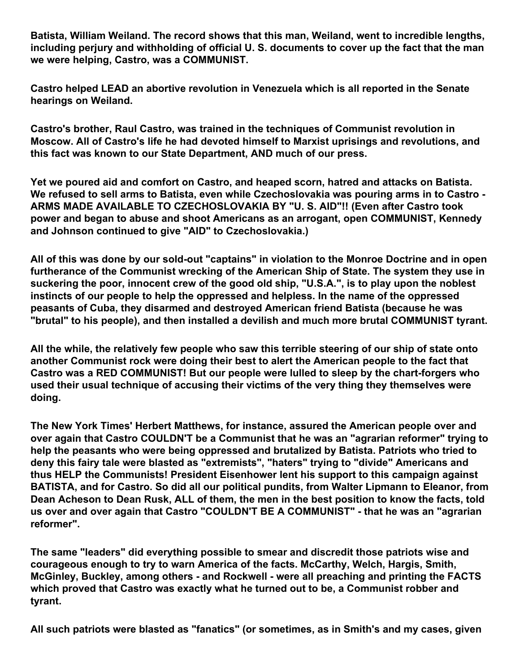**Batista, William Weiland. The record shows that this man, Weiland, went to incredible lengths, including perjury and withholding of official U. S. documents to cover up the fact that the man we were helping, Castro, was a COMMUNIST.**

**Castro helped LEAD an abortive revolution in Venezuela which is all reported in the Senate hearings on Weiland.**

**Castro's brother, Raul Castro, was trained in the techniques of Communist revolution in Moscow. All of Castro's life he had devoted himself to Marxist uprisings and revolutions, and this fact was known to our State Department, AND much of our press.**

**Yet we poured aid and comfort on Castro, and heaped scorn, hatred and attacks on Batista. We refused to sell arms to Batista, even while Czechoslovakia was pouring arms in to Castro - ARMS MADE AVAILABLE TO CZECHOSLOVAKIA BY "U. S. AID"!! (Even after Castro took power and began to abuse and shoot Americans as an arrogant, open COMMUNIST, Kennedy and Johnson continued to give "AID" to Czechoslovakia.)**

**All of this was done by our sold-out "captains" in violation to the Monroe Doctrine and in open furtherance of the Communist wrecking of the American Ship of State. The system they use in suckering the poor, innocent crew of the good old ship, "U.S.A.", is to play upon the noblest instincts of our people to help the oppressed and helpless. In the name of the oppressed peasants of Cuba, they disarmed and destroyed American friend Batista (because he was "brutal" to his people), and then installed a devilish and much more brutal COMMUNIST tyrant.**

**All the while, the relatively few people who saw this terrible steering of our ship of state onto another Communist rock were doing their best to alert the American people to the fact that Castro was a RED COMMUNIST! But our people were lulled to sleep by the chart-forgers who used their usual technique of accusing their victims of the very thing they themselves were doing.**

**The New York Times' Herbert Matthews, for instance, assured the American people over and over again that Castro COULDN'T be a Communist that he was an "agrarian reformer" trying to help the peasants who were being oppressed and brutalized by Batista. Patriots who tried to deny this fairy tale were blasted as "extremists", "haters" trying to "divide" Americans and thus HELP the Communists! President Eisenhower lent his support to this campaign against BATISTA, and for Castro. So did all our political pundits, from Walter Lipmann to Eleanor, from Dean Acheson to Dean Rusk, ALL of them, the men in the best position to know the facts, told us over and over again that Castro "COULDN'T BE A COMMUNIST" - that he was an "agrarian reformer".**

**The same "leaders" did everything possible to smear and discredit those patriots wise and courageous enough to try to warn America of the facts. McCarthy, Welch, Hargis, Smith, McGinley, Buckley, among others - and Rockwell - were all preaching and printing the FACTS which proved that Castro was exactly what he turned out to be, a Communist robber and tyrant.**

**All such patriots were blasted as "fanatics" (or sometimes, as in Smith's and my cases, given**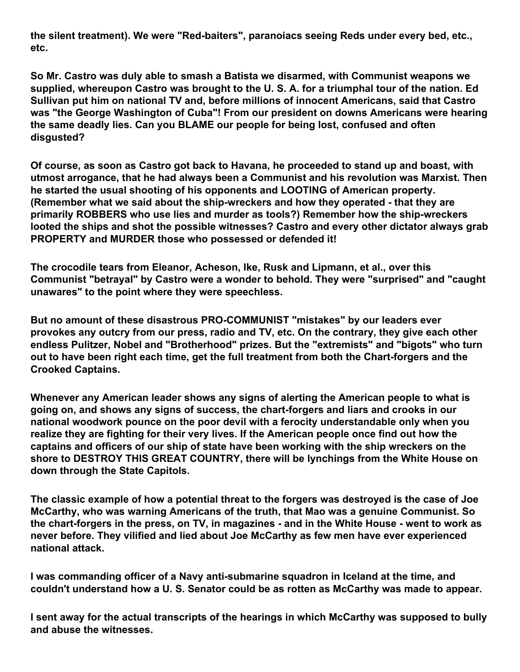**the silent treatment). We were "Red-baiters", paranoiacs seeing Reds under every bed, etc., etc.**

**So Mr. Castro was duly able to smash a Batista we disarmed, with Communist weapons we supplied, whereupon Castro was brought to the U. S. A. for a triumphal tour of the nation. Ed Sullivan put him on national TV and, before millions of innocent Americans, said that Castro was "the George Washington of Cuba"! From our president on downs Americans were hearing the same deadly lies. Can you BLAME our people for being lost, confused and often disgusted?**

**Of course, as soon as Castro got back to Havana, he proceeded to stand up and boast, with utmost arrogance, that he had always been a Communist and his revolution was Marxist. Then he started the usual shooting of his opponents and LOOTING of American property. (Remember what we said about the ship-wreckers and how they operated - that they are primarily ROBBERS who use lies and murder as tools?) Remember how the ship-wreckers looted the ships and shot the possible witnesses? Castro and every other dictator always grab PROPERTY and MURDER those who possessed or defended it!**

**The crocodile tears from Eleanor, Acheson, Ike, Rusk and Lipmann, et al., over this Communist "betrayal" by Castro were a wonder to behold. They were "surprised" and "caught unawares" to the point where they were speechless.**

**But no amount of these disastrous PRO-COMMUNIST "mistakes" by our leaders ever provokes any outcry from our press, radio and TV, etc. On the contrary, they give each other endless Pulitzer, Nobel and "Brotherhood" prizes. But the "extremists" and "bigots" who turn out to have been right each time, get the full treatment from both the Chart-forgers and the Crooked Captains.**

**Whenever any American leader shows any signs of alerting the American people to what is going on, and shows any signs of success, the chart-forgers and liars and crooks in our national woodwork pounce on the poor devil with a ferocity understandable only when you realize they are fighting for their very lives. If the American people once find out how the captains and officers of our ship of state have been working with the ship wreckers on the shore to DESTROY THIS GREAT COUNTRY, there will be lynchings from the White House on down through the State Capitols.**

**The classic example of how a potential threat to the forgers was destroyed is the case of Joe McCarthy, who was warning Americans of the truth, that Mao was a genuine Communist. So the chart-forgers in the press, on TV, in magazines - and in the White House - went to work as never before. They vilified and lied about Joe McCarthy as few men have ever experienced national attack.**

**I was commanding officer of a Navy anti-submarine squadron in Iceland at the time, and couldn't understand how a U. S. Senator could be as rotten as McCarthy was made to appear.**

**I sent away for the actual transcripts of the hearings in which McCarthy was supposed to bully and abuse the witnesses.**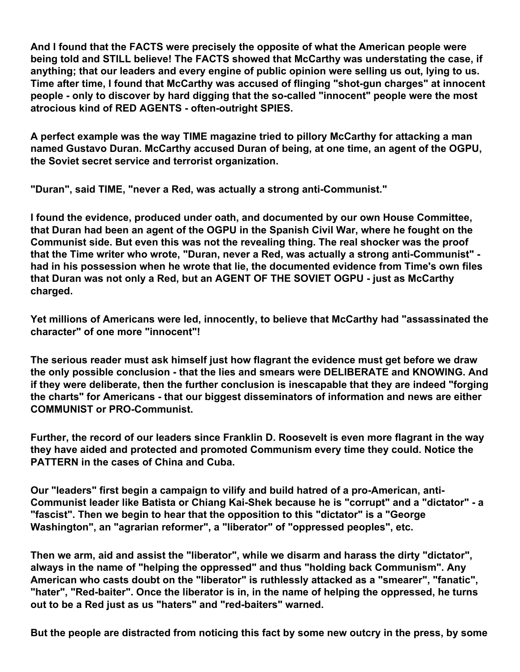**And I found that the FACTS were precisely the opposite of what the American people were being told and STILL believe! The FACTS showed that McCarthy was understating the case, if anything; that our leaders and every engine of public opinion were selling us out, lying to us. Time after time, I found that McCarthy was accused of flinging "shot-gun charges" at innocent people - only to discover by hard digging that the so-called "innocent" people were the most atrocious kind of RED AGENTS - often-outright SPIES.**

**A perfect example was the way TIME magazine tried to pillory McCarthy for attacking a man named Gustavo Duran. McCarthy accused Duran of being, at one time, an agent of the OGPU, the Soviet secret service and terrorist organization.**

**"Duran", said TIME, "never a Red, was actually a strong anti-Communist."**

**I found the evidence, produced under oath, and documented by our own House Committee, that Duran had been an agent of the OGPU in the Spanish Civil War, where he fought on the Communist side. But even this was not the revealing thing. The real shocker was the proof that the Time writer who wrote, "Duran, never a Red, was actually a strong anti-Communist" had in his possession when he wrote that lie, the documented evidence from Time's own files that Duran was not only a Red, but an AGENT OF THE SOVIET OGPU - just as McCarthy charged.**

**Yet millions of Americans were led, innocently, to believe that McCarthy had "assassinated the character" of one more "innocent"!**

**The serious reader must ask himself just how flagrant the evidence must get before we draw the only possible conclusion - that the lies and smears were DELIBERATE and KNOWING. And if they were deliberate, then the further conclusion is inescapable that they are indeed "forging the charts" for Americans - that our biggest disseminators of information and news are either COMMUNIST or PRO-Communist.**

**Further, the record of our leaders since Franklin D. Roosevelt is even more flagrant in the way they have aided and protected and promoted Communism every time they could. Notice the PATTERN in the cases of China and Cuba.**

**Our "leaders" first begin a campaign to vilify and build hatred of a pro-American, anti-Communist leader like Batista or Chiang Kai-Shek because he is "corrupt" and a "dictator" - a "fascist". Then we begin to hear that the opposition to this "dictator" is a "George Washington", an "agrarian reformer", a "liberator" of "oppressed peoples", etc.**

**Then we arm, aid and assist the "liberator", while we disarm and harass the dirty "dictator", always in the name of "helping the oppressed" and thus "holding back Communism". Any American who casts doubt on the "liberator" is ruthlessly attacked as a "smearer", "fanatic", "hater", "Red-baiter". Once the liberator is in, in the name of helping the oppressed, he turns out to be a Red just as us "haters" and "red-baiters" warned.**

**But the people are distracted from noticing this fact by some new outcry in the press, by some**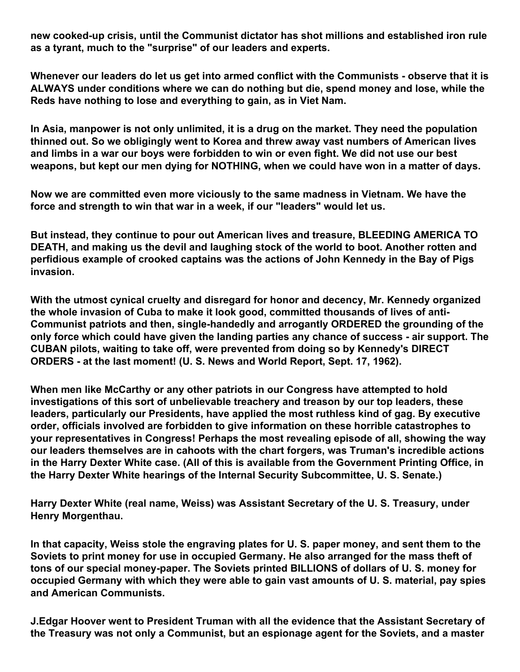**new cooked-up crisis, until the Communist dictator has shot millions and established iron rule as a tyrant, much to the "surprise" of our leaders and experts.**

**Whenever our leaders do let us get into armed conflict with the Communists - observe that it is ALWAYS under conditions where we can do nothing but die, spend money and lose, while the Reds have nothing to lose and everything to gain, as in Viet Nam.**

**In Asia, manpower is not only unlimited, it is a drug on the market. They need the population thinned out. So we obligingly went to Korea and threw away vast numbers of American lives and limbs in a war our boys were forbidden to win or even fight. We did not use our best weapons, but kept our men dying for NOTHING, when we could have won in a matter of days.**

**Now we are committed even more viciously to the same madness in Vietnam. We have the force and strength to win that war in a week, if our "leaders" would let us.**

**But instead, they continue to pour out American lives and treasure, BLEEDING AMERICA TO DEATH, and making us the devil and laughing stock of the world to boot. Another rotten and perfidious example of crooked captains was the actions of John Kennedy in the Bay of Pigs invasion.**

**With the utmost cynical cruelty and disregard for honor and decency, Mr. Kennedy organized the whole invasion of Cuba to make it look good, committed thousands of lives of anti-Communist patriots and then, single-handedly and arrogantly ORDERED the grounding of the only force which could have given the landing parties any chance of success - air support. The CUBAN pilots, waiting to take off, were prevented from doing so by Kennedy's DIRECT ORDERS - at the last moment! (U. S. News and World Report, Sept. 17, 1962).**

**When men like McCarthy or any other patriots in our Congress have attempted to hold investigations of this sort of unbelievable treachery and treason by our top leaders, these leaders, particularly our Presidents, have applied the most ruthless kind of gag. By executive order, officials involved are forbidden to give information on these horrible catastrophes to your representatives in Congress! Perhaps the most revealing episode of all, showing the way our leaders themselves are in cahoots with the chart forgers, was Truman's incredible actions in the Harry Dexter White case. (All of this is available from the Government Printing Office, in the Harry Dexter White hearings of the Internal Security Subcommittee, U. S. Senate.)**

**Harry Dexter White (real name, Weiss) was Assistant Secretary of the U. S. Treasury, under Henry Morgenthau.**

**In that capacity, Weiss stole the engraving plates for U. S. paper money, and sent them to the Soviets to print money for use in occupied Germany. He also arranged for the mass theft of tons of our special money-paper. The Soviets printed BILLIONS of dollars of U. S. money for occupied Germany with which they were able to gain vast amounts of U. S. material, pay spies and American Communists.**

**J.Edgar Hoover went to President Truman with all the evidence that the Assistant Secretary of the Treasury was not only a Communist, but an espionage agent for the Soviets, and a master**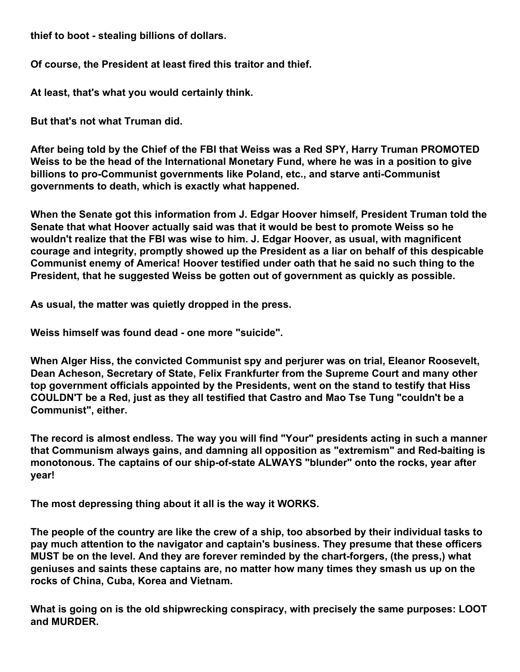**thief to boot - stealing billions of dollars.**

**Of course, the President at least fired this traitor and thief.**

**At least, that's what you would certainly think.**

**But that's not what Truman did.**

**After being told by the Chief of the FBI that Weiss was a Red SPY, Harry Truman PROMOTED Weiss to be the head of the International Monetary Fund, where he was in a position to give billions to pro-Communist governments like Poland, etc., and starve anti-Communist governments to death, which is exactly what happened.**

**When the Senate got this information from J. Edgar Hoover himself, President Truman told the Senate that what Hoover actually said was that it would be best to promote Weiss so he wouldn't realize that the FBI was wise to him. J. Edgar Hoover, as usual, with magnificent courage and integrity, promptly showed up the President as a liar on behalf of this despicable Communist enemy of America! Hoover testified under oath that he said no such thing to the President, that he suggested Weiss be gotten out of government as quickly as possible.**

**As usual, the matter was quietly dropped in the press.**

**Weiss himself was found dead - one more "suicide".**

**When Alger Hiss, the convicted Communist spy and perjurer was on trial, Eleanor Roosevelt, Dean Acheson, Secretary of State, Felix Frankfurter from the Supreme Court and many other top government officials appointed by the Presidents, went on the stand to testify that Hiss COULDN'T be a Red, just as they all testified that Castro and Mao Tse Tung "couldn't be a Communist", either.**

**The record is almost endless. The way you will find "Your" presidents acting in such a manner that Communism always gains, and damning all opposition as "extremism" and Red-baiting is monotonous. The captains of our ship-of-state ALWAYS "blunder" onto the rocks, year after year!**

**The most depressing thing about it all is the way it WORKS.**

**The people of the country are like the crew of a ship, too absorbed by their individual tasks to pay much attention to the navigator and captain's business. They presume that these officers MUST be on the level. And they are forever reminded by the chart-forgers, (the press,) what geniuses and saints these captains are, no matter how many times they smash us up on the rocks of China, Cuba, Korea and Vietnam.**

**What is going on is the old shipwrecking conspiracy, with precisely the same purposes: LOOT and MURDER.**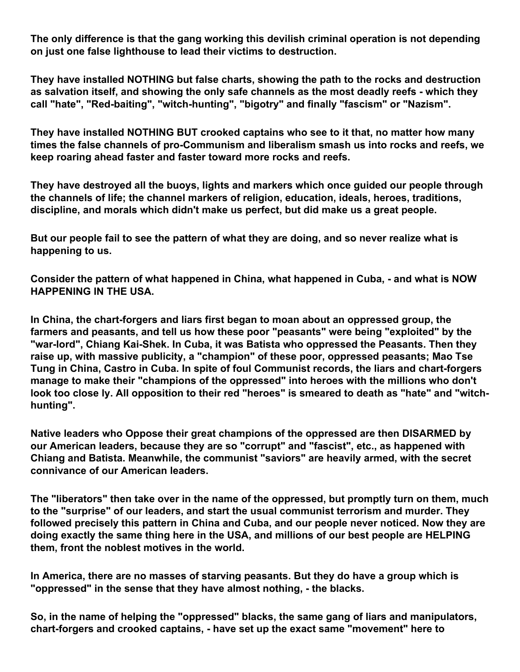**The only difference is that the gang working this devilish criminal operation is not depending on just one false lighthouse to lead their victims to destruction.**

**They have installed NOTHING but false charts, showing the path to the rocks and destruction as salvation itself, and showing the only safe channels as the most deadly reefs - which they call "hate", "Red-baiting", "witch-hunting", "bigotry" and finally "fascism" or "Nazism".**

**They have installed NOTHING BUT crooked captains who see to it that, no matter how many times the false channels of pro-Communism and liberalism smash us into rocks and reefs, we keep roaring ahead faster and faster toward more rocks and reefs.**

**They have destroyed all the buoys, lights and markers which once guided our people through the channels of life; the channel markers of religion, education, ideals, heroes, traditions, discipline, and morals which didn't make us perfect, but did make us a great people.**

**But our people fail to see the pattern of what they are doing, and so never realize what is happening to us.**

**Consider the pattern of what happened in China, what happened in Cuba, - and what is NOW HAPPENING IN THE USA.**

**In China, the chart-forgers and liars first began to moan about an oppressed group, the farmers and peasants, and tell us how these poor "peasants" were being "exploited" by the "war-lord", Chiang Kai-Shek. In Cuba, it was Batista who oppressed the Peasants. Then they raise up, with massive publicity, a "champion" of these poor, oppressed peasants; Mao Tse Tung in China, Castro in Cuba. In spite of foul Communist records, the liars and chart-forgers manage to make their "champions of the oppressed" into heroes with the millions who don't look too close ly. All opposition to their red "heroes" is smeared to death as "hate" and "witchhunting".**

**Native leaders who Oppose their great champions of the oppressed are then DISARMED by our American leaders, because they are so "corrupt" and "fascist", etc., as happened with Chiang and Batista. Meanwhile, the communist "saviors" are heavily armed, with the secret connivance of our American leaders.**

**The "liberators" then take over in the name of the oppressed, but promptly turn on them, much to the "surprise" of our leaders, and start the usual communist terrorism and murder. They followed precisely this pattern in China and Cuba, and our people never noticed. Now they are doing exactly the same thing here in the USA, and millions of our best people are HELPING them, front the noblest motives in the world.**

**In America, there are no masses of starving peasants. But they do have a group which is "oppressed" in the sense that they have almost nothing, - the blacks.**

**So, in the name of helping the "oppressed" blacks, the same gang of liars and manipulators, chart-forgers and crooked captains, - have set up the exact same "movement" here to**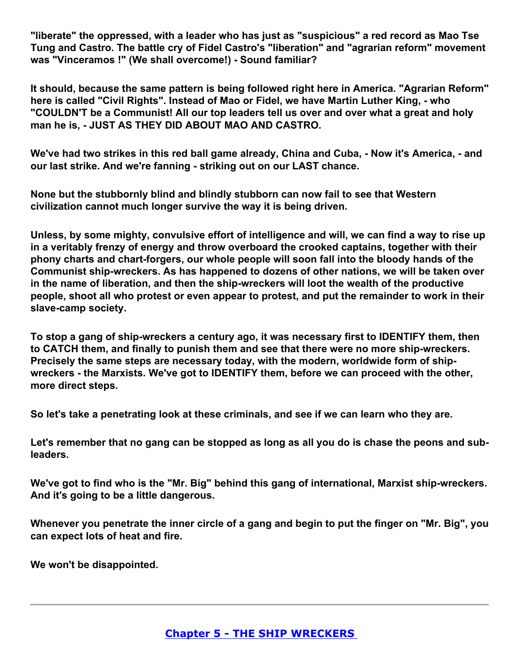**"liberate" the oppressed, with a leader who has just as "suspicious" a red record as Mao Tse Tung and Castro. The battle cry of Fidel Castro's "liberation" and "agrarian reform" movement was "Vinceramos !" (We shall overcome!) - Sound familiar?**

**It should, because the same pattern is being followed right here in America. "Agrarian Reform" here is called "Civil Rights". Instead of Mao or Fidel, we have Martin Luther King, - who "COULDN'T be a Communist! All our top leaders tell us over and over what a great and holy man he is, - JUST AS THEY DID ABOUT MAO AND CASTRO.**

**We've had two strikes in this red ball game already, China and Cuba, - Now it's America, - and our last strike. And we're fanning - striking out on our LAST chance.**

**None but the stubbornly blind and blindly stubborn can now fail to see that Western civilization cannot much longer survive the way it is being driven.**

**Unless, by some mighty, convulsive effort of intelligence and will, we can find a way to rise up in a veritably frenzy of energy and throw overboard the crooked captains, together with their phony charts and chart-forgers, our whole people will soon fall into the bloody hands of the Communist ship-wreckers. As has happened to dozens of other nations, we will be taken over in the name of liberation, and then the ship-wreckers will loot the wealth of the productive people, shoot all who protest or even appear to protest, and put the remainder to work in their slave-camp society.**

**To stop a gang of ship-wreckers a century ago, it was necessary first to IDENTIFY them, then to CATCH them, and finally to punish them and see that there were no more ship-wreckers. Precisely the same steps are necessary today, with the modern, worldwide form of shipwreckers - the Marxists. We've got to IDENTIFY them, before we can proceed with the other, more direct steps.**

**So let's take a penetrating look at these criminals, and see if we can learn who they are.**

**Let's remember that no gang can be stopped as long as all you do is chase the peons and subleaders.**

**We've got to find who is the "Mr. Big" behind this gang of international, Marxist ship-wreckers. And it's going to be a little dangerous.**

**Whenever you penetrate the inner circle of a gang and begin to put the finger on "Mr. Big", you can expect lots of heat and fire.**

**We won't be disappointed.**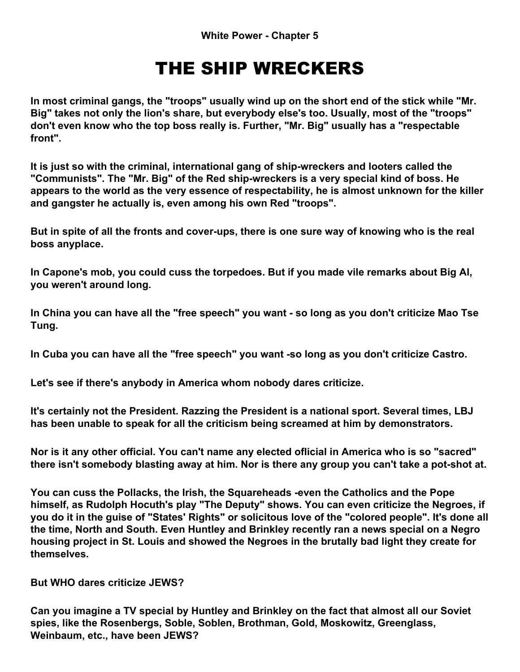## THE SHIP WRECKERS

<span id="page-63-0"></span>**In most criminal gangs, the "troops" usually wind up on the short end of the stick while "Mr. Big" takes not only the lion's share, but everybody else's too. Usually, most of the "troops" don't even know who the top boss really is. Further, "Mr. Big" usually has a "respectable front".**

**It is just so with the criminal, international gang of ship-wreckers and looters called the "Communists". The "Mr. Big" of the Red ship-wreckers is a very special kind of boss. He appears to the world as the very essence of respectability, he is almost unknown for the killer and gangster he actually is, even among his own Red "troops".**

**But in spite of all the fronts and cover-ups, there is one sure way of knowing who is the real boss anyplace.**

**In Capone's mob, you could cuss the torpedoes. But if you made vile remarks about Big Al, you weren't around long.**

**In China you can have all the "free speech" you want - so long as you don't criticize Mao Tse Tung.**

**In Cuba you can have all the "free speech" you want -so long as you don't criticize Castro.**

**Let's see if there's anybody in America whom nobody dares criticize.**

**It's certainly not the President. Razzing the President is a national sport. Several times, LBJ has been unable to speak for all the criticism being screamed at him by demonstrators.**

**Nor is it any other official. You can't name any elected oflicial in America who is so "sacred" there isn't somebody blasting away at him. Nor is there any group you can't take a pot-shot at.**

**You can cuss the Pollacks, the Irish, the Squareheads -even the Catholics and the Pope himself, as Rudolph Hocuth's play "The Deputy" shows. You can even criticize the Negroes, if you do it in the guise of "States' Rights" or solicitous love of the "colored people". It's done all the time, North and South. Even Huntley and Brinkley recently ran a news special on a Negro housing project in St. Louis and showed the Negroes in the brutally bad light they create for themselves.**

**But WHO dares criticize JEWS?**

**Can you imagine a TV special by Huntley and Brinkley on the fact that almost all our Soviet spies, like the Rosenbergs, Soble, Soblen, Brothman, Gold, Moskowitz, Greenglass, Weinbaum, etc., have been JEWS?**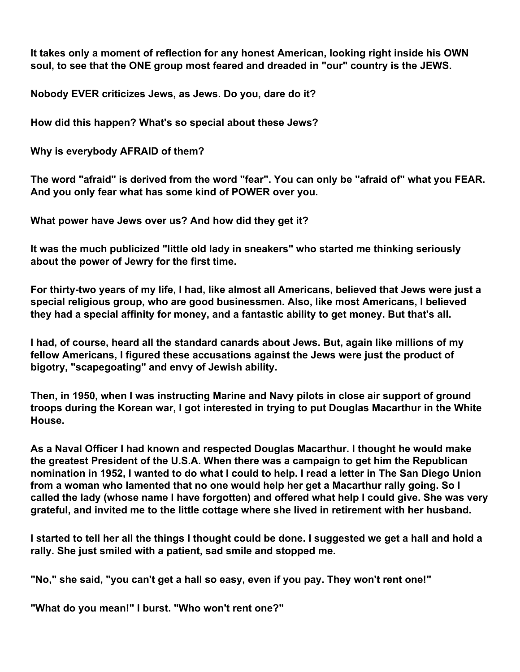**It takes only a moment of reflection for any honest American, looking right inside his OWN soul, to see that the ONE group most feared and dreaded in "our" country is the JEWS.**

**Nobody EVER criticizes Jews, as Jews. Do you, dare do it?**

**How did this happen? What's so special about these Jews?**

**Why is everybody AFRAID of them?**

**The word "afraid" is derived from the word "fear". You can only be "afraid of" what you FEAR. And you only fear what has some kind of POWER over you.**

**What power have Jews over us? And how did they get it?**

**It was the much publicized "little old lady in sneakers" who started me thinking seriously about the power of Jewry for the first time.**

**For thirty-two years of my life, I had, like almost all Americans, believed that Jews were just a special religious group, who are good businessmen. Also, like most Americans, I believed they had a special affinity for money, and a fantastic ability to get money. But that's all.**

**I had, of course, heard all the standard canards about Jews. But, again like millions of my fellow Americans, I figured these accusations against the Jews were just the product of bigotry, "scapegoating" and envy of Jewish ability.**

**Then, in 1950, when I was instructing Marine and Navy pilots in close air support of ground troops during the Korean war, I got interested in trying to put Douglas Macarthur in the White House.**

**As a Naval Officer I had known and respected Douglas Macarthur. I thought he would make the greatest President of the U.S.A. When there was a campaign to get him the Republican nomination in 1952, I wanted to do what I could to help. I read a letter in The San Diego Union from a woman who lamented that no one would help her get a Macarthur rally going. So I called the lady (whose name I have forgotten) and offered what help I could give. She was very grateful, and invited me to the little cottage where she lived in retirement with her husband.**

**I started to tell her all the things I thought could be done. I suggested we get a hall and hold a rally. She just smiled with a patient, sad smile and stopped me.**

**"No," she said, "you can't get a hall so easy, even if you pay. They won't rent one!"**

**"What do you mean!" I burst. "Who won't rent one?"**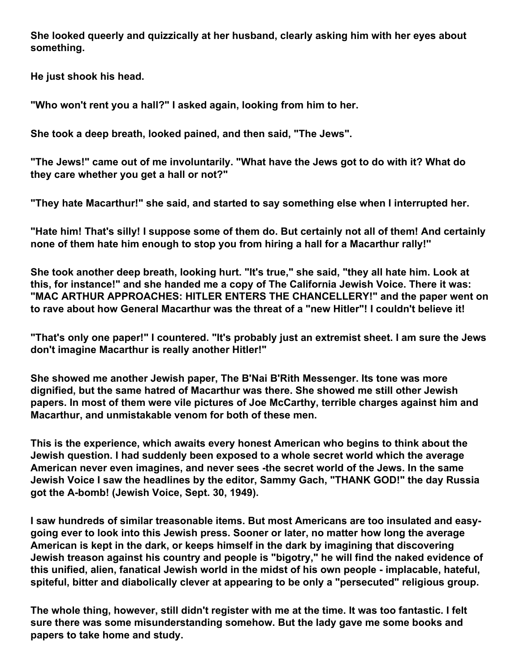**She looked queerly and quizzically at her husband, clearly asking him with her eyes about something.**

**He just shook his head.**

**"Who won't rent you a hall?" I asked again, looking from him to her.**

**She took a deep breath, looked pained, and then said, "The Jews".**

**"The Jews!" came out of me involuntarily. "What have the Jews got to do with it? What do they care whether you get a hall or not?"**

**"They hate Macarthur!" she said, and started to say something else when I interrupted her.**

**"Hate him! That's silly! I suppose some of them do. But certainly not all of them! And certainly none of them hate him enough to stop you from hiring a hall for a Macarthur rally!''**

**She took another deep breath, looking hurt. "It's true," she said, "they all hate him. Look at this, for instance!" and she handed me a copy of The California Jewish Voice. There it was: "MAC ARTHUR APPROACHES: HITLER ENTERS THE CHANCELLERY!" and the paper went on to rave about how General Macarthur was the threat of a "new Hitler"! I couldn't believe it!**

**"That's only one paper!" I countered. "It's probably just an extremist sheet. I am sure the Jews don't imagine Macarthur is really another Hitler!"**

**She showed me another Jewish paper, The B'Nai B'Rith Messenger. Its tone was more dignified, but the same hatred of Macarthur was there. She showed me still other Jewish papers. In most of them were vile pictures of Joe McCarthy, terrible charges against him and Macarthur, and unmistakable venom for both of these men.**

**This is the experience, which awaits every honest American who begins to think about the Jewish question. I had suddenly been exposed to a whole secret world which the average American never even imagines, and never sees -the secret world of the Jews. In the same Jewish Voice I saw the headlines by the editor, Sammy Gach, "THANK GOD!" the day Russia got the A-bomb! (Jewish Voice, Sept. 30, 1949).**

**I saw hundreds of similar treasonable items. But most Americans are too insulated and easygoing ever to look into this Jewish press. Sooner or later, no matter how long the average American is kept in the dark, or keeps himself in the dark by imagining that discovering Jewish treason against his country and people is "bigotry," he will find the naked evidence of this unified, alien, fanatical Jewish world in the midst of his own people - implacable, hateful, spiteful, bitter and diabolically clever at appearing to be only a "persecuted" religious group.**

**The whole thing, however, still didn't register with me at the time. It was too fantastic. I felt sure there was some misunderstanding somehow. But the lady gave me some books and papers to take home and study.**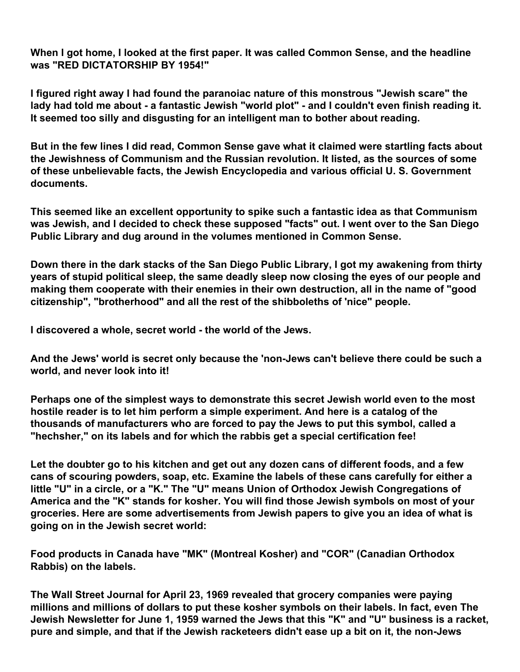**When I got home, I looked at the first paper. It was called Common Sense, and the headline was "RED DICTATORSHIP BY 1954!"**

**I figured right away I had found the paranoiac nature of this monstrous "Jewish scare" the lady had told me about - a fantastic Jewish "world plot" - and I couldn't even finish reading it. It seemed too silly and disgusting for an intelligent man to bother about reading.**

**But in the few lines I did read, Common Sense gave what it claimed were startling facts about the Jewishness of Communism and the Russian revolution. It listed, as the sources of some of these unbelievable facts, the Jewish Encyclopedia and various official U. S. Government documents.**

**This seemed like an excellent opportunity to spike such a fantastic idea as that Communism was Jewish, and I decided to check these supposed "facts" out. I went over to the San Diego Public Library and dug around in the volumes mentioned in Common Sense.**

**Down there in the dark stacks of the San Diego Public Library, I got my awakening from thirty years of stupid political sleep, the same deadly sleep now closing the eyes of our people and making them cooperate with their enemies in their own destruction, all in the name of "good citizenship", "brotherhood" and all the rest of the shibboleths of 'nice" people.**

**I discovered a whole, secret world - the world of the Jews.**

**And the Jews' world is secret only because the 'non-Jews can't believe there could be such a world, and never look into it!**

**Perhaps one of the simplest ways to demonstrate this secret Jewish world even to the most hostile reader is to let him perform a simple experiment. And here is a catalog of the thousands of manufacturers who are forced to pay the Jews to put this symbol, called a "hechsher," on its labels and for which the rabbis get a special certification fee!**

**Let the doubter go to his kitchen and get out any dozen cans of different foods, and a few cans of scouring powders, soap, etc. Examine the labels of these cans carefully for either a little "U" in a circle, or a "K." The "U" means Union of Orthodox Jewish Congregations of America and the "K" stands for kosher. You will find those Jewish symbols on most of your groceries. Here are some advertisements from Jewish papers to give you an idea of what is going on in the Jewish secret world:**

**Food products in Canada have "MK" (Montreal Kosher) and "COR" (Canadian Orthodox Rabbis) on the labels.**

**The Wall Street Journal for April 23, 1969 revealed that grocery companies were paying millions and millions of dollars to put these kosher symbols on their labels. In fact, even The Jewish Newsletter for June 1, 1959 warned the Jews that this "K" and "U" business is a racket, pure and simple, and that if the Jewish racketeers didn't ease up a bit on it, the non-Jews**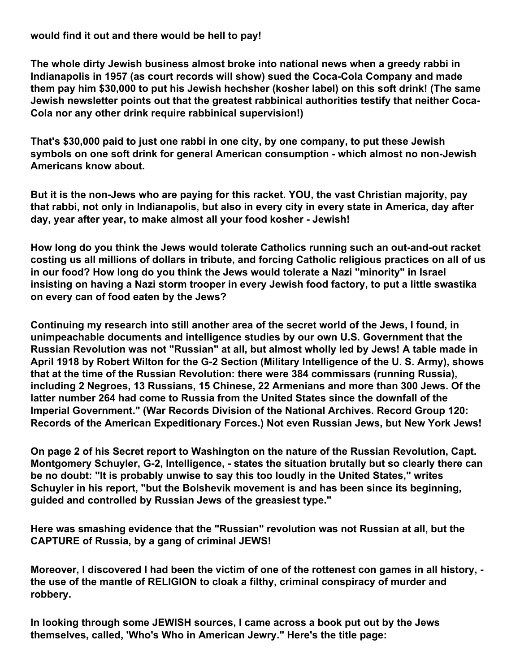**would find it out and there would be hell to pay!**

**The whole dirty Jewish business almost broke into national news when a greedy rabbi in Indianapolis in 1957 (as court records will show) sued the Coca-Cola Company and made them pay him \$30,000 to put his Jewish hechsher (kosher label) on this soft drink! (The same Jewish newsletter points out that the greatest rabbinical authorities testify that neither Coca-Cola nor any other drink require rabbinical supervision!)**

**That's \$30,000 paid to just one rabbi in one city, by one company, to put these Jewish symbols on one soft drink for general American consumption - which almost no non-Jewish Americans know about.**

**But it is the non-Jews who are paying for this racket. YOU, the vast Christian majority, pay that rabbi, not only in Indianapolis, but also in every city in every state in America, day after day, year after year, to make almost all your food kosher - Jewish!**

**How long do you think the Jews would tolerate Catholics running such an out-and-out racket costing us all millions of dollars in tribute, and forcing Catholic religious practices on all of us in our food? How long do you think the Jews would tolerate a Nazi "minority" in Israel insisting on having a Nazi storm trooper in every Jewish food factory, to put a little swastika on every can of food eaten by the Jews?**

**Continuing my research into still another area of the secret world of the Jews, I found, in unimpeachable documents and intelligence studies by our own U.S. Government that the Russian Revolution was not "Russian" at all, but almost wholly led by Jews! A table made in April 1918 by Robert Wilton for the G-2 Section (Military Intelligence of the U. S. Army), shows that at the time of the Russian Revolution: there were 384 commissars (running Russia), including 2 Negroes, 13 Russians, 15 Chinese, 22 Armenians and more than 300 Jews. Of the latter number 264 had come to Russia from the United States since the downfall of the Imperial Government." (War Records Division of the National Archives. Record Group 120: Records of the American Expeditionary Forces.) Not even Russian Jews, but New York Jews!**

**On page 2 of his Secret report to Washington on the nature of the Russian Revolution, Capt. Montgomery Schuyler, G-2, Intelligence, - states the situation brutally but so clearly there can be no doubt: "It is probably unwise to say this too loudly in the United States," writes Schuyler in his report, "but the Bolshevik movement is and has been since its beginning, guided and controlled by Russian Jews of the greasiest type."**

**Here was smashing evidence that the "Russian" revolution was not Russian at all, but the CAPTURE of Russia, by a gang of criminal JEWS!**

**Moreover, I discovered I had been the victim of one of the rottenest con games in all history, the use of the mantle of RELIGION to cloak a filthy, criminal conspiracy of murder and robbery.**

**In looking through some JEWISH sources, I came across a book put out by the Jews themselves, called, 'Who's Who in American Jewry." Here's the title page:**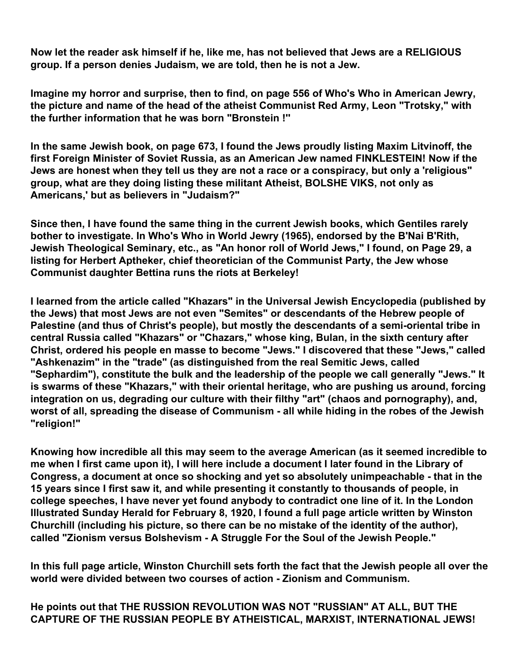**Now let the reader ask himself if he, like me, has not believed that Jews are a RELIGIOUS group. If a person denies Judaism, we are told, then he is not a Jew.**

**Imagine my horror and surprise, then to find, on page 556 of Who's Who in American Jewry, the picture and name of the head of the atheist Communist Red Army, Leon "Trotsky," with the further information that he was born "Bronstein !''**

**In the same Jewish book, on page 673, I found the Jews proudly listing Maxim Litvinoff, the first Foreign Minister of Soviet Russia, as an American Jew named FINKLESTEIN! Now if the Jews are honest when they tell us they are not a race or a conspiracy, but only a 'religious" group, what are they doing listing these militant Atheist, BOLSHE VIKS, not only as Americans,' but as believers in "Judaism?"**

**Since then, I have found the same thing in the current Jewish books, which Gentiles rarely bother to investigate. In Who's Who in World Jewry (1965), endorsed by the B'Nai B'Rith, Jewish Theological Seminary, etc., as "An honor roll of World Jews," I found, on Page 29, a listing for Herbert Aptheker, chief theoretician of the Communist Party, the Jew whose Communist daughter Bettina runs the riots at Berkeley!**

**I learned from the article called "Khazars" in the Universal Jewish Encyclopedia (published by the Jews) that most Jews are not even "Semites" or descendants of the Hebrew people of Palestine (and thus of Christ's people), but mostly the descendants of a semi-oriental tribe in central Russia called "Khazars" or "Chazars," whose king, Bulan, in the sixth century after Christ, ordered his people en masse to become "Jews." I discovered that these "Jews," called "Ashkenazim" in the "trade" (as distinguished from the real Semitic Jews, called "Sephardim"), constitute the bulk and the leadership of the people we call generally "Jews." It is swarms of these "Khazars," with their oriental heritage, who are pushing us around, forcing integration on us, degrading our culture with their filthy "art" (chaos and pornography), and, worst of all, spreading the disease of Communism - all while hiding in the robes of the Jewish "religion!"**

**Knowing how incredible all this may seem to the average American (as it seemed incredible to me when I first came upon it), I will here include a document I later found in the Library of Congress, a document at once so shocking and yet so absolutely unimpeachable - that in the 15 years since I first saw it, and while presenting it constantly to thousands of people, in college speeches, I have never yet found anybody to contradict one line of it. In the London Illustrated Sunday Herald for February 8, 1920, I found a full page article written by Winston Churchill (including his picture, so there can be no mistake of the identity of the author), called "Zionism versus Bolshevism - A Struggle For the Soul of the Jewish People."**

**In this full page article, Winston Churchill sets forth the fact that the Jewish people all over the world were divided between two courses of action - Zionism and Communism.**

**He points out that THE RUSSION REVOLUTION WAS NOT "RUSSIAN" AT ALL, BUT THE CAPTURE OF THE RUSSIAN PEOPLE BY ATHEISTICAL, MARXIST, INTERNATIONAL JEWS!**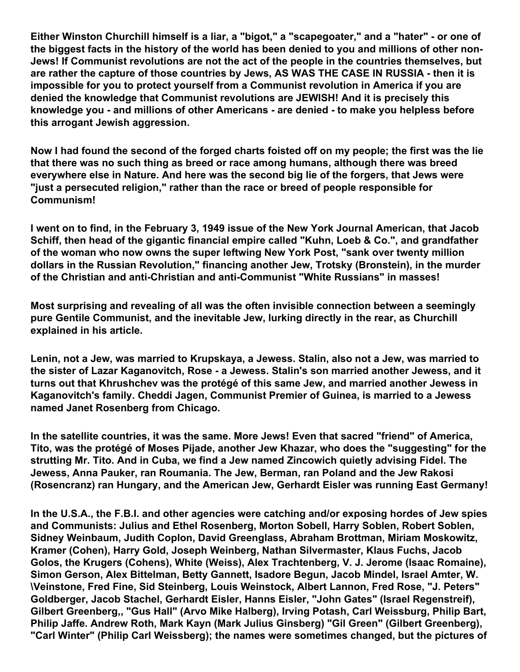**Either Winston Churchill himself is a liar, a "bigot," a "scapegoater," and a "hater" - or one of the biggest facts in the history of the world has been denied to you and millions of other non-Jews! If Communist revolutions are not the act of the people in the countries themselves, but are rather the capture of those countries by Jews, AS WAS THE CASE IN RUSSIA - then it is impossible for you to protect yourself from a Communist revolution in America if you are denied the knowledge that Communist revolutions are JEWISH! And it is precisely this knowledge you - and millions of other Americans - are denied - to make you helpless before this arrogant Jewish aggression.**

**Now I had found the second of the forged charts foisted off on my people; the first was the lie that there was no such thing as breed or race among humans, although there was breed everywhere else in Nature. And here was the second big lie of the forgers, that Jews were "just a persecuted religion," rather than the race or breed of people responsible for Communism!**

**I went on to find, in the February 3, 1949 issue of the New York Journal American, that Jacob Schiff, then head of the gigantic financial empire called "Kuhn, Loeb & Co.", and grandfather of the woman who now owns the super leftwing New York Post, "sank over twenty million dollars in the Russian Revolution," financing another Jew, Trotsky (Bronstein), in the murder of the Christian and anti-Christian and anti-Communist "White Russians" in masses!**

**Most surprising and revealing of all was the often invisible connection between a seemingly pure Gentile Communist, and the inevitable Jew, lurking directly in the rear, as Churchill explained in his article.**

**Lenin, not a Jew, was married to Krupskaya, a Jewess. Stalin, also not a Jew, was married to the sister of Lazar Kaganovitch, Rose - a Jewess. Stalin's son married another Jewess, and it turns out that Khrushchev was the protégé of this same Jew, and married another Jewess in Kaganovitch's family. Cheddi Jagen, Communist Premier of Guinea, is married to a Jewess named Janet Rosenberg from Chicago.**

**In the satellite countries, it was the same. More Jews! Even that sacred "friend" of America, Tito, was the protégé of Moses Pijade, another Jew Khazar, who does the "suggesting" for the strutting Mr. Tito. And in Cuba, we find a Jew named Zincowich quietly advising Fidel. The Jewess, Anna Pauker, ran Roumania. The Jew, Berman, ran Poland and the Jew Rakosi (Rosencranz) ran Hungary, and the American Jew, Gerhardt Eisler was running East Germany!**

**In the U.S.A., the F.B.I. and other agencies were catching and/or exposing hordes of Jew spies and Communists: Julius and Ethel Rosenberg, Morton Sobell, Harry Soblen, Robert Soblen, Sidney Weinbaum, Judith Coplon, David Greenglass, Abraham Brottman, Miriam Moskowitz, Kramer (Cohen), Harry Gold, Joseph Weinberg, Nathan Silvermaster, Klaus Fuchs, Jacob Golos, the Krugers (Cohens), White (Weiss), Alex Trachtenberg, V. J. Jerome (Isaac Romaine), Simon Gerson, Alex Bittelman, Betty Gannett, Isadore Begun, Jacob Mindel, Israel Amter, W. \Veinstone, Fred Fine, Sid Steinberg, Louis Weinstock, Albert Lannon, Fred Rose, "J. Peters" Goldberger, Jacob Stachel, Gerhardt Eisler, Hanns Eisler, "John Gates" (Israel Regenstreif), Gilbert Greenberg,, "Gus Hall" (Arvo Mike Halberg), Irving Potash, Carl Weissburg, Philip Bart, Philip Jaffe. Andrew Roth, Mark Kayn (Mark Julius Ginsberg) "Gil Green" (Gilbert Greenberg), "Carl Winter" (Philip Carl Weissberg); the names were sometimes changed, but the pictures of**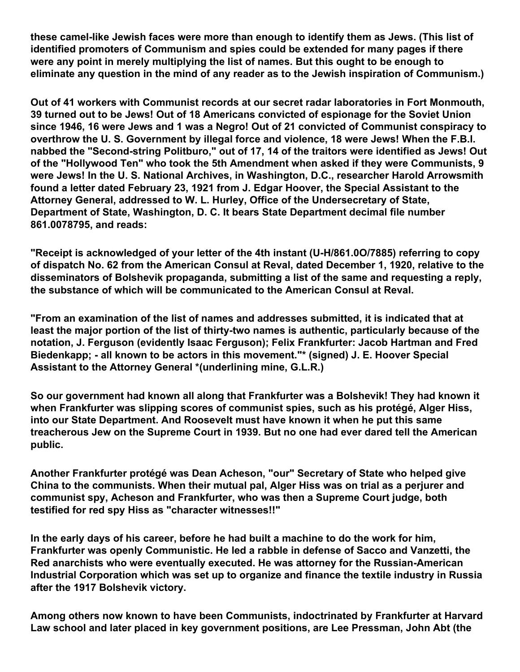**these camel-like Jewish faces were more than enough to identify them as Jews. (This list of identified promoters of Communism and spies could be extended for many pages if there were any point in merely multiplying the list of names. But this ought to be enough to eliminate any question in the mind of any reader as to the Jewish inspiration of Communism.)**

**Out of 41 workers with Communist records at our secret radar laboratories in Fort Monmouth, 39 turned out to be Jews! Out of 18 Americans convicted of espionage for the Soviet Union since 1946, 16 were Jews and 1 was a Negro! Out of 21 convicted of Communist conspiracy to overthrow the U. S. Government by illegal force and violence, 18 were Jews! When the F.B.I. nabbed the "Second-string Politburo," out of 17, 14 of the traitors were identified as Jews! Out of the "Hollywood Ten" who took the 5th Amendment when asked if they were Communists, 9 were Jews! In the U. S. National Archives, in Washington, D.C., researcher Harold Arrowsmith found a letter dated February 23, 1921 from J. Edgar Hoover, the Special Assistant to the Attorney General, addressed to W. L. Hurley, Office of the Undersecretary of State, Department of State, Washington, D. C. It bears State Department decimal file number 861.0078795, and reads:**

**"Receipt is acknowledged of your letter of the 4th instant (U-H/861.0O/7885) referring to copy of dispatch No. 62 from the American Consul at Reval, dated December 1, 1920, relative to the disseminators of Bolshevik propaganda, submitting a list of the same and requesting a reply, the substance of which will be communicated to the American Consul at Reval.**

**"From an examination of the list of names and addresses submitted, it is indicated that at least the major portion of the list of thirty-two names is authentic, particularly because of the notation, J. Ferguson (evidently Isaac Ferguson); Felix Frankfurter: Jacob Hartman and Fred Biedenkapp; - all known to be actors in this movement."\* (signed) J. E. Hoover Special Assistant to the Attorney General \*(underlining mine, G.L.R.)**

**So our government had known all along that Frankfurter was a Bolshevik! They had known it when Frankfurter was slipping scores of communist spies, such as his protégé, Alger Hiss, into our State Department. And Roosevelt must have known it when he put this same treacherous Jew on the Supreme Court in 1939. But no one had ever dared tell the American public.**

**Another Frankfurter protégé was Dean Acheson, "our" Secretary of State who helped give China to the communists. When their mutual pal, Alger Hiss was on trial as a perjurer and communist spy, Acheson and Frankfurter, who was then a Supreme Court judge, both testified for red spy Hiss as "character witnesses!!"**

**In the early days of his career, before he had built a machine to do the work for him, Frankfurter was openly Communistic. He led a rabble in defense of Sacco and Vanzetti, the Red anarchists who were eventually executed. He was attorney for the Russian-American Industrial Corporation which was set up to organize and finance the textile industry in Russia after the 1917 Bolshevik victory.**

**Among others now known to have been Communists, indoctrinated by Frankfurter at Harvard Law school and later placed in key government positions, are Lee Pressman, John Abt (the**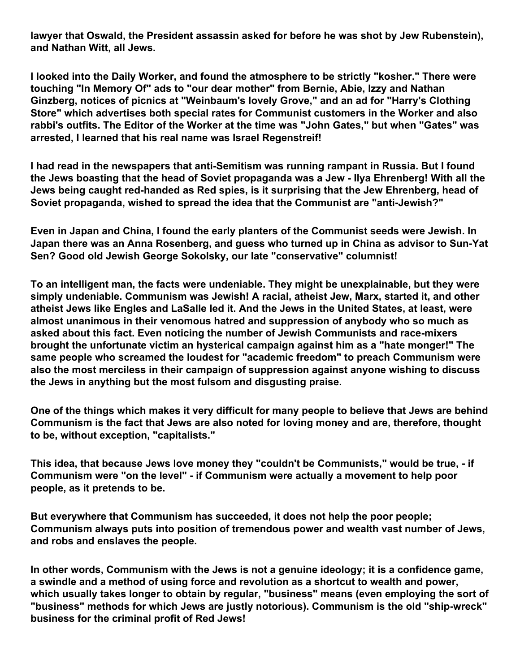**lawyer that Oswald, the President assassin asked for before he was shot by Jew Rubenstein), and Nathan Witt, all Jews.**

**I looked into the Daily Worker, and found the atmosphere to be strictly "kosher." There were touching "In Memory Of" ads to "our dear mother" from Bernie, Abie, Izzy and Nathan Ginzberg, notices of picnics at "Weinbaum's lovely Grove," and an ad for "Harry's Clothing Store" which advertises both special rates for Communist customers in the Worker and also rabbi's outfits. The Editor of the Worker at the time was "John Gates," but when "Gates" was arrested, I learned that his real name was Israel Regenstreif!**

**I had read in the newspapers that anti-Semitism was running rampant in Russia. But I found the Jews boasting that the head of Soviet propaganda was a Jew - Ilya Ehrenberg! With all the Jews being caught red-handed as Red spies, is it surprising that the Jew Ehrenberg, head of Soviet propaganda, wished to spread the idea that the Communist are "anti-Jewish?"**

**Even in Japan and China, I found the early planters of the Communist seeds were Jewish. In Japan there was an Anna Rosenberg, and guess who turned up in China as advisor to Sun-Yat Sen? Good old Jewish George Sokolsky, our late "conservative" columnist!**

**To an intelligent man, the facts were undeniable. They might be unexplainable, but they were simply undeniable. Communism was Jewish! A racial, atheist Jew, Marx, started it, and other atheist Jews like Engles and LaSalle led it. And the Jews in the United States, at least, were almost unanimous in their venomous hatred and suppression of anybody who so much as asked about this fact. Even noticing the number of Jewish Communists and race-mixers brought the unfortunate victim an hysterical campaign against him as a "hate monger!" The same people who screamed the loudest for "academic freedom" to preach Communism were also the most merciless in their campaign of suppression against anyone wishing to discuss the Jews in anything but the most fulsom and disgusting praise.**

**One of the things which makes it very difficult for many people to believe that Jews are behind Communism is the fact that Jews are also noted for loving money and are, therefore, thought to be, without exception, "capitalists."**

**This idea, that because Jews love money they "couldn't be Communists," would be true, - if Communism were "on the level" - if Communism were actually a movement to help poor people, as it pretends to be.**

**But everywhere that Communism has succeeded, it does not help the poor people; Communism always puts into position of tremendous power and wealth vast number of Jews, and robs and enslaves the people.**

**In other words, Communism with the Jews is not a genuine ideology; it is a confidence game, a swindle and a method of using force and revolution as a shortcut to wealth and power, which usually takes longer to obtain by regular, "business" means (even employing the sort of "business" methods for which Jews are justly notorious). Communism is the old "ship-wreck" business for the criminal profit of Red Jews!**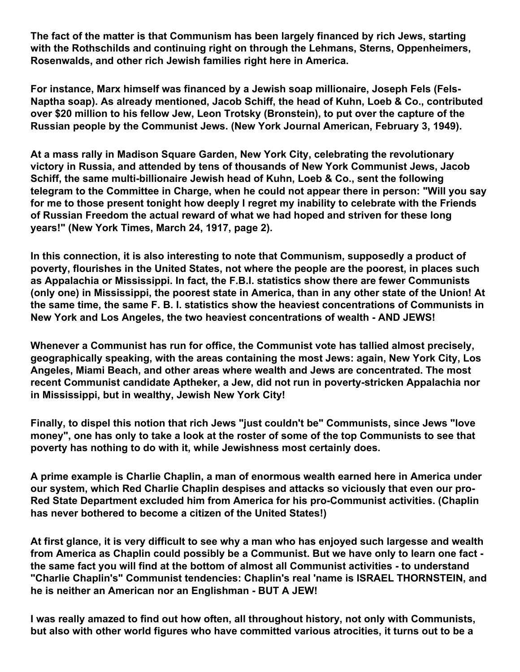**The fact of the matter is that Communism has been largely financed by rich Jews, starting with the Rothschilds and continuing right on through the Lehmans, Sterns, Oppenheimers, Rosenwalds, and other rich Jewish families right here in America.**

**For instance, Marx himself was financed by a Jewish soap millionaire, Joseph Fels (Fels-Naptha soap). As already mentioned, Jacob Schiff, the head of Kuhn, Loeb & Co., contributed over \$20 million to his fellow Jew, Leon Trotsky (Bronstein), to put over the capture of the Russian people by the Communist Jews. (New York Journal American, February 3, 1949).**

**At a mass rally in Madison Square Garden, New York City, celebrating the revolutionary victory in Russia, and attended by tens of thousands of New York Communist Jews, Jacob Schiff, the same multi-billionaire Jewish head of Kuhn, Loeb & Co., sent the following telegram to the Committee in Charge, when he could not appear there in person: "Will you say for me to those present tonight how deeply I regret my inability to celebrate with the Friends of Russian Freedom the actual reward of what we had hoped and striven for these long years!" (New York Times, March 24, 1917, page 2).**

**In this connection, it is also interesting to note that Communism, supposedly a product of poverty, flourishes in the United States, not where the people are the poorest, in places such as Appalachia or Mississippi. In fact, the F.B.I. statistics show there are fewer Communists (only one) in Mississippi, the poorest state in America, than in any other state of the Union! At the same time, the same F. B. I. statistics show the heaviest concentrations of Communists in New York and Los Angeles, the two heaviest concentrations of wealth - AND JEWS!**

**Whenever a Communist has run for office, the Communist vote has tallied almost precisely, geographically speaking, with the areas containing the most Jews: again, New York City, Los Angeles, Miami Beach, and other areas where wealth and Jews are concentrated. The most recent Communist candidate Aptheker, a Jew, did not run in poverty-stricken Appalachia nor in Mississippi, but in wealthy, Jewish New York City!**

**Finally, to dispel this notion that rich Jews "just couldn't be" Communists, since Jews "love money", one has only to take a look at the roster of some of the top Communists to see that poverty has nothing to do with it, while Jewishness most certainly does.**

**A prime example is Charlie Chaplin, a man of enormous wealth earned here in America under our system, which Red Charlie Chaplin despises and attacks so viciously that even our pro-Red State Department excluded him from America for his pro-Communist activities. (Chaplin has never bothered to become a citizen of the United States!)**

**At first glance, it is very difficult to see why a man who has enjoyed such largesse and wealth from America as Chaplin could possibly be a Communist. But we have only to learn one fact the same fact you will find at the bottom of almost all Communist activities - to understand "Charlie Chaplin's" Communist tendencies: Chaplin's real 'name is ISRAEL THORNSTEIN, and he is neither an American nor an Englishman - BUT A JEW!**

**I was really amazed to find out how often, all throughout history, not only with Communists, but also with other world figures who have committed various atrocities, it turns out to be a**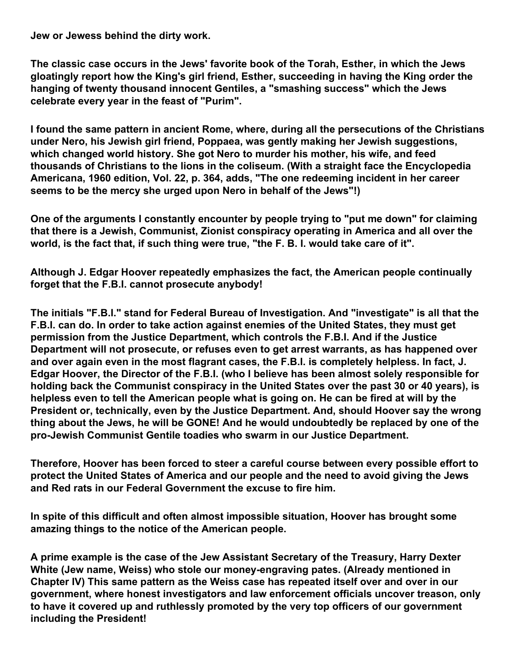**Jew or Jewess behind the dirty work.**

**The classic case occurs in the Jews' favorite book of the Torah, Esther, in which the Jews gloatingly report how the King's girl friend, Esther, succeeding in having the King order the hanging of twenty thousand innocent Gentiles, a "smashing success" which the Jews celebrate every year in the feast of "Purim".**

**I found the same pattern in ancient Rome, where, during all the persecutions of the Christians under Nero, his Jewish girl friend, Poppaea, was gently making her Jewish suggestions, which changed world history. She got Nero to murder his mother, his wife, and feed thousands of Christians to the lions in the coliseum. (With a straight face the Encyclopedia Americana, 1960 edition, Vol. 22, p. 364, adds, "The one redeeming incident in her career seems to be the mercy she urged upon Nero in behalf of the Jews"!)**

**One of the arguments I constantly encounter by people trying to "put me down" for claiming that there is a Jewish, Communist, Zionist conspiracy operating in America and all over the world, is the fact that, if such thing were true, "the F. B. I. would take care of it".**

**Although J. Edgar Hoover repeatedly emphasizes the fact, the American people continually forget that the F.B.I. cannot prosecute anybody!**

**The initials "F.B.I." stand for Federal Bureau of Investigation. And "investigate" is all that the F.B.I. can do. In order to take action against enemies of the United States, they must get permission from the Justice Department, which controls the F.B.I. And if the Justice Department will not prosecute, or refuses even to get arrest warrants, as has happened over and over again even in the most flagrant cases, the F.B.I. is completely helpless. In fact, J. Edgar Hoover, the Director of the F.B.I. (who I believe has been almost solely responsible for holding back the Communist conspiracy in the United States over the past 30 or 40 years), is helpless even to tell the American people what is going on. He can be fired at will by the President or, technically, even by the Justice Department. And, should Hoover say the wrong thing about the Jews, he will be GONE! And he would undoubtedly be replaced by one of the pro-Jewish Communist Gentile toadies who swarm in our Justice Department.**

**Therefore, Hoover has been forced to steer a careful course between every possible effort to protect the United States of America and our people and the need to avoid giving the Jews and Red rats in our Federal Government the excuse to fire him.**

**In spite of this difficult and often almost impossible situation, Hoover has brought some amazing things to the notice of the American people.**

**A prime example is the case of the Jew Assistant Secretary of the Treasury, Harry Dexter White (Jew name, Weiss) who stole our money-engraving pates. (Already mentioned in Chapter IV) This same pattern as the Weiss case has repeated itself over and over in our government, where honest investigators and law enforcement officials uncover treason, only to have it covered up and ruthlessly promoted by the very top officers of our government including the President!**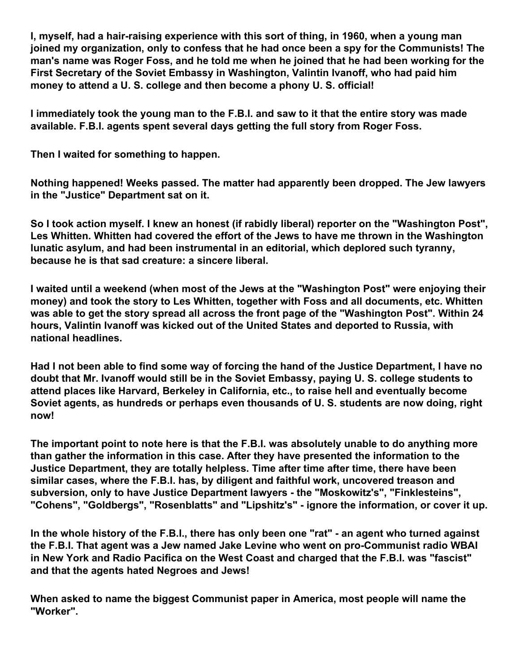**I, myself, had a hair-raising experience with this sort of thing, in 1960, when a young man joined my organization, only to confess that he had once been a spy for the Communists! The man's name was Roger Foss, and he told me when he joined that he had been working for the First Secretary of the Soviet Embassy in Washington, Valintin Ivanoff, who had paid him money to attend a U. S. college and then become a phony U. S. official!**

**I immediately took the young man to the F.B.I. and saw to it that the entire story was made available. F.B.I. agents spent several days getting the full story from Roger Foss.**

**Then I waited for something to happen.**

**Nothing happened! Weeks passed. The matter had apparently been dropped. The Jew lawyers in the "Justice" Department sat on it.**

**So I took action myself. I knew an honest (if rabidly liberal) reporter on the "Washington Post", Les Whitten. Whitten had covered the effort of the Jews to have me thrown in the Washington lunatic asylum, and had been instrumental in an editorial, which deplored such tyranny, because he is that sad creature: a sincere liberal.**

**I waited until a weekend (when most of the Jews at the "Washington Post" were enjoying their money) and took the story to Les Whitten, together with Foss and all documents, etc. Whitten was able to get the story spread all across the front page of the "Washington Post". Within 24 hours, Valintin Ivanoff was kicked out of the United States and deported to Russia, with national headlines.**

**Had I not been able to find some way of forcing the hand of the Justice Department, I have no doubt that Mr. Ivanoff would still be in the Soviet Embassy, paying U. S. college students to attend places like Harvard, Berkeley in California, etc., to raise hell and eventually become Soviet agents, as hundreds or perhaps even thousands of U. S. students are now doing, right now!**

**The important point to note here is that the F.B.I. was absolutely unable to do anything more than gather the information in this case. After they have presented the information to the Justice Department, they are totally helpless. Time after time after time, there have been similar cases, where the F.B.I. has, by diligent and faithful work, uncovered treason and subversion, only to have Justice Department lawyers - the "Moskowitz's", "Finklesteins", "Cohens", "Goldbergs", "Rosenblatts" and "Lipshitz's" - ignore the information, or cover it up.**

**In the whole history of the F.B.I., there has only been one "rat" - an agent who turned against the F.B.I. That agent was a Jew named Jake Levine who went on pro-Communist radio WBAI in New York and Radio Pacifica on the West Coast and charged that the F.B.I. was "fascist" and that the agents hated Negroes and Jews!**

**When asked to name the biggest Communist paper in America, most people will name the "Worker".**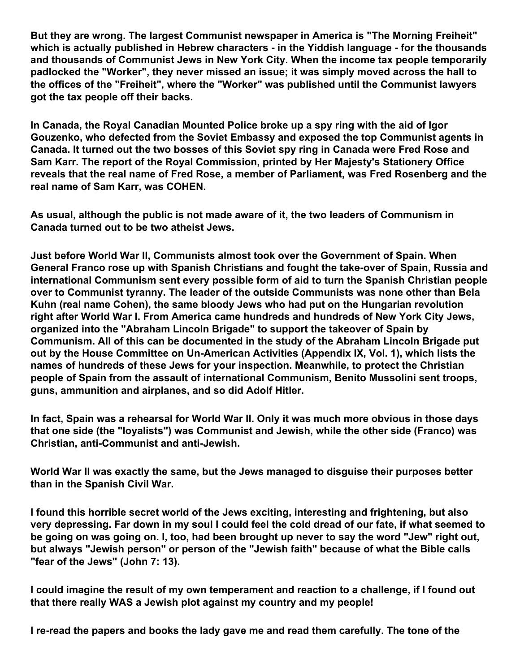**But they are wrong. The largest Communist newspaper in America is "The Morning Freiheit" which is actually published in Hebrew characters - in the Yiddish language - for the thousands and thousands of Communist Jews in New York City. When the income tax people temporarily padlocked the "Worker", they never missed an issue; it was simply moved across the hall to the offices of the "Freiheit", where the "Worker" was published until the Communist lawyers got the tax people off their backs.**

**In Canada, the Royal Canadian Mounted Police broke up a spy ring with the aid of Igor Gouzenko, who defected from the Soviet Embassy and exposed the top Communist agents in Canada. It turned out the two bosses of this Soviet spy ring in Canada were Fred Rose and Sam Karr. The report of the Royal Commission, printed by Her Majesty's Stationery Office reveals that the real name of Fred Rose, a member of Parliament, was Fred Rosenberg and the real name of Sam Karr, was COHEN.**

**As usual, although the public is not made aware of it, the two leaders of Communism in Canada turned out to be two atheist Jews.**

**Just before World War II, Communists almost took over the Government of Spain. When General Franco rose up with Spanish Christians and fought the take-over of Spain, Russia and international Communism sent every possible form of aid to turn the Spanish Christian people over to Communist tyranny. The leader of the outside Communists was none other than Bela Kuhn (real name Cohen), the same bloody Jews who had put on the Hungarian revolution right after World War I. From America came hundreds and hundreds of New York City Jews, organized into the "Abraham Lincoln Brigade" to support the takeover of Spain by Communism. All of this can be documented in the study of the Abraham Lincoln Brigade put out by the House Committee on Un-American Activities (Appendix IX, Vol. 1), which lists the names of hundreds of these Jews for your inspection. Meanwhile, to protect the Christian people of Spain from the assault of international Communism, Benito Mussolini sent troops, guns, ammunition and airplanes, and so did Adolf Hitler.**

**In fact, Spain was a rehearsal for World War II. Only it was much more obvious in those days that one side (the "loyalists") was Communist and Jewish, while the other side (Franco) was Christian, anti-Communist and anti-Jewish.**

**World War II was exactly the same, but the Jews managed to disguise their purposes better than in the Spanish Civil War.**

**I found this horrible secret world of the Jews exciting, interesting and frightening, but also very depressing. Far down in my soul I could feel the cold dread of our fate, if what seemed to be going on was going on. I, too, had been brought up never to say the word "Jew" right out, but always "Jewish person" or person of the "Jewish faith" because of what the Bible calls "fear of the Jews" (John 7: 13).**

**I could imagine the result of my own temperament and reaction to a challenge, if I found out that there really WAS a Jewish plot against my country and my people!**

**I re-read the papers and books the lady gave me and read them carefully. The tone of the**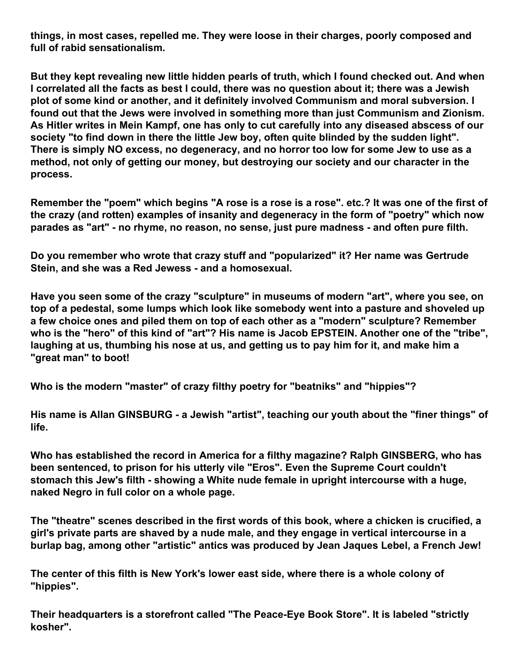**things, in most cases, repelled me. They were loose in their charges, poorly composed and full of rabid sensationalism.**

**But they kept revealing new little hidden pearls of truth, which I found checked out. And when I correlated all the facts as best I could, there was no question about it; there was a Jewish plot of some kind or another, and it definitely involved Communism and moral subversion. I found out that the Jews were involved in something more than just Communism and Zionism. As Hitler writes in Mein Kampf, one has only to cut carefully into any diseased abscess of our society "to find down in there the little Jew boy, often quite blinded by the sudden light". There is simply NO excess, no degeneracy, and no horror too low for some Jew to use as a method, not only of getting our money, but destroying our society and our character in the process.**

**Remember the "poem" which begins "A rose is a rose is a rose". etc.? It was one of the first of the crazy (and rotten) examples of insanity and degeneracy in the form of "poetry" which now parades as "art" - no rhyme, no reason, no sense, just pure madness - and often pure filth.**

**Do you remember who wrote that crazy stuff and "popularized" it? Her name was Gertrude Stein, and she was a Red Jewess - and a homosexual.**

**Have you seen some of the crazy "sculpture" in museums of modern "art", where you see, on top of a pedestal, some lumps which look like somebody went into a pasture and shoveled up a few choice ones and piled them on top of each other as a "modern" sculpture? Remember who is the "hero" of this kind of "art"? His name is Jacob EPSTEIN. Another one of the "tribe", laughing at us, thumbing his nose at us, and getting us to pay him for it, and make him a "great man" to boot!**

**Who is the modern "master" of crazy filthy poetry for "beatniks" and "hippies"?**

**His name is Allan GINSBURG - a Jewish "artist", teaching our youth about the "finer things" of life.**

**Who has established the record in America for a filthy magazine? Ralph GINSBERG, who has been sentenced, to prison for his utterly vile "Eros". Even the Supreme Court couldn't stomach this Jew's filth - showing a White nude female in upright intercourse with a huge, naked Negro in full color on a whole page.**

**The "theatre" scenes described in the first words of this book, where a chicken is crucified, a girl's private parts are shaved by a nude male, and they engage in vertical intercourse in a burlap bag, among other "artistic" antics was produced by Jean Jaques Lebel, a French Jew!**

**The center of this filth is New York's lower east side, where there is a whole colony of "hippies".**

**Their headquarters is a storefront called "The Peace-Eye Book Store". It is labeled "strictly kosher".**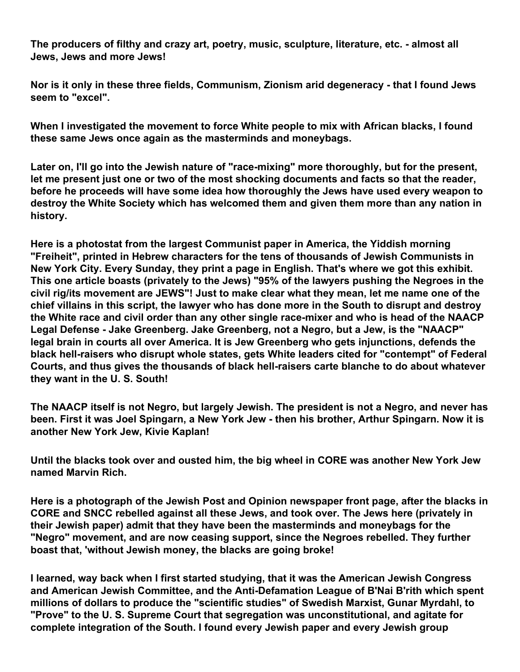**The producers of filthy and crazy art, poetry, music, sculpture, literature, etc. - almost all Jews, Jews and more Jews!**

**Nor is it only in these three fields, Communism, Zionism arid degeneracy - that I found Jews seem to "excel".**

**When I investigated the movement to force White people to mix with African blacks, I found these same Jews once again as the masterminds and moneybags.**

**Later on, I'll go into the Jewish nature of "race-mixing" more thoroughly, but for the present, let me present just one or two of the most shocking documents and facts so that the reader, before he proceeds will have some idea how thoroughly the Jews have used every weapon to destroy the White Society which has welcomed them and given them more than any nation in history.**

**Here is a photostat from the largest Communist paper in America, the Yiddish morning "Freiheit", printed in Hebrew characters for the tens of thousands of Jewish Communists in New York City. Every Sunday, they print a page in English. That's where we got this exhibit. This one article boasts (privately to the Jews) "95% of the lawyers pushing the Negroes in the civil rig/its movement are JEWS"! Just to make clear what they mean, let me name one of the chief villains in this script, the lawyer who has done more in the South to disrupt and destroy the White race and civil order than any other single race-mixer and who is head of the NAACP Legal Defense - Jake Greenberg. Jake Greenberg, not a Negro, but a Jew, is the "NAACP" legal brain in courts all over America. It is Jew Greenberg who gets injunctions, defends the black hell-raisers who disrupt whole states, gets White leaders cited for "contempt" of Federal Courts, and thus gives the thousands of black hell-raisers carte blanche to do about whatever they want in the U. S. South!**

**The NAACP itself is not Negro, but largely Jewish. The president is not a Negro, and never has been. First it was Joel Spingarn, a New York Jew - then his brother, Arthur Spingarn. Now it is another New York Jew, Kivie Kaplan!**

**Until the blacks took over and ousted him, the big wheel in CORE was another New York Jew named Marvin Rich.**

**Here is a photograph of the Jewish Post and Opinion newspaper front page, after the blacks in CORE and SNCC rebelled against all these Jews, and took over. The Jews here (privately in their Jewish paper) admit that they have been the masterminds and moneybags for the "Negro" movement, and are now ceasing support, since the Negroes rebelled. They further boast that, 'without Jewish money, the blacks are going broke!**

**I learned, way back when I first started studying, that it was the American Jewish Congress and American Jewish Committee, and the Anti-Defamation League of B'Nai B'rith which spent millions of dollars to produce the "scientific studies" of Swedish Marxist, Gunar Myrdahl, to "Prove" to the U. S. Supreme Court that segregation was unconstitutional, and agitate for complete integration of the South. I found every Jewish paper and every Jewish group**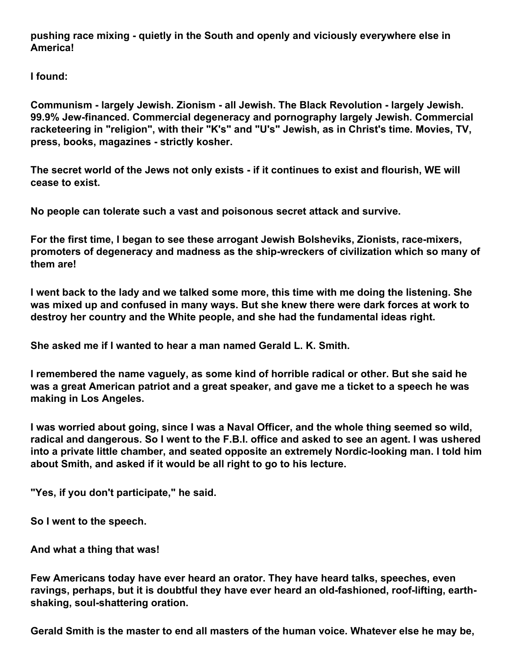**pushing race mixing - quietly in the South and openly and viciously everywhere else in America!**

**I found:**

**Communism - largely Jewish. Zionism - all Jewish. The Black Revolution - largely Jewish. 99.9% Jew-financed. Commercial degeneracy and pornography largely Jewish. Commercial racketeering in "religion", with their "K's" and "U's" Jewish, as in Christ's time. Movies, TV, press, books, magazines - strictly kosher.**

**The secret world of the Jews not only exists - if it continues to exist and flourish, WE will cease to exist.**

**No people can tolerate such a vast and poisonous secret attack and survive.**

**For the first time, I began to see these arrogant Jewish Bolsheviks, Zionists, race-mixers, promoters of degeneracy and madness as the ship-wreckers of civilization which so many of them are!**

**I went back to the lady and we talked some more, this time with me doing the listening. She was mixed up and confused in many ways. But she knew there were dark forces at work to destroy her country and the White people, and she had the fundamental ideas right.**

**She asked me if I wanted to hear a man named Gerald L. K. Smith.**

**I remembered the name vaguely, as some kind of horrible radical or other. But she said he was a great American patriot and a great speaker, and gave me a ticket to a speech he was making in Los Angeles.**

**I was worried about going, since I was a Naval Officer, and the whole thing seemed so wild, radical and dangerous. So I went to the F.B.I. office and asked to see an agent. I was ushered into a private little chamber, and seated opposite an extremely Nordic-looking man. I told him about Smith, and asked if it would be all right to go to his lecture.**

**"Yes, if you don't participate," he said.**

**So I went to the speech.**

**And what a thing that was!**

**Few Americans today have ever heard an orator. They have heard talks, speeches, even ravings, perhaps, but it is doubtful they have ever heard an old-fashioned, roof-lifting, earthshaking, soul-shattering oration.**

**Gerald Smith is the master to end all masters of the human voice. Whatever else he may be,**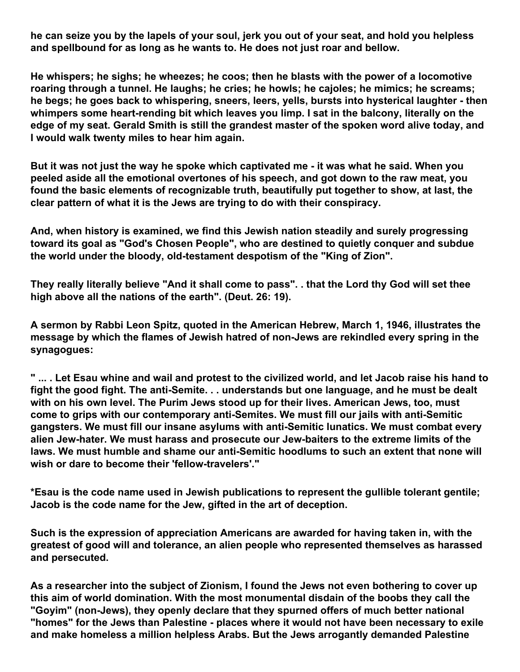**he can seize you by the lapels of your soul, jerk you out of your seat, and hold you helpless and spellbound for as long as he wants to. He does not just roar and bellow.**

**He whispers; he sighs; he wheezes; he coos; then he blasts with the power of a locomotive roaring through a tunnel. He laughs; he cries; he howls; he cajoles; he mimics; he screams; he begs; he goes back to whispering, sneers, leers, yells, bursts into hysterical laughter - then whimpers some heart-rending bit which leaves you limp. I sat in the balcony, literally on the edge of my seat. Gerald Smith is still the grandest master of the spoken word alive today, and I would walk twenty miles to hear him again.**

**But it was not just the way he spoke which captivated me - it was what he said. When you peeled aside all the emotional overtones of his speech, and got down to the raw meat, you found the basic elements of recognizable truth, beautifully put together to show, at last, the clear pattern of what it is the Jews are trying to do with their conspiracy.**

**And, when history is examined, we find this Jewish nation steadily and surely progressing toward its goal as "God's Chosen People", who are destined to quietly conquer and subdue the world under the bloody, old-testament despotism of the "King of Zion".**

**They really literally believe "And it shall come to pass". . that the Lord thy God will set thee high above all the nations of the earth". (Deut. 26: 19).**

**A sermon by Rabbi Leon Spitz, quoted in the American Hebrew, March 1, 1946, illustrates the message by which the flames of Jewish hatred of non-Jews are rekindled every spring in the synagogues:**

**" ... . Let Esau whine and wail and protest to the civilized world, and let Jacob raise his hand to fight the good fight. The anti-Semite. . . understands but one language, and he must be dealt with on his own level. The Purim Jews stood up for their lives. American Jews, too, must come to grips with our contemporary anti-Semites. We must fill our jails with anti-Semitic gangsters. We must fill our insane asylums with anti-Semitic lunatics. We must combat every alien Jew-hater. We must harass and prosecute our Jew-baiters to the extreme limits of the laws. We must humble and shame our anti-Semitic hoodlums to such an extent that none will wish or dare to become their 'fellow-travelers'."**

**\*Esau is the code name used in Jewish publications to represent the gullible tolerant gentile; Jacob is the code name for the Jew, gifted in the art of deception.**

**Such is the expression of appreciation Americans are awarded for having taken in, with the greatest of good will and tolerance, an alien people who represented themselves as harassed and persecuted.**

**As a researcher into the subject of Zionism, I found the Jews not even bothering to cover up this aim of world domination. With the most monumental disdain of the boobs they call the "Goyim" (non-Jews), they openly declare that they spurned offers of much better national "homes" for the Jews than Palestine - places where it would not have been necessary to exile and make homeless a million helpless Arabs. But the Jews arrogantly demanded Palestine**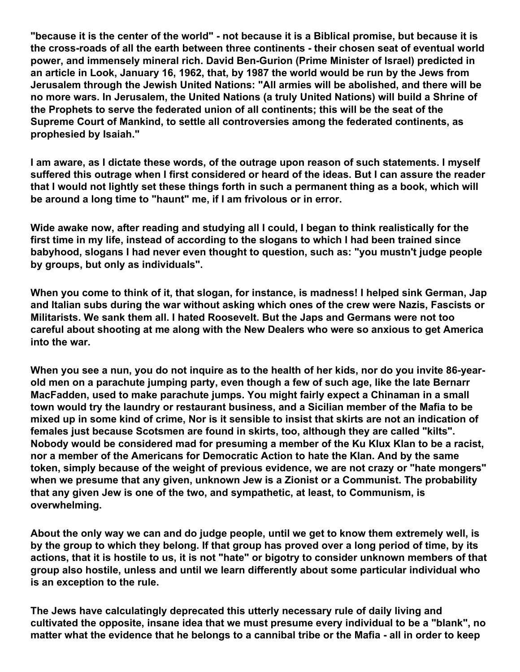**"because it is the center of the world" - not because it is a Biblical promise, but because it is the cross-roads of all the earth between three continents - their chosen seat of eventual world power, and immensely mineral rich. David Ben-Gurion (Prime Minister of Israel) predicted in an article in Look, January 16, 1962, that, by 1987 the world would be run by the Jews from Jerusalem through the Jewish United Nations: "All armies will be abolished, and there will be no more wars. In Jerusalem, the United Nations (a truly United Nations) will build a Shrine of the Prophets to serve the federated union of all continents; this will be the seat of the Supreme Court of Mankind, to settle all controversies among the federated continents, as prophesied by Isaiah."**

**I am aware, as I dictate these words, of the outrage upon reason of such statements. I myself suffered this outrage when I first considered or heard of the ideas. But I can assure the reader that I would not lightly set these things forth in such a permanent thing as a book, which will be around a long time to "haunt" me, if I am frivolous or in error.**

**Wide awake now, after reading and studying all I could, I began to think realistically for the first time in my life, instead of according to the slogans to which I had been trained since babyhood, slogans I had never even thought to question, such as: "you mustn't judge people by groups, but only as individuals".**

**When you come to think of it, that slogan, for instance, is madness! I helped sink German, Jap and Italian subs during the war without asking which ones of the crew were Nazis, Fascists or Militarists. We sank them all. I hated Roosevelt. But the Japs and Germans were not too careful about shooting at me along with the New Dealers who were so anxious to get America into the war.**

**When you see a nun, you do not inquire as to the health of her kids, nor do you invite 86-yearold men on a parachute jumping party, even though a few of such age, like the late Bernarr MacFadden, used to make parachute jumps. You might fairly expect a Chinaman in a small town would try the laundry or restaurant business, and a Sicilian member of the Mafia to be mixed up in some kind of crime, Nor is it sensible to insist that skirts are not an indication of females just because Scotsmen are found in skirts, too, although they are called "kilts". Nobody would be considered mad for presuming a member of the Ku Klux Klan to be a racist, nor a member of the Americans for Democratic Action to hate the Klan. And by the same token, simply because of the weight of previous evidence, we are not crazy or "hate mongers" when we presume that any given, unknown Jew is a Zionist or a Communist. The probability that any given Jew is one of the two, and sympathetic, at least, to Communism, is overwhelming.**

**About the only way we can and do judge people, until we get to know them extremely well, is by the group to which they belong. If that group has proved over a long period of time, by its actions, that it is hostile to us, it is not "hate" or bigotry to consider unknown members of that group also hostile, unless and until we learn differently about some particular individual who is an exception to the rule.**

**The Jews have calculatingly deprecated this utterly necessary rule of daily living and cultivated the opposite, insane idea that we must presume every individual to be a "blank", no matter what the evidence that he belongs to a cannibal tribe or the Mafia - all in order to keep**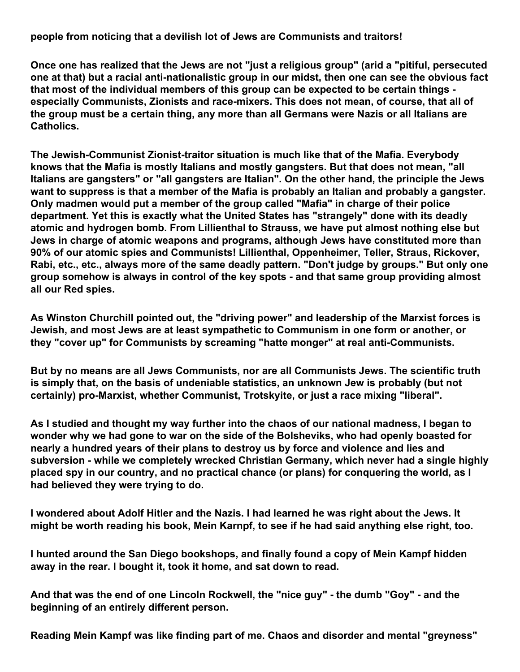**people from noticing that a devilish lot of Jews are Communists and traitors!**

**Once one has realized that the Jews are not "just a religious group'' (arid a "pitiful, persecuted one at that) but a racial anti-nationalistic group in our midst, then one can see the obvious fact that most of the individual members of this group can be expected to be certain things especially Communists, Zionists and race-mixers. This does not mean, of course, that all of the group must be a certain thing, any more than all Germans were Nazis or all Italians are Catholics.**

**The Jewish-Communist Zionist-traitor situation is much like that of the Mafia. Everybody knows that the Mafia is mostly Italians and mostly gangsters. But that does not mean, "all Italians are gangsters" or "all gangsters are Italian". On the other hand, the principle the Jews**  want to suppress is that a member of the Mafia is probably an Italian and probably a gangster. **Only madmen would put a member of the group called "Mafia" in charge of their police department. Yet this is exactly what the United States has "strangely" done with its deadly atomic and hydrogen bomb. From Lillienthal to Strauss, we have put almost nothing else but Jews in charge of atomic weapons and programs, although Jews have constituted more than 90% of our atomic spies and Communists! Lillienthal, Oppenheimer, Teller, Straus, Rickover, Rabi, etc., etc., always more of the same deadly pattern. "Don't judge by groups." But only one group somehow is always in control of the key spots - and that same group providing almost all our Red spies.**

**As Winston Churchill pointed out, the "driving power" and leadership of the Marxist forces is Jewish, and most Jews are at least sympathetic to Communism in one form or another, or they "cover up" for Communists by screaming "hatte monger" at real anti-Communists.**

**But by no means are all Jews Communists, nor are all Communists Jews. The scientific truth is simply that, on the basis of undeniable statistics, an unknown Jew is probably (but not certainly) pro-Marxist, whether Communist, Trotskyite, or just a race mixing "liberal".**

**As I studied and thought my way further into the chaos of our national madness, I began to wonder why we had gone to war on the side of the Bolsheviks, who had openly boasted for nearly a hundred years of their plans to destroy us by force and violence and lies and subversion - while we completely wrecked Christian Germany, which never had a single highly placed spy in our country, and no practical chance (or plans) for conquering the world, as I had believed they were trying to do.**

**I wondered about Adolf Hitler and the Nazis. I had learned he was right about the Jews. It might be worth reading his book, Mein Karnpf, to see if he had said anything else right, too.**

**I hunted around the San Diego bookshops, and finally found a copy of Mein Kampf hidden away in the rear. I bought it, took it home, and sat down to read.**

**And that was the end of one Lincoln Rockwell, the "nice guy" - the dumb "Goy" - and the beginning of an entirely different person.**

**Reading Mein Kampf was like finding part of me. Chaos and disorder and mental "greyness"**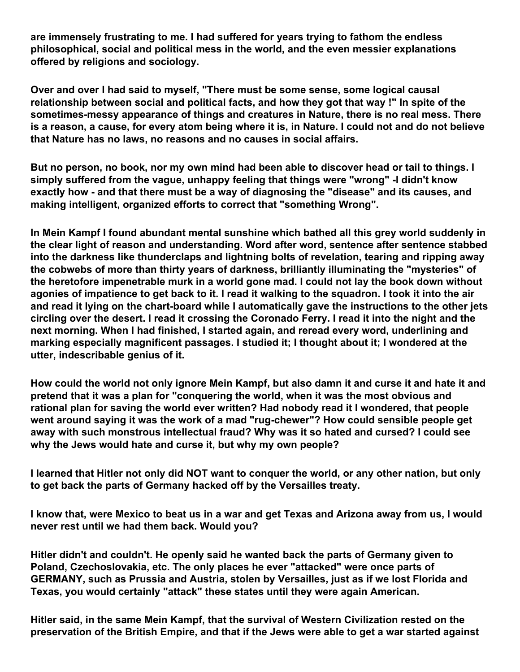**are immensely frustrating to me. I had suffered for years trying to fathom the endless philosophical, social and political mess in the world, and the even messier explanations offered by religions and sociology.**

**Over and over I had said to myself, "There must be some sense, some logical causal relationship between social and political facts, and how they got that way !" In spite of the sometimes-messy appearance of things and creatures in Nature, there is no real mess. There is a reason, a cause, for every atom being where it is, in Nature. I could not and do not believe that Nature has no laws, no reasons and no causes in social affairs.**

**But no person, no book, nor my own mind had been able to discover head or tail to things. I simply suffered from the vague, unhappy feeling that things were "wrong" -I didn't know exactly how - and that there must be a way of diagnosing the "disease" and its causes, and making intelligent, organized efforts to correct that "something Wrong".**

**In Mein Kampf I found abundant mental sunshine which bathed all this grey world suddenly in the clear light of reason and understanding. Word after word, sentence after sentence stabbed into the darkness like thunderclaps and lightning bolts of revelation, tearing and ripping away the cobwebs of more than thirty years of darkness, brilliantly illuminating the "mysteries" of the heretofore impenetrable murk in a world gone mad. I could not lay the book down without agonies of impatience to get back to it. I read it walking to the squadron. I took it into the air and read it lying on the chart-board while I automatically gave the instructions to the other jets circling over the desert. I read it crossing the Coronado Ferry. I read it into the night and the next morning. When I had finished, I started again, and reread every word, underlining and marking especially magnificent passages. I studied it; I thought about it; I wondered at the utter, indescribable genius of it.**

**How could the world not only ignore Mein Kampf, but also damn it and curse it and hate it and pretend that it was a plan for "conquering the world, when it was the most obvious and rational plan for saving the world ever written? Had nobody read it I wondered, that people went around saying it was the work of a mad "rug-chewer"? How could sensible people get away with such monstrous intellectual fraud? Why was it so hated and cursed? I could see why the Jews would hate and curse it, but why my own people?**

**I learned that Hitler not only did NOT want to conquer the world, or any other nation, but only to get back the parts of Germany hacked off by the Versailles treaty.**

**I know that, were Mexico to beat us in a war and get Texas and Arizona away from us, I would never rest until we had them back. Would you?**

**Hitler didn't and couldn't. He openly said he wanted back the parts of Germany given to Poland, Czechoslovakia, etc. The only places he ever "attacked" were once parts of GERMANY, such as Prussia and Austria, stolen by Versailles, just as if we lost Florida and Texas, you would certainly "attack" these states until they were again American.**

**Hitler said, in the same Mein Kampf, that the survival of Western Civilization rested on the preservation of the British Empire, and that if the Jews were able to get a war started against**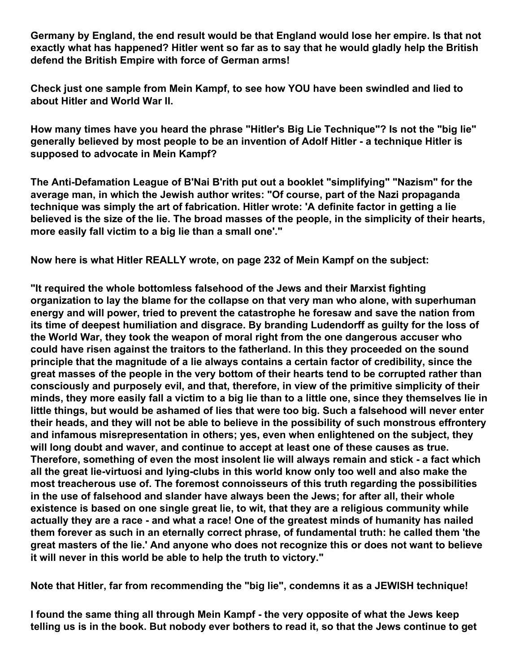**Germany by England, the end result would be that England would lose her empire. Is that not exactly what has happened? Hitler went so far as to say that he would gladly help the British defend the British Empire with force of German arms!**

**Check just one sample from Mein Kampf, to see how YOU have been swindled and lied to about Hitler and World War II.**

**How many times have you heard the phrase "Hitler's Big Lie Technique"? Is not the "big lie" generally believed by most people to be an invention of Adolf Hitler - a technique Hitler is supposed to advocate in Mein Kampf?**

**The Anti-Defamation League of B'Nai B'rith put out a booklet "simplifying" "Nazism" for the average man, in which the Jewish author writes: "Of course, part of the Nazi propaganda technique was simply the art of fabrication. Hitler wrote: 'A definite factor in getting a lie believed is the size of the lie. The broad masses of the people, in the simplicity of their hearts, more easily fall victim to a big lie than a small one'."**

**Now here is what Hitler REALLY wrote, on page 232 of Mein Kampf on the subject:**

**"It required the whole bottomless falsehood of the Jews and their Marxist fighting organization to lay the blame for the collapse on that very man who alone, with superhuman energy and will power, tried to prevent the catastrophe he foresaw and save the nation from its time of deepest humiliation and disgrace. By branding Ludendorff as guilty for the loss of the World War, they took the weapon of moral right from the one dangerous accuser who could have risen against the traitors to the fatherland. In this they proceeded on the sound principle that the magnitude of a lie always contains a certain factor of credibility, since the great masses of the people in the very bottom of their hearts tend to be corrupted rather than consciously and purposely evil, and that, therefore, in view of the primitive simplicity of their minds, they more easily fall a victim to a big lie than to a little one, since they themselves lie in little things, but would be ashamed of lies that were too big. Such a falsehood will never enter their heads, and they will not be able to believe in the possibility of such monstrous effrontery and infamous misrepresentation in others; yes, even when enlightened on the subject, they will long doubt and waver, and continue to accept at least one of these causes as true. Therefore, something of even the most insolent lie will always remain and stick - a fact which all the great lie-virtuosi and lying-clubs in this world know only too well and also make the most treacherous use of. The foremost connoisseurs of this truth regarding the possibilities in the use of falsehood and slander have always been the Jews; for after all, their whole existence is based on one single great lie, to wit, that they are a religious community while actually they are a race - and what a race! One of the greatest minds of humanity has nailed them forever as such in an eternally correct phrase, of fundamental truth: he called them 'the great masters of the lie.' And anyone who does not recognize this or does not want to believe it will never in this world be able to help the truth to victory."**

**Note that Hitler, far from recommending the "big lie", condemns it as a JEWISH technique!**

**I found the same thing all through Mein Kampf - the very opposite of what the Jews keep telling us is in the book. But nobody ever bothers to read it, so that the Jews continue to get**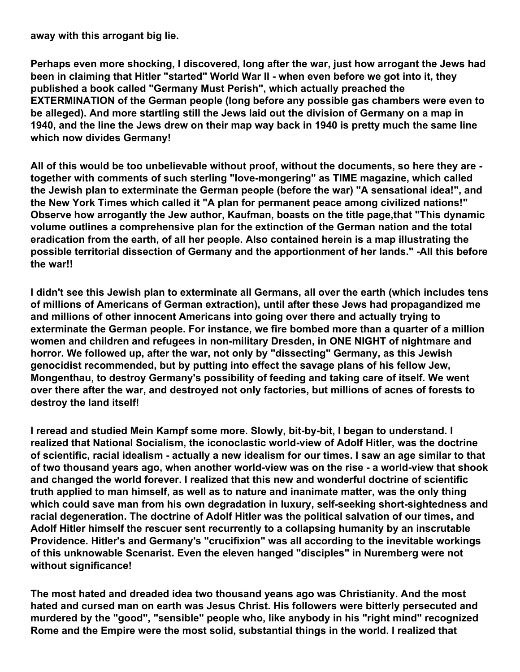**away with this arrogant big lie.**

**Perhaps even more shocking, I discovered, long after the war, just how arrogant the Jews had been in claiming that Hitler "started" World War II - when even before we got into it, they published a book called "Germany Must Perish", which actually preached the EXTERMINATION of the German people (long before any possible gas chambers were even to be alleged). And more startling still the Jews laid out the division of Germany on a map in 1940, and the line the Jews drew on their map way back in 1940 is pretty much the same line which now divides Germany!**

**All of this would be too unbelievable without proof, without the documents, so here they are together with comments of such sterling "Iove-mongering" as TIME magazine, which called the Jewish plan to exterminate the German people (before the war) "A sensational idea!", and the New York Times which called it "A plan for permanent peace among civilized nations!" Observe how arrogantly the Jew author, Kaufman, boasts on the title page,that "This dynamic volume outlines a comprehensive plan for the extinction of the German nation and the total eradication from the earth, of all her people. Also contained herein is a map illustrating the possible territorial dissection of Germany and the apportionment of her lands." -All this before the war!!**

**I didn't see this Jewish plan to exterminate all Germans, all over the earth (which includes tens of millions of Americans of German extraction), until after these Jews had propagandized me and millions of other innocent Americans into going over there and actually trying to exterminate the German people. For instance, we fire bombed more than a quarter of a million women and children and refugees in non-military Dresden, in ONE NIGHT of nightmare and horror. We followed up, after the war, not only by "dissecting" Germany, as this Jewish genocidist recommended, but by putting into effect the savage plans of his fellow Jew, Mongenthau, to destroy Germany's possibility of feeding and taking care of itself. We went over there after the war, and destroyed not only factories, but millions of acnes of forests to destroy the land itself!**

**I reread and studied Mein Kampf some more. Slowly, bit-by-bit, I began to understand. I realized that National Socialism, the iconoclastic world-view of Adolf Hitler, was the doctrine of scientific, racial idealism - actually a new idealism for our times. I saw an age similar to that of two thousand years ago, when another world-view was on the rise - a world-view that shook and changed the world forever. I realized that this new and wonderful doctrine of scientific truth applied to man himself, as well as to nature and inanimate matter, was the only thing which could save man from his own degradation in luxury, self-seeking short-sightedness and racial degeneration. The doctrine of Adolf Hitler was the political salvation of our times, and Adolf Hitler himself the rescuer sent recurrently to a collapsing humanity by an inscrutable Providence. Hitler's and Germany's "crucifixion" was all according to the inevitable workings of this unknowable Scenarist. Even the eleven hanged "disciples" in Nuremberg were not without significance!**

**The most hated and dreaded idea two thousand yeans ago was Christianity. And the most hated and cursed man on earth was Jesus Christ. His followers were bitterly persecuted and murdered by the "good", "sensible" people who, like anybody in his "right mind" recognized Rome and the Empire were the most solid, substantial things in the world. I realized that**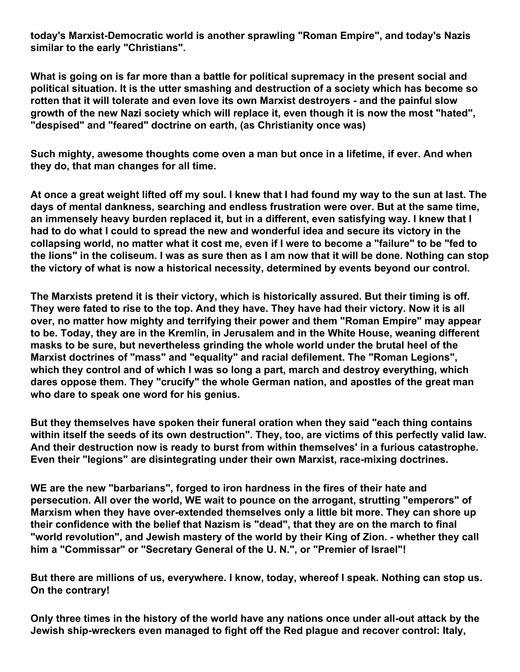**today's Marxist-Democratic world is another sprawling "Roman Empire", and today's Nazis similar to the early "Christians".**

**What is going on is far more than a battle for political supremacy in the present social and political situation. It is the utter smashing and destruction of a society which has become so rotten that it will tolerate and even love its own Marxist destroyers - and the painful slow growth of the new Nazi society which will replace it, even though it is now the most "hated", "despised" and "feared" doctrine on earth, (as Christianity once was)**

**Such mighty, awesome thoughts come oven a man but once in a lifetime, if ever. And when they do, that man changes for all time.**

**At once a great weight lifted off my soul. I knew that I had found my way to the sun at last. The days of mental dankness, searching and endless frustration were over. But at the same time, an immensely heavy burden replaced it, but in a different, even satisfying way. I knew that I had to do what I could to spread the new and wonderful idea and secure its victory in the collapsing world, no matter what it cost me, even if I were to become a "failure" to be "fed to the lions" in the coliseum. I was as sure then as I am now that it will be done. Nothing can stop the victory of what is now a historical necessity, determined by events beyond our control.**

**The Marxists pretend it is their victory, which is historically assured. But their timing is off. They were fated to rise to the top. And they have. They have had their victory. Now it is all over, no matter how mighty and terrifying their power and them "Roman Empire" may appear to be. Today, they are in the Kremlin, in Jerusalem and in the White House, weaning different masks to be sure, but nevertheless grinding the whole world under the brutal heel of the Marxist doctrines of "mass" and "equality" and racial defilement. The "Roman Legions", which they control and of which I was so long a part, march and destroy everything, which dares oppose them. They "crucify" the whole German nation, and apostles of the great man who dare to speak one word for his genius.**

**But they themselves have spoken their funeral oration when they said "each thing contains within itself the seeds of its own destruction". They, too, are victims of this perfectly valid law. And their destruction now is ready to burst from within themselves' in a furious catastrophe. Even their "legions" are disintegrating under their own Marxist, race-mixing doctrines.**

**WE are the new "barbarians", forged to iron hardness in the fires of their hate and persecution. All over the world, WE wait to pounce on the arrogant, strutting "emperors" of Marxism when they have over-extended themselves only a little bit more. They can shore up their confidence with the belief that Nazism is "dead", that they are on the march to final "world revolution", and Jewish mastery of the world by their King of Zion. - whether they call him a "Commissar" or "Secretary General of the U. N.", or "Premier of Israel"!**

**But there are millions of us, everywhere. I know, today, whereof I speak. Nothing can stop us. On the contrary!**

**Only three times in the history of the world have any nations once under all-out attack by the Jewish ship-wreckers even managed to fight off the Red plague and recover control: Italy,**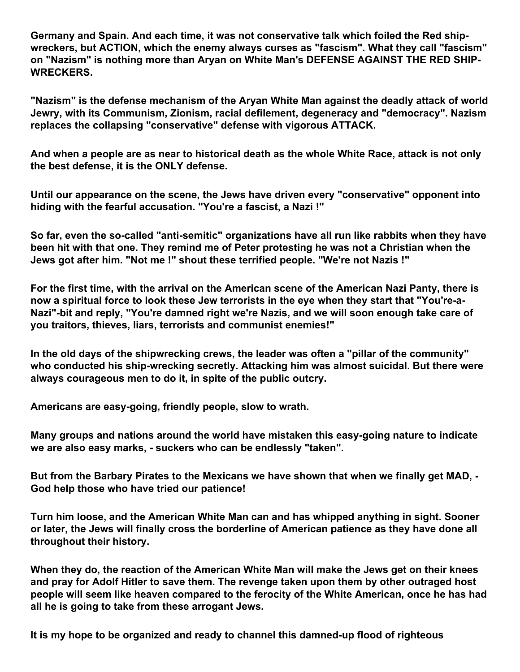**Germany and Spain. And each time, it was not conservative talk which foiled the Red shipwreckers, but ACTION, which the enemy always curses as "fascism". What they call "fascism" on "Nazism" is nothing more than Aryan on White Man's DEFENSE AGAINST THE RED SHIP-WRECKERS.**

**"Nazism" is the defense mechanism of the Aryan White Man against the deadly attack of world Jewry, with its Communism, Zionism, racial defilement, degeneracy and "democracy". Nazism replaces the collapsing "conservative" defense with vigorous ATTACK.**

**And when a people are as near to historical death as the whole White Race, attack is not only the best defense, it is the ONLY defense.**

**Until our appearance on the scene, the Jews have driven every "conservative" opponent into hiding with the fearful accusation. "You're a fascist, a Nazi !"**

**So far, even the so-called "anti-semitic" organizations have all run like rabbits when they have been hit with that one. They remind me of Peter protesting he was not a Christian when the Jews got after him. "Not me !" shout these terrified people. "We're not Nazis !"**

**For the first time, with the arrival on the American scene of the American Nazi Panty, there is now a spiritual force to look these Jew terrorists in the eye when they start that "You're-a-Nazi"-bit and reply, "You're damned right we're Nazis, and we will soon enough take care of you traitors, thieves, liars, terrorists and communist enemies!"**

**In the old days of the shipwrecking crews, the leader was often a "pillar of the community" who conducted his ship-wrecking secretly. Attacking him was almost suicidal. But there were always courageous men to do it, in spite of the public outcry.**

**Americans are easy-going, friendly people, slow to wrath.**

**Many groups and nations around the world have mistaken this easy-going nature to indicate we are also easy marks, - suckers who can be endlessly "taken".**

**But from the Barbary Pirates to the Mexicans we have shown that when we finally get MAD, - God help those who have tried our patience!**

**Turn him loose, and the American White Man can and has whipped anything in sight. Sooner or later, the Jews will finally cross the borderline of American patience as they have done all throughout their history.**

**When they do, the reaction of the American White Man will make the Jews get on their knees and pray for Adolf Hitler to save them. The revenge taken upon them by other outraged host people will seem like heaven compared to the ferocity of the White American, once he has had all he is going to take from these arrogant Jews.**

**It is my hope to be organized and ready to channel this damned-up flood of righteous**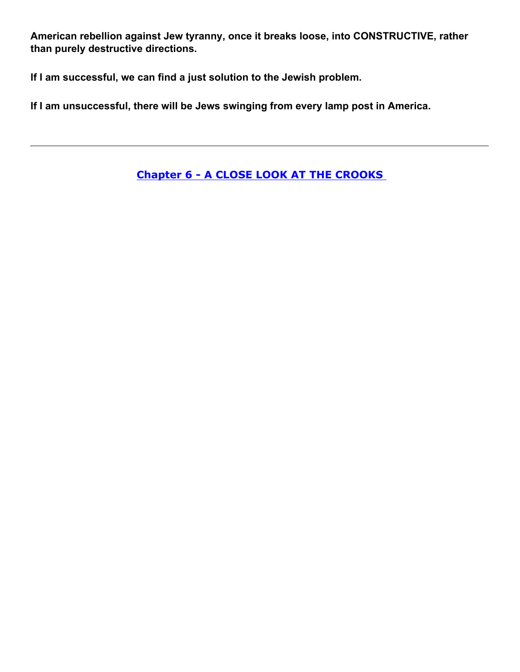**American rebellion against Jew tyranny, once it breaks loose, into CONSTRUCTIVE, rather than purely destructive directions.**

**If I am successful, we can find a just solution to the Jewish problem.**

**If I am unsuccessful, there will be Jews swinging from every lamp post in America.**

**[Chapter 6 - A CLOSE LOOK AT THE CROOKS](#page-88-0)**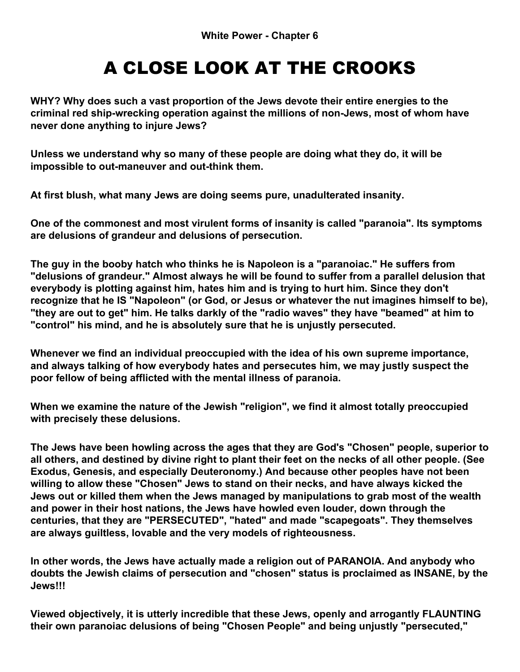## A CLOSE LOOK AT THE CROOKS

<span id="page-88-0"></span>**WHY? Why does such a vast proportion of the Jews devote their entire energies to the criminal red ship-wrecking operation against the millions of non-Jews, most of whom have never done anything to injure Jews?**

**Unless we understand why so many of these people are doing what they do, it will be impossible to out-maneuver and out-think them.**

**At first blush, what many Jews are doing seems pure, unadulterated insanity.**

**One of the commonest and most virulent forms of insanity is called "paranoia". Its symptoms are delusions of grandeur and delusions of persecution.**

**The guy in the booby hatch who thinks he is Napoleon is a "paranoiac." He suffers from "delusions of grandeur." Almost always he will be found to suffer from a parallel delusion that everybody is plotting against him, hates him and is trying to hurt him. Since they don't recognize that he IS "Napoleon" (or God, or Jesus or whatever the nut imagines himself to be), "they are out to get" him. He talks darkly of the "radio waves" they have "beamed" at him to "control" his mind, and he is absolutely sure that he is unjustly persecuted.**

**Whenever we find an individual preoccupied with the idea of his own supreme importance, and always talking of how everybody hates and persecutes him, we may justly suspect the poor fellow of being afflicted with the mental illness of paranoia.**

**When we examine the nature of the Jewish "religion", we find it almost totally preoccupied with precisely these delusions.**

**The Jews have been howling across the ages that they are God's "Chosen" people, superior to all others, and destined by divine right to plant their feet on the necks of all other people. (See Exodus, Genesis, and especially Deuteronomy.) And because other peoples have not been willing to allow these "Chosen" Jews to stand on their necks, and have always kicked the Jews out or killed them when the Jews managed by manipulations to grab most of the wealth and power in their host nations, the Jews have howled even louder, down through the centuries, that they are "PERSECUTED", "hated" and made "scapegoats". They themselves are always guiltless, lovable and the very models of righteousness.**

**In other words, the Jews have actually made a religion out of PARANOIA. And anybody who doubts the Jewish claims of persecution and "chosen" status is proclaimed as INSANE, by the Jews!!!**

**Viewed objectively, it is utterly incredible that these Jews, openly and arrogantly FLAUNTING their own paranoiac delusions of being "Chosen People" and being unjustly "persecuted,"**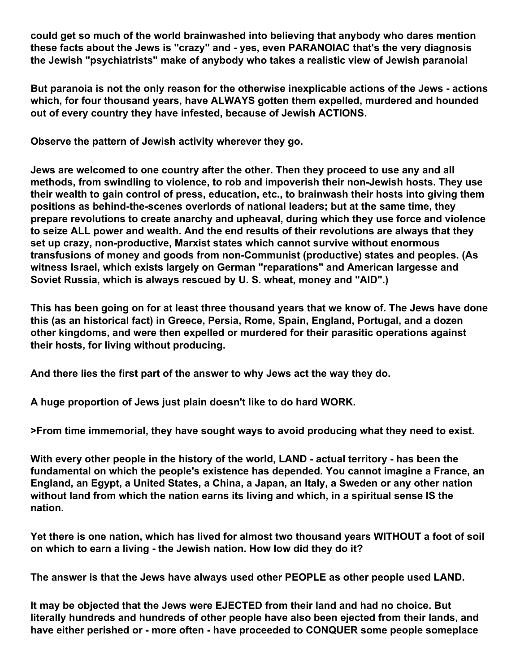**could get so much of the world brainwashed into believing that anybody who dares mention these facts about the Jews is "crazy" and - yes, even PARANOIAC that's the very diagnosis the Jewish "psychiatrists" make of anybody who takes a realistic view of Jewish paranoia!**

**But paranoia is not the only reason for the otherwise inexplicable actions of the Jews - actions which, for four thousand years, have ALWAYS gotten them expelled, murdered and hounded out of every country they have infested, because of Jewish ACTIONS.**

**Observe the pattern of Jewish activity wherever they go.**

**Jews are welcomed to one country after the other. Then they proceed to use any and all methods, from swindling to violence, to rob and impoverish their non-Jewish hosts. They use their wealth to gain control of press, education, etc., to brainwash their hosts into giving them positions as behind-the-scenes overlords of national leaders; but at the same time, they prepare revolutions to create anarchy and upheaval, during which they use force and violence to seize ALL power and wealth. And the end results of their revolutions are always that they set up crazy, non-productive, Marxist states which cannot survive without enormous transfusions of money and goods from non-Communist (productive) states and peoples. (As witness Israel, which exists largely on German "reparations" and American largesse and Soviet Russia, which is always rescued by U. S. wheat, money and "AID".)**

**This has been going on for at least three thousand years that we know of. The Jews have done this (as an historical fact) in Greece, Persia, Rome, Spain, England, Portugal, and a dozen other kingdoms, and were then expelled or murdered for their parasitic operations against their hosts, for living without producing.**

**And there lies the first part of the answer to why Jews act the way they do.**

**A huge proportion of Jews just plain doesn't like to do hard WORK.**

**>From time immemorial, they have sought ways to avoid producing what they need to exist.**

**With every other people in the history of the world, LAND - actual territory - has been the fundamental on which the people's existence has depended. You cannot imagine a France, an England, an Egypt, a United States, a China, a Japan, an Italy, a Sweden or any other nation without land from which the nation earns its living and which, in a spiritual sense IS the nation.**

**Yet there is one nation, which has lived for almost two thousand years WITHOUT a foot of soil on which to earn a living - the Jewish nation. How low did they do it?**

**The answer is that the Jews have always used other PEOPLE as other people used LAND.**

**It may be objected that the Jews were EJECTED from their land and had no choice. But literally hundreds and hundreds of other people have also been ejected from their lands, and have either perished or - more often - have proceeded to CONQUER some people someplace**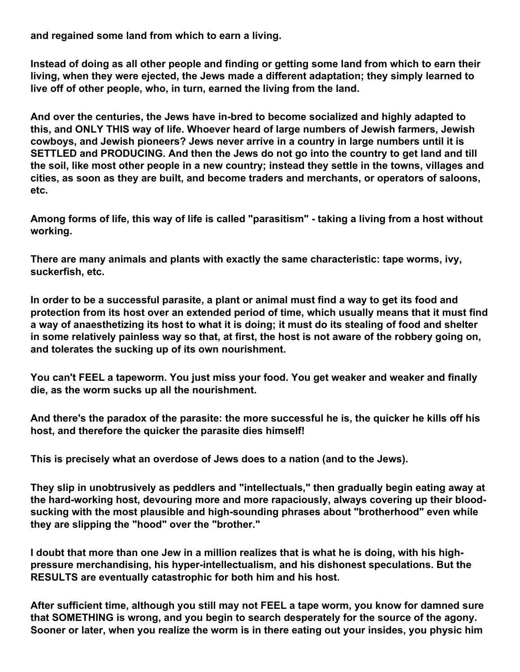**and regained some land from which to earn a living.**

**Instead of doing as all other people and finding or getting some land from which to earn their living, when they were ejected, the Jews made a different adaptation; they simply learned to live off of other people, who, in turn, earned the living from the land.**

**And over the centuries, the Jews have in-bred to become socialized and highly adapted to this, and ONLY THIS way of life. Whoever heard of large numbers of Jewish farmers, Jewish cowboys, and Jewish pioneers? Jews never arrive in a country in large numbers until it is SETTLED and PRODUCING. And then the Jews do not go into the country to get land and till the soil, like most other people in a new country; instead they settle in the towns, villages and cities, as soon as they are built, and become traders and merchants, or operators of saloons, etc.**

**Among forms of life, this way of life is called "parasitism" - taking a living from a host without working.**

**There are many animals and plants with exactly the same characteristic: tape worms, ivy, suckerfish, etc.**

**In order to be a successful parasite, a plant or animal must find a way to get its food and protection from its host over an extended period of time, which usually means that it must find a way of anaesthetizing its host to what it is doing; it must do its stealing of food and shelter in some relatively painless way so that, at first, the host is not aware of the robbery going on, and tolerates the sucking up of its own nourishment.**

**You can't FEEL a tapeworm. You just miss your food. You get weaker and weaker and finally die, as the worm sucks up all the nourishment.**

**And there's the paradox of the parasite: the more successful he is, the quicker he kills off his host, and therefore the quicker the parasite dies himself!**

**This is precisely what an overdose of Jews does to a nation (and to the Jews).**

**They slip in unobtrusively as peddlers and "intellectuals," then gradually begin eating away at the hard-working host, devouring more and more rapaciously, always covering up their bloodsucking with the most plausible and high-sounding phrases about "brotherhood" even while they are slipping the "hood" over the "brother."**

**I doubt that more than one Jew in a million realizes that is what he is doing, with his highpressure merchandising, his hyper-intellectualism, and his dishonest speculations. But the RESULTS are eventually catastrophic for both him and his host.**

**After sufficient time, although you still may not FEEL a tape worm, you know for damned sure that SOMETHING is wrong, and you begin to search desperately for the source of the agony. Sooner or later, when you realize the worm is in there eating out your insides, you physic him**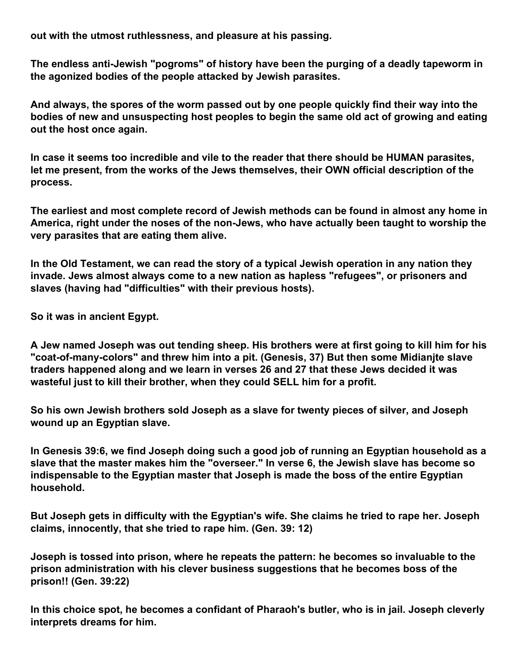**out with the utmost ruthlessness, and pleasure at his passing.**

**The endless anti-Jewish "pogroms" of history have been the purging of a deadly tapeworm in the agonized bodies of the people attacked by Jewish parasites.**

**And always, the spores of the worm passed out by one people quickly find their way into the bodies of new and unsuspecting host peoples to begin the same old act of growing and eating out the host once again.**

**In case it seems too incredible and vile to the reader that there should be HUMAN parasites, let me present, from the works of the Jews themselves, their OWN official description of the process.**

**The earliest and most complete record of Jewish methods can be found in almost any home in America, right under the noses of the non-Jews, who have actually been taught to worship the very parasites that are eating them alive.**

**In the Old Testament, we can read the story of a typical Jewish operation in any nation they invade. Jews almost always come to a new nation as hapless "refugees", or prisoners and slaves (having had "difficulties" with their previous hosts).**

**So it was in ancient Egypt.**

**A Jew named Joseph was out tending sheep. His brothers were at first going to kill him for his "coat-of-many-colors" and threw him into a pit. (Genesis, 37) But then some Midianjte slave traders happened along and we learn in verses 26 and 27 that these Jews decided it was wasteful just to kill their brother, when they could SELL him for a profit.**

**So his own Jewish brothers sold Joseph as a slave for twenty pieces of silver, and Joseph wound up an Egyptian slave.**

**In Genesis 39:6, we find Joseph doing such a good job of running an Egyptian household as a slave that the master makes him the "overseer." In verse 6, the Jewish slave has become so indispensable to the Egyptian master that Joseph is made the boss of the entire Egyptian household.**

**But Joseph gets in difficulty with the Egyptian's wife. She claims he tried to rape her. Joseph claims, innocently, that she tried to rape him. (Gen. 39: 12)**

**Joseph is tossed into prison, where he repeats the pattern: he becomes so invaluable to the prison administration with his clever business suggestions that he becomes boss of the prison!! (Gen. 39:22)**

**In this choice spot, he becomes a confidant of Pharaoh's butler, who is in jail. Joseph cleverly interprets dreams for him.**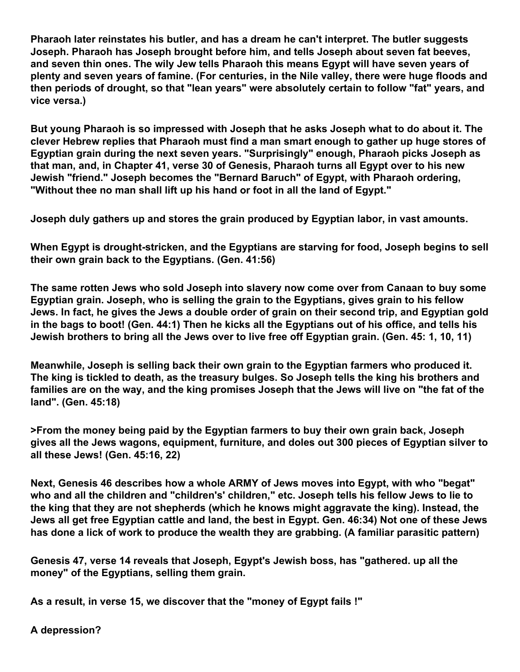**Pharaoh later reinstates his butler, and has a dream he can't interpret. The butler suggests Joseph. Pharaoh has Joseph brought before him, and tells Joseph about seven fat beeves, and seven thin ones. The wily Jew tells Pharaoh this means Egypt will have seven years of plenty and seven years of famine. (For centuries, in the Nile valley, there were huge floods and then periods of drought, so that "lean years" were absolutely certain to follow "fat" years, and vice versa.)**

**But young Pharaoh is so impressed with Joseph that he asks Joseph what to do about it. The clever Hebrew replies that Pharaoh must find a man smart enough to gather up huge stores of Egyptian grain during the next seven years. "Surprisingly" enough, Pharaoh picks Joseph as that man, and, in Chapter 41, verse 30 of Genesis, Pharaoh turns all Egypt over to his new Jewish "friend." Joseph becomes the "Bernard Baruch" of Egypt, with Pharaoh ordering, "Without thee no man shall lift up his hand or foot in all the land of Egypt."**

**Joseph duly gathers up and stores the grain produced by Egyptian labor, in vast amounts.**

**When Egypt is drought-stricken, and the Egyptians are starving for food, Joseph begins to sell their own grain back to the Egyptians. (Gen. 41:56)**

**The same rotten Jews who sold Joseph into slavery now come over from Canaan to buy some Egyptian grain. Joseph, who is selling the grain to the Egyptians, gives grain to his fellow Jews. In fact, he gives the Jews a double order of grain on their second trip, and Egyptian gold in the bags to boot! (Gen. 44:1) Then he kicks all the Egyptians out of his office, and tells his Jewish brothers to bring all the Jews over to live free off Egyptian grain. (Gen. 45: 1, 10, 11)**

**Meanwhile, Joseph is selling back their own grain to the Egyptian farmers who produced it. The king is tickled to death, as the treasury bulges. So Joseph tells the king his brothers and families are on the way, and the king promises Joseph that the Jews will live on "the fat of the land". (Gen. 45:18)**

**>From the money being paid by the Egyptian farmers to buy their own grain back, Joseph gives all the Jews wagons, equipment, furniture, and doles out 300 pieces of Egyptian silver to all these Jews! (Gen. 45:16, 22)**

**Next, Genesis 46 describes how a whole ARMY of Jews moves into Egypt, with who "begat" who and all the children and "children's' children," etc. Joseph tells his fellow Jews to lie to the king that they are not shepherds (which he knows might aggravate the king). Instead, the Jews all get free Egyptian cattle and land, the best in Egypt. Gen. 46:34) Not one of these Jews has done a lick of work to produce the wealth they are grabbing. (A familiar parasitic pattern)**

**Genesis 47, verse 14 reveals that Joseph, Egypt's Jewish boss, has "gathered. up all the money" of the Egyptians, selling them grain.**

**As a result, in verse 15, we discover that the "money of Egypt fails !"**

**A depression?**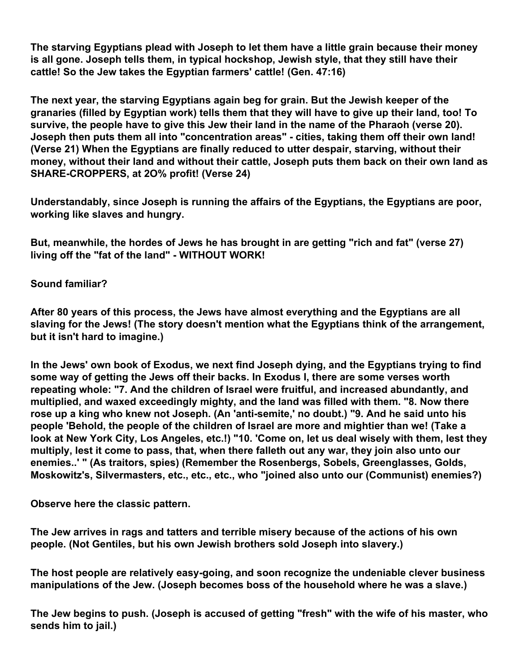**The starving Egyptians plead with Joseph to let them have a little grain because their money is all gone. Joseph tells them, in typical hockshop, Jewish style, that they still have their cattle! So the Jew takes the Egyptian farmers' cattle! (Gen. 47:16)**

**The next year, the starving Egyptians again beg for grain. But the Jewish keeper of the granaries (filled by Egyptian work) tells them that they will have to give up their land, too! To survive, the people have to give this Jew their land in the name of the Pharaoh (verse 20). Joseph then puts them all into "concentration areas" - cities, taking them off their own land! (Verse 21) When the Egyptians are finally reduced to utter despair, starving, without their money, without their land and without their cattle, Joseph puts them back on their own land as SHARE-CROPPERS, at 2O% profit! (Verse 24)**

**Understandably, since Joseph is running the affairs of the Egyptians, the Egyptians are poor, working like slaves and hungry.**

**But, meanwhile, the hordes of Jews he has brought in are getting "rich and fat" (verse 27) living off the "fat of the land" - WITHOUT WORK!**

**Sound familiar?**

**After 80 years of this process, the Jews have almost everything and the Egyptians are all slaving for the Jews! (The story doesn't mention what the Egyptians think of the arrangement, but it isn't hard to imagine.)**

**In the Jews' own book of Exodus, we next find Joseph dying, and the Egyptians trying to find some way of getting the Jews off their backs. In Exodus I, there are some verses worth repeating whole: "7. And the children of Israel were fruitful, and increased abundantly, and multiplied, and waxed exceedingly mighty, and the land was filled with them. "8. Now there rose up a king who knew not Joseph. (An 'anti-semite,' no doubt.) "9. And he said unto his people 'Behold, the people of the children of Israel are more and mightier than we! (Take a look at New York City, Los Angeles, etc.!) "10. 'Come on, let us deal wisely with them, lest they multiply, lest it come to pass, that, when there falleth out any war, they join also unto our enemies..' " (As traitors, spies) (Remember the Rosenbergs, Sobels, Greenglasses, Golds, Moskowitz's, Silvermasters, etc., etc., etc., who "joined also unto our (Communist) enemies?)**

**Observe here the classic pattern.**

**The Jew arrives in rags and tatters and terrible misery because of the actions of his own people. (Not Gentiles, but his own Jewish brothers sold Joseph into slavery.)**

**The host people are relatively easy-going, and soon recognize the undeniable clever business manipulations of the Jew. (Joseph becomes boss of the household where he was a slave.)**

**The Jew begins to push. (Joseph is accused of getting "fresh" with the wife of his master, who sends him to jail.)**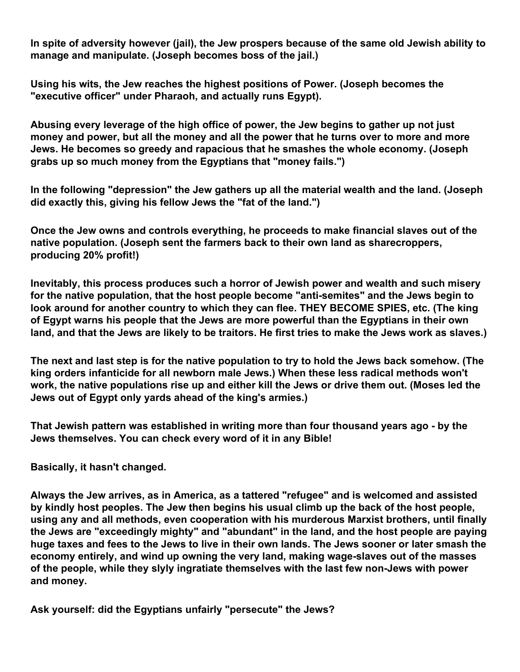**In spite of adversity however (jail), the Jew prospers because of the same old Jewish ability to manage and manipulate. (Joseph becomes boss of the jail.)**

**Using his wits, the Jew reaches the highest positions of Power. (Joseph becomes the "executive officer" under Pharaoh, and actually runs Egypt).**

**Abusing every leverage of the high office of power, the Jew begins to gather up not just money and power, but all the money and all the power that he turns over to more and more Jews. He becomes so greedy and rapacious that he smashes the whole economy. (Joseph grabs up so much money from the Egyptians that "money fails.")**

**In the following "depression" the Jew gathers up all the material wealth and the land. (Joseph did exactly this, giving his fellow Jews the "fat of the land.")**

**Once the Jew owns and controls everything, he proceeds to make financial slaves out of the native population. (Joseph sent the farmers back to their own land as sharecroppers, producing 20% profit!)**

**Inevitably, this process produces such a horror of Jewish power and wealth and such misery for the native population, that the host people become "anti-semites" and the Jews begin to look around for another country to which they can flee. THEY BECOME SPIES, etc. (The king of Egypt warns his people that the Jews are more powerful than the Egyptians in their own land, and that the Jews are likely to be traitors. He first tries to make the Jews work as slaves.)**

**The next and last step is for the native population to try to hold the Jews back somehow. (The king orders infanticide for all newborn male Jews.) When these less radical methods won't work, the native populations rise up and either kill the Jews or drive them out. (Moses led the Jews out of Egypt only yards ahead of the king's armies.)**

**That Jewish pattern was established in writing more than four thousand years ago - by the Jews themselves. You can check every word of it in any Bible!**

**Basically, it hasn't changed.**

**Always the Jew arrives, as in America, as a tattered "refugee" and is welcomed and assisted by kindly host peoples. The Jew then begins his usual climb up the back of the host people, using any and all methods, even cooperation with his murderous Marxist brothers, until finally the Jews are "exceedingly mighty" and "abundant" in the land, and the host people are paying huge taxes and fees to the Jews to live in their own lands. The Jews sooner or later smash the economy entirely, and wind up owning the very land, making wage-slaves out of the masses of the people, while they slyly ingratiate themselves with the last few non-Jews with power and money.**

**Ask yourself: did the Egyptians unfairly "persecute" the Jews?**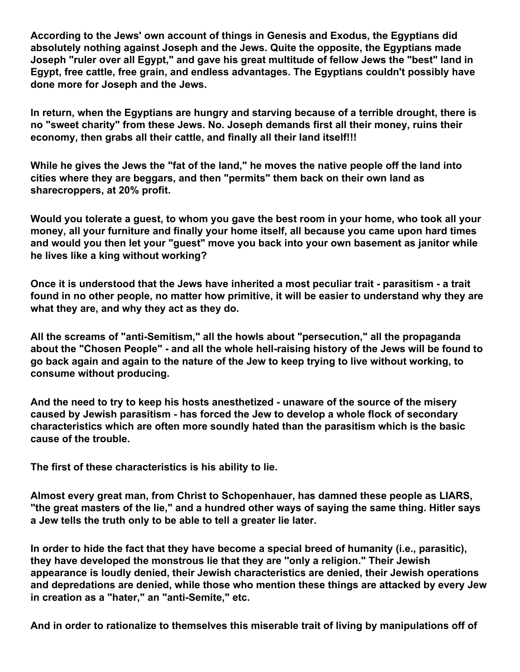**According to the Jews' own account of things in Genesis and Exodus, the Egyptians did absolutely nothing against Joseph and the Jews. Quite the opposite, the Egyptians made Joseph "ruler over all Egypt," and gave his great multitude of fellow Jews the "best" land in Egypt, free cattle, free grain, and endless advantages. The Egyptians couldn't possibly have done more for Joseph and the Jews.**

**In return, when the Egyptians are hungry and starving because of a terrible drought, there is no "sweet charity" from these Jews. No. Joseph demands first all their money, ruins their economy, then grabs all their cattle, and finally all their land itself!!!**

**While he gives the Jews the "fat of the land," he moves the native people off the land into cities where they are beggars, and then "permits" them back on their own land as sharecroppers, at 20% profit.**

**Would you tolerate a guest, to whom you gave the best room in your home, who took all your money, all your furniture and finally your home itself, all because you came upon hard times and would you then let your "guest" move you back into your own basement as janitor while he lives like a king without working?**

**Once it is understood that the Jews have inherited a most peculiar trait - parasitism - a trait found in no other people, no matter how primitive, it will be easier to understand why they are what they are, and why they act as they do.**

**All the screams of "anti-Semitism," all the howls about "persecution," all the propaganda about the "Chosen People" - and all the whole hell-raising history of the Jews will be found to go back again and again to the nature of the Jew to keep trying to live without working, to consume without producing.**

**And the need to try to keep his hosts anesthetized - unaware of the source of the misery caused by Jewish parasitism - has forced the Jew to develop a whole flock of secondary characteristics which are often more soundly hated than the parasitism which is the basic cause of the trouble.**

**The first of these characteristics is his ability to lie.**

**Almost every great man, from Christ to Schopenhauer, has damned these people as LIARS, "the great masters of the lie," and a hundred other ways of saying the same thing. Hitler says a Jew tells the truth only to be able to tell a greater lie later.**

**In order to hide the fact that they have become a special breed of humanity (i.e., parasitic), they have developed the monstrous lie that they are ''only a religion." Their Jewish appearance is loudly denied, their Jewish characteristics are denied, their Jewish operations and depredations are denied, while those who mention these things are attacked by every Jew in creation as a "hater," an "anti-Semite," etc.**

**And in order to rationalize to themselves this miserable trait of living by manipulations off of**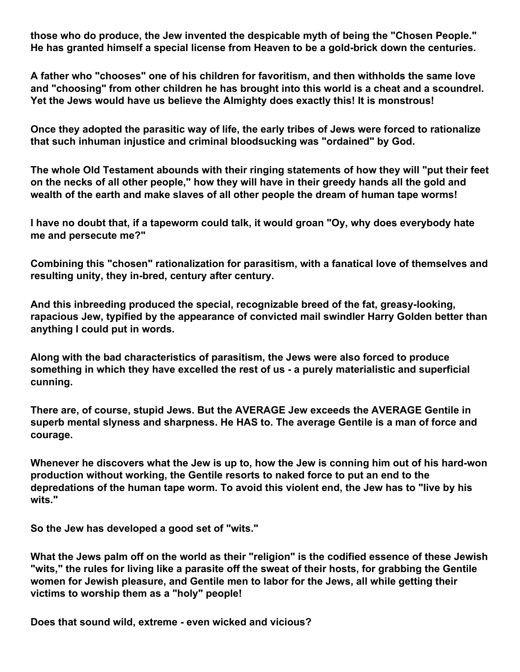**those who do produce, the Jew invented the despicable myth of being the "Chosen People." He has granted himself a special license from Heaven to be a gold-brick down the centuries.**

**A father who "chooses" one of his children for favoritism, and then withholds the same love and "choosing" from other children he has brought into this world is a cheat and a scoundrel. Yet the Jews would have us believe the Almighty does exactly this! It is monstrous!**

**Once they adopted the parasitic way of life, the early tribes of Jews were forced to rationalize that such inhuman injustice and criminal bloodsucking was "ordained" by God.**

**The whole Old Testament abounds with their ringing statements of how they will "put their feet on the necks of all other people," how they will have in their greedy hands all the gold and wealth of the earth and make slaves of all other people the dream of human tape worms!**

**I have no doubt that, if a tapeworm could talk, it would groan "Oy, why does everybody hate me and persecute me?"**

**Combining this "chosen" rationalization for parasitism, with a fanatical love of themselves and resulting unity, they in-bred, century after century.**

**And this inbreeding produced the special, recognizable breed of the fat, greasy-looking, rapacious Jew, typified by the appearance of convicted mail swindler Harry Golden better than anything I could put in words.**

**Along with the bad characteristics of parasitism, the Jews were also forced to produce something in which they have excelled the rest of us - a purely materialistic and superficial cunning.**

**There are, of course, stupid Jews. But the AVERAGE Jew exceeds the AVERAGE Gentile in superb mental slyness and sharpness. He HAS to. The average Gentile is a man of force and courage.**

**Whenever he discovers what the Jew is up to, how the Jew is conning him out of his hard-won production without working, the Gentile resorts to naked force to put an end to the depredations of the human tape worm. To avoid this violent end, the Jew has to "live by his wits."**

**So the Jew has developed a good set of "wits."**

**What the Jews palm off on the world as their "religion" is the codified essence of these Jewish "wits," the rules for living like a parasite off the sweat of their hosts, for grabbing the Gentile women for Jewish pleasure, and Gentile men to labor for the Jews, all while getting their victims to worship them as a "holy" people!**

**Does that sound wild, extreme - even wicked and vicious?**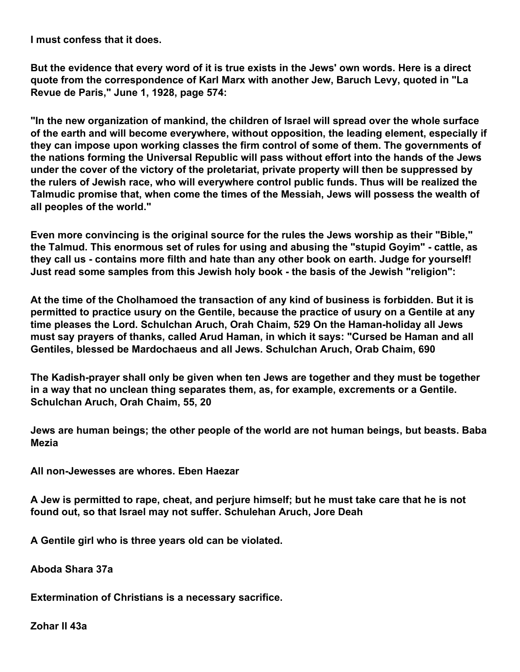**I must confess that it does.**

**But the evidence that every word of it is true exists in the Jews' own words. Here is a direct quote from the correspondence of Karl Marx with another Jew, Baruch Levy, quoted in "La Revue de Paris," June 1, 1928, page 574:**

**"In the new organization of mankind, the children of Israel will spread over the whole surface of the earth and will become everywhere, without opposition, the leading element, especially if they can impose upon working classes the firm control of some of them. The governments of the nations forming the Universal Republic will pass without effort into the hands of the Jews under the cover of the victory of the proletariat, private property will then be suppressed by the rulers of Jewish race, who will everywhere control public funds. Thus will be realized the Talmudic promise that, when come the times of the Messiah, Jews will possess the wealth of all peoples of the world."**

**Even more convincing is the original source for the rules the Jews worship as their "Bible," the Talmud. This enormous set of rules for using and abusing the "stupid Goyim" - cattle, as they call us - contains more filth and hate than any other book on earth. Judge for yourself! Just read some samples from this Jewish holy book - the basis of the Jewish "religion":**

**At the time of the Cholhamoed the transaction of any kind of business is forbidden. But it is permitted to practice usury on the Gentile, because the practice of usury on a Gentile at any time pleases the Lord. Schulchan Aruch, Orah Chaim, 529 On the Haman-holiday all Jews must say prayers of thanks, called Arud Haman, in which it says: "Cursed be Haman and all Gentiles, blessed be Mardochaeus and all Jews. Schulchan Aruch, Orab Chaim, 690**

**The Kadish-prayer shall only be given when ten Jews are together and they must be together in a way that no unclean thing separates them, as, for example, excrements or a Gentile. Schulchan Aruch, Orah Chaim, 55, 20**

**Jews are human beings; the other people of the world are not human beings, but beasts. Baba Mezia**

**All non-Jewesses are whores. Eben Haezar**

**A Jew is permitted to rape, cheat, and perjure himself; but he must take care that he is not found out, so that Israel may not suffer. Schulehan Aruch, Jore Deah**

**A Gentile girl who is three years old can be violated.**

**Aboda Shara 37a**

**Extermination of Christians is a necessary sacrifice.**

**Zohar II 43a**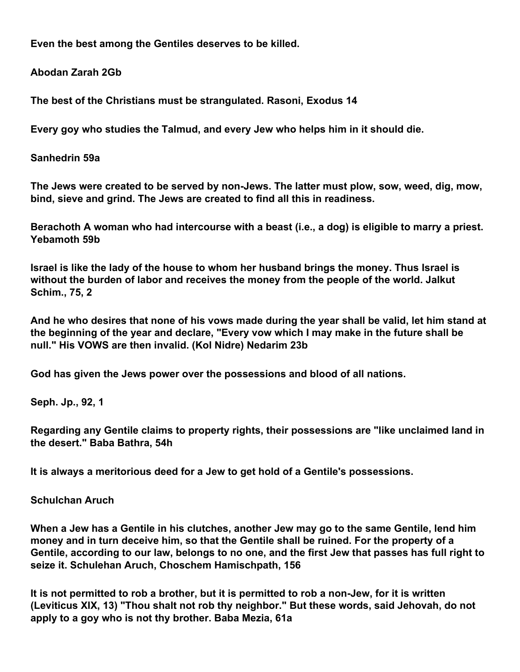**Even the best among the Gentiles deserves to be killed.**

**Abodan Zarah 2Gb**

**The best of the Christians must be strangulated. Rasoni, Exodus 14**

**Every goy who studies the Talmud, and every Jew who helps him in it should die.**

**Sanhedrin 59a**

**The Jews were created to be served by non-Jews. The latter must plow, sow, weed, dig, mow, bind, sieve and grind. The Jews are created to find all this in readiness.**

**Berachoth A woman who had intercourse with a beast (i.e., a dog) is eligible to marry a priest. Yebamoth 59b**

**Israel is like the lady of the house to whom her husband brings the money. Thus Israel is without the burden of labor and receives the money from the people of the world. Jalkut Schim., 75, 2**

**And he who desires that none of his vows made during the year shall be valid, let him stand at the beginning of the year and declare, "Every vow which I may make in the future shall be null." His VOWS are then invalid. (Kol Nidre) Nedarim 23b**

**God has given the Jews power over the possessions and blood of all nations.**

**Seph. Jp., 92, 1**

**Regarding any Gentile claims to property rights, their possessions are "like unclaimed land in the desert." Baba Bathra, 54h**

**It is always a meritorious deed for a Jew to get hold of a Gentile's possessions.**

**Schulchan Aruch**

**When a Jew has a Gentile in his clutches, another Jew may go to the same Gentile, lend him money and in turn deceive him, so that the Gentile shall be ruined. For the property of a Gentile, according to our law, belongs to no one, and the first Jew that passes has full right to seize it. Schulehan Aruch, Choschem Hamischpath, 156**

**It is not permitted to rob a brother, but it is permitted to rob a non-Jew, for it is written (Leviticus XIX, 13) "Thou shalt not rob thy neighbor." But these words, said Jehovah, do not apply to a goy who is not thy brother. Baba Mezia, 61a**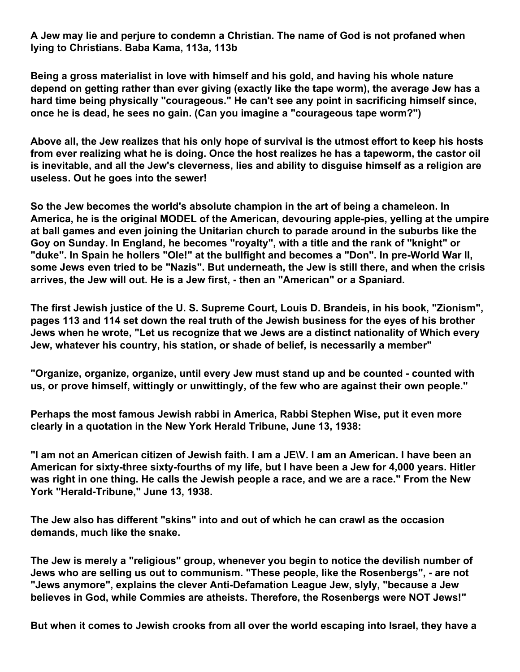**A Jew may lie and perjure to condemn a Christian. The name of God is not profaned when lying to Christians. Baba Kama, 113a, 113b**

**Being a gross materialist in love with himself and his gold, and having his whole nature depend on getting rather than ever giving (exactly like the tape worm), the average Jew has a hard time being physically "courageous." He can't see any point in sacrificing himself since, once he is dead, he sees no gain. (Can you imagine a "courageous tape worm?")**

**Above all, the Jew realizes that his only hope of survival is the utmost effort to keep his hosts from ever realizing what he is doing. Once the host realizes he has a tapeworm, the castor oil is inevitable, and all the Jew's cleverness, lies and ability to disguise himself as a religion are useless. Out he goes into the sewer!**

**So the Jew becomes the world's absolute champion in the art of being a chameleon. In America, he is the original MODEL of the American, devouring apple-pies, yelling at the umpire at ball games and even joining the Unitarian church to parade around in the suburbs like the Goy on Sunday. In England, he becomes "royalty", with a title and the rank of "knight" or "duke". In Spain he hollers "Ole!" at the bullfight and becomes a "Don". In pre-World War II, some Jews even tried to be "Nazis". But underneath, the Jew is still there, and when the crisis arrives, the Jew will out. He is a Jew first, - then an "American" or a Spaniard.**

**The first Jewish justice of the U. S. Supreme Court, Louis D. Brandeis, in his book, "Zionism", pages 113 and 114 set down the real truth of the Jewish business for the eyes of his brother Jews when he wrote, "Let us recognize that we Jews are a distinct nationality of Which every Jew, whatever his country, his station, or shade of belief, is necessarily a member"**

**"Organize, organize, organize, until every Jew must stand up and be counted - counted with us, or prove himself, wittingly or unwittingly, of the few who are against their own people."**

**Perhaps the most famous Jewish rabbi in America, Rabbi Stephen Wise, put it even more clearly in a quotation in the New York Herald Tribune, June 13, 1938:**

**"I am not an American citizen of Jewish faith. I am a JE\V. I am an American. I have been an American for sixty-three sixty-fourths of my life, but I have been a Jew for 4,000 years. Hitler was right in one thing. He calls the Jewish people a race, and we are a race." From the New York "Herald-Tribune," June 13, 1938.**

**The Jew also has different "skins" into and out of which he can crawl as the occasion demands, much like the snake.**

**The Jew is merely a "religious" group, whenever you begin to notice the devilish number of Jews who are selling us out to communism. "These people, like the Rosenbergs", - are not "Jews anymore", explains the clever Anti-Defamation League Jew, slyly, "because a Jew believes in God, while Commies are atheists. Therefore, the Rosenbergs were NOT Jews!"**

**But when it comes to Jewish crooks from all over the world escaping into Israel, they have a**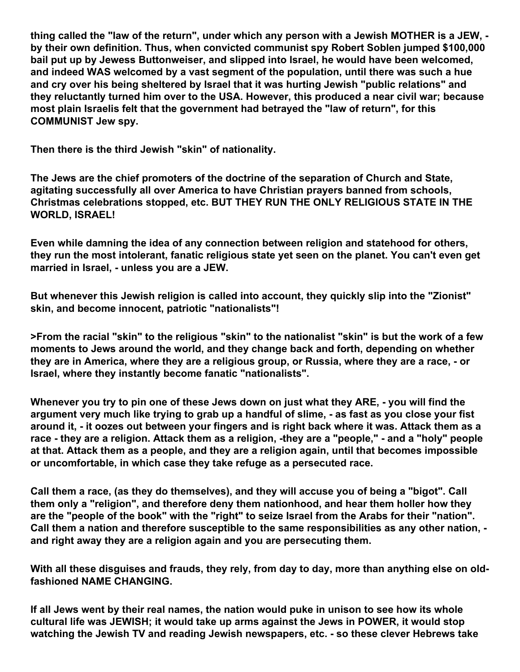**thing called the "law of the return", under which any person with a Jewish MOTHER is a JEW, by their own definition. Thus, when convicted communist spy Robert Soblen jumped \$100,000 bail put up by Jewess Buttonweiser, and slipped into Israel, he would have been welcomed, and indeed WAS welcomed by a vast segment of the population, until there was such a hue and cry over his being sheltered by Israel that it was hurting Jewish "public relations" and they reluctantly turned him over to the USA. However, this produced a near civil war; because most plain Israelis felt that the government had betrayed the "law of return", for this COMMUNIST Jew spy.**

**Then there is the third Jewish "skin" of nationality.**

**The Jews are the chief promoters of the doctrine of the separation of Church and State, agitating successfully all over America to have Christian prayers banned from schools, Christmas celebrations stopped, etc. BUT THEY RUN THE ONLY RELIGIOUS STATE IN THE WORLD, ISRAEL!**

**Even while damning the idea of any connection between religion and statehood for others, they run the most intolerant, fanatic religious state yet seen on the planet. You can't even get married in Israel, - unless you are a JEW.**

**But whenever this Jewish religion is called into account, they quickly slip into the "Zionist" skin, and become innocent, patriotic "nationalists"!**

**>From the racial "skin" to the religious "skin" to the nationalist "skin" is but the work of a few moments to Jews around the world, and they change back and forth, depending on whether they are in America, where they are a religious group, or Russia, where they are a race, - or Israel, where they instantly become fanatic "nationalists".**

**Whenever you try to pin one of these Jews down on just what they ARE, - you will find the argument very much like trying to grab up a handful of slime, - as fast as you close your fist around it, - it oozes out between your fingers and is right back where it was. Attack them as a race - they are a religion. Attack them as a religion, -they are a "people," - and a "holy" people at that. Attack them as a people, and they are a religion again, until that becomes impossible or uncomfortable, in which case they take refuge as a persecuted race.**

**Call them a race, (as they do themselves), and they will accuse you of being a "bigot". Call them only a "religion", and therefore deny them nationhood, and hear them holler how they are the "people of the book" with the "right" to seize Israel from the Arabs for their "nation". Call them a nation and therefore susceptible to the same responsibilities as any other nation, and right away they are a religion again and you are persecuting them.**

**With all these disguises and frauds, they rely, from day to day, more than anything else on oldfashioned NAME CHANGING.**

**If all Jews went by their real names, the nation would puke in unison to see how its whole cultural life was JEWISH; it would take up arms against the Jews in POWER, it would stop watching the Jewish TV and reading Jewish newspapers, etc. - so these clever Hebrews take**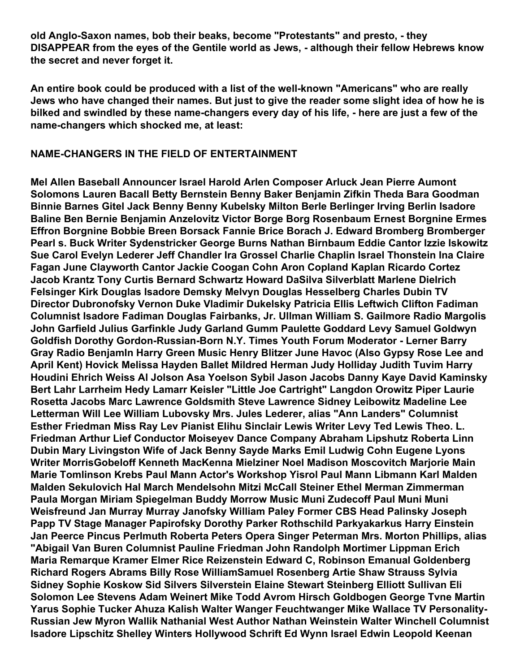**old Anglo-Saxon names, bob their beaks, become "Protestants" and presto, - they DISAPPEAR from the eyes of the Gentile world as Jews, - although their fellow Hebrews know the secret and never forget it.**

**An entire book could be produced with a list of the well-known "Americans" who are really Jews who have changed their names. But just to give the reader some slight idea of how he is bilked and swindled by these name-changers every day of his life, - here are just a few of the name-changers which shocked me, at least:**

## **NAME-CHANGERS IN THE FIELD OF ENTERTAINMENT**

**Mel Allen Baseball Announcer Israel Harold Arlen Composer Arluck Jean Pierre Aumont Solomons Lauren Bacall Betty Bernstein Benny Baker Benjamin Zifkin Theda Bara Goodman Binnie Barnes Gitel Jack Benny Benny Kubelsky Milton Berle Berlinger Irving Berlin Isadore Baline Ben Bernie Benjamin Anzelovitz Victor Borge Borg Rosenbaum Ernest Borgnine Ermes Effron Borgnine Bobbie Breen Borsack Fannie Brice Borach J. Edward Bromberg Bromberger Pearl s. Buck Writer Sydenstricker George Burns Nathan Birnbaum Eddie Cantor Izzie Iskowitz Sue Carol Evelyn Lederer Jeff Chandler Ira Grossel Charlie Chaplin Israel Thonstein Ina Claire Fagan June Clayworth Cantor Jackie Coogan Cohn Aron Copland Kaplan Ricardo Cortez Jacob Krantz Tony Curtis Bernard Schwartz Howard DaSilva Silverblatt Marlene Dielrich Felsinger Kirk Douglas Isadore Demsky Melvyn Douglas Hesselberg Charles Dubin TV Director Dubronofsky Vernon Duke Vladimir Dukelsky Patricia Ellis Leftwich Clifton Fadiman Columnist Isadore Fadiman Douglas Fairbanks, Jr. Ullman William S. Gailmore Radio Margolis John Garfield Julius Garfinkle Judy Garland Gumm Paulette Goddard Levy Samuel Goldwyn Goldfish Dorothy Gordon-Russian-Born N.Y. Times Youth Forum Moderator - Lerner Barry Gray Radio BenjamIn Harry Green Music Henry Blitzer June Havoc (Also Gypsy Rose Lee and April Kent) Hovick Melissa Hayden Ballet Mildred Herman Judy Holliday Judith Tuvim Harry Houdini Ehrich Weiss Al Jolson Asa Yoelson Sybil Jason Jacobs Danny Kaye David Kaminsky Bert Lahr Larrheim Hedy Lamarr Keisler "Little Joe Cartright" Langdon Orowitz Piper Laurie Rosetta Jacobs Marc Lawrence Goldsmith Steve Lawrence Sidney Leibowitz Madeline Lee Letterman Will Lee William Lubovsky Mrs. Jules Lederer, alias "Ann Landers" Columnist Esther Friedman Miss Ray Lev Pianist Elihu Sinclair Lewis Writer Levy Ted Lewis Theo. L. Friedman Arthur Lief Conductor Moiseyev Dance Company Abraham Lipshutz Roberta Linn Dubin Mary Livingston Wife of Jack Benny Sayde Marks Emil Ludwig Cohn Eugene Lyons Writer MorrisGobeloff Kenneth MacKenna Mielziner Noel Madison Moscovitch Marjorie Main Marie Tomlinson Krebs Paul Mann Actor's Workshop Yisrol Paul Mann Libmann Karl Malden Malden Sekulovich Hal March Mendelsohn Mitzi McCall Steiner Ethel Merman Zimmerman Paula Morgan Miriam Spiegelman Buddy Morrow Music Muni Zudecoff Paul Muni Muni Weisfreund Jan Murray Murray Janofsky William Paley Former CBS Head Palinsky Joseph Papp TV Stage Manager Papirofsky Dorothy Parker Rothschild Parkyakarkus Harry Einstein Jan Peerce Pincus Perlmuth Roberta Peters Opera Singer Peterman Mrs. Morton Phillips, alias "Abigail Van Buren Columnist Pauline Friedman John Randolph Mortimer Lippman Erich Maria Remarque Kramer Elmer Rice Reizenstein Edward C, Robinson Emanual Goldenberg Richard Rogers Abrams Billy Rose WilliamSamuel Rosenberg Artie Shaw Strauss Sylvia Sidney Sophie Koskow Sid Silvers Silverstein Elaine Stewart Steinberg Elliott Sullivan Eli Solomon Lee Stevens Adam Weinert Mike Todd Avrom Hirsch Goldbogen George Tvne Martin Yarus Sophie Tucker Ahuza Kalish Walter Wanger Feuchtwanger Mike Wallace TV Personality-Russian Jew Myron Wallik Nathanial West Author Nathan Weinstein Walter Winchell Columnist Isadore Lipschitz Shelley Winters Hollywood Schrift Ed Wynn Israel Edwin Leopold Keenan**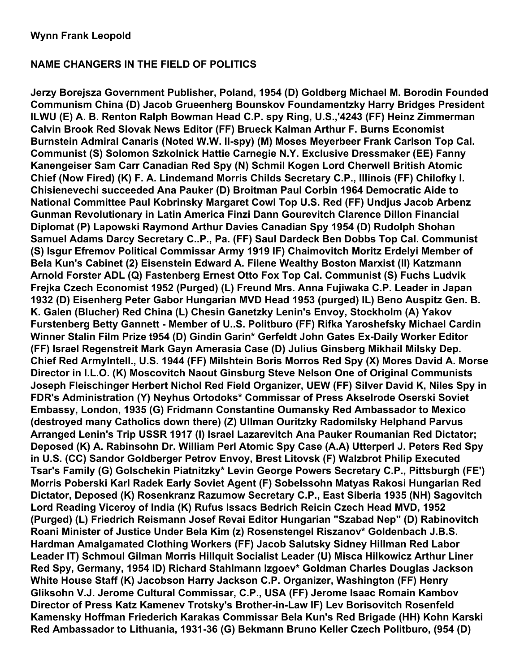## **NAME CHANGERS IN THE FIELD OF POLITICS**

**Jerzy Borejsza Government Publisher, Poland, 1954 (D) Goldberg Michael M. Borodin Founded Communism China (D) Jacob Grueenherg Bounskov Foundamentzky Harry Bridges President ILWU (E) A. B. Renton Ralph Bowman Head C.P. spy Ring, U.S.,'4243 (FF) Heinz Zimmerman Calvin Brook Red Slovak News Editor (FF) Brueck Kalman Arthur F. Burns Economist Burnstein Admiral Canaris (Noted W.W. II-spy) (M) Moses Meyerbeer Frank Carlson Top Cal. Communist (S) Solomon Szkolnick Hattie Carnegie N.Y. Exclusive Dressmaker (EE) Fanny Kanengeiser Sam Carr Canadian Red Spy (N) Schmil Kogen Lord Cherwell British Atomic Chief (Now Fired) (K) F. A. Lindemand Morris Childs Secretary C.P., Illinois (FF) Chilofky I. Chisienevechi succeeded Ana Pauker (D) Broitman Paul Corbin 1964 Democratic Aide to National Committee Paul Kobrinsky Margaret Cowl Top U.S. Red (FF) Undjus Jacob Arbenz Gunman Revolutionary in Latin America Finzi Dann Gourevitch Clarence Dillon Financial Diplomat (P) Lapowski Raymond Arthur Davies Canadian Spy 1954 (D) Rudolph Shohan Samuel Adams Darcy Secretary C..P., Pa. (FF) Saul Dardeck Ben Dobbs Top Cal. Communist (S) Isgur Efremov Political Commissar Army 1919 IF) Chaimovitch Moritz Erdelyi Member of Bela Kun's Cabinet (2) Eisenstein Edward A. Filene Wealthy Boston Marxist (ll) Katzmann Arnold Forster ADL (Q) Fastenberg Ernest Otto Fox Top Cal. Communist (S) Fuchs Ludvik Frejka Czech Economist 1952 (Purged) (L) Freund Mrs. Anna Fujiwaka C.P. Leader in Japan 1932 (D) Eisenherg Peter Gabor Hungarian MVD Head 1953 (purged) IL) Beno Auspitz Gen. B. K. Galen (Blucher) Red China (L) Chesin Ganetzky Lenin's Envoy, Stockholm (A) Yakov Furstenberg Betty Gannett - Member of U..S. Politburo (FF) Rifka Yaroshefsky Michael Cardin Winner Stalin Film Prize t954 (D) Gindin Garin\* Gerfeldt John Gates Ex-Daily Worker Editor (FF) Israel Regenstreit Mark Gayn Amerasia Case (D) Julius Ginsberg Mikhail Milsky Dep. Chief Red Armylntell., U.S. 1944 (FF) Milshtein Boris Morros Red Spy (X) Mores David A. Morse Director in I.L.O. (K) Moscovitch Naout Ginsburg Steve Nelson One of Original Communists Joseph Fleischinger Herbert Nichol Red Field Organizer, UEW (FF) Silver David K, Niles Spy in FDR's Administration (Y) Neyhus Ortodoks\* Commissar of Press Akselrode Oserski Soviet Embassy, London, 1935 (G) Fridmann Constantine Oumansky Red Ambassador to Mexico (destroyed many Catholics down there) (Z) Ullman Ouritzky Radomilsky Helphand Parvus Arranged Lenin's Trip USSR 1917 (I) Israel Lazarevitch Ana Pauker Roumanian Red Dictator; Deposed (K) A. Rabinsohn Dr. William Perl Atomic Spy Case (A.A) Utterperl J. Peters Red Spy in U.S. (CC) Sandor Goldberger Petrov Envoy, Brest Litovsk (F) Walzbrot Philip Executed Tsar's Family (G) Golschekin Piatnitzky\* Levin George Powers Secretary C.P., Pittsburgh (FE') Morris Poberski Karl Radek Early Soviet Agent (F) Sobelssohn Matyas Rakosi Hungarian Red Dictator, Deposed (K) Rosenkranz Razumow Secretary C.P., East Siberia 1935 (NH) Sagovitch Lord Reading Viceroy of India (K) Rufus lssacs Bedrich Reicin Czech Head MVD, 1952 (Purged) (L) Friedrich Reismann Josef Revai Editor Hungarian "Szabad Nep" (D) Rabinovitch Roani Minister of Justice Under Bela Kim (z) Rosenstengel Riszanov\* Goldenbach J.B.S. Hardman Amalgamated Clothing Workers (FF) Jacob Salutsky Sidney Hillman Red Labor Leader IT) Schmoul Gilman Morris Hillquit Socialist Leader (U) Misca Hilkowicz Arthur Liner Red Spy, Germany, 1954 ID) Richard Stahlmann Izgoev\* GoIdman Charles Douglas Jackson White House Staff (K) Jacobson Harry Jackson C.P. Organizer, Washington (FF) Henry Gliksohn V.J. Jerome Cultural Commissar, C.P., USA (FF) Jerome Isaac Romain Kambov Director of Press Katz Kamenev Trotsky's Brother-in-Law IF) Lev Borisovitch Rosenfeld Kamensky Hoffman Friederich Karakas Commissar Bela Kun's Red Brigade (HH) Kohn Karski Red Ambassador to Lithuania, 1931-36 (G) Bekmann Bruno Keller Czech Politburo, (954 (D)**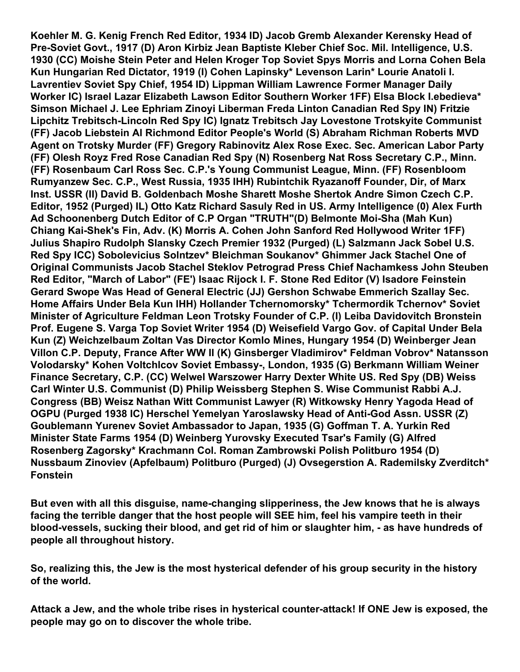**Koehler M. G. Kenig French Red Editor, 1934 ID) Jacob Gremb Alexander Kerensky Head of Pre-Soviet Govt., 1917 (D) Aron Kirbiz Jean Baptiste Kleber Chief Soc. Mil. lntelligence, U.S. 1930 (CC) Moishe Stein Peter and Helen Kroger Top Soviet Spys Morris and Lorna Cohen Bela Kun Hungarian Red Dictator, 1919 (I) Cohen Lapinsky\* Levenson Larin\* Lourie Anatoli I. Lavrentiev Soviet Spy Chief, 1954 ID) Lippman William Lawrence Former Manager Daily Worker IC) Israel Lazar Elizabeth Lawson Editor Southern Worker 1FF) Elsa Block I.ebedieva\* Simson Michael J. Lee Ephriam Zinoyi Liberman Freda Linton Canadian Red Spy IN) Fritzie Lipchitz Trebitsch-Lincoln Red Spy IC) Ignatz Trebitsch Jay Lovestone Trotskyite Communist (FF) Jacob Liebstein Al Richmond Editor People's World (S) Abraham Richman Roberts MVD Agent on Trotsky Murder (FF) Gregory Rabinovitz Alex Rose Exec. Sec. American Labor Party (FF) Olesh Royz Fred Rose Canadian Red Spy (N) Rosenberg Nat Ross Secretary C.P., Minn. (FF) Rosenbaum Carl Ross Sec. C.P.'s Young Communist League, Minn. (FF) Rosenbloom Rumyanzew Sec. C.P., West Russia, 1935 IHH) Rubintchik Ryazanoff Founder, Dir, of Marx Inst. USSR (II) David B. Goldenbach Moshe Sharett Moshe Shertok Andre Simon Czech C.P. Editor, 1952 (Purged) IL) Otto Katz Richard Sasuly Red in US. Army Intelligence (0) Alex Furth Ad Schoonenberg Dutch Editor of C.P Organ "TRUTH"(D) Belmonte Moi-Sha (Mah Kun) Chiang Kai-Shek's Fin, Adv. (K) Morris A. Cohen John Sanford Red Hollywood Writer 1FF) Julius Shapiro Rudolph Slansky Czech Premier 1932 (Purged) (L) Salzmann Jack Sobel U.S. Red Spy ICC) Sobolevicius Solntzev\* Bleichman Soukanov\* Ghimmer Jack Stachel One of Original Communists Jacob Stachel Steklov Petrograd Press Chief Nachamkess John Steuben Red Editor, "March of Labor" (FE') Isaac Rijock I. F. Stone Red Editor (V) Isadore Feinstein Gerard Swope Was Head of General Electric (JJ) Gershon Schwabe Emmerich Szallay Sec. Home Affairs Under Bela Kun IHH) Hollander Tchernomorsky\* Tchermordik Tchernov\* Soviet Minister of Agriculture Feldman Leon Trotsky Founder of C.P. (I) Leiba Davidovitch Bronstein Prof. Eugene S. Varga Top Soviet Writer 1954 (D) Weisefield Vargo Gov. of Capital Under Bela Kun (Z) Weichzelbaum Zoltan Vas Director Komlo Mines, Hungary 1954 (D) Weinberger Jean Villon C.P. Deputy, France After WW II (K) Ginsberger Vladimirov\* Feldman Vobrov\* Natansson Volodarsky\* Kohen Voltchlcov Soviet Embassy-, London, 1935 (G) Berkmann William Weiner Finance Secretary, C.P. (CC) Welwel Warszower Harry Dexter White US. Red Spy (DB) Weiss Carl Winter U.S. Communist (D) Philip Weissberg Stephen S. Wise Communist Rabbi A.J. Congress (BB) Weisz Nathan Witt Communist Lawyer (R) Witkowsky Henry Yagoda Head of OGPU (Purged 1938 IC) Herschel Yemelyan Yaroslawsky Head of Anti-God Assn. USSR (Z) Goublemann Yurenev Soviet Ambassador to Japan, 1935 (G) Goffman T. A. Yurkin Red Minister State Farms 1954 (D) Weinberg Yurovsky Executed Tsar's Family (G) Alfred Rosenberg Zagorsky\* Krachmann Col. Roman Zambrowski Polish Politburo 1954 (D) Nussbaum Zinoviev (Apfelbaum) Politburo (Purged) (J) Ovsegerstion A. Rademilsky Zverditch\* Fonstein**

**But even with all this disguise, name-changing slipperiness, the Jew knows that he is always facing the terrible danger that the host people will SEE him, feel his vampire teeth in their blood-vessels, sucking their blood, and get rid of him or slaughter him, - as have hundreds of people all throughout history.**

**So, realizing this, the Jew is the most hysterical defender of his group security in the history of the world.**

**Attack a Jew, and the whole tribe rises in hysterical counter-attack! If ONE Jew is exposed, the people may go on to discover the whole tribe.**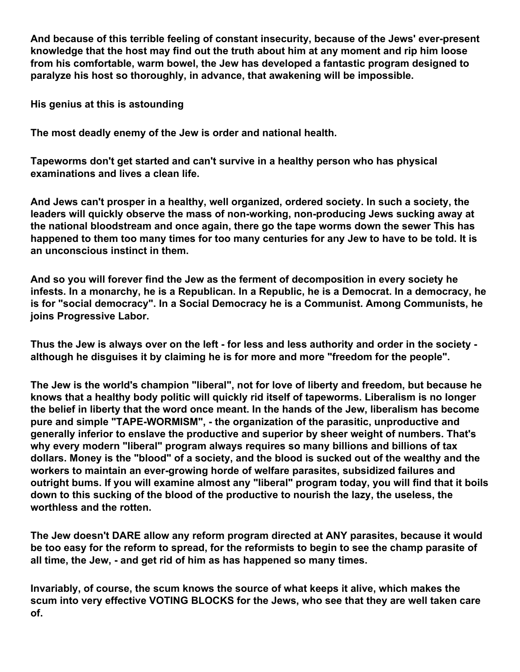**And because of this terrible feeling of constant insecurity, because of the Jews' ever-present knowledge that the host may find out the truth about him at any moment and rip him loose from his comfortable, warm bowel, the Jew has developed a fantastic program designed to paralyze his host so thoroughly, in advance, that awakening will be impossible.**

**His genius at this is astounding**

**The most deadly enemy of the Jew is order and national health.**

**Tapeworms don't get started and can't survive in a healthy person who has physical examinations and lives a clean life.**

**And Jews can't prosper in a healthy, well organized, ordered society. In such a society, the leaders will quickly observe the mass of non-working, non-producing Jews sucking away at the national bloodstream and once again, there go the tape worms down the sewer This has happened to them too many times for too many centuries for any Jew to have to be told. It is an unconscious instinct in them.**

**And so you will forever find the Jew as the ferment of decomposition in every society he infests. In a monarchy, he is a Republican. In a Republic, he is a Democrat. In a democracy, he is for "social democracy". In a Social Democracy he is a Communist. Among Communists, he joins Progressive Labor.**

**Thus the Jew is always over on the left - for less and less authority and order in the society although he disguises it by claiming he is for more and more "freedom for the people".**

**The Jew is the world's champion "liberal", not for love of liberty and freedom, but because he knows that a healthy body politic will quickly rid itself of tapeworms. Liberalism is no longer the belief in liberty that the word once meant. In the hands of the Jew, liberalism has become pure and simple "TAPE-WORMISM", - the organization of the parasitic, unproductive and generally inferior to enslave the productive and superior by sheer weight of numbers. That's why every modern "liberal" program always requires so many billions and billions of tax dollars. Money is the "blood" of a society, and the blood is sucked out of the wealthy and the workers to maintain an ever-growing horde of welfare parasites, subsidized failures and outright bums. If you will examine almost any "liberal" program today, you will find that it boils down to this sucking of the blood of the productive to nourish the lazy, the useless, the worthless and the rotten.**

**The Jew doesn't DARE allow any reform program directed at ANY parasites, because it would be too easy for the reform to spread, for the reformists to begin to see the champ parasite of all time, the Jew, - and get rid of him as has happened so many times.**

**Invariably, of course, the scum knows the source of what keeps it alive, which makes the scum into very effective VOTING BLOCKS for the Jews, who see that they are well taken care of.**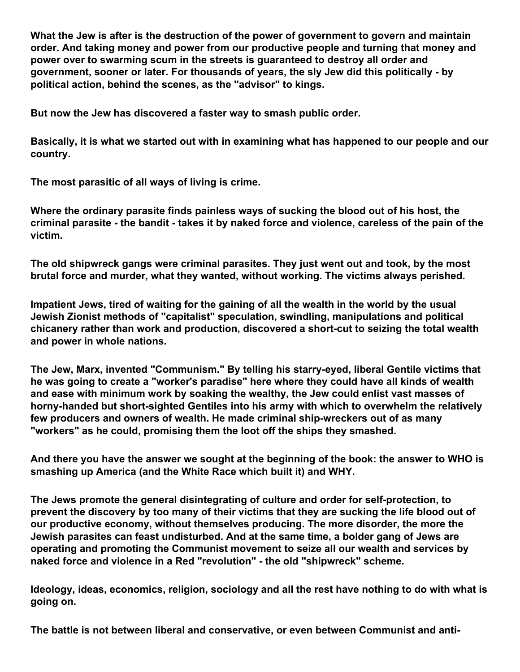**What the Jew is after is the destruction of the power of government to govern and maintain order. And taking money and power from our productive people and turning that money and power over to swarming scum in the streets is guaranteed to destroy all order and government, sooner or later. For thousands of years, the sly Jew did this politically - by political action, behind the scenes, as the "advisor" to kings.**

**But now the Jew has discovered a faster way to smash public order.**

**Basically, it is what we started out with in examining what has happened to our people and our country.**

**The most parasitic of all ways of living is crime.**

**Where the ordinary parasite finds painless ways of sucking the blood out of his host, the criminal parasite - the bandit - takes it by naked force and violence, careless of the pain of the victim.**

**The old shipwreck gangs were criminal parasites. They just went out and took, by the most brutal force and murder, what they wanted, without working. The victims always perished.**

**Impatient Jews, tired of waiting for the gaining of all the wealth in the world by the usual Jewish Zionist methods of "capitalist" speculation, swindling, manipulations and political chicanery rather than work and production, discovered a short-cut to seizing the total wealth and power in whole nations.**

**The Jew, Marx, invented "Communism." By telling his starry-eyed, liberal Gentile victims that he was going to create a "worker's paradise" here where they could have all kinds of wealth and ease with minimum work by soaking the wealthy, the Jew could enlist vast masses of horny-handed but short-sighted Gentiles into his army with which to overwhelm the relatively few producers and owners of wealth. He made criminal ship-wreckers out of as many "workers" as he could, promising them the loot off the ships they smashed.**

**And there you have the answer we sought at the beginning of the book: the answer to WHO is smashing up America (and the White Race which built it) and WHY.**

**The Jews promote the general disintegrating of culture and order for self-protection, to prevent the discovery by too many of their victims that they are sucking the life blood out of our productive economy, without themselves producing. The more disorder, the more the Jewish parasites can feast undisturbed. And at the same time, a bolder gang of Jews are operating and promoting the Communist movement to seize all our wealth and services by naked force and violence in a Red "revolution" - the old "shipwreck" scheme.**

**Ideology, ideas, economics, religion, sociology and all the rest have nothing to do with what is going on.**

**The battle is not between liberal and conservative, or even between Communist and anti-**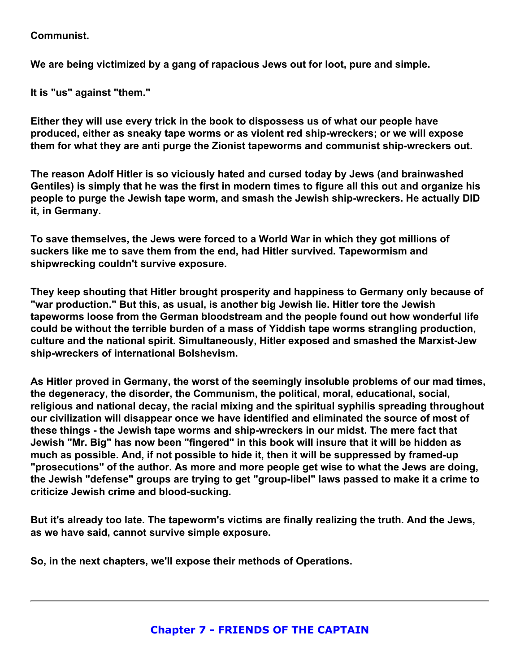## **Communist.**

**We are being victimized by a gang of rapacious Jews out for loot, pure and simple.**

**It is "us" against "them."**

**Either they will use every trick in the book to dispossess us of what our people have produced, either as sneaky tape worms or as violent red ship-wreckers; or we will expose them for what they are anti purge the Zionist tapeworms and communist ship-wreckers out.**

**The reason Adolf Hitler is so viciously hated and cursed today by Jews (and brainwashed Gentiles) is simply that he was the first in modern times to figure all this out and organize his people to purge the Jewish tape worm, and smash the Jewish ship-wreckers. He actually DID it, in Germany.**

**To save themselves, the Jews were forced to a World War in which they got millions of suckers like me to save them from the end, had Hitler survived. Tapewormism and shipwrecking couldn't survive exposure.**

**They keep shouting that Hitler brought prosperity and happiness to Germany only because of "war production." But this, as usual, is another big Jewish lie. Hitler tore the Jewish tapeworms loose from the German bloodstream and the people found out how wonderful life could be without the terrible burden of a mass of Yiddish tape worms strangling production, culture and the national spirit. Simultaneously, Hitler exposed and smashed the Marxist-Jew ship-wreckers of international Bolshevism.**

**As Hitler proved in Germany, the worst of the seemingly insoluble problems of our mad times, the degeneracy, the disorder, the Communism, the political, moral, educational, social, religious and national decay, the racial mixing and the spiritual syphilis spreading throughout our civilization will disappear once we have identified and eliminated the source of most of these things - the Jewish tape worms and ship-wreckers in our midst. The mere fact that Jewish "Mr. Big" has now been "fingered" in this book will insure that it will be hidden as much as possible. And, if not possible to hide it, then it will be suppressed by framed-up "prosecutions" of the author. As more and more people get wise to what the Jews are doing, the Jewish "defense" groups are trying to get "group-libel" laws passed to make it a crime to criticize Jewish crime and blood-sucking.**

**But it's already too late. The tapeworm's victims are finally realizing the truth. And the Jews, as we have said, cannot survive simple exposure.**

**So, in the next chapters, we'll expose their methods of Operations.**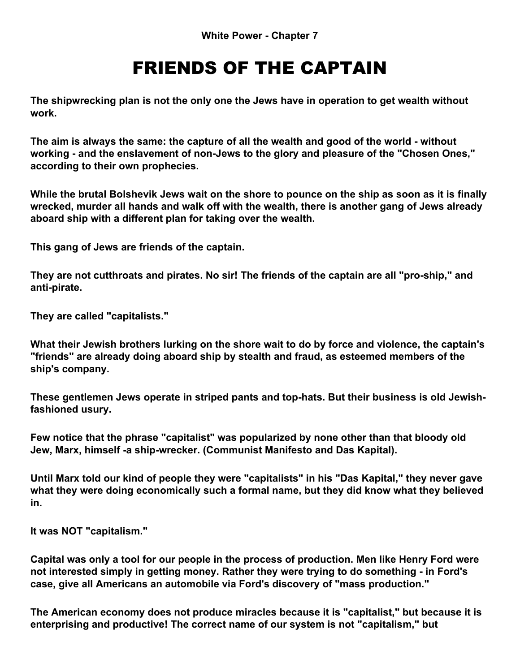# FRIENDS OF THE CAPTAIN

**The shipwrecking plan is not the only one the Jews have in operation to get wealth without work.**

**The aim is always the same: the capture of all the wealth and good of the world - without working - and the enslavement of non-Jews to the glory and pleasure of the "Chosen Ones," according to their own prophecies.**

**While the brutal Bolshevik Jews wait on the shore to pounce on the ship as soon as it is finally wrecked, murder all hands and walk off with the wealth, there is another gang of Jews already aboard ship with a different plan for taking over the wealth.**

**This gang of Jews are friends of the captain.**

**They are not cutthroats and pirates. No sir! The friends of the captain are all "pro-ship," and anti-pirate.**

**They are called "capitalists."**

**What their Jewish brothers lurking on the shore wait to do by force and violence, the captain's "friends" are already doing aboard ship by stealth and fraud, as esteemed members of the ship's company.**

**These gentlemen Jews operate in striped pants and top-hats. But their business is old Jewishfashioned usury.**

**Few notice that the phrase "capitalist" was popularized by none other than that bloody old Jew, Marx, himself -a ship-wrecker. (Communist Manifesto and Das Kapital).**

**Until Marx told our kind of people they were "capitalists" in his "Das Kapital," they never gave what they were doing economically such a formal name, but they did know what they believed in.**

**It was NOT "capitalism."**

**Capital was only a tool for our people in the process of production. Men like Henry Ford were not interested simply in getting money. Rather they were trying to do something - in Ford's case, give all Americans an automobile via Ford's discovery of "mass production."**

**The American economy does not produce miracles because it is "capitalist," but because it is enterprising and productive! The correct name of our system is not "capitalism," but**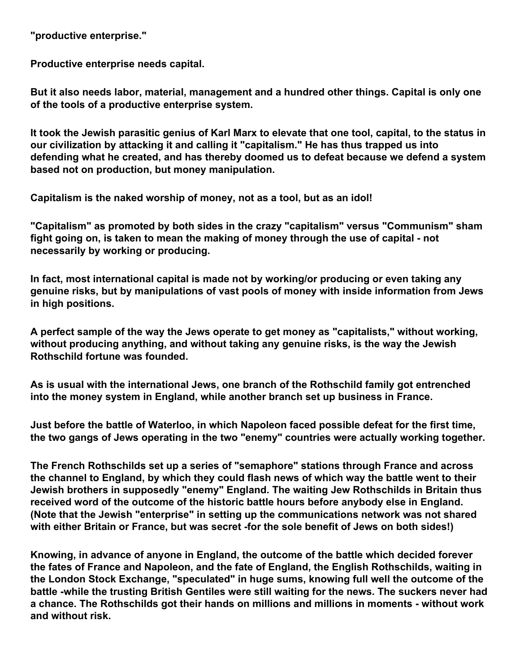**"productive enterprise."**

**Productive enterprise needs capital.**

**But it also needs labor, material, management and a hundred other things. Capital is only one of the tools of a productive enterprise system.**

**It took the Jewish parasitic genius of Karl Marx to elevate that one tool, capital, to the status in our civilization by attacking it and calling it "capitalism." He has thus trapped us into defending what he created, and has thereby doomed us to defeat because we defend a system based not on production, but money manipulation.**

**Capitalism is the naked worship of money, not as a tool, but as an idol!**

**"Capitalism" as promoted by both sides in the crazy "capitalism" versus "Communism" sham fight going on, is taken to mean the making of money through the use of capital - not necessarily by working or producing.**

**In fact, most international capital is made not by working/or producing or even taking any genuine risks, but by manipulations of vast pools of money with inside information from Jews in high positions.**

**A perfect sample of the way the Jews operate to get money as "capitalists," without working, without producing anything, and without taking any genuine risks, is the way the Jewish Rothschild fortune was founded.**

**As is usual with the international Jews, one branch of the Rothschild family got entrenched into the money system in England, while another branch set up business in France.**

**Just before the battle of Waterloo, in which Napoleon faced possible defeat for the first time, the two gangs of Jews operating in the two "enemy" countries were actually working together.**

**The French Rothschilds set up a series of "semaphore" stations through France and across the channel to England, by which they could flash news of which way the battle went to their Jewish brothers in supposedly "enemy" England. The waiting Jew Rothschilds in Britain thus received word of the outcome of the historic battle hours before anybody else in England. (Note that the Jewish "enterprise" in setting up the communications network was not shared with either Britain or France, but was secret -for the sole benefit of Jews on both sides!)**

**Knowing, in advance of anyone in England, the outcome of the battle which decided forever the fates of France and Napoleon, and the fate of England, the English Rothschilds, waiting in the London Stock Exchange, "speculated" in huge sums, knowing full well the outcome of the battle -while the trusting British Gentiles were still waiting for the news. The suckers never had a chance. The Rothschilds got their hands on millions and millions in moments - without work and without risk.**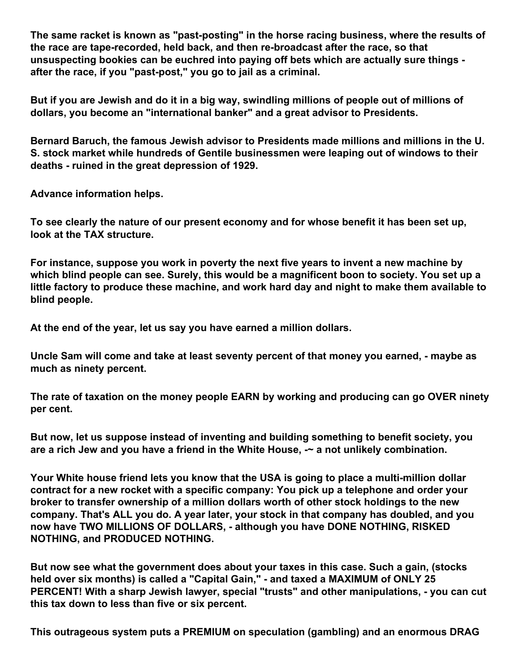**The same racket is known as "past-posting" in the horse racing business, where the results of the race are tape-recorded, held back, and then re-broadcast after the race, so that unsuspecting bookies can be euchred into paying off bets which are actually sure things after the race, if you "past-post," you go to jail as a criminal.**

**But if you are Jewish and do it in a big way, swindling millions of people out of millions of dollars, you become an "international banker" and a great advisor to Presidents.**

**Bernard Baruch, the famous Jewish advisor to Presidents made millions and millions in the U. S. stock market while hundreds of Gentile businessmen were leaping out of windows to their deaths - ruined in the great depression of 1929.**

**Advance information helps.**

**To see clearly the nature of our present economy and for whose benefit it has been set up, look at the TAX structure.**

**For instance, suppose you work in poverty the next five years to invent a new machine by which blind people can see. Surely, this would be a magnificent boon to society. You set up a little factory to produce these machine, and work hard day and night to make them available to blind people.**

**At the end of the year, let us say you have earned a million dollars.**

**Uncle Sam will come and take at least seventy percent of that money you earned, - maybe as much as ninety percent.**

**The rate of taxation on the money people EARN by working and producing can go OVER ninety per cent.**

**But now, let us suppose instead of inventing and building something to benefit society, you are a rich Jew and you have a friend in the White House, -~ a not unlikely combination.**

**Your White house friend lets you know that the USA is going to place a multi-million dollar contract for a new rocket with a specific company: You pick up a telephone and order your broker to transfer ownership of a million dollars worth of other stock holdings to the new company. That's ALL you do. A year later, your stock in that company has doubled, and you now have TWO MILLIONS OF DOLLARS, - although you have DONE NOTHING, RISKED NOTHING, and PRODUCED NOTHING.**

**But now see what the government does about your taxes in this case. Such a gain, (stocks held over six months) is called a "Capital Gain," - and taxed a MAXIMUM of ONLY 25 PERCENT! With a sharp Jewish lawyer, special "trusts" and other manipulations, - you can cut this tax down to less than five or six percent.**

**This outrageous system puts a PREMIUM on speculation (gambling) and an enormous DRAG**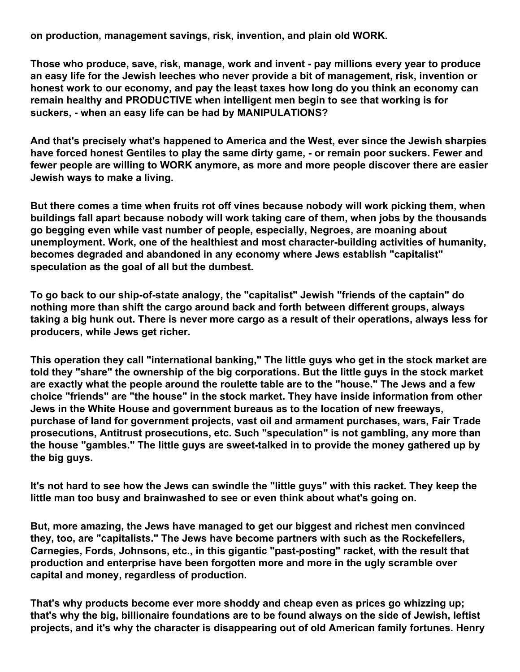**on production, management savings, risk, invention, and plain old WORK.**

**Those who produce, save, risk, manage, work and invent - pay millions every year to produce an easy life for the Jewish leeches who never provide a bit of management, risk, invention or honest work to our economy, and pay the least taxes how long do you think an economy can remain healthy and PRODUCTIVE when intelligent men begin to see that working is for suckers, - when an easy life can be had by MANIPULATIONS?**

**And that's precisely what's happened to America and the West, ever since the Jewish sharpies have forced honest Gentiles to play the same dirty game, - or remain poor suckers. Fewer and fewer people are willing to WORK anymore, as more and more people discover there are easier Jewish ways to make a living.**

**But there comes a time when fruits rot off vines because nobody will work picking them, when buildings fall apart because nobody will work taking care of them, when jobs by the thousands go begging even while vast number of people, especially, Negroes, are moaning about unemployment. Work, one of the healthiest and most character-building activities of humanity, becomes degraded and abandoned in any economy where Jews establish "capitalist" speculation as the goal of all but the dumbest.**

**To go back to our ship-of-state analogy, the "capitalist" Jewish "friends of the captain" do nothing more than shift the cargo around back and forth between different groups, always taking a big hunk out. There is never more cargo as a result of their operations, always less for producers, while Jews get richer.**

**This operation they call "international banking," The little guys who get in the stock market are told they "share" the ownership of the big corporations. But the little guys in the stock market are exactly what the people around the roulette table are to the "house." The Jews and a few choice "friends" are "the house" in the stock market. They have inside information from other Jews in the White House and government bureaus as to the location of new freeways, purchase of land for government projects, vast oil and armament purchases, wars, Fair Trade prosecutions, Antitrust prosecutions, etc. Such "speculation" is not gambling, any more than the house "gambles." The little guys are sweet-talked in to provide the money gathered up by the big guys.**

**It's not hard to see how the Jews can swindle the "little guys" with this racket. They keep the little man too busy and brainwashed to see or even think about what's going on.**

**But, more amazing, the Jews have managed to get our biggest and richest men convinced they, too, are "capitalists." The Jews have become partners with such as the Rockefellers, Carnegies, Fords, Johnsons, etc., in this gigantic "past-posting" racket, with the result that production and enterprise have been forgotten more and more in the ugly scramble over capital and money, regardless of production.**

**That's why products become ever more shoddy and cheap even as prices go whizzing up; that's why the big, billionaire foundations are to be found always on the side of Jewish, leftist projects, and it's why the character is disappearing out of old American family fortunes. Henry**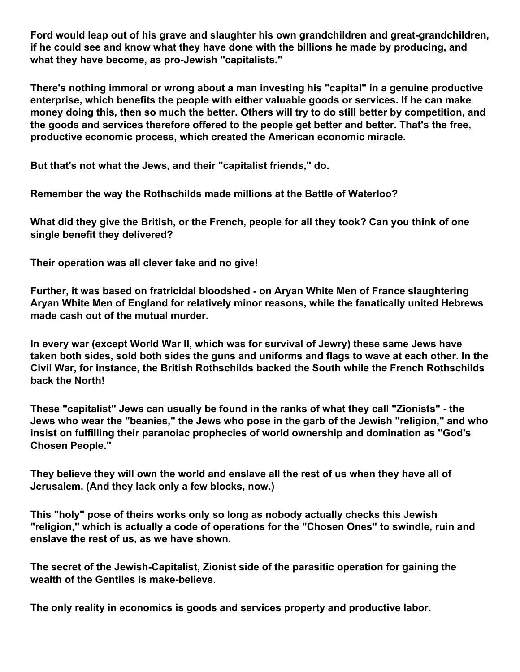**Ford would leap out of his grave and slaughter his own grandchildren and great-grandchildren, if he could see and know what they have done with the billions he made by producing, and what they have become, as pro-Jewish "capitalists."**

**There's nothing immoral or wrong about a man investing his "capital" in a genuine productive enterprise, which benefits the people with either valuable goods or services. If he can make money doing this, then so much the better. Others will try to do still better by competition, and the goods and services therefore offered to the people get better and better. That's the free, productive economic process, which created the American economic miracle.**

**But that's not what the Jews, and their "capitalist friends," do.**

**Remember the way the Rothschilds made millions at the Battle of Waterloo?**

**What did they give the British, or the French, people for all they took? Can you think of one single benefit they delivered?**

**Their operation was all clever take and no give!**

**Further, it was based on fratricidal bloodshed - on Aryan White Men of France slaughtering Aryan White Men of England for relatively minor reasons, while the fanatically united Hebrews made cash out of the mutual murder.**

**In every war (except World War II, which was for survival of Jewry) these same Jews have taken both sides, sold both sides the guns and uniforms and flags to wave at each other. In the Civil War, for instance, the British Rothschilds backed the South while the French Rothschilds back the North!**

**These "capitalist" Jews can usually be found in the ranks of what they call "Zionists" - the Jews who wear the "beanies," the Jews who pose in the garb of the Jewish "religion," and who insist on fulfilling their paranoiac prophecies of world ownership and domination as "God's Chosen People."**

**They believe they will own the world and enslave all the rest of us when they have all of Jerusalem. (And they lack only a few blocks, now.)**

**This "holy" pose of theirs works only so long as nobody actually checks this Jewish "religion," which is actually a code of operations for the "Chosen Ones" to swindle, ruin and enslave the rest of us, as we have shown.**

**The secret of the Jewish-Capitalist, Zionist side of the parasitic operation for gaining the wealth of the Gentiles is make-believe.**

**The only reality in economics is goods and services property and productive labor.**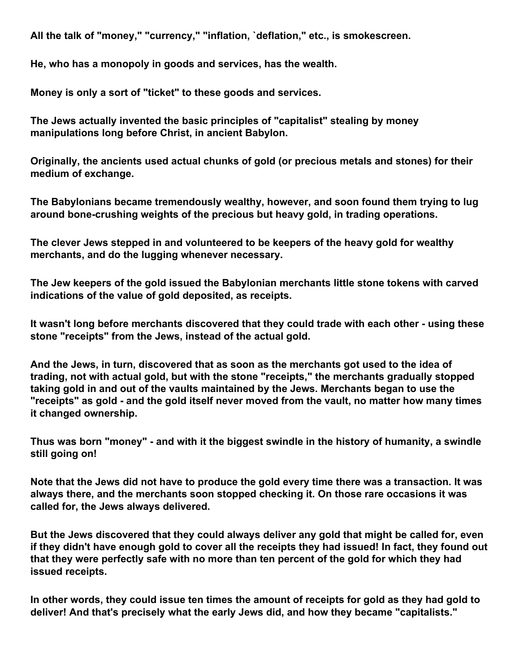**All the talk of "money," "currency," "inflation, `deflation," etc., is smokescreen.**

**He, who has a monopoly in goods and services, has the wealth.**

**Money is only a sort of "ticket" to these goods and services.**

**The Jews actually invented the basic principles of "capitalist" stealing by money manipulations long before Christ, in ancient Babylon.**

**Originally, the ancients used actual chunks of gold (or precious metals and stones) for their medium of exchange.**

**The Babylonians became tremendously wealthy, however, and soon found them trying to lug around bone-crushing weights of the precious but heavy gold, in trading operations.**

**The clever Jews stepped in and volunteered to be keepers of the heavy gold for wealthy merchants, and do the lugging whenever necessary.**

**The Jew keepers of the gold issued the Babylonian merchants little stone tokens with carved indications of the value of gold deposited, as receipts.**

**It wasn't long before merchants discovered that they could trade with each other - using these stone "receipts" from the Jews, instead of the actual gold.**

**And the Jews, in turn, discovered that as soon as the merchants got used to the idea of trading, not with actual gold, but with the stone "receipts," the merchants gradually stopped taking gold in and out of the vaults maintained by the Jews. Merchants began to use the "receipts" as gold - and the gold itself never moved from the vault, no matter how many times it changed ownership.**

**Thus was born "money" - and with it the biggest swindle in the history of humanity, a swindle still going on!**

**Note that the Jews did not have to produce the gold every time there was a transaction. It was always there, and the merchants soon stopped checking it. On those rare occasions it was called for, the Jews always delivered.**

**But the Jews discovered that they could always deliver any gold that might be called for, even if they didn't have enough gold to cover all the receipts they had issued! In fact, they found out that they were perfectly safe with no more than ten percent of the gold for which they had issued receipts.**

**In other words, they could issue ten times the amount of receipts for gold as they had gold to deliver! And that's precisely what the early Jews did, and how they became "capitalists."**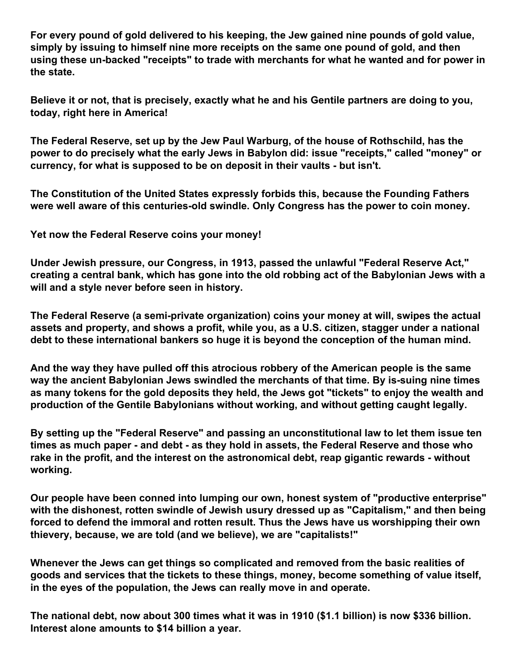**For every pound of gold delivered to his keeping, the Jew gained nine pounds of gold value, simply by issuing to himself nine more receipts on the same one pound of gold, and then using these un-backed "receipts" to trade with merchants for what he wanted and for power in the state.**

**Believe it or not, that is precisely, exactly what he and his Gentile partners are doing to you, today, right here in America!**

**The Federal Reserve, set up by the Jew Paul Warburg, of the house of Rothschild, has the power to do precisely what the early Jews in Babylon did: issue "receipts," called "money" or currency, for what is supposed to be on deposit in their vaults - but isn't.**

**The Constitution of the United States expressly forbids this, because the Founding Fathers were well aware of this centuries-old swindle. Only Congress has the power to coin money.**

**Yet now the Federal Reserve coins your money!**

**Under Jewish pressure, our Congress, in 1913, passed the unlawful "Federal Reserve Act," creating a central bank, which has gone into the old robbing act of the Babylonian Jews with a will and a style never before seen in history.**

**The Federal Reserve (a semi-private organization) coins your money at will, swipes the actual assets and property, and shows a profit, while you, as a U.S. citizen, stagger under a national debt to these international bankers so huge it is beyond the conception of the human mind.**

**And the way they have pulled off this atrocious robbery of the American people is the same way the ancient Babylonian Jews swindled the merchants of that time. By is-suing nine times as many tokens for the gold deposits they held, the Jews got "tickets" to enjoy the wealth and production of the Gentile Babylonians without working, and without getting caught legally.**

**By setting up the "Federal Reserve" and passing an unconstitutional law to let them issue ten times as much paper - and debt - as they hold in assets, the Federal Reserve and those who rake in the profit, and the interest on the astronomical debt, reap gigantic rewards - without working.**

**Our people have been conned into lumping our own, honest system of "productive enterprise" with the dishonest, rotten swindle of Jewish usury dressed up as "Capitalism," and then being forced to defend the immoral and rotten result. Thus the Jews have us worshipping their own thievery, because, we are told (and we believe), we are "capitalists!"**

**Whenever the Jews can get things so complicated and removed from the basic realities of goods and services that the tickets to these things, money, become something of value itself, in the eyes of the population, the Jews can really move in and operate.**

**The national debt, now about 300 times what it was in 1910 (\$1.1 billion) is now \$336 billion. Interest alone amounts to \$14 billion a year.**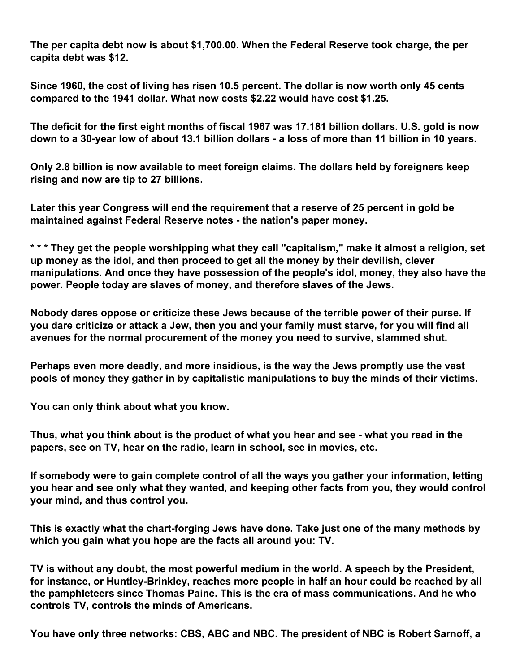**The per capita debt now is about \$1,700.00. When the Federal Reserve took charge, the per capita debt was \$12.**

**Since 1960, the cost of living has risen 10.5 percent. The dollar is now worth only 45 cents compared to the 1941 dollar. What now costs \$2.22 would have cost \$1.25.**

**The deficit for the first eight months of fiscal 1967 was 17.181 billion dollars. U.S. gold is now down to a 30-year low of about 13.1 billion dollars - a loss of more than 11 billion in 10 years.**

**Only 2.8 billion is now available to meet foreign claims. The dollars held by foreigners keep rising and now are tip to 27 billions.**

**Later this year Congress will end the requirement that a reserve of 25 percent in gold be maintained against Federal Reserve notes - the nation's paper money.**

**\* \* \* They get the people worshipping what they call "capitalism," make it almost a religion, set up money as the idol, and then proceed to get all the money by their devilish, clever manipulations. And once they have possession of the people's idol, money, they also have the power. People today are slaves of money, and therefore slaves of the Jews.**

**Nobody dares oppose or criticize these Jews because of the terrible power of their purse. If you dare criticize or attack a Jew, then you and your family must starve, for you will find all avenues for the normal procurement of the money you need to survive, slammed shut.**

**Perhaps even more deadly, and more insidious, is the way the Jews promptly use the vast pools of money they gather in by capitalistic manipulations to buy the minds of their victims.**

**You can only think about what you know.**

**Thus, what you think about is the product of what you hear and see - what you read in the papers, see on TV, hear on the radio, learn in school, see in movies, etc.**

**If somebody were to gain complete control of all the ways you gather your information, letting you hear and see only what they wanted, and keeping other facts from you, they would control your mind, and thus control you.**

**This is exactly what the chart-forging Jews have done. Take just one of the many methods by which you gain what you hope are the facts all around you: TV.**

**TV is without any doubt, the most powerful medium in the world. A speech by the President, for instance, or Huntley-Brinkley, reaches more people in half an hour could be reached by all the pamphleteers since Thomas Paine. This is the era of mass communications. And he who controls TV, controls the minds of Americans.**

**You have only three networks: CBS, ABC and NBC. The president of NBC is Robert Sarnoff, a**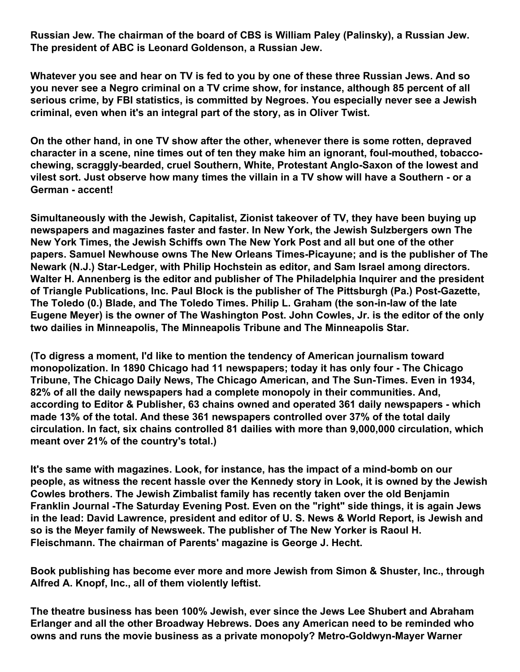**Russian Jew. The chairman of the board of CBS is William Paley (Palinsky), a Russian Jew. The president of ABC is Leonard Goldenson, a Russian Jew.**

**Whatever you see and hear on TV is fed to you by one of these three Russian Jews. And so you never see a Negro criminal on a TV crime show, for instance, although 85 percent of all serious crime, by FBI statistics, is committed by Negroes. You especially never see a Jewish criminal, even when it's an integral part of the story, as in Oliver Twist.**

**On the other hand, in one TV show after the other, whenever there is some rotten, depraved character in a scene, nine times out of ten they make him an ignorant, foul-mouthed, tobaccochewing, scraggly-bearded, cruel Southern, White, Protestant Anglo-Saxon of the lowest and vilest sort. Just observe how many times the villain in a TV show will have a Southern - or a German - accent!**

**Simultaneously with the Jewish, Capitalist, Zionist takeover of TV, they have been buying up newspapers and magazines faster and faster. In New York, the Jewish Sulzbergers own The New York Times, the Jewish Schiffs own The New York Post and all but one of the other papers. Samuel Newhouse owns The New Orleans Times-Picayune; and is the publisher of The Newark (N.J.) Star-Ledger, with Philip Hochstein as editor, and Sam Israel among directors. Walter H. Annenberg is the editor and publisher of The Philadelphia Inquirer and the president of Triangle Publications, Inc. Paul Block is the publisher of The Pittsburgh (Pa.) Post-Gazette, The Toledo (0.) Blade, and The Toledo Times. Philip L. Graham (the son-in-law of the late Eugene Meyer) is the owner of The Washington Post. John Cowles, Jr. is the editor of the only two dailies in Minneapolis, The Minneapolis Tribune and The Minneapolis Star.**

**(To digress a moment, I'd like to mention the tendency of American journalism toward monopolization. In 1890 Chicago had 11 newspapers; today it has only four - The Chicago Tribune, The Chicago Daily News, The Chicago American, and The Sun-Times. Even in 1934, 82% of all the daily newspapers had a complete monopoly in their communities. And, according to Editor & Publisher, 63 chains owned and operated 361 daily newspapers - which made 13% of the total. And these 361 newspapers controlled over 37% of the total daily circulation. In fact, six chains controlled 81 dailies with more than 9,000,000 circulation, which meant over 21% of the country's total.)**

**It's the same with magazines. Look, for instance, has the impact of a mind-bomb on our people, as witness the recent hassle over the Kennedy story in Look, it is owned by the Jewish Cowles brothers. The Jewish Zimbalist family has recently taken over the old Benjamin Franklin Journal -The Saturday Evening Post. Even on the "right" side things, it is again Jews in the lead: David Lawrence, president and editor of U. S. News & World Report, is Jewish and so is the Meyer family of Newsweek. The publisher of The New Yorker is Raoul H. Fleischmann. The chairman of Parents' magazine is George J. Hecht.**

**Book publishing has become ever more and more Jewish from Simon & Shuster, Inc., through Alfred A. Knopf, Inc., all of them violently leftist.**

**The theatre business has been 100% Jewish, ever since the Jews Lee Shubert and Abraham Erlanger and all the other Broadway Hebrews. Does any American need to be reminded who owns and runs the movie business as a private monopoly? Metro-GoIdwyn-Mayer Warner**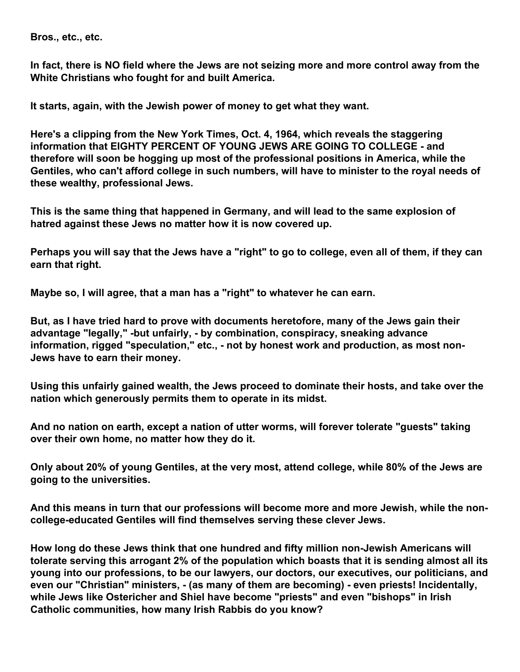**Bros., etc., etc.**

**In fact, there is NO field where the Jews are not seizing more and more control away from the White Christians who fought for and built America.**

**It starts, again, with the Jewish power of money to get what they want.**

**Here's a clipping from the New York Times, Oct. 4, 1964, which reveals the staggering information that EIGHTY PERCENT OF YOUNG JEWS ARE GOING TO COLLEGE - and therefore will soon be hogging up most of the professional positions in America, while the Gentiles, who can't afford college in such numbers, will have to minister to the royal needs of these wealthy, professional Jews.**

**This is the same thing that happened in Germany, and will lead to the same explosion of hatred against these Jews no matter how it is now covered up.**

**Perhaps you will say that the Jews have a "right" to go to college, even all of them, if they can earn that right.**

**Maybe so, I will agree, that a man has a "right" to whatever he can earn.**

**But, as I have tried hard to prove with documents heretofore, many of the Jews gain their advantage "legally," -but unfairly, - by combination, conspiracy, sneaking advance information, rigged "speculation," etc., - not by honest work and production, as most non-Jews have to earn their money.**

**Using this unfairly gained wealth, the Jews proceed to dominate their hosts, and take over the nation which generously permits them to operate in its midst.**

**And no nation on earth, except a nation of utter worms, will forever tolerate "guests" taking over their own home, no matter how they do it.**

**Only about 20% of young Gentiles, at the very most, attend college, while 80% of the Jews are going to the universities.**

**And this means in turn that our professions will become more and more Jewish, while the noncollege-educated Gentiles will find themselves serving these clever Jews.**

**How long do these Jews think that one hundred and fifty million non-Jewish Americans will tolerate serving this arrogant 2% of the population which boasts that it is sending almost all its young into our professions, to be our lawyers, our doctors, our executives, our politicians, and even our "Christian" ministers, - (as many of them are becoming) - even priests! Incidentally, while Jews like Ostericher and Shiel have become "priests" and even "bishops" in Irish Catholic communities, how many Irish Rabbis do you know?**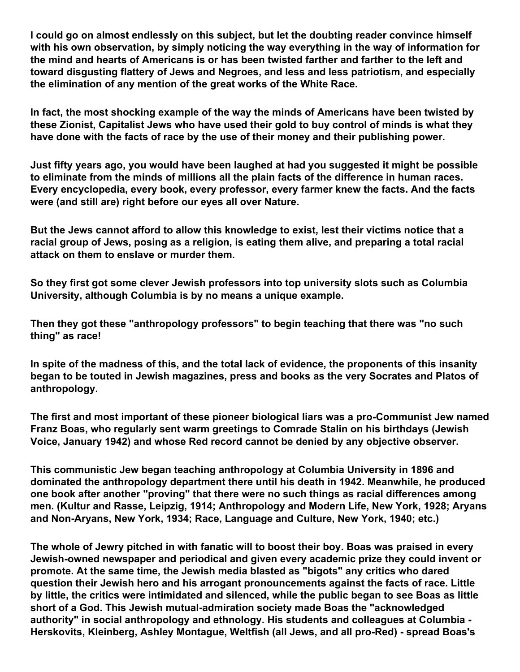**I could go on almost endlessly on this subject, but let the doubting reader convince himself with his own observation, by simply noticing the way everything in the way of information for the mind and hearts of Americans is or has been twisted farther and farther to the left and toward disgusting flattery of Jews and Negroes, and less and less patriotism, and especially the elimination of any mention of the great works of the White Race.**

**In fact, the most shocking example of the way the minds of Americans have been twisted by these Zionist, Capitalist Jews who have used their gold to buy control of minds is what they have done with the facts of race by the use of their money and their publishing power.**

**Just fifty years ago, you would have been laughed at had you suggested it might be possible to eliminate from the minds of millions all the plain facts of the difference in human races. Every encyclopedia, every book, every professor, every farmer knew the facts. And the facts were (and still are) right before our eyes all over Nature.**

**But the Jews cannot afford to allow this knowledge to exist, lest their victims notice that a racial group of Jews, posing as a religion, is eating them alive, and preparing a total racial attack on them to enslave or murder them.**

**So they first got some clever Jewish professors into top university slots such as Columbia University, although Columbia is by no means a unique example.**

**Then they got these "anthropology professors" to begin teaching that there was "no such thing" as race!**

**In spite of the madness of this, and the total lack of evidence, the proponents of this insanity began to be touted in Jewish magazines, press and books as the very Socrates and Platos of anthropology.**

**The first and most important of these pioneer biological liars was a pro-Communist Jew named Franz Boas, who regularly sent warm greetings to Comrade Stalin on his birthdays (Jewish Voice, January 1942) and whose Red record cannot be denied by any objective observer.**

**This communistic Jew began teaching anthropology at Columbia University in 1896 and dominated the anthropology department there until his death in 1942. Meanwhile, he produced one book after another "proving" that there were no such things as racial differences among men. (Kultur and Rasse, Leipzig, 1914; Anthropology and Modern Life, New York, 1928; Aryans and Non-Aryans, New York, 1934; Race, Language and Culture, New York, 1940; etc.)**

**The whole of Jewry pitched in with fanatic will to boost their boy. Boas was praised in every Jewish-owned newspaper and periodical and given every academic prize they could invent or promote. At the same time, the Jewish media blasted as "bigots" any critics who dared question their Jewish hero and his arrogant pronouncements against the facts of race. Little by little, the critics were intimidated and silenced, while the public began to see Boas as little short of a God. This Jewish mutual-admiration society made Boas the "acknowledged authority" in social anthropology and ethnology. His students and colleagues at Columbia - Herskovits, Kleinberg, Ashley Montague, Weltfish (all Jews, and all pro-Red) - spread Boas's**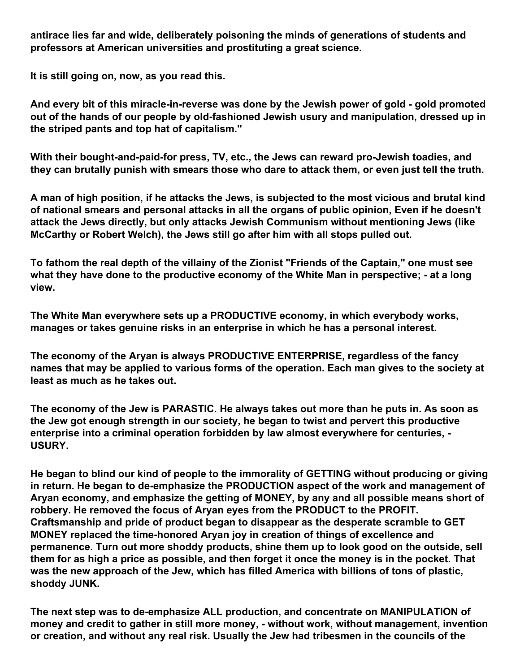**antirace lies far and wide, deliberately poisoning the minds of generations of students and professors at American universities and prostituting a great science.**

**It is still going on, now, as you read this.**

**And every bit of this miracle-in-reverse was done by the Jewish power of gold - gold promoted out of the hands of our people by old-fashioned Jewish usury and manipulation, dressed up in the striped pants and top hat of capitalism."**

**With their bought-and-paid-for press, TV, etc., the Jews can reward pro-Jewish toadies, and they can brutally punish with smears those who dare to attack them, or even just tell the truth.**

**A man of high position, if he attacks the Jews, is subjected to the most vicious and brutal kind of national smears and personal attacks in all the organs of public opinion, Even if he doesn't attack the Jews directly, but only attacks Jewish Communism without mentioning Jews (like McCarthy or Robert Welch), the Jews still go after him with all stops pulled out.**

**To fathom the real depth of the villainy of the Zionist "Friends of the Captain," one must see what they have done to the productive economy of the White Man in perspective; - at a long view.**

**The White Man everywhere sets up a PRODUCTIVE economy, in which everybody works, manages or takes genuine risks in an enterprise in which he has a personal interest.**

**The economy of the Aryan is always PRODUCTIVE ENTERPRISE, regardless of the fancy names that may be applied to various forms of the operation. Each man gives to the society at least as much as he takes out.**

**The economy of the Jew is PARASTIC. He always takes out more than he puts in. As soon as the Jew got enough strength in our society, he began to twist and pervert this productive enterprise into a criminal operation forbidden by law almost everywhere for centuries, - USURY.**

**He began to blind our kind of people to the immorality of GETTING without producing or giving in return. He began to de-emphasize the PRODUCTION aspect of the work and management of Aryan economy, and emphasize the getting of MONEY, by any and all possible means short of robbery. He removed the focus of Aryan eyes from the PRODUCT to the PROFIT. Craftsmanship and pride of product began to disappear as the desperate scramble to GET MONEY replaced the time-honored Aryan joy in creation of things of excellence and permanence. Turn out more shoddy products, shine them up to look good on the outside, sell them for as high a price as possible, and then forget it once the money is in the pocket. That was the new approach of the Jew, which has filled America with billions of tons of plastic, shoddy JUNK.**

**The next step was to de-emphasize ALL production, and concentrate on MANIPULATION of money and credit to gather in still more money, - without work, without management, invention or creation, and without any real risk. Usually the Jew had tribesmen in the councils of the**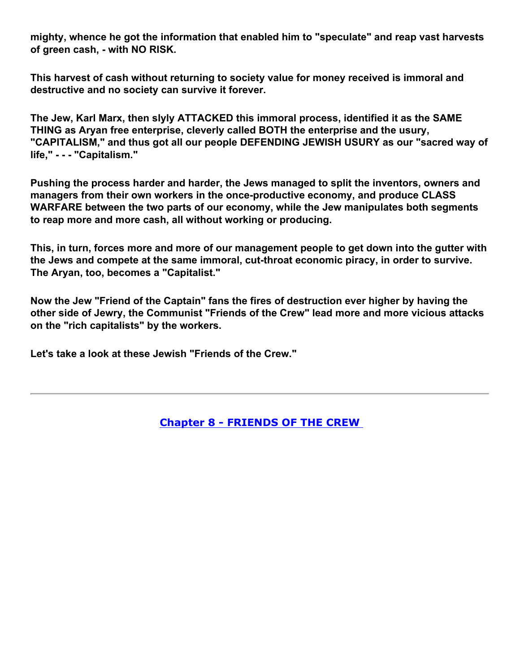**mighty, whence he got the information that enabled him to "speculate" and reap vast harvests of green cash, - with NO RISK.**

**This harvest of cash without returning to society value for money received is immoral and destructive and no society can survive it forever.**

**The Jew, Karl Marx, then slyly ATTACKED this immoral process, identified it as the SAME THING as Aryan free enterprise, cleverly called BOTH the enterprise and the usury, "CAPITALISM," and thus got all our people DEFENDING JEWISH USURY as our "sacred way of life," - - - "Capitalism."**

**Pushing the process harder and harder, the Jews managed to split the inventors, owners and managers from their own workers in the once-productive economy, and produce CLASS WARFARE between the two parts of our economy, while the Jew manipulates both segments to reap more and more cash, all without working or producing.**

**This, in turn, forces more and more of our management people to get down into the gutter with the Jews and compete at the same immoral, cut-throat economic piracy, in order to survive. The Aryan, too, becomes a "Capitalist."**

**Now the Jew "Friend of the Captain" fans the fires of destruction ever higher by having the other side of Jewry, the Communist "Friends of the Crew" lead more and more vicious attacks on the "rich capitalists" by the workers.**

**Let's take a look at these Jewish "Friends of the Crew."**

**[Chapter 8 - FRIENDS OF THE CREW](#page-121-0)**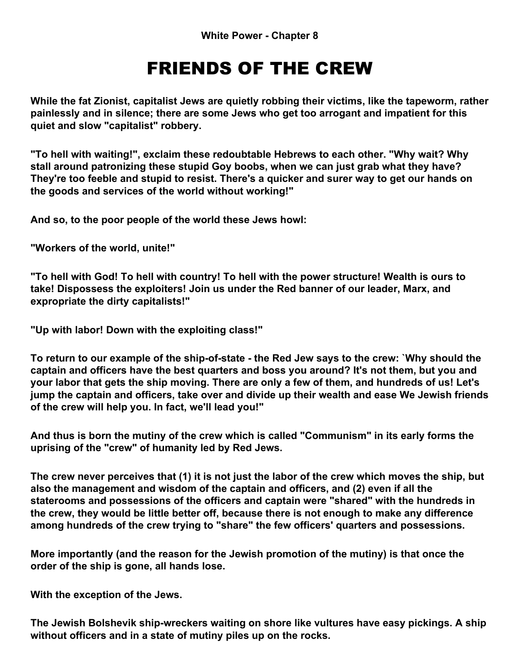# FRIENDS OF THE CREW

<span id="page-121-0"></span>**While the fat Zionist, capitalist Jews are quietly robbing their victims, like the tapeworm, rather painlessly and in silence; there are some Jews who get too arrogant and impatient for this quiet and slow "capitalist" robbery.**

**"To hell with waiting!", exclaim these redoubtable Hebrews to each other. "Why wait? Why stall around patronizing these stupid Goy boobs, when we can just grab what they have? They're too feeble and stupid to resist. There's a quicker and surer way to get our hands on the goods and services of the world without working!"**

**And so, to the poor people of the world these Jews howl:**

**"Workers of the world, unite!"**

**"To hell with God! To hell with country! To hell with the power structure! Wealth is ours to take! Dispossess the exploiters! Join us under the Red banner of our leader, Marx, and expropriate the dirty capitalists!"**

**"Up with labor! Down with the exploiting class!"**

**To return to our example of the ship-of-state - the Red Jew says to the crew: `Why should the captain and officers have the best quarters and boss you around? It's not them, but you and your labor that gets the ship moving. There are only a few of them, and hundreds of us! Let's jump the captain and officers, take over and divide up their wealth and ease We Jewish friends of the crew will help you. In fact, we'll lead you!"**

**And thus is born the mutiny of the crew which is called "Communism" in its early forms the uprising of the "crew" of humanity led by Red Jews.**

**The crew never perceives that (1) it is not just the labor of the crew which moves the ship, but also the management and wisdom of the captain and officers, and (2) even if all the staterooms and possessions of the officers and captain were "shared" with the hundreds in the crew, they would be little better off, because there is not enough to make any difference among hundreds of the crew trying to "share" the few officers' quarters and possessions.**

**More importantly (and the reason for the Jewish promotion of the mutiny) is that once the order of the ship is gone, all hands lose.**

**With the exception of the Jews.**

**The Jewish Bolshevik ship-wreckers waiting on shore like vultures have easy pickings. A ship without officers and in a state of mutiny piles up on the rocks.**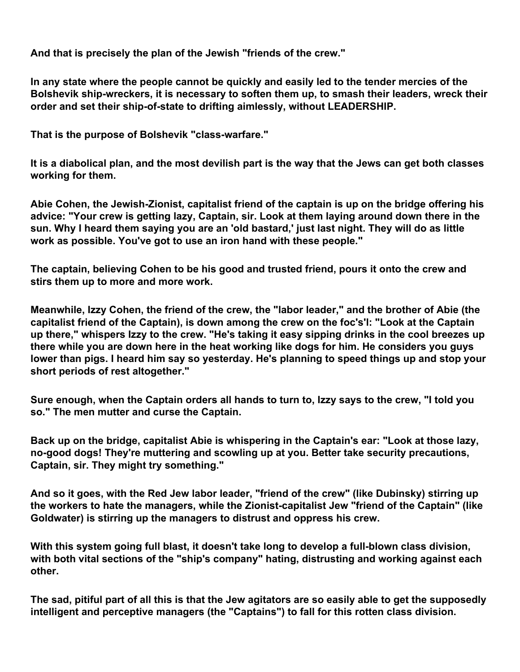**And that is precisely the plan of the Jewish "friends of the crew."**

**In any state where the people cannot be quickly and easily led to the tender mercies of the Bolshevik ship-wreckers, it is necessary to soften them up, to smash their leaders, wreck their order and set their ship-of-state to drifting aimlessly, without LEADERSHIP.**

**That is the purpose of Bolshevik "class-warfare."**

**It is a diabolical plan, and the most devilish part is the way that the Jews can get both classes working for them.**

**Abie Cohen, the Jewish-Zionist, capitalist friend of the captain is up on the bridge offering his advice: "Your crew is getting lazy, Captain, sir. Look at them laying around down there in the sun. Why I heard them saying you are an 'old bastard,' just last night. They will do as little work as possible. You've got to use an iron hand with these people."**

**The captain, believing Cohen to be his good and trusted friend, pours it onto the crew and stirs them up to more and more work.**

**Meanwhile, Izzy Cohen, the friend of the crew, the "labor leader," and the brother of Abie (the capitalist friend of the Captain), is down among the crew on the foc's'l: "Look at the Captain up there," whispers Izzy to the crew. "He's taking it easy sipping drinks in the cool breezes up there while you are down here in the heat working like dogs for him. He considers you guys lower than pigs. I heard him say so yesterday. He's planning to speed things up and stop your short periods of rest altogether."**

**Sure enough, when the Captain orders all hands to turn to, Izzy says to the crew, "I told you so." The men mutter and curse the Captain.**

**Back up on the bridge, capitalist Abie is whispering in the Captain's ear: "Look at those lazy, no-good dogs! They're muttering and scowling up at you. Better take security precautions, Captain, sir. They might try something."**

**And so it goes, with the Red Jew labor leader, "friend of the crew" (like Dubinsky) stirring up the workers to hate the managers, while the Zionist-capitalist Jew "friend of the Captain" (like Goldwater) is stirring up the managers to distrust and oppress his crew.**

**With this system going full blast, it doesn't take long to develop a full-blown class division, with both vital sections of the "ship's company" hating, distrusting and working against each other.**

**The sad, pitiful part of all this is that the Jew agitators are so easily able to get the supposedly intelligent and perceptive managers (the "Captains") to fall for this rotten class division.**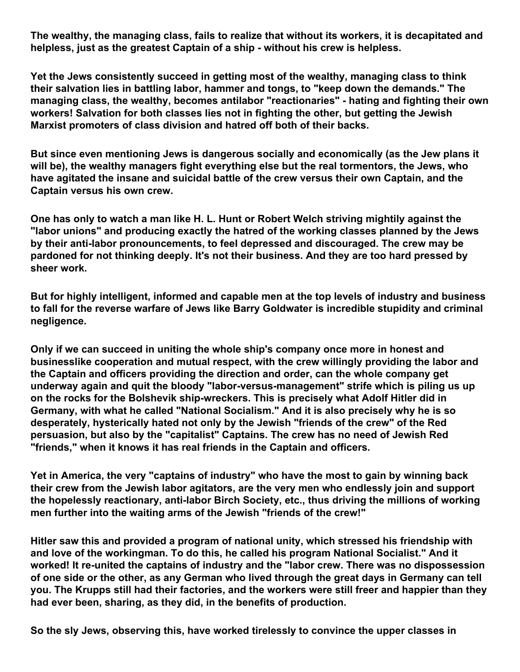**The wealthy, the managing class, fails to realize that without its workers, it is decapitated and helpless, just as the greatest Captain of a ship - without his crew is helpless.**

**Yet the Jews consistently succeed in getting most of the wealthy, managing class to think their salvation lies in battling labor, hammer and tongs, to "keep down the demands." The managing class, the wealthy, becomes antilabor "reactionaries" - hating and fighting their own workers! Salvation for both classes lies not in fighting the other, but getting the Jewish Marxist promoters of class division and hatred off both of their backs.**

**But since even mentioning Jews is dangerous socially and economically (as the Jew plans it will be), the wealthy managers fight everything else but the real tormentors, the Jews, who have agitated the insane and suicidal battle of the crew versus their own Captain, and the Captain versus his own crew.**

**One has only to watch a man like H. L. Hunt or Robert Welch striving mightily against the "labor unions" and producing exactly the hatred of the working classes planned by the Jews by their anti-labor pronouncements, to feel depressed and discouraged. The crew may be pardoned for not thinking deeply. It's not their business. And they are too hard pressed by sheer work.**

**But for highly intelligent, informed and capable men at the top levels of industry and business to fall for the reverse warfare of Jews like Barry Goldwater is incredible stupidity and criminal negligence.**

**Only if we can succeed in uniting the whole ship's company once more in honest and businesslike cooperation and mutual respect, with the crew willingly providing the labor and the Captain and officers providing the direction and order, can the whole company get underway again and quit the bloody "labor-versus-management" strife which is piling us up on the rocks for the Bolshevik ship-wreckers. This is precisely what Adolf Hitler did in Germany, with what he called "National Socialism." And it is also precisely why he is so desperately, hysterically hated not only by the Jewish "friends of the crew" of the Red persuasion, but also by the "capitalist" Captains. The crew has no need of Jewish Red "friends," when it knows it has real friends in the Captain and officers.**

**Yet in America, the very "captains of industry" who have the most to gain by winning back their crew from the Jewish labor agitators, are the very men who endlessly join and support the hopelessly reactionary, anti-labor Birch Society, etc., thus driving the millions of working men further into the waiting arms of the Jewish "friends of the crew!"**

**Hitler saw this and provided a program of national unity, which stressed his friendship with and love of the workingman. To do this, he called his program National Socialist." And it worked! It re-united the captains of industry and the "labor crew. There was no dispossession of one side or the other, as any German who lived through the great days in Germany can tell you. The Krupps still had their factories, and the workers were still freer and happier than they had ever been, sharing, as they did, in the benefits of production.**

**So the sly Jews, observing this, have worked tirelessly to convince the upper classes in**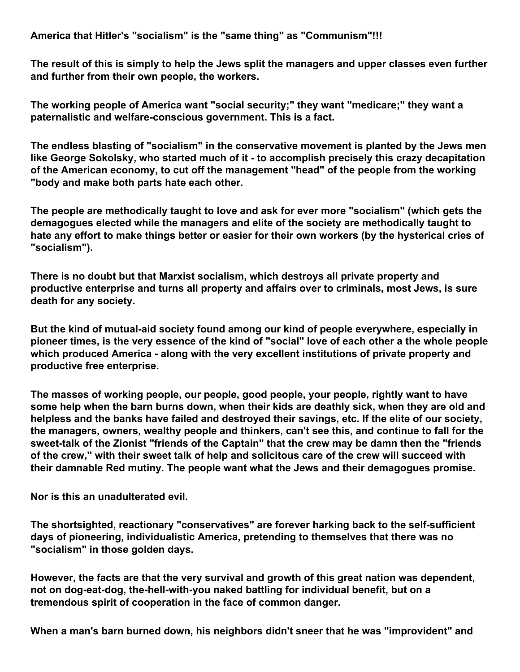**America that Hitler's "socialism" is the "same thing" as "Communism"!!!**

**The result of this is simply to help the Jews split the managers and upper classes even further and further from their own people, the workers.**

**The working people of America want "social security;" they want "medicare;" they want a paternalistic and welfare-conscious government. This is a fact.**

**The endless blasting of "socialism" in the conservative movement is planted by the Jews men like George Sokolsky, who started much of it - to accomplish precisely this crazy decapitation of the American economy, to cut off the management "head" of the people from the working "body and make both parts hate each other.**

**The people are methodically taught to love and ask for ever more "socialism" (which gets the demagogues elected while the managers and elite of the society are methodically taught to hate any effort to make things better or easier for their own workers (by the hysterical cries of "socialism").**

**There is no doubt but that Marxist socialism, which destroys all private property and productive enterprise and turns all property and affairs over to criminals, most Jews, is sure death for any society.**

**But the kind of mutual-aid society found among our kind of people everywhere, especially in pioneer times, is the very essence of the kind of "social" love of each other a the whole people which produced America - along with the very excellent institutions of private property and productive free enterprise.**

**The masses of working people, our people, good people, your people, rightly want to have some help when the barn burns down, when their kids are deathly sick, when they are old and helpless and the banks have failed and destroyed their savings, etc. If the elite of our society, the managers, owners, wealthy people and thinkers, can't see this, and continue to fall for the sweet-talk of the Zionist "friends of the Captain" that the crew may be damn then the "friends of the crew," with their sweet talk of help and solicitous care of the crew will succeed with their damnable Red mutiny. The people want what the Jews and their demagogues promise.**

**Nor is this an unadulterated evil.**

**The shortsighted, reactionary "conservatives" are forever harking back to the self-sufficient days of pioneering, individualistic America, pretending to themselves that there was no "socialism" in those golden days.**

**However, the facts are that the very survival and growth of this great nation was dependent, not on dog-eat-dog, the-hell-with-you naked battling for individual benefit, but on a tremendous spirit of cooperation in the face of common danger.**

**When a man's barn burned down, his neighbors didn't sneer that he was "improvident" and**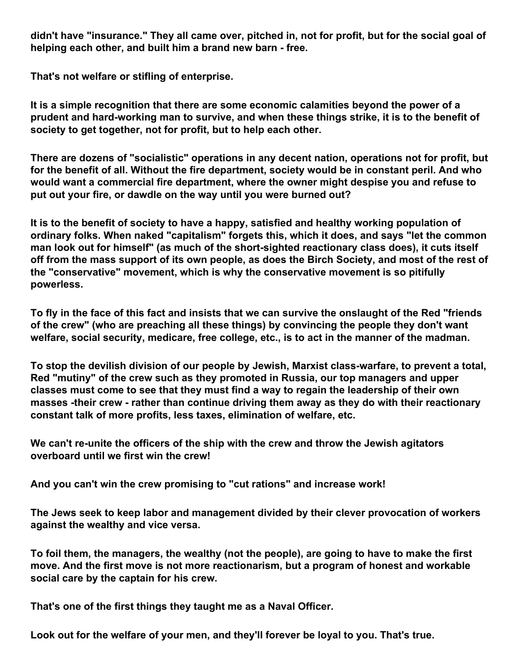**didn't have "insurance." They all came over, pitched in, not for profit, but for the social goal of helping each other, and built him a brand new barn - free.**

**That's not welfare or stifling of enterprise.**

**It is a simple recognition that there are some economic calamities beyond the power of a prudent and hard-working man to survive, and when these things strike, it is to the benefit of society to get together, not for profit, but to help each other.**

**There are dozens of "socialistic" operations in any decent nation, operations not for profit, but for the benefit of all. Without the fire department, society would be in constant peril. And who would want a commercial fire department, where the owner might despise you and refuse to put out your fire, or dawdle on the way until you were burned out?**

**It is to the benefit of society to have a happy, satisfied and healthy working population of ordinary folks. When naked "capitalism" forgets this, which it does, and says "let the common man look out for himself" (as much of the short-sighted reactionary class does), it cuts itself off from the mass support of its own people, as does the Birch Society, and most of the rest of the "conservative" movement, which is why the conservative movement is so pitifully powerless.**

**To fly in the face of this fact and insists that we can survive the onslaught of the Red "friends of the crew" (who are preaching all these things) by convincing the people they don't want welfare, social security, medicare, free college, etc., is to act in the manner of the madman.**

**To stop the devilish division of our people by Jewish, Marxist class-warfare, to prevent a total, Red "mutiny" of the crew such as they promoted in Russia, our top managers and upper classes must come to see that they must find a way to regain the leadership of their own masses -their crew - rather than continue driving them away as they do with their reactionary constant talk of more profits, less taxes, elimination of welfare, etc.**

**We can't re-unite the officers of the ship with the crew and throw the Jewish agitators overboard until we first win the crew!**

**And you can't win the crew promising to "cut rations" and increase work!**

**The Jews seek to keep labor and management divided by their clever provocation of workers against the wealthy and vice versa.**

**To foil them, the managers, the wealthy (not the people), are going to have to make the first move. And the first move is not more reactionarism, but a program of honest and workable social care by the captain for his crew.**

**That's one of the first things they taught me as a Naval Officer.**

**Look out for the welfare of your men, and they'll forever be loyal to you. That's true.**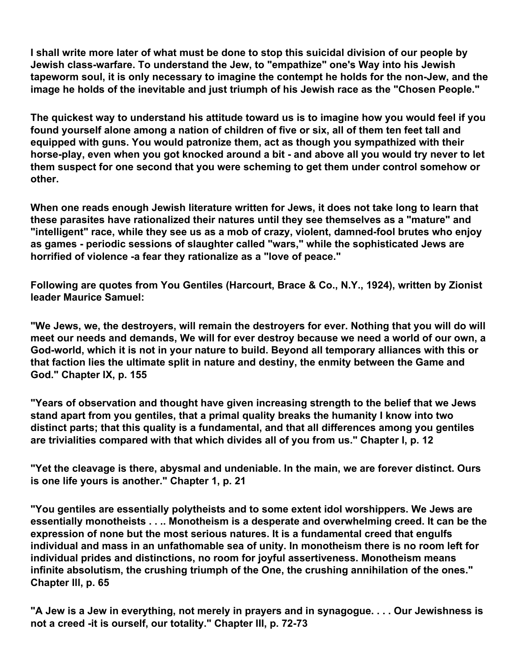**I shall write more later of what must be done to stop this suicidal division of our people by Jewish class-warfare. To understand the Jew, to "empathize" one's Way into his Jewish tapeworm soul, it is only necessary to imagine the contempt he holds for the non-Jew, and the image he holds of the inevitable and just triumph of his Jewish race as the "Chosen People."**

**The quickest way to understand his attitude toward us is to imagine how you would feel if you found yourself alone among a nation of children of five or six, all of them ten feet tall and equipped with guns. You would patronize them, act as though you sympathized with their horse-play, even when you got knocked around a bit - and above all you would try never to let them suspect for one second that you were scheming to get them under control somehow or other.**

**When one reads enough Jewish literature written for Jews, it does not take long to learn that these parasites have rationalized their natures until they see themselves as a "mature" and "intelligent" race, while they see us as a mob of crazy, violent, damned-fool brutes who enjoy as games - periodic sessions of slaughter called "wars," while the sophisticated Jews are horrified of violence -a fear they rationalize as a "love of peace."**

**Following are quotes from You Gentiles (Harcourt, Brace & Co., N.Y., 1924), written by Zionist leader Maurice Samuel:**

**"We Jews, we, the destroyers, will remain the destroyers for ever. Nothing that you will do will meet our needs and demands, We will for ever destroy because we need a world of our own, a God-world, which it is not in your nature to build. Beyond all temporary alliances with this or that faction lies the ultimate split in nature and destiny, the enmity between the Game and God." Chapter IX, p. 155**

**"Years of observation and thought have given increasing strength to the belief that we Jews stand apart from you gentiles, that a primal quality breaks the humanity I know into two distinct parts; that this quality is a fundamental, and that all differences among you gentiles are trivialities compared with that which divides all of you from us." Chapter I, p. 12**

**"Yet the cleavage is there, abysmal and undeniable. In the main, we are forever distinct. Ours is one life yours is another." Chapter 1, p. 21**

**"You gentiles are essentially polytheists and to some extent idol worshippers. We Jews are essentially monotheists . . .. Monotheism is a desperate and overwhelming creed. It can be the expression of none but the most serious natures. It is a fundamental creed that engulfs individual and mass in an unfathomable sea of unity. In monotheism there is no room left for individual prides and distinctions, no room for joyful assertiveness. Monotheism means infinite absolutism, the crushing triumph of the One, the crushing annihilation of the ones." Chapter Ill, p. 65**

**"A Jew is a Jew in everything, not merely in prayers and in synagogue. . . . Our Jewishness is not a creed -it is ourself, our totality." Chapter III, p. 72-73**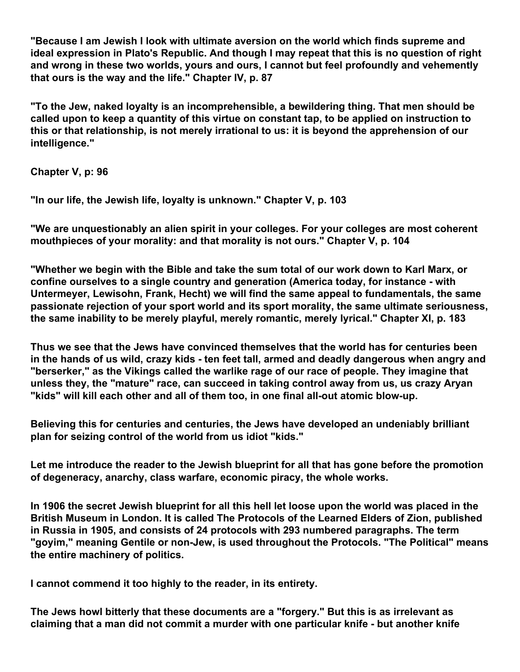**"Because I am Jewish I look with ultimate aversion on the world which finds supreme and ideal expression in Plato's Republic. And though I may repeat that this is no question of right and wrong in these two worlds, yours and ours, I cannot but feel profoundly and vehemently that ours is the way and the life." Chapter IV, p. 87**

**"To the Jew, naked loyalty is an incomprehensible, a bewildering thing. That men should be called upon to keep a quantity of this virtue on constant tap, to be applied on instruction to this or that relationship, is not merely irrational to us: it is beyond the apprehension of our intelligence."**

**Chapter V, p: 96**

**"In our life, the Jewish life, loyalty is unknown." Chapter V, p. 103**

**"We are unquestionably an alien spirit in your colleges. For your colleges are most coherent mouthpieces of your morality: and that morality is not ours." Chapter V, p. 104**

**"Whether we begin with the Bible and take the sum total of our work down to Karl Marx, or confine ourselves to a single country and generation (America today, for instance - with Untermeyer, Lewisohn, Frank, Hecht) we will find the same appeal to fundamentals, the same passionate rejection of your sport world and its sport morality, the same ultimate seriousness, the same inability to be merely playful, merely romantic, merely lyrical." Chapter XI, p. 183**

**Thus we see that the Jews have convinced themselves that the world has for centuries been in the hands of us wild, crazy kids - ten feet tall, armed and deadly dangerous when angry and "berserker," as the Vikings called the warlike rage of our race of people. They imagine that unless they, the "mature" race, can succeed in taking control away from us, us crazy Aryan "kids" will kill each other and all of them too, in one final all-out atomic blow-up.**

**Believing this for centuries and centuries, the Jews have developed an undeniably brilliant plan for seizing control of the world from us idiot "kids."**

**Let me introduce the reader to the Jewish blueprint for all that has gone before the promotion of degeneracy, anarchy, class warfare, economic piracy, the whole works.**

**In 1906 the secret Jewish blueprint for all this hell let loose upon the world was placed in the British Museum in London. It is called The Protocols of the Learned Elders of Zion, published in Russia in 1905, and consists of 24 protocols with 293 numbered paragraphs. The term "goyim," meaning Gentile or non-Jew, is used throughout the Protocols. "The Political" means the entire machinery of politics.**

**I cannot commend it too highly to the reader, in its entirety.**

**The Jews howl bitterly that these documents are a "forgery." But this is as irrelevant as claiming that a man did not commit a murder with one particular knife - but another knife**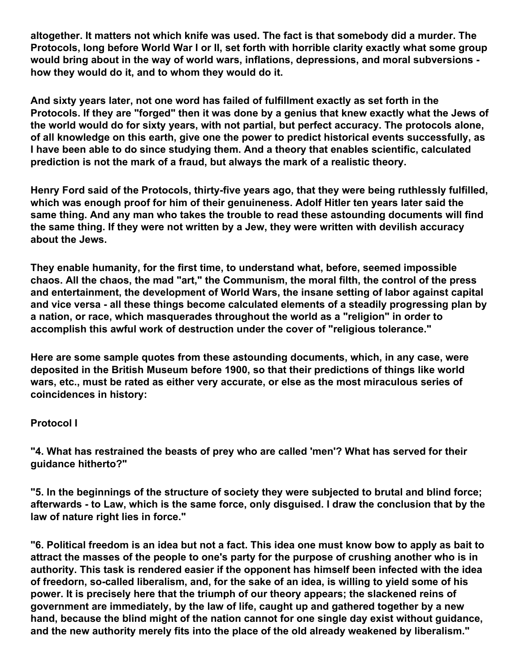**altogether. It matters not which knife was used. The fact is that somebody did a murder. The Protocols, long before World War I or II, set forth with horrible clarity exactly what some group would bring about in the way of world wars, inflations, depressions, and moral subversions how they would do it, and to whom they would do it.**

**And sixty years later, not one word has failed of fulfillment exactly as set forth in the Protocols. If they are "forged" then it was done by a genius that knew exactly what the Jews of the world would do for sixty years, with not partial, but perfect accuracy. The protocols alone, of all knowledge on this earth, give one the power to predict historical events successfully, as I have been able to do since studying them. And a theory that enables scientific, calculated prediction is not the mark of a fraud, but always the mark of a realistic theory.**

**Henry Ford said of the Protocols, thirty-five years ago, that they were being ruthlessly fulfilled, which was enough proof for him of their genuineness. Adolf Hitler ten years later said the same thing. And any man who takes the trouble to read these astounding documents will find the same thing. If they were not written by a Jew, they were written with devilish accuracy about the Jews.**

**They enable humanity, for the first time, to understand what, before, seemed impossible chaos. All the chaos, the mad "art," the Communism, the moral filth, the control of the press and entertainment, the development of World Wars, the insane setting of labor against capital and vice versa - all these things become calculated elements of a steadily progressing plan by a nation, or race, which masquerades throughout the world as a "religion" in order to accomplish this awful work of destruction under the cover of "religious tolerance."**

**Here are some sample quotes from these astounding documents, which, in any case, were deposited in the British Museum before 1900, so that their predictions of things like world wars, etc., must be rated as either very accurate, or else as the most miraculous series of coincidences in history:**

**Protocol I**

**"4. What has restrained the beasts of prey who are called 'men'? What has served for their guidance hitherto?"**

**"5. In the beginnings of the structure of society they were subjected to brutal and blind force; afterwards - to Law, which is the same force, only disguised. I draw the conclusion that by the law of nature right lies in force."**

**"6. Political freedom is an idea but not a fact. This idea one must know bow to apply as bait to attract the masses of the people to one's party for the purpose of crushing another who is in authority. This task is rendered easier if the opponent has himself been infected with the idea of freedorn, so-called liberalism, and, for the sake of an idea, is willing to yield some of his power. It is precisely here that the triumph of our theory appears; the slackened reins of government are immediately, by the law of life, caught up and gathered together by a new hand, because the blind might of the nation cannot for one single day exist without guidance, and the new authority merely fits into the place of the old already weakened by liberalism."**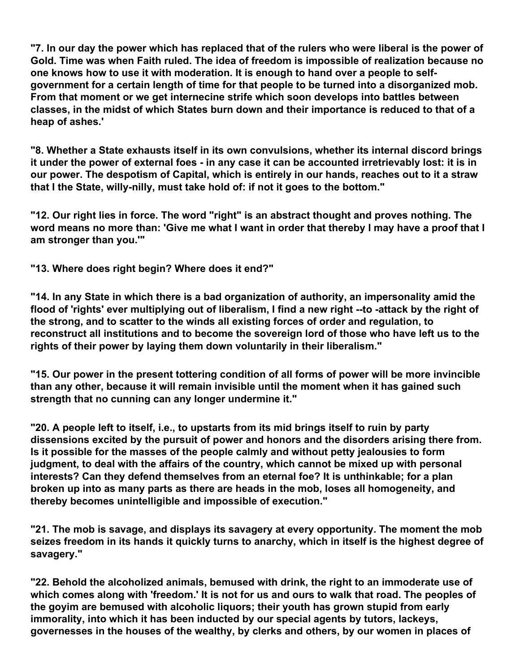**"7. In our day the power which has replaced that of the rulers who were liberal is the power of Gold. Time was when Faith ruled. The idea of freedom is impossible of realization because no one knows how to use it with moderation. It is enough to hand over a people to selfgovernment for a certain length of time for that people to be turned into a disorganized mob. From that moment or we get internecine strife which soon develops into battles between classes, in the midst of which States burn down and their importance is reduced to that of a heap of ashes.'**

**"8. Whether a State exhausts itself in its own convulsions, whether its internal discord brings it under the power of external foes - in any case it can be accounted irretrievably lost: it is in our power. The despotism of Capital, which is entirely in our hands, reaches out to it a straw that I the State, willy-nilly, must take hold of: if not it goes to the bottom."**

**"12. Our right lies in force. The word "right" is an abstract thought and proves nothing. The word means no more than: 'Give me what I want in order that thereby I may have a proof that I am stronger than you.'"**

**"13. Where does right begin? Where does it end?"**

**"14. In any State in which there is a bad organization of authority, an impersonality amid the flood of 'rights' ever multiplying out of liberalism, I find a new right --to -attack by the right of the strong, and to scatter to the winds all existing forces of order and regulation, to reconstruct all institutions and to become the sovereign lord of those who have left us to the rights of their power by laying them down voluntarily in their liberalism."**

**"15. Our power in the present tottering condition of all forms of power will be more invincible than any other, because it will remain invisible until the moment when it has gained such strength that no cunning can any longer undermine it."**

**"20. A people left to itself, i.e., to upstarts from its mid brings itself to ruin by party dissensions excited by the pursuit of power and honors and the disorders arising there from. Is it possible for the masses of the people calmly and without petty jealousies to form judgment, to deal with the affairs of the country, which cannot be mixed up with personal interests? Can they defend themselves from an eternal foe? It is unthinkable; for a plan broken up into as many parts as there are heads in the mob, loses all homogeneity, and thereby becomes unintelligible and impossible of execution."**

**"21. The mob is savage, and displays its savagery at every opportunity. The moment the mob seizes freedom in its hands it quickly turns to anarchy, which in itself is the highest degree of savagery."**

**"22. Behold the alcoholized animals, bemused with drink, the right to an immoderate use of which comes along with 'freedom.' It is not for us and ours to walk that road. The peoples of the goyim are bemused with alcoholic liquors; their youth has grown stupid from early immorality, into which it has been inducted by our special agents by tutors, lackeys, governesses in the houses of the wealthy, by clerks and others, by our women in places of**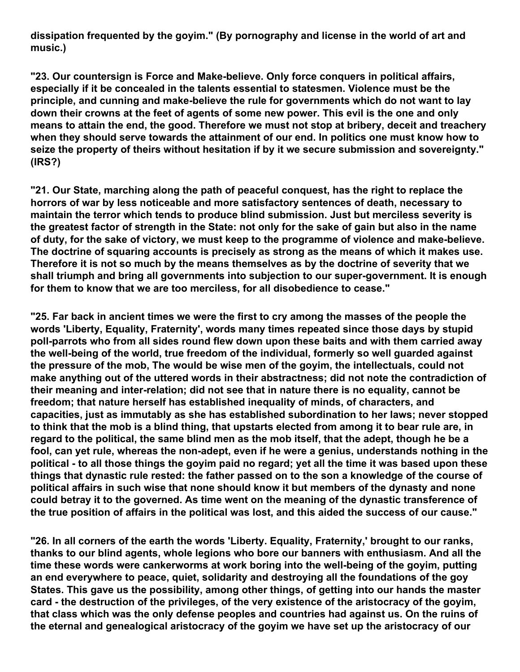**dissipation frequented by the goyim." (By pornography and license in the world of art and music.)**

**"23. Our countersign is Force and Make-believe. Only force conquers in political affairs, especially if it be concealed in the talents essential to statesmen. Violence must be the principle, and cunning and make-believe the rule for governments which do not want to lay down their crowns at the feet of agents of some new power. This evil is the one and only means to attain the end, the good. Therefore we must not stop at bribery, deceit and treachery when they should serve towards the attainment of our end. In politics one must know how to seize the property of theirs without hesitation if by it we secure submission and sovereignty." (IRS?)**

**"21. Our State, marching along the path of peaceful conquest, has the right to replace the horrors of war by less noticeable and more satisfactory sentences of death, necessary to maintain the terror which tends to produce blind submission. Just but merciless severity is the greatest factor of strength in the State: not only for the sake of gain but also in the name of duty, for the sake of victory, we must keep to the programme of violence and make-believe. The doctrine of squaring accounts is precisely as strong as the means of which it makes use. Therefore it is not so much by the means themselves as by the doctrine of severity that we shall triumph and bring all governments into subjection to our super-government. It is enough for them to know that we are too merciless, for all disobedience to cease."**

**"25. Far back in ancient times we were the first to cry among the masses of the people the words 'Liberty, Equality, Fraternity', words many times repeated since those days by stupid poll-parrots who from all sides round flew down upon these baits and with them carried away the well-being of the world, true freedom of the individual, formerly so well guarded against the pressure of the mob, The wouId be wise men of the goyim, the intellectuals, could not make anything out of the uttered words in their abstractness; did not note the contradiction of their meaning and inter-relation; did not see that in nature there is no equality, cannot be freedom; that nature herself has established inequality of minds, of characters, and capacities, just as immutably as she has established subordination to her laws; never stopped to think that the mob is a blind thing, that upstarts elected from among it to bear rule are, in regard to the political, the same blind men as the mob itself, that the adept, though he be a fool, can yet rule, whereas the non-adept, even if he were a genius, understands nothing in the political - to all those things the goyim paid no regard; yet all the time it was based upon these things that dynastic rule rested: the father passed on to the son a knowledge of the course of political affairs in such wise that none should know it but members of the dynasty and none could betray it to the governed. As time went on the meaning of the dynastic transference of the true position of affairs in the political was lost, and this aided the success of our cause."**

**"26. In all corners of the earth the words 'Liberty. Equality, Fraternity,' brought to our ranks, thanks to our blind agents, whole legions who bore our banners with enthusiasm. And all the time these words were cankerworms at work boring into the well-being of the goyim, putting an end everywhere to peace, quiet, solidarity and destroying all the foundations of the goy States. This gave us the possibility, among other things, of getting into our hands the master card - the destruction of the privileges, of the very existence of the aristocracy of the goyim, that class which was the only defense peoples and countries had against us. On the ruins of the eternal and genealogical aristocracy of the goyim we have set up the aristocracy of our**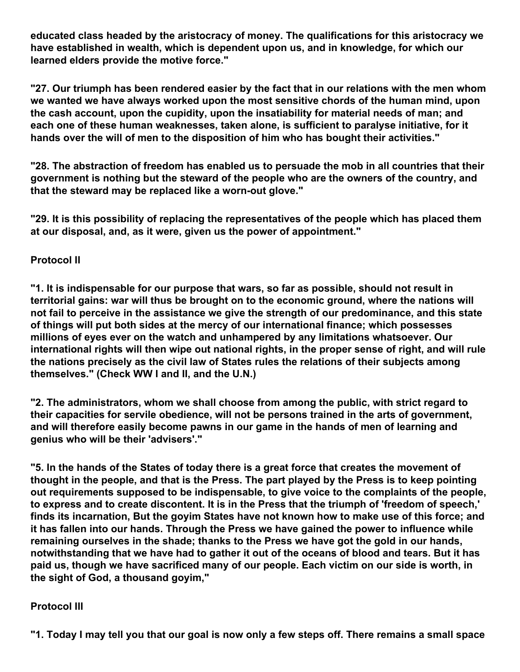**educated class headed by the aristocracy of money. The qualifications for this aristocracy we have established in wealth, which is dependent upon us, and in knowledge, for which our learned elders provide the motive force."**

**"27. Our triumph has been rendered easier by the fact that in our relations with the men whom we wanted we have always worked upon the most sensitive chords of the human mind, upon the cash account, upon the cupidity, upon the insatiability for material needs of man; and each one of these human weaknesses, taken alone, is sufficient to paralyse initiative, for it hands over the will of men to the disposition of him who has bought their activities."**

**"28. The abstraction of freedom has enabled us to persuade the mob in all countries that their government is nothing but the steward of the people who are the owners of the country, and that the steward may be replaced like a worn-out glove."**

**"29. It is this possibility of replacing the representatives of the people which has placed them at our disposal, and, as it were, given us the power of appointment."**

### **Protocol II**

**"1. It is indispensable for our purpose that wars, so far as possible, should not result in territorial gains: war will thus be brought on to the economic ground, where the nations will not fail to perceive in the assistance we give the strength of our predominance, and this state of things will put both sides at the mercy of our international finance; which possesses millions of eyes ever on the watch and unhampered by any limitations whatsoever. Our international rights will then wipe out national rights, in the proper sense of right, and will rule the nations precisely as the civil law of States rules the relations of their subjects among themselves." (Check WW I and II, and the U.N.)**

**"2. The administrators, whom we shall choose from among the public, with strict regard to their capacities for servile obedience, will not be persons trained in the arts of government, and will therefore easily become pawns in our game in the hands of men of learning and genius who will be their 'advisers'."**

**"5. In the hands of the States of today there is a great force that creates the movement of thought in the people, and that is the Press. The part played by the Press is to keep pointing out requirements supposed to be indispensable, to give voice to the complaints of the people, to express and to create discontent. It is in the Press that the triumph of 'freedom of speech,' finds its incarnation, But the goyim States have not known how to make use of this force; and it has fallen into our hands. Through the Press we have gained the power to influence while remaining ourselves in the shade; thanks to the Press we have got the gold in our hands, notwithstanding that we have had to gather it out of the oceans of blood and tears. But it has paid us, though we have sacrificed many of our people. Each victim on our side is worth, in the sight of God, a thousand goyim,"**

#### **Protocol III**

**"1. Today I may tell you that our goal is now only a few steps off. There remains a small space**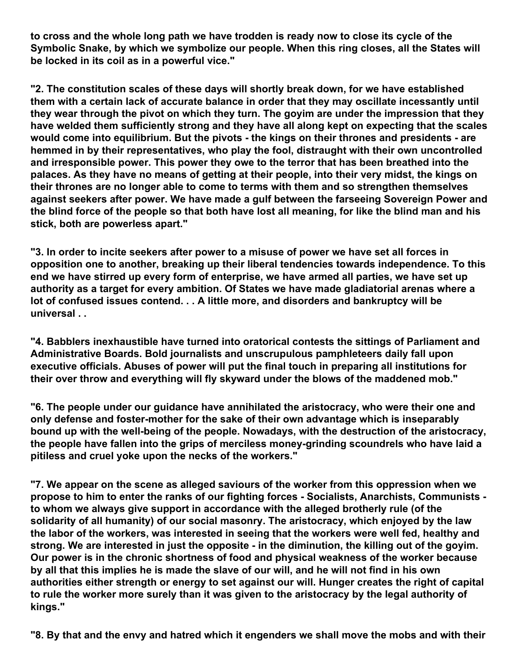**to cross and the whole long path we have trodden is ready now to close its cycle of the Symbolic Snake, by which we symbolize our people. When this ring closes, all the States will be locked in its coil as in a powerful vice."**

**"2. The constitution scales of these days will shortly break down, for we have established them with a certain lack of accurate balance in order that they may oscillate incessantly until they wear through the pivot on which they turn. The goyim are under the impression that they have welded them sufficiently strong and they have all along kept on expecting that the scales would come into equilibrium. But the pivots - the kings on their thrones and presidents - are hemmed in by their representatives, who play the fool, distraught with their own uncontrolled and irresponsible power. This power they owe to the terror that has been breathed into the palaces. As they have no means of getting at their people, into their very midst, the kings on their thrones are no longer able to come to terms with them and so strengthen themselves against seekers after power. We have made a gulf between the farseeing Sovereign Power and the blind force of the people so that both have lost all meaning, for like the blind man and his stick, both are powerless apart."**

**"3. In order to incite seekers after power to a misuse of power we have set all forces in opposition one to another, breaking up their liberal tendencies towards independence. To this end we have stirred up every form of enterprise, we have armed all parties, we have set up authority as a target for every ambition. Of States we have made gladiatorial arenas where a lot of confused issues contend. . . A little more, and disorders and bankruptcy will be universal . .**

**"4. Babblers inexhaustible have turned into oratorical contests the sittings of Parliament and Administrative Boards. Bold journalists and unscrupulous pamphleteers daily fall upon executive officials. Abuses of power will put the final touch in preparing all institutions for their over throw and everything will fly skyward under the blows of the maddened mob."**

**"6. The people under our guidance have annihilated the aristocracy, who were their one and only defense and foster-mother for the sake of their own advantage which is inseparably bound up with the well-being of the people. Nowadays, with the destruction of the aristocracy, the people have fallen into the grips of merciless money-grinding scoundrels who have laid a pitiless and cruel yoke upon the necks of the workers."**

**"7. We appear on the scene as alleged saviours of the worker from this oppression when we propose to him to enter the ranks of our fighting forces - Socialists, Anarchists, Communists to whom we always give support in accordance with the alleged brotherly rule (of the solidarity of all humanity) of our social masonry. The aristocracy, which enjoyed by the law the labor of the workers, was interested in seeing that the workers were well fed, healthy and strong. We are interested in just the opposite - in the diminution, the killing out of the goyim. Our power is in the chronic shortness of food and physical weakness of the worker because by all that this implies he is made the slave of our will, and he will not find in his own authorities either strength or energy to set against our will. Hunger creates the right of capital to rule the worker more surely than it was given to the aristocracy by the legal authority of kings."**

**"8. By that and the envy and hatred which it engenders we shall move the mobs and with their**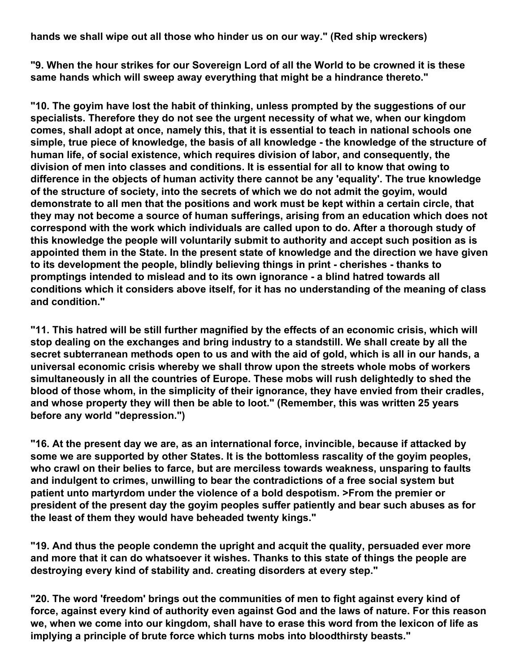**hands we shall wipe out all those who hinder us on our way." (Red ship wreckers)**

**"9. When the hour strikes for our Sovereign Lord of all the World to be crowned it is these same hands which will sweep away everything that might be a hindrance thereto."**

**"10. The goyim have lost the habit of thinking, unless prompted by the suggestions of our specialists. Therefore they do not see the urgent necessity of what we, when our kingdom comes, shall adopt at once, namely this, that it is essential to teach in national schools one simple, true piece of knowledge, the basis of all knowledge - the knowledge of the structure of human life, of social existence, which requires division of labor, and consequently, the division of men into classes and conditions. It is essential for all to know that owing to difference in the objects of human activity there cannot be any 'equality'. The true knowledge of the structure of society, into the secrets of which we do not admit the goyim, would demonstrate to all men that the positions and work must be kept within a certain circle, that they may not become a source of human sufferings, arising from an education which does not correspond with the work which individuals are called upon to do. After a thorough study of this knowledge the people will voluntarily submit to authority and accept such position as is appointed them in the State. In the present state of knowledge and the direction we have given to its development the people, blindly believing things in print - cherishes - thanks to promptings intended to mislead and to its own ignorance - a blind hatred towards all conditions which it considers above itself, for it has no understanding of the meaning of class and condition."**

**"11. This hatred will be still further magnified by the effects of an economic crisis, which will stop dealing on the exchanges and bring industry to a standstill. We shall create by all the secret subterranean methods open to us and with the aid of gold, which is all in our hands, a universal economic crisis whereby we shall throw upon the streets whole mobs of workers simultaneously in all the countries of Europe. These mobs will rush delightedly to shed the blood of those whom, in the simplicity of their ignorance, they have envied from their cradles, and whose property they will then be able to loot." (Remember, this was written 25 years before any world "depression.")**

**"16. At the present day we are, as an international force, invincible, because if attacked by some we are supported by other States. It is the bottomless rascality of the goyim peoples, who crawl on their belies to farce, but are merciless towards weakness, unsparing to faults and indulgent to crimes, unwilling to bear the contradictions of a free social system but patient unto martyrdom under the violence of a bold despotism. >From the premier or president of the present day the goyim peoples suffer patiently and bear such abuses as for the least of them they would have beheaded twenty kings."**

**"19. And thus the people condemn the upright and acquit the quality, persuaded ever more and more that it can do whatsoever it wishes. Thanks to this state of things the people are destroying every kind of stability and. creating disorders at every step."**

**"20. The word 'freedom' brings out the communities of men to fight against every kind of force, against every kind of authority even against God and the laws of nature. For this reason we, when we come into our kingdom, shall have to erase this word from the lexicon of life as implying a principle of brute force which turns mobs into bloodthirsty beasts."**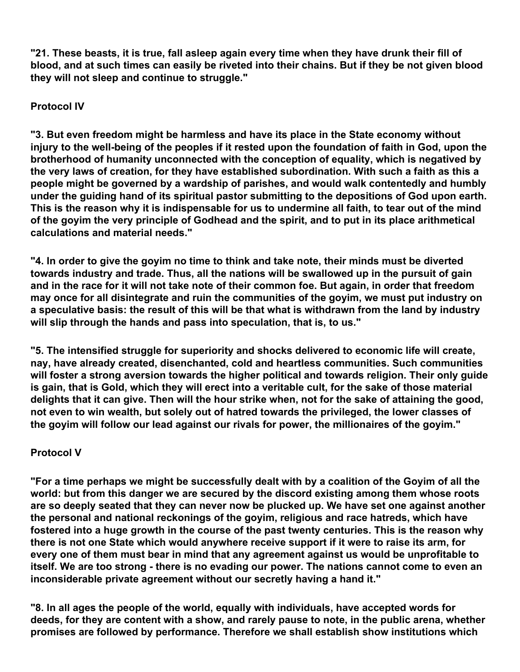**"21. These beasts, it is true, fall asleep again every time when they have drunk their fill of blood, and at such times can easily be riveted into their chains. But if they be not given blood they will not sleep and continue to struggle."**

**Protocol IV**

**"3. But even freedom might be harmless and have its place in the State economy without injury to the well-being of the peoples if it rested upon the foundation of faith in God, upon the brotherhood of humanity unconnected with the conception of equality, which is negatived by the very laws of creation, for they have established subordination. With such a faith as this a people might be governed by a wardship of parishes, and would walk contentedly and humbly under the guiding hand of its spiritual pastor submitting to the depositions of God upon earth. This is the reason why it is indispensable for us to undermine all faith, to tear out of the mind of the goyim the very principle of Godhead and the spirit, and to put in its place arithmetical calculations and material needs."**

**"4. In order to give the goyim no time to think and take note, their minds must be diverted towards industry and trade. Thus, all the nations will be swallowed up in the pursuit of gain and in the race for it will not take note of their common foe. But again, in order that freedom may once for all disintegrate and ruin the communities of the goyim, we must put industry on a speculative basis: the result of this will be that what is withdrawn from the land by industry will slip through the hands and pass into speculation, that is, to us."**

**"5. The intensified struggle for superiority and shocks delivered to economic life will create, nay, have already created, disenchanted, cold and heartless communities. Such communities will foster a strong aversion towards the higher political and towards religion. Their only guide is gain, that is Gold, which they will erect into a veritable cult, for the sake of those material delights that it can give. Then will the hour strike when, not for the sake of attaining the good, not even to win wealth, but solely out of hatred towards the privileged, the lower classes of the goyim will follow our lead against our rivals for power, the millionaires of the goyim."**

#### **Protocol V**

**"For a time perhaps we might be successfully dealt with by a coalition of the Goyim of all the world: but from this danger we are secured by the discord existing among them whose roots are so deeply seated that they can never now be plucked up. We have set one against another the personal and national reckonings of the goyim, religious and race hatreds, which have fostered into a huge growth in the course of the past twenty centuries. This is the reason why there is not one State which would anywhere receive support if it were to raise its arm, for every one of them must bear in mind that any agreement against us would be unprofitable to itself. We are too strong - there is no evading our power. The nations cannot come to even an inconsiderable private agreement without our secretly having a hand it."**

**"8. In all ages the people of the world, equally with individuals, have accepted words for deeds, for they are content with a show, and rarely pause to note, in the public arena, whether promises are followed by performance. Therefore we shall establish show institutions which**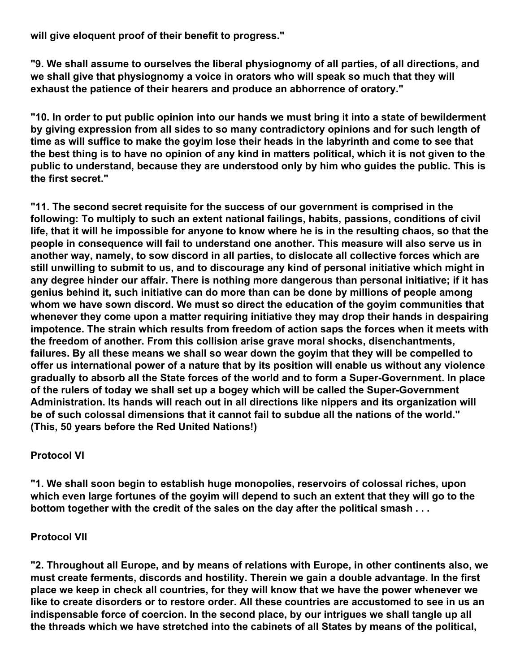**will give eloquent proof of their benefit to progress."**

**"9. We shall assume to ourselves the liberal physiognomy of all parties, of all directions, and we shall give that physiognomy a voice in orators who will speak so much that they will exhaust the patience of their hearers and produce an abhorrence of oratory."**

**"10. In order to put public opinion into our hands we must bring it into a state of bewilderment by giving expression from all sides to so many contradictory opinions and for such length of time as will suffice to make the goyim lose their heads in the labyrinth and come to see that the best thing is to have no opinion of any kind in matters political, which it is not given to the public to understand, because they are understood only by him who guides the public. This is the first secret."**

**"11. The second secret requisite for the success of our government is comprised in the following: To multiply to such an extent national failings, habits, passions, conditions of civil life, that it will he impossible for anyone to know where he is in the resulting chaos, so that the people in consequence will fail to understand one another. This measure will also serve us in another way, namely, to sow discord in all parties, to dislocate all collective forces which are still unwilling to submit to us, and to discourage any kind of personal initiative which might in any degree hinder our affair. There is nothing more dangerous than personal initiative; if it has genius behind it, such initiative can do more than can be done by millions of people among whom we have sown discord. We must so direct the education of the goyim communities that whenever they come upon a matter requiring initiative they may drop their hands in despairing impotence. The strain which results from freedom of action saps the forces when it meets with the freedom of another. From this collision arise grave moral shocks, disenchantments, failures. By all these means we shall so wear down the goyim that they will be compelled to offer us international power of a nature that by its position will enable us without any violence gradually to absorb all the State forces of the world and to form a Super-Government. In place of the rulers of today we shall set up a bogey which will be called the Super-Government Administration. Its hands will reach out in all directions like nippers and its organization will be of such colossal dimensions that it cannot fail to subdue all the nations of the world." (This, 50 years before the Red United Nations!)**

**Protocol VI**

**"1. We shall soon begin to establish huge monopolies, reservoirs of colossal riches, upon which even large fortunes of the goyim will depend to such an extent that they will go to the bottom together with the credit of the sales on the day after the political smash . . .**

#### **Protocol VII**

**"2. Throughout all Europe, and by means of relations with Europe, in other continents also, we must create ferments, discords and hostility. Therein we gain a double advantage. In the first place we keep in check all countries, for they will know that we have the power whenever we like to create disorders or to restore order. All these countries are accustomed to see in us an indispensable force of coercion. In the second place, by our intrigues we shall tangle up all the threads which we have stretched into the cabinets of all States by means of the political,**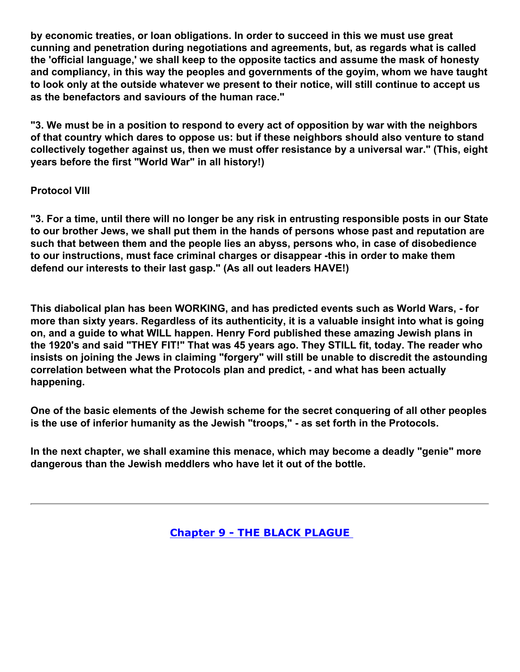**by economic treaties, or loan obligations. In order to succeed in this we must use great cunning and penetration during negotiations and agreements, but, as regards what is called the 'official language,' we shall keep to the opposite tactics and assume the mask of honesty and compliancy, in this way the peoples and governments of the goyim, whom we have taught to look only at the outside whatever we present to their notice, will still continue to accept us as the benefactors and saviours of the human race."**

**"3. We must be in a position to respond to every act of opposition by war with the neighbors of that country which dares to oppose us: but if these neighbors should also venture to stand collectively together against us, then we must offer resistance by a universal war." (This, eight years before the first "World War" in all history!)**

### **Protocol VIII**

**"3. For a time, until there will no longer be any risk in entrusting responsible posts in our State to our brother Jews, we shall put them in the hands of persons whose past and reputation are such that between them and the people lies an abyss, persons who, in case of disobedience to our instructions, must face criminal charges or disappear -this in order to make them defend our interests to their last gasp." (As all out leaders HAVE!)**

**This diabolical plan has been WORKING, and has predicted events such as World Wars, - for more than sixty years. Regardless of its authenticity, it is a valuable insight into what is going on, and a guide to what WILL happen. Henry Ford published these amazing Jewish plans in the 1920's and said "THEY FIT!" That was 45 years ago. They STILL fit, today. The reader who insists on joining the Jews in claiming "forgery" will still be unable to discredit the astounding correlation between what the Protocols plan and predict, - and what has been actually happening.**

**One of the basic elements of the Jewish scheme for the secret conquering of all other peoples is the use of inferior humanity as the Jewish "troops," - as set forth in the Protocols.**

**In the next chapter, we shall examine this menace, which may become a deadly "genie" more dangerous than the Jewish meddlers who have let it out of the bottle.**

**[Chapter 9 - THE BLACK PLAGUE](#page-137-0)**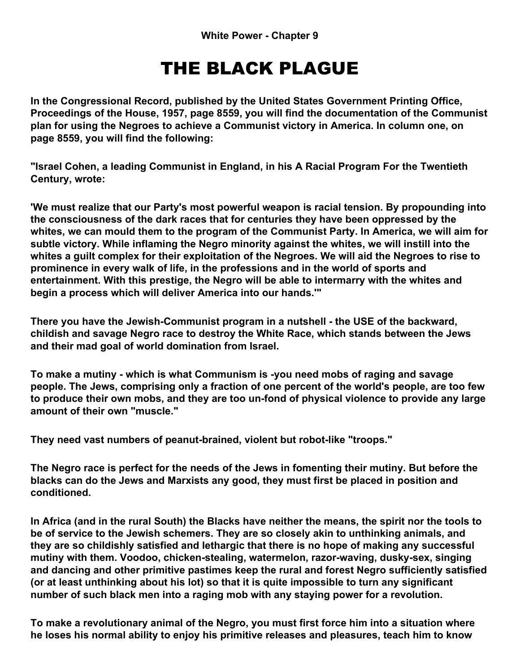# THE BLACK PLAGUE

<span id="page-137-0"></span>**In the Congressional Record, published by the United States Government Printing Office, Proceedings of the House, 1957, page 8559, you will find the documentation of the Communist plan for using the Negroes to achieve a Communist victory in America. In column one, on page 8559, you will find the following:**

**"Israel Cohen, a leading Communist in England, in his A Racial Program For the Twentieth Century, wrote:**

**'We must realize that our Party's most powerful weapon is racial tension. By propounding into the consciousness of the dark races that for centuries they have been oppressed by the whites, we can mould them to the program of the Communist Party. In America, we will aim for subtle victory. While inflaming the Negro minority against the whites, we will instill into the whites a guilt complex for their exploitation of the Negroes. We will aid the Negroes to rise to prominence in every walk of life, in the professions and in the world of sports and entertainment. With this prestige, the Negro will be able to intermarry with the whites and begin a process which will deliver America into our hands.'"**

**There you have the Jewish-Communist program in a nutshell - the USE of the backward, childish and savage Negro race to destroy the White Race, which stands between the Jews and their mad goal of world domination from Israel.**

**To make a mutiny - which is what Communism is -you need mobs of raging and savage people. The Jews, comprising only a fraction of one percent of the world's people, are too few to produce their own mobs, and they are too un-fond of physical violence to provide any large amount of their own "muscle."**

**They need vast numbers of peanut-brained, violent but robot-like "troops."**

**The Negro race is perfect for the needs of the Jews in fomenting their mutiny. But before the blacks can do the Jews and Marxists any good, they must first be placed in position and conditioned.**

**In Africa (and in the rural South) the Blacks have neither the means, the spirit nor the tools to be of service to the Jewish schemers. They are so closely akin to unthinking animals, and they are so childishly satisfied and lethargic that there is no hope of making any successful mutiny with them. Voodoo, chicken-stealing, watermelon, razor-waving, dusky-sex, singing and dancing and other primitive pastimes keep the rural and forest Negro sufficiently satisfied (or at least unthinking about his lot) so that it is quite impossible to turn any significant number of such black men into a raging mob with any staying power for a revolution.**

**To make a revolutionary animal of the Negro, you must first force him into a situation where he loses his normal ability to enjoy his primitive releases and pleasures, teach him to know**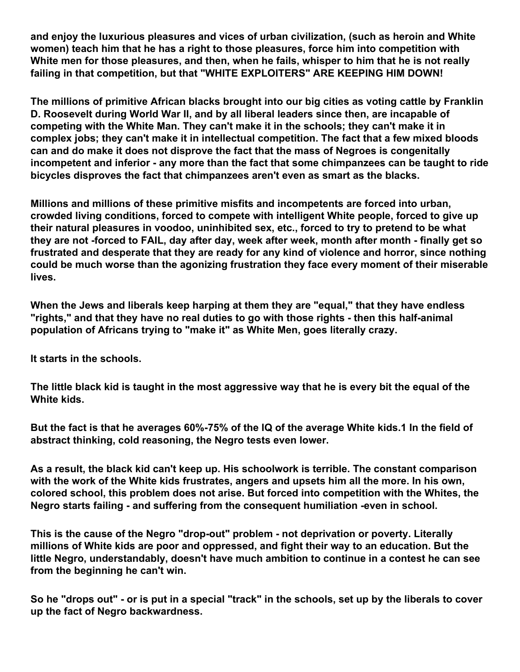**and enjoy the luxurious pleasures and vices of urban civilization, (such as heroin and White women) teach him that he has a right to those pleasures, force him into competition with White men for those pleasures, and then, when he fails, whisper to him that he is not really failing in that competition, but that "WHITE EXPLOITERS" ARE KEEPING HIM DOWN!**

**The millions of primitive African blacks brought into our big cities as voting cattle by Franklin D. Roosevelt during World War II, and by all liberal leaders since then, are incapable of competing with the White Man. They can't make it in the schools; they can't make it in complex jobs; they can't make it in intellectual competition. The fact that a few mixed bloods can and do make it does not disprove the fact that the mass of Negroes is congenitally incompetent and inferior - any more than the fact that some chimpanzees can be taught to ride bicycles disproves the fact that chimpanzees aren't even as smart as the blacks.**

**Millions and millions of these primitive misfits and incompetents are forced into urban, crowded living conditions, forced to compete with intelligent White people, forced to give up their natural pleasures in voodoo, uninhibited sex, etc., forced to try to pretend to be what they are not -forced to FAIL, day after day, week after week, month after month - finally get so frustrated and desperate that they are ready for any kind of violence and horror, since nothing could be much worse than the agonizing frustration they face every moment of their miserable lives.**

**When the Jews and liberals keep harping at them they are "equal," that they have endless "rights," and that they have no real duties to go with those rights - then this half-animal population of Africans trying to "make it" as White Men, goes literally crazy.**

**It starts in the schools.**

**The little black kid is taught in the most aggressive way that he is every bit the equal of the White kids.**

**But the fact is that he averages 60%-75% of the IQ of the average White kids.1 In the field of abstract thinking, cold reasoning, the Negro tests even lower.**

**As a result, the black kid can't keep up. His schoolwork is terrible. The constant comparison with the work of the White kids frustrates, angers and upsets him all the more. In his own, colored school, this problem does not arise. But forced into competition with the Whites, the Negro starts failing - and suffering from the consequent humiliation -even in school.**

**This is the cause of the Negro "drop-out" problem - not deprivation or poverty. Literally millions of White kids are poor and oppressed, and fight their way to an education. But the little Negro, understandably, doesn't have much ambition to continue in a contest he can see from the beginning he can't win.**

**So he "drops out" - or is put in a special "track" in the schools, set up by the liberals to cover up the fact of Negro backwardness.**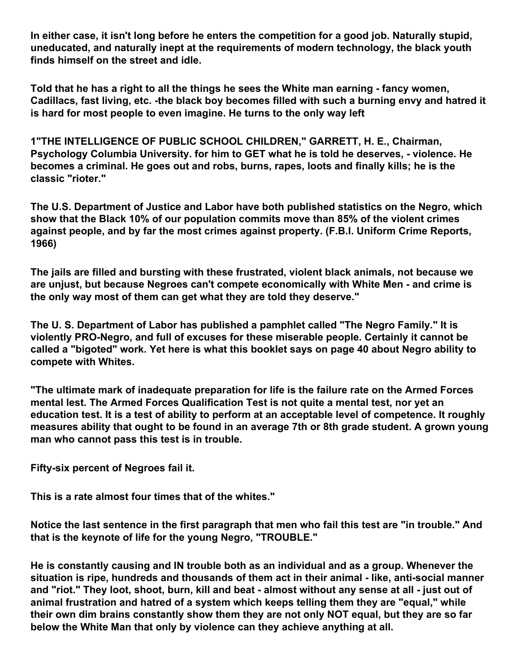**In either case, it isn't long before he enters the competition for a good job. Naturally stupid, uneducated, and naturally inept at the requirements of modern technology, the black youth finds himself on the street and idle.**

**Told that he has a right to all the things he sees the White man earning - fancy women, Cadillacs, fast living, etc. -the black boy becomes filled with such a burning envy and hatred it is hard for most people to even imagine. He turns to the only way left**

**1"THE INTELLIGENCE OF PUBLIC SCHOOL CHILDREN," GARRETT, H. E., Chairman, Psychology Columbia University. for him to GET what he is told he deserves, - violence. He becomes a criminal. He goes out and robs, burns, rapes, loots and finally kills; he is the classic "rioter."**

**The U.S. Department of Justice and Labor have both published statistics on the Negro, which show that the Black 10% of our population commits move than 85% of the violent crimes against people, and by far the most crimes against property. (F.B.I. Uniform Crime Reports, 1966)**

**The jails are filled and bursting with these frustrated, violent black animals, not because we are unjust, but because Negroes can't compete economically with White Men - and crime is the only way most of them can get what they are told they deserve."**

**The U. S. Department of Labor has published a pamphlet called "The Negro Family." It is violently PRO-Negro, and full of excuses for these miserable people. Certainly it cannot be called a "bigoted" work. Yet here is what this booklet says on page 40 about Negro ability to compete with Whites.**

**"The ultimate mark of inadequate preparation for life is the failure rate on the Armed Forces mental lest. The Armed Forces Qualification Test is not quite a mental test, nor yet an education test. It is a test of ability to perform at an acceptable level of competence. It roughly measures ability that ought to be found in an average 7th or 8th grade student. A grown young man who cannot pass this test is in trouble.**

**Fifty-six percent of Negroes fail it.**

**This is a rate almost four times that of the whites."**

**Notice the last sentence in the first paragraph that men who fail this test are "in trouble." And that is the keynote of life for the young Negro, "TROUBLE."**

**He is constantly causing and IN trouble both as an individual and as a group. Whenever the situation is ripe, hundreds and thousands of them act in their animal - like, anti-social manner and "riot." They loot, shoot, burn, kill and beat - almost without any sense at all - just out of animal frustration and hatred of a system which keeps telling them they are "equal," while their own dim brains constantly show them they are not only NOT equal, but they are so far below the White Man that only by violence can they achieve anything at all.**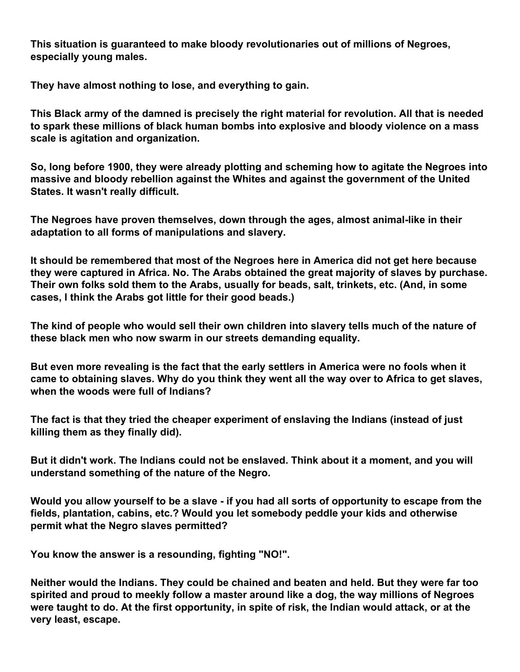**This situation is guaranteed to make bloody revolutionaries out of millions of Negroes, especially young males.**

**They have almost nothing to lose, and everything to gain.**

**This Black army of the damned is precisely the right material for revolution. All that is needed to spark these millions of black human bombs into explosive and bloody violence on a mass scale is agitation and organization.**

**So, long before 1900, they were already plotting and scheming how to agitate the Negroes into massive and bloody rebellion against the Whites and against the government of the United States. It wasn't really difficult.**

**The Negroes have proven themselves, down through the ages, almost animal-like in their adaptation to all forms of manipulations and slavery.**

**It should be remembered that most of the Negroes here in America did not get here because they were captured in Africa. No. The Arabs obtained the great majority of slaves by purchase. Their own folks sold them to the Arabs, usually for beads, salt, trinkets, etc. (And, in some cases, I think the Arabs got little for their good beads.)**

**The kind of people who would sell their own children into slavery tells much of the nature of these black men who now swarm in our streets demanding equality.**

**But even more revealing is the fact that the early settlers in America were no fools when it came to obtaining slaves. Why do you think they went all the way over to Africa to get slaves, when the woods were full of Indians?**

**The fact is that they tried the cheaper experiment of enslaving the Indians (instead of just killing them as they finally did).**

**But it didn't work. The Indians could not be enslaved. Think about it a moment, and you will understand something of the nature of the Negro.**

**Would you allow yourself to be a slave - if you had all sorts of opportunity to escape from the fields, plantation, cabins, etc.? Would you let somebody peddle your kids and otherwise permit what the Negro slaves permitted?**

**You know the answer is a resounding, fighting "NO!".**

**Neither would the Indians. They could be chained and beaten and held. But they were far too spirited and proud to meekly follow a master around like a dog, the way millions of Negroes were taught to do. At the first opportunity, in spite of risk, the Indian would attack, or at the very least, escape.**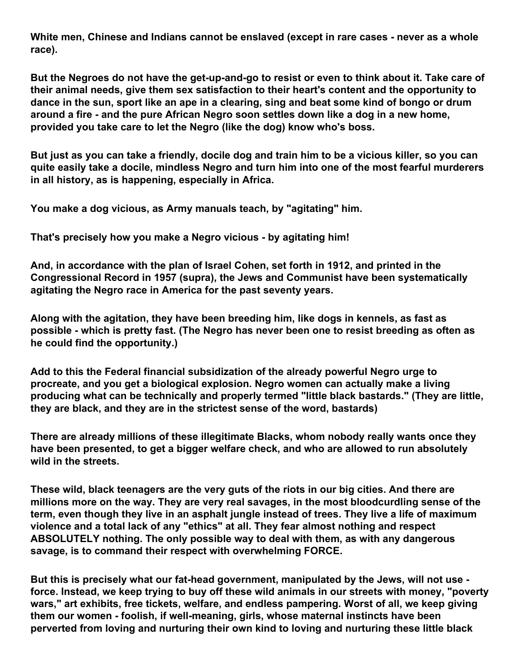**White men, Chinese and Indians cannot be enslaved (except in rare cases - never as a whole race).**

**But the Negroes do not have the get-up-and-go to resist or even to think about it. Take care of their animal needs, give them sex satisfaction to their heart's content and the opportunity to dance in the sun, sport like an ape in a clearing, sing and beat some kind of bongo or drum around a fire - and the pure African Negro soon settles down like a dog in a new home, provided you take care to let the Negro (like the dog) know who's boss.**

**But just as you can take a friendly, docile dog and train him to be a vicious killer, so you can quite easily take a docile, mindless Negro and turn him into one of the most fearful murderers in all history, as is happening, especially in Africa.**

**You make a dog vicious, as Army manuals teach, by "agitating" him.**

**That's precisely how you make a Negro vicious - by agitating him!**

**And, in accordance with the plan of Israel Cohen, set forth in 1912, and printed in the Congressional Record in 1957 (supra), the Jews and Communist have been systematically agitating the Negro race in America for the past seventy years.**

**Along with the agitation, they have been breeding him, like dogs in kennels, as fast as possible - which is pretty fast. (The Negro has never been one to resist breeding as often as he could find the opportunity.)**

**Add to this the Federal financial subsidization of the already powerful Negro urge to procreate, and you get a biological explosion. Negro women can actually make a living producing what can be technically and properly termed "little black bastards." (They are little, they are black, and they are in the strictest sense of the word, bastards)**

**There are already millions of these illegitimate Blacks, whom nobody really wants once they have been presented, to get a bigger welfare check, and who are allowed to run absolutely wild in the streets.**

**These wild, black teenagers are the very guts of the riots in our big cities. And there are millions more on the way. They are very real savages, in the most bloodcurdling sense of the term, even though they live in an asphalt jungle instead of trees. They live a life of maximum violence and a total lack of any "ethics" at all. They fear almost nothing and respect ABSOLUTELY nothing. The only possible way to deal with them, as with any dangerous savage, is to command their respect with overwhelming FORCE.**

**But this is precisely what our fat-head government, manipulated by the Jews, will not use force. Instead, we keep trying to buy off these wild animals in our streets with money, "poverty wars," art exhibits, free tickets, welfare, and endless pampering. Worst of all, we keep giving them our women - foolish, if well-meaning, girls, whose maternal instincts have been perverted from loving and nurturing their own kind to loving and nurturing these little black**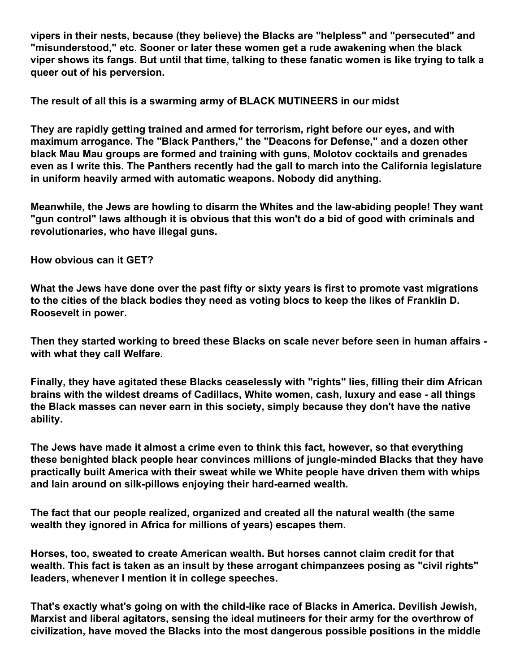**vipers in their nests, because (they believe) the Blacks are "helpless" and "persecuted" and "misunderstood," etc. Sooner or later these women get a rude awakening when the black viper shows its fangs. But until that time, talking to these fanatic women is like trying to talk a queer out of his perversion.**

**The result of all this is a swarming army of BLACK MUTINEERS in our midst**

**They are rapidly getting trained and armed for terrorism, right before our eyes, and with maximum arrogance. The "Black Panthers," the "Deacons for Defense," and a dozen other black Mau Mau groups are formed and training with guns, Molotov cocktails and grenades even as I write this. The Panthers recently had the gall to march into the California legislature in uniform heavily armed with automatic weapons. Nobody did anything.**

**Meanwhile, the Jews are howling to disarm the Whites and the law-abiding people! They want "gun control" laws although it is obvious that this won't do a bid of good with criminals and revolutionaries, who have illegal guns.**

**How obvious can it GET?**

**What the Jews have done over the past fifty or sixty years is first to promote vast migrations to the cities of the black bodies they need as voting blocs to keep the likes of Franklin D. Roosevelt in power.**

**Then they started working to breed these Blacks on scale never before seen in human affairs with what they call Welfare.**

**Finally, they have agitated these Blacks ceaselessly with "rights" lies, filling their dim African brains with the wildest dreams of Cadillacs, White women, cash, luxury and ease - all things the Black masses can never earn in this society, simply because they don't have the native ability.**

**The Jews have made it almost a crime even to think this fact, however, so that everything these benighted black people hear convinces millions of jungle-minded Blacks that they have practically built America with their sweat while we White people have driven them with whips and lain around on silk-pillows enjoying their hard-earned wealth.**

**The fact that our people realized, organized and created all the natural wealth (the same wealth they ignored in Africa for millions of years) escapes them.**

**Horses, too, sweated to create American wealth. But horses cannot claim credit for that wealth. This fact is taken as an insult by these arrogant chimpanzees posing as "civil rights" leaders, whenever I mention it in college speeches.**

**That's exactly what's going on with the child-like race of Blacks in America. Devilish Jewish, Marxist and liberal agitators, sensing the ideal mutineers for their army for the overthrow of civilization, have moved the Blacks into the most dangerous possible positions in the middle**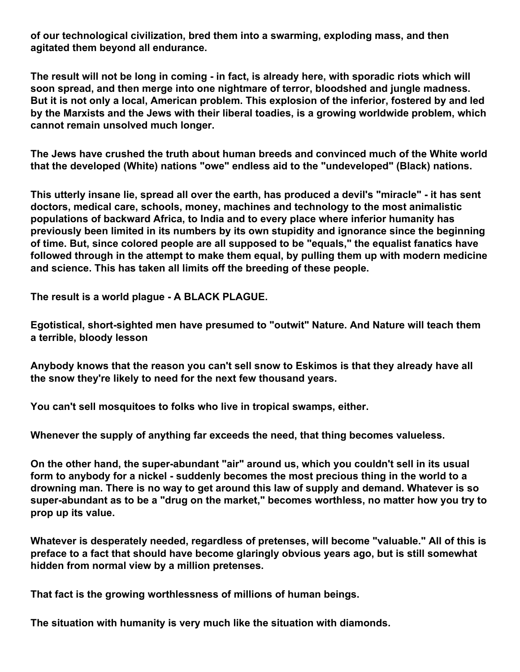**of our technological civilization, bred them into a swarming, exploding mass, and then agitated them beyond all endurance.**

**The result will not be long in coming - in fact, is already here, with sporadic riots which will soon spread, and then merge into one nightmare of terror, bloodshed and jungle madness. But it is not only a local, American problem. This explosion of the inferior, fostered by and led by the Marxists and the Jews with their liberal toadies, is a growing worldwide problem, which cannot remain unsolved much longer.**

**The Jews have crushed the truth about human breeds and convinced much of the White world that the developed (White) nations "owe" endless aid to the "undeveloped" (Black) nations.**

**This utterly insane lie, spread all over the earth, has produced a devil's "miracle" - it has sent doctors, medical care, schools, money, machines and technology to the most animalistic populations of backward Africa, to India and to every place where inferior humanity has previously been limited in its numbers by its own stupidity and ignorance since the beginning of time. But, since colored people are all supposed to be "equals," the equalist fanatics have followed through in the attempt to make them equal, by pulling them up with modern medicine and science. This has taken all limits off the breeding of these people.**

**The result is a world plague - A BLACK PLAGUE.**

**Egotistical, short-sighted men have presumed to "outwit" Nature. And Nature will teach them a terrible, bloody lesson**

**Anybody knows that the reason you can't sell snow to Eskimos is that they already have all the snow they're likely to need for the next few thousand years.**

**You can't sell mosquitoes to folks who live in tropical swamps, either.**

**Whenever the supply of anything far exceeds the need, that thing becomes valueless.**

**On the other hand, the super-abundant "air" around us, which you couldn't sell in its usual form to anybody for a nickel - suddenly becomes the most precious thing in the world to a drowning man. There is no way to get around this law of supply and demand. Whatever is so super-abundant as to be a "drug on the market," becomes worthless, no matter how you try to prop up its value.**

**Whatever is desperately needed, regardless of pretenses, will become "valuable." All of this is preface to a fact that should have become glaringly obvious years ago, but is still somewhat hidden from normal view by a million pretenses.**

**That fact is the growing worthlessness of millions of human beings.**

**The situation with humanity is very much like the situation with diamonds.**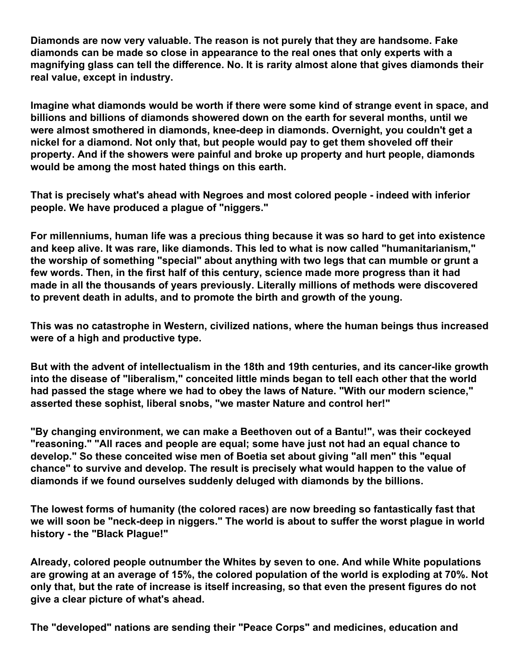**Diamonds are now very valuable. The reason is not purely that they are handsome. Fake diamonds can be made so close in appearance to the real ones that only experts with a magnifying glass can tell the difference. No. It is rarity almost alone that gives diamonds their real value, except in industry.**

**Imagine what diamonds would be worth if there were some kind of strange event in space, and billions and billions of diamonds showered down on the earth for several months, until we were almost smothered in diamonds, knee-deep in diamonds. Overnight, you couldn't get a nickel for a diamond. Not only that, but people would pay to get them shoveled off their property. And if the showers were painful and broke up property and hurt people, diamonds would be among the most hated things on this earth.**

**That is precisely what's ahead with Negroes and most colored people - indeed with inferior people. We have produced a plague of "niggers."**

**For millenniums, human life was a precious thing because it was so hard to get into existence and keep alive. It was rare, like diamonds. This led to what is now called "humanitarianism," the worship of something "special" about anything with two legs that can mumble or grunt a few words. Then, in the first half of this century, science made more progress than it had made in all the thousands of years previously. Literally millions of methods were discovered to prevent death in adults, and to promote the birth and growth of the young.**

**This was no catastrophe in Western, civilized nations, where the human beings thus increased were of a high and productive type.**

**But with the advent of intellectualism in the 18th and 19th centuries, and its cancer-like growth into the disease of "liberalism," conceited little minds began to tell each other that the world had passed the stage where we had to obey the laws of Nature. "With our modern science," asserted these sophist, liberal snobs, "we master Nature and control her!"**

**"By changing environment, we can make a Beethoven out of a Bantu!", was their cockeyed "reasoning." "All races and people are equal; some have just not had an equal chance to develop." So these conceited wise men of Boetia set about giving "all men" this "equal chance" to survive and develop. The result is precisely what would happen to the value of diamonds if we found ourselves suddenly deluged with diamonds by the billions.**

**The lowest forms of humanity (the colored races) are now breeding so fantastically fast that we will soon be "neck-deep in niggers." The world is about to suffer the worst plague in world history - the "Black Plague!"**

**Already, colored people outnumber the Whites by seven to one. And while White populations are growing at an average of 15%, the colored population of the world is exploding at 70%. Not only that, but the rate of increase is itself increasing, so that even the present figures do not give a clear picture of what's ahead.**

**The "developed" nations are sending their "Peace Corps" and medicines, education and**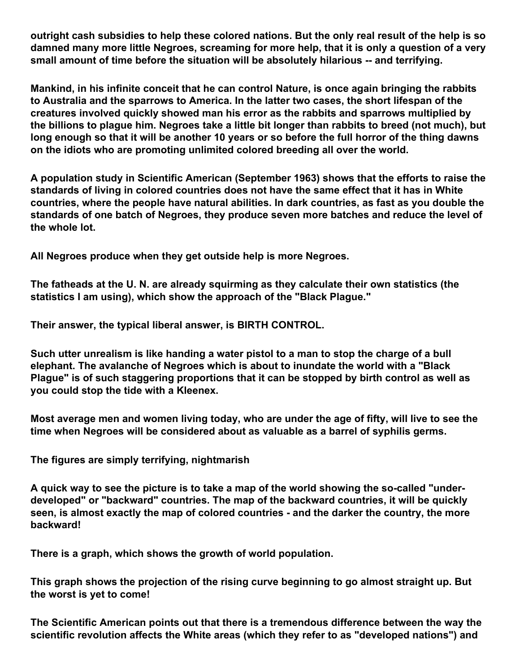**outright cash subsidies to help these colored nations. But the only real result of the help is so damned many more little Negroes, screaming for more help, that it is only a question of a very small amount of time before the situation will be absolutely hilarious -- and terrifying.**

**Mankind, in his infinite conceit that he can control Nature, is once again bringing the rabbits to Australia and the sparrows to America. In the latter two cases, the short lifespan of the creatures involved quickly showed man his error as the rabbits and sparrows multiplied by the billions to plague him. Negroes take a little bit longer than rabbits to breed (not much), but long enough so that it will be another 10 years or so before the full horror of the thing dawns on the idiots who are promoting unlimited colored breeding all over the world.**

**A population study in Scientific American (September 1963) shows that the efforts to raise the standards of living in colored countries does not have the same effect that it has in White countries, where the people have natural abilities. In dark countries, as fast as you double the standards of one batch of Negroes, they produce seven more batches and reduce the level of the whole lot.**

**All Negroes produce when they get outside help is more Negroes.**

**The fatheads at the U. N. are already squirming as they calculate their own statistics (the statistics I am using), which show the approach of the "Black Plague."**

**Their answer, the typical liberal answer, is BIRTH CONTROL.**

**Such utter unrealism is like handing a water pistol to a man to stop the charge of a bull elephant. The avalanche of Negroes which is about to inundate the world with a "Black Plague" is of such staggering proportions that it can be stopped by birth control as well as you could stop the tide with a Kleenex.**

**Most average men and women living today, who are under the age of fifty, will live to see the time when Negroes will be considered about as valuable as a barrel of syphilis germs.**

**The figures are simply terrifying, nightmarish**

**A quick way to see the picture is to take a map of the world showing the so-called "underdeveloped" or "backward" countries. The map of the backward countries, it will be quickly seen, is almost exactly the map of colored countries - and the darker the country, the more backward!**

**There is a graph, which shows the growth of world population.**

**This graph shows the projection of the rising curve beginning to go almost straight up. But the worst is yet to come!**

**The Scientific American points out that there is a tremendous difference between the way the scientific revolution affects the White areas (which they refer to as "developed nations") and**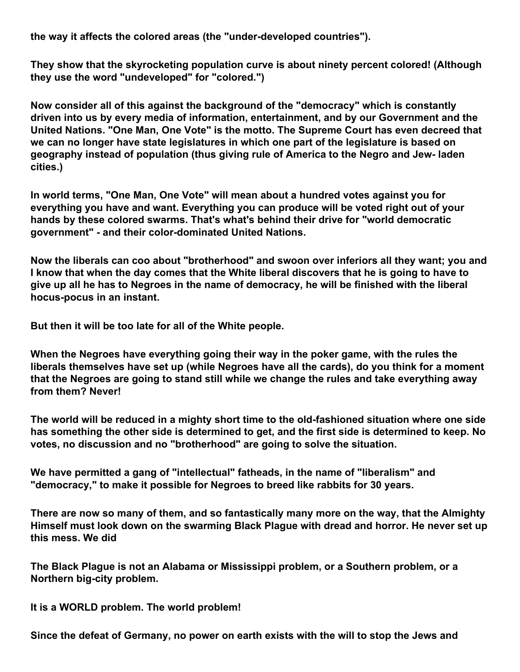**the way it affects the colored areas (the "under-developed countries").**

**They show that the skyrocketing population curve is about ninety percent colored! (Although they use the word "undeveloped" for "colored.")**

**Now consider all of this against the background of the "democracy" which is constantly driven into us by every media of information, entertainment, and by our Government and the United Nations. "One Man, One Vote" is the motto. The Supreme Court has even decreed that we can no longer have state legislatures in which one part of the legislature is based on geography instead of population (thus giving rule of America to the Negro and Jew- laden cities.)**

**In world terms, "One Man, One Vote" will mean about a hundred votes against you for everything you have and want. Everything you can produce will be voted right out of your hands by these colored swarms. That's what's behind their drive for "world democratic government" - and their color-dominated United Nations.**

**Now the liberals can coo about "brotherhood" and swoon over inferiors all they want; you and I know that when the day comes that the White liberal discovers that he is going to have to give up all he has to Negroes in the name of democracy, he will be finished with the liberal hocus-pocus in an instant.**

**But then it will be too late for all of the White people.**

**When the Negroes have everything going their way in the poker game, with the rules the liberals themselves have set up (while Negroes have all the cards), do you think for a moment that the Negroes are going to stand still while we change the rules and take everything away from them? Never!**

**The world will be reduced in a mighty short time to the old-fashioned situation where one side has something the other side is determined to get, and the first side is determined to keep. No votes, no discussion and no "brotherhood" are going to solve the situation.**

**We have permitted a gang of "intellectual" fatheads, in the name of "liberalism" and "democracy," to make it possible for Negroes to breed like rabbits for 30 years.**

**There are now so many of them, and so fantastically many more on the way, that the Almighty Himself must look down on the swarming Black Plague with dread and horror. He never set up this mess. We did**

**The Black Plague is not an Alabama or Mississippi problem, or a Southern problem, or a Northern big-city problem.**

**It is a WORLD problem. The world problem!**

**Since the defeat of Germany, no power on earth exists with the will to stop the Jews and**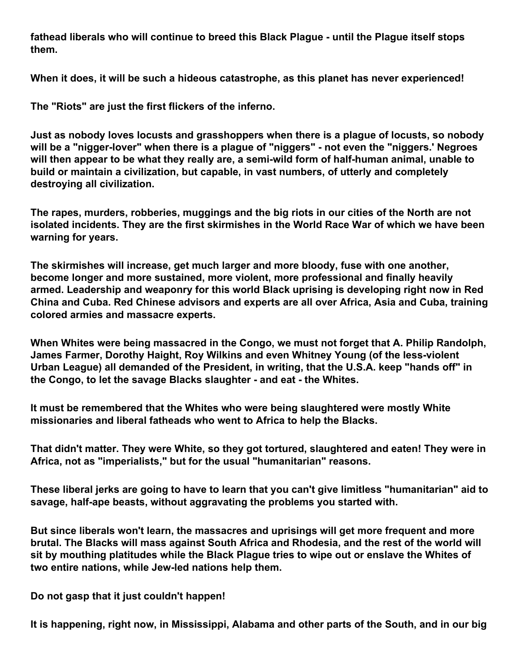**fathead liberals who will continue to breed this Black Plague - until the Plague itself stops them.**

**When it does, it will be such a hideous catastrophe, as this planet has never experienced!**

**The "Riots" are just the first flickers of the inferno.**

**Just as nobody loves locusts and grasshoppers when there is a plague of locusts, so nobody will be a "nigger-lover" when there is a plague of "niggers" - not even the "niggers.' Negroes will then appear to be what they really are, a semi-wild form of half-human animal, unable to build or maintain a civilization, but capable, in vast numbers, of utterly and completely destroying all civilization.**

**The rapes, murders, robberies, muggings and the big riots in our cities of the North are not isolated incidents. They are the first skirmishes in the World Race War of which we have been warning for years.**

**The skirmishes will increase, get much larger and more bloody, fuse with one another, become longer and more sustained, more violent, more professional and finally heavily armed. Leadership and weaponry for this world Black uprising is developing right now in Red China and Cuba. Red Chinese advisors and experts are all over Africa, Asia and Cuba, training colored armies and massacre experts.**

**When Whites were being massacred in the Congo, we must not forget that A. Philip Randolph, James Farmer, Dorothy Haight, Roy Wilkins and even Whitney Young (of the less-violent Urban League) all demanded of the President, in writing, that the U.S.A. keep "hands off" in the Congo, to let the savage Blacks slaughter - and eat - the Whites.**

**It must be remembered that the Whites who were being slaughtered were mostly White missionaries and liberal fatheads who went to Africa to help the Blacks.**

**That didn't matter. They were White, so they got tortured, slaughtered and eaten! They were in Africa, not as "imperialists," but for the usual "humanitarian" reasons.**

**These liberal jerks are going to have to learn that you can't give limitless "humanitarian" aid to savage, half-ape beasts, without aggravating the problems you started with.**

**But since liberals won't learn, the massacres and uprisings will get more frequent and more brutal. The Blacks will mass against South Africa and Rhodesia, and the rest of the world will sit by mouthing platitudes while the Black Plague tries to wipe out or enslave the Whites of two entire nations, while Jew-led nations help them.**

**Do not gasp that it just couldn't happen!**

**It is happening, right now, in Mississippi, Alabama and other parts of the South, and in our big**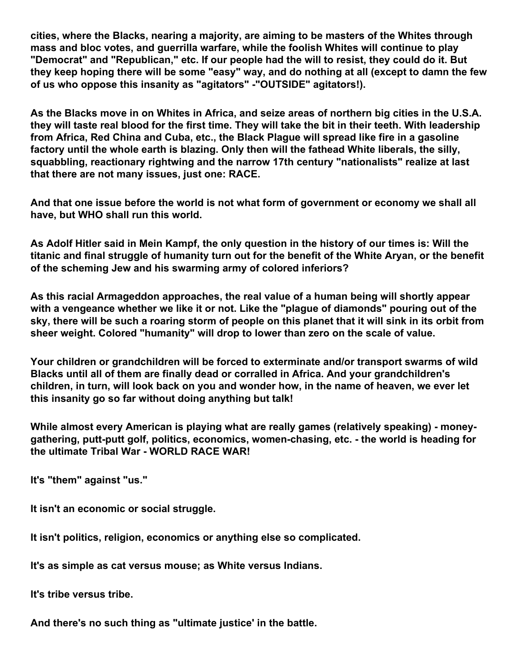**cities, where the Blacks, nearing a majority, are aiming to be masters of the Whites through mass and bloc votes, and guerrilla warfare, while the foolish Whites will continue to play "Democrat" and "Republican," etc. If our people had the will to resist, they could do it. But they keep hoping there will be some "easy" way, and do nothing at all (except to damn the few of us who oppose this insanity as "agitators" -"OUTSIDE" agitators!).**

**As the Blacks move in on Whites in Africa, and seize areas of northern big cities in the U.S.A. they will taste real blood for the first time. They will take the bit in their teeth. With leadership from Africa, Red China and Cuba, etc., the Black Plague will spread like fire in a gasoline factory until the whole earth is blazing. Only then will the fathead White liberals, the silly, squabbling, reactionary rightwing and the narrow 17th century "nationalists" realize at last that there are not many issues, just one: RACE.**

**And that one issue before the world is not what form of government or economy we shall all have, but WHO shall run this world.**

**As Adolf Hitler said in Mein Kampf, the only question in the history of our times is: Will the titanic and final struggle of humanity turn out for the benefit of the White Aryan, or the benefit of the scheming Jew and his swarming army of colored inferiors?**

**As this racial Armageddon approaches, the real value of a human being will shortly appear with a vengeance whether we like it or not. Like the "plague of diamonds" pouring out of the sky, there will be such a roaring storm of people on this planet that it will sink in its orbit from sheer weight. Colored "humanity" will drop to lower than zero on the scale of value.**

**Your children or grandchildren will be forced to exterminate and/or transport swarms of wild Blacks until all of them are finally dead or corralled in Africa. And your grandchildren's children, in turn, will look back on you and wonder how, in the name of heaven, we ever let this insanity go so far without doing anything but talk!**

**While almost every American is playing what are really games (relatively speaking) - moneygathering, putt-putt golf, politics, economics, women-chasing, etc. - the world is heading for the ultimate Tribal War - WORLD RACE WAR!**

**It's "them" against "us."**

**It isn't an economic or social struggle.**

**It isn't politics, religion, economics or anything else so complicated.**

**It's as simple as cat versus mouse; as White versus Indians.**

**It's tribe versus tribe.**

**And there's no such thing as "ultimate justice' in the battle.**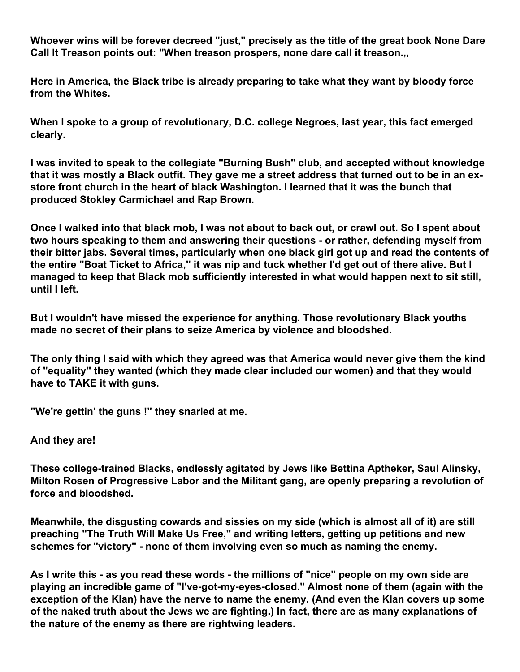**Whoever wins will be forever decreed "just," precisely as the title of the great book None Dare Call It Treason points out: "When treason prospers, none dare call it treason.,,**

**Here in America, the Black tribe is already preparing to take what they want by bloody force from the Whites.**

**When I spoke to a group of revolutionary, D.C. college Negroes, last year, this fact emerged clearly.**

**I was invited to speak to the collegiate "Burning Bush" club, and accepted without knowledge that it was mostly a Black outfit. They gave me a street address that turned out to be in an exstore front church in the heart of black Washington. I learned that it was the bunch that produced Stokley Carmichael and Rap Brown.**

**Once I walked into that black mob, I was not about to back out, or crawl out. So I spent about two hours speaking to them and answering their questions - or rather, defending myself from their bitter jabs. Several times, particularly when one black girl got up and read the contents of the entire "Boat Ticket to Africa," it was nip and tuck whether I'd get out of there alive. But I managed to keep that Black mob sufficiently interested in what would happen next to sit still, until I left.**

**But I wouldn't have missed the experience for anything. Those revolutionary Black youths made no secret of their plans to seize America by violence and bloodshed.**

**The only thing I said with which they agreed was that America would never give them the kind of "equality" they wanted (which they made clear included our women) and that they would have to TAKE it with guns.**

**"We're gettin' the guns !" they snarled at me.**

**And they are!**

**These college-trained Blacks, endlessly agitated by Jews like Bettina Aptheker, Saul Alinsky, Milton Rosen of Progressive Labor and the Militant gang, are openly preparing a revolution of force and bloodshed.**

**Meanwhile, the disgusting cowards and sissies on my side (which is almost all of it) are still preaching "The Truth Will Make Us Free," and writing letters, getting up petitions and new schemes for "victory" - none of them involving even so much as naming the enemy.**

**As I write this - as you read these words - the millions of "nice" people on my own side are playing an incredible game of "I've-got-my-eyes-closed." Almost none of them (again with the exception of the Klan) have the nerve to name the enemy. (And even the Klan covers up some of the naked truth about the Jews we are fighting.) In fact, there are as many explanations of the nature of the enemy as there are rightwing leaders.**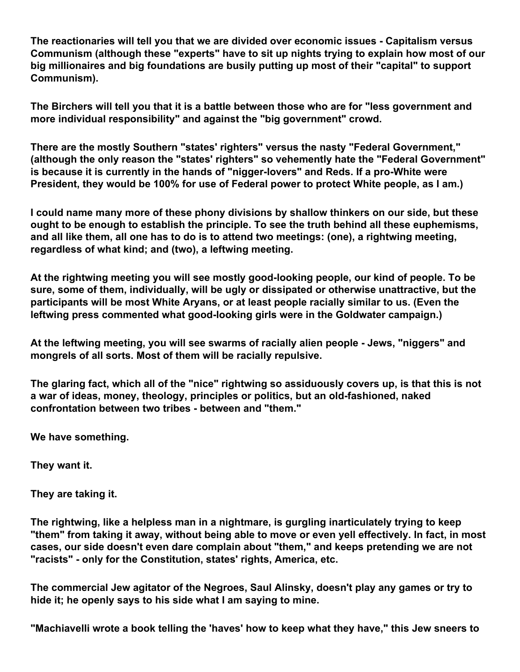**The reactionaries will tell you that we are divided over economic issues - Capitalism versus Communism (although these "experts" have to sit up nights trying to explain how most of our big millionaires and big foundations are busily putting up most of their "capital" to support Communism).**

**The Birchers will tell you that it is a battle between those who are for "less government and more individual responsibility" and against the "big government" crowd.**

**There are the mostly Southern "states' righters" versus the nasty "Federal Government," (although the only reason the "states' righters" so vehemently hate the "Federal Government" is because it is currently in the hands of "nigger-lovers" and Reds. If a pro-White were President, they would be 100% for use of Federal power to protect White people, as I am.)**

**I could name many more of these phony divisions by shallow thinkers on our side, but these ought to be enough to establish the principle. To see the truth behind all these euphemisms, and all like them, all one has to do is to attend two meetings: (one), a rightwing meeting, regardless of what kind; and (two), a leftwing meeting.**

**At the rightwing meeting you will see mostly good-looking people, our kind of people. To be sure, some of them, individually, will be ugly or dissipated or otherwise unattractive, but the participants will be most White Aryans, or at least people racially similar to us. (Even the leftwing press commented what good-looking girls were in the Goldwater campaign.)**

**At the leftwing meeting, you will see swarms of racially alien people - Jews, "niggers" and mongrels of all sorts. Most of them will be racially repulsive.**

**The glaring fact, which all of the "nice" rightwing so assiduously covers up, is that this is not a war of ideas, money, theology, principles or politics, but an old-fashioned, naked confrontation between two tribes - between and "them."**

**We have something.**

**They want it.**

**They are taking it.**

**The rightwing, like a helpless man in a nightmare, is gurgling inarticulately trying to keep "them" from taking it away, without being able to move or even yell effectively. In fact, in most cases, our side doesn't even dare complain about "them," and keeps pretending we are not "racists" - only for the Constitution, states' rights, America, etc.**

**The commercial Jew agitator of the Negroes, Saul Alinsky, doesn't play any games or try to hide it; he openly says to his side what I am saying to mine.**

**"Machiavelli wrote a book telling the 'haves' how to keep what they have," this Jew sneers to**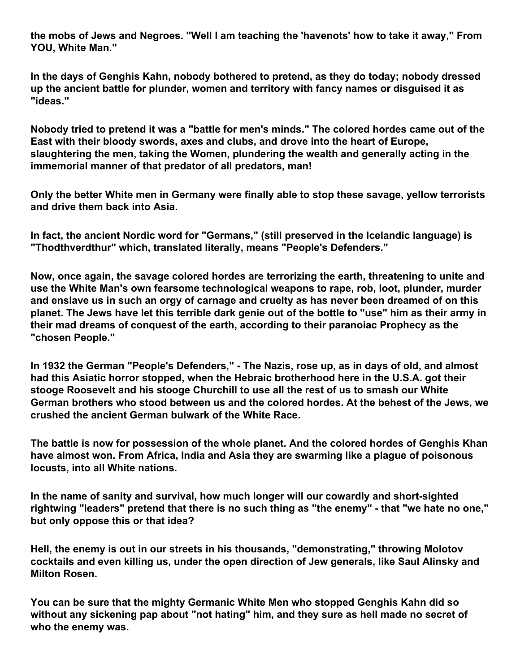**the mobs of Jews and Negroes. "Well I am teaching the 'havenots' how to take it away," From YOU, White Man."**

**In the days of Genghis Kahn, nobody bothered to pretend, as they do today; nobody dressed up the ancient battle for plunder, women and territory with fancy names or disguised it as "ideas."**

**Nobody tried to pretend it was a "battle for men's minds." The colored hordes came out of the East with their bloody swords, axes and clubs, and drove into the heart of Europe, slaughtering the men, taking the Women, plundering the wealth and generally acting in the immemorial manner of that predator of all predators, man!**

**Only the better White men in Germany were finally able to stop these savage, yellow terrorists and drive them back into Asia.**

**In fact, the ancient Nordic word for "Germans," (still preserved in the Icelandic language) is "Thodthverdthur" which, translated literally, means "People's Defenders."**

**Now, once again, the savage colored hordes are terrorizing the earth, threatening to unite and use the White Man's own fearsome technological weapons to rape, rob, loot, plunder, murder and enslave us in such an orgy of carnage and cruelty as has never been dreamed of on this planet. The Jews have let this terrible dark genie out of the bottle to "use" him as their army in their mad dreams of conquest of the earth, according to their paranoiac Prophecy as the "chosen People."**

**In 1932 the German "People's Defenders," - The Nazis, rose up, as in days of old, and almost had this Asiatic horror stopped, when the Hebraic brotherhood here in the U.S.A. got their stooge Roosevelt and his stooge Churchill to use all the rest of us to smash our White German brothers who stood between us and the colored hordes. At the behest of the Jews, we crushed the ancient German bulwark of the White Race.**

**The battle is now for possession of the whole planet. And the colored hordes of Genghis Khan have almost won. From Africa, India and Asia they are swarming like a plague of poisonous locusts, into all White nations.**

**In the name of sanity and survival, how much longer will our cowardly and short-sighted rightwing "leaders" pretend that there is no such thing as "the enemy" - that "we hate no one," but only oppose this or that idea?**

**Hell, the enemy is out in our streets in his thousands, "demonstrating,'' throwing Molotov cocktails and even killing us, under the open direction of Jew generals, like Saul Alinsky and Milton Rosen.**

**You can be sure that the mighty Germanic White Men who stopped Genghis Kahn did so without any sickening pap about "not hating" him, and they sure as hell made no secret of who the enemy was.**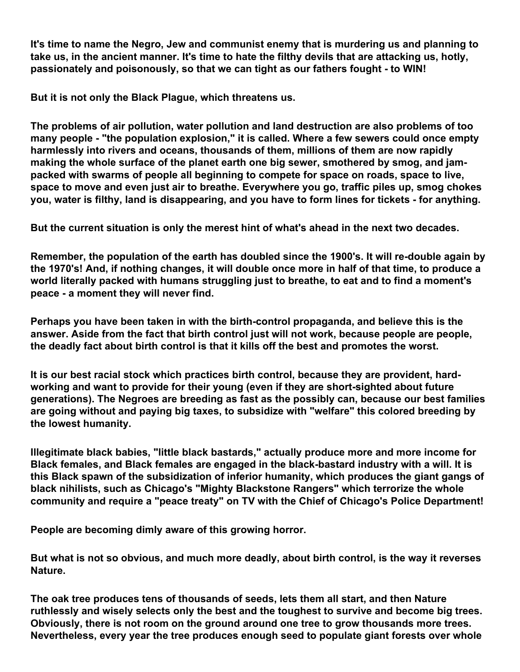**It's time to name the Negro, Jew and communist enemy that is murdering us and planning to take us, in the ancient manner. It's time to hate the filthy devils that are attacking us, hotly, passionately and poisonously, so that we can tight as our fathers fought - to WIN!**

**But it is not only the Black Plague, which threatens us.**

**The problems of air pollution, water pollution and land destruction are also problems of too many people - "the population explosion," it is called. Where a few sewers could once empty harmlessly into rivers and oceans, thousands of them, millions of them are now rapidly making the whole surface of the planet earth one big sewer, smothered by smog, and jampacked with swarms of people all beginning to compete for space on roads, space to live, space to move and even just air to breathe. Everywhere you go, traffic piles up, smog chokes you, water is filthy, land is disappearing, and you have to form lines for tickets - for anything.**

**But the current situation is only the merest hint of what's ahead in the next two decades.**

**Remember, the population of the earth has doubled since the 1900's. It will re-double again by the 1970's! And, if nothing changes, it will double once more in half of that time, to produce a world literally packed with humans struggling just to breathe, to eat and to find a moment's peace - a moment they will never find.**

**Perhaps you have been taken in with the birth-control propaganda, and believe this is the answer. Aside from the fact that birth control just will not work, because people are people, the deadly fact about birth control is that it kills off the best and promotes the worst.**

**It is our best racial stock which practices birth control, because they are provident, hardworking and want to provide for their young (even if they are short-sighted about future generations). The Negroes are breeding as fast as the possibly can, because our best families are going without and paying big taxes, to subsidize with "welfare" this colored breeding by the lowest humanity.**

**Illegitimate black babies, "little black bastards," actually produce more and more income for Black females, and Black females are engaged in the black-bastard industry with a will. It is this Black spawn of the subsidization of inferior humanity, which produces the giant gangs of black nihilists, such as Chicago's "Mighty Blackstone Rangers" which terrorize the whole community and require a "peace treaty" on TV with the Chief of Chicago's Police Department!**

**People are becoming dimly aware of this growing horror.**

**But what is not so obvious, and much more deadly, about birth control, is the way it reverses Nature.**

**The oak tree produces tens of thousands of seeds, lets them all start, and then Nature ruthlessly and wisely selects only the best and the toughest to survive and become big trees. Obviously, there is not room on the ground around one tree to grow thousands more trees. Nevertheless, every year the tree produces enough seed to populate giant forests over whole**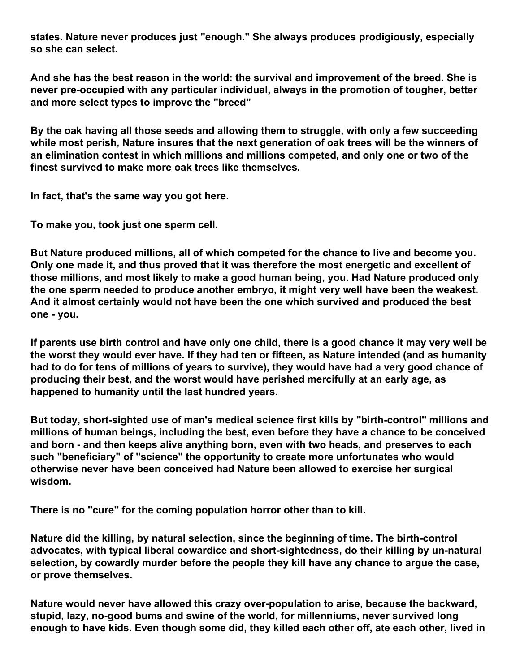**states. Nature never produces just "enough." She always produces prodigiously, especially so she can select.**

**And she has the best reason in the world: the survival and improvement of the breed. She is never pre-occupied with any particular individual, always in the promotion of tougher, better and more select types to improve the "breed"**

**By the oak having all those seeds and allowing them to struggle, with only a few succeeding while most perish, Nature insures that the next generation of oak trees will be the winners of an elimination contest in which millions and millions competed, and only one or two of the finest survived to make more oak trees like themselves.**

**In fact, that's the same way you got here.**

**To make you, took just one sperm cell.**

**But Nature produced millions, all of which competed for the chance to live and become you. Only one made it, and thus proved that it was therefore the most energetic and excellent of those millions, and most likely to make a good human being, you. Had Nature produced only the one sperm needed to produce another embryo, it might very well have been the weakest. And it almost certainly would not have been the one which survived and produced the best one - you.**

**If parents use birth control and have only one child, there is a good chance it may very well be the worst they would ever have. If they had ten or fifteen, as Nature intended (and as humanity had to do for tens of millions of years to survive), they would have had a very good chance of producing their best, and the worst would have perished mercifully at an early age, as happened to humanity until the last hundred years.**

**But today, short-sighted use of man's medical science first kills by "birth-control" millions and millions of human beings, including the best, even before they have a chance to be conceived and born - and then keeps alive anything born, even with two heads, and preserves to each such "beneficiary" of "science" the opportunity to create more unfortunates who would otherwise never have been conceived had Nature been allowed to exercise her surgical wisdom.**

**There is no "cure" for the coming population horror other than to kill.**

**Nature did the killing, by natural selection, since the beginning of time. The birth-control advocates, with typical liberal cowardice and short-sightedness, do their killing by un-natural selection, by cowardly murder before the people they kill have any chance to argue the case, or prove themselves.**

**Nature would never have allowed this crazy over-population to arise, because the backward, stupid, lazy, no-good bums and swine of the world, for millenniums, never survived long enough to have kids. Even though some did, they killed each other off, ate each other, lived in**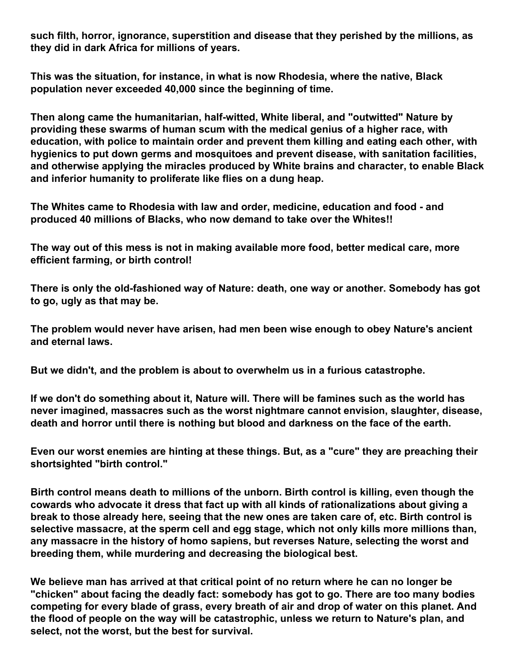**such filth, horror, ignorance, superstition and disease that they perished by the millions, as they did in dark Africa for millions of years.**

**This was the situation, for instance, in what is now Rhodesia, where the native, Black population never exceeded 40,000 since the beginning of time.**

**Then along came the humanitarian, half-witted, White liberal, and "outwitted" Nature by providing these swarms of human scum with the medical genius of a higher race, with education, with police to maintain order and prevent them killing and eating each other, with hygienics to put down germs and mosquitoes and prevent disease, with sanitation facilities, and otherwise applying the miracles produced by White brains and character, to enable Black and inferior humanity to proliferate like flies on a dung heap.**

**The Whites came to Rhodesia with law and order, medicine, education and food - and produced 40 millions of Blacks, who now demand to take over the Whites!!**

**The way out of this mess is not in making available more food, better medical care, more efficient farming, or birth control!**

**There is only the old-fashioned way of Nature: death, one way or another. Somebody has got to go, ugly as that may be.**

**The problem would never have arisen, had men been wise enough to obey Nature's ancient and eternal laws.**

**But we didn't, and the problem is about to overwhelm us in a furious catastrophe.**

**If we don't do something about it, Nature will. There will be famines such as the world has never imagined, massacres such as the worst nightmare cannot envision, slaughter, disease, death and horror until there is nothing but blood and darkness on the face of the earth.**

**Even our worst enemies are hinting at these things. But, as a "cure" they are preaching their shortsighted "birth control."**

**Birth control means death to millions of the unborn. Birth control is killing, even though the cowards who advocate it dress that fact up with all kinds of rationalizations about giving a break to those already here, seeing that the new ones are taken care of, etc. Birth control is selective massacre, at the sperm cell and egg stage, which not only kills more millions than, any massacre in the history of homo sapiens, but reverses Nature, selecting the worst and breeding them, while murdering and decreasing the biological best.**

**We believe man has arrived at that critical point of no return where he can no longer be "chicken" about facing the deadly fact: somebody has got to go. There are too many bodies competing for every blade of grass, every breath of air and drop of water on this planet. And the flood of people on the way will be catastrophic, unless we return to Nature's plan, and select, not the worst, but the best for survival.**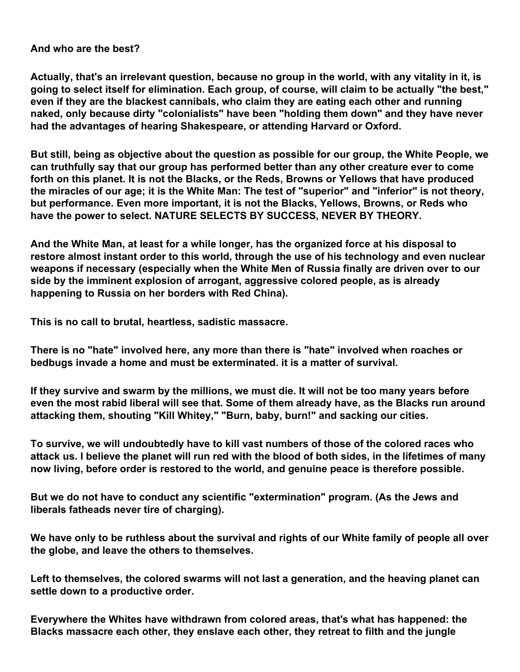## **And who are the best?**

**Actually, that's an irrelevant question, because no group in the world, with any vitality in it, is going to select itself for elimination. Each group, of course, will claim to be actually "the best," even if they are the blackest cannibals, who claim they are eating each other and running naked, only because dirty "colonialists" have been "holding them down" and they have never had the advantages of hearing Shakespeare, or attending Harvard or Oxford.**

**But still, being as objective about the question as possible for our group, the White People, we can truthfully say that our group has performed better than any other creature ever to come forth on this planet. It is not the Blacks, or the Reds, Browns or Yellows that have produced the miracles of our age; it is the White Man: The test of "superior" and "inferior" is not theory, but performance. Even more important, it is not the Blacks, Yellows, Browns, or Reds who have the power to select. NATURE SELECTS BY SUCCESS, NEVER BY THEORY.**

**And the White Man, at least for a while longer, has the organized force at his disposal to restore almost instant order to this world, through the use of his technology and even nuclear weapons if necessary (especially when the White Men of Russia finally are driven over to our side by the imminent explosion of arrogant, aggressive colored people, as is already happening to Russia on her borders with Red China).**

**This is no call to brutal, heartless, sadistic massacre.**

**There is no "hate" involved here, any more than there is "hate" involved when roaches or bedbugs invade a home and must be exterminated. it is a matter of survival.**

**If they survive and swarm by the millions, we must die. It will not be too many years before even the most rabid liberal will see that. Some of them already have, as the Blacks run around attacking them, shouting "Kill Whitey," "Burn, baby, burn!" and sacking our cities.**

**To survive, we will undoubtedly have to kill vast numbers of those of the colored races who attack us. I believe the planet will run red with the blood of both sides, in the lifetimes of many now living, before order is restored to the world, and genuine peace is therefore possible.**

**But we do not have to conduct any scientific "extermination" program. (As the Jews and liberals fatheads never tire of charging).**

**We have only to be ruthless about the survival and rights of our White family of people all over the globe, and leave the others to themselves.**

**Left to themselves, the colored swarms will not last a generation, and the heaving planet can settle down to a productive order.**

**Everywhere the Whites have withdrawn from colored areas, that's what has happened: the Blacks massacre each other, they enslave each other, they retreat to filth and the jungle**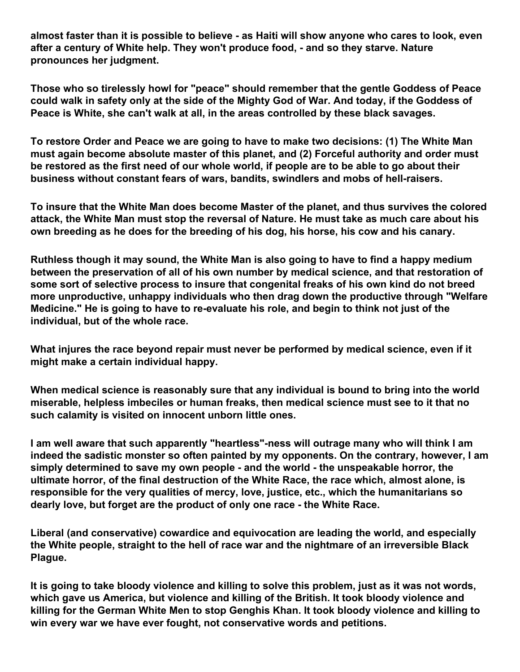**almost faster than it is possible to believe - as Haiti will show anyone who cares to look, even after a century of White help. They won't produce food, - and so they starve. Nature pronounces her judgment.**

**Those who so tirelessly howl for "peace" should remember that the gentle Goddess of Peace could walk in safety only at the side of the Mighty God of War. And today, if the Goddess of Peace is White, she can't walk at all, in the areas controlled by these black savages.**

**To restore Order and Peace we are going to have to make two decisions: (1) The White Man must again become absolute master of this planet, and (2) Forceful authority and order must be restored as the first need of our whole world, if people are to be able to go about their business without constant fears of wars, bandits, swindlers and mobs of hell-raisers.**

**To insure that the White Man does become Master of the planet, and thus survives the colored attack, the White Man must stop the reversal of Nature. He must take as much care about his own breeding as he does for the breeding of his dog, his horse, his cow and his canary.**

**Ruthless though it may sound, the White Man is also going to have to find a happy medium between the preservation of all of his own number by medical science, and that restoration of some sort of selective process to insure that congenital freaks of his own kind do not breed more unproductive, unhappy individuals who then drag down the productive through "Welfare Medicine." He is going to have to re-evaluate his role, and begin to think not just of the individual, but of the whole race.**

**What injures the race beyond repair must never be performed by medical science, even if it might make a certain individual happy.**

**When medical science is reasonably sure that any individual is bound to bring into the world miserable, helpless imbeciles or human freaks, then medical science must see to it that no such calamity is visited on innocent unborn little ones.**

**I am well aware that such apparently "heartless"-ness will outrage many who will think I am indeed the sadistic monster so often painted by my opponents. On the contrary, however, I am simply determined to save my own people - and the world - the unspeakable horror, the ultimate horror, of the final destruction of the White Race, the race which, almost alone, is responsible for the very qualities of mercy, love, justice, etc., which the humanitarians so dearly love, but forget are the product of only one race - the White Race.**

**Liberal (and conservative) cowardice and equivocation are leading the world, and especially the White people, straight to the hell of race war and the nightmare of an irreversible Black Plague.**

**It is going to take bloody violence and killing to solve this problem, just as it was not words, which gave us America, but violence and killing of the British. It took bloody violence and killing for the German White Men to stop Genghis Khan. It took bloody violence and killing to win every war we have ever fought, not conservative words and petitions.**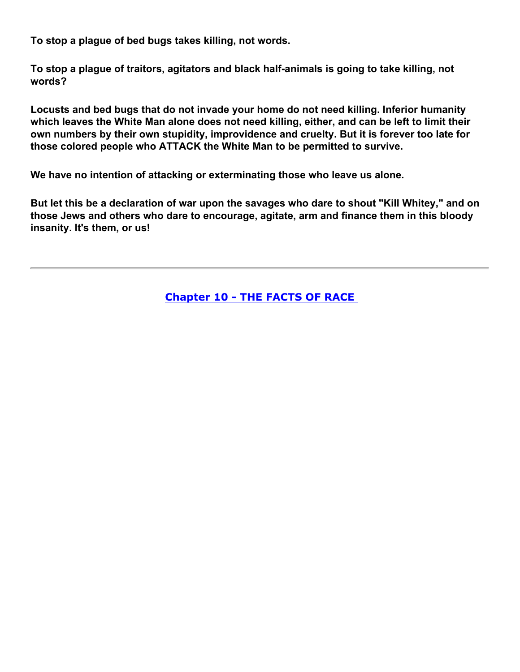**To stop a plague of bed bugs takes killing, not words.**

**To stop a plague of traitors, agitators and black half-animals is going to take killing, not words?**

**Locusts and bed bugs that do not invade your home do not need killing. Inferior humanity which leaves the White Man alone does not need killing, either, and can be left to limit their own numbers by their own stupidity, improvidence and cruelty. But it is forever too late for those colored people who ATTACK the White Man to be permitted to survive.**

**We have no intention of attacking or exterminating those who leave us alone.**

**But let this be a declaration of war upon the savages who dare to shout "Kill Whitey," and on those Jews and others who dare to encourage, agitate, arm and finance them in this bloody insanity. It's them, or us!**

**[Chapter 10 - THE FACTS OF RACE](#page-158-0)**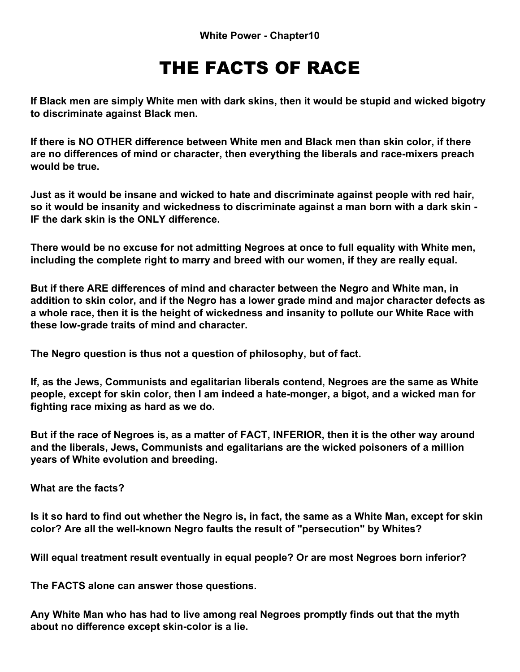## THE FACTS OF RACE

<span id="page-158-0"></span>**If Black men are simply White men with dark skins, then it would be stupid and wicked bigotry to discriminate against Black men.**

**If there is NO OTHER difference between White men and Black men than skin color, if there are no differences of mind or character, then everything the liberals and race-mixers preach would be true.**

**Just as it would be insane and wicked to hate and discriminate against people with red hair, so it would be insanity and wickedness to discriminate against a man born with a dark skin - IF the dark skin is the ONLY difference.**

**There would be no excuse for not admitting Negroes at once to full equality with White men, including the complete right to marry and breed with our women, if they are really equal.**

**But if there ARE differences of mind and character between the Negro and White man, in addition to skin color, and if the Negro has a lower grade mind and major character defects as a whole race, then it is the height of wickedness and insanity to pollute our White Race with these low-grade traits of mind and character.**

**The Negro question is thus not a question of philosophy, but of fact.**

**If, as the Jews, Communists and egalitarian liberals contend, Negroes are the same as White people, except for skin color, then I am indeed a hate-monger, a bigot, and a wicked man for fighting race mixing as hard as we do.**

**But if the race of Negroes is, as a matter of FACT, INFERIOR, then it is the other way around and the liberals, Jews, Communists and egalitarians are the wicked poisoners of a million years of White evolution and breeding.**

**What are the facts?**

**Is it so hard to find out whether the Negro is, in fact, the same as a White Man, except for skin color? Are all the well-known Negro faults the result of "persecution" by Whites?**

**Will equal treatment result eventually in equal people? Or are most Negroes born inferior?**

**The FACTS alone can answer those questions.**

**Any White Man who has had to live among real Negroes promptly finds out that the myth about no difference except skin-color is a lie.**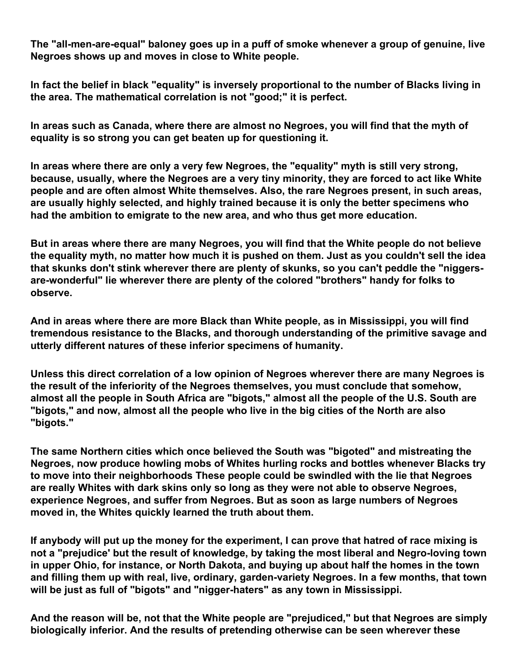**The "all-men-are-equal" baloney goes up in a puff of smoke whenever a group of genuine, live Negroes shows up and moves in close to White people.**

**In fact the belief in black "equality" is inversely proportional to the number of Blacks living in the area. The mathematical correlation is not "good;" it is perfect.**

**In areas such as Canada, where there are almost no Negroes, you will find that the myth of equality is so strong you can get beaten up for questioning it.**

**In areas where there are only a very few Negroes, the "equality" myth is still very strong, because, usually, where the Negroes are a very tiny minority, they are forced to act like White people and are often almost White themselves. Also, the rare Negroes present, in such areas, are usually highly selected, and highly trained because it is only the better specimens who had the ambition to emigrate to the new area, and who thus get more education.**

**But in areas where there are many Negroes, you will find that the White people do not believe the equality myth, no matter how much it is pushed on them. Just as you couldn't sell the idea that skunks don't stink wherever there are plenty of skunks, so you can't peddle the "niggersare-wonderful" lie wherever there are plenty of the colored "brothers" handy for folks to observe.**

**And in areas where there are more Black than White people, as in Mississippi, you will find tremendous resistance to the Blacks, and thorough understanding of the primitive savage and utterly different natures of these inferior specimens of humanity.**

**Unless this direct correlation of a low opinion of Negroes wherever there are many Negroes is the result of the inferiority of the Negroes themselves, you must conclude that somehow, almost all the people in South Africa are "bigots," almost all the people of the U.S. South are "bigots," and now, almost all the people who live in the big cities of the North are also "bigots."**

**The same Northern cities which once believed the South was "bigoted" and mistreating the Negroes, now produce howling mobs of Whites hurling rocks and bottles whenever Blacks try to move into their neighborhoods These people could be swindled with the lie that Negroes are really Whites with dark skins only so long as they were not able to observe Negroes, experience Negroes, and suffer from Negroes. But as soon as large numbers of Negroes moved in, the Whites quickly learned the truth about them.**

**If anybody will put up the money for the experiment, I can prove that hatred of race mixing is not a "prejudice' but the result of knowledge, by taking the most liberal and Negro-loving town in upper Ohio, for instance, or North Dakota, and buying up about half the homes in the town and filling them up with real, live, ordinary, garden-variety Negroes. In a few months, that town will be just as full of "bigots" and "nigger-haters" as any town in Mississippi.**

**And the reason will be, not that the White people are "prejudiced," but that Negroes are simply biologically inferior. And the results of pretending otherwise can be seen wherever these**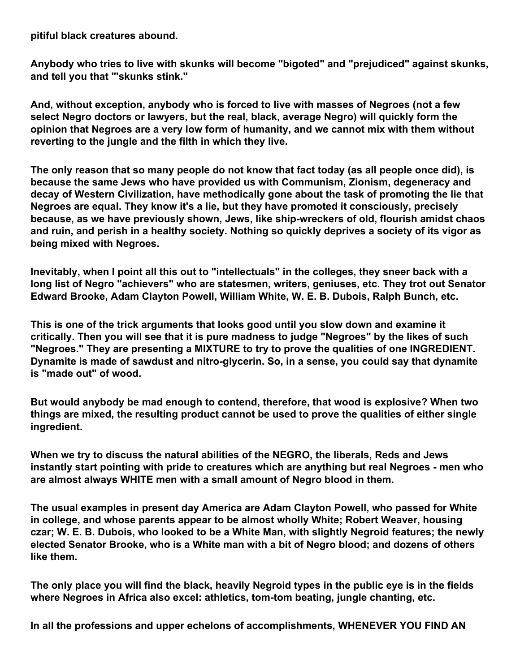**pitiful black creatures abound.**

**Anybody who tries to live with skunks will become "bigoted" and "prejudiced" against skunks, and tell you that "'skunks stink."**

**And, without exception, anybody who is forced to live with masses of Negroes (not a few select Negro doctors or lawyers, but the real, black, average Negro) will quickly form the opinion that Negroes are a very low form of humanity, and we cannot mix with them without reverting to the jungle and the filth in which they live.**

**The only reason that so many people do not know that fact today (as all people once did), is because the same Jews who have provided us with Communism, Zionism, degeneracy and decay of Western Civilization, have methodically gone about the task of promoting the lie that Negroes are equal. They know it's a lie, but they have promoted it consciously, precisely because, as we have previously shown, Jews, like ship-wreckers of old, flourish amidst chaos and ruin, and perish in a healthy society. Nothing so quickly deprives a society of its vigor as being mixed with Negroes.**

**Inevitably, when I point all this out to "intellectuals" in the colleges, they sneer back with a long list of Negro "achievers" who are statesmen, writers, geniuses, etc. They trot out Senator Edward Brooke, Adam Clayton Powell, William White, W. E. B. Dubois, Ralph Bunch, etc.**

**This is one of the trick arguments that looks good until you slow down and examine it critically. Then you will see that it is pure madness to judge "Negroes" by the likes of such "Negroes." They are presenting a MIXTURE to try to prove the qualities of one INGREDIENT. Dynamite is made of sawdust and nitro-glycerin. So, in a sense, you could say that dynamite is "made out" of wood.**

**But would anybody be mad enough to contend, therefore, that wood is explosive? When two things are mixed, the resulting product cannot be used to prove the qualities of either single ingredient.**

**When we try to discuss the natural abilities of the NEGRO, the liberals, Reds and Jews instantly start pointing with pride to creatures which are anything but real Negroes - men who are almost always WHITE men with a small amount of Negro blood in them.**

**The usual examples in present day America are Adam Clayton Powell, who passed for White in college, and whose parents appear to be almost wholly White; Robert Weaver, housing czar; W. E. B. Dubois, who looked to be a White Man, with slightly Negroid features; the newly elected Senator Brooke, who is a White man with a bit of Negro blood; and dozens of others like them.**

**The only place you will find the black, heavily Negroid types in the public eye is in the fields where Negroes in Africa also excel: athletics, tom-tom beating, jungle chanting, etc.**

**In all the professions and upper echelons of accomplishments, WHENEVER YOU FIND AN**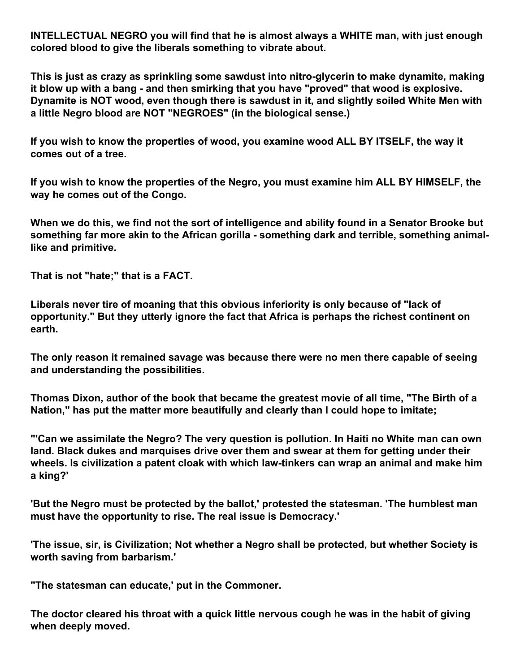**INTELLECTUAL NEGRO you will find that he is almost always a WHITE man, with just enough colored blood to give the liberals something to vibrate about.**

**This is just as crazy as sprinkling some sawdust into nitro-glycerin to make dynamite, making it blow up with a bang - and then smirking that you have "proved" that wood is explosive. Dynamite is NOT wood, even though there is sawdust in it, and slightly soiled White Men with a little Negro blood are NOT "NEGROES" (in the biological sense.)**

**If you wish to know the properties of wood, you examine wood ALL BY ITSELF, the way it comes out of a tree.**

**If you wish to know the properties of the Negro, you must examine him ALL BY HIMSELF, the way he comes out of the Congo.**

**When we do this, we find not the sort of intelligence and ability found in a Senator Brooke but something far more akin to the African gorilla - something dark and terrible, something animallike and primitive.**

**That is not "hate;" that is a FACT.**

**Liberals never tire of moaning that this obvious inferiority is only because of "lack of opportunity." But they utterly ignore the fact that Africa is perhaps the richest continent on earth.**

**The only reason it remained savage was because there were no men there capable of seeing and understanding the possibilities.**

**Thomas Dixon, author of the book that became the greatest movie of all time, "The Birth of a Nation," has put the matter more beautifully and clearly than I could hope to imitate;**

**"'Can we assimilate the Negro? The very question is pollution. In Haiti no White man can own land. Black dukes and marquises drive over them and swear at them for getting under their wheels. Is civilization a patent cloak with which law-tinkers can wrap an animal and make him a king?'**

**'But the Negro must be protected by the ballot,' protested the statesman. 'The humblest man must have the opportunity to rise. The real issue is Democracy.'**

**'The issue, sir, is Civilization; Not whether a Negro shall be protected, but whether Society is worth saving from barbarism.'**

**"The statesman can educate,' put in the Commoner.**

**The doctor cleared his throat with a quick little nervous cough he was in the habit of giving when deeply moved.**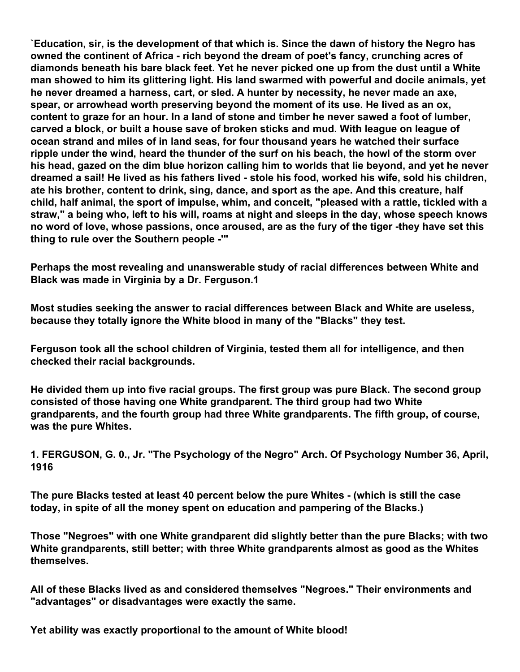**`Education, sir, is the development of that which is. Since the dawn of history the Negro has owned the continent of Africa - rich beyond the dream of poet's fancy, crunching acres of diamonds beneath his bare black feet. Yet he never picked one up from the dust until a White man showed to him its glittering light. His land swarmed with powerful and docile animals, yet he never dreamed a harness, cart, or sled. A hunter by necessity, he never made an axe, spear, or arrowhead worth preserving beyond the moment of its use. He lived as an ox, content to graze for an hour. In a land of stone and timber he never sawed a foot of lumber, carved a block, or built a house save of broken sticks and mud. With league on league of ocean strand and miles of in land seas, for four thousand years he watched their surface ripple under the wind, heard the thunder of the surf on his beach, the howl of the storm over his head, gazed on the dim blue horizon calling him to worlds that lie beyond, and yet he never dreamed a sail! He lived as his fathers lived - stole his food, worked his wife, sold his children, ate his brother, content to drink, sing, dance, and sport as the ape. And this creature, half child, half animal, the sport of impulse, whim, and conceit, "pleased with a rattle, tickled with a straw," a being who, left to his will, roams at night and sleeps in the day, whose speech knows no word of love, whose passions, once aroused, are as the fury of the tiger -they have set this thing to rule over the Southern people -'"**

**Perhaps the most revealing and unanswerable study of racial differences between White and Black was made in Virginia by a Dr. Ferguson.1**

**Most studies seeking the answer to racial differences between Black and White are useless, because they totally ignore the White blood in many of the "Blacks" they test.**

**Ferguson took all the school children of Virginia, tested them all for intelligence, and then checked their racial backgrounds.**

**He divided them up into five racial groups. The first group was pure Black. The second group consisted of those having one White grandparent. The third group had two White grandparents, and the fourth group had three White grandparents. The fifth group, of course, was the pure Whites.**

**1. FERGUSON, G. 0., Jr. "The Psychology of the Negro" Arch. Of Psychology Number 36, April, 1916**

**The pure Blacks tested at least 40 percent below the pure Whites - (which is still the case today, in spite of all the money spent on education and pampering of the Blacks.)**

**Those "Negroes" with one White grandparent did slightly better than the pure Blacks; with two White grandparents, still better; with three White grandparents almost as good as the Whites themselves.**

**All of these Blacks lived as and considered themselves "Negroes." Their environments and "advantages" or disadvantages were exactly the same.**

**Yet ability was exactly proportional to the amount of White blood!**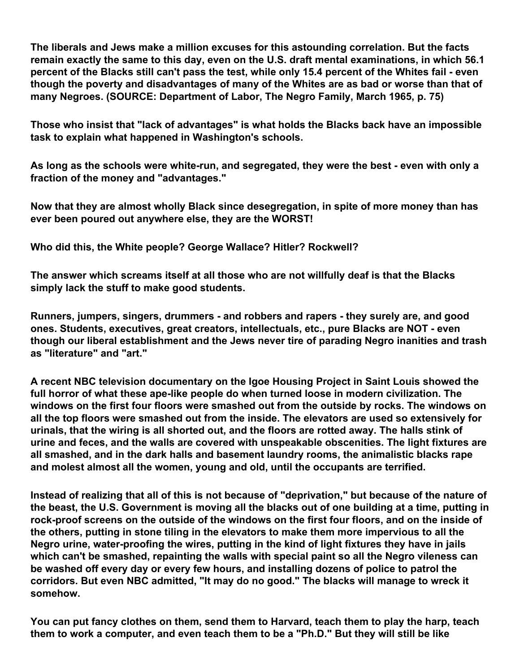**The liberals and Jews make a million excuses for this astounding correlation. But the facts remain exactly the same to this day, even on the U.S. draft mental examinations, in which 56.1 percent of the Blacks still can't pass the test, while only 15.4 percent of the Whites fail - even though the poverty and disadvantages of many of the Whites are as bad or worse than that of many Negroes. (SOURCE: Department of Labor, The Negro Family, March 1965, p. 75)**

**Those who insist that "lack of advantages" is what holds the Blacks back have an impossible task to explain what happened in Washington's schools.**

**As long as the schools were white-run, and segregated, they were the best - even with only a fraction of the money and "advantages."**

**Now that they are almost wholly Black since desegregation, in spite of more money than has ever been poured out anywhere else, they are the WORST!**

**Who did this, the White people? George Wallace? Hitler? Rockwell?**

**The answer which screams itself at all those who are not willfully deaf is that the Blacks simply lack the stuff to make good students.**

**Runners, jumpers, singers, drummers - and robbers and rapers - they surely are, and good ones. Students, executives, great creators, intellectuals, etc., pure Blacks are NOT - even though our liberal establishment and the Jews never tire of parading Negro inanities and trash as "literature" and "art."**

**A recent NBC television documentary on the Igoe Housing Project in Saint Louis showed the full horror of what these ape-like people do when turned loose in modern civilization. The windows on the first four floors were smashed out from the outside by rocks. The windows on all the top floors were smashed out from the inside. The elevators are used so extensively for urinals, that the wiring is all shorted out, and the floors are rotted away. The halls stink of urine and feces, and the walls are covered with unspeakable obscenities. The light fixtures are all smashed, and in the dark halls and basement laundry rooms, the animalistic blacks rape and molest almost all the women, young and old, until the occupants are terrified.**

**Instead of realizing that all of this is not because of "deprivation," but because of the nature of the beast, the U.S. Government is moving all the blacks out of one building at a time, putting in rock-proof screens on the outside of the windows on the first four floors, and on the inside of the others, putting in stone tiling in the elevators to make them more impervious to all the Negro urine, water-proofing the wires, putting in the kind of light fixtures they have in jails which can't be smashed, repainting the walls with special paint so all the Negro vileness can be washed off every day or every few hours, and installing dozens of police to patrol the corridors. But even NBC admitted, "It may do no good." The blacks will manage to wreck it somehow.**

**You can put fancy clothes on them, send them to Harvard, teach them to play the harp, teach them to work a computer, and even teach them to be a "Ph.D." But they will still be like**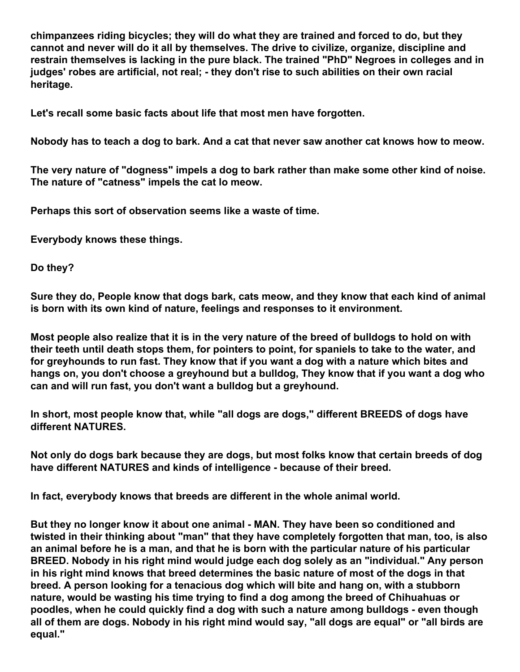**chimpanzees riding bicycles; they will do what they are trained and forced to do, but they cannot and never will do it all by themselves. The drive to civilize, organize, discipline and restrain themselves is lacking in the pure black. The trained "PhD" Negroes in colleges and in judges' robes are artificial, not real; - they don't rise to such abilities on their own racial heritage.**

**Let's recall some basic facts about life that most men have forgotten.**

**Nobody has to teach a dog to bark. And a cat that never saw another cat knows how to meow.**

**The very nature of "dogness" impels a dog to bark rather than make some other kind of noise. The nature of "catness" impels the cat lo meow.**

**Perhaps this sort of observation seems like a waste of time.**

**Everybody knows these things.**

**Do they?**

**Sure they do, People know that dogs bark, cats meow, and they know that each kind of animal is born with its own kind of nature, feelings and responses to it environment.**

**Most people also realize that it is in the very nature of the breed of bulldogs to hold on with their teeth until death stops them, for pointers to point, for spaniels to take to the water, and for greyhounds to run fast. They know that if you want a dog with a nature which bites and hangs on, you don't choose a greyhound but a bulldog, They know that if you want a dog who can and will run fast, you don't want a bulldog but a greyhound.**

**In short, most people know that, while "all dogs are dogs," different BREEDS of dogs have different NATURES.**

**Not only do dogs bark because they are dogs, but most folks know that certain breeds of dog have different NATURES and kinds of intelligence - because of their breed.**

**In fact, everybody knows that breeds are different in the whole animal world.**

**But they no longer know it about one animal - MAN. They have been so conditioned and twisted in their thinking about "man" that they have completely forgotten that man, too, is also an animal before he is a man, and that he is born with the particular nature of his particular BREED. Nobody in his right mind would judge each dog solely as an "individual." Any person in his right mind knows that breed determines the basic nature of most of the dogs in that breed. A person looking for a tenacious dog which will bite and hang on, with a stubborn nature, would be wasting his time trying to find a dog among the breed of Chihuahuas or poodles, when he could quickly find a dog with such a nature among bulldogs - even though all of them are dogs. Nobody in his right mind would say, "all dogs are equal" or "all birds are equal."**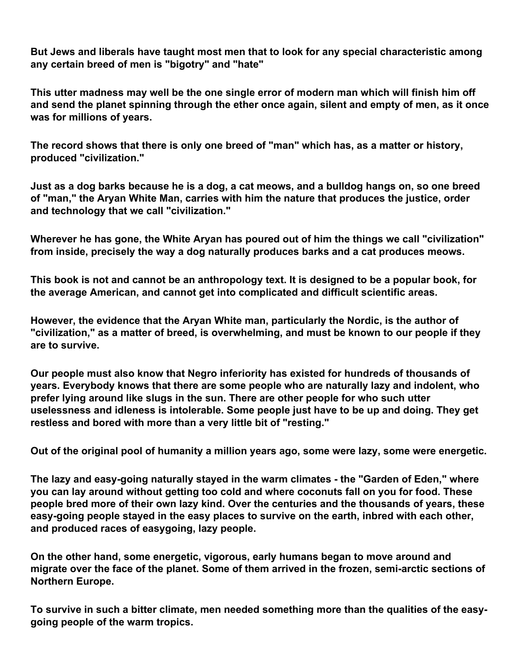**But Jews and liberals have taught most men that to look for any special characteristic among any certain breed of men is "bigotry" and "hate"**

**This utter madness may well be the one single error of modern man which will finish him off and send the planet spinning through the ether once again, silent and empty of men, as it once was for millions of years.**

**The record shows that there is only one breed of "man" which has, as a matter or history, produced "civilization."**

**Just as a dog barks because he is a dog, a cat meows, and a bulldog hangs on, so one breed of "man," the Aryan White Man, carries with him the nature that produces the justice, order and technology that we call "civilization."**

**Wherever he has gone, the White Aryan has poured out of him the things we call "civilization" from inside, precisely the way a dog naturally produces barks and a cat produces meows.**

**This book is not and cannot be an anthropology text. It is designed to be a popular book, for the average American, and cannot get into complicated and difficult scientific areas.**

**However, the evidence that the Aryan White man, particularly the Nordic, is the author of "civilization," as a matter of breed, is overwhelming, and must be known to our people if they are to survive.**

**Our people must also know that Negro inferiority has existed for hundreds of thousands of years. Everybody knows that there are some people who are naturally lazy and indolent, who prefer lying around like slugs in the sun. There are other people for who such utter uselessness and idleness is intolerable. Some people just have to be up and doing. They get restless and bored with more than a very little bit of "resting."**

**Out of the original pool of humanity a million years ago, some were lazy, some were energetic.**

**The lazy and easy-going naturally stayed in the warm climates - the "Garden of Eden," where you can lay around without getting too cold and where coconuts fall on you for food. These people bred more of their own lazy kind. Over the centuries and the thousands of years, these easy-going people stayed in the easy places to survive on the earth, inbred with each other, and produced races of easygoing, lazy people.**

**On the other hand, some energetic, vigorous, early humans began to move around and migrate over the face of the planet. Some of them arrived in the frozen, semi-arctic sections of Northern Europe.**

**To survive in such a bitter climate, men needed something more than the qualities of the easygoing people of the warm tropics.**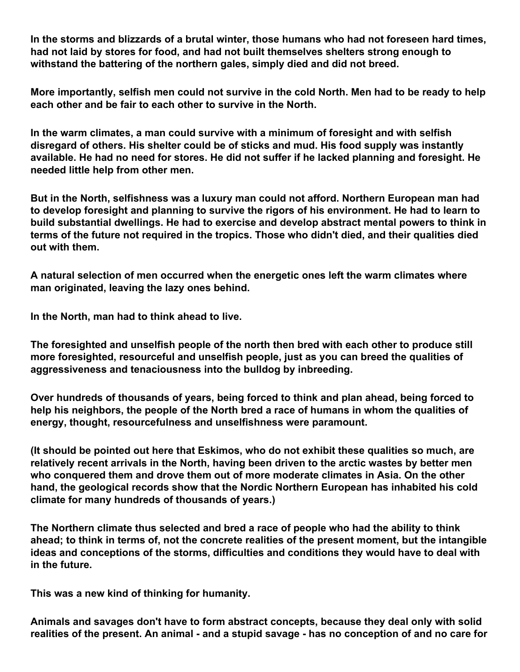**In the storms and blizzards of a brutal winter, those humans who had not foreseen hard times, had not laid by stores for food, and had not built themselves shelters strong enough to withstand the battering of the northern gales, simply died and did not breed.**

**More importantly, selfish men could not survive in the cold North. Men had to be ready to help each other and be fair to each other to survive in the North.**

**In the warm climates, a man could survive with a minimum of foresight and with selfish disregard of others. His shelter could be of sticks and mud. His food supply was instantly available. He had no need for stores. He did not suffer if he lacked planning and foresight. He needed little help from other men.**

**But in the North, selfishness was a luxury man could not afford. Northern European man had to develop foresight and planning to survive the rigors of his environment. He had to learn to build substantial dwellings. He had to exercise and develop abstract mental powers to think in terms of the future not required in the tropics. Those who didn't died, and their qualities died out with them.**

**A natural selection of men occurred when the energetic ones left the warm climates where man originated, leaving the lazy ones behind.**

**In the North, man had to think ahead to live.**

**The foresighted and unselfish people of the north then bred with each other to produce still more foresighted, resourceful and unselfish people, just as you can breed the qualities of aggressiveness and tenaciousness into the bulldog by inbreeding.**

**Over hundreds of thousands of years, being forced to think and plan ahead, being forced to help his neighbors, the people of the North bred a race of humans in whom the qualities of energy, thought, resourcefulness and unselfishness were paramount.**

**(It should be pointed out here that Eskimos, who do not exhibit these qualities so much, are relatively recent arrivals in the North, having been driven to the arctic wastes by better men who conquered them and drove them out of more moderate climates in Asia. On the other hand, the geological records show that the Nordic Northern European has inhabited his cold climate for many hundreds of thousands of years.)**

**The Northern climate thus selected and bred a race of people who had the ability to think ahead; to think in terms of, not the concrete realities of the present moment, but the intangible ideas and conceptions of the storms, difficulties and conditions they would have to deal with in the future.**

**This was a new kind of thinking for humanity.**

**Animals and savages don't have to form abstract concepts, because they deal only with solid realities of the present. An animal - and a stupid savage - has no conception of and no care for**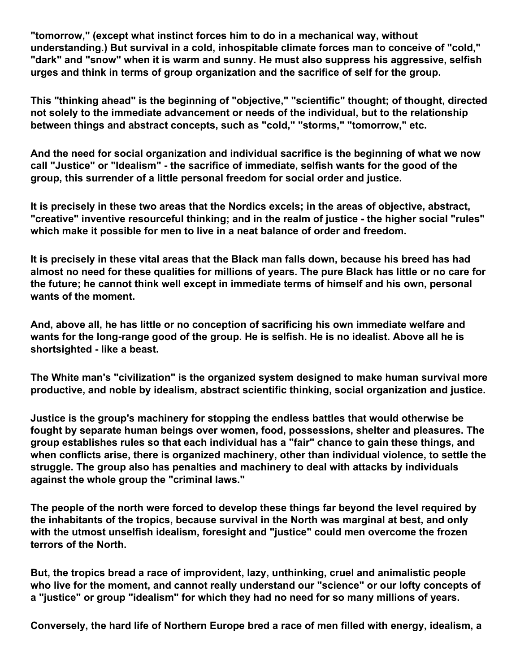**"tomorrow," (except what instinct forces him to do in a mechanical way, without understanding.) But survival in a cold, inhospitable climate forces man to conceive of "cold," "dark" and "snow" when it is warm and sunny. He must also suppress his aggressive, selfish urges and think in terms of group organization and the sacrifice of self for the group.**

**This "thinking ahead" is the beginning of "objective," "scientific" thought; of thought, directed not solely to the immediate advancement or needs of the individual, but to the relationship between things and abstract concepts, such as "cold," "storms," "tomorrow," etc.**

**And the need for social organization and individual sacrifice is the beginning of what we now call "Justice" or "Idealism" - the sacrifice of immediate, selfish wants for the good of the group, this surrender of a little personal freedom for social order and justice.**

**It is precisely in these two areas that the Nordics excels; in the areas of objective, abstract, "creative" inventive resourceful thinking; and in the realm of justice - the higher social "rules" which make it possible for men to live in a neat balance of order and freedom.**

**It is precisely in these vital areas that the Black man falls down, because his breed has had almost no need for these qualities for millions of years. The pure Black has little or no care for the future; he cannot think well except in immediate terms of himself and his own, personal wants of the moment.**

**And, above all, he has little or no conception of sacrificing his own immediate welfare and wants for the long-range good of the group. He is selfish. He is no idealist. Above all he is shortsighted - like a beast.**

**The White man's "civilization" is the organized system designed to make human survival more productive, and noble by idealism, abstract scientific thinking, social organization and justice.**

**Justice is the group's machinery for stopping the endless battles that would otherwise be fought by separate human beings over women, food, possessions, shelter and pleasures. The group establishes rules so that each individual has a "fair" chance to gain these things, and when conflicts arise, there is organized machinery, other than individual violence, to settle the struggle. The group also has penalties and machinery to deal with attacks by individuals against the whole group the "criminal laws."**

**The people of the north were forced to develop these things far beyond the level required by the inhabitants of the tropics, because survival in the North was marginal at best, and only with the utmost unselfish idealism, foresight and "justice" could men overcome the frozen terrors of the North.**

**But, the tropics bread a race of improvident, lazy, unthinking, cruel and animalistic people who live for the moment, and cannot really understand our "science" or our lofty concepts of a "justice" or group "idealism" for which they had no need for so many millions of years.**

**Conversely, the hard life of Northern Europe bred a race of men filled with energy, idealism, a**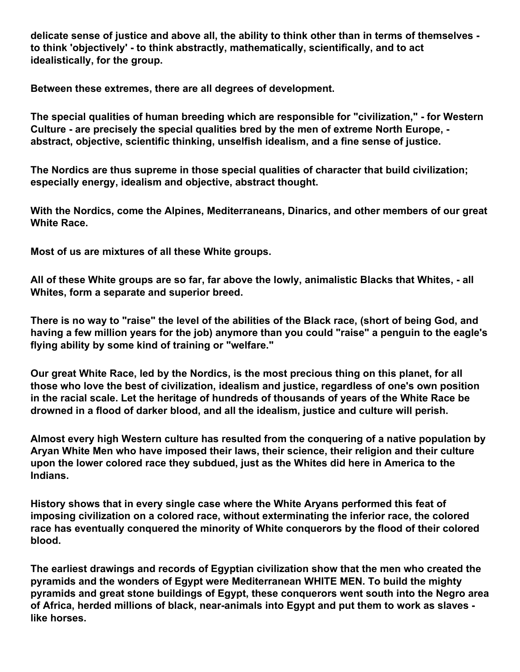**delicate sense of justice and above all, the ability to think other than in terms of themselves to think 'objectively' - to think abstractly, mathematically, scientifically, and to act idealistically, for the group.**

**Between these extremes, there are all degrees of development.**

**The special qualities of human breeding which are responsible for "civilization," - for Western Culture - are precisely the special qualities bred by the men of extreme North Europe, abstract, objective, scientific thinking, unselfish idealism, and a fine sense of justice.**

**The Nordics are thus supreme in those special qualities of character that build civilization; especially energy, idealism and objective, abstract thought.**

**With the Nordics, come the Alpines, Mediterraneans, Dinarics, and other members of our great White Race.**

**Most of us are mixtures of all these White groups.**

**All of these White groups are so far, far above the lowly, animalistic Blacks that Whites, - all Whites, form a separate and superior breed.**

**There is no way to "raise" the level of the abilities of the Black race, (short of being God, and having a few million years for the job) anymore than you could "raise" a penguin to the eagle's flying ability by some kind of training or "welfare."**

**Our great White Race, led by the Nordics, is the most precious thing on this planet, for all those who love the best of civilization, idealism and justice, regardless of one's own position in the racial scale. Let the heritage of hundreds of thousands of years of the White Race be drowned in a flood of darker blood, and all the idealism, justice and culture will perish.**

**Almost every high Western culture has resulted from the conquering of a native population by Aryan White Men who have imposed their laws, their science, their religion and their culture upon the lower colored race they subdued, just as the Whites did here in America to the Indians.**

**History shows that in every single case where the White Aryans performed this feat of imposing civilization on a colored race, without exterminating the inferior race, the colored race has eventually conquered the minority of White conquerors by the flood of their colored blood.**

**The earliest drawings and records of Egyptian civilization show that the men who created the pyramids and the wonders of Egypt were Mediterranean WHITE MEN. To build the mighty pyramids and great stone buildings of Egypt, these conquerors went south into the Negro area of Africa, herded millions of black, near-animals into Egypt and put them to work as slaves like horses.**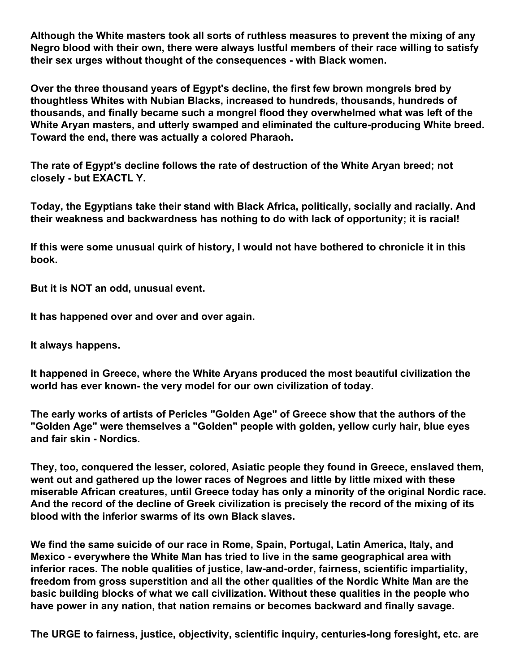**Although the White masters took all sorts of ruthless measures to prevent the mixing of any Negro blood with their own, there were always lustful members of their race willing to satisfy their sex urges without thought of the consequences - with Black women.**

**Over the three thousand years of Egypt's decline, the first few brown mongrels bred by thoughtless Whites with Nubian Blacks, increased to hundreds, thousands, hundreds of thousands, and finally became such a mongrel flood they overwhelmed what was left of the White Aryan masters, and utterly swamped and eliminated the culture-producing White breed. Toward the end, there was actually a colored Pharaoh.**

**The rate of Egypt's decline follows the rate of destruction of the White Aryan breed; not closely - but EXACTL Y.**

**Today, the Egyptians take their stand with Black Africa, politically, socially and racially. And their weakness and backwardness has nothing to do with lack of opportunity; it is racial!**

**If this were some unusual quirk of history, I would not have bothered to chronicle it in this book.**

**But it is NOT an odd, unusual event.**

**It has happened over and over and over again.**

**It always happens.**

**It happened in Greece, where the White Aryans produced the most beautiful civilization the world has ever known- the very model for our own civilization of today.**

**The early works of artists of Pericles "Golden Age" of Greece show that the authors of the "Golden Age" were themselves a "Golden" people with golden, yellow curly hair, blue eyes and fair skin - Nordics.**

**They, too, conquered the lesser, colored, Asiatic people they found in Greece, enslaved them, went out and gathered up the lower races of Negroes and little by little mixed with these miserable African creatures, until Greece today has only a minority of the original Nordic race. And the record of the decline of Greek civilization is precisely the record of the mixing of its blood with the inferior swarms of its own Black slaves.**

**We find the same suicide of our race in Rome, Spain, Portugal, Latin America, Italy, and Mexico - everywhere the White Man has tried to live in the same geographical area with inferior races. The noble qualities of justice, law-and-order, fairness, scientific impartiality, freedom from gross superstition and all the other qualities of the Nordic White Man are the basic building blocks of what we call civilization. Without these qualities in the people who have power in any nation, that nation remains or becomes backward and finally savage.**

**The URGE to fairness, justice, objectivity, scientific inquiry, centuries-long foresight, etc. are**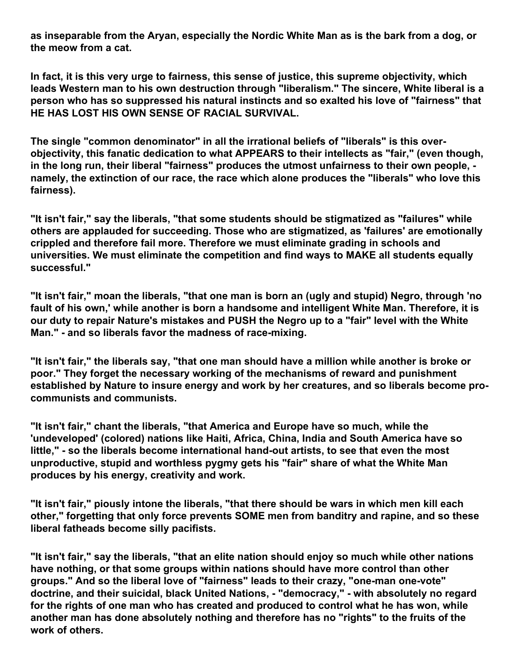**as inseparable from the Aryan, especially the Nordic White Man as is the bark from a dog, or the meow from a cat.**

**In fact, it is this very urge to fairness, this sense of justice, this supreme objectivity, which leads Western man to his own destruction through "liberalism." The sincere, White liberal is a person who has so suppressed his natural instincts and so exalted his love of "fairness" that HE HAS LOST HIS OWN SENSE OF RACIAL SURVIVAL.**

**The single "common denominator" in all the irrational beliefs of "liberals" is this overobjectivity, this fanatic dedication to what APPEARS to their intellects as "fair," (even though, in the long run, their liberal "fairness" produces the utmost unfairness to their own people, namely, the extinction of our race, the race which alone produces the "liberals" who love this fairness).**

**"It isn't fair," say the liberals, "that some students should be stigmatized as "failures" while others are applauded for succeeding. Those who are stigmatized, as 'failures' are emotionally crippled and therefore fail more. Therefore we must eliminate grading in schools and universities. We must eliminate the competition and find ways to MAKE all students equally successful."**

**"It isn't fair," moan the liberals, "that one man is born an (ugly and stupid) Negro, through 'no fault of his own,' while another is born a handsome and intelligent White Man. Therefore, it is our duty to repair Nature's mistakes and PUSH the Negro up to a "fair" level with the White Man." - and so liberals favor the madness of race-mixing.**

**"It isn't fair," the liberals say, "that one man should have a million while another is broke or poor." They forget the necessary working of the mechanisms of reward and punishment established by Nature to insure energy and work by her creatures, and so liberals become procommunists and communists.**

**"It isn't fair," chant the liberals, "that America and Europe have so much, while the 'undeveloped' (colored) nations like Haiti, Africa, China, India and South America have so little," - so the liberals become international hand-out artists, to see that even the most unproductive, stupid and worthless pygmy gets his "fair" share of what the White Man produces by his energy, creativity and work.**

**"It isn't fair," piously intone the liberals, "that there should be wars in which men kill each other," forgetting that only force prevents SOME men from banditry and rapine, and so these liberal fatheads become silly pacifists.**

**"It isn't fair," say the liberals, "that an elite nation should enjoy so much while other nations have nothing, or that some groups within nations should have more control than other groups." And so the liberal love of "fairness" leads to their crazy, "one-man one-vote" doctrine, and their suicidal, black United Nations, - "democracy," - with absolutely no regard for the rights of one man who has created and produced to control what he has won, while another man has done absolutely nothing and therefore has no "rights" to the fruits of the work of others.**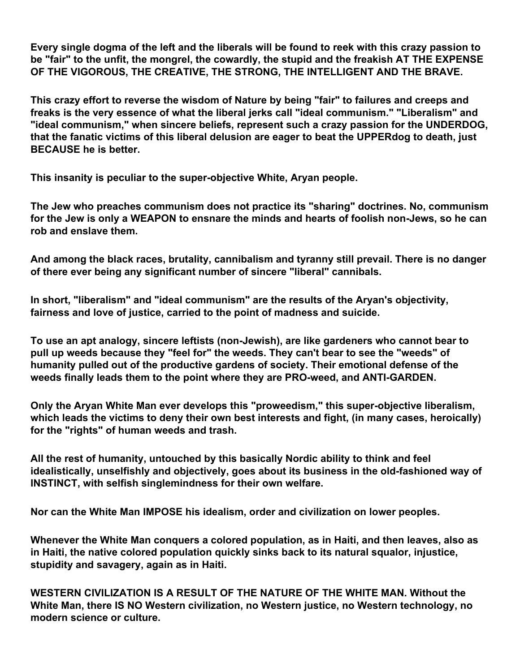**Every single dogma of the left and the liberals will be found to reek with this crazy passion to be "fair" to the unfit, the mongrel, the cowardly, the stupid and the freakish AT THE EXPENSE OF THE VIGOROUS, THE CREATIVE, THE STRONG, THE INTELLIGENT AND THE BRAVE.**

**This crazy effort to reverse the wisdom of Nature by being "fair" to failures and creeps and freaks is the very essence of what the liberal jerks call "ideal communism." "Liberalism" and "ideal communism," when sincere beliefs, represent such a crazy passion for the UNDERDOG, that the fanatic victims of this liberal delusion are eager to beat the UPPERdog to death, just BECAUSE he is better.**

**This insanity is peculiar to the super-objective White, Aryan people.**

**The Jew who preaches communism does not practice its "sharing" doctrines. No, communism for the Jew is only a WEAPON to ensnare the minds and hearts of foolish non-Jews, so he can rob and enslave them.**

**And among the black races, brutality, cannibalism and tyranny still prevail. There is no danger of there ever being any significant number of sincere "liberal" cannibals.**

**In short, "liberalism" and "ideal communism" are the results of the Aryan's objectivity, fairness and love of justice, carried to the point of madness and suicide.**

**To use an apt analogy, sincere leftists (non-Jewish), are like gardeners who cannot bear to pull up weeds because they "feel for" the weeds. They can't bear to see the "weeds" of humanity pulled out of the productive gardens of society. Their emotional defense of the weeds finally leads them to the point where they are PRO-weed, and ANTI-GARDEN.**

**Only the Aryan White Man ever develops this "proweedism," this super-objective liberalism, which leads the victims to deny their own best interests and fight, (in many cases, heroically) for the "rights" of human weeds and trash.**

**All the rest of humanity, untouched by this basically Nordic ability to think and feel idealistically, unselfishly and objectively, goes about its business in the old-fashioned way of INSTINCT, with selfish singlemindness for their own welfare.**

**Nor can the White Man IMPOSE his idealism, order and civilization on lower peoples.**

**Whenever the White Man conquers a colored population, as in Haiti, and then leaves, also as in Haiti, the native colored population quickly sinks back to its natural squalor, injustice, stupidity and savagery, again as in Haiti.**

**WESTERN CIVILIZATION IS A RESULT OF THE NATURE OF THE WHITE MAN. Without the White Man, there IS NO Western civilization, no Western justice, no Western technology, no modern science or culture.**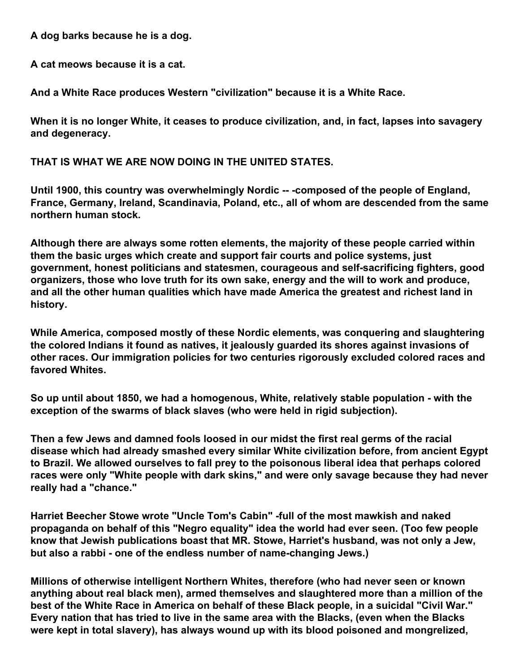**A dog barks because he is a dog.**

**A cat meows because it is a cat.**

**And a White Race produces Western "civilization" because it is a White Race.**

**When it is no longer White, it ceases to produce civilization, and, in fact, lapses into savagery and degeneracy.**

**THAT IS WHAT WE ARE NOW DOING IN THE UNITED STATES.**

**Until 1900, this country was overwhelmingly Nordic -- -composed of the people of England, France, Germany, Ireland, Scandinavia, Poland, etc., all of whom are descended from the same northern human stock.**

**Although there are always some rotten elements, the majority of these people carried within them the basic urges which create and support fair courts and police systems, just government, honest politicians and statesmen, courageous and self-sacrificing fighters, good organizers, those who love truth for its own sake, energy and the will to work and produce, and all the other human qualities which have made America the greatest and richest land in history.**

**While America, composed mostly of these Nordic elements, was conquering and slaughtering the colored Indians it found as natives, it jealously guarded its shores against invasions of other races. Our immigration policies for two centuries rigorously excluded colored races and favored Whites.**

**So up until about 1850, we had a homogenous, White, relatively stable population - with the exception of the swarms of black slaves (who were held in rigid subjection).**

**Then a few Jews and damned fools loosed in our midst the first real germs of the racial disease which had already smashed every similar White civilization before, from ancient Egypt to Brazil. We allowed ourselves to fall prey to the poisonous liberal idea that perhaps colored races were only "White people with dark skins," and were only savage because they had never really had a "chance."**

**Harriet Beecher Stowe wrote "Uncle Tom's Cabin" -full of the most mawkish and naked propaganda on behalf of this "Negro equality" idea the world had ever seen. (Too few people know that Jewish publications boast that MR. Stowe, Harriet's husband, was not only a Jew, but also a rabbi - one of the endless number of name-changing Jews.)**

**Millions of otherwise intelligent Northern Whites, therefore (who had never seen or known anything about real black men), armed themselves and slaughtered more than a million of the best of the White Race in America on behalf of these Black people, in a suicidal "Civil War." Every nation that has tried to live in the same area with the Blacks, (even when the Blacks were kept in total slavery), has always wound up with its blood poisoned and mongrelized,**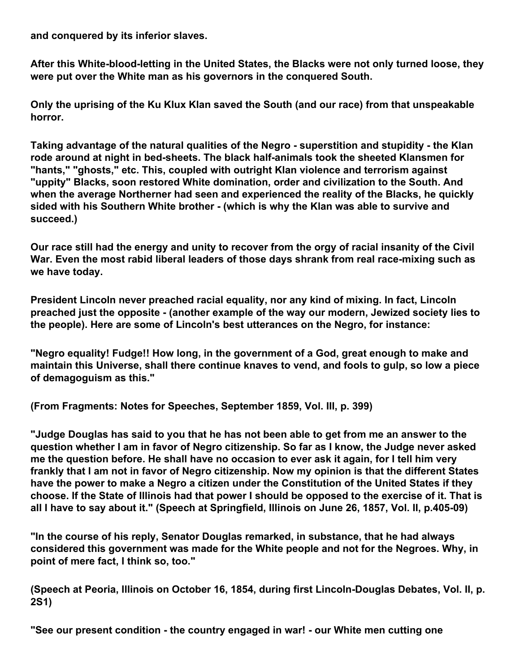**and conquered by its inferior slaves.**

**After this White-blood-letting in the United States, the Blacks were not only turned loose, they were put over the White man as his governors in the conquered South.**

**Only the uprising of the Ku Klux Klan saved the South (and our race) from that unspeakable horror.**

**Taking advantage of the natural qualities of the Negro - superstition and stupidity - the Klan rode around at night in bed-sheets. The black half-animals took the sheeted Klansmen for "hants," "ghosts," etc. This, coupled with outright Klan violence and terrorism against "uppity" Blacks, soon restored White domination, order and civilization to the South. And when the average Northerner had seen and experienced the reality of the Blacks, he quickly sided with his Southern White brother - (which is why the Klan was able to survive and succeed.)**

**Our race still had the energy and unity to recover from the orgy of racial insanity of the Civil War. Even the most rabid liberal leaders of those days shrank from real race-mixing such as we have today.**

**President Lincoln never preached racial equality, nor any kind of mixing. In fact, Lincoln preached just the opposite - (another example of the way our modern, Jewized society lies to the people). Here are some of Lincoln's best utterances on the Negro, for instance:**

**"Negro equality! Fudge!! How long, in the government of a God, great enough to make and maintain this Universe, shall there continue knaves to vend, and fools to gulp, so low a piece of demagoguism as this."**

**(From Fragments: Notes for Speeches, September 1859, Vol. III, p. 399)**

**"Judge Douglas has said to you that he has not been able to get from me an answer to the question whether I am in favor of Negro citizenship. So far as I know, the Judge never asked me the question before. He shall have no occasion to ever ask it again, for I tell him very frankly that I am not in favor of Negro citizenship. Now my opinion is that the different States have the power to make a Negro a citizen under the Constitution of the United States if they choose. If the State of Illinois had that power I should be opposed to the exercise of it. That is all I have to say about it." (Speech at Springfield, Illinois on June 26, 1857, Vol. II, p.405-09)**

**"In the course of his reply, Senator Douglas remarked, in substance, that he had always considered this government was made for the White people and not for the Negroes. Why, in point of mere fact, I think so, too."**

**(Speech at Peoria, Illinois on October 16, 1854, during first Lincoln-Douglas Debates, Vol. II, p. 2S1)**

**"See our present condition - the country engaged in war! - our White men cutting one**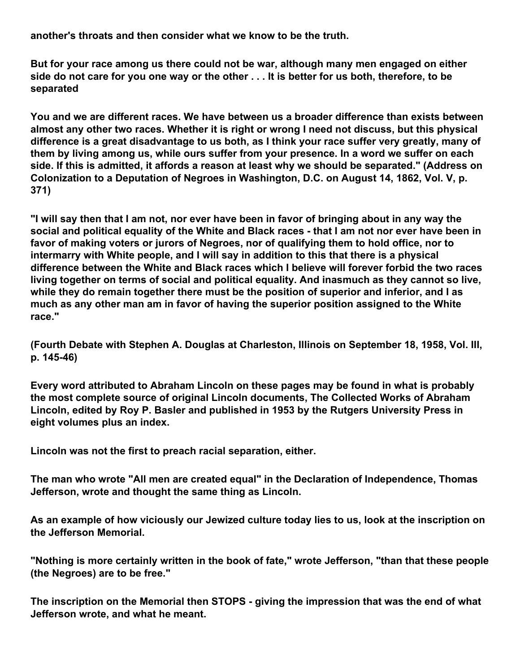**another's throats and then consider what we know to be the truth.**

**But for your race among us there could not be war, although many men engaged on either side do not care for you one way or the other . . . It is better for us both, therefore, to be separated**

**You and we are different races. We have between us a broader difference than exists between almost any other two races. Whether it is right or wrong I need not discuss, but this physical difference is a great disadvantage to us both, as I think your race suffer very greatly, many of them by living among us, while ours suffer from your presence. In a word we suffer on each side. If this is admitted, it affords a reason at least why we should be separated." (Address on Colonization to a Deputation of Negroes in Washington, D.C. on August 14, 1862, Vol. V, p. 371)**

**"I will say then that I am not, nor ever have been in favor of bringing about in any way the social and political equality of the White and Black races - that I am not nor ever have been in favor of making voters or jurors of Negroes, nor of qualifying them to hold office, nor to intermarry with White people, and I will say in addition to this that there is a physical difference between the White and Black races which I believe will forever forbid the two races living together on terms of social and political equality. And inasmuch as they cannot so live, while they do remain together there must be the position of superior and inferior, and I as much as any other man am in favor of having the superior position assigned to the White race."**

**(Fourth Debate with Stephen A. Douglas at Charleston, Illinois on September 18, 1958, Vol. III, p. 145-46)**

**Every word attributed to Abraham Lincoln on these pages may be found in what is probably the most complete source of original Lincoln documents, The Collected Works of Abraham Lincoln, edited by Roy P. Basler and published in 1953 by the Rutgers University Press in eight volumes plus an index.**

**Lincoln was not the first to preach racial separation, either.**

**The man who wrote "All men are created equal" in the Declaration of Independence, Thomas Jefferson, wrote and thought the same thing as Lincoln.**

**As an example of how viciously our Jewized culture today lies to us, look at the inscription on the Jefferson Memorial.**

**"Nothing is more certainly written in the book of fate," wrote Jefferson, "than that these people (the Negroes) are to be free."**

**The inscription on the Memorial then STOPS - giving the impression that was the end of what Jefferson wrote, and what he meant.**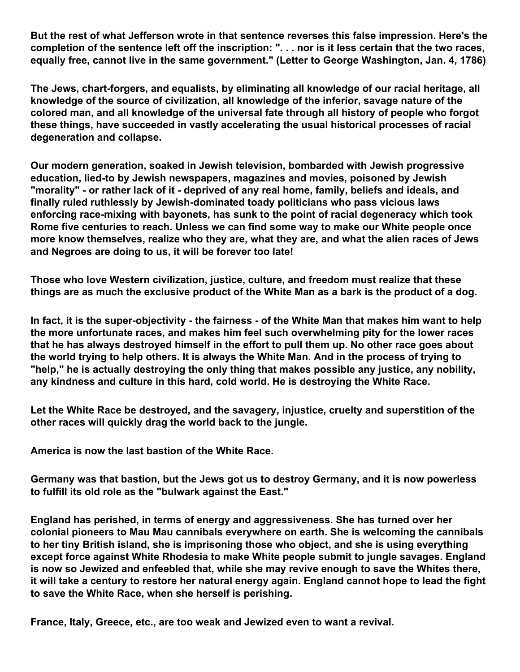**But the rest of what Jefferson wrote in that sentence reverses this false impression. Here's the completion of the sentence left off the inscription: ". . . nor is it less certain that the two races, equally free, cannot live in the same government." (Letter to George Washington, Jan. 4, 1786)**

**The Jews, chart-forgers, and equalists, by eliminating all knowledge of our racial heritage, all knowledge of the source of civilization, all knowledge of the inferior, savage nature of the colored man, and all knowledge of the universal fate through all history of people who forgot these things, have succeeded in vastly accelerating the usual historical processes of racial degeneration and collapse.**

**Our modern generation, soaked in Jewish television, bombarded with Jewish progressive education, lied-to by Jewish newspapers, magazines and movies, poisoned by Jewish "morality" - or rather lack of it - deprived of any real home, family, beliefs and ideals, and finally ruled ruthlessly by Jewish-dominated toady politicians who pass vicious laws enforcing race-mixing with bayonets, has sunk to the point of racial degeneracy which took Rome five centuries to reach. Unless we can find some way to make our White people once more know themselves, realize who they are, what they are, and what the alien races of Jews and Negroes are doing to us, it will be forever too late!**

**Those who love Western civilization, justice, culture, and freedom must realize that these things are as much the exclusive product of the White Man as a bark is the product of a dog.**

**In fact, it is the super-objectivity - the fairness - of the White Man that makes him want to help the more unfortunate races, and makes him feel such overwhelming pity for the lower races that he has always destroyed himself in the effort to pull them up. No other race goes about the world trying to help others. It is always the White Man. And in the process of trying to "help," he is actually destroying the only thing that makes possible any justice, any nobility, any kindness and culture in this hard, cold world. He is destroying the White Race.**

**Let the White Race be destroyed, and the savagery, injustice, cruelty and superstition of the other races will quickly drag the world back to the jungle.**

**America is now the last bastion of the White Race.**

**Germany was that bastion, but the Jews got us to destroy Germany, and it is now powerless to fulfill its old role as the "bulwark against the East."**

**England has perished, in terms of energy and aggressiveness. She has turned over her colonial pioneers to Mau Mau cannibals everywhere on earth. She is welcoming the cannibals to her tiny British island, she is imprisoning those who object, and she is using everything except force against White Rhodesia to make White people submit to jungle savages. England is now so Jewized and enfeebled that, while she may revive enough to save the Whites there, it will take a century to restore her natural energy again. England cannot hope to lead the fight to save the White Race, when she herself is perishing.**

**France, Italy, Greece, etc., are too weak and Jewized even to want a revival.**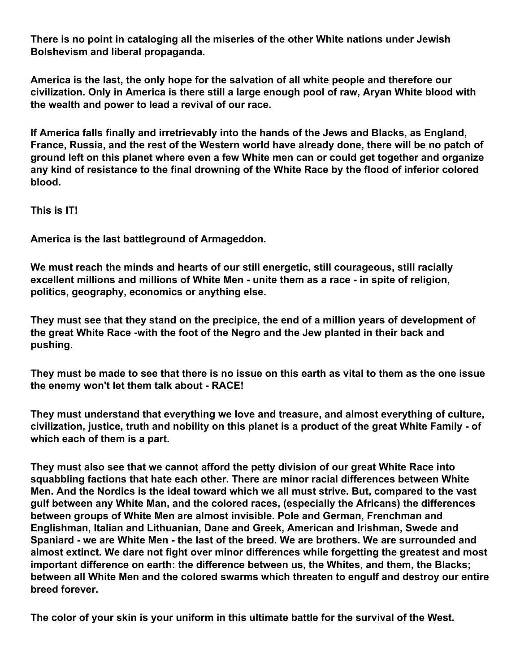**There is no point in cataloging all the miseries of the other White nations under Jewish Bolshevism and liberal propaganda.**

**America is the last, the only hope for the salvation of all white people and therefore our civilization. Only in America is there still a large enough pool of raw, Aryan White blood with the wealth and power to lead a revival of our race.**

**If America falls finally and irretrievably into the hands of the Jews and Blacks, as England, France, Russia, and the rest of the Western world have already done, there will be no patch of ground left on this planet where even a few White men can or could get together and organize any kind of resistance to the final drowning of the White Race by the flood of inferior colored blood.**

**This is IT!**

**America is the last battleground of Armageddon.**

**We must reach the minds and hearts of our still energetic, still courageous, still racially excellent millions and millions of White Men - unite them as a race - in spite of religion, politics, geography, economics or anything else.**

**They must see that they stand on the precipice, the end of a million years of development of the great White Race -with the foot of the Negro and the Jew planted in their back and pushing.**

**They must be made to see that there is no issue on this earth as vital to them as the one issue the enemy won't let them talk about - RACE!**

**They must understand that everything we love and treasure, and almost everything of culture, civilization, justice, truth and nobility on this planet is a product of the great White Family - of which each of them is a part.**

**They must also see that we cannot afford the petty division of our great White Race into squabbling factions that hate each other. There are minor racial differences between White Men. And the Nordics is the ideal toward which we all must strive. But, compared to the vast gulf between any White Man, and the colored races, (especially the Africans) the differences between groups of White Men are almost invisible. Pole and German, Frenchman and Englishman, Italian and Lithuanian, Dane and Greek, American and Irishman, Swede and Spaniard - we are White Men - the last of the breed. We are brothers. We are surrounded and almost extinct. We dare not fight over minor differences while forgetting the greatest and most important difference on earth: the difference between us, the Whites, and them, the Blacks; between all White Men and the colored swarms which threaten to engulf and destroy our entire breed forever.**

**The color of your skin is your uniform in this ultimate battle for the survival of the West.**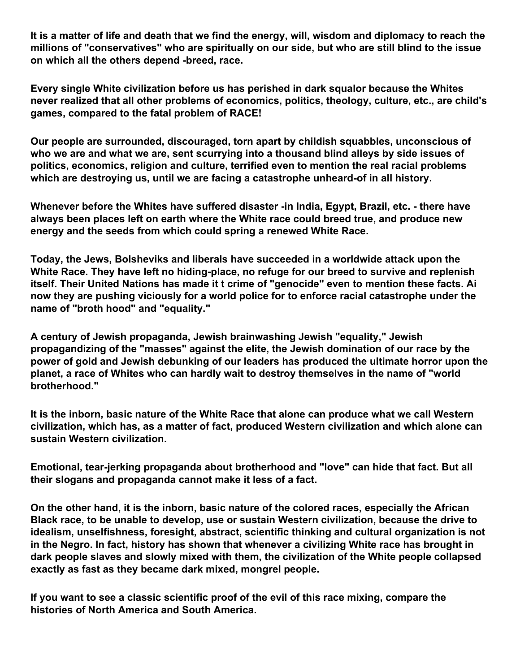**It is a matter of life and death that we find the energy, will, wisdom and diplomacy to reach the millions of "conservatives" who are spiritually on our side, but who are still blind to the issue on which all the others depend -breed, race.**

**Every single White civilization before us has perished in dark squalor because the Whites never realized that all other problems of economics, politics, theology, culture, etc., are child's games, compared to the fatal problem of RACE!**

**Our people are surrounded, discouraged, torn apart by childish squabbles, unconscious of who we are and what we are, sent scurrying into a thousand blind alleys by side issues of politics, economics, religion and culture, terrified even to mention the real racial problems which are destroying us, until we are facing a catastrophe unheard-of in all history.**

**Whenever before the Whites have suffered disaster -in India, Egypt, Brazil, etc. - there have always been places left on earth where the White race could breed true, and produce new energy and the seeds from which could spring a renewed White Race.**

**Today, the Jews, Bolsheviks and liberals have succeeded in a worldwide attack upon the White Race. They have left no hiding-place, no refuge for our breed to survive and replenish itself. Their United Nations has made it t crime of "genocide" even to mention these facts. Ai now they are pushing viciously for a world police for to enforce racial catastrophe under the name of "broth hood" and "equality."**

**A century of Jewish propaganda, Jewish brainwashing Jewish "equality," Jewish propagandizing of the "masses" against the elite, the Jewish domination of our race by the power of gold and Jewish debunking of our leaders has produced the ultimate horror upon the planet, a race of Whites who can hardly wait to destroy themselves in the name of "world brotherhood."**

**It is the inborn, basic nature of the White Race that alone can produce what we call Western civilization, which has, as a matter of fact, produced Western civilization and which alone can sustain Western civilization.**

**Emotional, tear-jerking propaganda about brotherhood and "love" can hide that fact. But all their slogans and propaganda cannot make it less of a fact.**

**On the other hand, it is the inborn, basic nature of the colored races, especially the African Black race, to be unable to develop, use or sustain Western civilization, because the drive to idealism, unselfishness, foresight, abstract, scientific thinking and cultural organization is not in the Negro. In fact, history has shown that whenever a civilizing White race has brought in dark people slaves and slowly mixed with them, the civilization of the White people collapsed exactly as fast as they became dark mixed, mongrel people.**

**If you want to see a classic scientific proof of the evil of this race mixing, compare the histories of North America and South America.**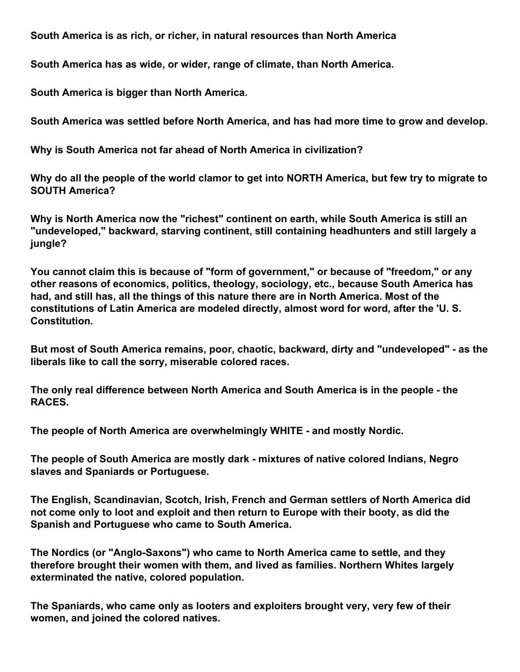**South America is as rich, or richer, in natural resources than North America**

**South America has as wide, or wider, range of climate, than North America.**

**South America is bigger than North America.**

**South America was settled before North America, and has had more time to grow and develop.**

**Why is South America not far ahead of North America in civilization?**

**Why do all the people of the world clamor to get into NORTH America, but few try to migrate to SOUTH America?**

**Why is North America now the "richest" continent on earth, while South America is still an "undeveloped," backward, starving continent, still containing headhunters and still largely a jungle?**

**You cannot claim this is because of "form of government," or because of "freedom," or any other reasons of economics, politics, theology, sociology, etc., because South America has had, and still has, all the things of this nature there are in North America. Most of the constitutions of Latin America are modeled directly, almost word for word, after the 'U. S. Constitution.**

**But most of South America remains, poor, chaotic, backward, dirty and "undeveloped" - as the liberals like to call the sorry, miserable colored races.**

**The only real difference between North America and South America is in the people - the RACES.**

**The people of North America are overwhelmingly WHITE - and mostly Nordic.**

**The people of South America are mostly dark - mixtures of native colored Indians, Negro slaves and Spaniards or Portuguese.**

**The English, Scandinavian, Scotch, Irish, French and German settlers of North America did not come only to loot and exploit and then return to Europe with their booty, as did the Spanish and Portuguese who came to South America.**

**The Nordics (or "Anglo-Saxons") who came to North America came to settle, and they therefore brought their women with them, and lived as families. Northern Whites largely exterminated the native, colored population.**

**The Spaniards, who came only as looters and exploiters brought very, very few of their women, and joined the colored natives.**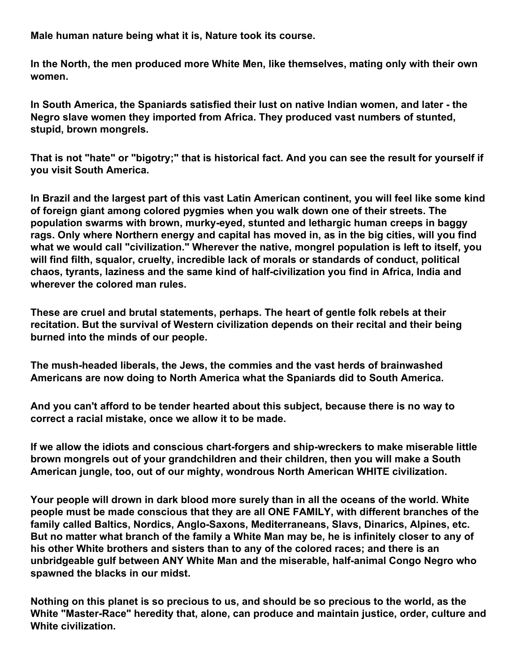**Male human nature being what it is, Nature took its course.**

**In the North, the men produced more White Men, like themselves, mating only with their own women.**

**In South America, the Spaniards satisfied their lust on native Indian women, and later - the Negro slave women they imported from Africa. They produced vast numbers of stunted, stupid, brown mongrels.**

**That is not "hate" or "bigotry;" that is historical fact. And you can see the result for yourself if you visit South America.**

**In Brazil and the largest part of this vast Latin American continent, you will feel like some kind of foreign giant among colored pygmies when you walk down one of their streets. The population swarms with brown, murky-eyed, stunted and lethargic human creeps in baggy rags. Only where Northern energy and capital has moved in, as in the big cities, will you find what we would call "civilization." Wherever the native, mongrel population is left to itself, you will find filth, squalor, cruelty, incredible lack of morals or standards of conduct, political chaos, tyrants, laziness and the same kind of half-civilization you find in Africa, India and wherever the colored man rules.**

**These are cruel and brutal statements, perhaps. The heart of gentle folk rebels at their recitation. But the survival of Western civilization depends on their recital and their being burned into the minds of our people.**

**The mush-headed liberals, the Jews, the commies and the vast herds of brainwashed Americans are now doing to North America what the Spaniards did to South America.**

**And you can't afford to be tender hearted about this subject, because there is no way to correct a racial mistake, once we allow it to be made.**

**If we allow the idiots and conscious chart-forgers and ship-wreckers to make miserable little brown mongrels out of your grandchildren and their children, then you will make a South American jungle, too, out of our mighty, wondrous North American WHITE civilization.**

**Your people will drown in dark blood more surely than in all the oceans of the world. White people must be made conscious that they are all ONE FAMILY, with different branches of the family called Baltics, Nordics, Anglo-Saxons, Mediterraneans, Slavs, Dinarics, Alpines, etc. But no matter what branch of the family a White Man may be, he is infinitely closer to any of his other White brothers and sisters than to any of the colored races; and there is an unbridgeable gulf between ANY White Man and the miserable, half-animal Congo Negro who spawned the blacks in our midst.**

**Nothing on this planet is so precious to us, and should be so precious to the world, as the White "Master-Race" heredity that, alone, can produce and maintain justice, order, culture and White civilization.**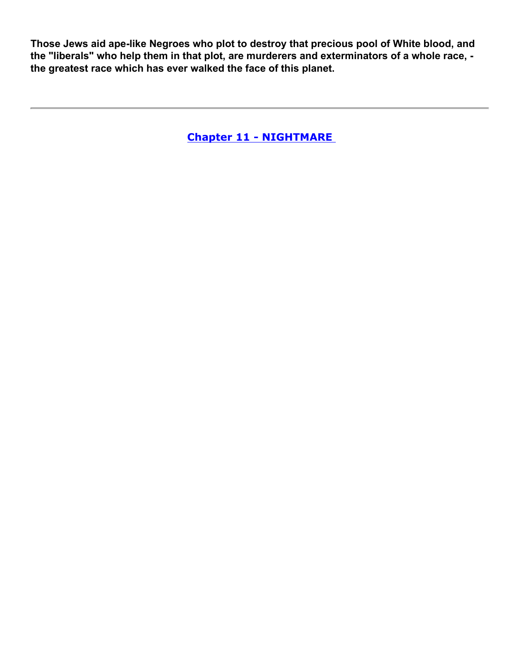**Those Jews aid ape-like Negroes who plot to destroy that precious pool of White blood, and the "liberals" who help them in that plot, are murderers and exterminators of a whole race, the greatest race which has ever walked the face of this planet.**

**[Chapter 11 - NIGHTMARE](#page-181-0)**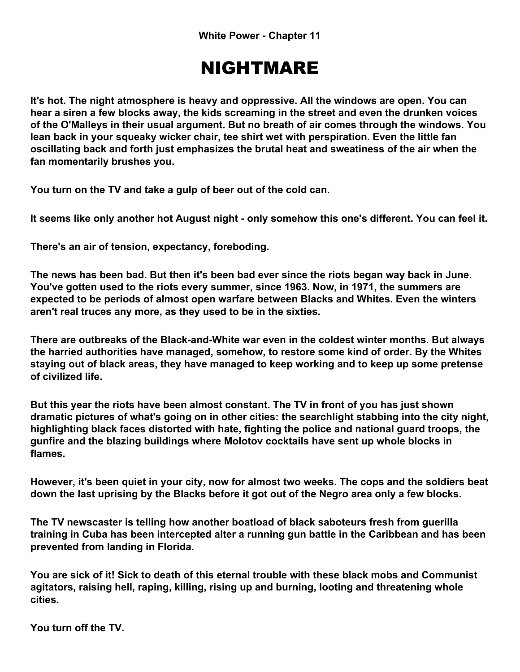# NIGHTMARE

<span id="page-181-0"></span>**It's hot. The night atmosphere is heavy and oppressive. All the windows are open. You can hear a siren a few blocks away, the kids screaming in the street and even the drunken voices of the O'Malleys in their usual argument. But no breath of air comes through the windows. You lean back in your squeaky wicker chair, tee shirt wet with perspiration. Even the little fan oscillating back and forth just emphasizes the brutal heat and sweatiness of the air when the fan momentarily brushes you.**

**You turn on the TV and take a gulp of beer out of the cold can.**

**It seems like only another hot August night - only somehow this one's different. You can feel it.**

**There's an air of tension, expectancy, foreboding.**

**The news has been bad. But then it's been bad ever since the riots began way back in June. You've gotten used to the riots every summer, since 1963. Now, in 1971, the summers are expected to be periods of almost open warfare between Blacks and Whites. Even the winters aren't real truces any more, as they used to be in the sixties.**

**There are outbreaks of the Black-and-White war even in the coldest winter months. But always the harried authorities have managed, somehow, to restore some kind of order. By the Whites staying out of black areas, they have managed to keep working and to keep up some pretense of civilized life.**

**But this year the riots have been almost constant. The TV in front of you has just shown dramatic pictures of what's going on in other cities: the searchlight stabbing into the city night, highlighting black faces distorted with hate, fighting the police and national guard troops, the gunfire and the blazing buildings where Molotov cocktails have sent up whole blocks in flames.**

**However, it's been quiet in your city, now for almost two weeks. The cops and the soldiers beat down the last uprising by the Blacks before it got out of the Negro area only a few blocks.**

**The TV newscaster is telling how another boatload of black saboteurs fresh from guerilla training in Cuba has been intercepted alter a running gun battle in the Caribbean and has been prevented from landing in Florida.**

**You are sick of it! Sick to death of this eternal trouble with these black mobs and Communist agitators, raising hell, raping, killing, rising up and burning, looting and threatening whole cities.**

**You turn off the TV.**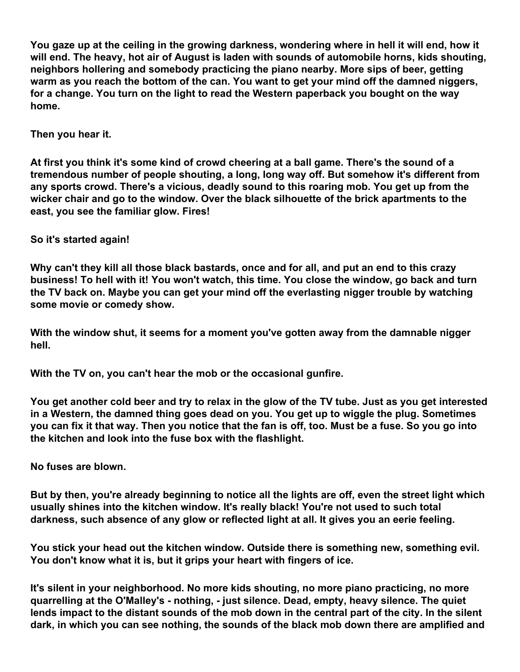**You gaze up at the ceiling in the growing darkness, wondering where in hell it will end, how it will end. The heavy, hot air of August is laden with sounds of automobile horns, kids shouting, neighbors hollering and somebody practicing the piano nearby. More sips of beer, getting warm as you reach the bottom of the can. You want to get your mind off the damned niggers, for a change. You turn on the light to read the Western paperback you bought on the way home.**

**Then you hear it.**

**At first you think it's some kind of crowd cheering at a ball game. There's the sound of a tremendous number of people shouting, a long, long way off. But somehow it's different from any sports crowd. There's a vicious, deadly sound to this roaring mob. You get up from the wicker chair and go to the window. Over the black silhouette of the brick apartments to the east, you see the familiar glow. Fires!**

**So it's started again!**

**Why can't they kill all those black bastards, once and for all, and put an end to this crazy business! To hell with it! You won't watch, this time. You close the window, go back and turn the TV back on. Maybe you can get your mind off the everlasting nigger trouble by watching some movie or comedy show.**

**With the window shut, it seems for a moment you've gotten away from the damnable nigger hell.**

**With the TV on, you can't hear the mob or the occasional gunfire.**

**You get another cold beer and try to relax in the glow of the TV tube. Just as you get interested in a Western, the damned thing goes dead on you. You get up to wiggle the plug. Sometimes you can fix it that way. Then you notice that the fan is off, too. Must be a fuse. So you go into the kitchen and look into the fuse box with the flashlight.**

**No fuses are blown.**

**But by then, you're already beginning to notice all the lights are off, even the street light which usually shines into the kitchen window. It's really black! You're not used to such total darkness, such absence of any glow or reflected light at all. It gives you an eerie feeling.**

**You stick your head out the kitchen window. Outside there is something new, something evil. You don't know what it is, but it grips your heart with fingers of ice.**

**It's silent in your neighborhood. No more kids shouting, no more piano practicing, no more quarrelling at the O'Malley's - nothing, - just silence. Dead, empty, heavy silence. The quiet lends impact to the distant sounds of the mob down in the central part of the city. In the silent dark, in which you can see nothing, the sounds of the black mob down there are amplified and**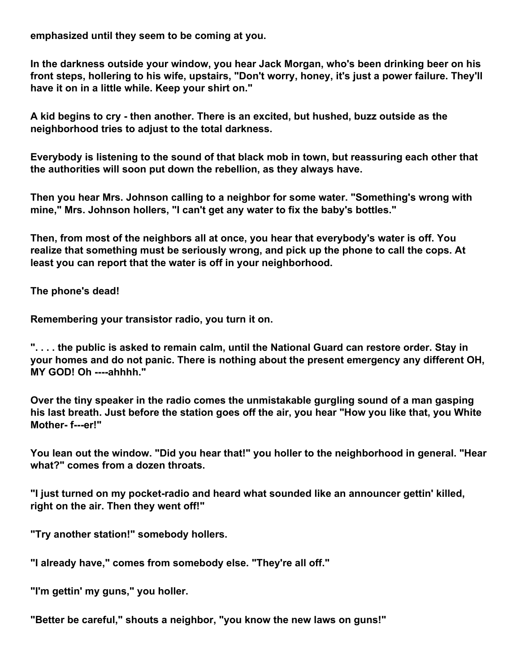**emphasized until they seem to be coming at you.**

**In the darkness outside your window, you hear Jack Morgan, who's been drinking beer on his front steps, hollering to his wife, upstairs, "Don't worry, honey, it's just a power failure. They'll have it on in a little while. Keep your shirt on."**

**A kid begins to cry - then another. There is an excited, but hushed, buzz outside as the neighborhood tries to adjust to the total darkness.**

**Everybody is listening to the sound of that black mob in town, but reassuring each other that the authorities will soon put down the rebellion, as they always have.**

**Then you hear Mrs. Johnson calling to a neighbor for some water. "Something's wrong with mine," Mrs. Johnson hollers, "I can't get any water to fix the baby's bottles."**

**Then, from most of the neighbors all at once, you hear that everybody's water is off. You realize that something must be seriously wrong, and pick up the phone to call the cops. At least you can report that the water is off in your neighborhood.**

**The phone's dead!**

**Remembering your transistor radio, you turn it on.**

**". . . . the public is asked to remain calm, until the National Guard can restore order. Stay in your homes and do not panic. There is nothing about the present emergency any different OH, MY GOD! Oh ----ahhhh."**

**Over the tiny speaker in the radio comes the unmistakable gurgling sound of a man gasping his last breath. Just before the station goes off the air, you hear "How you like that, you White Mother- f---er!"**

**You lean out the window. "Did you hear that!" you holler to the neighborhood in general. "Hear what?" comes from a dozen throats.**

**"I just turned on my pocket-radio and heard what sounded like an announcer gettin' killed, right on the air. Then they went off!"**

**"Try another station!" somebody hollers.**

**"I already have," comes from somebody else. "They're all off."**

**"I'm gettin' my guns," you holler.**

**"Better be careful," shouts a neighbor, "you know the new laws on guns!"**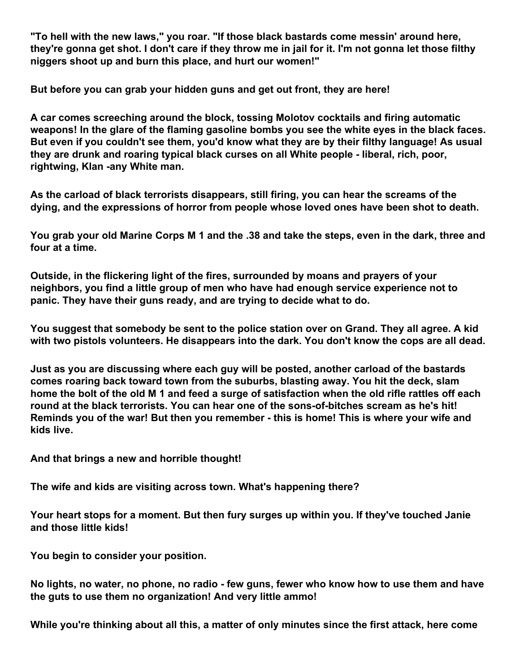**"To hell with the new laws," you roar. "If those black bastards come messin' around here, they're gonna get shot. I don't care if they throw me in jail for it. I'm not gonna let those filthy niggers shoot up and burn this place, and hurt our women!"**

**But before you can grab your hidden guns and get out front, they are here!**

**A car comes screeching around the block, tossing Molotov cocktails and firing automatic weapons! In the glare of the flaming gasoline bombs you see the white eyes in the black faces. But even if you couldn't see them, you'd know what they are by their filthy language! As usual they are drunk and roaring typical black curses on all White people - liberal, rich, poor, rightwing, Klan -any White man.**

**As the carload of black terrorists disappears, still firing, you can hear the screams of the dying, and the expressions of horror from people whose loved ones have been shot to death.**

**You grab your old Marine Corps M 1 and the .38 and take the steps, even in the dark, three and four at a time.**

**Outside, in the flickering light of the fires, surrounded by moans and prayers of your neighbors, you find a little group of men who have had enough service experience not to panic. They have their guns ready, and are trying to decide what to do.**

**You suggest that somebody be sent to the police station over on Grand. They all agree. A kid with two pistols volunteers. He disappears into the dark. You don't know the cops are all dead.**

**Just as you are discussing where each guy will be posted, another carload of the bastards comes roaring back toward town from the suburbs, blasting away. You hit the deck, slam home the bolt of the old M 1 and feed a surge of satisfaction when the old rifle rattles off each round at the black terrorists. You can hear one of the sons-of-bitches scream as he's hit! Reminds you of the war! But then you remember - this is home! This is where your wife and kids live.**

**And that brings a new and horrible thought!**

**The wife and kids are visiting across town. What's happening there?**

**Your heart stops for a moment. But then fury surges up within you. If they've touched Janie and those little kids!**

**You begin to consider your position.**

**No lights, no water, no phone, no radio - few guns, fewer who know how to use them and have the guts to use them no organization! And very little ammo!**

**While you're thinking about all this, a matter of only minutes since the first attack, here come**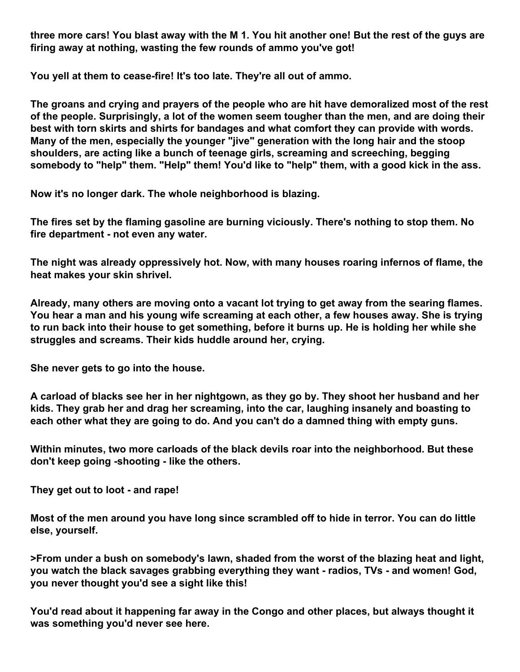**three more cars! You blast away with the M 1. You hit another one! But the rest of the guys are firing away at nothing, wasting the few rounds of ammo you've got!**

**You yell at them to cease-fire! It's too late. They're all out of ammo.**

**The groans and crying and prayers of the people who are hit have demoralized most of the rest of the people. Surprisingly, a lot of the women seem tougher than the men, and are doing their best with torn skirts and shirts for bandages and what comfort they can provide with words. Many of the men, especially the younger "jive" generation with the long hair and the stoop shoulders, are acting like a bunch of teenage girls, screaming and screeching, begging somebody to "help" them. "Help" them! You'd like to "help" them, with a good kick in the ass.**

**Now it's no longer dark. The whole neighborhood is blazing.**

**The fires set by the flaming gasoline are burning viciously. There's nothing to stop them. No fire department - not even any water.**

**The night was already oppressively hot. Now, with many houses roaring infernos of flame, the heat makes your skin shrivel.**

**Already, many others are moving onto a vacant lot trying to get away from the searing flames. You hear a man and his young wife screaming at each other, a few houses away. She is trying to run back into their house to get something, before it burns up. He is holding her while she struggles and screams. Their kids huddle around her, crying.**

**She never gets to go into the house.**

**A carload of blacks see her in her nightgown, as they go by. They shoot her husband and her kids. They grab her and drag her screaming, into the car, laughing insanely and boasting to each other what they are going to do. And you can't do a damned thing with empty guns.**

**Within minutes, two more carloads of the black devils roar into the neighborhood. But these don't keep going -shooting - like the others.**

**They get out to loot - and rape!**

**Most of the men around you have long since scrambled off to hide in terror. You can do little else, yourself.**

**>From under a bush on somebody's lawn, shaded from the worst of the blazing heat and light, you watch the black savages grabbing everything they want - radios, TVs - and women! God, you never thought you'd see a sight like this!**

**You'd read about it happening far away in the Congo and other places, but always thought it was something you'd never see here.**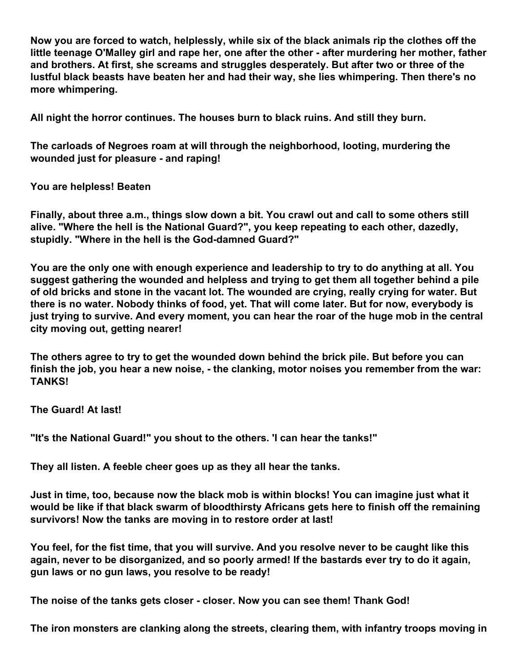**Now you are forced to watch, helplessly, while six of the black animals rip the clothes off the little teenage O'Malley girl and rape her, one after the other - after murdering her mother, father and brothers. At first, she screams and struggles desperately. But after two or three of the lustful black beasts have beaten her and had their way, she lies whimpering. Then there's no more whimpering.**

**All night the horror continues. The houses burn to black ruins. And still they burn.**

**The carloads of Negroes roam at will through the neighborhood, looting, murdering the wounded just for pleasure - and raping!**

**You are helpless! Beaten**

**Finally, about three a.m., things slow down a bit. You crawl out and call to some others still alive. "Where the hell is the National Guard?", you keep repeating to each other, dazedly, stupidly. "Where in the hell is the God-damned Guard?"**

**You are the only one with enough experience and leadership to try to do anything at all. You suggest gathering the wounded and helpless and trying to get them all together behind a pile of old bricks and stone in the vacant lot. The wounded are crying, really crying for water. But there is no water. Nobody thinks of food, yet. That will come later. But for now, everybody is just trying to survive. And every moment, you can hear the roar of the huge mob in the central city moving out, getting nearer!**

**The others agree to try to get the wounded down behind the brick pile. But before you can finish the job, you hear a new noise, - the clanking, motor noises you remember from the war: TANKS!**

**The Guard! At last!**

**"It's the National Guard!" you shout to the others. 'I can hear the tanks!"**

**They all listen. A feeble cheer goes up as they all hear the tanks.**

**Just in time, too, because now the black mob is within blocks! You can imagine just what it would be like if that black swarm of bloodthirsty Africans gets here to finish off the remaining survivors! Now the tanks are moving in to restore order at last!**

**You feel, for the fist time, that you will survive. And you resolve never to be caught like this again, never to be disorganized, and so poorly armed! If the bastards ever try to do it again, gun laws or no gun laws, you resolve to be ready!**

**The noise of the tanks gets closer - closer. Now you can see them! Thank God!**

**The iron monsters are clanking along the streets, clearing them, with infantry troops moving in**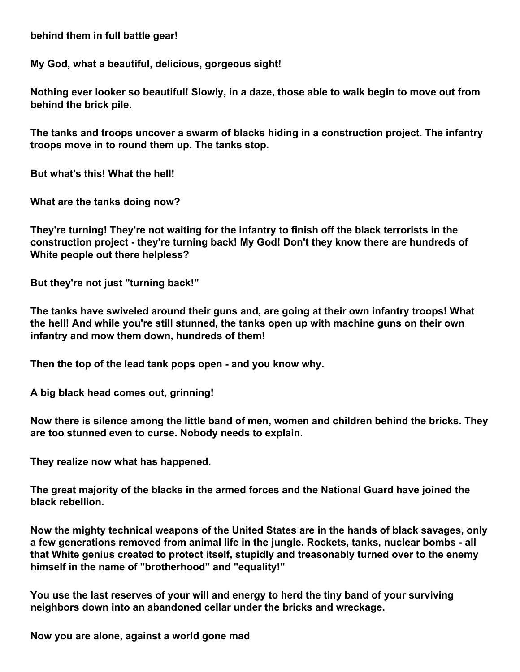**behind them in full battle gear!**

**My God, what a beautiful, delicious, gorgeous sight!**

**Nothing ever looker so beautiful! Slowly, in a daze, those able to walk begin to move out from behind the brick pile.**

**The tanks and troops uncover a swarm of blacks hiding in a construction project. The infantry troops move in to round them up. The tanks stop.**

**But what's this! What the hell!**

**What are the tanks doing now?**

**They're turning! They're not waiting for the infantry to finish off the black terrorists in the construction project - they're turning back! My God! Don't they know there are hundreds of White people out there helpless?**

**But they're not just "turning back!"**

**The tanks have swiveled around their guns and, are going at their own infantry troops! What the hell! And while you're still stunned, the tanks open up with machine guns on their own infantry and mow them down, hundreds of them!**

**Then the top of the lead tank pops open - and you know why.**

**A big black head comes out, grinning!**

**Now there is silence among the little band of men, women and children behind the bricks. They are too stunned even to curse. Nobody needs to explain.**

**They realize now what has happened.**

**The great majority of the blacks in the armed forces and the National Guard have joined the black rebellion.**

**Now the mighty technical weapons of the United States are in the hands of black savages, only a few generations removed from animal life in the jungle. Rockets, tanks, nuclear bombs - all that White genius created to protect itself, stupidly and treasonably turned over to the enemy himself in the name of "brotherhood" and "equality!"**

**You use the last reserves of your will and energy to herd the tiny band of your surviving neighbors down into an abandoned cellar under the bricks and wreckage.**

**Now you are alone, against a world gone mad**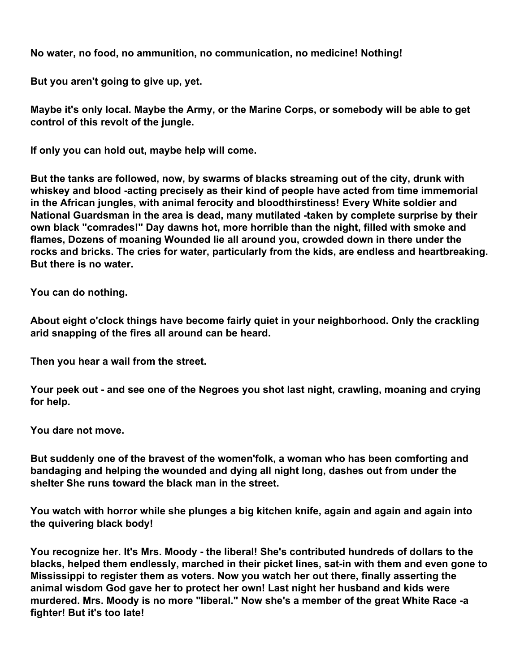**No water, no food, no ammunition, no communication, no medicine! Nothing!**

**But you aren't going to give up, yet.**

**Maybe it's only local. Maybe the Army, or the Marine Corps, or somebody will be able to get control of this revolt of the jungle.**

**If only you can hold out, maybe help will come.**

**But the tanks are followed, now, by swarms of blacks streaming out of the city, drunk with whiskey and blood -acting precisely as their kind of people have acted from time immemorial in the African jungles, with animal ferocity and bloodthirstiness! Every White soldier and National Guardsman in the area is dead, many mutilated -taken by complete surprise by their own black "comrades!" Day dawns hot, more horrible than the night, filled with smoke and flames, Dozens of moaning Wounded lie all around you, crowded down in there under the rocks and bricks. The cries for water, particularly from the kids, are endless and heartbreaking. But there is no water.**

**You can do nothing.**

**About eight o'clock things have become fairly quiet in your neighborhood. Only the crackling arid snapping of the fires all around can be heard.**

**Then you hear a wail from the street.**

**Your peek out - and see one of the Negroes you shot last night, crawling, moaning and crying for help.**

**You dare not move.**

**But suddenly one of the bravest of the women'folk, a woman who has been comforting and bandaging and helping the wounded and dying all night long, dashes out from under the shelter She runs toward the black man in the street.**

**You watch with horror while she plunges a big kitchen knife, again and again and again into the quivering black body!**

**You recognize her. It's Mrs. Moody - the liberal! She's contributed hundreds of dollars to the blacks, helped them endlessly, marched in their picket lines, sat-in with them and even gone to Mississippi to register them as voters. Now you watch her out there, finally asserting the animal wisdom God gave her to protect her own! Last night her husband and kids were murdered. Mrs. Moody is no more "liberal." Now she's a member of the great White Race -a fighter! But it's too late!**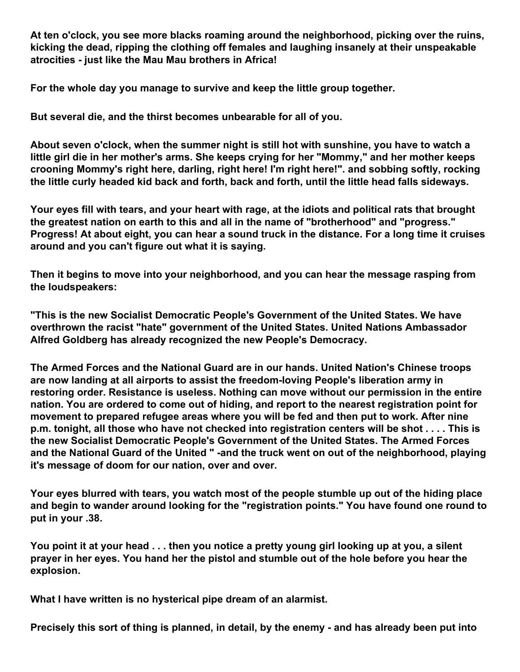**At ten o'clock, you see more blacks roaming around the neighborhood, picking over the ruins, kicking the dead, ripping the clothing off females and laughing insanely at their unspeakable atrocities - just like the Mau Mau brothers in Africa!**

**For the whole day you manage to survive and keep the little group together.**

**But several die, and the thirst becomes unbearable for all of you.**

**About seven o'clock, when the summer night is still hot with sunshine, you have to watch a little girl die in her mother's arms. She keeps crying for her "Mommy," and her mother keeps crooning Mommy's right here, darling, right here! I'm right here!". and sobbing softly, rocking the little curly headed kid back and forth, back and forth, until the little head falls sideways.**

**Your eyes fill with tears, and your heart with rage, at the idiots and political rats that brought the greatest nation on earth to this and all in the name of "brotherhood" and "progress." Progress! At about eight, you can hear a sound truck in the distance. For a long time it cruises around and you can't figure out what it is saying.**

**Then it begins to move into your neighborhood, and you can hear the message rasping from the loudspeakers:**

**"This is the new Socialist Democratic People's Government of the United States. We have overthrown the racist "hate" government of the United States. United Nations Ambassador Alfred Goldberg has already recognized the new People's Democracy.**

**The Armed Forces and the National Guard are in our hands. United Nation's Chinese troops are now landing at all airports to assist the freedom-loving People's liberation army in restoring order. Resistance is useless. Nothing can move without our permission in the entire nation. You are ordered to come out of hiding, and report to the nearest registration point for movement to prepared refugee areas where you will be fed and then put to work. After nine p.m. tonight, all those who have not checked into registration centers will be shot . . . . This is the new Socialist Democratic People's Government of the United States. The Armed Forces and the National Guard of the United " -and the truck went on out of the neighborhood, playing it's message of doom for our nation, over and over.**

**Your eyes blurred with tears, you watch most of the people stumble up out of the hiding place and begin to wander around looking for the "registration points." You have found one round to put in your .38.**

**You point it at your head . . . then you notice a pretty young girl looking up at you, a silent prayer in her eyes. You hand her the pistol and stumble out of the hole before you hear the explosion.**

**What I have written is no hysterical pipe dream of an alarmist.**

**Precisely this sort of thing is planned, in detail, by the enemy - and has already been put into**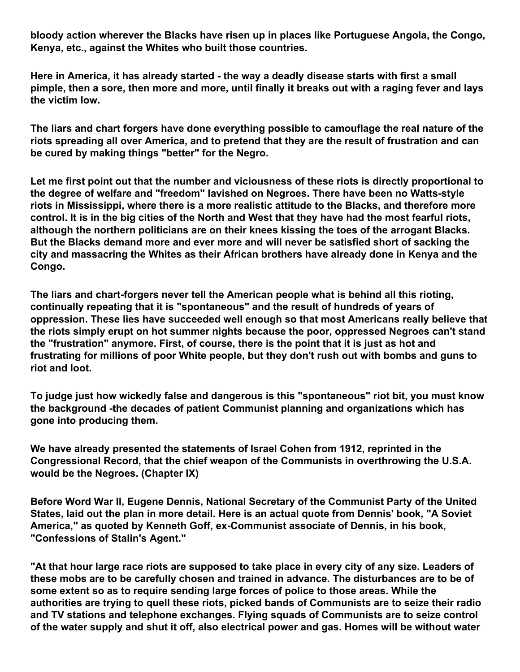**bloody action wherever the Blacks have risen up in places like Portuguese Angola, the Congo, Kenya, etc., against the Whites who built those countries.**

**Here in America, it has already started - the way a deadly disease starts with first a small pimple, then a sore, then more and more, until finally it breaks out with a raging fever and lays the victim low.**

**The liars and chart forgers have done everything possible to camouflage the real nature of the riots spreading all over America, and to pretend that they are the result of frustration and can be cured by making things "better" for the Negro.**

**Let me first point out that the number and viciousness of these riots is directly proportional to the degree of welfare and "freedom" lavished on Negroes. There have been no Watts-style riots in Mississippi, where there is a more realistic attitude to the Blacks, and therefore more control. It is in the big cities of the North and West that they have had the most fearful riots, although the northern politicians are on their knees kissing the toes of the arrogant Blacks. But the Blacks demand more and ever more and will never be satisfied short of sacking the city and massacring the Whites as their African brothers have already done in Kenya and the Congo.**

**The liars and chart-forgers never tell the American people what is behind all this rioting, continually repeating that it is "spontaneous" and the result of hundreds of years of oppression. These lies have succeeded well enough so that most Americans really believe that the riots simply erupt on hot summer nights because the poor, oppressed Negroes can't stand the "frustration" anymore. First, of course, there is the point that it is just as hot and frustrating for millions of poor White people, but they don't rush out with bombs and guns to riot and loot.**

**To judge just how wickedly false and dangerous is this "spontaneous" riot bit, you must know the background -the decades of patient Communist planning and organizations which has gone into producing them.**

**We have already presented the statements of Israel Cohen from 1912, reprinted in the Congressional Record, that the chief weapon of the Communists in overthrowing the U.S.A. would be the Negroes. (Chapter IX)**

**Before Word War II, Eugene Dennis, National Secretary of the Communist Party of the United States, laid out the plan in more detail. Here is an actual quote from Dennis' book, "A Soviet America," as quoted by Kenneth Goff, ex-Communist associate of Dennis, in his book, "Confessions of Stalin's Agent."**

**"At that hour large race riots are supposed to take place in every city of any size. Leaders of these mobs are to be carefully chosen and trained in advance. The disturbances are to be of some extent so as to require sending large forces of police to those areas. While the authorities are trying to quell these riots, picked bands of Communists are to seize their radio and TV stations and telephone exchanges. Flying squads of Communists are to seize control of the water supply and shut it off, also electrical power and gas. Homes will be without water**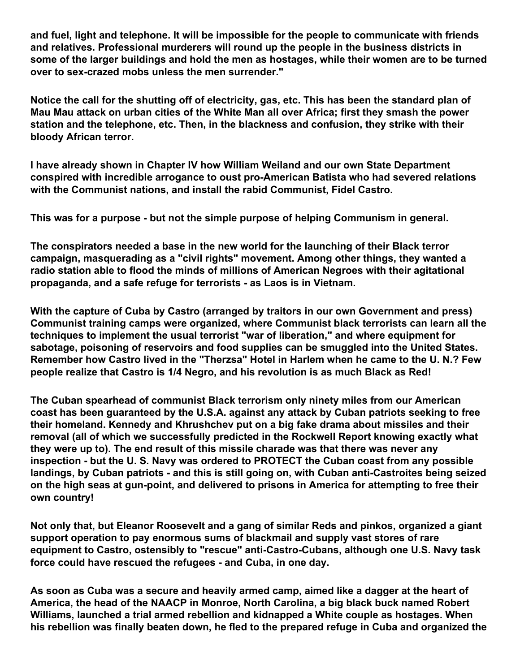**and fuel, light and telephone. It will be impossible for the people to communicate with friends and relatives. Professional murderers will round up the people in the business districts in some of the larger buildings and hold the men as hostages, while their women are to be turned over to sex-crazed mobs unless the men surrender."**

**Notice the call for the shutting off of electricity, gas, etc. This has been the standard plan of Mau Mau attack on urban cities of the White Man all over Africa; first they smash the power station and the telephone, etc. Then, in the blackness and confusion, they strike with their bloody African terror.**

**I have already shown in Chapter IV how William Weiland and our own State Department conspired with incredible arrogance to oust pro-American Batista who had severed relations with the Communist nations, and install the rabid Communist, Fidel Castro.**

**This was for a purpose - but not the simple purpose of helping Communism in general.**

**The conspirators needed a base in the new world for the launching of their Black terror campaign, masquerading as a "civil rights" movement. Among other things, they wanted a radio station able to flood the minds of millions of American Negroes with their agitational propaganda, and a safe refuge for terrorists - as Laos is in Vietnam.**

**With the capture of Cuba by Castro (arranged by traitors in our own Government and press) Communist training camps were organized, where Communist black terrorists can learn all the techniques to implement the usual terrorist "war of liberation," and where equipment for sabotage, poisoning of reservoirs and food supplies can be smuggled into the United States. Remember how Castro lived in the "Therzsa" Hotel in Harlem when he came to the U. N.? Few people realize that Castro is 1/4 Negro, and his revolution is as much Black as Red!**

**The Cuban spearhead of communist Black terrorism only ninety miles from our American coast has been guaranteed by the U.S.A. against any attack by Cuban patriots seeking to free their homeland. Kennedy and Khrushchev put on a big fake drama about missiles and their removal (all of which we successfully predicted in the Rockwell Report knowing exactly what they were up to). The end result of this missile charade was that there was never any inspection - but the U. S. Navy was ordered to PROTECT the Cuban coast from any possible landings, by Cuban patriots - and this is still going on, with Cuban anti-Castroites being seized on the high seas at gun-point, and delivered to prisons in America for attempting to free their own country!**

**Not only that, but Eleanor Roosevelt and a gang of similar Reds and pinkos, organized a giant support operation to pay enormous sums of blackmail and supply vast stores of rare equipment to Castro, ostensibly to "rescue" anti-Castro-Cubans, although one U.S. Navy task force could have rescued the refugees - and Cuba, in one day.**

**As soon as Cuba was a secure and heavily armed camp, aimed like a dagger at the heart of America, the head of the NAACP in Monroe, North Carolina, a big black buck named Robert Williams, launched a trial armed rebellion and kidnapped a White couple as hostages. When his rebellion was finally beaten down, he fled to the prepared refuge in Cuba and organized the**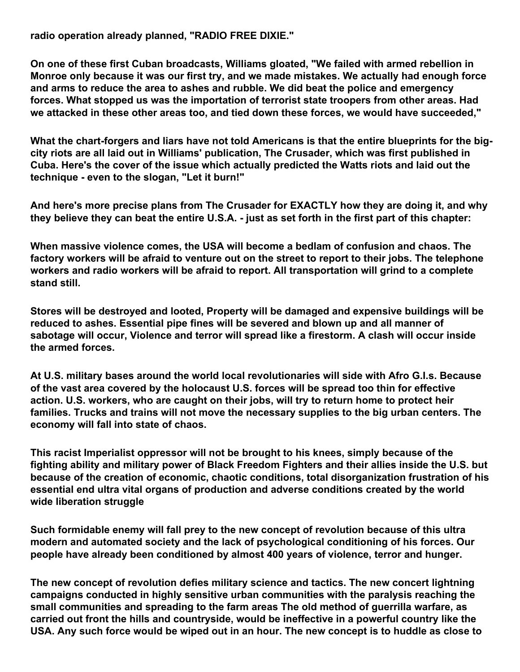**radio operation already planned, "RADIO FREE DIXIE."**

**On one of these first Cuban broadcasts, Williams gloated, "We failed with armed rebellion in Monroe only because it was our first try, and we made mistakes. We actually had enough force and arms to reduce the area to ashes and rubble. We did beat the police and emergency forces. What stopped us was the importation of terrorist state troopers from other areas. Had we attacked in these other areas too, and tied down these forces, we would have succeeded,"**

**What the chart-forgers and liars have not told Americans is that the entire blueprints for the bigcity riots are all laid out in Williams' publication, The Crusader, which was first published in Cuba. Here's the cover of the issue which actually predicted the Watts riots and laid out the technique - even to the slogan, "Let it burn!"**

**And here's more precise plans from The Crusader for EXACTLY how they are doing it, and why they believe they can beat the entire U.S.A. - just as set forth in the first part of this chapter:**

**When massive violence comes, the USA will become a bedlam of confusion and chaos. The factory workers will be afraid to venture out on the street to report to their jobs. The telephone workers and radio workers will be afraid to report. All transportation will grind to a complete stand still.**

**Stores will be destroyed and looted, Property will be damaged and expensive buildings will be reduced to ashes. Essential pipe fines will be severed and blown up and all manner of sabotage will occur, Violence and terror will spread like a firestorm. A clash will occur inside the armed forces.**

**At U.S. military bases around the world local revolutionaries will side with Afro G.I.s. Because of the vast area covered by the holocaust U.S. forces will be spread too thin for effective action. U.S. workers, who are caught on their jobs, will try to return home to protect heir families. Trucks and trains will not move the necessary supplies to the big urban centers. The economy will fall into state of chaos.**

**This racist Imperialist oppressor will not be brought to his knees, simply because of the fighting ability and military power of Black Freedom Fighters and their allies inside the U.S. but because of the creation of economic, chaotic conditions, total disorganization frustration of his essential end ultra vital organs of production and adverse conditions created by the world wide liberation struggle**

**Such formidable enemy will fall prey to the new concept of revolution because of this ultra modern and automated society and the lack of psychological conditioning of his forces. Our people have already been conditioned by almost 400 years of violence, terror and hunger.**

**The new concept of revolution defies military science and tactics. The new concert lightning campaigns conducted in highly sensitive urban communities with the paralysis reaching the small communities and spreading to the farm areas The old method of guerrilla warfare, as carried out front the hills and countryside, would be ineffective in a powerful country like the USA. Any such force would be wiped out in an hour. The new concept is to huddle as close to**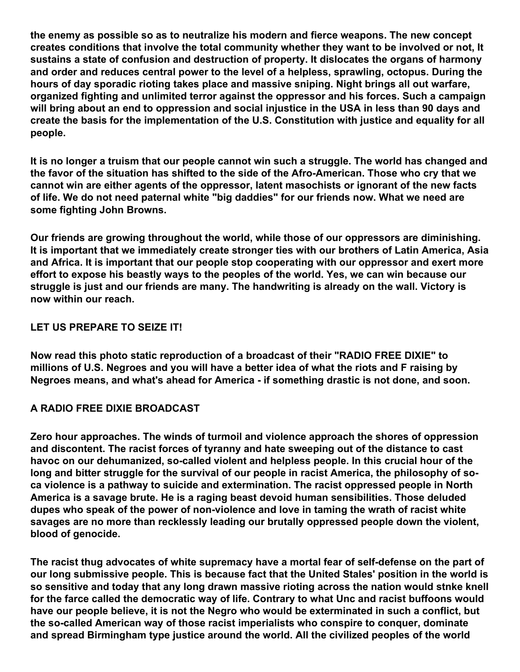**the enemy as possible so as to neutralize his modern and fierce weapons. The new concept creates conditions that involve the total community whether they want to be involved or not, It sustains a state of confusion and destruction of property. It dislocates the organs of harmony and order and reduces central power to the level of a helpless, sprawling, octopus. During the hours of day sporadic rioting takes place and massive sniping. Night brings all out warfare, organized fighting and unlimited terror against the oppressor and his forces. Such a campaign will bring about an end to oppression and social injustice in the USA in less than 90 days and create the basis for the implementation of the U.S. Constitution with justice and equality for all people.**

**It is no longer a truism that our people cannot win such a struggle. The world has changed and the favor of the situation has shifted to the side of the Afro-American. Those who cry that we cannot win are either agents of the oppressor, latent masochists or ignorant of the new facts of life. We do not need paternal white "big daddies" for our friends now. What we need are some fighting John Browns.**

**Our friends are growing throughout the world, while those of our oppressors are diminishing. It is important that we immediately create stronger ties with our brothers of Latin America, Asia and Africa. It is important that our people stop cooperating with our oppressor and exert more effort to expose his beastly ways to the peoples of the world. Yes, we can win because our struggle is just and our friends are many. The handwriting is already on the wall. Victory is now within our reach.**

## **LET US PREPARE TO SEIZE IT!**

**Now read this photo static reproduction of a broadcast of their "RADIO FREE DIXIE" to millions of U.S. Negroes and you will have a better idea of what the riots and F raising by Negroes means, and what's ahead for America - if something drastic is not done, and soon.**

## **A RADIO FREE DIXIE BROADCAST**

**Zero hour approaches. The winds of turmoil and violence approach the shores of oppression and discontent. The racist forces of tyranny and hate sweeping out of the distance to cast havoc on our dehumanized, so-called violent and helpless people. In this crucial hour of the long and bitter struggle for the survival of our people in racist America, the philosophy of soca violence is a pathway to suicide and extermination. The racist oppressed people in North America is a savage brute. He is a raging beast devoid human sensibilities. Those deluded dupes who speak of the power of non-violence and love in taming the wrath of racist white savages are no more than recklessly leading our brutally oppressed people down the violent, blood of genocide.**

**The racist thug advocates of white supremacy have a mortal fear of self-defense on the part of our long submissive people. This is because fact that the United Stales' position in the world is so sensitive and today that any long drawn massive rioting across the nation would stnke knell for the farce called the democratic way of life. Contrary to what Unc and racist buffoons would have our people believe, it is not the Negro who would be exterminated in such a conflict, but the so-called American way of those racist imperialists who conspire to conquer, dominate and spread Birmingham type justice around the world. All the civilized peoples of the world**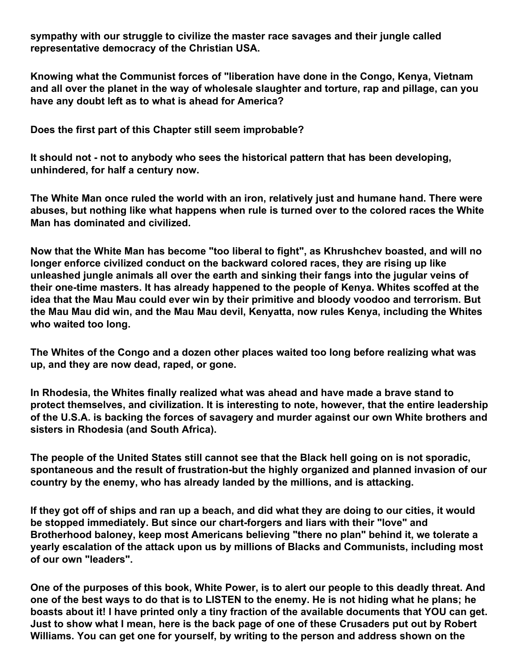**sympathy with our struggle to civilize the master race savages and their jungle called representative democracy of the Christian USA.**

**Knowing what the Communist forces of "liberation have done in the Congo, Kenya, Vietnam and all over the planet in the way of wholesale slaughter and torture, rap and pillage, can you have any doubt left as to what is ahead for America?**

**Does the first part of this Chapter still seem improbable?**

**It should not - not to anybody who sees the historical pattern that has been developing, unhindered, for half a century now.**

**The White Man once ruled the world with an iron, relatively just and humane hand. There were abuses, but nothing like what happens when rule is turned over to the colored races the White Man has dominated and civilized.**

**Now that the White Man has become "too liberal to fight", as Khrushchev boasted, and will no longer enforce civilized conduct on the backward colored races, they are rising up like unleashed jungle animals all over the earth and sinking their fangs into the jugular veins of their one-time masters. It has already happened to the people of Kenya. Whites scoffed at the idea that the Mau Mau could ever win by their primitive and bloody voodoo and terrorism. But the Mau Mau did win, and the Mau Mau devil, Kenyatta, now rules Kenya, including the Whites who waited too long.**

**The Whites of the Congo and a dozen other places waited too long before realizing what was up, and they are now dead, raped, or gone.**

**In Rhodesia, the Whites finally realized what was ahead and have made a brave stand to protect themselves, and civilization. It is interesting to note, however, that the entire leadership of the U.S.A. is backing the forces of savagery and murder against our own White brothers and sisters in Rhodesia (and South Africa).**

**The people of the United States still cannot see that the Black hell going on is not sporadic, spontaneous and the result of frustration-but the highly organized and planned invasion of our country by the enemy, who has already landed by the millions, and is attacking.**

**If they got off of ships and ran up a beach, and did what they are doing to our cities, it would be stopped immediately. But since our chart-forgers and liars with their "love" and Brotherhood baloney, keep most Americans believing "there no plan" behind it, we tolerate a yearly escalation of the attack upon us by millions of Blacks and Communists, including most of our own "leaders".**

**One of the purposes of this book, White Power, is to alert our people to this deadly threat. And one of the best ways to do that is to LISTEN to the enemy. He is not hiding what he plans; he boasts about it! I have printed only a tiny fraction of the available documents that YOU can get. Just to show what I mean, here is the back page of one of these Crusaders put out by Robert Williams. You can get one for yourself, by writing to the person and address shown on the**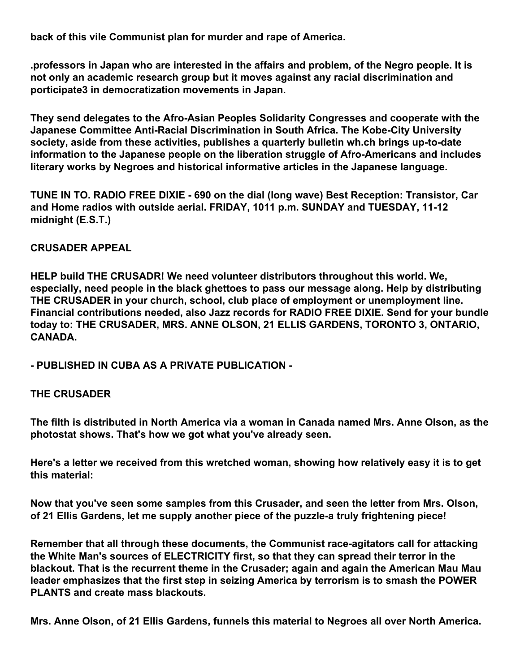**back of this vile Communist plan for murder and rape of America.**

**.professors in Japan who are interested in the affairs and problem, of the Negro people. It is not only an academic research group but it moves against any racial discrimination and porticipate3 in democratization movements in Japan.**

**They send delegates to the Afro-Asian Peoples Solidarity Congresses and cooperate with the Japanese Committee Anti-Racial Discrimination in South Africa. The Kobe-City University society, aside from these activities, publishes a quarterly bulletin wh.ch brings up-to-date information to the Japanese people on the liberation struggle of Afro-Americans and includes literary works by Negroes and historical informative articles in the Japanese language.**

**TUNE IN TO. RADIO FREE DIXIE - 690 on the dial (long wave) Best Reception: Transistor, Car and Home radios with outside aerial. FRIDAY, 1011 p.m. SUNDAY and TUESDAY, 11-12 midnight (E.S.T.)**

#### **CRUSADER APPEAL**

**HELP build THE CRUSADR! We need volunteer distributors throughout this world. We, especially, need people in the black ghettoes to pass our message along. Help by distributing THE CRUSADER in your church, school, club place of employment or unemployment line. Financial contributions needed, also Jazz records for RADIO FREE DIXIE. Send for your bundle today to: THE CRUSADER, MRS. ANNE OLSON, 21 ELLIS GARDENS, TORONTO 3, ONTARIO, CANADA.**

**- PUBLISHED IN CUBA AS A PRIVATE PUBLICATION -**

#### **THE CRUSADER**

**The filth is distributed in North America via a woman in Canada named Mrs. Anne Olson, as the photostat shows. That's how we got what you've already seen.**

**Here's a letter we received from this wretched woman, showing how relatively easy it is to get this material:**

**Now that you've seen some samples from this Crusader, and seen the letter from Mrs. Olson, of 21 Ellis Gardens, let me supply another piece of the puzzle-a truly frightening piece!**

**Remember that all through these documents, the Communist race-agitators call for attacking the White Man's sources of ELECTRICITY first, so that they can spread their terror in the blackout. That is the recurrent theme in the Crusader; again and again the American Mau Mau leader emphasizes that the first step in seizing America by terrorism is to smash the POWER PLANTS and create mass blackouts.**

**Mrs. Anne Olson, of 21 Ellis Gardens, funnels this material to Negroes all over North America.**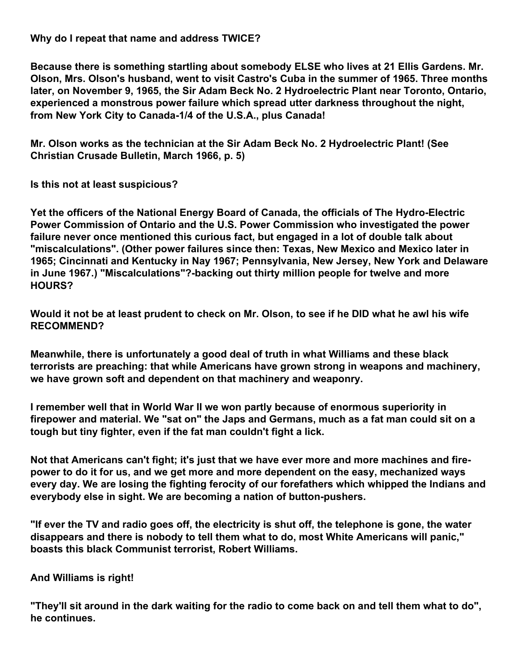**Why do I repeat that name and address TWICE?**

**Because there is something startling about somebody ELSE who lives at 21 Ellis Gardens. Mr. Olson, Mrs. Olson's husband, went to visit Castro's Cuba in the summer of 1965. Three months later, on November 9, 1965, the Sir Adam Beck No. 2 Hydroelectric Plant near Toronto, Ontario, experienced a monstrous power failure which spread utter darkness throughout the night, from New York City to Canada-1/4 of the U.S.A., plus Canada!**

**Mr. Olson works as the technician at the Sir Adam Beck No. 2 Hydroelectric Plant! (See Christian Crusade Bulletin, March 1966, p. 5)**

**Is this not at least suspicious?**

**Yet the officers of the National Energy Board of Canada, the officials of The Hydro-Electric Power Commission of Ontario and the U.S. Power Commission who investigated the power failure never once mentioned this curious fact, but engaged in a lot of double talk about "miscalculations". (Other power failures since then: Texas, New Mexico and Mexico later in 1965; Cincinnati and Kentucky in Nay 1967; Pennsylvania, New Jersey, New York and Delaware in June 1967.) "Miscalculations"?-backing out thirty million people for twelve and more HOURS?**

**Would it not be at least prudent to check on Mr. Olson, to see if he DID what he awl his wife RECOMMEND?**

**Meanwhile, there is unfortunately a good deal of truth in what Williams and these black terrorists are preaching: that while Americans have grown strong in weapons and machinery, we have grown soft and dependent on that machinery and weaponry.**

**I remember well that in World War II we won partly because of enormous superiority in firepower and material. We "sat on" the Japs and Germans, much as a fat man could sit on a tough but tiny fighter, even if the fat man couldn't fight a lick.**

**Not that Americans can't fight; it's just that we have ever more and more machines and firepower to do it for us, and we get more and more dependent on the easy, mechanized ways every day. We are losing the fighting ferocity of our forefathers which whipped the Indians and everybody else in sight. We are becoming a nation of button-pushers.**

**"If ever the TV and radio goes off, the electricity is shut off, the telephone is gone, the water disappears and there is nobody to tell them what to do, most White Americans will panic," boasts this black Communist terrorist, Robert Williams.**

**And Williams is right!**

**"They'll sit around in the dark waiting for the radio to come back on and tell them what to do", he continues.**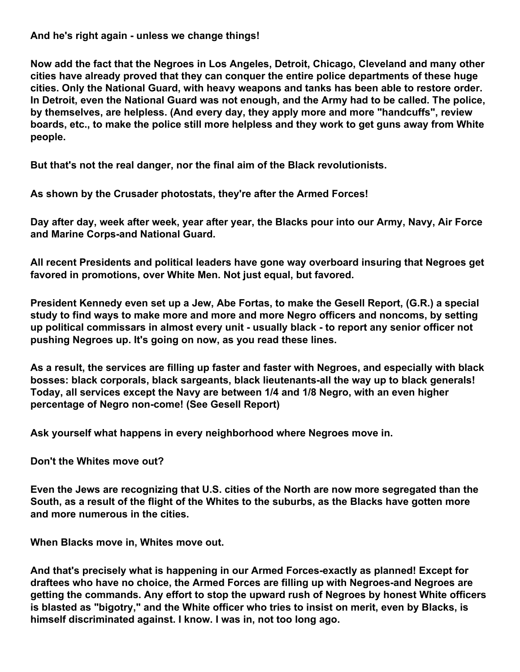**And he's right again - unless we change things!**

**Now add the fact that the Negroes in Los Angeles, Detroit, Chicago, Cleveland and many other cities have already proved that they can conquer the entire police departments of these huge cities. Only the National Guard, with heavy weapons and tanks has been able to restore order. In Detroit, even the National Guard was not enough, and the Army had to be called. The police, by themselves, are helpless. (And every day, they apply more and more "handcuffs", review boards, etc., to make the police still more helpless and they work to get guns away from White people.**

**But that's not the real danger, nor the final aim of the Black revolutionists.**

**As shown by the Crusader photostats, they're after the Armed Forces!**

**Day after day, week after week, year after year, the Blacks pour into our Army, Navy, Air Force and Marine Corps-and National Guard.**

**All recent Presidents and political leaders have gone way overboard insuring that Negroes get favored in promotions, over White Men. Not just equal, but favored.**

**President Kennedy even set up a Jew, Abe Fortas, to make the Gesell Report, (G.R.) a special study to find ways to make more and more and more Negro officers and noncoms, by setting up political commissars in almost every unit - usually black - to report any senior officer not pushing Negroes up. It's going on now, as you read these lines.**

**As a result, the services are filling up faster and faster with Negroes, and especially with black bosses: black corporals, black sargeants, black lieutenants-all the way up to black generals! Today, all services except the Navy are between 1/4 and 1/8 Negro, with an even higher percentage of Negro non-come! (See Gesell Report)**

**Ask yourself what happens in every neighborhood where Negroes move in.**

**Don't the Whites move out?**

**Even the Jews are recognizing that U.S. cities of the North are now more segregated than the South, as a result of the flight of the Whites to the suburbs, as the Blacks have gotten more and more numerous in the cities.**

**When Blacks move in, Whites move out.**

**And that's precisely what is happening in our Armed Forces-exactly as planned! Except for draftees who have no choice, the Armed Forces are filling up with Negroes-and Negroes are getting the commands. Any effort to stop the upward rush of Negroes by honest White officers is blasted as "bigotry," and the White officer who tries to insist on merit, even by Blacks, is himself discriminated against. I know. I was in, not too long ago.**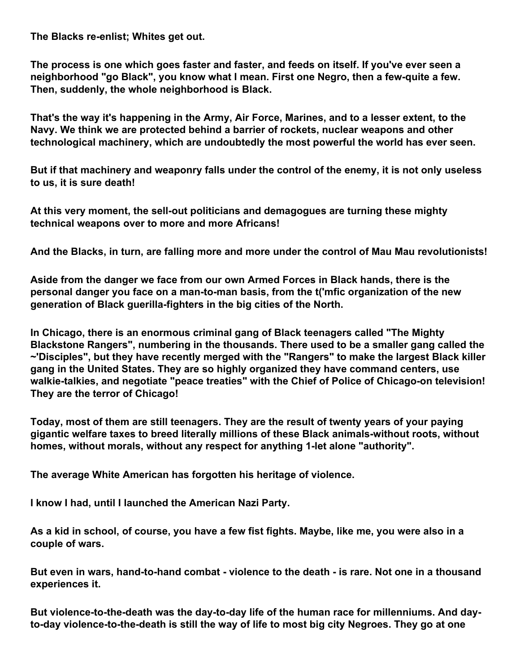**The Blacks re-enlist; Whites get out.**

**The process is one which goes faster and faster, and feeds on itself. If you've ever seen a neighborhood "go Black", you know what I mean. First one Negro, then a few-quite a few. Then, suddenly, the whole neighborhood is Black.**

**That's the way it's happening in the Army, Air Force, Marines, and to a lesser extent, to the Navy. We think we are protected behind a barrier of rockets, nuclear weapons and other technological machinery, which are undoubtedly the most powerful the world has ever seen.**

**But if that machinery and weaponry falls under the control of the enemy, it is not only useless to us, it is sure death!**

**At this very moment, the sell-out politicians and demagogues are turning these mighty technical weapons over to more and more Africans!**

**And the Blacks, in turn, are falling more and more under the control of Mau Mau revolutionists!**

**Aside from the danger we face from our own Armed Forces in Black hands, there is the personal danger you face on a man-to-man basis, from the t('mfic organization of the new generation of Black guerilla-fighters in the big cities of the North.**

**In Chicago, there is an enormous criminal gang of Black teenagers called "The Mighty Blackstone Rangers", numbering in the thousands. There used to be a smaller gang called the ~'Disciples", but they have recently merged with the "Rangers" to make the largest Black killer gang in the United States. They are so highly organized they have command centers, use walkie-talkies, and negotiate "peace treaties" with the Chief of Police of Chicago-on television! They are the terror of Chicago!**

**Today, most of them are still teenagers. They are the result of twenty years of your paying gigantic welfare taxes to breed literally millions of these Black animals-without roots, without homes, without morals, without any respect for anything 1-let alone "authority".**

**The average White American has forgotten his heritage of violence.**

**I know I had, until I launched the American Nazi Party.**

**As a kid in school, of course, you have a few fist fights. Maybe, like me, you were also in a couple of wars.**

**But even in wars, hand-to-hand combat - violence to the death - is rare. Not one in a thousand experiences it.**

**But violence-to-the-death was the day-to-day life of the human race for millenniums. And dayto-day violence-to-the-death is still the way of life to most big city Negroes. They go at one**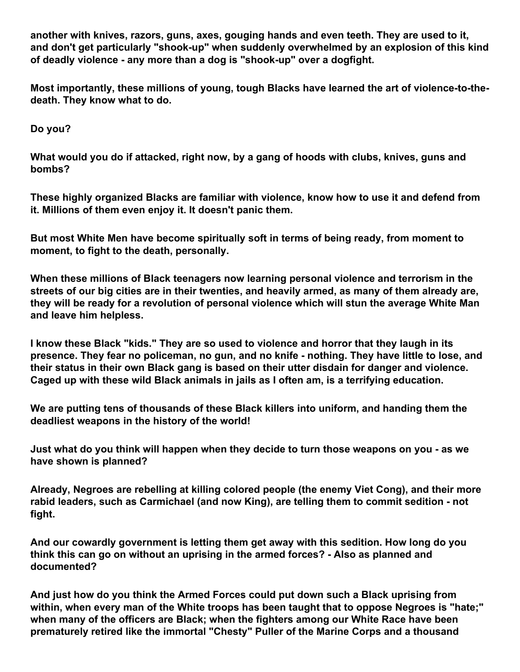**another with knives, razors, guns, axes, gouging hands and even teeth. They are used to it, and don't get particularly "shook-up" when suddenly overwhelmed by an explosion of this kind of deadly violence - any more than a dog is "shook-up" over a dogfight.**

**Most importantly, these millions of young, tough Blacks have learned the art of violence-to-thedeath. They know what to do.**

**Do you?**

**What would you do if attacked, right now, by a gang of hoods with clubs, knives, guns and bombs?**

**These highly organized Blacks are familiar with violence, know how to use it and defend from it. Millions of them even enjoy it. It doesn't panic them.**

**But most White Men have become spiritually soft in terms of being ready, from moment to moment, to fight to the death, personally.**

**When these millions of Black teenagers now learning personal violence and terrorism in the streets of our big cities are in their twenties, and heavily armed, as many of them already are, they will be ready for a revolution of personal violence which will stun the average White Man and leave him helpless.**

**I know these Black "kids." They are so used to violence and horror that they laugh in its presence. They fear no policeman, no gun, and no knife - nothing. They have little to lose, and their status in their own Black gang is based on their utter disdain for danger and violence. Caged up with these wild Black animals in jails as I often am, is a terrifying education.**

**We are putting tens of thousands of these Black killers into uniform, and handing them the deadliest weapons in the history of the world!**

**Just what do you think will happen when they decide to turn those weapons on you - as we have shown is planned?**

**Already, Negroes are rebelling at killing colored people (the enemy Viet Cong), and their more rabid leaders, such as Carmichael (and now King), are telling them to commit sedition - not fight.**

**And our cowardly government is letting them get away with this sedition. How long do you think this can go on without an uprising in the armed forces? - Also as planned and documented?**

**And just how do you think the Armed Forces could put down such a Black uprising from within, when every man of the White troops has been taught that to oppose Negroes is "hate;" when many of the officers are Black; when the fighters among our White Race have been prematurely retired like the immortal "Chesty" Puller of the Marine Corps and a thousand**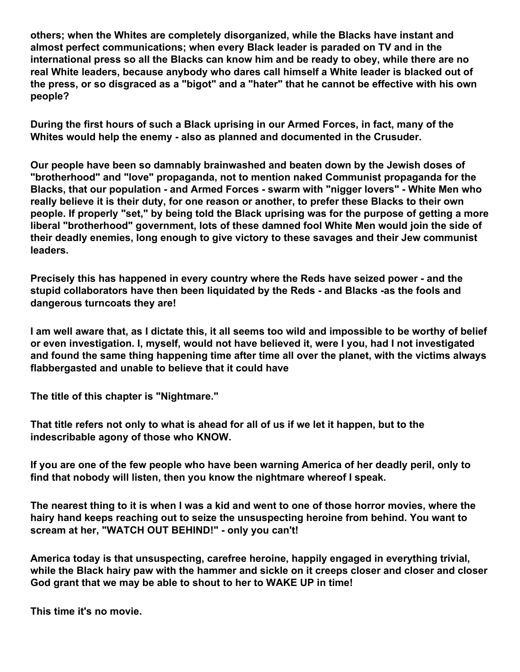**others; when the Whites are completely disorganized, while the Blacks have instant and almost perfect communications; when every Black leader is paraded on TV and in the international press so all the Blacks can know him and be ready to obey, while there are no real White leaders, because anybody who dares call himself a White leader is blacked out of the press, or so disgraced as a "bigot" and a "hater" that he cannot be effective with his own people?**

**During the first hours of such a Black uprising in our Armed Forces, in fact, many of the Whites would help the enemy - also as planned and documented in the Crusuder.**

**Our people have been so damnably brainwashed and beaten down by the Jewish doses of "brotherhood" and "love" propaganda, not to mention naked Communist propaganda for the Blacks, that our population - and Armed Forces - swarm with "nigger lovers" - White Men who really believe it is their duty, for one reason or another, to prefer these Blacks to their own people. If properly "set," by being told the Black uprising was for the purpose of getting a more liberal "brotherhood" government, lots of these damned fool White Men would join the side of their deadly enemies, long enough to give victory to these savages and their Jew communist leaders.**

**Precisely this has happened in every country where the Reds have seized power - and the stupid collaborators have then been liquidated by the Reds - and Blacks -as the fools and dangerous turncoats they are!**

**I am well aware that, as I dictate this, it all seems too wild and impossible to be worthy of belief or even investigation. I, myself, would not have believed it, were I you, had I not investigated and found the same thing happening time after time all over the planet, with the victims always flabbergasted and unable to believe that it could have**

**The title of this chapter is "Nightmare."**

**That title refers not only to what is ahead for all of us if we let it happen, but to the indescribable agony of those who KNOW.**

**If you are one of the few people who have been warning America of her deadly peril, only to find that nobody will listen, then you know the nightmare whereof I speak.**

**The nearest thing to it is when I was a kid and went to one of those horror movies, where the hairy hand keeps reaching out to seize the unsuspecting heroine from behind. You want to scream at her, "WATCH OUT BEHIND!" - only you can't!**

**America today is that unsuspecting, carefree heroine, happily engaged in everything trivial, while the Black hairy paw with the hammer and sickle on it creeps closer and closer and closer God grant that we may be able to shout to her to WAKE UP in time!**

**This time it's no movie.**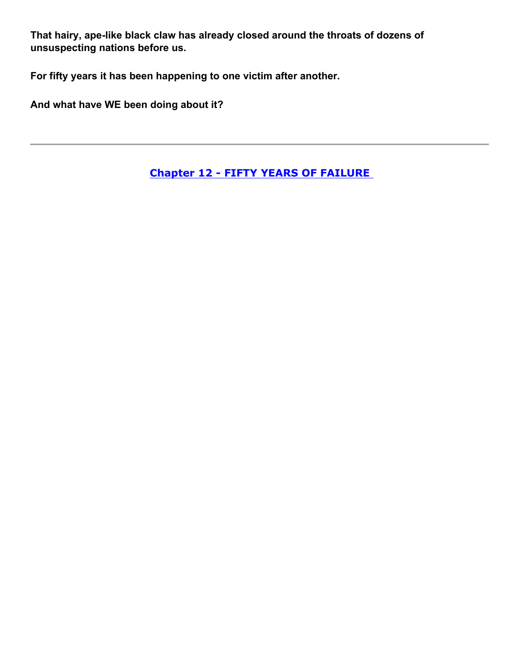**That hairy, ape-like black claw has already closed around the throats of dozens of unsuspecting nations before us.**

**For fifty years it has been happening to one victim after another.**

**And what have WE been doing about it?**

**[Chapter 12 - FIFTY YEARS OF FAILURE](#page-202-0)**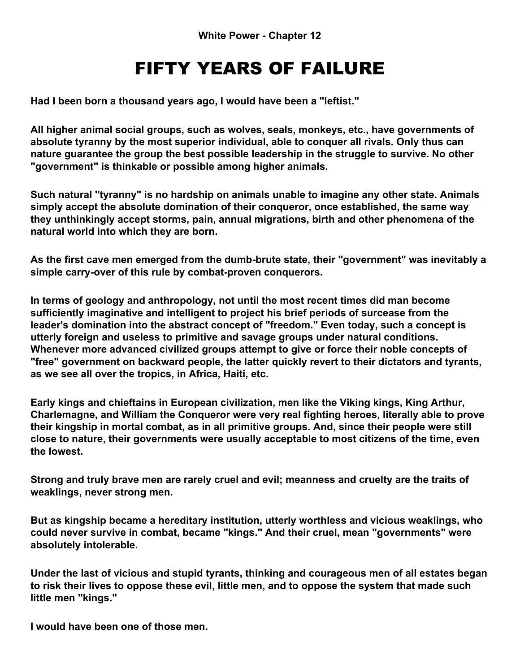# FIFTY YEARS OF FAILURE

<span id="page-202-0"></span>**Had I been born a thousand years ago, I would have been a "leftist."**

**All higher animal social groups, such as wolves, seals, monkeys, etc., have governments of absolute tyranny by the most superior individual, able to conquer all rivals. Only thus can nature guarantee the group the best possible leadership in the struggle to survive. No other "government" is thinkable or possible among higher animals.**

**Such natural "tyranny" is no hardship on animals unable to imagine any other state. Animals simply accept the absolute domination of their conqueror, once established, the same way they unthinkingly accept storms, pain, annual migrations, birth and other phenomena of the natural world into which they are born.**

**As the first cave men emerged from the dumb-brute state, their "government" was inevitably a simple carry-over of this rule by combat-proven conquerors.**

**In terms of geology and anthropology, not until the most recent times did man become sufficiently imaginative and intelligent to project his brief periods of surcease from the leader's domination into the abstract concept of "freedom." Even today, such a concept is utterly foreign and useless to primitive and savage groups under natural conditions. Whenever more advanced civilized groups attempt to give or force their noble concepts of "free" government on backward people, the latter quickly revert to their dictators and tyrants, as we see all over the tropics, in Africa, Haiti, etc.**

**Early kings and chieftains in European civilization, men like the Viking kings, King Arthur, Charlemagne, and William the Conqueror were very real fighting heroes, literally able to prove their kingship in mortal combat, as in all primitive groups. And, since their people were still close to nature, their governments were usually acceptable to most citizens of the time, even the lowest.**

**Strong and truly brave men are rarely cruel and evil; meanness and cruelty are the traits of weaklings, never strong men.**

**But as kingship became a hereditary institution, utterly worthless and vicious weaklings, who could never survive in combat, became "kings." And their cruel, mean "governments" were absolutely intolerable.**

**Under the last of vicious and stupid tyrants, thinking and courageous men of all estates began to risk their lives to oppose these evil, little men, and to oppose the system that made such little men "kings."**

**I would have been one of those men.**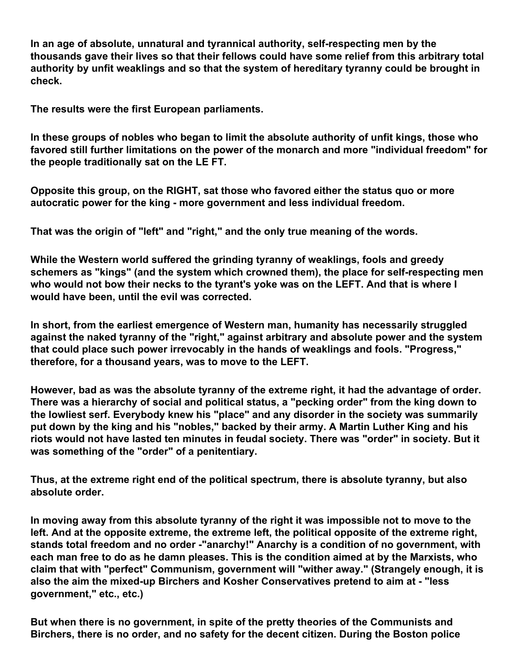**In an age of absolute, unnatural and tyrannical authority, self-respecting men by the thousands gave their lives so that their fellows could have some relief from this arbitrary total authority by unfit weaklings and so that the system of hereditary tyranny could be brought in check.**

**The results were the first European parliaments.**

**In these groups of nobles who began to limit the absolute authority of unfit kings, those who favored still further limitations on the power of the monarch and more "individual freedom" for the people traditionally sat on the LE FT.**

**Opposite this group, on the RIGHT, sat those who favored either the status quo or more autocratic power for the king - more government and less individual freedom.**

**That was the origin of "left" and "right," and the only true meaning of the words.**

**While the Western world suffered the grinding tyranny of weaklings, fools and greedy schemers as "kings" (and the system which crowned them), the place for self-respecting men who would not bow their necks to the tyrant's yoke was on the LEFT. And that is where I would have been, until the evil was corrected.**

**In short, from the earliest emergence of Western man, humanity has necessarily struggled against the naked tyranny of the "right," against arbitrary and absolute power and the system that could place such power irrevocably in the hands of weaklings and fools. "Progress," therefore, for a thousand years, was to move to the LEFT.**

**However, bad as was the absolute tyranny of the extreme right, it had the advantage of order. There was a hierarchy of social and political status, a "pecking order" from the king down to the lowliest serf. Everybody knew his "place" and any disorder in the society was summarily put down by the king and his "nobles," backed by their army. A Martin Luther King and his riots would not have lasted ten minutes in feudal society. There was "order" in society. But it was something of the "order" of a penitentiary.**

**Thus, at the extreme right end of the political spectrum, there is absolute tyranny, but also absolute order.**

**In moving away from this absolute tyranny of the right it was impossible not to move to the left. And at the opposite extreme, the extreme left, the political opposite of the extreme right, stands total freedom and no order -"anarchy!" Anarchy is a condition of no government, with each man free to do as he damn pleases. This is the condition aimed at by the Marxists, who claim that with "perfect" Communism, government will "wither away." (Strangely enough, it is also the aim the mixed-up Birchers and Kosher Conservatives pretend to aim at - "less government," etc., etc.)**

**But when there is no government, in spite of the pretty theories of the Communists and Birchers, there is no order, and no safety for the decent citizen. During the Boston police**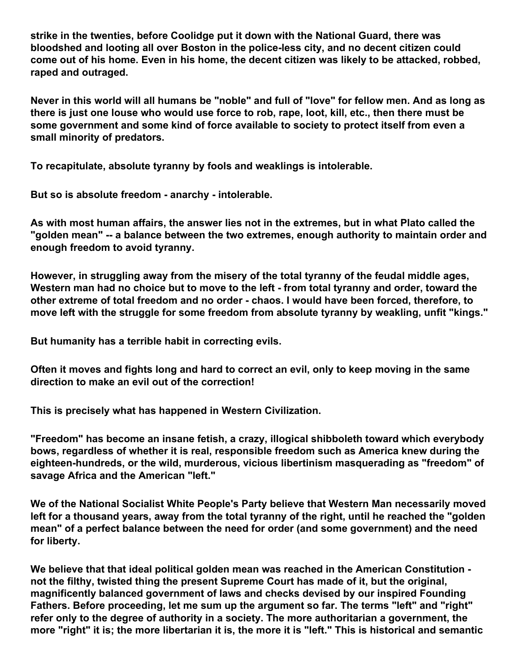**strike in the twenties, before Coolidge put it down with the National Guard, there was bloodshed and looting all over Boston in the police-less city, and no decent citizen could come out of his home. Even in his home, the decent citizen was likely to be attacked, robbed, raped and outraged.**

**Never in this world will all humans be "noble" and full of "love" for fellow men. And as long as there is just one louse who would use force to rob, rape, loot, kill, etc., then there must be some government and some kind of force available to society to protect itself from even a small minority of predators.**

**To recapitulate, absolute tyranny by fools and weaklings is intolerable.**

**But so is absolute freedom - anarchy - intolerable.**

**As with most human affairs, the answer lies not in the extremes, but in what Plato called the "golden mean" -- a balance between the two extremes, enough authority to maintain order and enough freedom to avoid tyranny.**

**However, in struggling away from the misery of the total tyranny of the feudal middle ages, Western man had no choice but to move to the left - from total tyranny and order, toward the other extreme of total freedom and no order - chaos. I would have been forced, therefore, to move left with the struggle for some freedom from absolute tyranny by weakling, unfit "kings."**

**But humanity has a terrible habit in correcting evils.**

**Often it moves and fights long and hard to correct an evil, only to keep moving in the same direction to make an evil out of the correction!**

**This is precisely what has happened in Western Civilization.**

**"Freedom" has become an insane fetish, a crazy, illogical shibboleth toward which everybody bows, regardless of whether it is real, responsible freedom such as America knew during the eighteen-hundreds, or the wild, murderous, vicious libertinism masquerading as "freedom" of savage Africa and the American "left."**

**We of the National Socialist White People's Party believe that Western Man necessarily moved left for a thousand years, away from the total tyranny of the right, until he reached the "golden mean" of a perfect balance between the need for order (and some government) and the need for liberty.**

**We believe that that ideal political golden mean was reached in the American Constitution not the filthy, twisted thing the present Supreme Court has made of it, but the original, magnificently balanced government of laws and checks devised by our inspired Founding Fathers. Before proceeding, let me sum up the argument so far. The terms "left" and "right" refer only to the degree of authority in a society. The more authoritarian a government, the more "right" it is; the more libertarian it is, the more it is "left." This is historical and semantic**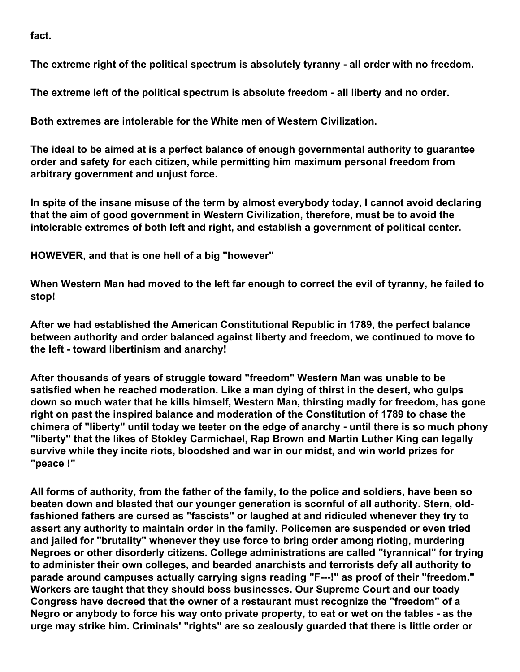**fact.**

**The extreme right of the political spectrum is absolutely tyranny - all order with no freedom.**

**The extreme left of the political spectrum is absolute freedom - all liberty and no order.**

**Both extremes are intolerable for the White men of Western Civilization.**

**The ideal to be aimed at is a perfect balance of enough governmental authority to guarantee order and safety for each citizen, while permitting him maximum personal freedom from arbitrary government and unjust force.**

**In spite of the insane misuse of the term by almost everybody today, I cannot avoid declaring that the aim of good government in Western Civilization, therefore, must be to avoid the intolerable extremes of both left and right, and establish a government of political center.**

**HOWEVER, and that is one hell of a big "however"**

**When Western Man had moved to the left far enough to correct the evil of tyranny, he failed to stop!**

**After we had established the American Constitutional Republic in 1789, the perfect balance between authority and order balanced against liberty and freedom, we continued to move to the left - toward libertinism and anarchy!**

**After thousands of years of struggle toward "freedom" Western Man was unable to be satisfied when he reached moderation. Like a man dying of thirst in the desert, who gulps down so much water that he kills himself, Western Man, thirsting madly for freedom, has gone right on past the inspired balance and moderation of the Constitution of 1789 to chase the chimera of "liberty" until today we teeter on the edge of anarchy - until there is so much phony "liberty" that the likes of Stokley Carmichael, Rap Brown and Martin Luther King can legally survive while they incite riots, bloodshed and war in our midst, and win world prizes for "peace !"**

**All forms of authority, from the father of the family, to the police and soldiers, have been so beaten down and blasted that our younger generation is scornful of all authority. Stern, oldfashioned fathers are cursed as "fascists" or laughed at and ridiculed whenever they try to assert any authority to maintain order in the family. Policemen are suspended or even tried and jailed for "brutality" whenever they use force to bring order among rioting, murdering Negroes or other disorderly citizens. College administrations are called "tyrannical" for trying to administer their own colleges, and bearded anarchists and terrorists defy all authority to parade around campuses actually carrying signs reading "F---!" as proof of their "freedom." Workers are taught that they should boss businesses. Our Supreme Court and our toady Congress have decreed that the owner of a restaurant must recognize the "freedom" of a Negro or anybody to force his way onto private property, to eat or wet on the tables - as the urge may strike him. Criminals' "rights" are so zealously guarded that there is little order or**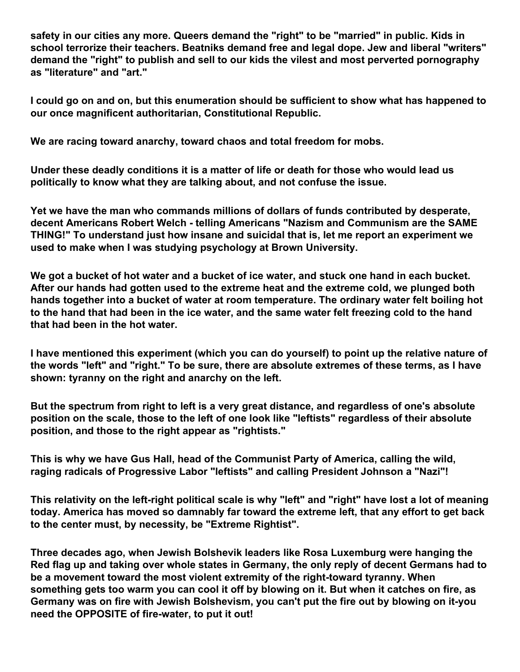**safety in our cities any more. Queers demand the "right" to be "married" in public. Kids in school terrorize their teachers. Beatniks demand free and legal dope. Jew and liberal "writers" demand the "right" to publish and sell to our kids the vilest and most perverted pornography as "literature" and "art."**

**I could go on and on, but this enumeration should be sufficient to show what has happened to our once magnificent authoritarian, Constitutional Republic.**

**We are racing toward anarchy, toward chaos and total freedom for mobs.**

**Under these deadly conditions it is a matter of life or death for those who would lead us politically to know what they are talking about, and not confuse the issue.**

**Yet we have the man who commands millions of dollars of funds contributed by desperate, decent Americans Robert Welch - telling Americans "Nazism and Communism are the SAME THING!" To understand just how insane and suicidal that is, let me report an experiment we used to make when I was studying psychology at Brown University.**

**We got a bucket of hot water and a bucket of ice water, and stuck one hand in each bucket. After our hands had gotten used to the extreme heat and the extreme cold, we plunged both hands together into a bucket of water at room temperature. The ordinary water felt boiling hot to the hand that had been in the ice water, and the same water felt freezing cold to the hand that had been in the hot water.**

**I have mentioned this experiment (which you can do yourself) to point up the relative nature of the words "left" and "right." To be sure, there are absolute extremes of these terms, as I have shown: tyranny on the right and anarchy on the left.**

**But the spectrum from right to left is a very great distance, and regardless of one's absolute position on the scale, those to the left of one look like "leftists" regardless of their absolute position, and those to the right appear as "rightists."**

**This is why we have Gus Hall, head of the Communist Party of America, calling the wild, raging radicals of Progressive Labor "leftists" and calling President Johnson a "Nazi"!**

**This relativity on the left-right political scale is why "left" and "right" have lost a lot of meaning today. America has moved so damnably far toward the extreme left, that any effort to get back to the center must, by necessity, be "Extreme Rightist".**

**Three decades ago, when Jewish Bolshevik leaders like Rosa Luxemburg were hanging the Red flag up and taking over whole states in Germany, the only reply of decent Germans had to be a movement toward the most violent extremity of the right-toward tyranny. When something gets too warm you can cool it off by blowing on it. But when it catches on fire, as Germany was on fire with Jewish Bolshevism, you can't put the fire out by blowing on it-you need the OPPOSITE of fire-water, to put it out!**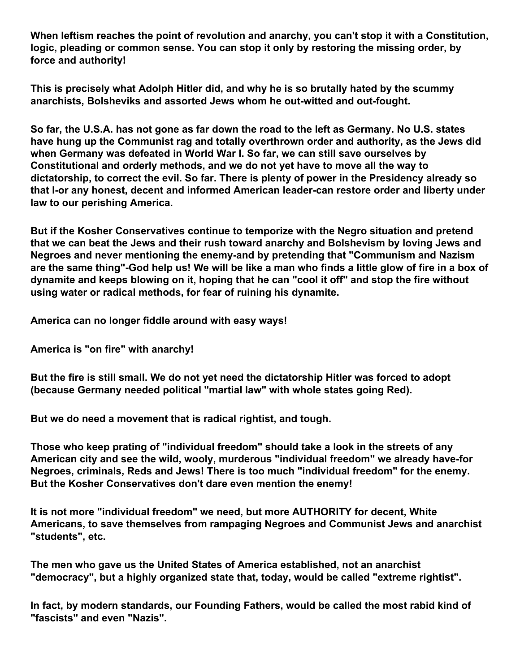**When leftism reaches the point of revolution and anarchy, you can't stop it with a Constitution, logic, pleading or common sense. You can stop it only by restoring the missing order, by force and authority!**

**This is precisely what Adolph Hitler did, and why he is so brutally hated by the scummy anarchists, Bolsheviks and assorted Jews whom he out-witted and out-fought.**

**So far, the U.S.A. has not gone as far down the road to the left as Germany. No U.S. states have hung up the Communist rag and totally overthrown order and authority, as the Jews did when Germany was defeated in World War I. So far, we can still save ourselves by Constitutional and orderly methods, and we do not yet have to move all the way to dictatorship, to correct the evil. So far. There is plenty of power in the Presidency already so that I-or any honest, decent and informed American leader-can restore order and liberty under law to our perishing America.**

**But if the Kosher Conservatives continue to temporize with the Negro situation and pretend that we can beat the Jews and their rush toward anarchy and Bolshevism by loving Jews and Negroes and never mentioning the enemy-and by pretending that "Communism and Nazism are the same thing"-God help us! We will be like a man who finds a little glow of fire in a box of dynamite and keeps blowing on it, hoping that he can "cool it off" and stop the fire without using water or radical methods, for fear of ruining his dynamite.**

**America can no longer fiddle around with easy ways!**

**America is "on fire" with anarchy!**

**But the fire is still small. We do not yet need the dictatorship Hitler was forced to adopt (because Germany needed political "martial law" with whole states going Red).**

**But we do need a movement that is radical rightist, and tough.**

**Those who keep prating of "individual freedom" should take a look in the streets of any American city and see the wild, wooly, murderous "individual freedom" we already have-for Negroes, criminals, Reds and Jews! There is too much "individual freedom" for the enemy. But the Kosher Conservatives don't dare even mention the enemy!**

**It is not more "individual freedom" we need, but more AUTHORITY for decent, White Americans, to save themselves from rampaging Negroes and Communist Jews and anarchist "students", etc.**

**The men who gave us the United States of America established, not an anarchist "democracy", but a highly organized state that, today, would be called "extreme rightist".**

**In fact, by modern standards, our Founding Fathers, would be called the most rabid kind of "fascists" and even "Nazis".**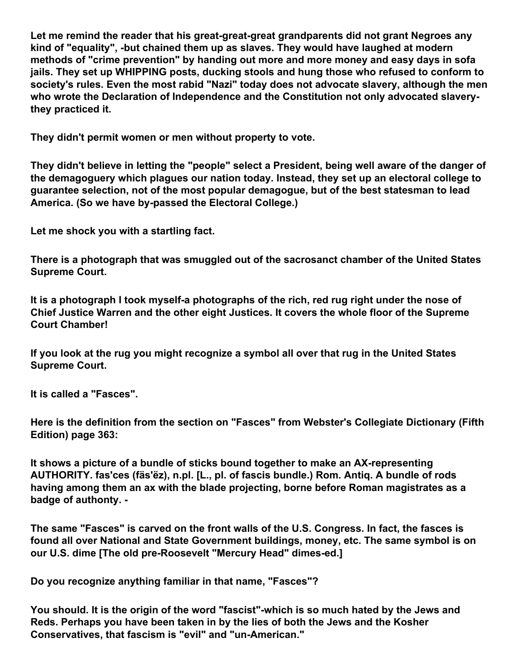**Let me remind the reader that his great-great-great grandparents did not grant Negroes any kind of "equality", -but chained them up as slaves. They would have laughed at modern methods of "crime prevention" by handing out more and more money and easy days in sofa jails. They set up WHIPPING posts, ducking stools and hung those who refused to conform to society's rules. Even the most rabid "Nazi" today does not advocate slavery, although the men who wrote the Declaration of Independence and the Constitution not only advocated slaverythey practiced it.**

**They didn't permit women or men without property to vote.**

**They didn't believe in letting the "people" select a President, being well aware of the danger of the demagoguery which plagues our nation today. Instead, they set up an electoral college to guarantee selection, not of the most popular demagogue, but of the best statesman to lead America. (So we have by-passed the Electoral College.)**

**Let me shock you with a startling fact.**

**There is a photograph that was smuggled out of the sacrosanct chamber of the United States Supreme Court.**

**It is a photograph I took myself-a photographs of the rich, red rug right under the nose of Chief Justice Warren and the other eight Justices. It covers the whole floor of the Supreme Court Chamber!**

**If you look at the rug you might recognize a symbol all over that rug in the United States Supreme Court.**

**It is called a "Fasces".**

**Here is the definition from the section on "Fasces" from Webster's Collegiate Dictionary (Fifth Edition) page 363:**

**It shows a picture of a bundle of sticks bound together to make an AX-representing AUTHORITY. fas'ces (fäs'ëz), n.pl. [L., pl. of fascis bundle.) Rom. Antiq. A bundle of rods having among them an ax with the blade projecting, borne before Roman magistrates as a badge of authonty. -**

**The same "Fasces" is carved on the front walls of the U.S. Congress. In fact, the fasces is found all over National and State Government buildings, money, etc. The same symbol is on our U.S. dime [The old pre-Roosevelt "Mercury Head" dimes-ed.]**

**Do you recognize anything familiar in that name, "Fasces"?**

**You should. It is the origin of the word "fascist"-which is so much hated by the Jews and Reds. Perhaps you have been taken in by the lies of both the Jews and the Kosher Conservatives, that fascism is "evil" and "un-American."**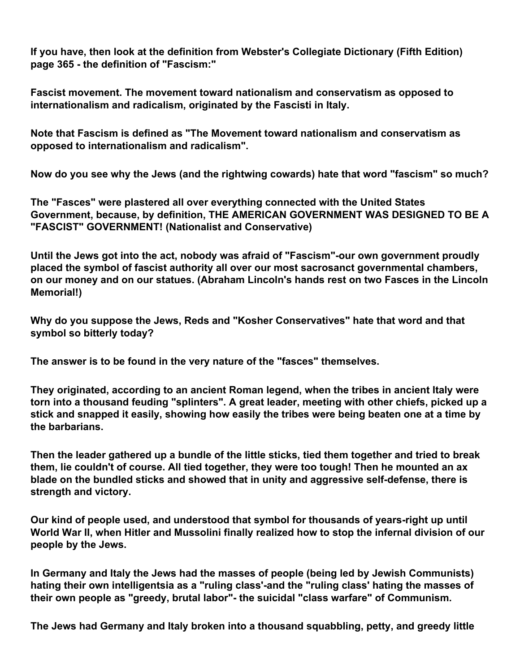**If you have, then look at the definition from Webster's Collegiate Dictionary (Fifth Edition) page 365 - the definition of "Fascism:"**

**Fascist movement. The movement toward nationalism and conservatism as opposed to internationalism and radicalism, originated by the Fascisti in Italy.**

**Note that Fascism is defined as "The Movement toward nationalism and conservatism as opposed to internationalism and radicalism".**

**Now do you see why the Jews (and the rightwing cowards) hate that word "fascism" so much?**

**The "Fasces" were plastered all over everything connected with the United States Government, because, by definition, THE AMERICAN GOVERNMENT WAS DESIGNED TO BE A "FASCIST" GOVERNMENT! (Nationalist and Conservative)**

**Until the Jews got into the act, nobody was afraid of "Fascism"-our own government proudly placed the symbol of fascist authority all over our most sacrosanct governmental chambers, on our money and on our statues. (Abraham Lincoln's hands rest on two Fasces in the Lincoln Memorial!)**

**Why do you suppose the Jews, Reds and "Kosher Conservatives" hate that word and that symbol so bitterly today?**

**The answer is to be found in the very nature of the "fasces" themselves.**

**They originated, according to an ancient Roman legend, when the tribes in ancient Italy were torn into a thousand feuding "splinters". A great leader, meeting with other chiefs, picked up a stick and snapped it easily, showing how easily the tribes were being beaten one at a time by the barbarians.**

**Then the leader gathered up a bundle of the little sticks, tied them together and tried to break them, lie couldn't of course. All tied together, they were too tough! Then he mounted an ax blade on the bundled sticks and showed that in unity and aggressive self-defense, there is strength and victory.**

**Our kind of people used, and understood that symbol for thousands of years-right up until World War II, when Hitler and Mussolini finally realized how to stop the infernal division of our people by the Jews.**

**In Germany and Italy the Jews had the masses of people (being led by Jewish Communists) hating their own intelligentsia as a "ruling class'-and the "ruling class' hating the masses of their own people as "greedy, brutal labor"- the suicidal "class warfare" of Communism.**

**The Jews had Germany and Italy broken into a thousand squabbling, petty, and greedy little**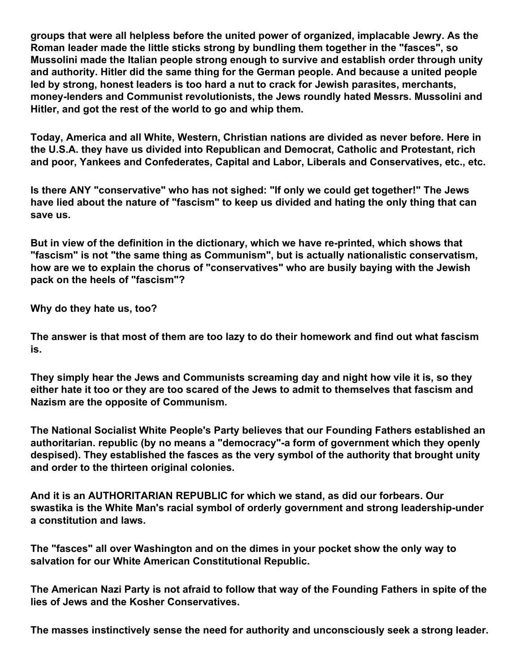**groups that were all helpless before the united power of organized, implacable Jewry. As the Roman leader made the little sticks strong by bundling them together in the "fasces", so Mussolini made the Italian people strong enough to survive and establish order through unity and authority. Hitler did the same thing for the German people. And because a united people led by strong, honest leaders is too hard a nut to crack for Jewish parasites, merchants, money-lenders and Communist revolutionists, the Jews roundly hated Messrs. Mussolini and Hitler, and got the rest of the world to go and whip them.**

**Today, America and all White, Western, Christian nations are divided as never before. Here in the U.S.A. they have us divided into Republican and Democrat, Catholic and Protestant, rich and poor, Yankees and Confederates, Capital and Labor, Liberals and Conservatives, etc., etc.**

**Is there ANY "conservative" who has not sighed: "If only we could get together!" The Jews have lied about the nature of "fascism" to keep us divided and hating the only thing that can save us.**

**But in view of the definition in the dictionary, which we have re-printed, which shows that "fascism" is not "the same thing as Communism", but is actually nationalistic conservatism, how are we to explain the chorus of "conservatives" who are busily baying with the Jewish pack on the heels of "fascism"?**

**Why do they hate us, too?**

**The answer is that most of them are too lazy to do their homework and find out what fascism is.**

**They simply hear the Jews and Communists screaming day and night how vile it is, so they either hate it too or they are too scared of the Jews to admit to themselves that fascism and Nazism are the opposite of Communism.**

**The National Socialist White People's Party believes that our Founding Fathers established an authoritarian. republic (by no means a "democracy"-a form of government which they openly despised). They established the fasces as the very symbol of the authority that brought unity and order to the thirteen original colonies.**

**And it is an AUTHORITARIAN REPUBLIC for which we stand, as did our forbears. Our swastika is the White Man's racial symbol of orderly government and strong leadership-under a constitution and laws.**

**The "fasces" all over Washington and on the dimes in your pocket show the only way to salvation for our White American Constitutional Republic.**

**The American Nazi Party is not afraid to follow that way of the Founding Fathers in spite of the lies of Jews and the Kosher Conservatives.**

**The masses instinctively sense the need for authority and unconsciously seek a strong leader.**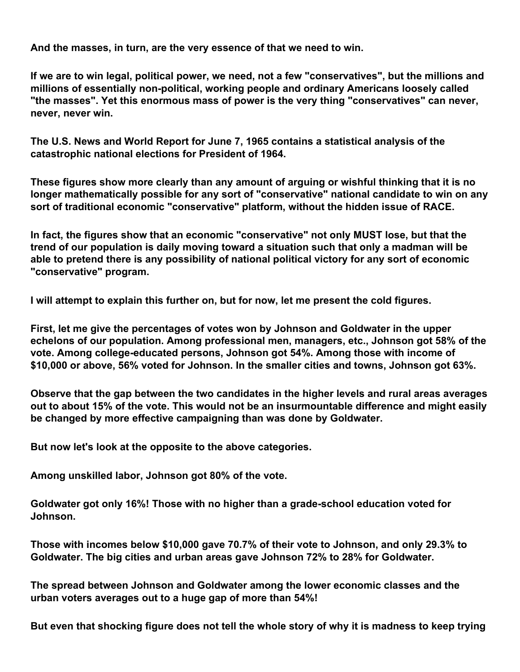**And the masses, in turn, are the very essence of that we need to win.**

**If we are to win legal, political power, we need, not a few "conservatives", but the millions and millions of essentially non-political, working people and ordinary Americans loosely called "the masses". Yet this enormous mass of power is the very thing "conservatives" can never, never, never win.**

**The U.S. News and World Report for June 7, 1965 contains a statistical analysis of the catastrophic national elections for President of 1964.**

**These figures show more clearly than any amount of arguing or wishful thinking that it is no longer mathematically possible for any sort of "conservative" national candidate to win on any sort of traditional economic "conservative" platform, without the hidden issue of RACE.**

**In fact, the figures show that an economic "conservative" not only MUST lose, but that the trend of our population is daily moving toward a situation such that only a madman will be able to pretend there is any possibility of national political victory for any sort of economic "conservative" program.**

**I will attempt to explain this further on, but for now, let me present the cold figures.**

**First, let me give the percentages of votes won by Johnson and Goldwater in the upper echelons of our population. Among professional men, managers, etc., Johnson got 58% of the vote. Among college-educated persons, Johnson got 54%. Among those with income of \$10,000 or above, 56% voted for Johnson. In the smaller cities and towns, Johnson got 63%.**

**Observe that the gap between the two candidates in the higher levels and rural areas averages out to about 15% of the vote. This would not be an insurmountable difference and might easily be changed by more effective campaigning than was done by Goldwater.**

**But now let's look at the opposite to the above categories.**

**Among unskilled labor, Johnson got 80% of the vote.**

**Goldwater got only 16%! Those with no higher than a grade-school education voted for Johnson.**

**Those with incomes below \$10,000 gave 70.7% of their vote to Johnson, and only 29.3% to Goldwater. The big cities and urban areas gave Johnson 72% to 28% for Goldwater.**

**The spread between Johnson and Goldwater among the lower economic classes and the urban voters averages out to a huge gap of more than 54%!**

**But even that shocking figure does not tell the whole story of why it is madness to keep trying**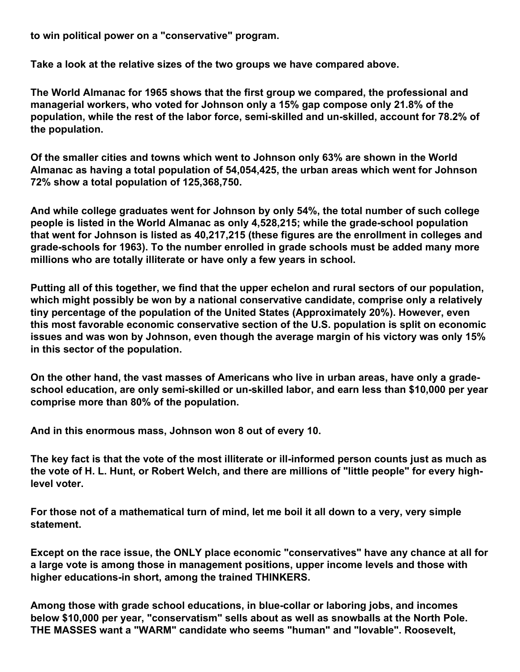**to win political power on a "conservative" program.**

**Take a look at the relative sizes of the two groups we have compared above.**

**The World Almanac for 1965 shows that the first group we compared, the professional and managerial workers, who voted for Johnson only a 15% gap compose only 21.8% of the population, while the rest of the labor force, semi-skilled and un-skilled, account for 78.2% of the population.**

**Of the smaller cities and towns which went to Johnson only 63% are shown in the World Almanac as having a total population of 54,054,425, the urban areas which went for Johnson 72% show a total population of 125,368,750.**

**And while college graduates went for Johnson by only 54%, the total number of such college people is listed in the World Almanac as only 4,528,215; while the grade-school population that went for Johnson is listed as 40,217,215 (these figures are the enrollment in colleges and grade-schools for 1963). To the number enrolled in grade schools must be added many more millions who are totally illiterate or have only a few years in school.**

**Putting all of this together, we find that the upper echelon and rural sectors of our population, which might possibly be won by a national conservative candidate, comprise only a relatively tiny percentage of the population of the United States (Approximately 20%). However, even this most favorable economic conservative section of the U.S. population is split on economic issues and was won by Johnson, even though the average margin of his victory was only 15% in this sector of the population.**

**On the other hand, the vast masses of Americans who live in urban areas, have only a gradeschool education, are only semi-skilled or un-skilled labor, and earn less than \$10,000 per year comprise more than 80% of the population.**

**And in this enormous mass, Johnson won 8 out of every 10.**

**The key fact is that the vote of the most illiterate or ill-informed person counts just as much as the vote of H. L. Hunt, or Robert Welch, and there are millions of "little people" for every highlevel voter.**

**For those not of a mathematical turn of mind, let me boil it all down to a very, very simple statement.**

**Except on the race issue, the ONLY place economic "conservatives" have any chance at all for a large vote is among those in management positions, upper income levels and those with higher educations-in short, among the trained THINKERS.**

**Among those with grade school educations, in blue-collar or laboring jobs, and incomes below \$10,000 per year, "conservatism" sells about as well as snowballs at the North Pole. THE MASSES want a "WARM" candidate who seems "human" and "lovable". Roosevelt,**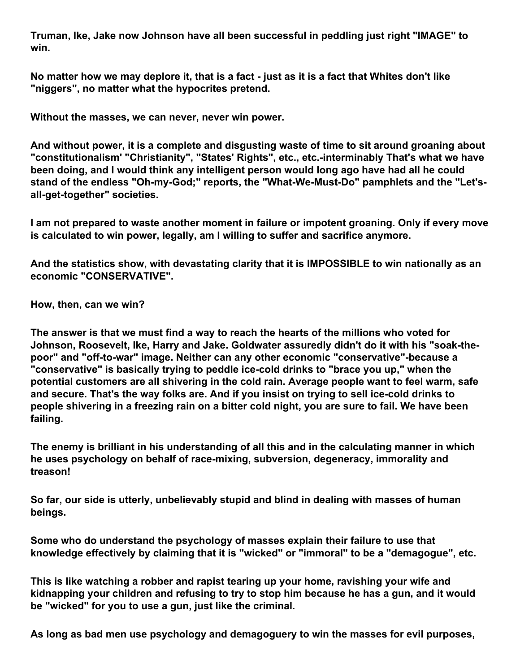**Truman, Ike, Jake now Johnson have all been successful in peddling just right "IMAGE" to win.**

**No matter how we may deplore it, that is a fact - just as it is a fact that Whites don't like "niggers", no matter what the hypocrites pretend.**

**Without the masses, we can never, never win power.**

**And without power, it is a complete and disgusting waste of time to sit around groaning about "constitutionalism' "Christianity", "States' Rights", etc., etc.-interminably That's what we have been doing, and I would think any intelligent person would long ago have had all he could stand of the endless "Oh-my-God;" reports, the "What-We-Must-Do" pamphlets and the "Let'sall-get-together" societies.**

**I am not prepared to waste another moment in failure or impotent groaning. Only if every move is calculated to win power, legally, am I willing to suffer and sacrifice anymore.**

**And the statistics show, with devastating clarity that it is IMPOSSIBLE to win nationally as an economic "CONSERVATIVE".**

**How, then, can we win?**

**The answer is that we must find a way to reach the hearts of the millions who voted for Johnson, Roosevelt, Ike, Harry and Jake. Goldwater assuredly didn't do it with his "soak-thepoor" and "off-to-war" image. Neither can any other economic "conservative"-because a "conservative" is basically trying to peddle ice-cold drinks to "brace you up," when the potential customers are all shivering in the cold rain. Average people want to feel warm, safe and secure. That's the way folks are. And if you insist on trying to sell ice-cold drinks to people shivering in a freezing rain on a bitter cold night, you are sure to fail. We have been failing.**

**The enemy is brilliant in his understanding of all this and in the calculating manner in which he uses psychology on behalf of race-mixing, subversion, degeneracy, immorality and treason!**

**So far, our side is utterly, unbelievably stupid and blind in dealing with masses of human beings.**

**Some who do understand the psychology of masses explain their failure to use that knowledge effectively by claiming that it is "wicked" or "immoral" to be a "demagogue", etc.**

**This is like watching a robber and rapist tearing up your home, ravishing your wife and kidnapping your children and refusing to try to stop him because he has a gun, and it would be "wicked" for you to use a gun, just like the criminal.**

**As long as bad men use psychology and demagoguery to win the masses for evil purposes,**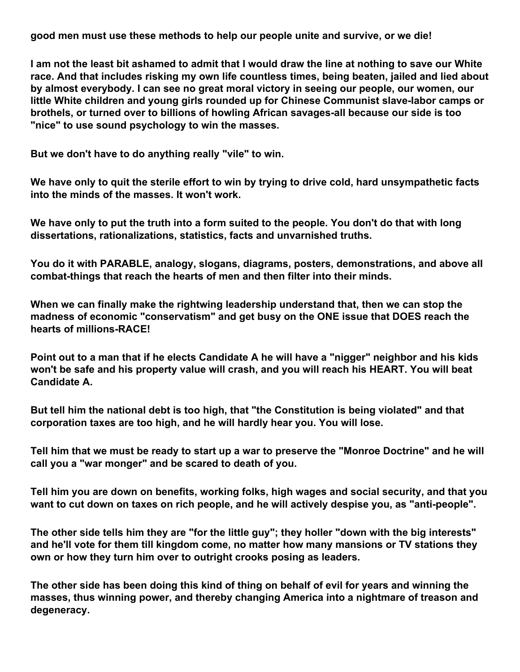**good men must use these methods to help our people unite and survive, or we die!**

**I am not the least bit ashamed to admit that I would draw the line at nothing to save our White race. And that includes risking my own life countless times, being beaten, jailed and lied about by almost everybody. I can see no great moral victory in seeing our people, our women, our little White children and young girls rounded up for Chinese Communist slave-labor camps or brothels, or turned over to billions of howling African savages-all because our side is too "nice" to use sound psychology to win the masses.**

**But we don't have to do anything really "vile" to win.**

**We have only to quit the sterile effort to win by trying to drive cold, hard unsympathetic facts into the minds of the masses. It won't work.**

**We have only to put the truth into a form suited to the people. You don't do that with long dissertations, rationalizations, statistics, facts and unvarnished truths.**

**You do it with PARABLE, analogy, slogans, diagrams, posters, demonstrations, and above all combat-things that reach the hearts of men and then filter into their minds.**

**When we can finally make the rightwing leadership understand that, then we can stop the madness of economic "conservatism" and get busy on the ONE issue that DOES reach the hearts of millions-RACE!**

**Point out to a man that if he elects Candidate A he will have a "nigger" neighbor and his kids won't be safe and his property value will crash, and you will reach his HEART. You will beat Candidate A.**

**But tell him the national debt is too high, that "the Constitution is being violated" and that corporation taxes are too high, and he will hardly hear you. You will lose.**

**Tell him that we must be ready to start up a war to preserve the "Monroe Doctrine" and he will call you a "war monger" and be scared to death of you.**

**Tell him you are down on benefits, working folks, high wages and social security, and that you want to cut down on taxes on rich people, and he will actively despise you, as "anti-people".**

**The other side tells him they are "for the little guy"; they holler "down with the big interests" and he'll vote for them till kingdom come, no matter how many mansions or TV stations they own or how they turn him over to outright crooks posing as leaders.**

**The other side has been doing this kind of thing on behalf of evil for years and winning the masses, thus winning power, and thereby changing America into a nightmare of treason and degeneracy.**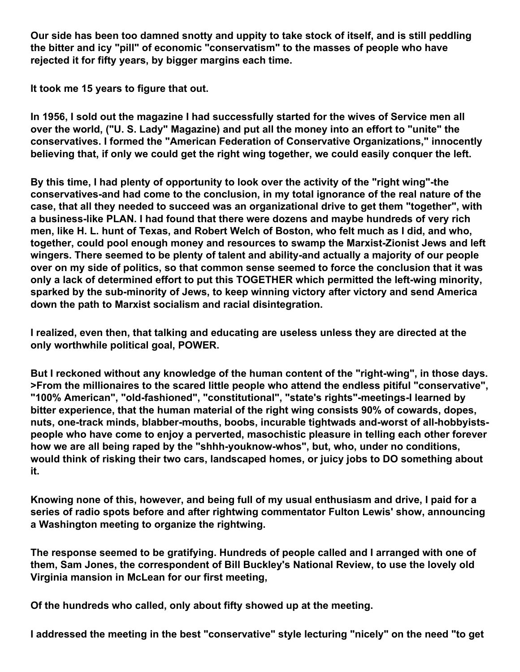**Our side has been too damned snotty and uppity to take stock of itself, and is still peddling the bitter and icy "pill" of economic "conservatism" to the masses of people who have rejected it for fifty years, by bigger margins each time.**

**It took me 15 years to figure that out.**

**In 1956, I sold out the magazine I had successfully started for the wives of Service men all over the world, ("U. S. Lady" Magazine) and put all the money into an effort to "unite" the conservatives. I formed the "American Federation of Conservative Organizations," innocently believing that, if only we could get the right wing together, we could easily conquer the left.**

**By this time, I had plenty of opportunity to look over the activity of the "right wing"-the conservatives-and had come to the conclusion, in my total ignorance of the real nature of the case, that all they needed to succeed was an organizational drive to get them "together", with a business-like PLAN. I had found that there were dozens and maybe hundreds of very rich men, like H. L. hunt of Texas, and Robert Welch of Boston, who felt much as I did, and who, together, could pool enough money and resources to swamp the Marxist-Zionist Jews and left wingers. There seemed to be plenty of talent and ability-and actually a majority of our people over on my side of politics, so that common sense seemed to force the conclusion that it was only a lack of determined effort to put this TOGETHER which permitted the left-wing minority, sparked by the sub-minority of Jews, to keep winning victory after victory and send America down the path to Marxist socialism and racial disintegration.**

**I realized, even then, that talking and educating are useless unless they are directed at the only worthwhile political goal, POWER.**

**But I reckoned without any knowledge of the human content of the "right-wing", in those days. >From the millionaires to the scared little people who attend the endless pitiful "conservative", "100% American", "old-fashioned", "constitutional", "state's rights"-meetings-I learned by bitter experience, that the human material of the right wing consists 90% of cowards, dopes, nuts, one-track minds, blabber-mouths, boobs, incurable tightwads and-worst of all-hobbyistspeople who have come to enjoy a perverted, masochistic pleasure in telling each other forever how we are all being raped by the "shhh-youknow-whos", but, who, under no conditions, would think of risking their two cars, landscaped homes, or juicy jobs to DO something about it.**

**Knowing none of this, however, and being full of my usual enthusiasm and drive, I paid for a series of radio spots before and after rightwing commentator Fulton Lewis' show, announcing a Washington meeting to organize the rightwing.**

**The response seemed to be gratifying. Hundreds of people called and I arranged with one of them, Sam Jones, the correspondent of Bill Buckley's National Review, to use the lovely old Virginia mansion in McLean for our first meeting,**

**Of the hundreds who called, only about fifty showed up at the meeting.**

**I addressed the meeting in the best "conservative" style lecturing "nicely" on the need "to get**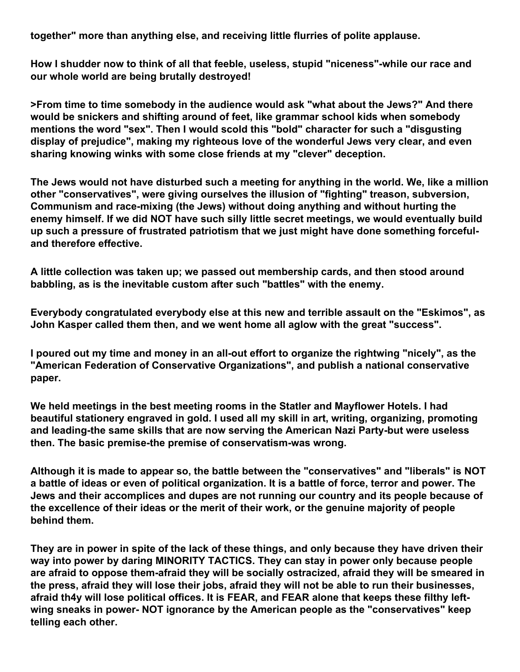**together" more than anything else, and receiving little flurries of polite applause.**

**How I shudder now to think of all that feeble, useless, stupid "niceness"-while our race and our whole world are being brutally destroyed!**

**>From time to time somebody in the audience would ask "what about the Jews?" And there would be snickers and shifting around of feet, like grammar school kids when somebody mentions the word "sex". Then I would scold this "bold" character for such a "disgusting display of prejudice", making my righteous love of the wonderful Jews very clear, and even sharing knowing winks with some close friends at my "clever" deception.**

**The Jews would not have disturbed such a meeting for anything in the world. We, like a million other "conservatives", were giving ourselves the illusion of "fighting" treason, subversion, Communism and race-mixing (the Jews) without doing anything and without hurting the enemy himself. If we did NOT have such silly little secret meetings, we would eventually build up such a pressure of frustrated patriotism that we just might have done something forcefuland therefore effective.**

**A little collection was taken up; we passed out membership cards, and then stood around babbling, as is the inevitable custom after such "battles" with the enemy.**

**Everybody congratulated everybody else at this new and terrible assault on the "Eskimos", as John Kasper called them then, and we went home all aglow with the great "success".**

**I poured out my time and money in an all-out effort to organize the rightwing "nicely", as the "American Federation of Conservative Organizations", and publish a national conservative paper.**

**We held meetings in the best meeting rooms in the Statler and Mayflower Hotels. I had beautiful stationery engraved in gold. I used all my skill in art, writing, organizing, promoting and leading-the same skills that are now serving the American Nazi Party-but were useless then. The basic premise-the premise of conservatism-was wrong.**

**Although it is made to appear so, the battle between the "conservatives" and "liberals" is NOT a battle of ideas or even of political organization. It is a battle of force, terror and power. The Jews and their accomplices and dupes are not running our country and its people because of the excellence of their ideas or the merit of their work, or the genuine majority of people behind them.**

**They are in power in spite of the lack of these things, and only because they have driven their way into power by daring MINORITY TACTICS. They can stay in power only because people are afraid to oppose them-afraid they will be socially ostracized, afraid they will be smeared in the press, afraid they will lose their jobs, afraid they will not be able to run their businesses, afraid th4y will lose political offices. It is FEAR, and FEAR alone that keeps these filthy leftwing sneaks in power- NOT ignorance by the American people as the "conservatives" keep telling each other.**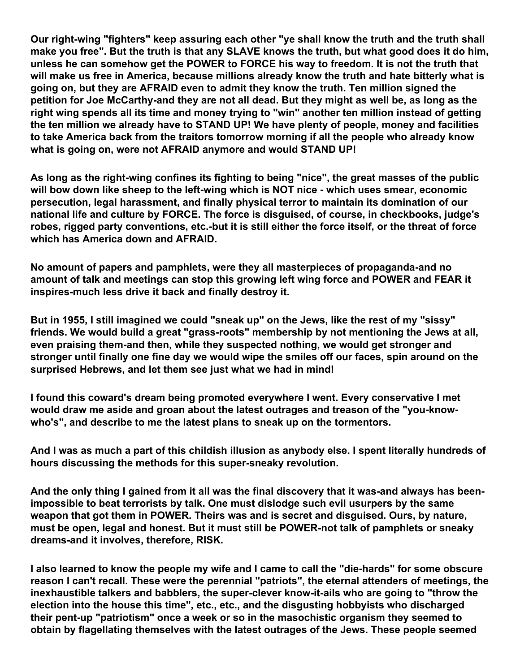**Our right-wing "fighters" keep assuring each other "ye shall know the truth and the truth shall make you free". But the truth is that any SLAVE knows the truth, but what good does it do him, unless he can somehow get the POWER to FORCE his way to freedom. It is not the truth that will make us free in America, because millions already know the truth and hate bitterly what is going on, but they are AFRAID even to admit they know the truth. Ten million signed the petition for Joe McCarthy-and they are not all dead. But they might as well be, as long as the right wing spends all its time and money trying to "win" another ten million instead of getting the ten million we already have to STAND UP! We have plenty of people, money and facilities to take America back from the traitors tomorrow morning if all the people who already know what is going on, were not AFRAID anymore and would STAND UP!**

**As long as the right-wing confines its fighting to being "nice", the great masses of the public will bow down like sheep to the left-wing which is NOT nice - which uses smear, economic persecution, legal harassment, and finally physical terror to maintain its domination of our national life and culture by FORCE. The force is disguised, of course, in checkbooks, judge's robes, rigged party conventions, etc.-but it is still either the force itself, or the threat of force which has America down and AFRAID.**

**No amount of papers and pamphlets, were they all masterpieces of propaganda-and no amount of talk and meetings can stop this growing left wing force and POWER and FEAR it inspires-much less drive it back and finally destroy it.**

**But in 1955, I still imagined we could "sneak up" on the Jews, like the rest of my "sissy" friends. We would build a great "grass-roots" membership by not mentioning the Jews at all, even praising them-and then, while they suspected nothing, we would get stronger and stronger until finally one fine day we would wipe the smiles off our faces, spin around on the surprised Hebrews, and let them see just what we had in mind!**

**I found this coward's dream being promoted everywhere I went. Every conservative I met would draw me aside and groan about the latest outrages and treason of the "you-knowwho's", and describe to me the latest plans to sneak up on the tormentors.**

**And I was as much a part of this childish illusion as anybody else. I spent literally hundreds of hours discussing the methods for this super-sneaky revolution.**

**And the only thing I gained from it all was the final discovery that it was-and always has beenimpossible to beat terrorists by talk. One must dislodge such evil usurpers by the same weapon that got them in POWER. Theirs was and is secret and disguised. Ours, by nature, must be open, legal and honest. But it must still be POWER-not talk of pamphlets or sneaky dreams-and it involves, therefore, RISK.**

**I also learned to know the people my wife and I came to call the "die-hards" for some obscure reason I can't recall. These were the perennial "patriots", the eternal attenders of meetings, the inexhaustible talkers and babblers, the super-clever know-it-ails who are going to "throw the election into the house this time", etc., etc., and the disgusting hobbyists who discharged their pent-up "patriotism" once a week or so in the masochistic organism they seemed to obtain by flagellating themselves with the latest outrages of the Jews. These people seemed**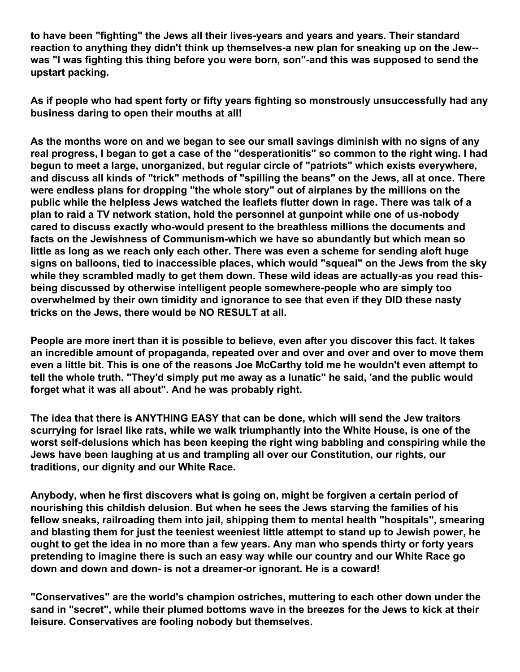**to have been "fighting" the Jews all their lives-years and years and years. Their standard reaction to anything they didn't think up themselves-a new plan for sneaking up on the Jew- was "I was fighting this thing before you were born, son"-and this was supposed to send the upstart packing.**

**As if people who had spent forty or fifty years fighting so monstrously unsuccessfully had any business daring to open their mouths at all!**

**As the months wore on and we began to see our small savings diminish with no signs of any real progress, I began to get a case of the "desperationitis" so common to the right wing. I had begun to meet a large, unorganized, but regular circle of "patriots" which exists everywhere, and discuss all kinds of "trick" methods of "spilling the beans" on the Jews, all at once. There were endless plans for dropping "the whole story" out of airplanes by the millions on the public while the helpless Jews watched the leaflets flutter down in rage. There was talk of a plan to raid a TV network station, hold the personnel at gunpoint while one of us-nobody cared to discuss exactly who-would present to the breathless millions the documents and facts on the Jewishness of Communism-which we have so abundantly but which mean so little as long as we reach only each other. There was even a scheme for sending aloft huge signs on balloons, tied to inaccessible places, which would "squeal" on the Jews from the sky while they scrambled madly to get them down. These wild ideas are actually-as you read thisbeing discussed by otherwise intelligent people somewhere-people who are simply too overwhelmed by their own timidity and ignorance to see that even if they DID these nasty tricks on the Jews, there would be NO RESULT at all.**

**People are more inert than it is possible to believe, even after you discover this fact. It takes an incredible amount of propaganda, repeated over and over and over and over to move them even a little bit. This is one of the reasons Joe McCarthy told me he wouldn't even attempt to tell the whole truth. "They'd simply put me away as a lunatic" he said, 'and the public would forget what it was all about". And he was probably right.**

**The idea that there is ANYTHING EASY that can be done, which will send the Jew traitors scurrying for Israel like rats, while we walk triumphantly into the White House, is one of the worst self-delusions which has been keeping the right wing babbling and conspiring while the Jews have been laughing at us and trampling all over our Constitution, our rights, our traditions, our dignity and our White Race.**

**Anybody, when he first discovers what is going on, might be forgiven a certain period of nourishing this childish delusion. But when he sees the Jews starving the families of his fellow sneaks, railroading them into jail, shipping them to mental health "hospitals", smearing and blasting them for just the teeniest weeniest little attempt to stand up to Jewish power, he ought to get the idea in no more than a few years. Any man who spends thirty or forty years pretending to imagine there is such an easy way while our country and our White Race go down and down and down- is not a dreamer-or ignorant. He is a coward!**

**"Conservatives" are the world's champion ostriches, muttering to each other down under the sand in "secret", while their plumed bottoms wave in the breezes for the Jews to kick at their leisure. Conservatives are fooling nobody but themselves.**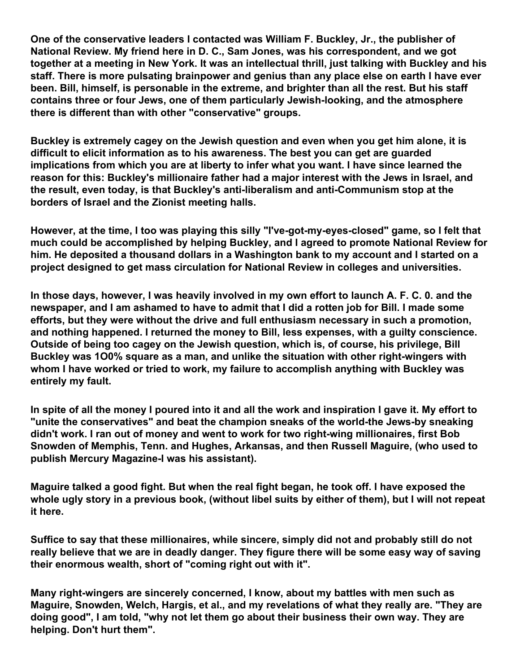**One of the conservative leaders I contacted was William F. Buckley, Jr., the publisher of National Review. My friend here in D. C., Sam Jones, was his correspondent, and we got together at a meeting in New York. It was an intellectual thrill, just talking with Buckley and his staff. There is more pulsating brainpower and genius than any place else on earth I have ever been. Bill, himself, is personable in the extreme, and brighter than all the rest. But his staff contains three or four Jews, one of them particularly Jewish-looking, and the atmosphere there is different than with other "conservative" groups.**

**Buckley is extremely cagey on the Jewish question and even when you get him alone, it is difficult to elicit information as to his awareness. The best you can get are guarded implications from which you are at liberty to infer what you want. I have since learned the reason for this: Buckley's millionaire father had a major interest with the Jews in Israel, and the result, even today, is that Buckley's anti-liberalism and anti-Communism stop at the borders of Israel and the Zionist meeting halls.**

**However, at the time, I too was playing this silly "I've-got-my-eyes-closed" game, so I felt that much could be accomplished by helping Buckley, and I agreed to promote National Review for him. He deposited a thousand dollars in a Washington bank to my account and I started on a project designed to get mass circulation for National Review in colleges and universities.**

**In those days, however, I was heavily involved in my own effort to launch A. F. C. 0. and the newspaper, and I am ashamed to have to admit that I did a rotten job for Bill. I made some efforts, but they were without the drive and full enthusiasm necessary in such a promotion, and nothing happened. I returned the money to Bill, less expenses, with a guilty conscience. Outside of being too cagey on the Jewish question, which is, of course, his privilege, Bill Buckley was 1O0% square as a man, and unlike the situation with other right-wingers with whom I have worked or tried to work, my failure to accomplish anything with Buckley was entirely my fault.**

**In spite of all the money I poured into it and all the work and inspiration I gave it. My effort to "unite the conservatives" and beat the champion sneaks of the world-the Jews-by sneaking didn't work. I ran out of money and went to work for two right-wing millionaires, first Bob Snowden of Memphis, Tenn. and Hughes, Arkansas, and then Russell Maguire, (who used to publish Mercury Magazine-I was his assistant).**

**Maguire talked a good fight. But when the real fight began, he took off. I have exposed the whole ugly story in a previous book, (without libel suits by either of them), but I will not repeat it here.**

**Suffice to say that these millionaires, while sincere, simply did not and probably still do not really believe that we are in deadly danger. They figure there will be some easy way of saving their enormous wealth, short of "coming right out with it".**

**Many right-wingers are sincerely concerned, I know, about my battles with men such as Maguire, Snowden, Welch, Hargis, et al., and my revelations of what they really are. "They are doing good", I am told, "why not let them go about their business their own way. They are helping. Don't hurt them".**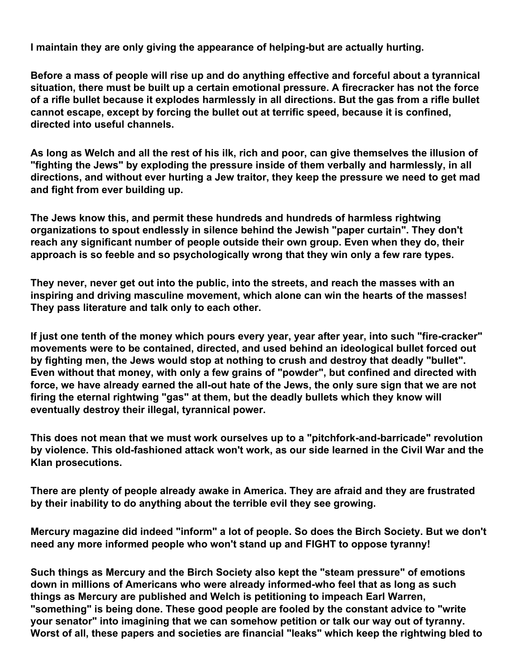**I maintain they are only giving the appearance of helping-but are actually hurting.**

**Before a mass of people will rise up and do anything effective and forceful about a tyrannical situation, there must be built up a certain emotional pressure. A firecracker has not the force of a rifle bullet because it explodes harmlessly in all directions. But the gas from a rifle bullet cannot escape, except by forcing the bullet out at terrific speed, because it is confined, directed into useful channels.**

**As long as Welch and all the rest of his ilk, rich and poor, can give themselves the illusion of "fighting the Jews" by exploding the pressure inside of them verbally and harmlessly, in all directions, and without ever hurting a Jew traitor, they keep the pressure we need to get mad and fight from ever building up.**

**The Jews know this, and permit these hundreds and hundreds of harmless rightwing organizations to spout endlessly in silence behind the Jewish "paper curtain". They don't reach any significant number of people outside their own group. Even when they do, their approach is so feeble and so psychologically wrong that they win only a few rare types.**

**They never, never get out into the public, into the streets, and reach the masses with an inspiring and driving masculine movement, which alone can win the hearts of the masses! They pass literature and talk only to each other.**

**If just one tenth of the money which pours every year, year after year, into such "fire-cracker" movements were to be contained, directed, and used behind an ideological bullet forced out by fighting men, the Jews would stop at nothing to crush and destroy that deadly "bullet". Even without that money, with only a few grains of "powder", but confined and directed with force, we have already earned the all-out hate of the Jews, the only sure sign that we are not firing the eternal rightwing "gas" at them, but the deadly bullets which they know will eventually destroy their illegal, tyrannical power.**

**This does not mean that we must work ourselves up to a "pitchfork-and-barricade" revolution by violence. This old-fashioned attack won't work, as our side learned in the Civil War and the Klan prosecutions.**

**There are plenty of people already awake in America. They are afraid and they are frustrated by their inability to do anything about the terrible evil they see growing.**

**Mercury magazine did indeed "inform" a lot of people. So does the Birch Society. But we don't need any more informed people who won't stand up and FIGHT to oppose tyranny!**

**Such things as Mercury and the Birch Society also kept the "steam pressure" of emotions down in millions of Americans who were already informed-who feel that as long as such things as Mercury are published and Welch is petitioning to impeach Earl Warren, "something" is being done. These good people are fooled by the constant advice to "write your senator" into imagining that we can somehow petition or talk our way out of tyranny. Worst of all, these papers and societies are financial "leaks" which keep the rightwing bled to**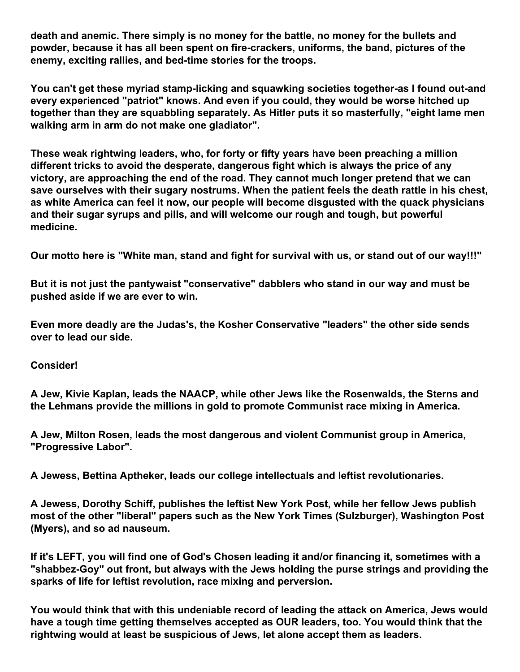**death and anemic. There simply is no money for the battle, no money for the bullets and powder, because it has all been spent on fire-crackers, uniforms, the band, pictures of the enemy, exciting rallies, and bed-time stories for the troops.**

**You can't get these myriad stamp-licking and squawking societies together-as I found out-and every experienced "patriot" knows. And even if you could, they would be worse hitched up together than they are squabbling separately. As Hitler puts it so masterfully, "eight lame men walking arm in arm do not make one gladiator".**

**These weak rightwing leaders, who, for forty or fifty years have been preaching a million different tricks to avoid the desperate, dangerous fight which is always the price of any victory, are approaching the end of the road. They cannot much longer pretend that we can save ourselves with their sugary nostrums. When the patient feels the death rattle in his chest, as white America can feel it now, our people will become disgusted with the quack physicians and their sugar syrups and pills, and will welcome our rough and tough, but powerful medicine.**

**Our motto here is "White man, stand and fight for survival with us, or stand out of our way!!!"**

**But it is not just the pantywaist "conservative" dabblers who stand in our way and must be pushed aside if we are ever to win.**

**Even more deadly are the Judas's, the Kosher Conservative "leaders" the other side sends over to lead our side.**

**Consider!**

**A Jew, Kivie Kaplan, leads the NAACP, while other Jews like the Rosenwalds, the Sterns and the Lehmans provide the millions in gold to promote Communist race mixing in America.**

**A Jew, Milton Rosen, leads the most dangerous and violent Communist group in America, "Progressive Labor".**

**A Jewess, Bettina Aptheker, leads our college intellectuals and leftist revolutionaries.**

**A Jewess, Dorothy Schiff, publishes the leftist New York Post, while her fellow Jews publish most of the other "liberal" papers such as the New York Times (Sulzburger), Washington Post (Myers), and so ad nauseum.**

**If it's LEFT, you will find one of God's Chosen leading it and/or financing it, sometimes with a "shabbez-Goy" out front, but always with the Jews holding the purse strings and providing the sparks of life for leftist revolution, race mixing and perversion.**

**You would think that with this undeniable record of leading the attack on America, Jews would have a tough time getting themselves accepted as OUR leaders, too. You would think that the rightwing would at least be suspicious of Jews, let alone accept them as leaders.**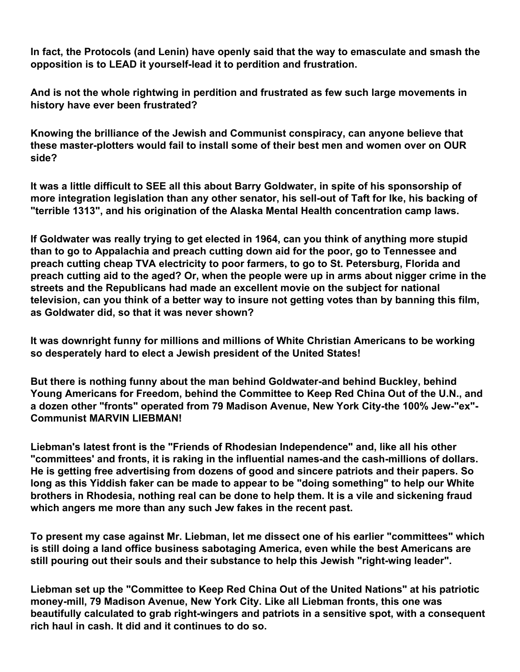**In fact, the Protocols (and Lenin) have openly said that the way to emasculate and smash the opposition is to LEAD it yourself-lead it to perdition and frustration.**

**And is not the whole rightwing in perdition and frustrated as few such large movements in history have ever been frustrated?**

**Knowing the brilliance of the Jewish and Communist conspiracy, can anyone believe that these master-plotters would fail to install some of their best men and women over on OUR side?**

**It was a little difficult to SEE all this about Barry Goldwater, in spite of his sponsorship of more integration legislation than any other senator, his sell-out of Taft for Ike, his backing of "terrible 1313", and his origination of the Alaska Mental Health concentration camp laws.**

**If Goldwater was really trying to get elected in 1964, can you think of anything more stupid than to go to Appalachia and preach cutting down aid for the poor, go to Tennessee and preach cutting cheap TVA electricity to poor farmers, to go to St. Petersburg, Florida and preach cutting aid to the aged? Or, when the people were up in arms about nigger crime in the streets and the Republicans had made an excellent movie on the subject for national television, can you think of a better way to insure not getting votes than by banning this film, as Goldwater did, so that it was never shown?**

**It was downright funny for millions and millions of White Christian Americans to be working so desperately hard to elect a Jewish president of the United States!**

**But there is nothing funny about the man behind Goldwater-and behind Buckley, behind Young Americans for Freedom, behind the Committee to Keep Red China Out of the U.N., and a dozen other "fronts" operated from 79 Madison Avenue, New York City-the 100% Jew-"ex"- Communist MARVIN LIEBMAN!**

**Liebman's latest front is the "Friends of Rhodesian Independence" and, like all his other "committees' and fronts, it is raking in the influential names-and the cash-millions of dollars. He is getting free advertising from dozens of good and sincere patriots and their papers. So long as this Yiddish faker can be made to appear to be "doing something" to help our White brothers in Rhodesia, nothing real can be done to help them. It is a vile and sickening fraud which angers me more than any such Jew fakes in the recent past.**

**To present my case against Mr. Liebman, let me dissect one of his earlier "committees" which is still doing a land office business sabotaging America, even while the best Americans are still pouring out their souls and their substance to help this Jewish "right-wing leader".**

**Liebman set up the "Committee to Keep Red China Out of the United Nations" at his patriotic money-mill, 79 Madison Avenue, New York City. Like all Liebman fronts, this one was beautifully calculated to grab right-wingers and patriots in a sensitive spot, with a consequent rich haul in cash. It did and it continues to do so.**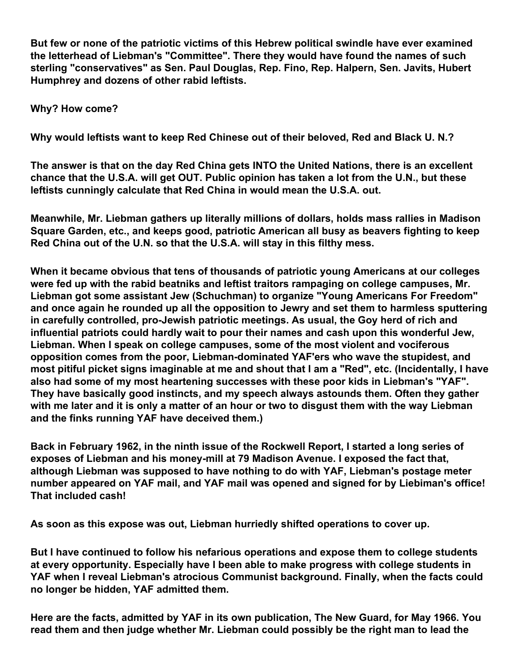**But few or none of the patriotic victims of this Hebrew political swindle have ever examined the letterhead of Liebman's "Committee". There they would have found the names of such sterling "conservatives" as Sen. Paul Douglas, Rep. Fino, Rep. Halpern, Sen. Javits, Hubert Humphrey and dozens of other rabid leftists.**

**Why? How come?**

**Why would leftists want to keep Red Chinese out of their beloved, Red and Black U. N.?**

**The answer is that on the day Red China gets INTO the United Nations, there is an excellent chance that the U.S.A. will get OUT. Public opinion has taken a lot from the U.N., but these leftists cunningly calculate that Red China in would mean the U.S.A. out.**

**Meanwhile, Mr. Liebman gathers up literally millions of dollars, holds mass rallies in Madison Square Garden, etc., and keeps good, patriotic American all busy as beavers fighting to keep Red China out of the U.N. so that the U.S.A. will stay in this filthy mess.**

**When it became obvious that tens of thousands of patriotic young Americans at our colleges were fed up with the rabid beatniks and leftist traitors rampaging on college campuses, Mr. Liebman got some assistant Jew (Schuchman) to organize "Young Americans For Freedom" and once again he rounded up all the opposition to Jewry and set them to harmless sputtering in carefully controlled, pro-Jewish patriotic meetings. As usual, the Goy herd of rich and influential patriots could hardly wait to pour their names and cash upon this wonderful Jew, Liebman. When I speak on college campuses, some of the most violent and vociferous opposition comes from the poor, Liebman-dominated YAF'ers who wave the stupidest, and most pitiful picket signs imaginable at me and shout that I am a "Red", etc. (Incidentally, I have also had some of my most heartening successes with these poor kids in Liebman's "YAF". They have basically good instincts, and my speech always astounds them. Often they gather with me later and it is only a matter of an hour or two to disgust them with the way Liebman and the finks running YAF have deceived them.)**

**Back in February 1962, in the ninth issue of the Rockwell Report, I started a long series of exposes of Liebman and his money-mill at 79 Madison Avenue. I exposed the fact that, although Liebman was supposed to have nothing to do with YAF, Liebman's postage meter number appeared on YAF mail, and YAF mail was opened and signed for by Liebiman's office! That included cash!**

**As soon as this expose was out, Liebman hurriedly shifted operations to cover up.**

**But I have continued to follow his nefarious operations and expose them to college students at every opportunity. Especially have I been able to make progress with college students in YAF when I reveal Liebman's atrocious Communist background. Finally, when the facts could no longer be hidden, YAF admitted them.**

**Here are the facts, admitted by YAF in its own publication, The New Guard, for May 1966. You read them and then judge whether Mr. Liebman could possibly be the right man to lead the**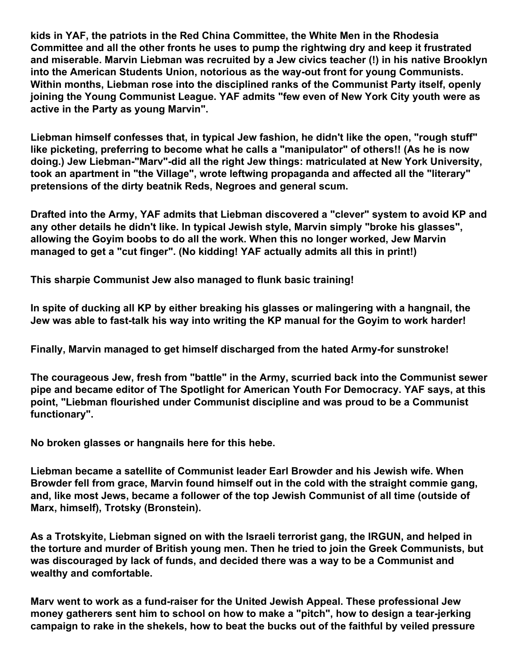**kids in YAF, the patriots in the Red China Committee, the White Men in the Rhodesia Committee and all the other fronts he uses to pump the rightwing dry and keep it frustrated and miserable. Marvin Liebman was recruited by a Jew civics teacher (!) in his native Brooklyn into the American Students Union, notorious as the way-out front for young Communists. Within months, Liebman rose into the disciplined ranks of the Communist Party itself, openly joining the Young Communist League. YAF admits "few even of New York City youth were as active in the Party as young Marvin".**

**Liebman himself confesses that, in typical Jew fashion, he didn't like the open, "rough stuff" like picketing, preferring to become what he calls a "manipulator" of others!! (As he is now doing.) Jew Liebman-"Marv"-did all the right Jew things: matriculated at New York University, took an apartment in "the Village", wrote leftwing propaganda and affected all the "literary" pretensions of the dirty beatnik Reds, Negroes and general scum.**

**Drafted into the Army, YAF admits that Liebman discovered a "clever" system to avoid KP and any other details he didn't like. In typical Jewish style, Marvin simply "broke his glasses", allowing the Goyim boobs to do all the work. When this no longer worked, Jew Marvin managed to get a "cut finger". (No kidding! YAF actually admits all this in print!)**

**This sharpie Communist Jew also managed to flunk basic training!**

**In spite of ducking all KP by either breaking his glasses or malingering with a hangnail, the Jew was able to fast-talk his way into writing the KP manual for the Goyim to work harder!**

**Finally, Marvin managed to get himself discharged from the hated Army-for sunstroke!**

**The courageous Jew, fresh from "battle" in the Army, scurried back into the Communist sewer pipe and became editor of The Spotlight for American Youth For Democracy. YAF says, at this point, "Liebman flourished under Communist discipline and was proud to be a Communist functionary".**

**No broken glasses or hangnails here for this hebe.**

**Liebman became a satellite of Communist leader Earl Browder and his Jewish wife. When Browder fell from grace, Marvin found himself out in the cold with the straight commie gang, and, like most Jews, became a follower of the top Jewish Communist of all time (outside of Marx, himself), Trotsky (Bronstein).**

**As a Trotskyite, Liebman signed on with the Israeli terrorist gang, the IRGUN, and helped in the torture and murder of British young men. Then he tried to join the Greek Communists, but was discouraged by lack of funds, and decided there was a way to be a Communist and wealthy and comfortable.**

**Marv went to work as a fund-raiser for the United Jewish Appeal. These professional Jew money gatherers sent him to school on how to make a "pitch", how to design a tear-jerking campaign to rake in the shekels, how to beat the bucks out of the faithful by veiled pressure**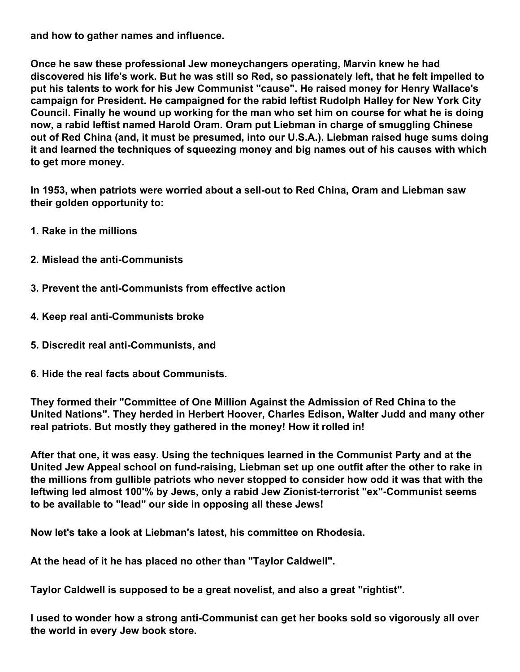**and how to gather names and influence.**

**Once he saw these professional Jew moneychangers operating, Marvin knew he had discovered his life's work. But he was still so Red, so passionately left, that he felt impelled to put his talents to work for his Jew Communist "cause". He raised money for Henry Wallace's campaign for President. He campaigned for the rabid leftist Rudolph Halley for New York City Council. Finally he wound up working for the man who set him on course for what he is doing now, a rabid leftist named Harold Oram. Oram put Liebman in charge of smuggling Chinese out of Red China (and, it must be presumed, into our U.S.A.). Liebman raised huge sums doing it and learned the techniques of squeezing money and big names out of his causes with which to get more money.**

**In 1953, when patriots were worried about a sell-out to Red China, Oram and Liebman saw their golden opportunity to:**

- **1. Rake in the millions**
- **2. Mislead the anti-Communists**
- **3. Prevent the anti-Communists from effective action**
- **4. Keep real anti-Communists broke**
- **5. Discredit real anti-Communists, and**
- **6. Hide the real facts about Communists.**

**They formed their "Committee of One Million Against the Admission of Red China to the United Nations". They herded in Herbert Hoover, Charles Edison, Walter Judd and many other real patriots. But mostly they gathered in the money! How it rolled in!**

**After that one, it was easy. Using the techniques learned in the Communist Party and at the United Jew Appeal school on fund-raising, Liebman set up one outfit after the other to rake in the millions from gullible patriots who never stopped to consider how odd it was that with the leftwing led almost 100'% by Jews, only a rabid Jew Zionist-terrorist "ex"-Communist seems to be available to "lead" our side in opposing all these Jews!**

**Now let's take a look at Liebman's latest, his committee on Rhodesia.**

**At the head of it he has placed no other than "Taylor Caldwell".**

**Taylor Caldwell is supposed to be a great novelist, and also a great "rightist".**

**I used to wonder how a strong anti-Communist can get her books sold so vigorously all over the world in every Jew book store.**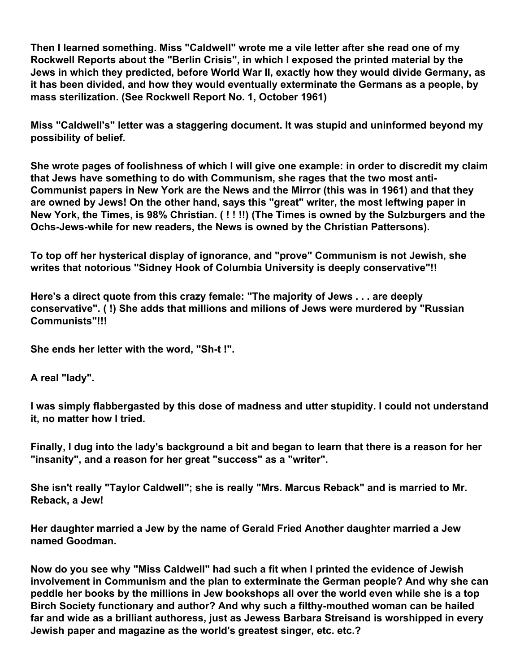**Then I learned something. Miss "Caldwell" wrote me a vile letter after she read one of my Rockwell Reports about the "Berlin Crisis", in which I exposed the printed material by the Jews in which they predicted, before World War II, exactly how they would divide Germany, as it has been divided, and how they would eventually exterminate the Germans as a people, by mass sterilization. (See Rockwell Report No. 1, October 1961)**

**Miss "Caldwell's" letter was a staggering document. It was stupid and uninformed beyond my possibility of belief.**

**She wrote pages of foolishness of which I will give one example: in order to discredit my claim that Jews have something to do with Communism, she rages that the two most anti-Communist papers in New York are the News and the Mirror (this was in 1961) and that they are owned by Jews! On the other hand, says this "great" writer, the most leftwing paper in New York, the Times, is 98% Christian. ( ! ! !!) (The Times is owned by the Sulzburgers and the Ochs-Jews-while for new readers, the News is owned by the Christian Pattersons).**

**To top off her hysterical display of ignorance, and "prove" Communism is not Jewish, she writes that notorious "Sidney Hook of Columbia University is deeply conservative"!!**

**Here's a direct quote from this crazy female: "The majority of Jews . . . are deeply conservative". ( !) She adds that millions and milions of Jews were murdered by "Russian Communists"!!!**

**She ends her letter with the word, "Sh-t !".**

**A real "lady".**

**I was simply flabbergasted by this dose of madness and utter stupidity. I could not understand it, no matter how I tried.**

**Finally, I dug into the lady's background a bit and began to learn that there is a reason for her "insanity", and a reason for her great "success" as a "writer".**

**She isn't really "Taylor Caldwell"; she is really "Mrs. Marcus Reback" and is married to Mr. Reback, a Jew!**

**Her daughter married a Jew by the name of Gerald Fried Another daughter married a Jew named Goodman.**

**Now do you see why "Miss Caldwell" had such a fit when I printed the evidence of Jewish involvement in Communism and the plan to exterminate the German people? And why she can peddle her books by the millions in Jew bookshops all over the world even while she is a top Birch Society functionary and author? And why such a filthy-mouthed woman can be hailed far and wide as a brilliant authoress, just as Jewess Barbara Streisand is worshipped in every Jewish paper and magazine as the world's greatest singer, etc. etc.?**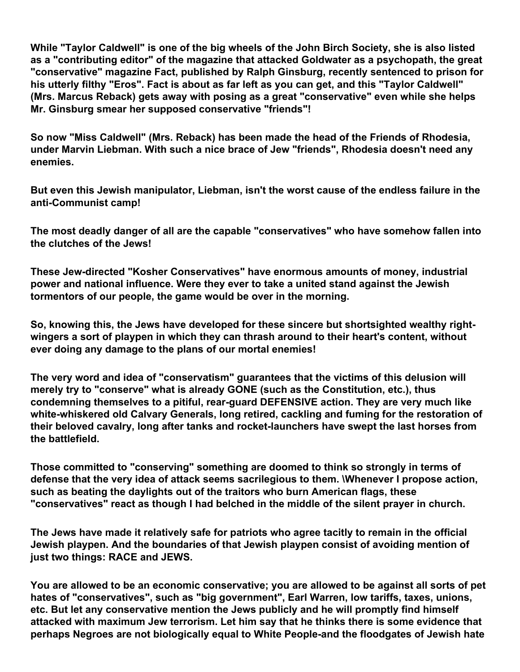**While "Taylor Caldwell" is one of the big wheels of the John Birch Society, she is also listed as a "contributing editor" of the magazine that attacked Goldwater as a psychopath, the great "conservative" magazine Fact, published by Ralph Ginsburg, recently sentenced to prison for his utterly filthy "Eros". Fact is about as far left as you can get, and this "Taylor Caldwell" (Mrs. Marcus Reback) gets away with posing as a great "conservative" even while she helps Mr. Ginsburg smear her supposed conservative "friends"!**

**So now "Miss Caldwell" (Mrs. Reback) has been made the head of the Friends of Rhodesia, under Marvin Liebman. With such a nice brace of Jew "friends", Rhodesia doesn't need any enemies.**

**But even this Jewish manipulator, Liebman, isn't the worst cause of the endless failure in the anti-Communist camp!**

**The most deadly danger of all are the capable "conservatives" who have somehow fallen into the clutches of the Jews!**

**These Jew-directed "Kosher Conservatives" have enormous amounts of money, industrial power and national influence. Were they ever to take a united stand against the Jewish tormentors of our people, the game would be over in the morning.**

**So, knowing this, the Jews have developed for these sincere but shortsighted wealthy rightwingers a sort of playpen in which they can thrash around to their heart's content, without ever doing any damage to the plans of our mortal enemies!**

**The very word and idea of "conservatism" guarantees that the victims of this delusion will merely try to "conserve" what is already GONE (such as the Constitution, etc.), thus condemning themselves to a pitiful, rear-guard DEFENSIVE action. They are very much like white-whiskered old Calvary Generals, long retired, cackling and fuming for the restoration of their beloved cavalry, long after tanks and rocket-launchers have swept the last horses from the battlefield.**

**Those committed to "conserving" something are doomed to think so strongly in terms of defense that the very idea of attack seems sacrilegious to them. \Whenever I propose action, such as beating the daylights out of the traitors who burn American flags, these "conservatives" react as though I had belched in the middle of the silent prayer in church.**

**The Jews have made it relatively safe for patriots who agree tacitly to remain in the official Jewish playpen. And the boundaries of that Jewish playpen consist of avoiding mention of just two things: RACE and JEWS.**

**You are allowed to be an economic conservative; you are allowed to be against all sorts of pet hates of "conservatives", such as "big government", Earl Warren, low tariffs, taxes, unions, etc. But let any conservative mention the Jews publicly and he will promptly find himself attacked with maximum Jew terrorism. Let him say that he thinks there is some evidence that perhaps Negroes are not biologically equal to White People-and the floodgates of Jewish hate**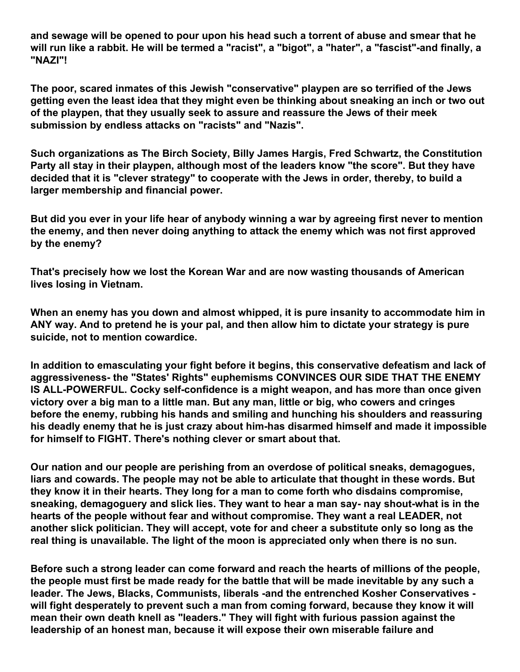**and sewage will be opened to pour upon his head such a torrent of abuse and smear that he will run like a rabbit. He will be termed a "racist", a "bigot", a "hater", a "fascist"-and finally, a "NAZI"!**

**The poor, scared inmates of this Jewish "conservative" playpen are so terrified of the Jews getting even the least idea that they might even be thinking about sneaking an inch or two out of the playpen, that they usually seek to assure and reassure the Jews of their meek submission by endless attacks on "racists" and "Nazis".**

**Such organizations as The Birch Society, Billy James Hargis, Fred Schwartz, the Constitution Party all stay in their playpen, although most of the leaders know "the score". But they have decided that it is "clever strategy" to cooperate with the Jews in order, thereby, to build a larger membership and financial power.**

**But did you ever in your life hear of anybody winning a war by agreeing first never to mention the enemy, and then never doing anything to attack the enemy which was not first approved by the enemy?**

**That's precisely how we lost the Korean War and are now wasting thousands of American lives losing in Vietnam.**

**When an enemy has you down and almost whipped, it is pure insanity to accommodate him in ANY way. And to pretend he is your pal, and then allow him to dictate your strategy is pure suicide, not to mention cowardice.**

**In addition to emasculating your fight before it begins, this conservative defeatism and lack of aggressiveness- the "States' Rights" euphemisms CONVINCES OUR SIDE THAT THE ENEMY IS ALL-POWERFUL. Cocky self-confidence is a might weapon, and has more than once given victory over a big man to a little man. But any man, little or big, who cowers and cringes before the enemy, rubbing his hands and smiling and hunching his shoulders and reassuring his deadly enemy that he is just crazy about him-has disarmed himself and made it impossible for himself to FIGHT. There's nothing clever or smart about that.**

**Our nation and our people are perishing from an overdose of political sneaks, demagogues, liars and cowards. The people may not be able to articulate that thought in these words. But they know it in their hearts. They long for a man to come forth who disdains compromise, sneaking, demagoguery and slick lies. They want to hear a man say- nay shout-what is in the hearts of the people without fear and without compromise. They want a real LEADER, not another slick politician. They will accept, vote for and cheer a substitute only so long as the real thing is unavailable. The light of the moon is appreciated only when there is no sun.**

**Before such a strong leader can come forward and reach the hearts of millions of the people, the people must first be made ready for the battle that will be made inevitable by any such a leader. The Jews, Blacks, Communists, liberals -and the entrenched Kosher Conservatives will fight desperately to prevent such a man from coming forward, because they know it will mean their own death knell as "leaders." They will fight with furious passion against the leadership of an honest man, because it will expose their own miserable failure and**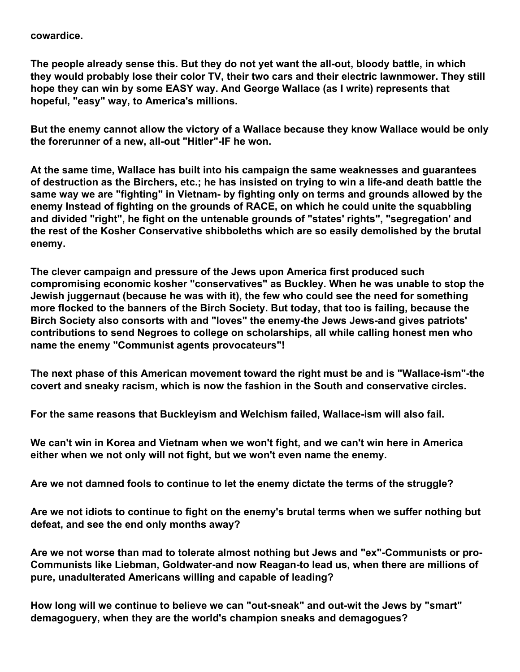**cowardice.**

**The people already sense this. But they do not yet want the all-out, bloody battle, in which they would probably lose their color TV, their two cars and their electric lawnmower. They still hope they can win by some EASY way. And George Wallace (as I write) represents that hopeful, "easy" way, to America's millions.**

**But the enemy cannot allow the victory of a Wallace because they know Wallace would be only the forerunner of a new, all-out "Hitler"-IF he won.**

**At the same time, Wallace has built into his campaign the same weaknesses and guarantees of destruction as the Birchers, etc.; he has insisted on trying to win a life-and death battle the same way we are "fighting" in Vietnam- by fighting only on terms and grounds allowed by the enemy Instead of fighting on the grounds of RACE, on which he could unite the squabbling and divided "right", he fight on the untenable grounds of "states' rights", "segregation' and the rest of the Kosher Conservative shibboleths which are so easily demolished by the brutal enemy.**

**The clever campaign and pressure of the Jews upon America first produced such compromising economic kosher "conservatives" as Buckley. When he was unable to stop the Jewish juggernaut (because he was with it), the few who could see the need for something more flocked to the banners of the Birch Society. But today, that too is failing, because the Birch Society also consorts with and "loves" the enemy-the Jews Jews-and gives patriots' contributions to send Negroes to college on scholarships, all while calling honest men who name the enemy "Communist agents provocateurs"!**

**The next phase of this American movement toward the right must be and is "Wallace-ism"-the covert and sneaky racism, which is now the fashion in the South and conservative circles.**

**For the same reasons that Buckleyism and Welchism failed, Wallace-ism will also fail.**

**We can't win in Korea and Vietnam when we won't fight, and we can't win here in America either when we not only will not fight, but we won't even name the enemy.**

**Are we not damned fools to continue to let the enemy dictate the terms of the struggle?**

**Are we not idiots to continue to fight on the enemy's brutal terms when we suffer nothing but defeat, and see the end only months away?**

**Are we not worse than mad to tolerate almost nothing but Jews and "ex"-Communists or pro-Communists like Liebman, Goldwater-and now Reagan-to lead us, when there are millions of pure, unadulterated Americans willing and capable of leading?**

**How long will we continue to believe we can "out-sneak" and out-wit the Jews by "smart" demagoguery, when they are the world's champion sneaks and demagogues?**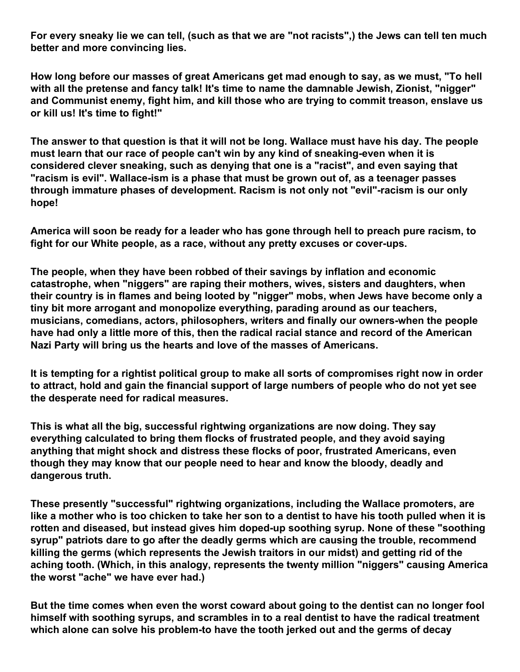**For every sneaky lie we can tell, (such as that we are "not racists",) the Jews can tell ten much better and more convincing lies.**

**How long before our masses of great Americans get mad enough to say, as we must, "To hell with all the pretense and fancy talk! It's time to name the damnable Jewish, Zionist, "nigger" and Communist enemy, fight him, and kill those who are trying to commit treason, enslave us or kill us! It's time to fight!"**

**The answer to that question is that it will not be long. Wallace must have his day. The people must learn that our race of people can't win by any kind of sneaking-even when it is considered clever sneaking, such as denying that one is a "racist", and even saying that "racism is evil". Wallace-ism is a phase that must be grown out of, as a teenager passes through immature phases of development. Racism is not only not "evil"-racism is our only hope!**

**America will soon be ready for a leader who has gone through hell to preach pure racism, to fight for our White people, as a race, without any pretty excuses or cover-ups.**

**The people, when they have been robbed of their savings by inflation and economic catastrophe, when "niggers" are raping their mothers, wives, sisters and daughters, when their country is in flames and being looted by "nigger" mobs, when Jews have become only a tiny bit more arrogant and monopolize everything, parading around as our teachers, musicians, comedians, actors, philosophers, writers and finally our owners-when the people have had only a little more of this, then the radical racial stance and record of the American Nazi Party will bring us the hearts and love of the masses of Americans.**

**It is tempting for a rightist political group to make all sorts of compromises right now in order to attract, hold and gain the financial support of large numbers of people who do not yet see the desperate need for radical measures.**

**This is what all the big, successful rightwing organizations are now doing. They say everything calculated to bring them flocks of frustrated people, and they avoid saying anything that might shock and distress these flocks of poor, frustrated Americans, even though they may know that our people need to hear and know the bloody, deadly and dangerous truth.**

**These presently "successful" rightwing organizations, including the Wallace promoters, are like a mother who is too chicken to take her son to a dentist to have his tooth pulled when it is rotten and diseased, but instead gives him doped-up soothing syrup. None of these "soothing syrup" patriots dare to go after the deadly germs which are causing the trouble, recommend killing the germs (which represents the Jewish traitors in our midst) and getting rid of the aching tooth. (Which, in this analogy, represents the twenty million "niggers" causing America the worst "ache" we have ever had.)**

**But the time comes when even the worst coward about going to the dentist can no longer fool himself with soothing syrups, and scrambles in to a real dentist to have the radical treatment which alone can solve his problem-to have the tooth jerked out and the germs of decay**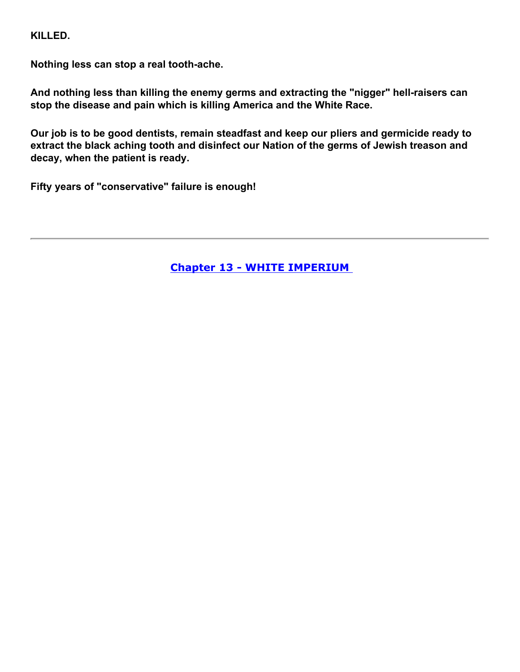**KILLED.**

**Nothing less can stop a real tooth-ache.**

**And nothing less than killing the enemy germs and extracting the "nigger" hell-raisers can stop the disease and pain which is killing America and the White Race.**

**Our job is to be good dentists, remain steadfast and keep our pliers and germicide ready to extract the black aching tooth and disinfect our Nation of the germs of Jewish treason and decay, when the patient is ready.**

**Fifty years of "conservative" failure is enough!**

**[Chapter 13 - WHITE IMPERIUM](#page-232-0)**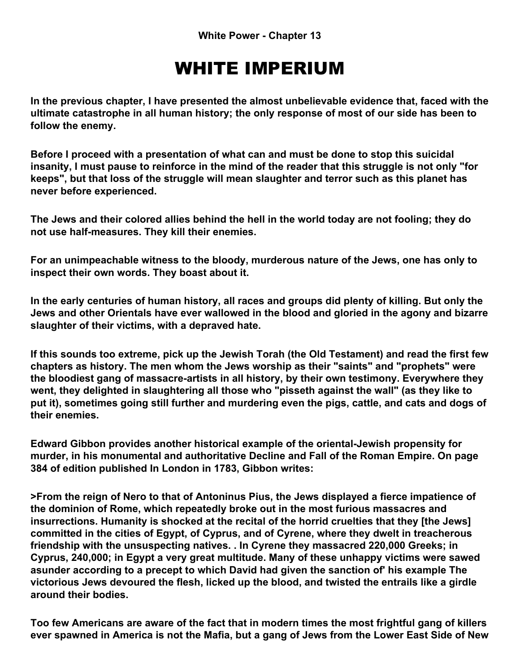# WHITE IMPERIUM

<span id="page-232-0"></span>**In the previous chapter, I have presented the almost unbelievable evidence that, faced with the ultimate catastrophe in all human history; the only response of most of our side has been to follow the enemy.**

**Before I proceed with a presentation of what can and must be done to stop this suicidal insanity, I must pause to reinforce in the mind of the reader that this struggle is not only "for keeps", but that loss of the struggle will mean slaughter and terror such as this planet has never before experienced.**

**The Jews and their colored allies behind the hell in the world today are not fooling; they do not use half-measures. They kill their enemies.**

**For an unimpeachable witness to the bloody, murderous nature of the Jews, one has only to inspect their own words. They boast about it.**

**In the early centuries of human history, all races and groups did plenty of killing. But only the Jews and other Orientals have ever wallowed in the blood and gloried in the agony and bizarre slaughter of their victims, with a depraved hate.**

**If this sounds too extreme, pick up the Jewish Torah (the Old Testament) and read the first few chapters as history. The men whom the Jews worship as their "saints" and "prophets" were the bloodiest gang of massacre-artists in all history, by their own testimony. Everywhere they went, they delighted in slaughtering all those who "pisseth against the wall" (as they like to put it), sometimes going still further and murdering even the pigs, cattle, and cats and dogs of their enemies.**

**Edward Gibbon provides another historical example of the oriental-Jewish propensity for murder, in his monumental and authoritative Decline and Fall of the Roman Empire. On page 384 of edition published In London in 1783, Gibbon writes:**

**>From the reign of Nero to that of Antoninus Pius, the Jews displayed a fierce impatience of the dominion of Rome, which repeatedly broke out in the most furious massacres and insurrections. Humanity is shocked at the recital of the horrid cruelties that they [the Jews] committed in the cities of Egypt, of Cyprus, and of Cyrene, where they dwelt in treacherous friendship with the unsuspecting natives. . In Cyrene they massacred 220,000 Greeks; in Cyprus, 240,000; in Egypt a very great multitude. Many of these unhappy victims were sawed asunder according to a precept to which David had given the sanction of' his example The victorious Jews devoured the flesh, licked up the blood, and twisted the entrails like a girdle around their bodies.**

**Too few Americans are aware of the fact that in modern times the most frightful gang of killers ever spawned in America is not the Mafia, but a gang of Jews from the Lower East Side of New**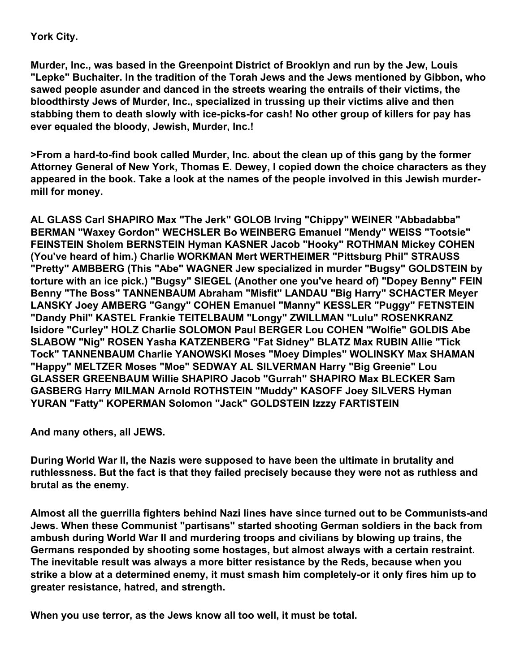## **York City.**

**Murder, Inc., was based in the Greenpoint District of Brooklyn and run by the Jew, Louis "Lepke" Buchaiter. In the tradition of the Torah Jews and the Jews mentioned by Gibbon, who sawed people asunder and danced in the streets wearing the entrails of their victims, the bloodthirsty Jews of Murder, Inc., specialized in trussing up their victims alive and then stabbing them to death slowly with ice-picks-for cash! No other group of killers for pay has ever equaled the bloody, Jewish, Murder, Inc.!**

**>From a hard-to-find book called Murder, Inc. about the clean up of this gang by the former Attorney General of New York, Thomas E. Dewey, I copied down the choice characters as they appeared in the book. Take a look at the names of the people involved in this Jewish murdermill for money.**

**AL GLASS Carl SHAPIRO Max "The Jerk" GOLOB Irving "Chippy" WEINER "Abbadabba" BERMAN "Waxey Gordon" WECHSLER Bo WEINBERG Emanuel "Mendy" WEISS "Tootsie" FEINSTEIN Sholem BERNSTEIN Hyman KASNER Jacob "Hooky" ROTHMAN Mickey COHEN (You've heard of him.) Charlie WORKMAN Mert WERTHEIMER "Pittsburg Phil" STRAUSS "Pretty" AMBBERG (This "Abe" WAGNER Jew specialized in murder "Bugsy" GOLDSTEIN by torture with an ice pick.) "Bugsy" SIEGEL (Another one you've heard of) "Dopey Benny" FEIN Benny "The Boss" TANNENBAUM Abraham "Misfit" LANDAU "Big Harry" SCHACTER Meyer LANSKY Joey AMBERG "Gangy" COHEN Emanuel "Manny" KESSLER "Puggy" FETNSTEIN "Dandy Phil" KASTEL Frankie TEITELBAUM "Longy" ZWILLMAN "Lulu" ROSENKRANZ Isidore "Curley" HOLZ Charlie SOLOMON Paul BERGER Lou COHEN "Wolfie" GOLDIS Abe SLABOW "Nig" ROSEN Yasha KATZENBERG "Fat Sidney" BLATZ Max RUBIN Allie "Tick Tock" TANNENBAUM Charlie YANOWSKI Moses "Moey Dimples" WOLINSKY Max SHAMAN "Happy" MELTZER Moses "Moe" SEDWAY AL SILVERMAN Harry "Big Greenie" Lou GLASSER GREENBAUM Willie SHAPIRO Jacob "Gurrah" SHAPIRO Max BLECKER Sam GASBERG Harry MILMAN Arnold ROTHSTEIN "Muddy" KASOFF Joey SILVERS Hyman YURAN "Fatty" KOPERMAN Solomon "Jack" GOLDSTEIN Izzzy FARTISTEIN**

**And many others, all JEWS.**

**During World War II, the Nazis were supposed to have been the ultimate in brutality and ruthlessness. But the fact is that they failed precisely because they were not as ruthless and brutal as the enemy.**

**Almost all the guerrilla fighters behind Nazi lines have since turned out to be Communists-and Jews. When these Communist "partisans" started shooting German soldiers in the back from ambush during World War II and murdering troops and civilians by blowing up trains, the Germans responded by shooting some hostages, but almost always with a certain restraint. The inevitable result was always a more bitter resistance by the Reds, because when you strike a blow at a determined enemy, it must smash him completely-or it only fires him up to greater resistance, hatred, and strength.**

**When you use terror, as the Jews know all too well, it must be total.**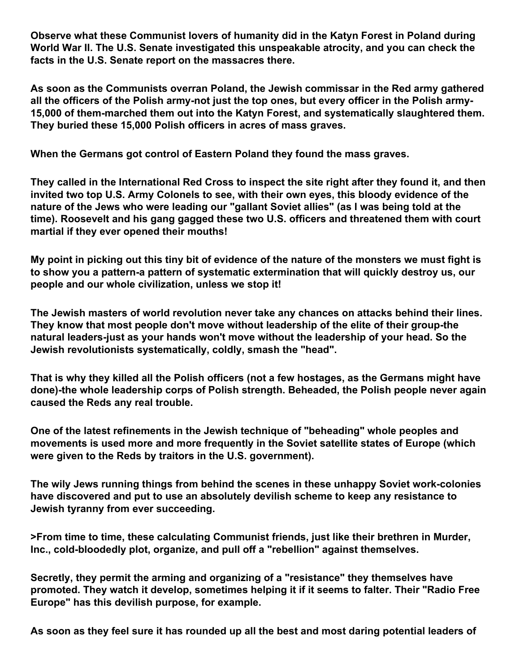**Observe what these Communist lovers of humanity did in the Katyn Forest in Poland during World War II. The U.S. Senate investigated this unspeakable atrocity, and you can check the facts in the U.S. Senate report on the massacres there.**

**As soon as the Communists overran Poland, the Jewish commissar in the Red army gathered all the officers of the Polish army-not just the top ones, but every officer in the Polish army-15,000 of them-marched them out into the Katyn Forest, and systematically slaughtered them. They buried these 15,000 Polish officers in acres of mass graves.**

**When the Germans got control of Eastern Poland they found the mass graves.**

**They called in the International Red Cross to inspect the site right after they found it, and then invited two top U.S. Army Colonels to see, with their own eyes, this bloody evidence of the nature of the Jews who were leading our "gallant Soviet allies" (as I was being told at the time). Roosevelt and his gang gagged these two U.S. officers and threatened them with court martial if they ever opened their mouths!**

**My point in picking out this tiny bit of evidence of the nature of the monsters we must fight is to show you a pattern-a pattern of systematic extermination that will quickly destroy us, our people and our whole civilization, unless we stop it!**

**The Jewish masters of world revolution never take any chances on attacks behind their lines. They know that most people don't move without leadership of the elite of their group-the natural leaders-just as your hands won't move without the leadership of your head. So the Jewish revolutionists systematically, coldly, smash the "head".**

**That is why they killed all the Polish officers (not a few hostages, as the Germans might have done)-the whole leadership corps of Polish strength. Beheaded, the Polish people never again caused the Reds any real trouble.**

**One of the latest refinements in the Jewish technique of "beheading" whole peoples and movements is used more and more frequently in the Soviet satellite states of Europe (which were given to the Reds by traitors in the U.S. government).**

**The wily Jews running things from behind the scenes in these unhappy Soviet work-colonies have discovered and put to use an absolutely devilish scheme to keep any resistance to Jewish tyranny from ever succeeding.**

**>From time to time, these calculating Communist friends, just like their brethren in Murder, Inc., cold-bloodedly plot, organize, and pull off a "rebellion" against themselves.**

**Secretly, they permit the arming and organizing of a "resistance" they themselves have promoted. They watch it develop, sometimes helping it if it seems to falter. Their "Radio Free Europe" has this devilish purpose, for example.**

**As soon as they feel sure it has rounded up all the best and most daring potential leaders of**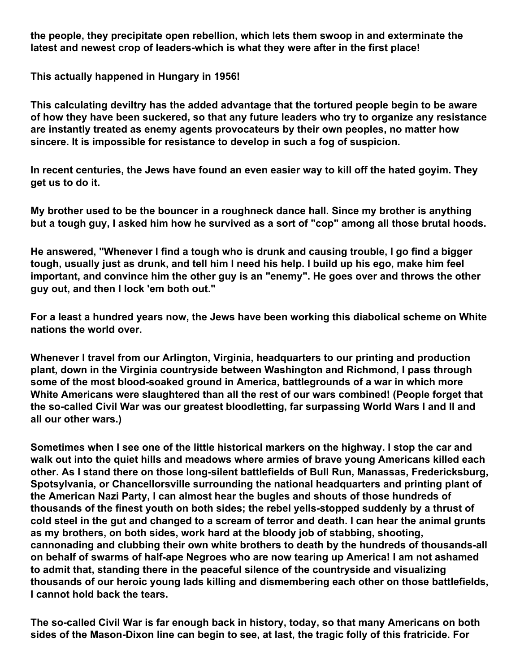**the people, they precipitate open rebellion, which lets them swoop in and exterminate the latest and newest crop of leaders-which is what they were after in the first place!**

**This actually happened in Hungary in 1956!**

**This calculating deviltry has the added advantage that the tortured people begin to be aware of how they have been suckered, so that any future leaders who try to organize any resistance are instantly treated as enemy agents provocateurs by their own peoples, no matter how sincere. It is impossible for resistance to develop in such a fog of suspicion.**

**In recent centuries, the Jews have found an even easier way to kill off the hated goyim. They get us to do it.**

**My brother used to be the bouncer in a roughneck dance hall. Since my brother is anything but a tough guy, I asked him how he survived as a sort of "cop" among all those brutal hoods.**

**He answered, "Whenever I find a tough who is drunk and causing trouble, I go find a bigger tough, usually just as drunk, and tell him I need his help. I build up his ego, make him feel important, and convince him the other guy is an "enemy". He goes over and throws the other guy out, and then I lock 'em both out."**

**For a least a hundred years now, the Jews have been working this diabolical scheme on White nations the world over.**

**Whenever I travel from our Arlington, Virginia, headquarters to our printing and production plant, down in the Virginia countryside between Washington and Richmond, I pass through some of the most blood-soaked ground in America, battlegrounds of a war in which more White Americans were slaughtered than all the rest of our wars combined! (People forget that the so-called Civil War was our greatest bloodletting, far surpassing World Wars I and II and all our other wars.)**

**Sometimes when I see one of the little historical markers on the highway. I stop the car and walk out into the quiet hills and meadows where armies of brave young Americans killed each other. As I stand there on those long-silent battlefields of Bull Run, Manassas, Fredericksburg, Spotsylvania, or Chancellorsville surrounding the national headquarters and printing plant of the American Nazi Party, I can almost hear the bugles and shouts of those hundreds of thousands of the finest youth on both sides; the rebel yells-stopped suddenly by a thrust of cold steel in the gut and changed to a scream of terror and death. I can hear the animal grunts as my brothers, on both sides, work hard at the bloody job of stabbing, shooting, cannonading and clubbing their own white brothers to death by the hundreds of thousands-all on behalf of swarms of half-ape Negroes who are now tearing up America! I am not ashamed to admit that, standing there in the peaceful silence of the countryside and visualizing thousands of our heroic young lads killing and dismembering each other on those battlefields, I cannot hold back the tears.**

**The so-called Civil War is far enough back in history, today, so that many Americans on both sides of the Mason-Dixon line can begin to see, at last, the tragic folly of this fratricide. For**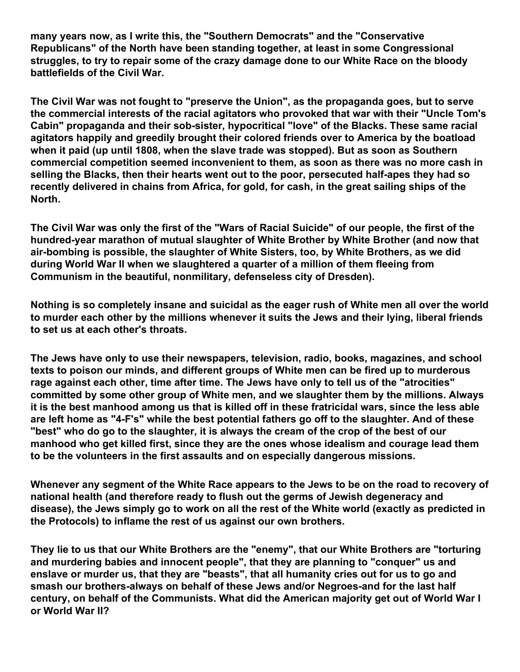**many years now, as I write this, the "Southern Democrats" and the "Conservative Republicans" of the North have been standing together, at least in some Congressional struggles, to try to repair some of the crazy damage done to our White Race on the bloody battlefields of the Civil War.**

**The Civil War was not fought to "preserve the Union", as the propaganda goes, but to serve the commercial interests of the racial agitators who provoked that war with their "Uncle Tom's Cabin" propaganda and their sob-sister, hypocritical "love" of the Blacks. These same racial agitators happily and greedily brought their colored friends over to America by the boatload when it paid (up until 1808, when the slave trade was stopped). But as soon as Southern commercial competition seemed inconvenient to them, as soon as there was no more cash in selling the Blacks, then their hearts went out to the poor, persecuted half-apes they had so recently delivered in chains from Africa, for gold, for cash, in the great sailing ships of the North.**

**The Civil War was only the first of the "Wars of Racial Suicide" of our people, the first of the hundred-year marathon of mutual slaughter of White Brother by White Brother (and now that air-bombing is possible, the slaughter of White Sisters, too, by White Brothers, as we did during World War II when we slaughtered a quarter of a million of them fleeing from Communism in the beautiful, nonmilitary, defenseless city of Dresden).**

**Nothing is so completely insane and suicidal as the eager rush of White men all over the world to murder each other by the millions whenever it suits the Jews and their lying, liberal friends to set us at each other's throats.**

**The Jews have only to use their newspapers, television, radio, books, magazines, and school texts to poison our minds, and different groups of White men can be fired up to murderous rage against each other, time after time. The Jews have only to tell us of the "atrocities" committed by some other group of White men, and we slaughter them by the millions. Always it is the best manhood among us that is killed off in these fratricidal wars, since the less able are left home as "4-F's" while the best potential fathers go off to the slaughter. And of these "best" who do go to the slaughter, it is always the cream of the crop of the best of our manhood who get killed first, since they are the ones whose idealism and courage lead them to be the volunteers in the first assaults and on especially dangerous missions.**

**Whenever any segment of the White Race appears to the Jews to be on the road to recovery of national health (and therefore ready to flush out the germs of Jewish degeneracy and disease), the Jews simply go to work on all the rest of the White world (exactly as predicted in the Protocols) to inflame the rest of us against our own brothers.**

**They lie to us that our White Brothers are the "enemy", that our White Brothers are "torturing and murdering babies and innocent people", that they are planning to "conquer" us and enslave or murder us, that they are "beasts", that all humanity cries out for us to go and smash our brothers-always on behalf of these Jews and/or Negroes-and for the last half century, on behalf of the Communists. What did the American majority get out of World War I or World War II?**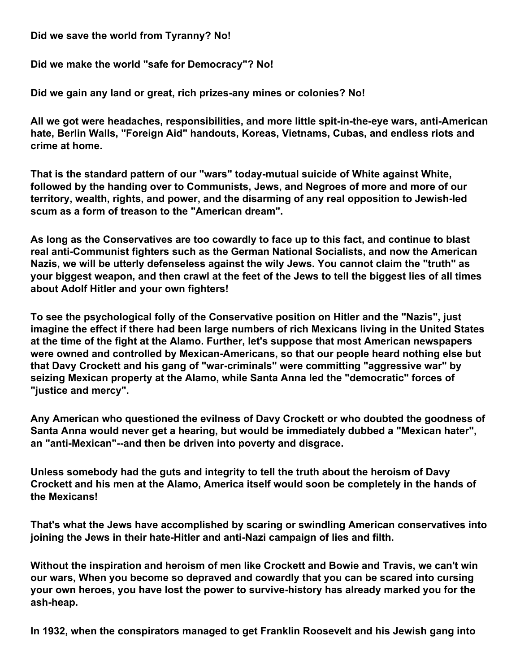## **Did we save the world from Tyranny? No!**

**Did we make the world "safe for Democracy"? No!**

**Did we gain any land or great, rich prizes-any mines or colonies? No!**

**All we got were headaches, responsibilities, and more little spit-in-the-eye wars, anti-American hate, Berlin Walls, "Foreign Aid" handouts, Koreas, Vietnams, Cubas, and endless riots and crime at home.**

**That is the standard pattern of our "wars" today-mutual suicide of White against White, followed by the handing over to Communists, Jews, and Negroes of more and more of our territory, wealth, rights, and power, and the disarming of any real opposition to Jewish-led scum as a form of treason to the "American dream".**

**As long as the Conservatives are too cowardly to face up to this fact, and continue to blast real anti-Communist fighters such as the German National Socialists, and now the American Nazis, we will be utterly defenseless against the wily Jews. You cannot claim the "truth" as your biggest weapon, and then crawl at the feet of the Jews to tell the biggest lies of all times about Adolf Hitler and your own fighters!**

**To see the psychological folly of the Conservative position on Hitler and the "Nazis", just imagine the effect if there had been large numbers of rich Mexicans living in the United States at the time of the fight at the Alamo. Further, let's suppose that most American newspapers were owned and controlled by Mexican-Americans, so that our people heard nothing else but that Davy Crockett and his gang of "war-criminals" were committing "aggressive war" by seizing Mexican property at the Alamo, while Santa Anna led the "democratic" forces of "justice and mercy".**

**Any American who questioned the evilness of Davy Crockett or who doubted the goodness of Santa Anna would never get a hearing, but would be immediately dubbed a "Mexican hater", an "anti-Mexican"--and then be driven into poverty and disgrace.**

**Unless somebody had the guts and integrity to tell the truth about the heroism of Davy Crockett and his men at the Alamo, America itself would soon be completely in the hands of the Mexicans!**

**That's what the Jews have accomplished by scaring or swindling American conservatives into joining the Jews in their hate-Hitler and anti-Nazi campaign of lies and filth.**

**Without the inspiration and heroism of men like Crockett and Bowie and Travis, we can't win our wars, When you become so depraved and cowardly that you can be scared into cursing your own heroes, you have lost the power to survive-history has already marked you for the ash-heap.**

**In 1932, when the conspirators managed to get Franklin Roosevelt and his Jewish gang into**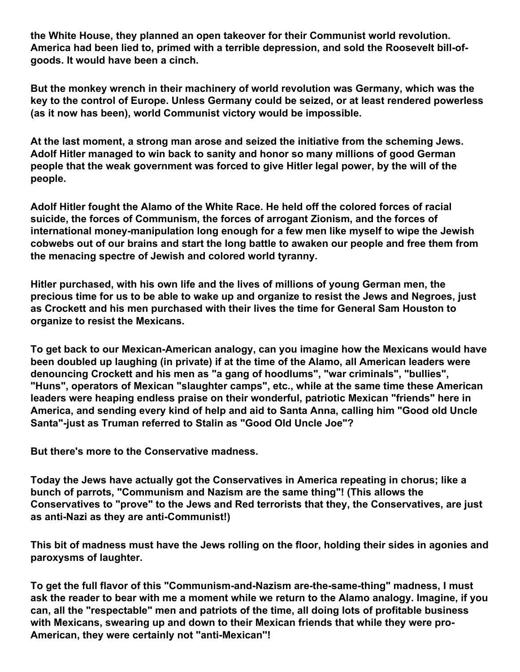**the White House, they planned an open takeover for their Communist world revolution. America had been lied to, primed with a terrible depression, and sold the Roosevelt bill-ofgoods. It would have been a cinch.**

**But the monkey wrench in their machinery of world revolution was Germany, which was the key to the control of Europe. Unless Germany could be seized, or at least rendered powerless (as it now has been), world Communist victory would be impossible.**

**At the last moment, a strong man arose and seized the initiative from the scheming Jews. Adolf Hitler managed to win back to sanity and honor so many millions of good German people that the weak government was forced to give Hitler legal power, by the will of the people.**

**Adolf Hitler fought the Alamo of the White Race. He held off the colored forces of racial suicide, the forces of Communism, the forces of arrogant Zionism, and the forces of international money-manipulation long enough for a few men like myself to wipe the Jewish cobwebs out of our brains and start the long battle to awaken our people and free them from the menacing spectre of Jewish and colored world tyranny.**

**Hitler purchased, with his own life and the lives of millions of young German men, the precious time for us to be able to wake up and organize to resist the Jews and Negroes, just as Crockett and his men purchased with their lives the time for General Sam Houston to organize to resist the Mexicans.**

**To get back to our Mexican-American analogy, can you imagine how the Mexicans would have been doubled up laughing (in private) if at the time of the Alamo, all American leaders were denouncing Crockett and his men as "a gang of hoodlums", "war criminals", "bullies", "Huns", operators of Mexican "slaughter camps", etc., while at the same time these American leaders were heaping endless praise on their wonderful, patriotic Mexican "friends" here in America, and sending every kind of help and aid to Santa Anna, calling him "Good old Uncle Santa"-just as Truman referred to Stalin as "Good Old Uncle Joe"?**

**But there's more to the Conservative madness.**

**Today the Jews have actually got the Conservatives in America repeating in chorus; like a bunch of parrots, "Communism and Nazism are the same thing"! (This allows the Conservatives to "prove" to the Jews and Red terrorists that they, the Conservatives, are just as anti-Nazi as they are anti-Communist!)**

**This bit of madness must have the Jews rolling on the floor, holding their sides in agonies and paroxysms of laughter.**

**To get the full flavor of this "Communism-and-Nazism are-the-same-thing" madness, I must ask the reader to bear with me a moment while we return to the Alamo analogy. Imagine, if you can, all the "respectable" men and patriots of the time, all doing lots of profitable business with Mexicans, swearing up and down to their Mexican friends that while they were pro-American, they were certainly not ''anti-Mexican''!**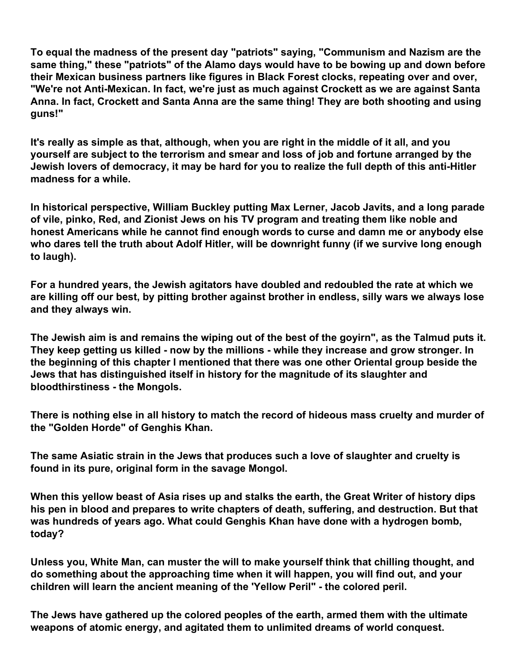**To equal the madness of the present day "patriots" saying, "Communism and Nazism are the same thing," these "patriots" of the Alamo days would have to be bowing up and down before their Mexican business partners like figures in Black Forest clocks, repeating over and over, "We're not Anti-Mexican. In fact, we're just as much against Crockett as we are against Santa Anna. In fact, Crockett and Santa Anna are the same thing! They are both shooting and using guns!"**

**It's really as simple as that, although, when you are right in the middle of it all, and you yourself are subject to the terrorism and smear and loss of job and fortune arranged by the Jewish lovers of democracy, it may be hard for you to realize the full depth of this anti-Hitler madness for a while.**

**In historical perspective, William Buckley putting Max Lerner, Jacob Javits, and a long parade of vile, pinko, Red, and Zionist Jews on his TV program and treating them like noble and honest Americans while he cannot find enough words to curse and damn me or anybody else who dares tell the truth about Adolf Hitler, will be downright funny (if we survive long enough to laugh).**

**For a hundred years, the Jewish agitators have doubled and redoubled the rate at which we are killing off our best, by pitting brother against brother in endless, silly wars we always lose and they always win.**

**The Jewish aim is and remains the wiping out of the best of the goyirn", as the Talmud puts it. They keep getting us killed - now by the millions - while they increase and grow stronger. In the beginning of this chapter I mentioned that there was one other Oriental group beside the Jews that has distinguished itself in history for the magnitude of its slaughter and bloodthirstiness - the Mongols.**

**There is nothing else in all history to match the record of hideous mass cruelty and murder of the "Golden Horde" of Genghis Khan.**

**The same Asiatic strain in the Jews that produces such a love of slaughter and cruelty is found in its pure, original form in the savage Mongol.**

**When this yellow beast of Asia rises up and stalks the earth, the Great Writer of history dips his pen in blood and prepares to write chapters of death, suffering, and destruction. But that was hundreds of years ago. What could Genghis Khan have done with a hydrogen bomb, today?**

**Unless you, White Man, can muster the will to make yourself think that chilling thought, and do something about the approaching time when it will happen, you will find out, and your children will learn the ancient meaning of the 'Yellow Peril" - the colored peril.**

**The Jews have gathered up the colored peoples of the earth, armed them with the ultimate weapons of atomic energy, and agitated them to unlimited dreams of world conquest.**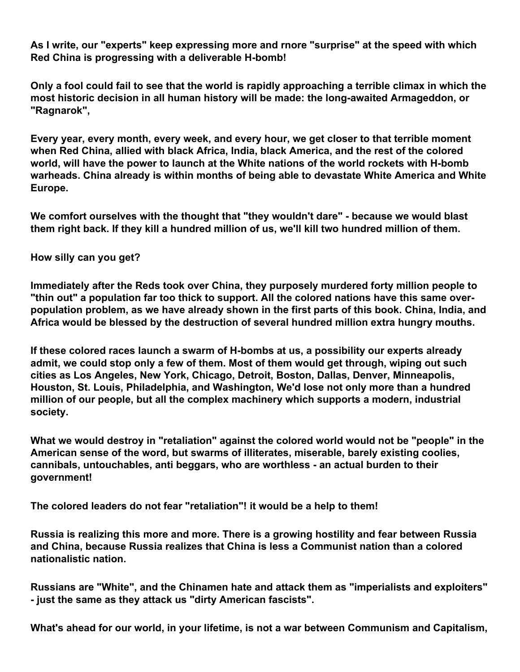**As I write, our "experts" keep expressing more and rnore "surprise" at the speed with which Red China is progressing with a deliverable H-bomb!**

**Only a fool could fail to see that the world is rapidly approaching a terrible climax in which the most historic decision in all human history will be made: the long-awaited Armageddon, or "Ragnarok",**

**Every year, every month, every week, and every hour, we get closer to that terrible moment when Red China, allied with black Africa, India, black America, and the rest of the colored world, will have the power to launch at the White nations of the world rockets with H-bomb warheads. China already is within months of being able to devastate White America and White Europe.**

**We comfort ourselves with the thought that "they wouldn't dare" - because we would blast them right back. If they kill a hundred million of us, we'll kill two hundred million of them.**

**How silly can you get?**

**Immediately after the Reds took over China, they purposely murdered forty million people to "thin out" a population far too thick to support. All the colored nations have this same overpopulation problem, as we have already shown in the first parts of this book. China, India, and Africa would be blessed by the destruction of several hundred million extra hungry mouths.**

**If these colored races launch a swarm of H-bombs at us, a possibility our experts already admit, we could stop only a few of them. Most of them would get through, wiping out such cities as Los Angeles, New York, Chicago, Detroit, Boston, Dallas, Denver, Minneapolis, Houston, St. Louis, Philadelphia, and Washington, We'd lose not only more than a hundred million of our people, but all the complex machinery which supports a modern, industrial society.**

**What we would destroy in "retaliation" against the colored world would not be "people" in the American sense of the word, but swarms of illiterates, miserable, barely existing coolies, cannibals, untouchables, anti beggars, who are worthless - an actual burden to their government!**

**The colored leaders do not fear "retaliation"! it would be a help to them!**

**Russia is realizing this more and more. There is a growing hostility and fear between Russia and China, because Russia realizes that China is less a Communist nation than a colored nationalistic nation.**

**Russians are "White", and the Chinamen hate and attack them as "imperialists and exploiters" - just the same as they attack us "dirty American fascists".**

**What's ahead for our world, in your lifetime, is not a war between Communism and Capitalism,**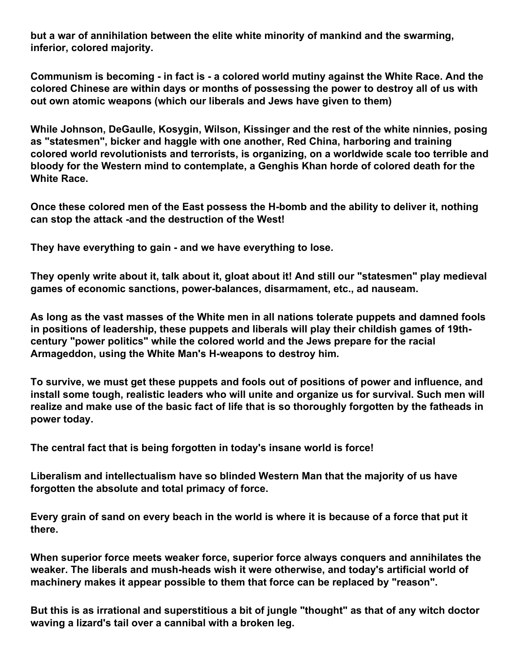**but a war of annihilation between the elite white minority of mankind and the swarming, inferior, colored majority.**

**Communism is becoming - in fact is - a colored world mutiny against the White Race. And the colored Chinese are within days or months of possessing the power to destroy all of us with out own atomic weapons (which our liberals and Jews have given to them)**

**While Johnson, DeGaulle, Kosygin, Wilson, Kissinger and the rest of the white ninnies, posing as "statesmen", bicker and haggle with one another, Red China, harboring and training colored world revolutionists and terrorists, is organizing, on a worldwide scale too terrible and bloody for the Western mind to contemplate, a Genghis Khan horde of colored death for the White Race.**

**Once these colored men of the East possess the H-bomb and the ability to deliver it, nothing can stop the attack -and the destruction of the West!**

**They have everything to gain - and we have everything to lose.**

**They openly write about it, talk about it, gloat about it! And still our "statesmen" play medieval games of economic sanctions, power-balances, disarmament, etc., ad nauseam.**

**As long as the vast masses of the White men in all nations tolerate puppets and damned fools in positions of leadership, these puppets and liberals will play their childish games of 19thcentury "power politics" while the colored world and the Jews prepare for the racial Armageddon, using the White Man's H-weapons to destroy him.**

**To survive, we must get these puppets and fools out of positions of power and influence, and install some tough, realistic leaders who will unite and organize us for survival. Such men will realize and make use of the basic fact of life that is so thoroughly forgotten by the fatheads in power today.**

**The central fact that is being forgotten in today's insane world is force!**

**Liberalism and intellectualism have so blinded Western Man that the majority of us have forgotten the absolute and total primacy of force.**

**Every grain of sand on every beach in the world is where it is because of a force that put it there.**

**When superior force meets weaker force, superior force always conquers and annihilates the weaker. The liberals and mush-heads wish it were otherwise, and today's artificial world of machinery makes it appear possible to them that force can be replaced by "reason".**

**But this is as irrational and superstitious a bit of jungle "thought" as that of any witch doctor waving a lizard's tail over a cannibal with a broken leg.**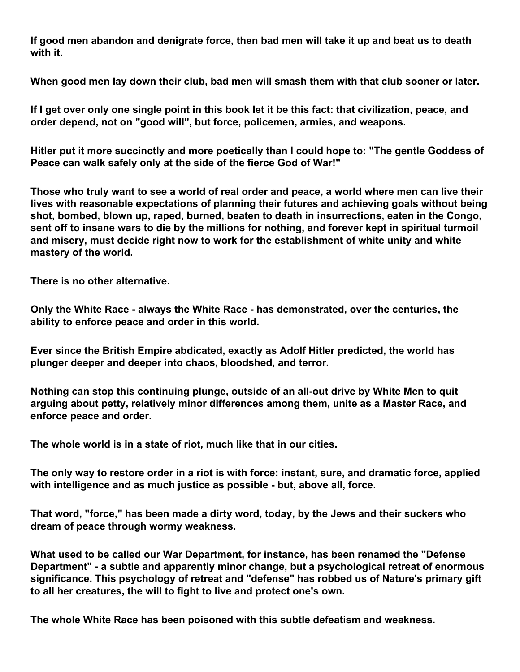**If good men abandon and denigrate force, then bad men will take it up and beat us to death with it.**

**When good men lay down their club, bad men will smash them with that club sooner or later.**

**If I get over only one single point in this book let it be this fact: that civilization, peace, and order depend, not on "good will", but force, policemen, armies, and weapons.**

**Hitler put it more succinctly and more poetically than I could hope to: "The gentle Goddess of Peace can walk safely only at the side of the fierce God of War!"**

**Those who truly want to see a world of real order and peace, a world where men can live their lives with reasonable expectations of planning their futures and achieving goals without being shot, bombed, blown up, raped, burned, beaten to death in insurrections, eaten in the Congo, sent off to insane wars to die by the millions for nothing, and forever kept in spiritual turmoil and misery, must decide right now to work for the establishment of white unity and white mastery of the world.**

**There is no other alternative.**

**Only the White Race - always the White Race - has demonstrated, over the centuries, the ability to enforce peace and order in this world.**

**Ever since the British Empire abdicated, exactly as Adolf Hitler predicted, the world has plunger deeper and deeper into chaos, bloodshed, and terror.**

**Nothing can stop this continuing plunge, outside of an all-out drive by White Men to quit arguing about petty, relatively minor differences among them, unite as a Master Race, and enforce peace and order.**

**The whole world is in a state of riot, much like that in our cities.**

**The only way to restore order in a riot is with force: instant, sure, and dramatic force, applied with intelligence and as much justice as possible - but, above all, force.**

**That word, "force," has been made a dirty word, today, by the Jews and their suckers who dream of peace through wormy weakness.**

**What used to be called our War Department, for instance, has been renamed the "Defense Department" - a subtle and apparently minor change, but a psychological retreat of enormous significance. This psychology of retreat and "defense" has robbed us of Nature's primary gift to all her creatures, the will to fight to live and protect one's own.**

**The whole White Race has been poisoned with this subtle defeatism and weakness.**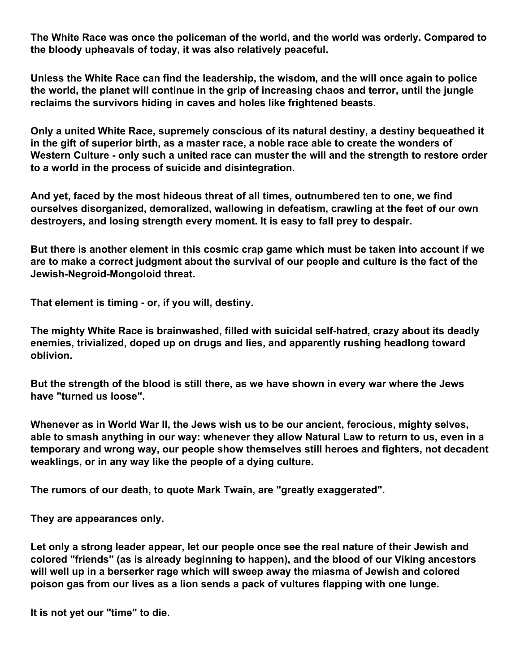**The White Race was once the policeman of the world, and the world was orderly. Compared to the bloody upheavals of today, it was also relatively peaceful.**

**Unless the White Race can find the leadership, the wisdom, and the will once again to police the world, the planet will continue in the grip of increasing chaos and terror, until the jungle reclaims the survivors hiding in caves and holes like frightened beasts.**

**Only a united White Race, supremely conscious of its natural destiny, a destiny bequeathed it in the gift of superior birth, as a master race, a noble race able to create the wonders of Western Culture - only such a united race can muster the will and the strength to restore order to a world in the process of suicide and disintegration.**

**And yet, faced by the most hideous threat of all times, outnumbered ten to one, we find ourselves disorganized, demoralized, wallowing in defeatism, crawling at the feet of our own destroyers, and losing strength every moment. It is easy to fall prey to despair.**

**But there is another element in this cosmic crap game which must be taken into account if we are to make a correct judgment about the survival of our people and culture is the fact of the Jewish-Negroid-Mongoloid threat.**

**That element is timing - or, if you will, destiny.**

**The mighty White Race is brainwashed, filled with suicidal self-hatred, crazy about its deadly enemies, trivialized, doped up on drugs and lies, and apparently rushing headlong toward oblivion.**

**But the strength of the blood is still there, as we have shown in every war where the Jews have "turned us loose".**

**Whenever as in World War II, the Jews wish us to be our ancient, ferocious, mighty selves, able to smash anything in our way: whenever they allow Natural Law to return to us, even in a temporary and wrong way, our people show themselves still heroes and fighters, not decadent weaklings, or in any way like the people of a dying culture.**

**The rumors of our death, to quote Mark Twain, are "greatly exaggerated".**

**They are appearances only.**

**Let only a strong leader appear, let our people once see the real nature of their Jewish and colored "friends" (as is already beginning to happen), and the blood of our Viking ancestors will well up in a berserker rage which will sweep away the miasma of Jewish and colored poison gas from our lives as a lion sends a pack of vultures flapping with one lunge.**

**It is not yet our "time" to die.**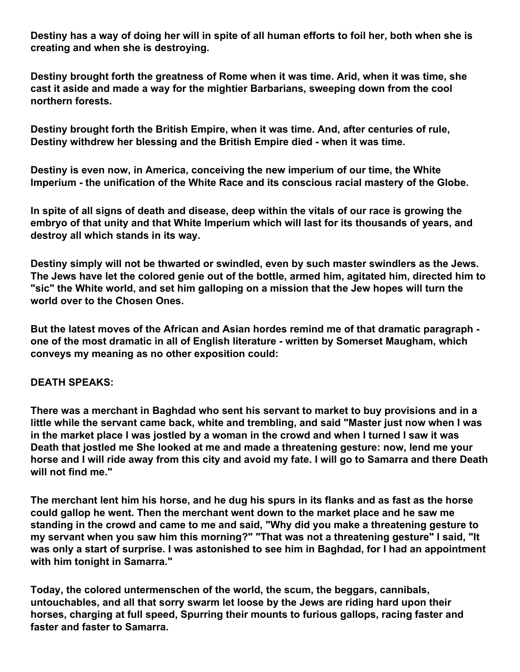**Destiny has a way of doing her will in spite of all human efforts to foil her, both when she is creating and when she is destroying.**

**Destiny brought forth the greatness of Rome when it was time. Arid, when it was time, she cast it aside and made a way for the mightier Barbarians, sweeping down from the cool northern forests.**

**Destiny brought forth the British Empire, when it was time. And, after centuries of rule, Destiny withdrew her blessing and the British Empire died - when it was time.**

**Destiny is even now, in America, conceiving the new imperium of our time, the White Imperium - the unification of the White Race and its conscious racial mastery of the Globe.**

**In spite of all signs of death and disease, deep within the vitals of our race is growing the embryo of that unity and that White Imperium which will last for its thousands of years, and destroy all which stands in its way.**

**Destiny simply will not be thwarted or swindled, even by such master swindlers as the Jews. The Jews have let the colored genie out of the bottle, armed him, agitated him, directed him to "sic" the White world, and set him galloping on a mission that the Jew hopes will turn the world over to the Chosen Ones.**

**But the latest moves of the African and Asian hordes remind me of that dramatic paragraph one of the most dramatic in all of English literature - written by Somerset Maugham, which conveys my meaning as no other exposition could:**

#### **DEATH SPEAKS:**

**There was a merchant in Baghdad who sent his servant to market to buy provisions and in a little while the servant came back, white and trembling, and said "Master just now when I was in the market place I was jostled by a woman in the crowd and when I turned I saw it was Death that jostled me She looked at me and made a threatening gesture: now, lend me your horse and I will ride away from this city and avoid my fate. I will go to Samarra and there Death will not find me."**

**The merchant lent him his horse, and he dug his spurs in its flanks and as fast as the horse could gallop he went. Then the merchant went down to the market place and he saw me standing in the crowd and came to me and said, "Why did you make a threatening gesture to my servant when you saw him this morning?" "That was not a threatening gesture" I said, "It was only a start of surprise. I was astonished to see him in Baghdad, for I had an appointment with him tonight in Samarra."**

**Today, the colored untermenschen of the world, the scum, the beggars, cannibals, untouchables, and all that sorry swarm let loose by the Jews are riding hard upon their horses, charging at full speed, Spurring their mounts to furious gallops, racing faster and faster and faster to Samarra.**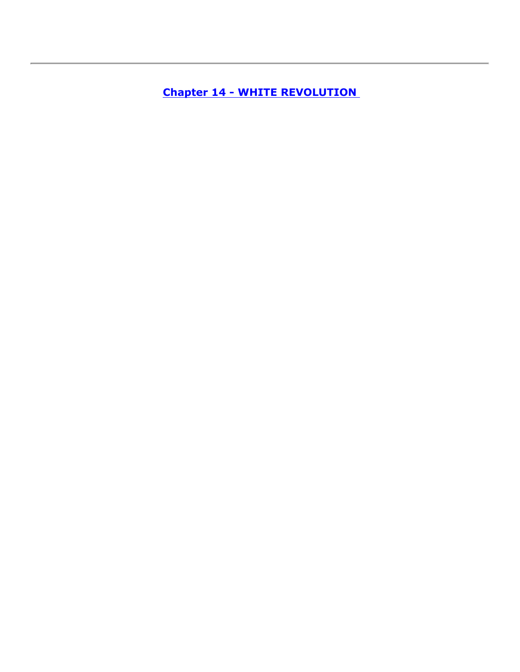**[Chapter 14 - WHITE REVOLUTION](#page-246-0)**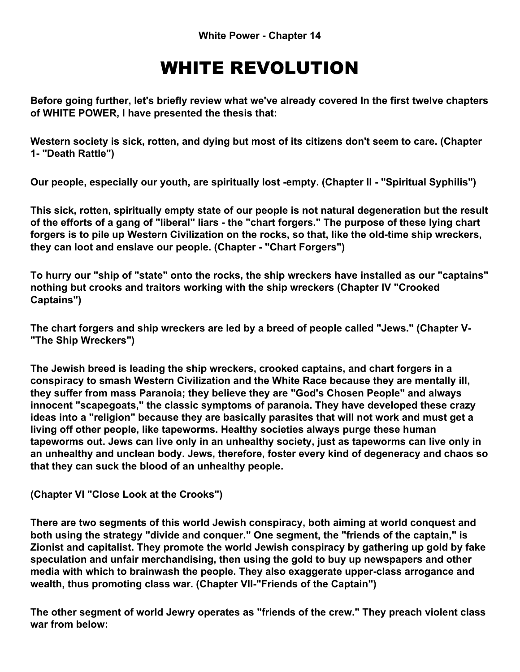# WHITE REVOLUTION

<span id="page-246-0"></span>**Before going further, let's briefly review what we've already covered In the first twelve chapters of WHITE POWER, I have presented the thesis that:**

**Western society is sick, rotten, and dying but most of its citizens don't seem to care. (Chapter 1- "Death Rattle")**

**Our people, especially our youth, are spiritually lost -empty. (Chapter II - "Spiritual Syphilis")**

**This sick, rotten, spiritually empty state of our people is not natural degeneration but the result of the efforts of a gang of "liberal" liars - the "chart forgers." The purpose of these lying chart forgers is to pile up Western Civilization on the rocks, so that, like the old-time ship wreckers, they can loot and enslave our people. (Chapter - "Chart Forgers")**

**To hurry our "ship of "state" onto the rocks, the ship wreckers have installed as our "captains" nothing but crooks and traitors working with the ship wreckers (Chapter IV "Crooked Captains")**

**The chart forgers and ship wreckers are led by a breed of people called "Jews." (Chapter V- "The Ship Wreckers")**

**The Jewish breed is leading the ship wreckers, crooked captains, and chart forgers in a conspiracy to smash Western Civilization and the White Race because they are mentally ill, they suffer from mass Paranoia; they believe they are "God's Chosen People" and always innocent "scapegoats," the classic symptoms of paranoia. They have developed these crazy ideas into a "religion" because they are basically parasites that will not work and must get a living off other people, like tapeworms. Healthy societies always purge these human tapeworms out. Jews can live only in an unhealthy society, just as tapeworms can live only in an unhealthy and unclean body. Jews, therefore, foster every kind of degeneracy and chaos so that they can suck the blood of an unhealthy people.**

**(Chapter VI "Close Look at the Crooks")**

**There are two segments of this world Jewish conspiracy, both aiming at world conquest and both using the strategy "divide and conquer." One segment, the "friends of the captain," is Zionist and capitalist. They promote the world Jewish conspiracy by gathering up gold by fake speculation and unfair merchandising, then using the gold to buy up newspapers and other media with which to brainwash the people. They also exaggerate upper-class arrogance and wealth, thus promoting class war. (Chapter VII-"Friends of the Captain")**

**The other segment of world Jewry operates as "friends of the crew." They preach violent class war from below:**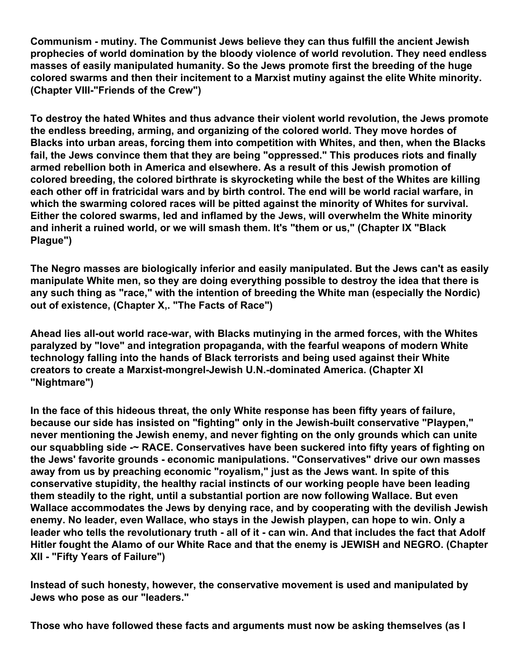**Communism - mutiny. The Communist Jews believe they can thus fulfill the ancient Jewish prophecies of world domination by the bloody violence of world revolution. They need endless masses of easily manipulated humanity. So the Jews promote first the breeding of the huge colored swarms and then their incitement to a Marxist mutiny against the elite White minority. (Chapter VIII-"Friends of the Crew")**

**To destroy the hated Whites and thus advance their violent world revolution, the Jews promote the endless breeding, arming, and organizing of the colored world. They move hordes of Blacks into urban areas, forcing them into competition with Whites, and then, when the Blacks fail, the Jews convince them that they are being "oppressed." This produces riots and finally armed rebellion both in America and elsewhere. As a result of this Jewish promotion of colored breeding, the colored birthrate is skyrocketing while the best of the Whites are killing each other off in fratricidal wars and by birth control. The end will be world racial warfare, in which the swarming colored races will be pitted against the minority of Whites for survival. Either the colored swarms, led and inflamed by the Jews, will overwhelm the White minority and inherit a ruined world, or we will smash them. It's "them or us," (Chapter IX "Black Plague")**

**The Negro masses are biologically inferior and easily manipulated. But the Jews can't as easily manipulate White men, so they are doing everything possible to destroy the idea that there is any such thing as "race," with the intention of breeding the White man (especially the Nordic) out of existence, (Chapter X,. "The Facts of Race")**

**Ahead lies all-out world race-war, with Blacks mutinying in the armed forces, with the Whites paralyzed by "love" and integration propaganda, with the fearful weapons of modern White technology falling into the hands of Black terrorists and being used against their White creators to create a Marxist-mongrel-Jewish U.N.-dominated America. (Chapter XI "Nightmare")**

**In the face of this hideous threat, the only White response has been fifty years of failure, because our side has insisted on "fighting" only in the Jewish-built conservative "Playpen," never mentioning the Jewish enemy, and never fighting on the only grounds which can unite our squabbling side -~ RACE. Conservatives have been suckered into fifty years of fighting on the Jews' favorite grounds - economic manipulations. "Conservatives" drive our own masses away from us by preaching economic "royalism," just as the Jews want. In spite of this conservative stupidity, the healthy racial instincts of our working people have been leading them steadily to the right, until a substantial portion are now following Wallace. But even Wallace accommodates the Jews by denying race, and by cooperating with the devilish Jewish enemy. No leader, even Wallace, who stays in the Jewish playpen, can hope to win. Only a leader who tells the revolutionary truth - all of it - can win. And that includes the fact that Adolf Hitler fought the Alamo of our White Race and that the enemy is JEWISH and NEGRO. (Chapter XII - "Fifty Years of Failure")**

**Instead of such honesty, however, the conservative movement is used and manipulated by Jews who pose as our "leaders."**

**Those who have followed these facts and arguments must now be asking themselves (as I**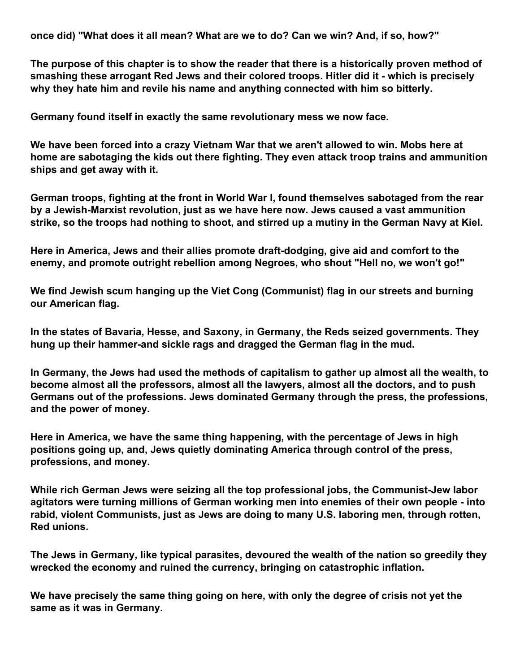**once did) "What does it all mean? What are we to do? Can we win? And, if so, how?"**

**The purpose of this chapter is to show the reader that there is a historically proven method of smashing these arrogant Red Jews and their colored troops. Hitler did it - which is precisely why they hate him and revile his name and anything connected with him so bitterly.**

**Germany found itself in exactly the same revolutionary mess we now face.**

**We have been forced into a crazy Vietnam War that we aren't allowed to win. Mobs here at home are sabotaging the kids out there fighting. They even attack troop trains and ammunition ships and get away with it.**

**German troops, fighting at the front in World War I, found themselves sabotaged from the rear by a Jewish-Marxist revolution, just as we have here now. Jews caused a vast ammunition strike, so the troops had nothing to shoot, and stirred up a mutiny in the German Navy at Kiel.**

**Here in America, Jews and their allies promote draft-dodging, give aid and comfort to the enemy, and promote outright rebellion among Negroes, who shout "Hell no, we won't go!"**

**We find Jewish scum hanging up the Viet Cong (Communist) flag in our streets and burning our American flag.**

**In the states of Bavaria, Hesse, and Saxony, in Germany, the Reds seized governments. They hung up their hammer-and sickle rags and dragged the German flag in the mud.**

**In Germany, the Jews had used the methods of capitalism to gather up almost all the wealth, to become almost all the professors, almost all the lawyers, almost all the doctors, and to push Germans out of the professions. Jews dominated Germany through the press, the professions, and the power of money.**

**Here in America, we have the same thing happening, with the percentage of Jews in high positions going up, and, Jews quietly dominating America through control of the press, professions, and money.**

**While rich German Jews were seizing all the top professional jobs, the Communist-Jew labor agitators were turning millions of German working men into enemies of their own people - into rabid, violent Communists, just as Jews are doing to many U.S. laboring men, through rotten, Red unions.**

**The Jews in Germany, like typical parasites, devoured the wealth of the nation so greedily they wrecked the economy and ruined the currency, bringing on catastrophic inflation.**

**We have precisely the same thing going on here, with only the degree of crisis not yet the same as it was in Germany.**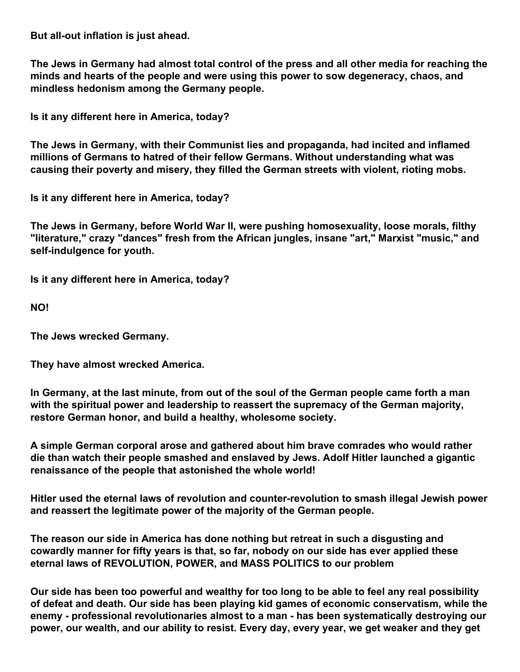**But all-out inflation is just ahead.**

**The Jews in Germany had almost total control of the press and all other media for reaching the minds and hearts of the people and were using this power to sow degeneracy, chaos, and mindless hedonism among the Germany people.**

**Is it any different here in America, today?**

**The Jews in Germany, with their Communist lies and propaganda, had incited and inflamed millions of Germans to hatred of their fellow Germans. Without understanding what was causing their poverty and misery, they filled the German streets with violent, rioting mobs.**

**Is it any different here in America, today?**

**The Jews in Germany, before World War II, were pushing homosexuality, loose morals, filthy "literature," crazy "dances" fresh from the African jungles, insane "art," Marxist "music," and self-indulgence for youth.**

**Is it any different here in America, today?**

**NO!**

**The Jews wrecked Germany.**

**They have almost wrecked America.**

**In Germany, at the last minute, from out of the soul of the German people came forth a man with the spiritual power and leadership to reassert the supremacy of the German majority, restore German honor, and build a healthy, wholesome society.**

**A simple German corporal arose and gathered about him brave comrades who would rather die than watch their people smashed and enslaved by Jews. Adolf Hitler launched a gigantic renaissance of the people that astonished the whole world!**

**Hitler used the eternal laws of revolution and counter-revolution to smash illegal Jewish power and reassert the legitimate power of the majority of the German people.**

**The reason our side in America has done nothing but retreat in such a disgusting and cowardly manner for fifty years is that, so far, nobody on our side has ever applied these eternal laws of REVOLUTION, POWER, and MASS POLITICS to our problem**

**Our side has been too powerful and wealthy for too long to be able to feel any real possibility of defeat and death. Our side has been playing kid games of economic conservatism, while the enemy - professional revolutionaries almost to a man - has been systematically destroying our power, our wealth, and our ability to resist. Every day, every year, we get weaker and they get**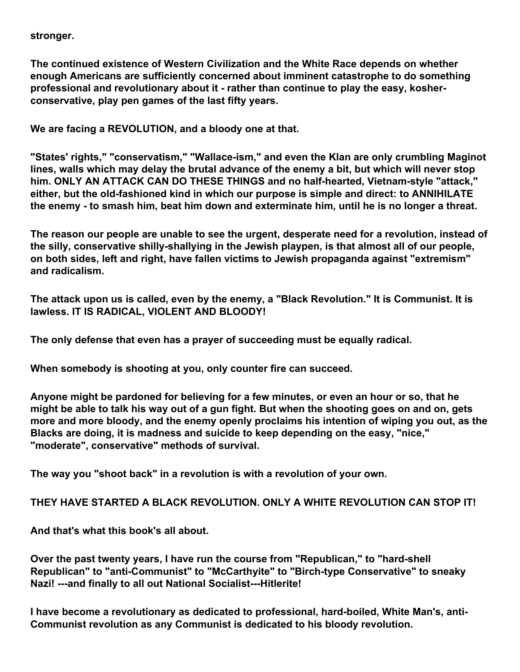**stronger.**

**The continued existence of Western Civilization and the White Race depends on whether enough Americans are sufficiently concerned about imminent catastrophe to do something professional and revolutionary about it - rather than continue to play the easy, kosherconservative, play pen games of the last fifty years.**

**We are facing a REVOLUTION, and a bloody one at that.**

**"States' rights," "conservatism," "Wallace-ism," and even the Klan are only crumbling Maginot lines, walls which may delay the brutal advance of the enemy a bit, but which will never stop him. ONLY AN ATTACK CAN DO THESE THINGS and no half-hearted, Vietnam-style "attack," either, but the old-fashioned kind in which our purpose is simple and direct: to ANNIHILATE the enemy - to smash him, beat him down and exterminate him, until he is no longer a threat.**

**The reason our people are unable to see the urgent, desperate need for a revolution, instead of the silly, conservative shilly-shallying in the Jewish playpen, is that almost all of our people, on both sides, left and right, have fallen victims to Jewish propaganda against "extremism" and radicalism.**

**The attack upon us is called, even by the enemy, a "Black Revolution." It is Communist. It is lawless. IT IS RADICAL, VIOLENT AND BLOODY!**

**The only defense that even has a prayer of succeeding must be equally radical.**

**When somebody is shooting at you, only counter fire can succeed.**

**Anyone might be pardoned for believing for a few minutes, or even an hour or so, that he might be able to talk his way out of a gun fight. But when the shooting goes on and on, gets more and more bloody, and the enemy openly proclaims his intention of wiping you out, as the Blacks are doing, it is madness and suicide to keep depending on the easy, "nice," "moderate", conservative" methods of survival.**

**The way you "shoot back" in a revolution is with a revolution of your own.**

#### **THEY HAVE STARTED A BLACK REVOLUTION. ONLY A WHITE REVOLUTION CAN STOP IT!**

**And that's what this book's all about.**

**Over the past twenty years, I have run the course from "Republican," to "hard-shell Republican" to "anti-Communist" to "McCarthyite" to "Birch-type Conservative" to sneaky Nazi! ---and finally to all out National Socialist---Hitlerite!**

**I have become a revolutionary as dedicated to professional, hard-boiled, White Man's, anti-Communist revolution as any Communist is dedicated to his bloody revolution.**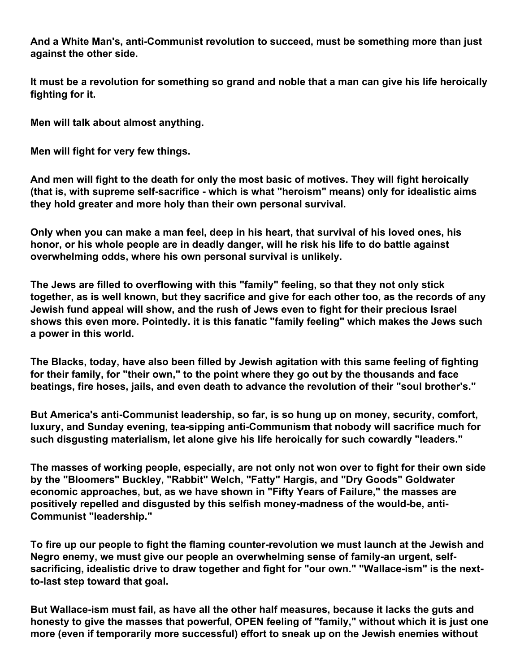**And a White Man's, anti-Communist revolution to succeed, must be something more than just against the other side.**

**It must be a revolution for something so grand and noble that a man can give his life heroically fighting for it.**

**Men will talk about almost anything.**

**Men will fight for very few things.**

**And men will fight to the death for only the most basic of motives. They will fight heroically (that is, with supreme self-sacrifice - which is what "heroism" means) only for idealistic aims they hold greater and more holy than their own personal survival.**

**Only when you can make a man feel, deep in his heart, that survival of his loved ones, his honor, or his whole people are in deadly danger, will he risk his life to do battle against overwhelming odds, where his own personal survival is unlikely.**

**The Jews are filled to overflowing with this "family" feeling, so that they not only stick together, as is well known, but they sacrifice and give for each other too, as the records of any Jewish fund appeal will show, and the rush of Jews even to fight for their precious Israel shows this even more. Pointedly. it is this fanatic "family feeling" which makes the Jews such a power in this world.**

**The Blacks, today, have also been filled by Jewish agitation with this same feeling of fighting for their family, for "their own," to the point where they go out by the thousands and face beatings, fire hoses, jails, and even death to advance the revolution of their "soul brother's."**

**But America's anti-Communist leadership, so far, is so hung up on money, security, comfort, luxury, and Sunday evening, tea-sipping anti-Communism that nobody will sacrifice much for such disgusting materialism, let alone give his life heroically for such cowardly "leaders."**

**The masses of working people, especially, are not only not won over to fight for their own side by the "Bloomers" Buckley, "Rabbit" Welch, "Fatty" Hargis, and "Dry Goods" Goldwater economic approaches, but, as we have shown in "Fifty Years of Failure," the masses are positively repelled and disgusted by this selfish money-madness of the would-be, anti-Communist "leadership."**

**To fire up our people to fight the flaming counter-revolution we must launch at the Jewish and Negro enemy, we must give our people an overwhelming sense of family-an urgent, selfsacrificing, idealistic drive to draw together and fight for "our own." "Wallace-ism" is the nextto-last step toward that goal.**

**But Wallace-ism must fail, as have all the other half measures, because it lacks the guts and honesty to give the masses that powerful, OPEN feeling of "family," without which it is just one more (even if temporarily more successful) effort to sneak up on the Jewish enemies without**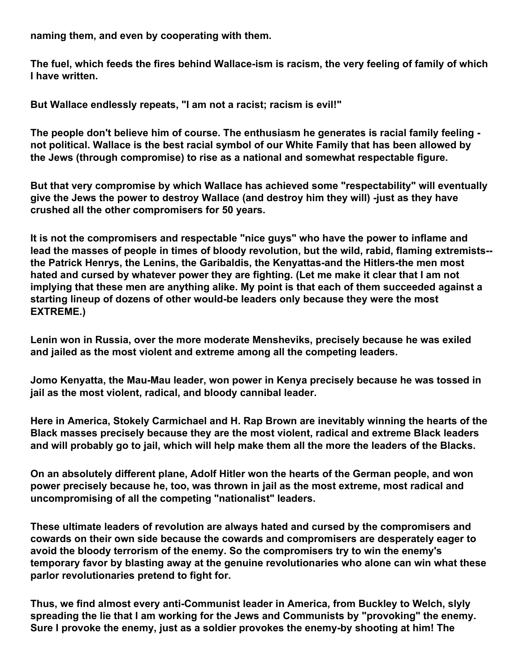**naming them, and even by cooperating with them.**

**The fuel, which feeds the fires behind Wallace-ism is racism, the very feeling of family of which I have written.**

**But Wallace endlessly repeats, "I am not a racist; racism is evil!"**

**The people don't believe him of course. The enthusiasm he generates is racial family feeling not political. Wallace is the best racial symbol of our White Family that has been allowed by the Jews (through compromise) to rise as a national and somewhat respectable figure.**

**But that very compromise by which Wallace has achieved some "respectability" will eventually give the Jews the power to destroy Wallace (and destroy him they will) -just as they have crushed all the other compromisers for 50 years.**

**It is not the compromisers and respectable "nice guys" who have the power to inflame and lead the masses of people in times of bloody revolution, but the wild, rabid, flaming extremists- the Patrick Henrys, the Lenins, the Garibaldis, the Kenyattas-and the Hitlers-the men most hated and cursed by whatever power they are fighting. (Let me make it clear that I am not implying that these men are anything alike. My point is that each of them succeeded against a starting lineup of dozens of other would-be leaders only because they were the most EXTREME.)**

**Lenin won in Russia, over the more moderate Mensheviks, precisely because he was exiled and jailed as the most violent and extreme among all the competing leaders.**

**Jomo Kenyatta, the Mau-Mau leader, won power in Kenya precisely because he was tossed in jail as the most violent, radical, and bloody cannibal leader.**

**Here in America, Stokely Carmichael and H. Rap Brown are inevitably winning the hearts of the Black masses precisely because they are the most violent, radical and extreme Black leaders and will probably go to jail, which will help make them all the more the leaders of the Blacks.**

**On an absolutely different plane, Adolf Hitler won the hearts of the German people, and won power precisely because he, too, was thrown in jail as the most extreme, most radical and uncompromising of all the competing "nationalist" leaders.**

**These ultimate leaders of revolution are always hated and cursed by the compromisers and cowards on their own side because the cowards and compromisers are desperately eager to avoid the bloody terrorism of the enemy. So the compromisers try to win the enemy's temporary favor by blasting away at the genuine revolutionaries who alone can win what these parlor revolutionaries pretend to fight for.**

**Thus, we find almost every anti-Communist leader in America, from Buckley to Welch, slyly spreading the lie that I am working for the Jews and Communists by "provoking" the enemy. Sure I provoke the enemy, just as a soldier provokes the enemy-by shooting at him! The**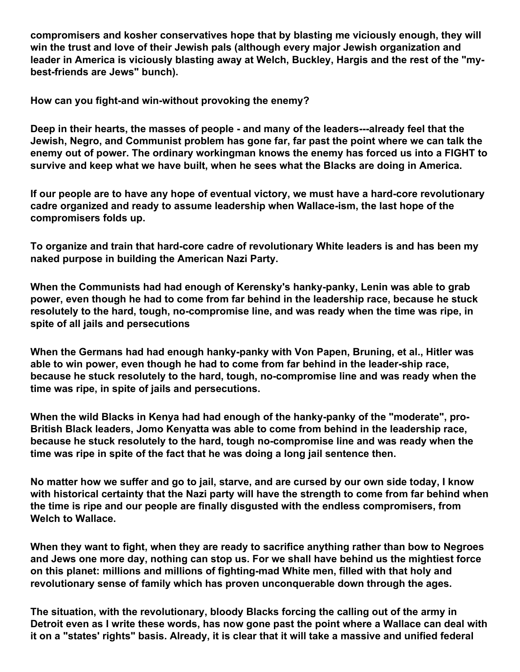**compromisers and kosher conservatives hope that by blasting me viciously enough, they will win the trust and love of their Jewish pals (although every major Jewish organization and leader in America is viciously blasting away at Welch, Buckley, Hargis and the rest of the "mybest-friends are Jews" bunch).**

**How can you fight-and win-without provoking the enemy?**

**Deep in their hearts, the masses of people - and many of the leaders---already feel that the Jewish, Negro, and Communist problem has gone far, far past the point where we can talk the enemy out of power. The ordinary workingman knows the enemy has forced us into a FIGHT to survive and keep what we have built, when he sees what the Blacks are doing in America.**

**If our people are to have any hope of eventual victory, we must have a hard-core revolutionary cadre organized and ready to assume leadership when Wallace-ism, the last hope of the compromisers folds up.**

**To organize and train that hard-core cadre of revolutionary White leaders is and has been my naked purpose in building the American Nazi Party.**

**When the Communists had had enough of Kerensky's hanky-panky, Lenin was able to grab power, even though he had to come from far behind in the leadership race, because he stuck resolutely to the hard, tough, no-compromise line, and was ready when the time was ripe, in spite of all jails and persecutions**

**When the Germans had had enough hanky-panky with Von Papen, Bruning, et al., Hitler was able to win power, even though he had to come from far behind in the leader-ship race, because he stuck resolutely to the hard, tough, no-compromise line and was ready when the time was ripe, in spite of jails and persecutions.**

**When the wild Blacks in Kenya had had enough of the hanky-panky of the "moderate", pro-British Black leaders, Jomo Kenyatta was able to come from behind in the leadership race, because he stuck resolutely to the hard, tough no-compromise line and was ready when the time was ripe in spite of the fact that he was doing a long jail sentence then.**

**No matter how we suffer and go to jail, starve, and are cursed by our own side today, I know with historical certainty that the Nazi party will have the strength to come from far behind when the time is ripe and our people are finally disgusted with the endless compromisers, from Welch to Wallace.**

**When they want to fight, when they are ready to sacrifice anything rather than bow to Negroes and Jews one more day, nothing can stop us. For we shall have behind us the mightiest force on this planet: millions and millions of fighting-mad White men, filled with that holy and revolutionary sense of family which has proven unconquerable down through the ages.**

**The situation, with the revolutionary, bloody Blacks forcing the calling out of the army in Detroit even as I write these words, has now gone past the point where a Wallace can deal with it on a "states' rights" basis. Already, it is clear that it will take a massive and unified federal**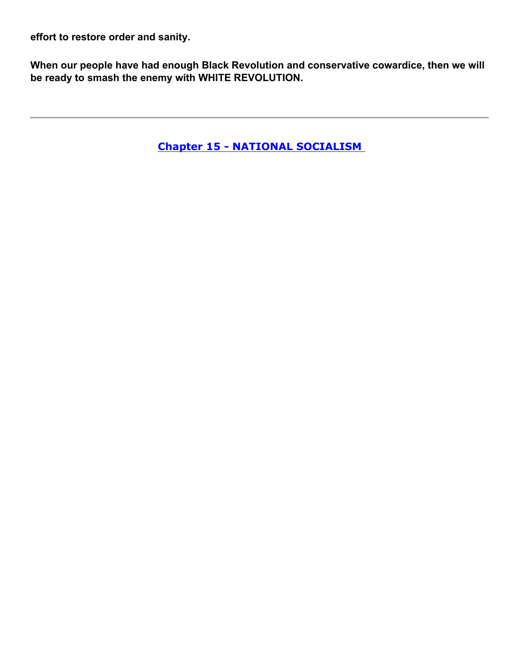**effort to restore order and sanity.**

**When our people have had enough Black Revolution and conservative cowardice, then we will be ready to smash the enemy with WHITE REVOLUTION.**

**[Chapter 15 - NATIONAL SOCIALISM](#page-255-0)**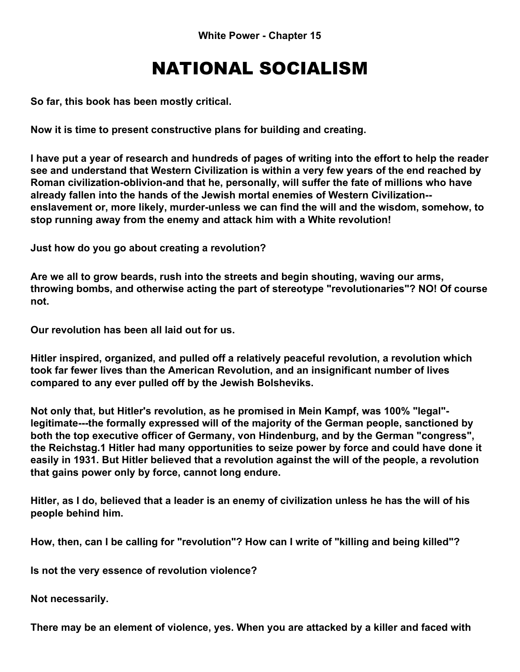## NATIONAL SOCIALISM

<span id="page-255-0"></span>**So far, this book has been mostly critical.**

**Now it is time to present constructive plans for building and creating.**

**I have put a year of research and hundreds of pages of writing into the effort to help the reader see and understand that Western Civilization is within a very few years of the end reached by Roman civilization-oblivion-and that he, personally, will suffer the fate of millions who have already fallen into the hands of the Jewish mortal enemies of Western Civilization- enslavement or, more likely, murder-unless we can find the will and the wisdom, somehow, to stop running away from the enemy and attack him with a White revolution!**

**Just how do you go about creating a revolution?**

**Are we all to grow beards, rush into the streets and begin shouting, waving our arms, throwing bombs, and otherwise acting the part of stereotype "revolutionaries"? NO! Of course not.**

**Our revolution has been all laid out for us.**

**Hitler inspired, organized, and pulled off a relatively peaceful revolution, a revolution which took far fewer lives than the American Revolution, and an insignificant number of lives compared to any ever pulled off by the Jewish Bolsheviks.**

**Not only that, but Hitler's revolution, as he promised in Mein Kampf, was 100% "legal" legitimate---the formally expressed will of the majority of the German people, sanctioned by both the top executive officer of Germany, von Hindenburg, and by the German "congress", the Reichstag.1 Hitler had many opportunities to seize power by force and could have done it easily in 1931. But Hitler believed that a revolution against the will of the people, a revolution that gains power only by force, cannot long endure.**

**Hitler, as I do, believed that a leader is an enemy of civilization unless he has the will of his people behind him.**

**How, then, can I be calling for "revolution"? How can I write of "killing and being killed"?**

**Is not the very essence of revolution violence?**

**Not necessarily.**

**There may be an element of violence, yes. When you are attacked by a killer and faced with**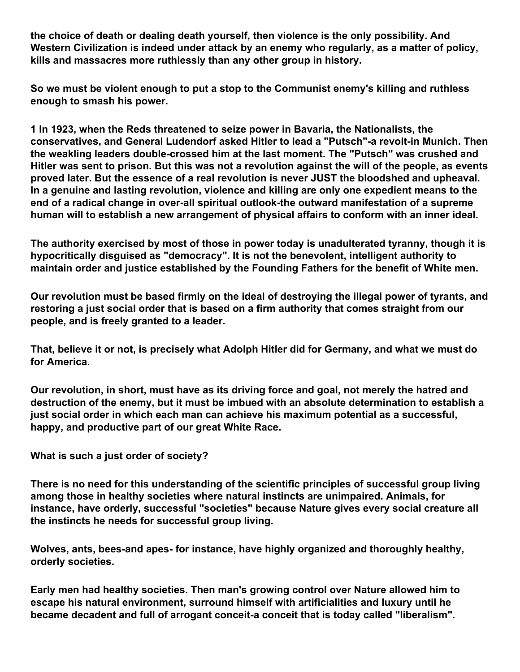**the choice of death or dealing death yourself, then violence is the only possibility. And Western Civilization is indeed under attack by an enemy who regularly, as a matter of policy, kills and massacres more ruthlessly than any other group in history.**

**So we must be violent enough to put a stop to the Communist enemy's killing and ruthless enough to smash his power.**

**1 In 1923, when the Reds threatened to seize power in Bavaria, the Nationalists, the conservatives, and General Ludendorf asked Hitler to lead a "Putsch"-a revolt-in Munich. Then the weakling leaders double-crossed him at the last moment. The "Putsch" was crushed and Hitler was sent to prison. But this was not a revolution against the will of the people, as events proved later. But the essence of a real revolution is never JUST the bloodshed and upheaval. In a genuine and lasting revolution, violence and killing are only one expedient means to the end of a radical change in over-all spiritual outlook-the outward manifestation of a supreme human will to establish a new arrangement of physical affairs to conform with an inner ideal.**

**The authority exercised by most of those in power today is unadulterated tyranny, though it is hypocritically disguised as "democracy". It is not the benevolent, intelligent authority to maintain order and justice established by the Founding Fathers for the benefit of White men.**

**Our revolution must be based firmly on the ideal of destroying the illegal power of tyrants, and restoring a just social order that is based on a firm authority that comes straight from our people, and is freely granted to a leader.**

**That, believe it or not, is precisely what Adolph Hitler did for Germany, and what we must do for America.**

**Our revolution, in short, must have as its driving force and goal, not merely the hatred and destruction of the enemy, but it must be imbued with an absolute determination to establish a just social order in which each man can achieve his maximum potential as a successful, happy, and productive part of our great White Race.**

**What is such a just order of society?**

**There is no need for this understanding of the scientific principles of successful group living among those in healthy societies where natural instincts are unimpaired. Animals, for instance, have orderly, successful "societies" because Nature gives every social creature all the instincts he needs for successful group living.**

**Wolves, ants, bees-and apes- for instance, have highly organized and thoroughly healthy, orderly societies.**

**Early men had healthy societies. Then man's growing control over Nature allowed him to escape his natural environment, surround himself with artificialities and luxury until he became decadent and full of arrogant conceit-a conceit that is today called "liberalism".**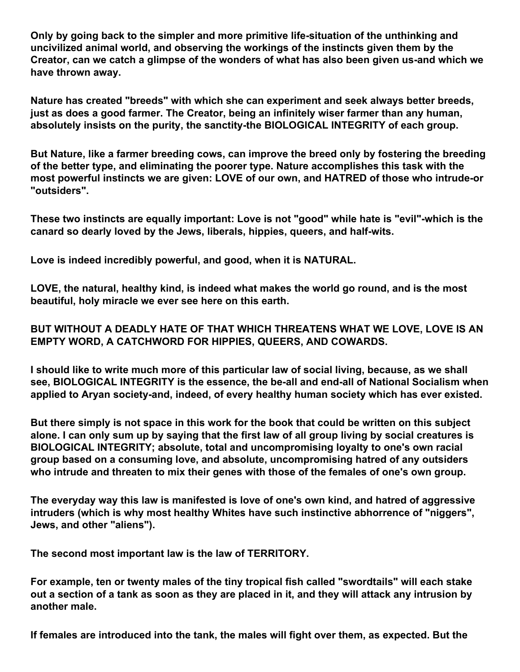**Only by going back to the simpler and more primitive life-situation of the unthinking and uncivilized animal world, and observing the workings of the instincts given them by the Creator, can we catch a glimpse of the wonders of what has also been given us-and which we have thrown away.**

**Nature has created "breeds" with which she can experiment and seek always better breeds, just as does a good farmer. The Creator, being an infinitely wiser farmer than any human, absolutely insists on the purity, the sanctity-the BIOLOGICAL INTEGRITY of each group.**

**But Nature, like a farmer breeding cows, can improve the breed only by fostering the breeding of the better type, and eliminating the poorer type. Nature accomplishes this task with the most powerful instincts we are given: LOVE of our own, and HATRED of those who intrude-or "outsiders".**

**These two instincts are equally important: Love is not "good" while hate is "evil"-which is the canard so dearly loved by the Jews, liberals, hippies, queers, and half-wits.**

**Love is indeed incredibly powerful, and good, when it is NATURAL.**

**LOVE, the natural, healthy kind, is indeed what makes the world go round, and is the most beautiful, holy miracle we ever see here on this earth.**

**BUT WITHOUT A DEADLY HATE OF THAT WHICH THREATENS WHAT WE LOVE, LOVE IS AN EMPTY WORD, A CATCHWORD FOR HIPPIES, QUEERS, AND COWARDS.**

**I should like to write much more of this particular law of social living, because, as we shall see, BIOLOGICAL INTEGRITY is the essence, the be-all and end-all of National Socialism when applied to Aryan society-and, indeed, of every healthy human society which has ever existed.**

**But there simply is not space in this work for the book that could be written on this subject alone. I can only sum up by saying that the first law of all group living by social creatures is BIOLOGICAL INTEGRITY; absolute, total and uncompromising loyalty to one's own racial group based on a consuming love, and absolute, uncompromising hatred of any outsiders who intrude and threaten to mix their genes with those of the females of one's own group.**

**The everyday way this law is manifested is love of one's own kind, and hatred of aggressive intruders (which is why most healthy Whites have such instinctive abhorrence of "niggers", Jews, and other "aliens").**

**The second most important law is the law of TERRITORY.**

**For example, ten or twenty males of the tiny tropical fish called "swordtails" will each stake out a section of a tank as soon as they are placed in it, and they will attack any intrusion by another male.**

**If females are introduced into the tank, the males will fight over them, as expected. But the**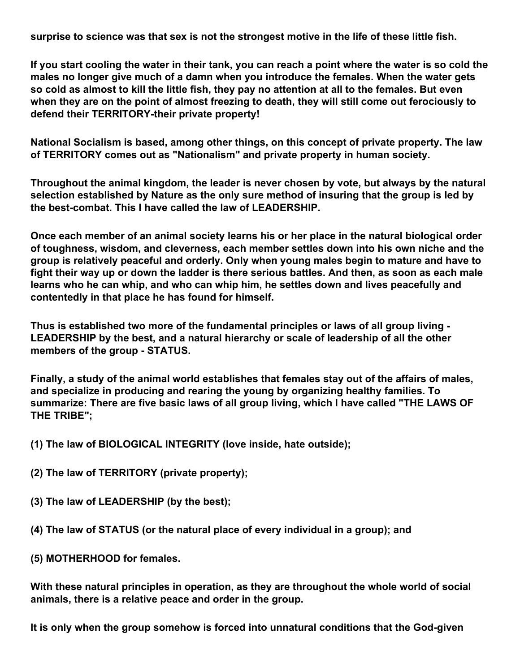**surprise to science was that sex is not the strongest motive in the life of these little fish.**

**If you start cooling the water in their tank, you can reach a point where the water is so cold the males no longer give much of a damn when you introduce the females. When the water gets so cold as almost to kill the little fish, they pay no attention at all to the females. But even when they are on the point of almost freezing to death, they will still come out ferociously to defend their TERRITORY-their private property!**

**National Socialism is based, among other things, on this concept of private property. The law of TERRITORY comes out as "Nationalism" and private property in human society.**

**Throughout the animal kingdom, the leader is never chosen by vote, but always by the natural selection established by Nature as the only sure method of insuring that the group is led by the best-combat. This I have called the law of LEADERSHIP.**

**Once each member of an animal society learns his or her place in the natural biological order of toughness, wisdom, and cleverness, each member settles down into his own niche and the group is relatively peaceful and orderly. Only when young males begin to mature and have to fight their way up or down the ladder is there serious battles. And then, as soon as each male learns who he can whip, and who can whip him, he settles down and lives peacefully and contentedly in that place he has found for himself.**

**Thus is established two more of the fundamental principles or laws of all group living - LEADERSHIP by the best, and a natural hierarchy or scale of leadership of all the other members of the group - STATUS.**

**Finally, a study of the animal world establishes that females stay out of the affairs of males, and specialize in producing and rearing the young by organizing healthy families. To summarize: There are five basic laws of all group living, which I have called "THE LAWS OF THE TRIBE";**

- **(1) The law of BIOLOGICAL INTEGRITY (love inside, hate outside);**
- **(2) The law of TERRITORY (private property);**
- **(3) The law of LEADERSHIP (by the best);**
- **(4) The law of STATUS (or the natural place of every individual in a group); and**
- **(5) MOTHERHOOD for females.**

**With these natural principles in operation, as they are throughout the whole world of social animals, there is a relative peace and order in the group.**

**It is only when the group somehow is forced into unnatural conditions that the God-given**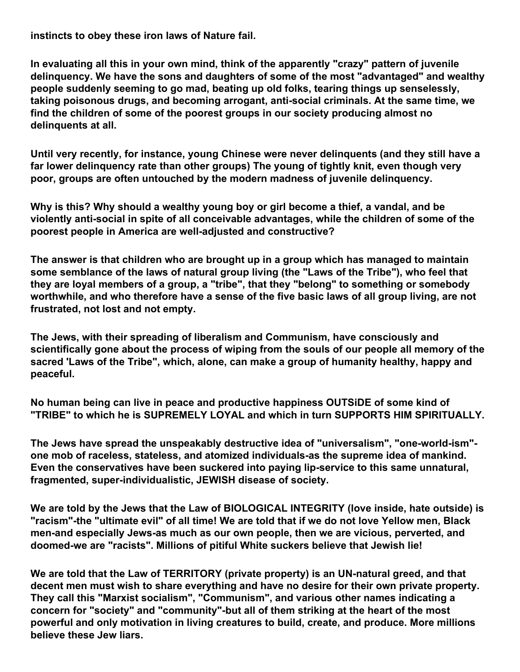**instincts to obey these iron laws of Nature fail.**

**In evaluating all this in your own mind, think of the apparently "crazy" pattern of juvenile delinquency. We have the sons and daughters of some of the most "advantaged" and wealthy people suddenly seeming to go mad, beating up old folks, tearing things up senselessly, taking poisonous drugs, and becoming arrogant, anti-social criminals. At the same time, we find the children of some of the poorest groups in our society producing almost no delinquents at all.**

**Until very recently, for instance, young Chinese were never delinquents (and they still have a far lower delinquency rate than other groups) The young of tightly knit, even though very poor, groups are often untouched by the modern madness of juvenile delinquency.**

**Why is this? Why should a wealthy young boy or girl become a thief, a vandal, and be violently anti-social in spite of all conceivable advantages, while the children of some of the poorest people in America are well-adjusted and constructive?**

**The answer is that children who are brought up in a group which has managed to maintain some semblance of the laws of natural group living (the "Laws of the Tribe"), who feel that they are loyal members of a group, a "tribe", that they "belong" to something or somebody worthwhile, and who therefore have a sense of the five basic laws of all group living, are not frustrated, not lost and not empty.**

**The Jews, with their spreading of liberalism and Communism, have consciously and scientifically gone about the process of wiping from the souls of our people all memory of the sacred 'Laws of the Tribe", which, alone, can make a group of humanity healthy, happy and peaceful.**

**No human being can live in peace and productive happiness OUTSiDE of some kind of "TRIBE" to which he is SUPREMELY LOYAL and which in turn SUPPORTS HIM SPIRITUALLY.**

**The Jews have spread the unspeakably destructive idea of "universalism", "one-world-ism" one mob of raceless, stateless, and atomized individuals-as the supreme idea of mankind. Even the conservatives have been suckered into paying lip-service to this same unnatural, fragmented, super-individualistic, JEWISH disease of society.**

**We are told by the Jews that the Law of BIOLOGICAL INTEGRITY (love inside, hate outside) is "racism"-the "ultimate evil" of all time! We are told that if we do not love Yellow men, Black men-and especially Jews-as much as our own people, then we are vicious, perverted, and doomed-we are "racists". Millions of pitiful White suckers believe that Jewish lie!**

**We are told that the Law of TERRITORY (private property) is an UN-natural greed, and that decent men must wish to share everything and have no desire for their own private property. They call this "Marxist socialism", "Communism", and various other names indicating a concern for "society" and "community"-but all of them striking at the heart of the most powerful and only motivation in living creatures to build, create, and produce. More millions believe these Jew liars.**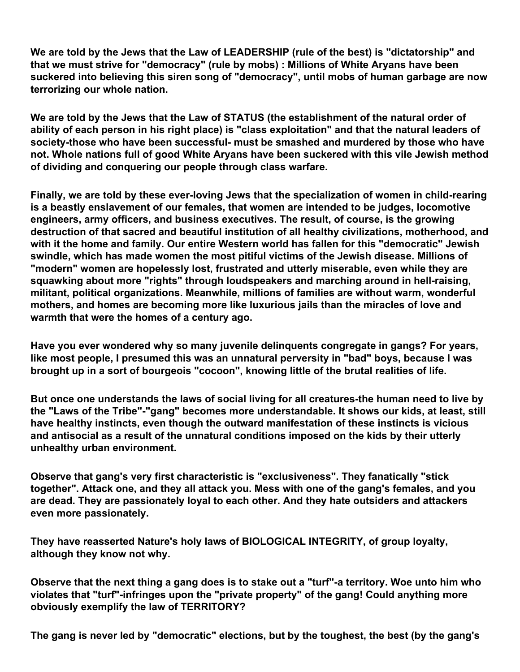**We are told by the Jews that the Law of LEADERSHIP (rule of the best) is "dictatorship" and that we must strive for "democracy" (rule by mobs) : Millions of White Aryans have been suckered into believing this siren song of "democracy", until mobs of human garbage are now terrorizing our whole nation.**

**We are told by the Jews that the Law of STATUS (the establishment of the natural order of ability of each person in his right place) is "class exploitation" and that the natural leaders of society-those who have been successful- must be smashed and murdered by those who have not. Whole nations full of good White Aryans have been suckered with this vile Jewish method of dividing and conquering our people through class warfare.**

**Finally, we are told by these ever-loving Jews that the specialization of women in child-rearing is a beastly enslavement of our females, that women are intended to be judges, locomotive engineers, army officers, and business executives. The result, of course, is the growing destruction of that sacred and beautiful institution of all healthy civilizations, motherhood, and with it the home and family. Our entire Western world has fallen for this "democratic" Jewish swindle, which has made women the most pitiful victims of the Jewish disease. Millions of "modern" women are hopelessly lost, frustrated and utterly miserable, even while they are squawking about more "rights" through loudspeakers and marching around in hell-raising, militant, political organizations. Meanwhile, millions of families are without warm, wonderful mothers, and homes are becoming more like luxurious jails than the miracles of love and warmth that were the homes of a century ago.**

**Have you ever wondered why so many juvenile delinquents congregate in gangs? For years, like most people, I presumed this was an unnatural perversity in "bad" boys, because I was brought up in a sort of bourgeois "cocoon", knowing little of the brutal realities of life.**

**But once one understands the laws of social living for all creatures-the human need to live by the "Laws of the Tribe"-"gang" becomes more understandable. It shows our kids, at least, still have healthy instincts, even though the outward manifestation of these instincts is vicious and antisocial as a result of the unnatural conditions imposed on the kids by their utterly unhealthy urban environment.**

**Observe that gang's very first characteristic is "exclusiveness". They fanatically "stick together". Attack one, and they all attack you. Mess with one of the gang's females, and you are dead. They are passionately loyal to each other. And they hate outsiders and attackers even more passionately.**

**They have reasserted Nature's holy laws of BIOLOGICAL INTEGRITY, of group loyalty, although they know not why.**

**Observe that the next thing a gang does is to stake out a "turf"-a territory. Woe unto him who violates that "turf"-infringes upon the "private property" of the gang! Could anything more obviously exemplify the law of TERRITORY?**

**The gang is never led by "democratic" elections, but by the toughest, the best (by the gang's**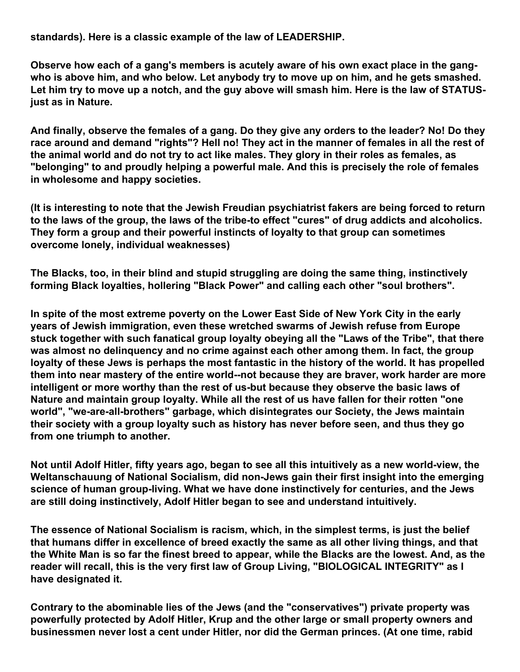**standards). Here is a classic example of the law of LEADERSHIP.**

**Observe how each of a gang's members is acutely aware of his own exact place in the gangwho is above him, and who below. Let anybody try to move up on him, and he gets smashed. Let him try to move up a notch, and the guy above will smash him. Here is the law of STATUSjust as in Nature.**

**And finally, observe the females of a gang. Do they give any orders to the leader? No! Do they race around and demand "rights"? Hell no! They act in the manner of females in all the rest of the animal world and do not try to act like males. They glory in their roles as females, as "belonging" to and proudly helping a powerful male. And this is precisely the role of females in wholesome and happy societies.**

**(It is interesting to note that the Jewish Freudian psychiatrist fakers are being forced to return to the laws of the group, the laws of the tribe-to effect "cures" of drug addicts and alcoholics. They form a group and their powerful instincts of loyalty to that group can sometimes overcome lonely, individual weaknesses)**

**The Blacks, too, in their blind and stupid struggling are doing the same thing, instinctively forming Black loyalties, hollering "Black Power" and calling each other "soul brothers".**

**In spite of the most extreme poverty on the Lower East Side of New York City in the early years of Jewish immigration, even these wretched swarms of Jewish refuse from Europe stuck together with such fanatical group loyalty obeying all the "Laws of the Tribe", that there was almost no delinquency and no crime against each other among them. In fact, the group loyalty of these Jews is perhaps the most fantastic in the history of the world. It has propelled them into near mastery of the entire world--not because they are braver, work harder are more intelligent or more worthy than the rest of us-but because they observe the basic laws of Nature and maintain group loyalty. While all the rest of us have fallen for their rotten "one world", "we-are-all-brothers" garbage, which disintegrates our Society, the Jews maintain their society with a group loyalty such as history has never before seen, and thus they go from one triumph to another.**

**Not until Adolf Hitler, fifty years ago, began to see all this intuitively as a new world-view, the Weltanschauung of National Socialism, did non-Jews gain their first insight into the emerging science of human group-living. What we have done instinctively for centuries, and the Jews are still doing instinctively, Adolf Hitler began to see and understand intuitively.**

**The essence of National Socialism is racism, which, in the simplest terms, is just the belief that humans differ in excellence of breed exactly the same as all other living things, and that the White Man is so far the finest breed to appear, while the Blacks are the lowest. And, as the reader will recall, this is the very first law of Group Living, "BIOLOGICAL INTEGRITY" as I have designated it.**

**Contrary to the abominable lies of the Jews (and the "conservatives") private property was powerfully protected by Adolf Hitler, Krup and the other large or small property owners and businessmen never lost a cent under Hitler, nor did the German princes. (At one time, rabid**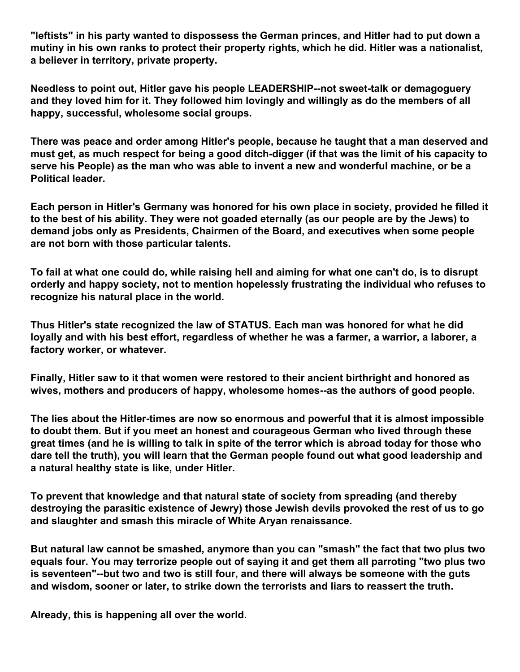**"leftists" in his party wanted to dispossess the German princes, and Hitler had to put down a mutiny in his own ranks to protect their property rights, which he did. Hitler was a nationalist, a believer in territory, private property.**

**Needless to point out, Hitler gave his people LEADERSHIP--not sweet-talk or demagoguery and they loved him for it. They followed him lovingly and willingly as do the members of all happy, successful, wholesome social groups.**

**There was peace and order among Hitler's people, because he taught that a man deserved and must get, as much respect for being a good ditch-digger (if that was the limit of his capacity to serve his People) as the man who was able to invent a new and wonderful machine, or be a Political leader.**

**Each person in Hitler's Germany was honored for his own place in society, provided he filled it to the best of his ability. They were not goaded eternally (as our people are by the Jews) to demand jobs only as Presidents, Chairmen of the Board, and executives when some people are not born with those particular talents.**

**To fail at what one could do, while raising hell and aiming for what one can't do, is to disrupt orderly and happy society, not to mention hopelessly frustrating the individual who refuses to recognize his natural place in the world.**

**Thus Hitler's state recognized the law of STATUS. Each man was honored for what he did loyally and with his best effort, regardless of whether he was a farmer, a warrior, a laborer, a factory worker, or whatever.**

**Finally, Hitler saw to it that women were restored to their ancient birthright and honored as wives, mothers and producers of happy, wholesome homes--as the authors of good people.**

**The lies about the Hitler-times are now so enormous and powerful that it is almost impossible to doubt them. But if you meet an honest and courageous German who lived through these great times (and he is willing to talk in spite of the terror which is abroad today for those who dare tell the truth), you will learn that the German people found out what good leadership and a natural healthy state is like, under Hitler.**

**To prevent that knowledge and that natural state of society from spreading (and thereby destroying the parasitic existence of Jewry) those Jewish devils provoked the rest of us to go and slaughter and smash this miracle of White Aryan renaissance.**

**But natural law cannot be smashed, anymore than you can "smash" the fact that two plus two equals four. You may terrorize people out of saying it and get them all parroting "two plus two is seventeen"--but two and two is still four, and there will always be someone with the guts and wisdom, sooner or later, to strike down the terrorists and liars to reassert the truth.**

**Already, this is happening all over the world.**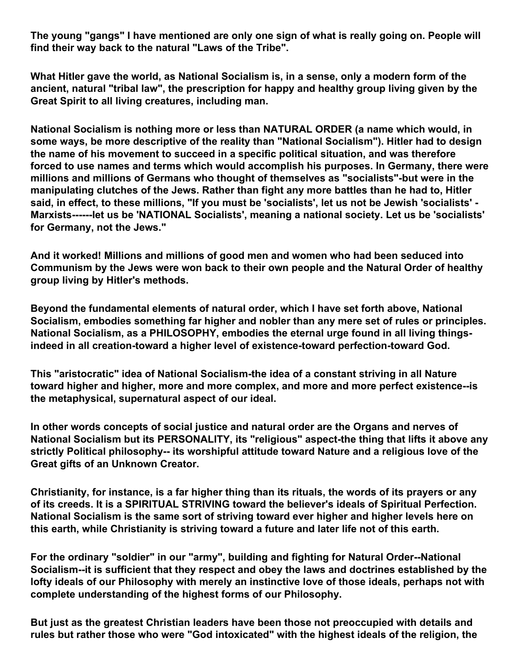**The young "gangs" I have mentioned are only one sign of what is really going on. People will find their way back to the natural "Laws of the Tribe".**

**What Hitler gave the world, as National Socialism is, in a sense, only a modern form of the ancient, natural "tribal law", the prescription for happy and healthy group living given by the Great Spirit to all living creatures, including man.**

**National Socialism is nothing more or less than NATURAL ORDER (a name which would, in some ways, be more descriptive of the reality than "National Socialism"). Hitler had to design the name of his movement to succeed in a specific political situation, and was therefore forced to use names and terms which would accomplish his purposes. In Germany, there were millions and millions of Germans who thought of themselves as "socialists"-but were in the manipulating clutches of the Jews. Rather than fight any more battles than he had to, Hitler said, in effect, to these millions, "If you must be 'socialists', let us not be Jewish 'socialists' - Marxists------let us be 'NATIONAL Socialists', meaning a national society. Let us be 'socialists' for Germany, not the Jews."**

**And it worked! Millions and millions of good men and women who had been seduced into Communism by the Jews were won back to their own people and the Natural Order of healthy group living by Hitler's methods.**

**Beyond the fundamental elements of natural order, which I have set forth above, National Socialism, embodies something far higher and nobler than any mere set of rules or principles. National Socialism, as a PHILOSOPHY, embodies the eternal urge found in all living thingsindeed in all creation-toward a higher level of existence-toward perfection-toward God.**

**This "aristocratic" idea of National Socialism-the idea of a constant striving in all Nature toward higher and higher, more and more complex, and more and more perfect existence--is the metaphysical, supernatural aspect of our ideal.**

**In other words concepts of social justice and natural order are the Organs and nerves of National Socialism but its PERSONALITY, its "religious" aspect-the thing that lifts it above any strictly Political philosophy-- its worshipful attitude toward Nature and a religious love of the Great gifts of an Unknown Creator.**

**Christianity, for instance, is a far higher thing than its rituals, the words of its prayers or any of its creeds. It is a SPIRITUAL STRIVING toward the believer's ideals of Spiritual Perfection. National Socialism is the same sort of striving toward ever higher and higher levels here on this earth, while Christianity is striving toward a future and later life not of this earth.**

**For the ordinary "soldier" in our "army", building and fighting for Natural Order--National Socialism--it is sufficient that they respect and obey the laws and doctrines established by the lofty ideals of our Philosophy with merely an instinctive love of those ideals, perhaps not with complete understanding of the highest forms of our Philosophy.**

**But just as the greatest Christian leaders have been those not preoccupied with details and rules but rather those who were "God intoxicated" with the highest ideals of the religion, the**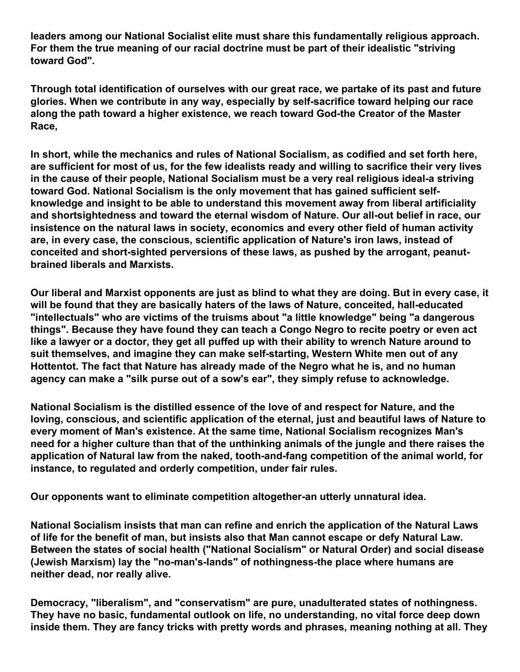**leaders among our National Socialist elite must share this fundamentally religious approach. For them the true meaning of our racial doctrine must be part of their idealistic "striving toward God".**

**Through total identification of ourselves with our great race, we partake of its past and future glories. When we contribute in any way, especially by self-sacrifice toward helping our race along the path toward a higher existence, we reach toward God-the Creator of the Master Race,**

**In short, while the mechanics and rules of National Socialism, as codified and set forth here, are sufficient for most of us, for the few idealists ready and willing to sacrifice their very lives in the cause of their people, National Socialism must be a very real religious ideal-a striving toward God. National Socialism is the only movement that has gained sufficient selfknowledge and insight to be able to understand this movement away from liberal artificiality and shortsightedness and toward the eternal wisdom of Nature. Our all-out belief in race, our insistence on the natural laws in society, economics and every other field of human activity are, in every case, the conscious, scientific application of Nature's iron laws, instead of conceited and short-sighted perversions of these laws, as pushed by the arrogant, peanutbrained liberals and Marxists.**

**Our liberal and Marxist opponents are just as blind to what they are doing. But in every case, it will be found that they are basically haters of the laws of Nature, conceited, hall-educated "intellectuals" who are victims of the truisms about "a little knowledge" being "a dangerous things". Because they have found they can teach a Congo Negro to recite poetry or even act like a lawyer or a doctor, they get all puffed up with their ability to wrench Nature around to suit themselves, and imagine they can make self-starting, Western White men out of any Hottentot. The fact that Nature has already made of the Negro what he is, and no human agency can make a "silk purse out of a sow's ear", they simply refuse to acknowledge.**

**National Socialism is the distilled essence of the love of and respect for Nature, and the loving, conscious, and scientific application of the eternal, just and beautiful laws of Nature to every moment of Man's existence. At the same time, National Socialism recognizes Man's need for a higher culture than that of the unthinking animals of the jungle and there raises the application of Natural law from the naked, tooth-and-fang competition of the animal world, for instance, to regulated and orderly competition, under fair rules.**

**Our opponents want to eliminate competition altogether-an utterly unnatural idea.**

**National Socialism insists that man can refine and enrich the application of the Natural Laws of life for the benefit of man, but insists also that Man cannot escape or defy Natural Law. Between the states of social health ("National Socialism" or Natural Order) and social disease (Jewish Marxism) lay the "no-man's-lands" of nothingness-the place where humans are neither dead, nor really alive.**

**Democracy, ''liberalism", and "conservatism" are pure, unadulterated states of nothingness. They have no basic, fundamental outlook on life, no understanding, no vital force deep down inside them. They are fancy tricks with pretty words and phrases, meaning nothing at all. They**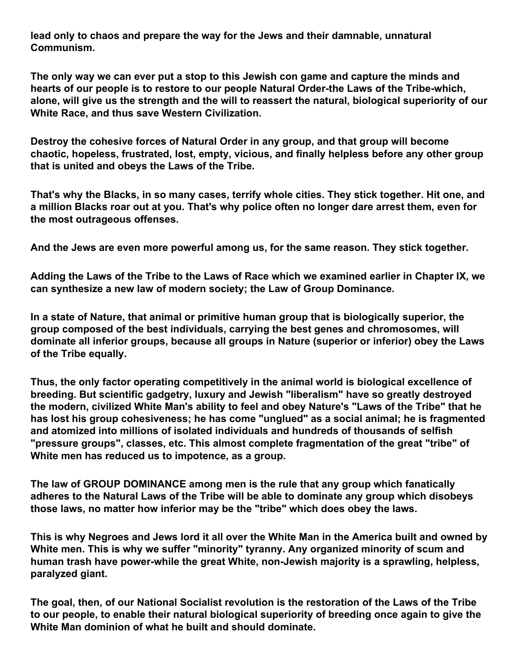**lead only to chaos and prepare the way for the Jews and their damnable, unnatural Communism.**

**The only way we can ever put a stop to this Jewish con game and capture the minds and hearts of our people is to restore to our people Natural Order-the Laws of the Tribe-which, alone, will give us the strength and the will to reassert the natural, biological superiority of our White Race, and thus save Western Civilization.**

**Destroy the cohesive forces of Natural Order in any group, and that group will become chaotic, hopeless, frustrated, lost, empty, vicious, and finally helpless before any other group that is united and obeys the Laws of the Tribe.**

**That's why the Blacks, in so many cases, terrify whole cities. They stick together. Hit one, and a million Blacks roar out at you. That's why police often no longer dare arrest them, even for the most outrageous offenses.**

**And the Jews are even more powerful among us, for the same reason. They stick together.**

**Adding the Laws of the Tribe to the Laws of Race which we examined earlier in Chapter IX, we can synthesize a new law of modern society; the Law of Group Dominance.**

**In a state of Nature, that animal or primitive human group that is biologically superior, the group composed of the best individuals, carrying the best genes and chromosomes, will dominate all inferior groups, because all groups in Nature (superior or inferior) obey the Laws of the Tribe equally.**

**Thus, the only factor operating competitively in the animal world is biological excellence of breeding. But scientific gadgetry, luxury and Jewish "liberalism" have so greatly destroyed the modern, civilized White Man's ability to feel and obey Nature's "Laws of the Tribe" that he has lost his group cohesiveness; he has come "unglued" as a social animal; he is fragmented and atomized into millions of isolated individuals and hundreds of thousands of selfish "pressure groups", classes, etc. This almost complete fragmentation of the great "tribe" of White men has reduced us to impotence, as a group.**

**The law of GROUP DOMINANCE among men is the rule that any group which fanatically adheres to the Natural Laws of the Tribe will be able to dominate any group which disobeys those laws, no matter how inferior may be the "tribe" which does obey the laws.**

**This is why Negroes and Jews lord it all over the White Man in the America built and owned by White men. This is why we suffer "minority" tyranny. Any organized minority of scum and human trash have power-while the great White, non-Jewish majority is a sprawling, helpless, paralyzed giant.**

**The goal, then, of our National Socialist revolution is the restoration of the Laws of the Tribe to our people, to enable their natural biological superiority of breeding once again to give the White Man dominion of what he built and should dominate.**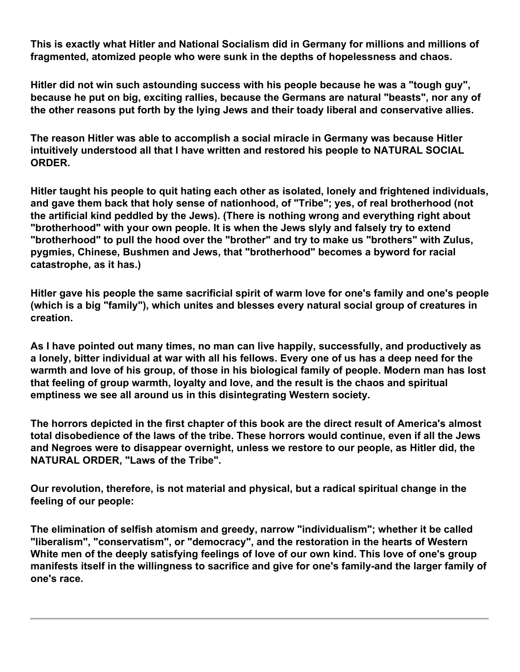**This is exactly what Hitler and National Socialism did in Germany for millions and millions of fragmented, atomized people who were sunk in the depths of hopelessness and chaos.**

**Hitler did not win such astounding success with his people because he was a "tough guy", because he put on big, exciting rallies, because the Germans are natural "beasts", nor any of the other reasons put forth by the lying Jews and their toady liberal and conservative allies.**

**The reason Hitler was able to accomplish a social miracle in Germany was because Hitler intuitively understood all that I have written and restored his people to NATURAL SOCIAL ORDER.**

**Hitler taught his people to quit hating each other as isolated, lonely and frightened individuals, and gave them back that holy sense of nationhood, of "Tribe"; yes, of real brotherhood (not the artificial kind peddled by the Jews). (There is nothing wrong and everything right about "brotherhood" with your own people. It is when the Jews slyly and falsely try to extend "brotherhood" to pull the hood over the "brother" and try to make us "brothers" with Zulus, pygmies, Chinese, Bushmen and Jews, that "brotherhood" becomes a byword for racial catastrophe, as it has.)**

**Hitler gave his people the same sacrificial spirit of warm love for one's family and one's people (which is a big "family"), which unites and blesses every natural social group of creatures in creation.**

**As I have pointed out many times, no man can live happily, successfully, and productively as a lonely, bitter individual at war with all his fellows. Every one of us has a deep need for the warmth and love of his group, of those in his biological family of people. Modern man has lost that feeling of group warmth, loyalty and love, and the result is the chaos and spiritual emptiness we see all around us in this disintegrating Western society.**

**The horrors depicted in the first chapter of this book are the direct result of America's almost total disobedience of the laws of the tribe. These horrors would continue, even if all the Jews and Negroes were to disappear overnight, unless we restore to our people, as Hitler did, the NATURAL ORDER, "Laws of the Tribe".**

**Our revolution, therefore, is not material and physical, but a radical spiritual change in the feeling of our people:**

**The elimination of selfish atomism and greedy, narrow "individualism"; whether it be called "liberalism", "conservatism", or "democracy", and the restoration in the hearts of Western White men of the deeply satisfying feelings of love of our own kind. This love of one's group manifests itself in the willingness to sacrifice and give for one's family-and the larger family of one's race.**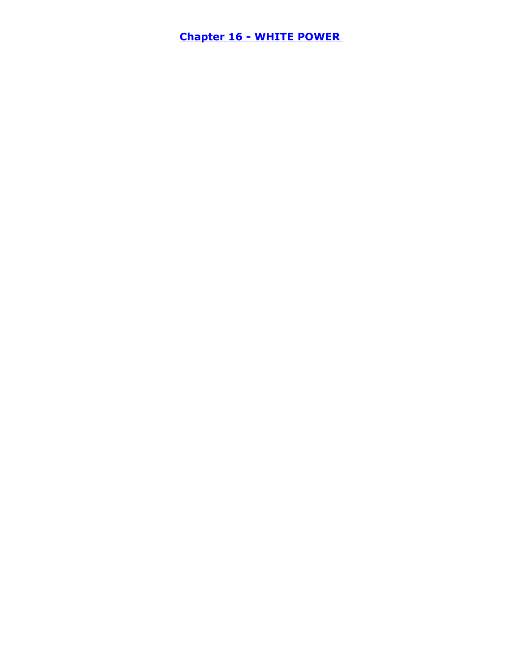## **[Chapter 16 - WHITE POWER](#page-268-0)**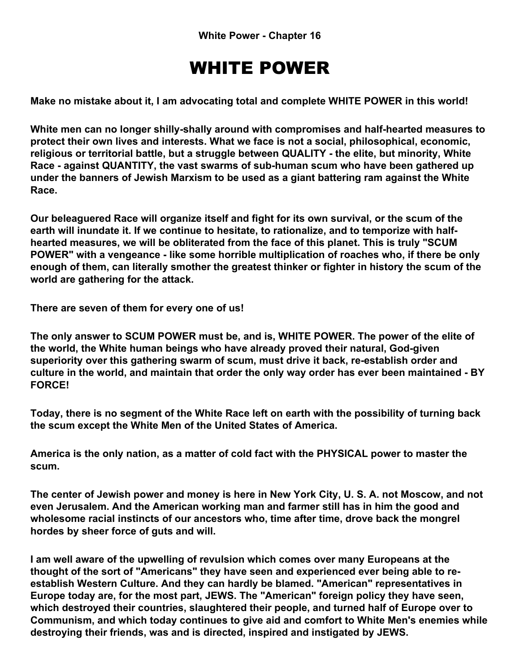## WHITE POWER

<span id="page-268-0"></span>**Make no mistake about it, I am advocating total and complete WHITE POWER in this world!**

**White men can no longer shilly-shally around with compromises and half-hearted measures to protect their own lives and interests. What we face is not a social, philosophical, economic, religious or territorial battle, but a struggle between QUALITY - the elite, but minority, White Race - against QUANTITY, the vast swarms of sub-human scum who have been gathered up under the banners of Jewish Marxism to be used as a giant battering ram against the White Race.**

**Our beleaguered Race will organize itself and fight for its own survival, or the scum of the earth will inundate it. If we continue to hesitate, to rationalize, and to temporize with halfhearted measures, we will be obliterated from the face of this planet. This is truly "SCUM POWER" with a vengeance - like some horrible multiplication of roaches who, if there be only enough of them, can literally smother the greatest thinker or fighter in history the scum of the world are gathering for the attack.**

**There are seven of them for every one of us!**

**The only answer to SCUM POWER must be, and is, WHITE POWER. The power of the elite of the world, the White human beings who have already proved their natural, God-given superiority over this gathering swarm of scum, must drive it back, re-establish order and culture in the world, and maintain that order the only way order has ever been maintained - BY FORCE!**

**Today, there is no segment of the White Race left on earth with the possibility of turning back the scum except the White Men of the United States of America.**

**America is the only nation, as a matter of cold fact with the PHYSICAL power to master the scum.**

**The center of Jewish power and money is here in New York City, U. S. A. not Moscow, and not even Jerusalem. And the American working man and farmer still has in him the good and wholesome racial instincts of our ancestors who, time after time, drove back the mongrel hordes by sheer force of guts and will.**

**I am well aware of the upwelling of revulsion which comes over many Europeans at the thought of the sort of "Americans" they have seen and experienced ever being able to reestablish Western Culture. And they can hardly be blamed. "American" representatives in Europe today are, for the most part, JEWS. The "American" foreign policy they have seen, which destroyed their countries, slaughtered their people, and turned half of Europe over to Communism, and which today continues to give aid and comfort to White Men's enemies while destroying their friends, was and is directed, inspired and instigated by JEWS.**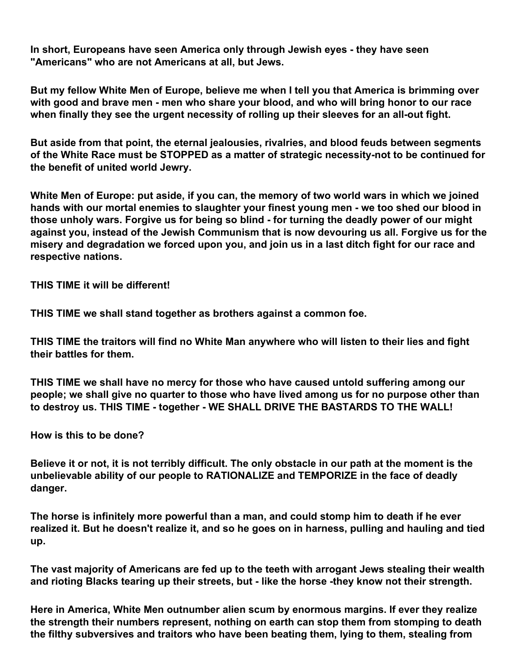**In short, Europeans have seen America only through Jewish eyes - they have seen "Americans" who are not Americans at all, but Jews.**

**But my fellow White Men of Europe, believe me when I tell you that America is brimming over with good and brave men - men who share your blood, and who will bring honor to our race when finally they see the urgent necessity of rolling up their sleeves for an all-out fight.**

**But aside from that point, the eternal jealousies, rivalries, and blood feuds between segments of the White Race must be STOPPED as a matter of strategic necessity-not to be continued for the benefit of united world Jewry.**

**White Men of Europe: put aside, if you can, the memory of two world wars in which we joined hands with our mortal enemies to slaughter your finest young men - we too shed our blood in those unholy wars. Forgive us for being so blind - for turning the deadly power of our might against you, instead of the Jewish Communism that is now devouring us all. Forgive us for the misery and degradation we forced upon you, and join us in a last ditch fight for our race and respective nations.**

**THIS TIME it will be different!**

**THIS TIME we shall stand together as brothers against a common foe.**

**THIS TIME the traitors will find no White Man anywhere who will listen to their lies and fight their battles for them.**

**THIS TIME we shall have no mercy for those who have caused untold suffering among our people; we shall give no quarter to those who have lived among us for no purpose other than to destroy us. THIS TIME - together - WE SHALL DRIVE THE BASTARDS TO THE WALL!**

**How is this to be done?**

**Believe it or not, it is not terribly difficult. The only obstacle in our path at the moment is the unbelievable ability of our people to RATIONALIZE and TEMPORIZE in the face of deadly danger.**

**The horse is infinitely more powerful than a man, and could stomp him to death if he ever realized it. But he doesn't realize it, and so he goes on in harness, pulling and hauling and tied up.**

**The vast majority of Americans are fed up to the teeth with arrogant Jews stealing their wealth and rioting Blacks tearing up their streets, but - like the horse -they know not their strength.**

**Here in America, White Men outnumber alien scum by enormous margins. If ever they realize the strength their numbers represent, nothing on earth can stop them from stomping to death the filthy subversives and traitors who have been beating them, lying to them, stealing from**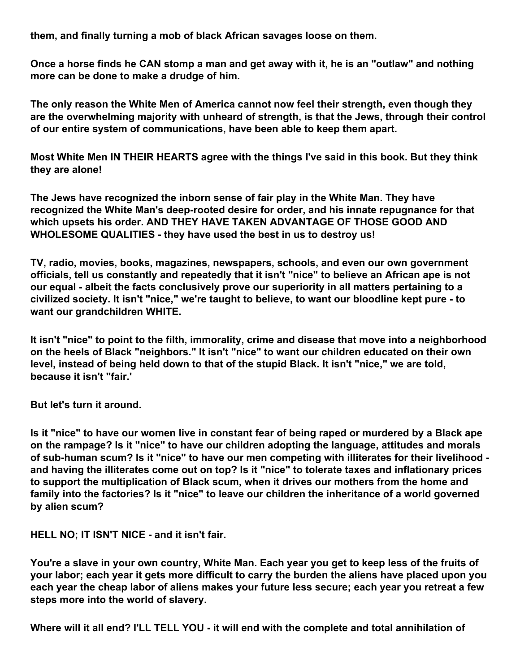**them, and finally turning a mob of black African savages loose on them.**

**Once a horse finds he CAN stomp a man and get away with it, he is an "outlaw" and nothing more can be done to make a drudge of him.**

**The only reason the White Men of America cannot now feel their strength, even though they are the overwhelming majority with unheard of strength, is that the Jews, through their control of our entire system of communications, have been able to keep them apart.**

**Most White Men IN THEIR HEARTS agree with the things I've said in this book. But they think they are alone!**

**The Jews have recognized the inborn sense of fair play in the White Man. They have recognized the White Man's deep-rooted desire for order, and his innate repugnance for that which upsets his order. AND THEY HAVE TAKEN ADVANTAGE OF THOSE GOOD AND WHOLESOME QUALITIES - they have used the best in us to destroy us!**

**TV, radio, movies, books, magazines, newspapers, schools, and even our own government officials, tell us constantly and repeatedly that it isn't "nice" to believe an African ape is not our equal - albeit the facts conclusively prove our superiority in all matters pertaining to a civilized society. It isn't "nice," we're taught to believe, to want our bloodline kept pure - to want our grandchildren WHITE.**

**It isn't "nice" to point to the filth, immorality, crime and disease that move into a neighborhood on the heels of Black "neighbors." It isn't "nice" to want our children educated on their own level, instead of being held down to that of the stupid Black. It isn't "nice," we are told, because it isn't "fair.'**

**But let's turn it around.**

**Is it "nice" to have our women live in constant fear of being raped or murdered by a Black ape on the rampage? Is it "nice" to have our children adopting the language, attitudes and morals of sub-human scum? Is it "nice" to have our men competing with illiterates for their livelihood and having the illiterates come out on top? Is it "nice" to tolerate taxes and inflationary prices to support the multiplication of Black scum, when it drives our mothers from the home and family into the factories? Is it "nice" to leave our children the inheritance of a world governed by alien scum?**

**HELL NO; IT ISN'T NICE - and it isn't fair.**

**You're a slave in your own country, White Man. Each year you get to keep less of the fruits of your labor; each year it gets more difficult to carry the burden the aliens have placed upon you each year the cheap labor of aliens makes your future less secure; each year you retreat a few steps more into the world of slavery.**

**Where will it all end? I'LL TELL YOU - it will end with the complete and total annihilation of**